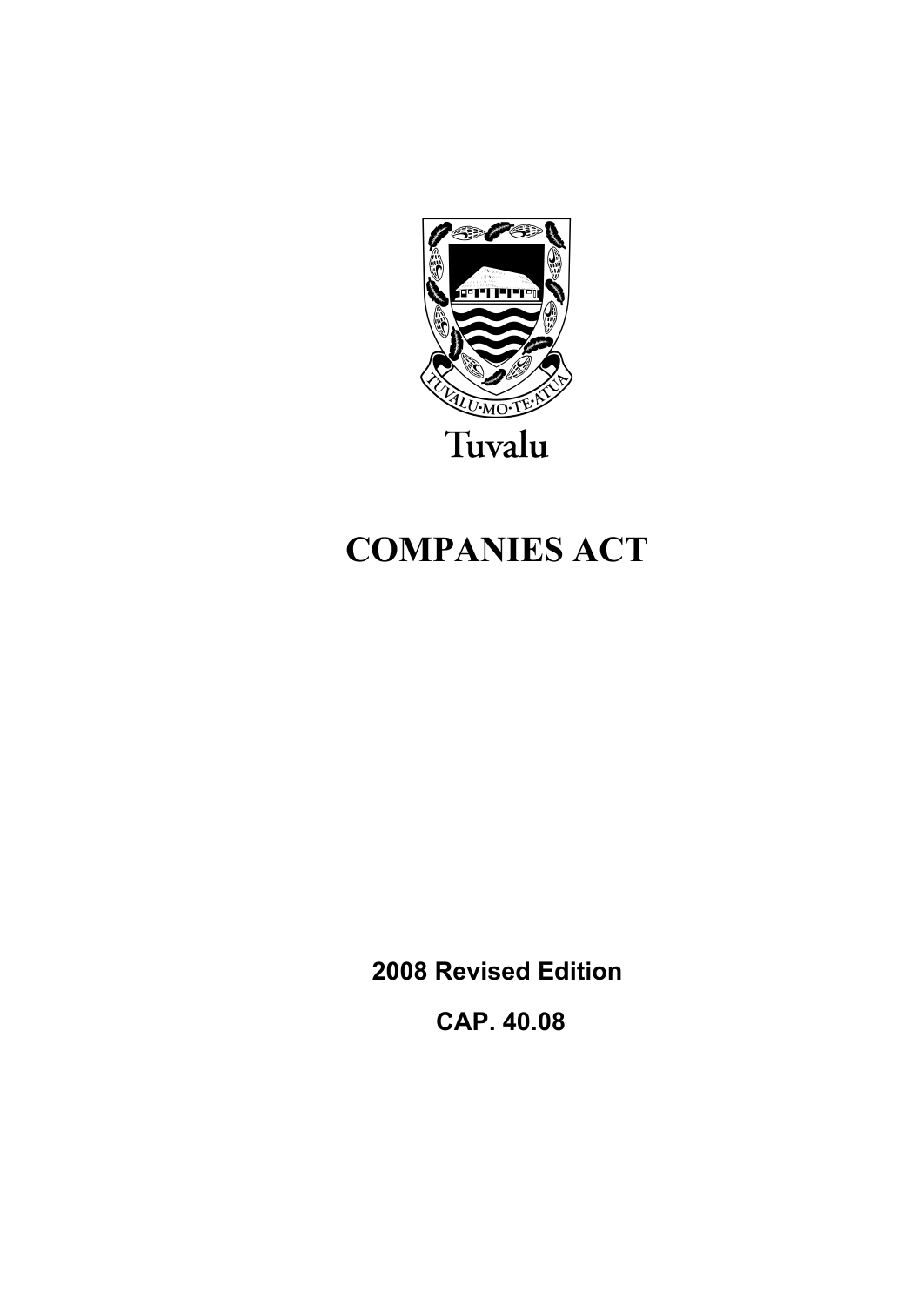

# **COMPANIES ACT**

**2008 Revised Edition** 

 **CAP. 40.08**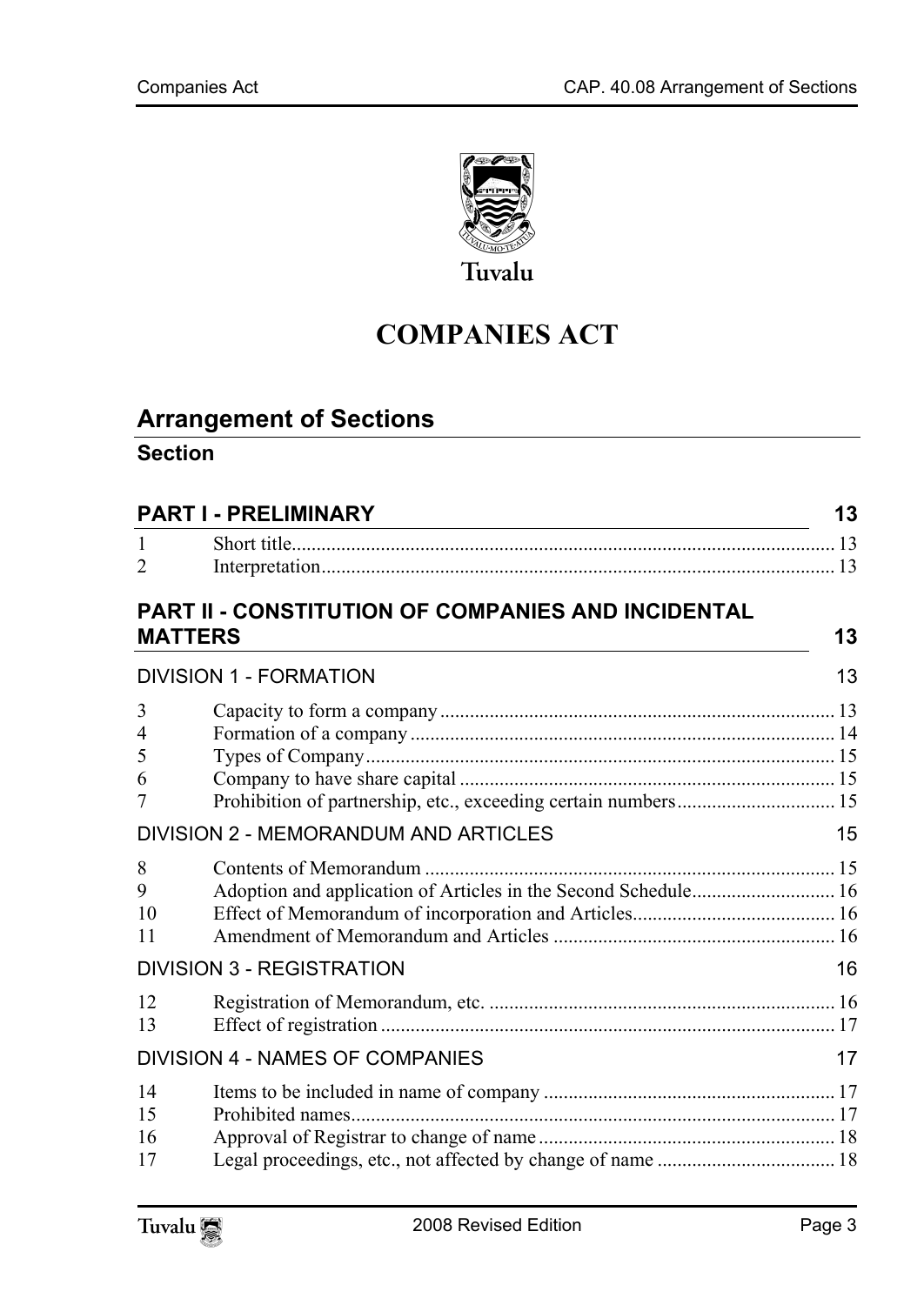

# **COMPANIES ACT**

# **Arrange[ment of Sections](#page-12-1)**

## **Section**

| <b>PART I - PRELIMINARY</b>    |                                                                | 13 |
|--------------------------------|----------------------------------------------------------------|----|
| $\mathbf{1}$<br>$\overline{2}$ |                                                                |    |
| <b>MATTERS</b>                 | PART II - CONSTITUTION OF COMPANIES AND INCIDENTAL             | 13 |
|                                | <b>DIVISION 1 - FORMATION</b>                                  | 13 |
| 3<br>4<br>5<br>6<br>7          | Prohibition of partnership, etc., exceeding certain numbers 15 |    |
|                                | DIVISION 2 - MEMORANDUM AND ARTICLES                           | 15 |
| 8<br>9<br>10<br>11             | Adoption and application of Articles in the Second Schedule 16 |    |
|                                | <b>DIVISION 3 - REGISTRATION</b>                               | 16 |
| 12<br>13                       |                                                                |    |
|                                | <b>DIVISION 4 - NAMES OF COMPANIES</b>                         | 17 |
| 14<br>15<br>16<br>17           |                                                                |    |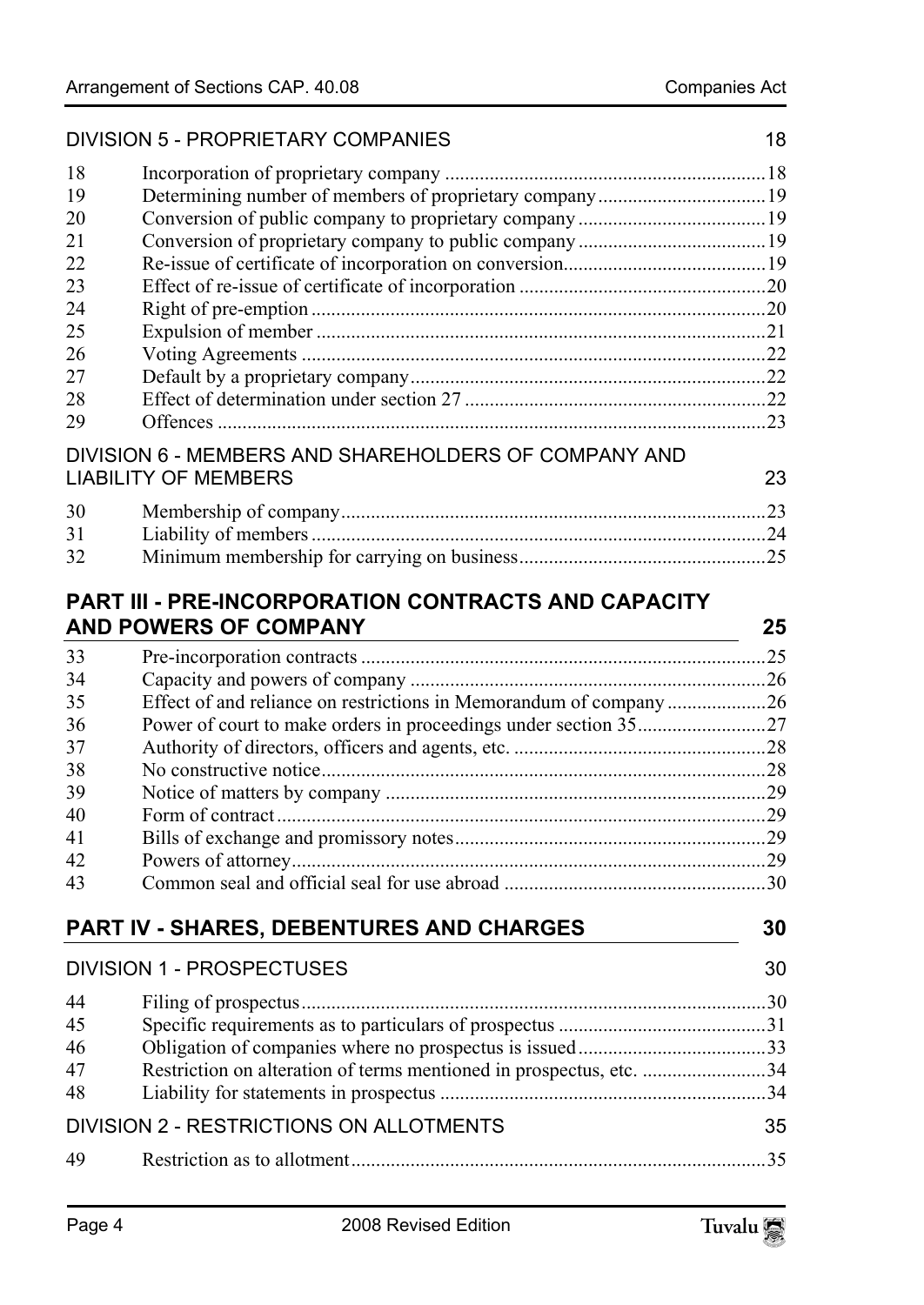|                                                                      | <b>DIVISION 5 - PROPRIETARY COMPANIES</b>                                           | 18 |
|----------------------------------------------------------------------|-------------------------------------------------------------------------------------|----|
| 18<br>19<br>20<br>21<br>22<br>23<br>24<br>25<br>26<br>27<br>28<br>29 | Determining number of members of proprietary company19                              |    |
|                                                                      | DIVISION 6 - MEMBERS AND SHAREHOLDERS OF COMPANY AND<br><b>LIABILITY OF MEMBERS</b> | 23 |
| 30<br>31<br>32                                                       |                                                                                     |    |
|                                                                      | PART III - PRE-INCORPORATION CONTRACTS AND CAPACITY<br><b>AND POWERS OF COMPANY</b> | 25 |
| 33<br>34                                                             |                                                                                     |    |
| 35<br>36<br>37                                                       | Effect of and reliance on restrictions in Memorandum of company26                   |    |
| 38<br>39                                                             |                                                                                     |    |
| 40<br>41<br>42                                                       |                                                                                     |    |
| 43                                                                   |                                                                                     |    |
|                                                                      | PART IV - SHARES, DEBENTURES AND CHARGES<br><b>DIVISION 1 - PROSPECTUSES</b>        | 30 |
| 44                                                                   |                                                                                     | 30 |
| 45<br>46<br>47<br>48                                                 | Restriction on alteration of terms mentioned in prospectus, etc. 34                 |    |
|                                                                      | DIVISION 2 - RESTRICTIONS ON ALLOTMENTS                                             | 35 |
| 49                                                                   |                                                                                     |    |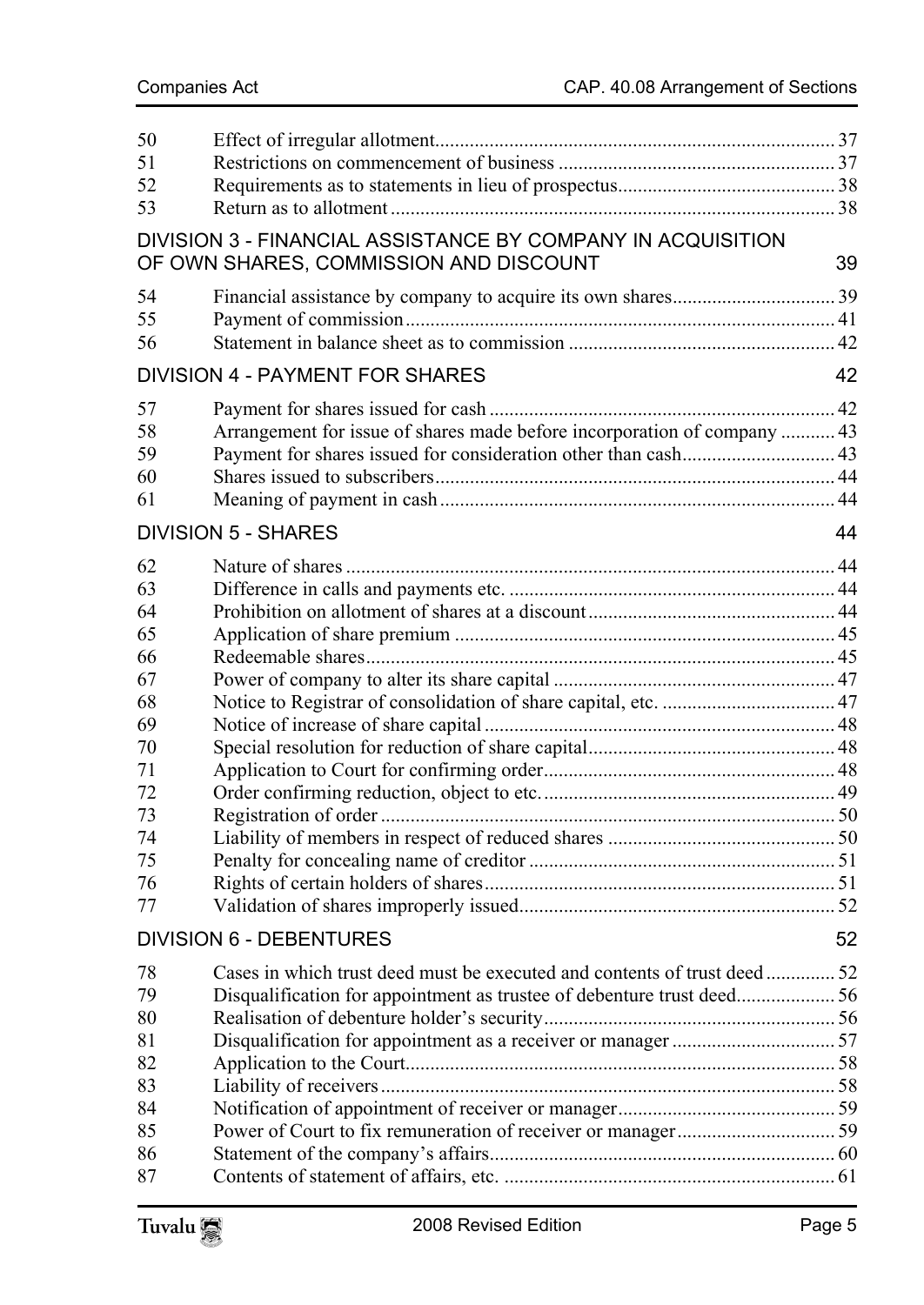| 50<br>51<br>52<br>53                                                                         |                                                                                                       |    |
|----------------------------------------------------------------------------------------------|-------------------------------------------------------------------------------------------------------|----|
|                                                                                              | DIVISION 3 - FINANCIAL ASSISTANCE BY COMPANY IN ACQUISITION<br>OF OWN SHARES, COMMISSION AND DISCOUNT | 39 |
| 54<br>55<br>56                                                                               |                                                                                                       |    |
|                                                                                              | <b>DIVISION 4 - PAYMENT FOR SHARES</b>                                                                | 42 |
| 57<br>58<br>59<br>60<br>61                                                                   | Arrangement for issue of shares made before incorporation of company  43                              |    |
|                                                                                              | <b>DIVISION 5 - SHARES</b>                                                                            | 44 |
| 62<br>63<br>64<br>65<br>66<br>67<br>68<br>69<br>70<br>71<br>72<br>73<br>74<br>75<br>76<br>77 |                                                                                                       |    |
|                                                                                              | <b>DIVISION 6 - DEBENTURES</b>                                                                        | 52 |
| 78<br>79<br>80<br>81<br>82<br>83<br>84<br>85<br>86<br>87                                     | Cases in which trust deed must be executed and contents of trust deed52                               |    |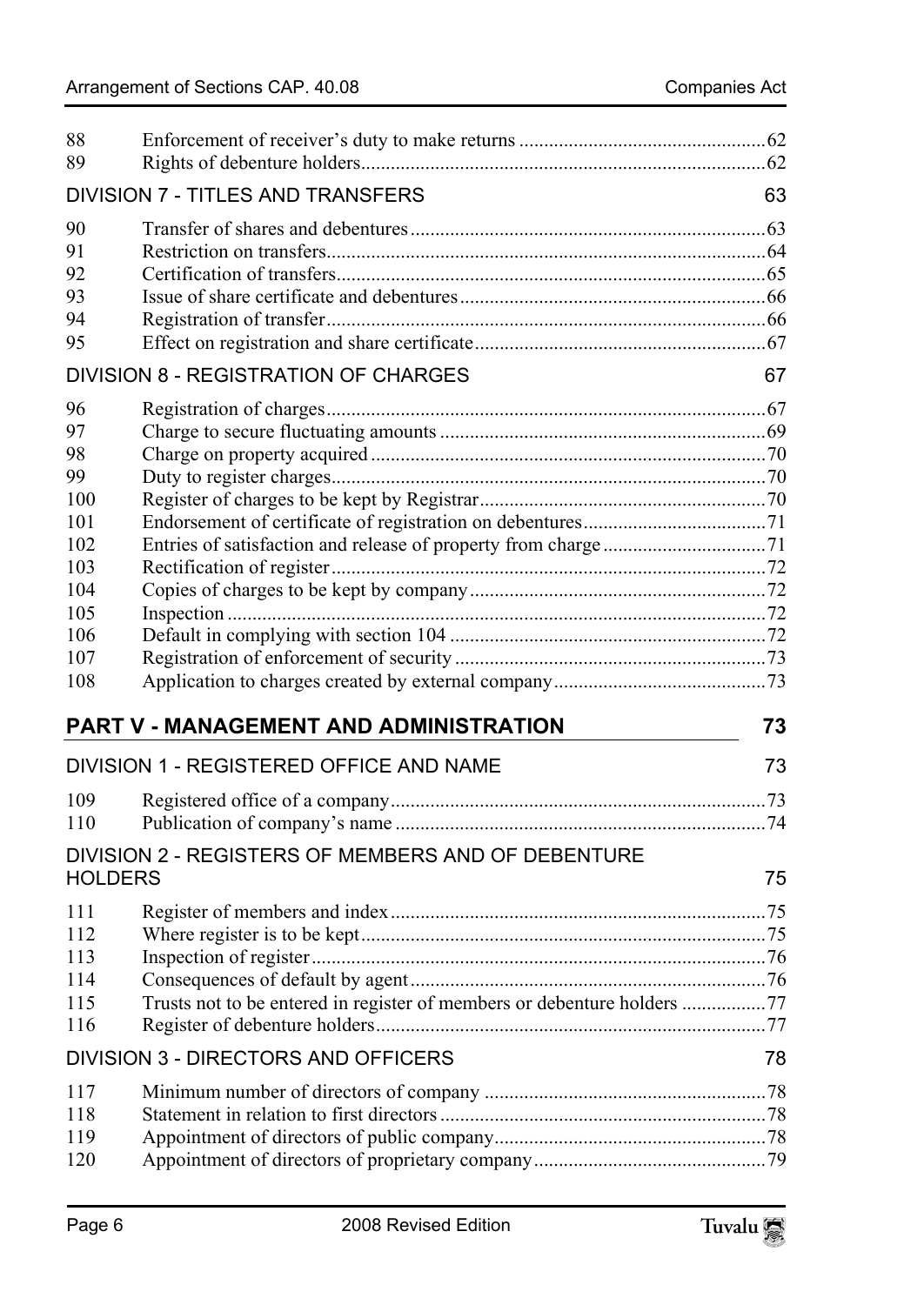| 88<br>89       |                                                                         |    |
|----------------|-------------------------------------------------------------------------|----|
|                | <b>DIVISION 7 - TITLES AND TRANSFERS</b>                                | 63 |
| 90             |                                                                         |    |
| 91             |                                                                         |    |
| 92             |                                                                         |    |
| 93             |                                                                         |    |
| 94             |                                                                         |    |
| 95             |                                                                         |    |
|                | <b>DIVISION 8 - REGISTRATION OF CHARGES</b>                             | 67 |
| 96             |                                                                         |    |
| 97             |                                                                         |    |
| 98             |                                                                         |    |
| 99             |                                                                         |    |
| 100            |                                                                         |    |
| 101            |                                                                         |    |
| 102            |                                                                         |    |
| 103            |                                                                         |    |
| 104<br>105     |                                                                         |    |
| 106            |                                                                         |    |
| 107            |                                                                         |    |
| 108            |                                                                         |    |
|                | <b>PART V - MANAGEMENT AND ADMINISTRATION</b>                           | 73 |
|                | DIVISION 1 - REGISTERED OFFICE AND NAME                                 | 73 |
|                |                                                                         |    |
| 109<br>110     |                                                                         |    |
|                | DIVISION 2 - REGISTERS OF MEMBERS AND OF DEBENTURE                      |    |
| <b>HOLDERS</b> |                                                                         | 75 |
| 111            |                                                                         |    |
| 112            |                                                                         |    |
| 113            |                                                                         |    |
| 114            |                                                                         |    |
| 115            | Trusts not to be entered in register of members or debenture holders 77 |    |
| 116            |                                                                         |    |
|                | DIVISION 3 - DIRECTORS AND OFFICERS                                     | 78 |
| 117            |                                                                         |    |
| 118            |                                                                         |    |
| 119            |                                                                         |    |
| 120            |                                                                         |    |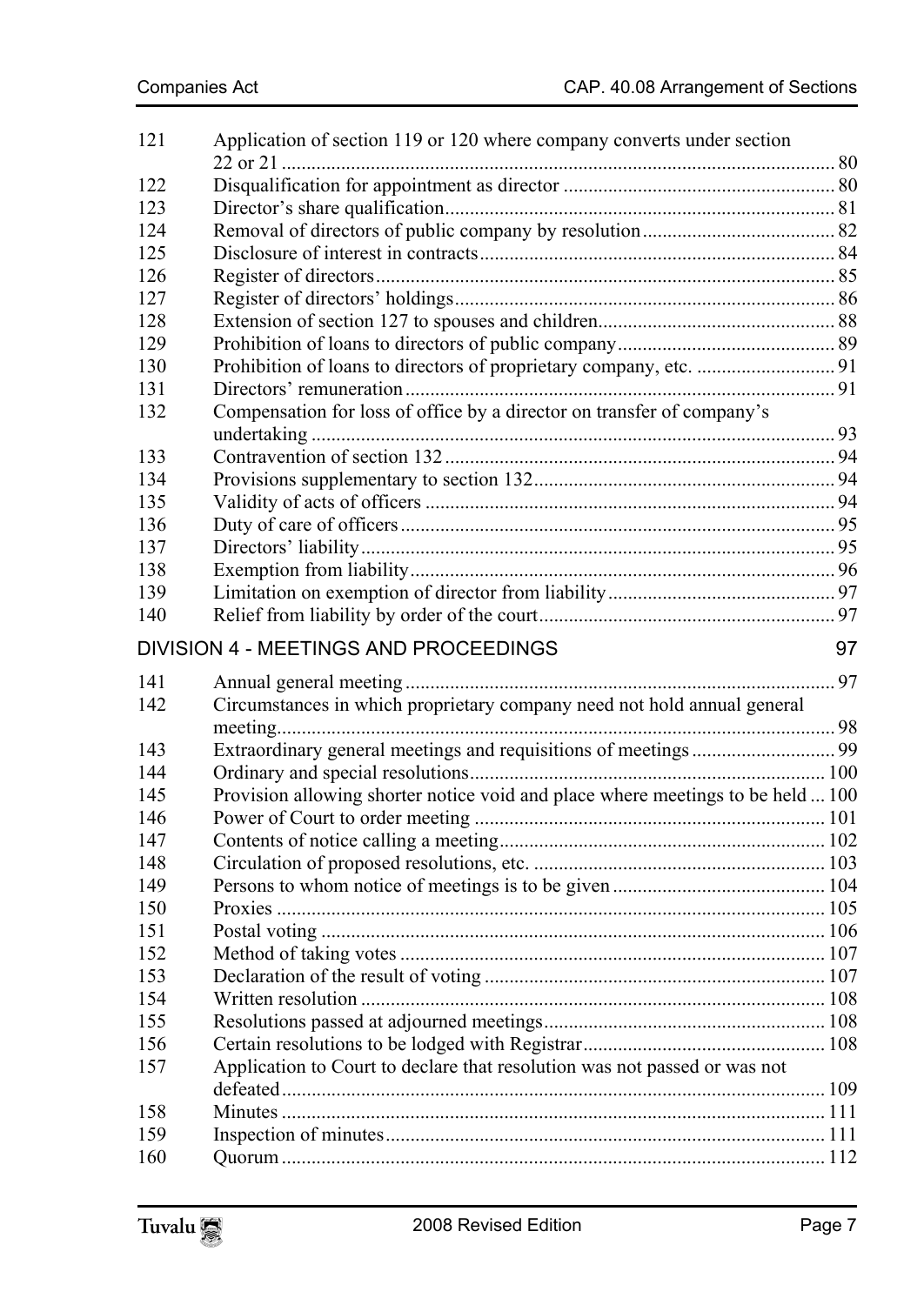| 121 | Application of section 119 or 120 where company converts under section          |    |
|-----|---------------------------------------------------------------------------------|----|
| 122 |                                                                                 |    |
| 123 |                                                                                 |    |
| 124 |                                                                                 |    |
| 125 |                                                                                 |    |
| 126 |                                                                                 |    |
| 127 |                                                                                 |    |
| 128 |                                                                                 |    |
| 129 |                                                                                 |    |
| 130 |                                                                                 |    |
| 131 |                                                                                 |    |
| 132 | Compensation for loss of office by a director on transfer of company's          |    |
| 133 |                                                                                 |    |
| 134 |                                                                                 |    |
| 135 |                                                                                 |    |
| 136 |                                                                                 |    |
| 137 |                                                                                 |    |
| 138 |                                                                                 |    |
| 139 |                                                                                 |    |
| 140 |                                                                                 |    |
|     | DIVISION 4 - MEETINGS AND PROCEEDINGS                                           | 97 |
| 141 |                                                                                 |    |
| 142 | Circumstances in which proprietary company need not hold annual general         |    |
| 143 |                                                                                 |    |
| 144 |                                                                                 |    |
| 145 | Provision allowing shorter notice void and place where meetings to be held  100 |    |
| 146 |                                                                                 |    |
| 147 |                                                                                 |    |
| 148 |                                                                                 |    |
| 149 |                                                                                 |    |
| 150 |                                                                                 |    |
| 151 |                                                                                 |    |
| 152 |                                                                                 |    |
| 153 |                                                                                 |    |
| 154 |                                                                                 |    |
| 155 |                                                                                 |    |
| 156 |                                                                                 |    |
| 157 | Application to Court to declare that resolution was not passed or was not       |    |
|     |                                                                                 |    |
| 158 |                                                                                 |    |
| 159 |                                                                                 |    |
| 160 |                                                                                 |    |
|     |                                                                                 |    |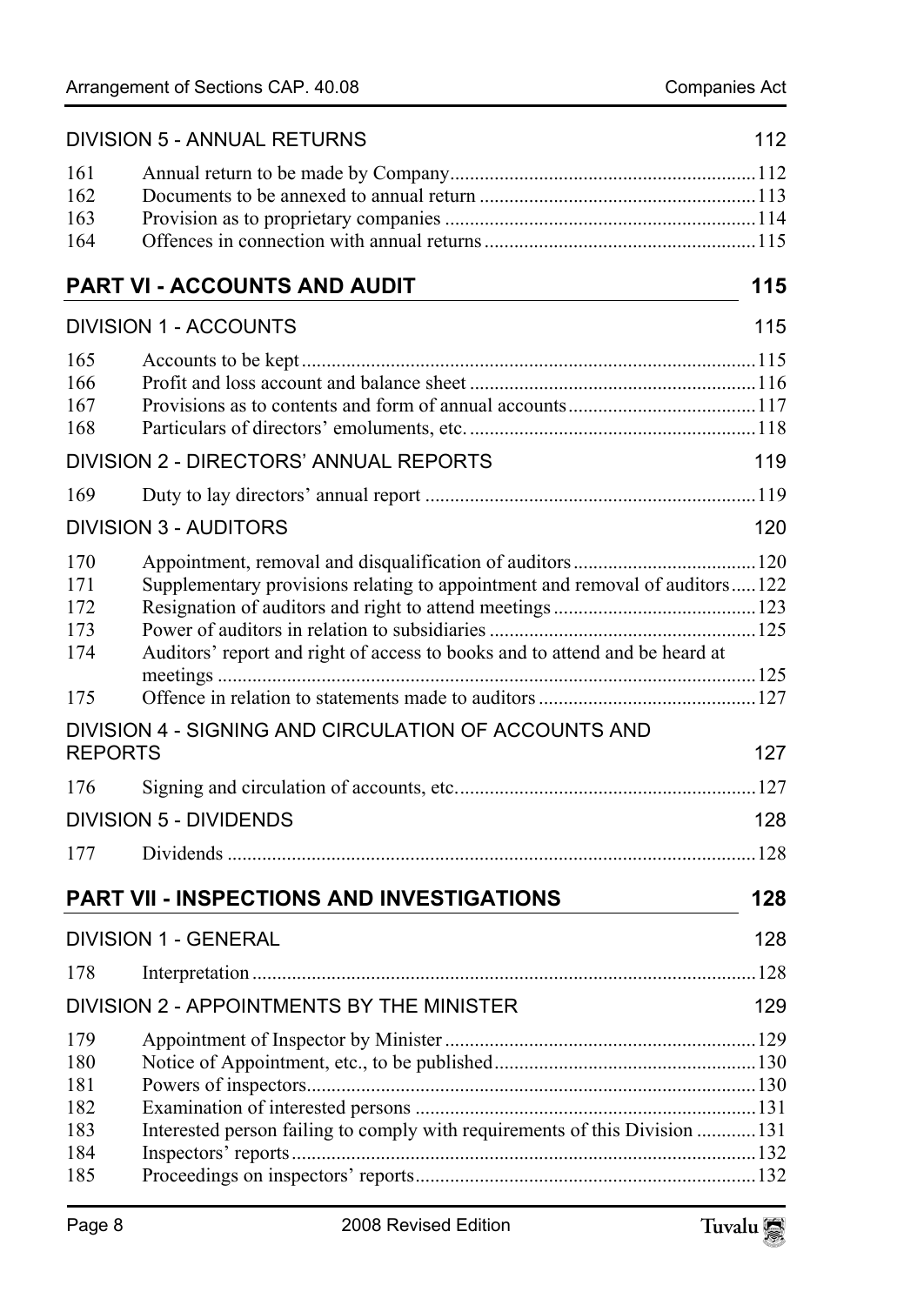|                                 | <b>DIVISION 5 - ANNUAL RETURNS</b>                                                                                                                         | 112  |
|---------------------------------|------------------------------------------------------------------------------------------------------------------------------------------------------------|------|
| 161<br>162<br>163<br>164        |                                                                                                                                                            |      |
|                                 | <b>PART VI - ACCOUNTS AND AUDIT</b>                                                                                                                        | 115  |
|                                 | <b>DIVISION 1 - ACCOUNTS</b>                                                                                                                               | 115  |
| 165<br>166<br>167<br>168        |                                                                                                                                                            |      |
|                                 | DIVISION 2 - DIRECTORS' ANNUAL REPORTS                                                                                                                     | 119  |
| 169                             |                                                                                                                                                            |      |
|                                 | <b>DIVISION 3 - AUDITORS</b>                                                                                                                               | 120  |
| 170<br>171<br>172<br>173<br>174 | Supplementary provisions relating to appointment and removal of auditors122<br>Auditors' report and right of access to books and to attend and be heard at |      |
|                                 |                                                                                                                                                            |      |
| 175<br><b>REPORTS</b>           | DIVISION 4 - SIGNING AND CIRCULATION OF ACCOUNTS AND                                                                                                       | 127  |
| 176                             |                                                                                                                                                            |      |
|                                 | <b>DIVISION 5 - DIVIDENDS</b>                                                                                                                              | 128  |
| 177                             |                                                                                                                                                            |      |
|                                 | <b>PART VII - INSPECTIONS AND INVESTIGATIONS</b>                                                                                                           | 128  |
|                                 | <b>DIVISION 1 - GENERAL</b>                                                                                                                                | 128  |
| 178                             |                                                                                                                                                            | .128 |
|                                 | DIVISION 2 - APPOINTMENTS BY THE MINISTER                                                                                                                  | 129  |
| 179<br>180<br>181<br>182        |                                                                                                                                                            |      |
| 183                             | Interested person failing to comply with requirements of this Division 131                                                                                 |      |
| 184<br>185                      |                                                                                                                                                            |      |
|                                 |                                                                                                                                                            |      |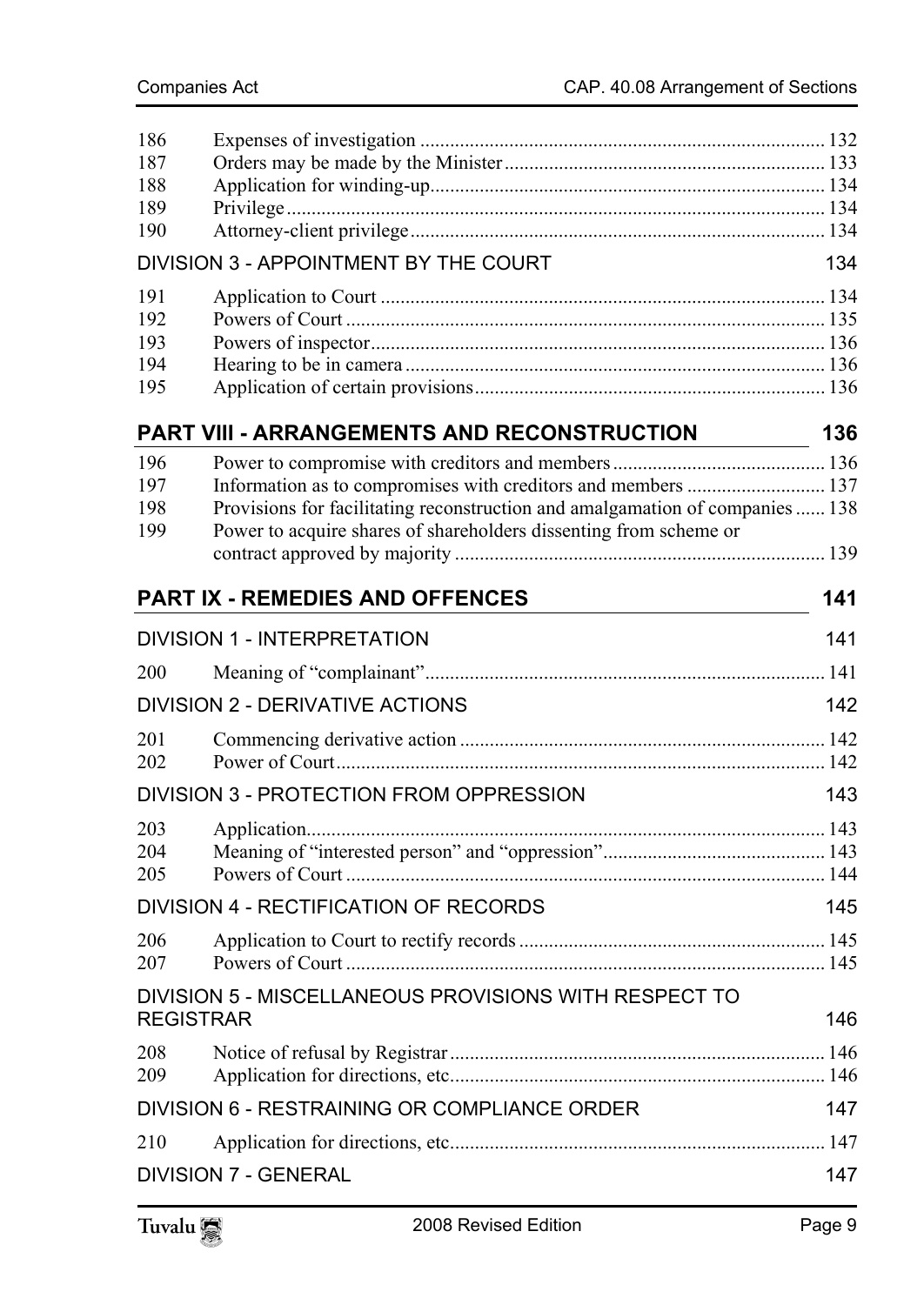| 186        |                                                                               |     |
|------------|-------------------------------------------------------------------------------|-----|
| 187        |                                                                               |     |
| 188        |                                                                               |     |
| 189<br>190 |                                                                               |     |
|            | DIVISION 3 - APPOINTMENT BY THE COURT                                         | 134 |
|            |                                                                               |     |
| 191        |                                                                               |     |
| 192<br>193 |                                                                               |     |
| 194        |                                                                               |     |
| 195        |                                                                               |     |
|            |                                                                               |     |
|            | PART VIII - ARRANGEMENTS AND RECONSTRUCTION                                   | 136 |
| 196<br>197 | Information as to compromises with creditors and members  137                 |     |
| 198        | Provisions for facilitating reconstruction and amalgamation of companies  138 |     |
| 199        | Power to acquire shares of shareholders dissenting from scheme or             |     |
|            |                                                                               |     |
|            | <b>PART IX - REMEDIES AND OFFENCES</b>                                        | 141 |
|            |                                                                               |     |
|            | <b>DIVISION 1 - INTERPRETATION</b>                                            | 141 |
| 200        |                                                                               |     |
|            | <b>DIVISION 2 - DERIVATIVE ACTIONS</b>                                        | 142 |
| 201        |                                                                               |     |
| 202        |                                                                               |     |
|            | DIVISION 3 - PROTECTION FROM OPPRESSION                                       | 143 |
| 203        |                                                                               |     |
| 204        |                                                                               |     |
| 205        |                                                                               |     |
|            | DIVISION 4 - RECTIFICATION OF RECORDS                                         | 145 |
| 206        |                                                                               |     |
| 207        |                                                                               |     |
|            | DIVISION 5 - MISCELLANEOUS PROVISIONS WITH RESPECT TO                         |     |
|            | <b>REGISTRAR</b>                                                              | 146 |
| 208        |                                                                               |     |
| 209        |                                                                               |     |
|            | DIVISION 6 - RESTRAINING OR COMPLIANCE ORDER                                  | 147 |
| 210        |                                                                               |     |
|            | <b>DIVISION 7 - GENERAL</b>                                                   | 147 |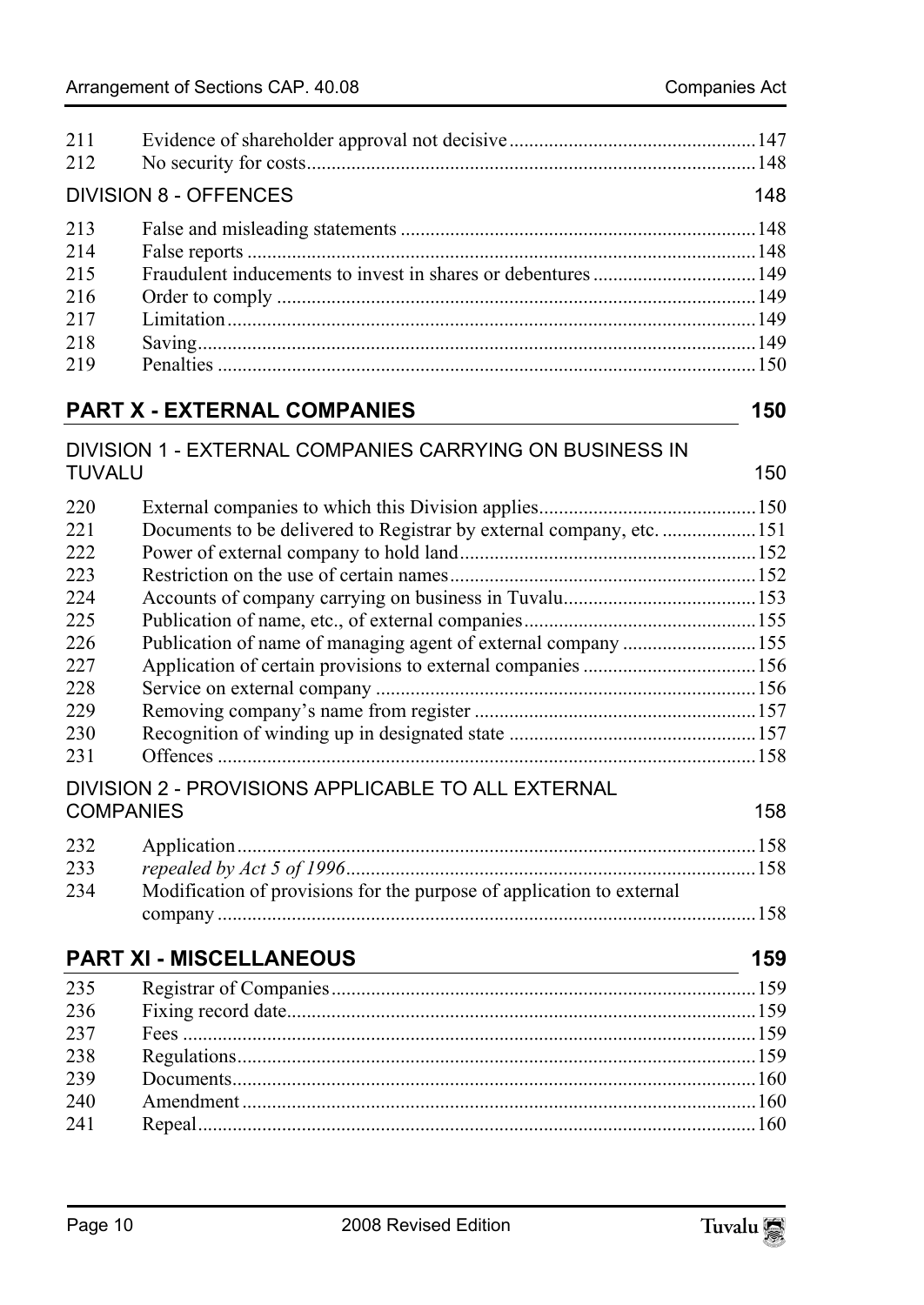| 211 |                              |     |
|-----|------------------------------|-----|
| 212 |                              |     |
|     | <b>DIVISION 8 - OFFENCES</b> | 148 |
| 213 |                              |     |
| 214 |                              |     |
| 215 |                              |     |
| 216 |                              |     |
| 217 |                              |     |
| 218 |                              |     |
| 219 |                              |     |

# **PART X - EXTERNAL COMPANIES** 150

| TUVALU                                                               | 150                                                     |
|----------------------------------------------------------------------|---------------------------------------------------------|
|                                                                      |                                                         |
| Documents to be delivered to Registrar by external company, etc. 151 |                                                         |
|                                                                      |                                                         |
|                                                                      |                                                         |
|                                                                      |                                                         |
|                                                                      |                                                         |
|                                                                      |                                                         |
|                                                                      |                                                         |
|                                                                      |                                                         |
|                                                                      |                                                         |
|                                                                      |                                                         |
|                                                                      |                                                         |
| DIVISION 2 - PROVISIONS APPLICABLE TO ALL EXTERNAL                   |                                                         |
|                                                                      | DIVISION 1 - EXTERNAL COMPANIES CARRYING ON BUSINESS IN |

#### COMPANIES [158](#page-157-4)

| 232 |                                                                       |  |
|-----|-----------------------------------------------------------------------|--|
| 233 |                                                                       |  |
| 234 | Modification of provisions for the purpose of application to external |  |
|     |                                                                       |  |

# PART XI - [MISCELLANEOUS 159](#page-159-0)

| 235 |  |
|-----|--|
| 236 |  |
| 237 |  |
| 238 |  |
| 239 |  |
| 240 |  |
| 241 |  |
|     |  |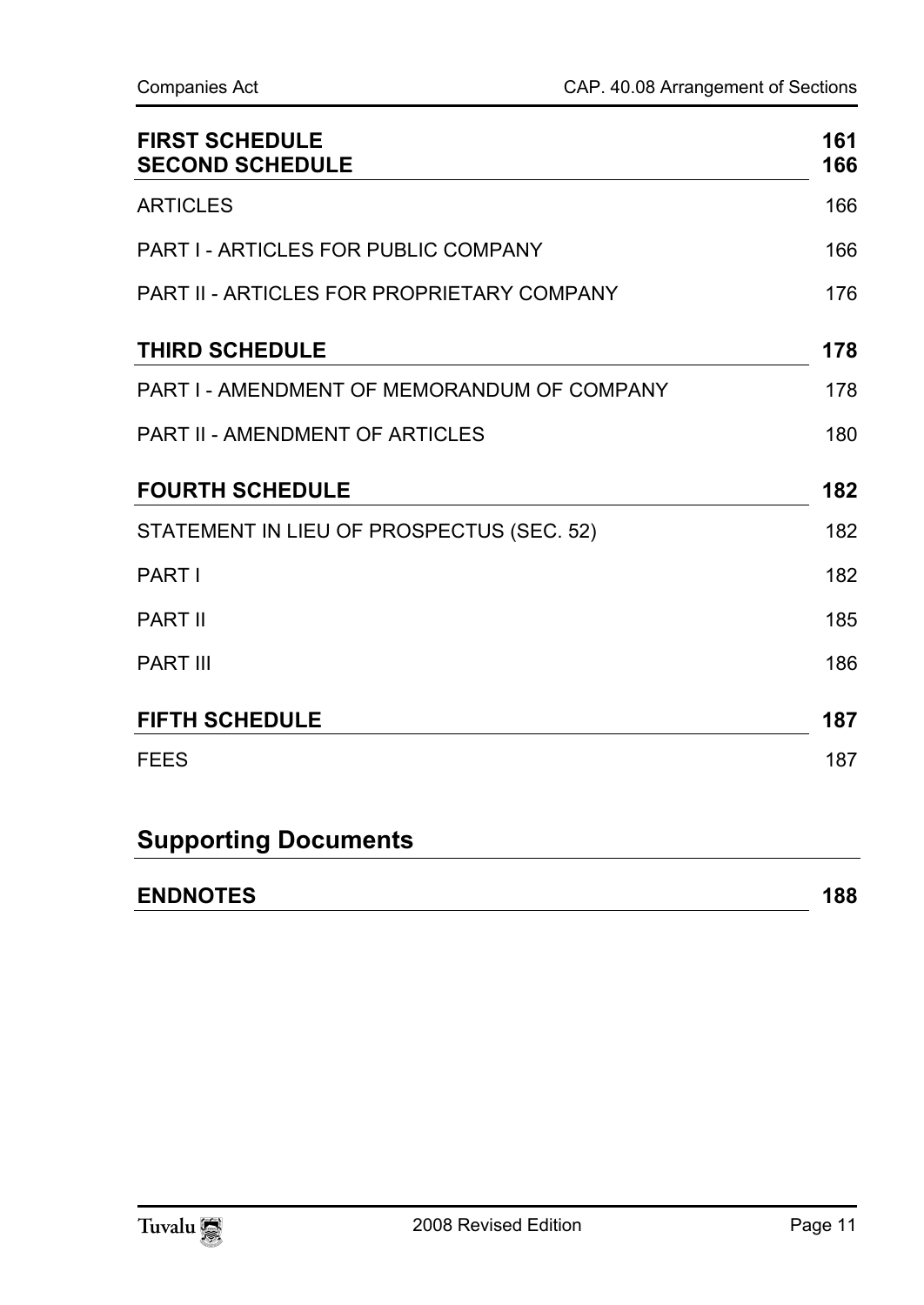| <b>FIRST SCHEDULE</b><br><b>SECOND SCHEDULE</b>   | 161<br>166 |
|---------------------------------------------------|------------|
| <b>ARTICLES</b>                                   | 166        |
| <b>PART I - ARTICLES FOR PUBLIC COMPANY</b>       | 166        |
| <b>PART II - ARTICLES FOR PROPRIETARY COMPANY</b> | 176        |
| <b>THIRD SCHEDULE</b>                             | 178        |
| PART I - AMENDMENT OF MEMORANDUM OF COMPANY       | 178        |
| <b>PART II - AMENDMENT OF ARTICLES</b>            | 180        |
| <b>FOURTH SCHEDULE</b>                            | 182        |
| STATEMENT IN LIEU OF PROSPECTUS (SEC. 52)         | 182        |
| PART I                                            | 182        |
| <b>PART II</b>                                    | 185        |
| <b>PART III</b>                                   | 186        |
| <b>FIFTH SCHEDULE</b>                             | 187        |
| <b>FEES</b>                                       | 187        |
|                                                   |            |

# **Supporting Documents**

| <b>ENDNOTES</b> |  | 00 |
|-----------------|--|----|
|-----------------|--|----|

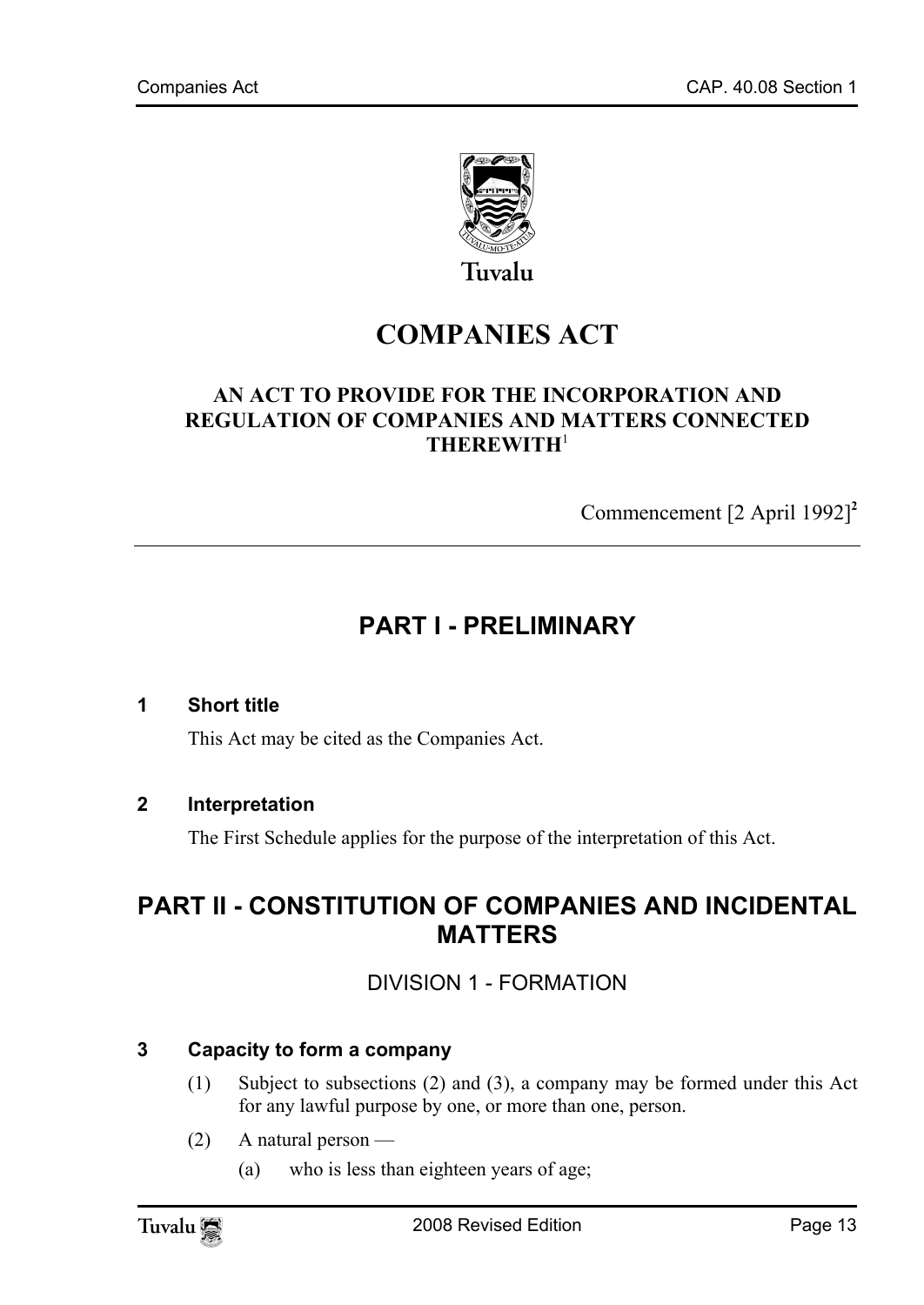

**COMPANIES ACT** 

## **AN ACT TO PROVIDE FOR THE INCORPORATION AND REGULATION OF COMPANIES AND MATTERS CONNECTED THEREWITH**<sup>1</sup>

<span id="page-12-0"></span>Commencement [2 April 1992]**<sup>2</sup>**

# <span id="page-12-1"></span>**PART I - PRELIMINARY**

#### **1 Short title**

This Act may be cited as the Companies Act.

#### **2 Interpretation**

<span id="page-12-4"></span><span id="page-12-2"></span>The First Schedule applies for the purpose of the interpretation of this Act.

# **PART II - CONSTITUTION OF COMPANIES AND INCIDENTAL MATTERS**

## <span id="page-12-3"></span>DIVISION 1 - FORMATION

#### **3 Capacity to form a company**

- (1) Subject to subsections (2) and (3), a company may be formed under this Act for any lawful purpose by one, or more than one, person.
- (2) A natural person
	- (a) who is less than eighteen years of age;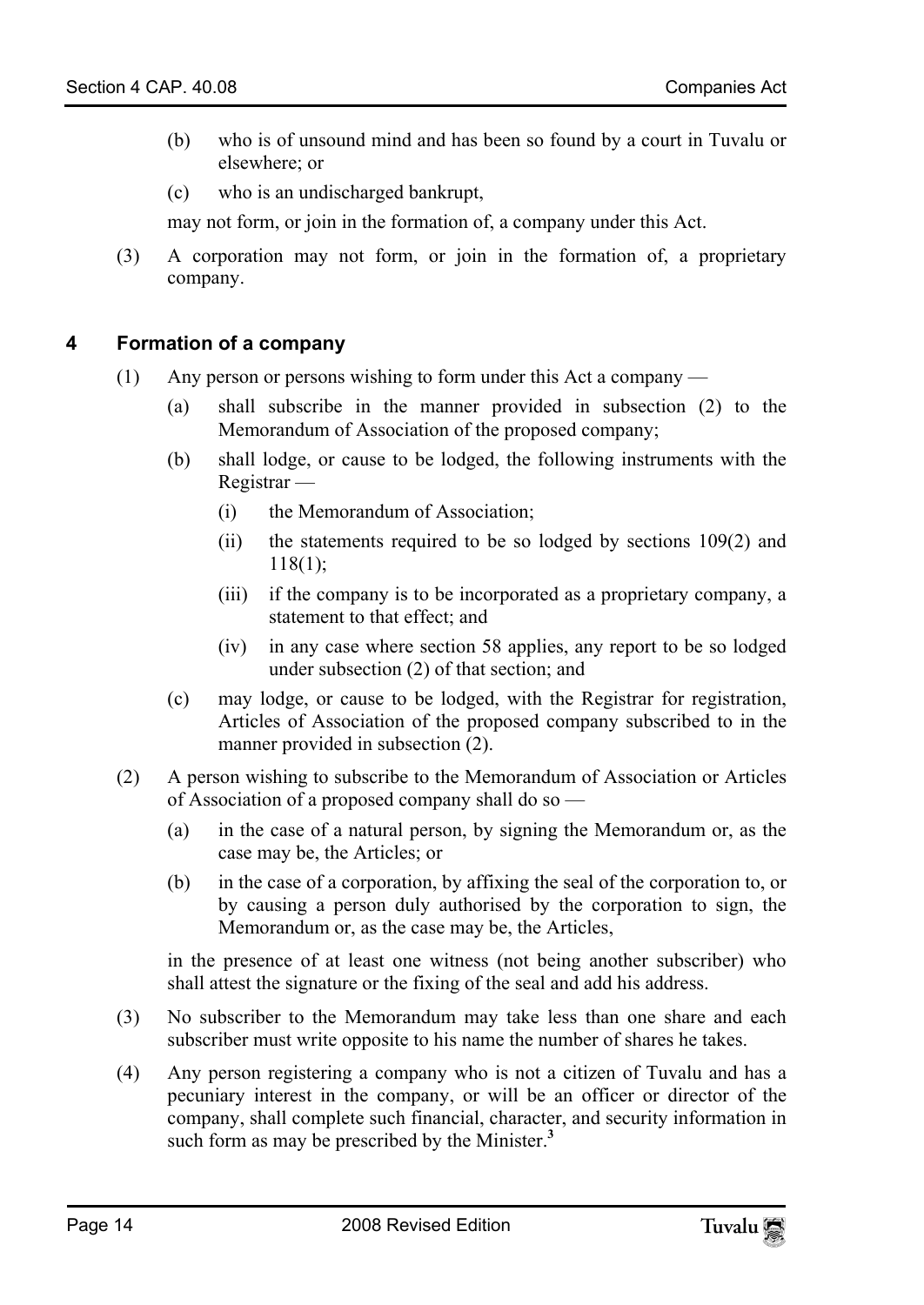- (b) who is of unsound mind and has been so found by a court in Tuvalu or elsewhere; or
- (c) who is an undischarged bankrupt,

<span id="page-13-0"></span>may not form, or join in the formation of, a company under this Act.

(3) A corporation may not form, or join in the formation of, a proprietary company.

#### **4 Formation of a company**

- (1) Any person or persons wishing to form under this Act a company
	- (a) shall subscribe in the manner provided in subsection (2) to the Memorandum of Association of the proposed company;
	- (b) shall lodge, or cause to be lodged, the following instruments with the Registrar —
		- (i) the Memorandum of Association;
		- (ii) the statements required to be so lodged by sections 109(2) and 118(1);
		- (iii) if the company is to be incorporated as a proprietary company, a statement to that effect; and
		- (iv) in any case where section 58 applies, any report to be so lodged under subsection (2) of that section; and
	- (c) may lodge, or cause to be lodged, with the Registrar for registration, Articles of Association of the proposed company subscribed to in the manner provided in subsection (2).
- (2) A person wishing to subscribe to the Memorandum of Association or Articles of Association of a proposed company shall do so —
	- (a) in the case of a natural person, by signing the Memorandum or, as the case may be, the Articles; or
	- (b) in the case of a corporation, by affixing the seal of the corporation to, or by causing a person duly authorised by the corporation to sign, the Memorandum or, as the case may be, the Articles,

in the presence of at least one witness (not being another subscriber) who shall attest the signature or the fixing of the seal and add his address.

- (3) No subscriber to the Memorandum may take less than one share and each subscriber must write opposite to his name the number of shar[es](#page-187-1) he takes.
- (4) Any person registering a company who is not a citizen of Tuvalu and has a pecuniary interest in the company, or will be an officer or director of the company, shall complete such financial, character, and security information in such form as may be prescribed by the Minister.**<sup>3</sup>**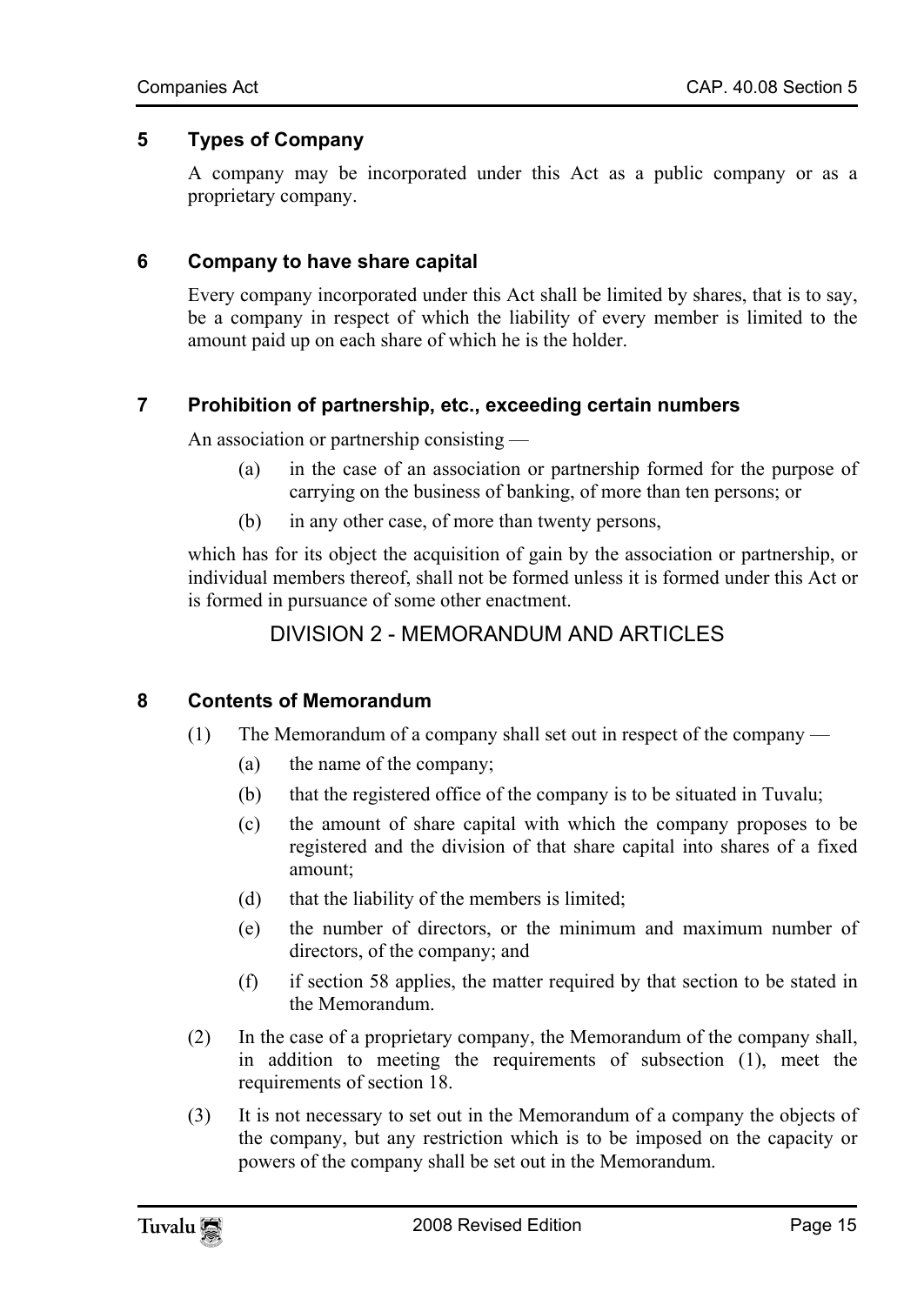#### <span id="page-14-0"></span>**5 Types of Company**

<span id="page-14-1"></span>A company may be incorporated under this Act as a public company or as a proprietary company.

#### **6 Company to have share capital**

<span id="page-14-2"></span>Every company incorporated under this Act shall be limited by shares, that is to say, be a company in respect of which the liability of every member is limited to the amount paid up on each share of which he is the holder.

#### **7 Prohibition of partnership, etc., exceeding certain numbers**

An association or partnership consisting —

- (a) in the case of an association or partnership formed for the purpose of carrying on the business of banking, of more than ten persons; or
- <span id="page-14-3"></span>(b) in any other case, of more than twenty persons,

which has for its object the acquisition of gain by the association or partnership, or individual members thereof, shall not be formed unless it is formed under this Act or is formed in pursuance of some other enactment.

### <span id="page-14-4"></span>DIVISION 2 - MEMORANDUM AND ARTICLES

#### **8 Contents of Memorandum**

- (1) The Memorandum of a company shall set out in respect of the company
	- (a) the name of the company;
	- (b) that the registered office of the company is to be situated in Tuvalu;
	- (c) the amount of share capital with which the company proposes to be registered and the division of that share capital into shares of a fixed amount;
	- (d) that the liability of the members is limited;
	- (e) the number of directors, or the minimum and maximum number of directors, of the company; and
	- (f) if section 58 applies, the matter required by that section to be stated in the Memorandum.
- (2) In the case of a proprietary company, the Memorandum of the company shall, in addition to meeting the requirements of subsection (1), meet the requirements of section 18.
- (3) It is not necessary to set out in the Memorandum of a company the objects of the company, but any restriction which is to be imposed on the capacity or powers of the company shall be set out in the Memorandum.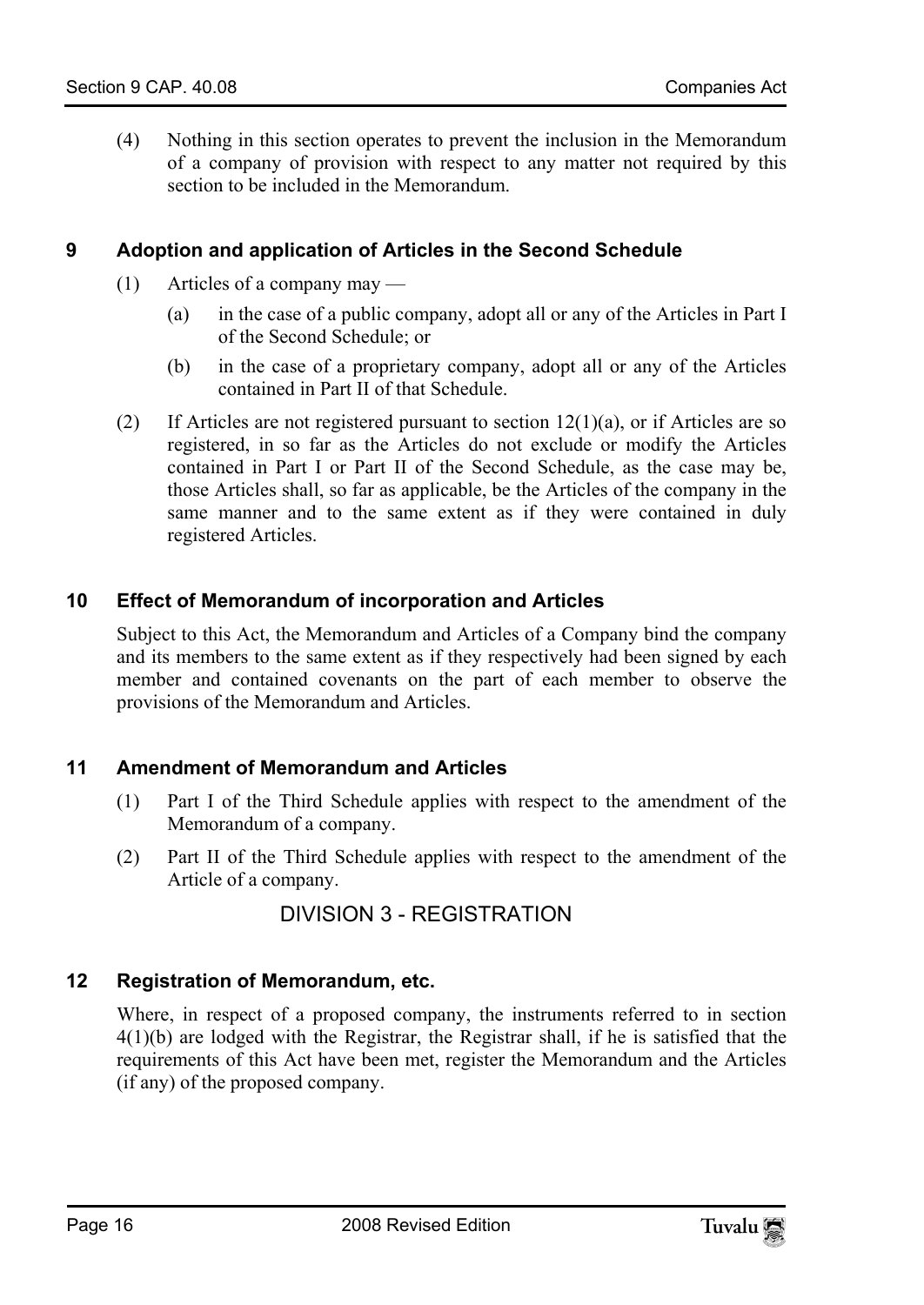<span id="page-15-0"></span>(4) Nothing in this section operates to prevent the inclusion in the Memorandum of a company of provision with respect to any matter not required by this section to be included in the Memorandum.

#### **9 Adoption and application of Articles in the Second Schedule**

- (1) Articles of a company may
	- (a) in the case of a public company, adopt all or any of the Articles in Part I of the Second Schedule; or
	- (b) in the case of a proprietary company, adopt all or any of the Articles contained in Part II of that Schedule.
- <span id="page-15-1"></span>(2) If Articles are not registered pursuant to section  $12(1)(a)$ , or if Articles are so registered, in so far as the Articles do not exclude or modify the Articles contained in Part I or Part II of the Second Schedule, as the case may be, those Articles shall, so far as applicable, be the Articles of the company in the same manner and to the same extent as if they were contained in duly registered Articles.

#### **10 Effect of Memorandum of incorporation and Articles**

<span id="page-15-2"></span>Subject to this Act, the Memorandum and Articles of a Company bind the company and its members to the same extent as if they respectively had been signed by each member and contained covenants on the part of each member to observe the provisions of the Memorandum and Articles.

#### **11 Amendment of Memorandum and Articles**

- (1) Part I of the Third Schedule applies with respect to the amendment of the Memorandum of a company.
- <span id="page-15-4"></span>(2) Part II of the Third Schedule applies with respect to the amendment of the Article of a company.

#### <span id="page-15-3"></span>DIVISION 3 - REGISTRATION

#### **12 Registration of Memorandum, etc.**

Where, in respect of a proposed company, the instruments referred to in section 4(1)(b) are lodged with the Registrar, the Registrar shall, if he is satisfied that the requirements of this Act have been met, register the Memorandum and the Articles (if any) of the proposed company.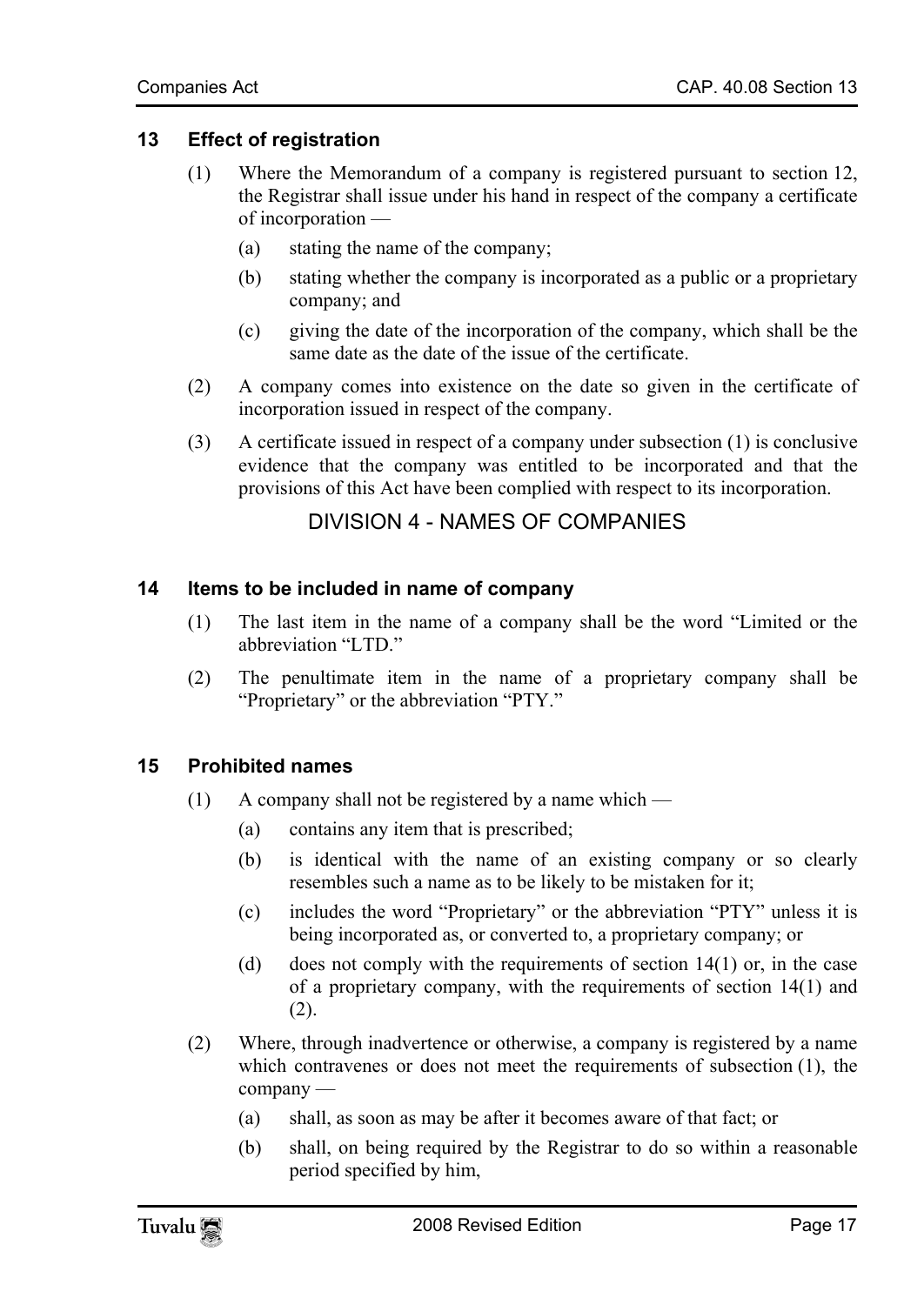#### <span id="page-16-0"></span>**13 Effect of registration**

- (1) Where the Memorandum of a company is registered pursuant to section 12, the Registrar shall issue under his hand in respect of the company a certificate of incorporation —
	- (a) stating the name of the company;
	- (b) stating whether the company is incorporated as a public or a proprietary company; and
	- (c) giving the date of the incorporation of the company, which shall be the same date as the date of the issue of the certificate.
- (2) A company comes into existence on the date so given in the certificate of incorporation issued in respect of the company.
- (3) A certificate issued in respect of a company under subsection (1) is conclusive evidence that the company was entitled to be incorporated and that the provisions of this Act have been complied with respect to its incorporation.

#### <span id="page-16-2"></span><span id="page-16-1"></span>DIVISION 4 - NAMES OF COMPANIES

#### **14 Items to be included in name of company**

- (1) The last item in the name of a company shall be the word "Limited or the abbreviation "LTD."
- <span id="page-16-3"></span>(2) The penultimate item in the name of a proprietary company shall be "Proprietary" or the abbreviation "PTY."

#### **15 Prohibited names**

- (1) A company shall not be registered by a name which
	- (a) contains any item that is prescribed;
	- (b) is identical with the name of an existing company or so clearly resembles such a name as to be likely to be mistaken for it;
	- (c) includes the word "Proprietary" or the abbreviation "PTY" unless it is being incorporated as, or converted to, a proprietary company; or
	- (d) does not comply with the requirements of section 14(1) or, in the case of a proprietary company, with the requirements of section 14(1) and (2).
- (2) Where, through inadvertence or otherwise, a company is registered by a name which contravenes or does not meet the requirements of subsection (1), the company —
	- (a) shall, as soon as may be after it becomes aware of that fact; or
	- (b) shall, on being required by the Registrar to do so within a reasonable period specified by him,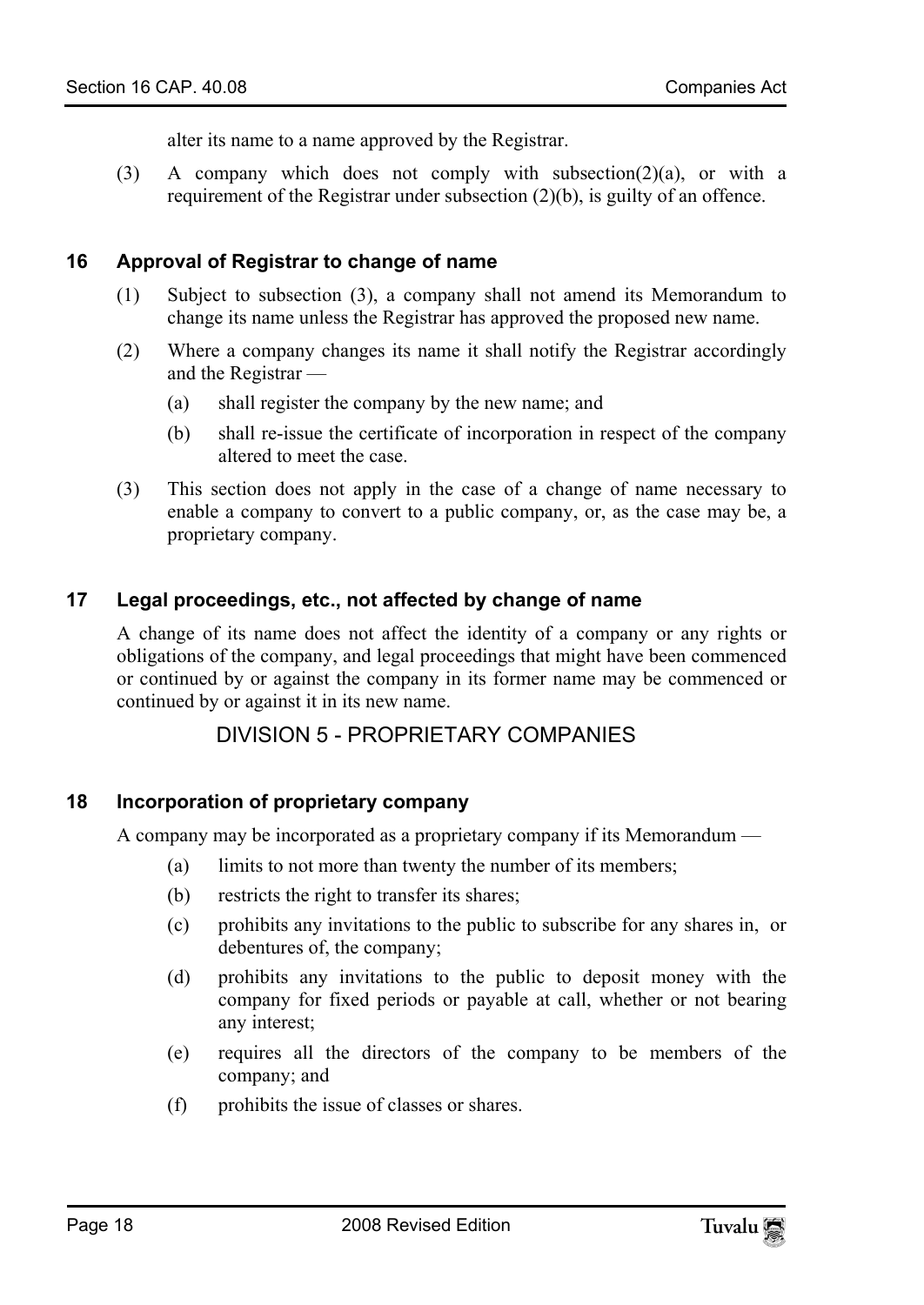<span id="page-17-0"></span>alter its name to a name approved by the Registrar.

(3) A company which does not comply with subsection(2)(a), or with a requirement of the Registrar under subsection (2)(b), is guilty of an offence.

#### **16 Approval of Registrar to change of name**

- (1) Subject to subsection (3), a company shall not amend its Memorandum to change its name unless the Registrar has approved the proposed new name.
- (2) Where a company changes its name it shall notify the Registrar accordingly and the Registrar —
	- (a) shall register the company by the new name; and
	- (b) shall re-issue the certificate of incorporation in respect of the company altered to meet the case.
- <span id="page-17-1"></span>(3) This section does not apply in the case of a change of name necessary to enable a company to convert to a public company, or, as the case may be, a proprietary company.

#### **17 Legal proceedings, etc., not affected by change of name**

A change of its name does not affect the identity of a company or any rights or obligations of the company, and legal proceedings that might have been commenced or continued by or against the company in its former name may be commenced or continued by or against it in its new name.

## DIVISION 5 - PROPRIETARY COMPANIES

#### **18 Incorporation of proprietary company**

A company may be incorporated as a proprietary company if its Memorandum —

- (a) limits to not more than twenty the number of its members;
- (b) restricts the right to transfer its shares;
- (c) prohibits any invitations to the public to subscribe for any shares in, or debentures of, the company;
- (d) prohibits any invitations to the public to deposit money with the company for fixed periods or payable at call, whether or not bearing any interest;
- (e) requires all the directors of the company to be members of the company; and
- (f) prohibits the issue of classes or shares.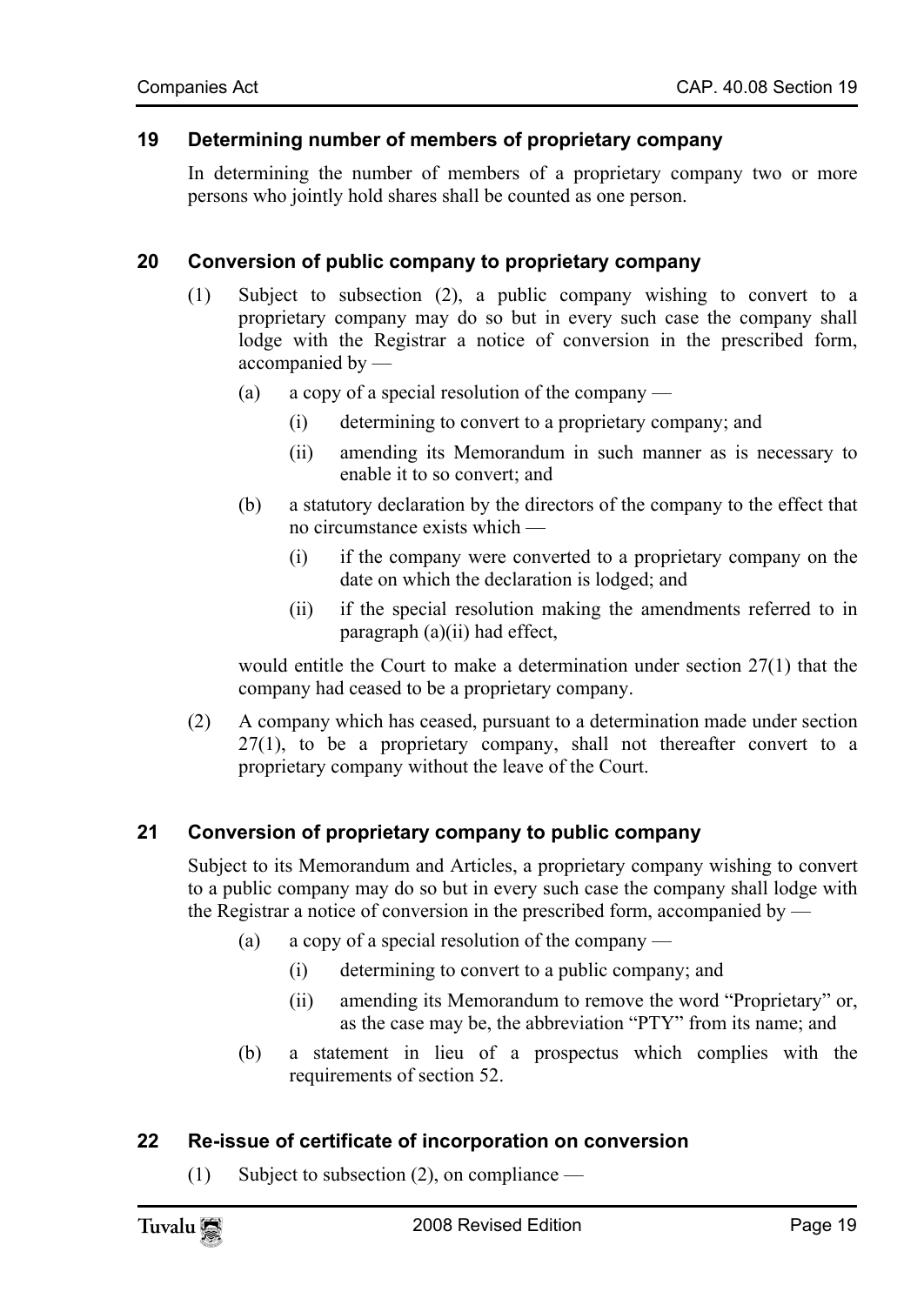#### <span id="page-18-0"></span>**19 Determining number of members of proprietary company**

<span id="page-18-1"></span>In determining the number of members of a proprietary company two or more persons who jointly hold shares shall be counted as one person.

#### **20 Conversion of public company to proprietary company**

- (1) Subject to subsection (2), a public company wishing to convert to a proprietary company may do so but in every such case the company shall lodge with the Registrar a notice of conversion in the prescribed form, accompanied by —
	- (a) a copy of a special resolution of the company
		- (i) determining to convert to a proprietary company; and
		- (ii) amending its Memorandum in such manner as is necessary to enable it to so convert; and
	- (b) a statutory declaration by the directors of the company to the effect that no circumstance exists which —
		- (i) if the company were converted to a proprietary company on the date on which the declaration is lodged; and
		- (ii) if the special resolution making the amendments referred to in paragraph (a)(ii) had effect,

<span id="page-18-2"></span>would entitle the Court to make a determination under section 27(1) that the company had ceased to be a proprietary company.

(2) A company which has ceased, pursuant to a determination made under section  $27(1)$ , to be a proprietary company, shall not thereafter convert to a proprietary company without the leave of the Court.

#### **21 Conversion of proprietary company to public company**

Subject to its Memorandum and Articles, a proprietary company wishing to convert to a public company may do so but in every such case the company shall lodge with the Registrar a notice of conversion in the prescribed form, accompanied by —

- (a) a copy of a special resolution of the company
	- (i) determining to convert to a public company; and
	- (ii) amending its Memorandum to remove the word "Proprietary" or, as the case may be, the abbreviation "PTY" from its name; and
- <span id="page-18-3"></span>(b) a statement in lieu of a prospectus which complies with the requirements of section 52.

#### **22 Re-issue of certificate of incorporation on conversion**

(1) Subject to subsection (2), on compliance —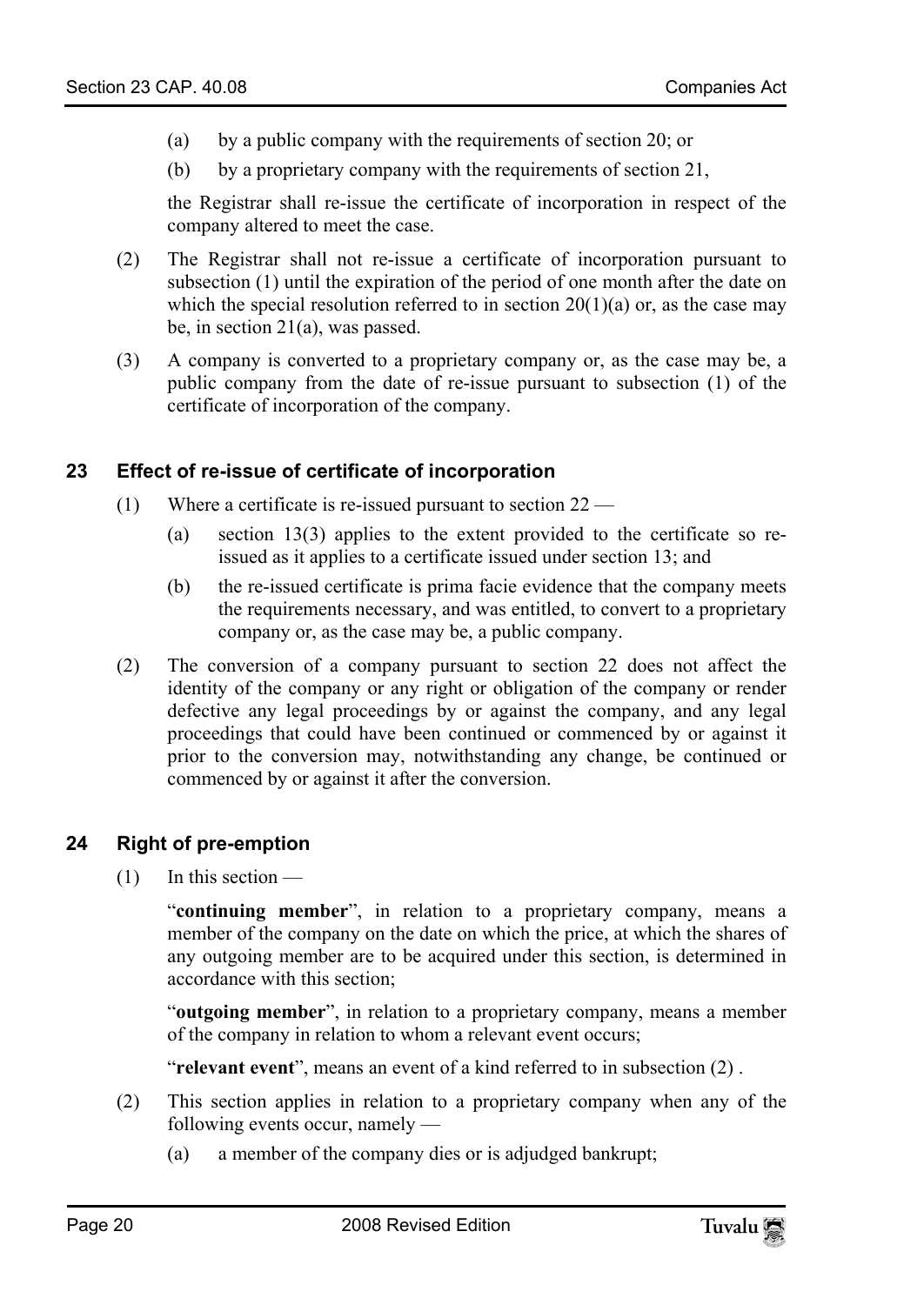- (a) by a public company with the requirements of section 20; or
- (b) by a proprietary company with the requirements of section 21,

the Registrar shall re-issue the certificate of incorporation in respect of the company altered to meet the case.

- (2) The Registrar shall not re-issue a certificate of incorporation pursuant to subsection (1) until the expiration of the period of one month after the date on which the special resolution referred to in section  $20(1)(a)$  or, as the case may be, in section 21(a), was passed.
- <span id="page-19-0"></span>(3) A company is converted to a proprietary company or, as the case may be, a public company from the date of re-issue pursuant to subsection (1) of the certificate of incorporation of the company.

#### **23 Effect of re-issue of certificate of incorporation**

- (1) Where a certificate is re-issued pursuant to section  $22 -$ 
	- (a) section 13(3) applies to the extent provided to the certificate so reissued as it applies to a certificate issued under section 13; and
	- (b) the re-issued certificate is prima facie evidence that the company meets the requirements necessary, and was entitled, to convert to a proprietary company or, as the case may be, a public company.
- <span id="page-19-1"></span>(2) The conversion of a company pursuant to section 22 does not affect the identity of the company or any right or obligation of the company or render defective any legal proceedings by or against the company, and any legal proceedings that could have been continued or commenced by or against it prior to the conversion may, notwithstanding any change, be continued or commenced by or against it after the conversion.

#### **24 Right of pre-emption**

 $(1)$  In this section —

"**continuing member**", in relation to a proprietary company, means a member of the company on the date on which the price, at which the shares of any outgoing member are to be acquired under this section, is determined in accordance with this section;

"**outgoing member**", in relation to a proprietary company, means a member of the company in relation to whom a relevant event occurs;

"**relevant event**", means an event of a kind referred to in subsection (2) .

- (2) This section applies in relation to a proprietary company when any of the following events occur, namely —
	- (a) a member of the company dies or is adjudged bankrupt;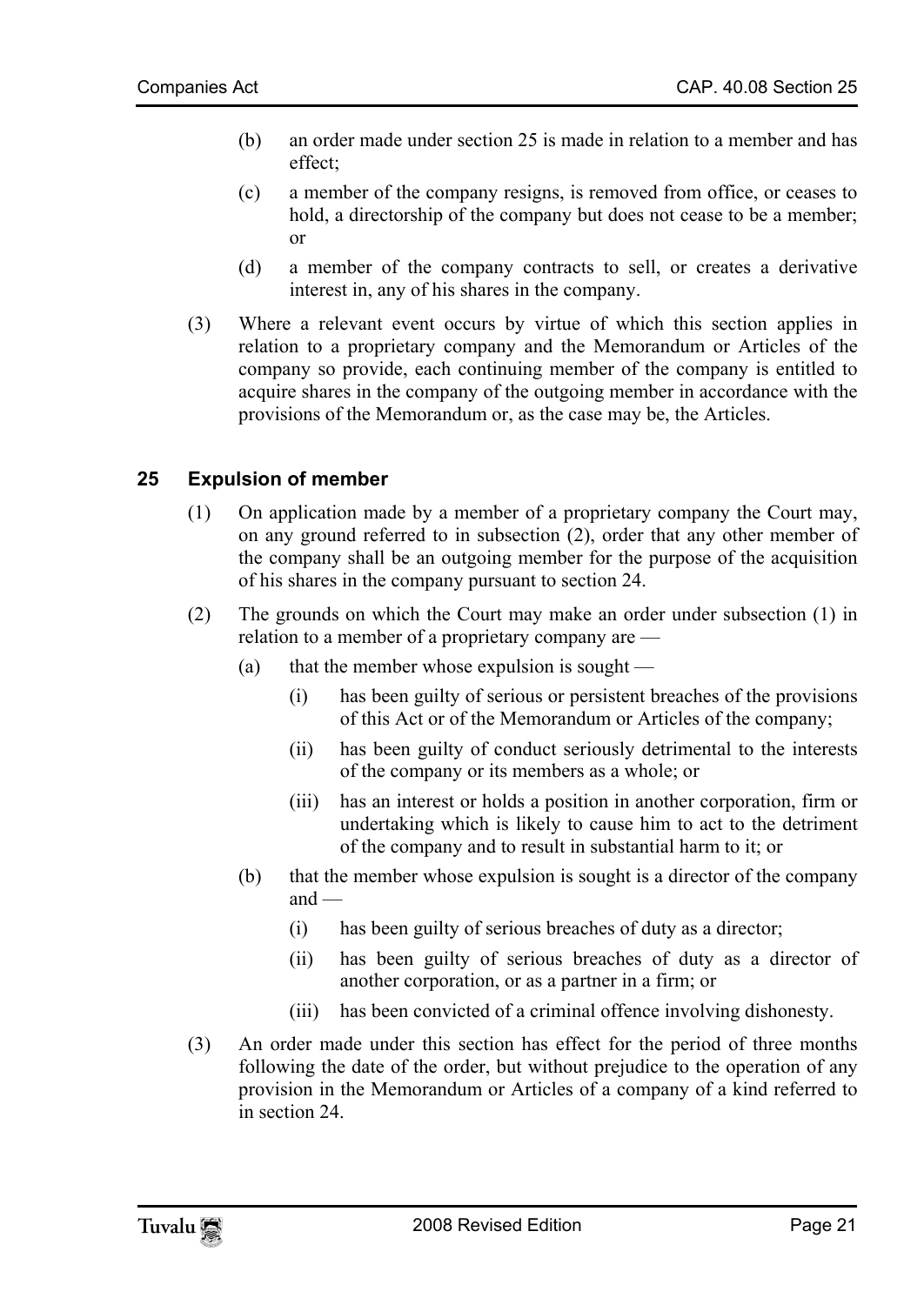- (b) an order made under section 25 is made in relation to a member and has effect;
- (c) a member of the company resigns, is removed from office, or ceases to hold, a directorship of the company but does not cease to be a member; or
- (d) a member of the company contracts to sell, or creates a derivative interest in, any of his shares in the company.
- <span id="page-20-0"></span>(3) Where a relevant event occurs by virtue of which this section applies in relation to a proprietary company and the Memorandum or Articles of the company so provide, each continuing member of the company is entitled to acquire shares in the company of the outgoing member in accordance with the provisions of the Memorandum or, as the case may be, the Articles.

#### **25 Expulsion of member**

- (1) On application made by a member of a proprietary company the Court may, on any ground referred to in subsection (2), order that any other member of the company shall be an outgoing member for the purpose of the acquisition of his shares in the company pursuant to section 24.
- (2) The grounds on which the Court may make an order under subsection (1) in relation to a member of a proprietary company are —
	- (a) that the member whose expulsion is sought
		- (i) has been guilty of serious or persistent breaches of the provisions of this Act or of the Memorandum or Articles of the company;
		- (ii) has been guilty of conduct seriously detrimental to the interests of the company or its members as a whole; or
		- (iii) has an interest or holds a position in another corporation, firm or undertaking which is likely to cause him to act to the detriment of the company and to result in substantial harm to it; or
	- (b) that the member whose expulsion is sought is a director of the company and —
		- (i) has been guilty of serious breaches of duty as a director;
		- (ii) has been guilty of serious breaches of duty as a director of another corporation, or as a partner in a firm; or
		- (iii) has been convicted of a criminal offence involving dishonesty.
- (3) An order made under this section has effect for the period of three months following the date of the order, but without prejudice to the operation of any provision in the Memorandum or Articles of a company of a kind referred to in section 24.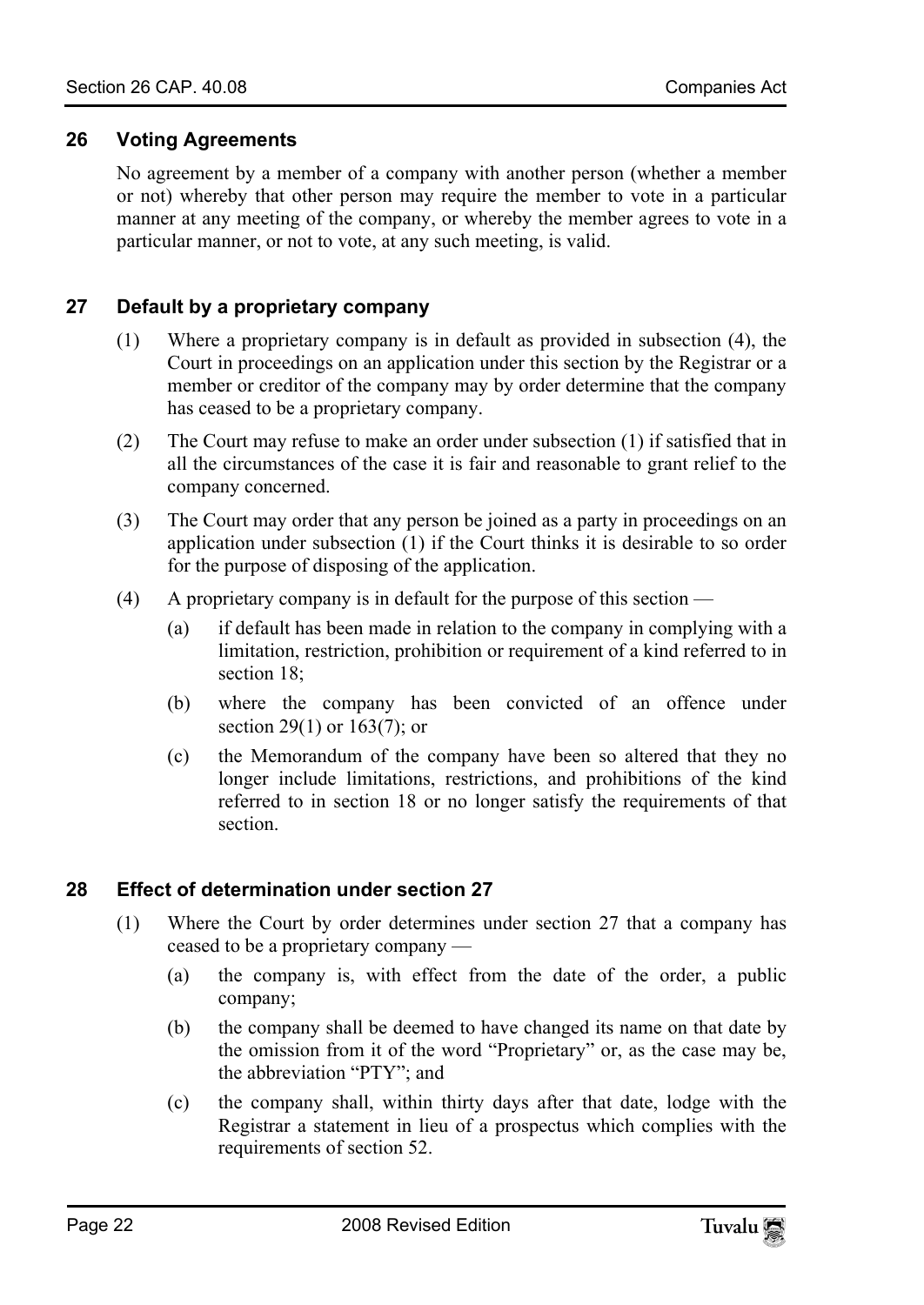#### **26 Voting Agreements**

<span id="page-21-1"></span><span id="page-21-0"></span>No agreement by a member of a company with another person (whether a member or not) whereby that other person may require the member to vote in a particular manner at any meeting of the company, or whereby the member agrees to vote in a particular manner, or not to vote, at any such meeting, is valid.

#### **27 Default by a proprietary company**

- (1) Where a proprietary company is in default as provided in subsection (4), the Court in proceedings on an application under this section by the Registrar or a member or creditor of the company may by order determine that the company has ceased to be a proprietary company.
- (2) The Court may refuse to make an order under subsection (1) if satisfied that in all the circumstances of the case it is fair and reasonable to grant relief to the company concerned.
- (3) The Court may order that any person be joined as a party in proceedings on an application under subsection (1) if the Court thinks it is desirable to so order for the purpose of disposing of the application.
- (4) A proprietary company is in default for the purpose of this section
	- (a) if default has been made in relation to the company in complying with a limitation, restriction, prohibition or requirement of a kind referred to in section 18;
	- (b) where the company has been convicted of an offence under section 29(1) or 163(7); or
	- (c) the Memorandum of the company have been so altered that they no longer include limitations, restrictions, and prohibitions of the kind referred to in section 18 or no longer satisfy the requirements of that section.

#### <span id="page-21-2"></span>**28 Effect of determination under section 27**

- (1) Where the Court by order determines under section 27 that a company has ceased to be a proprietary company —
	- (a) the company is, with effect from the date of the order, a public company;
	- (b) the company shall be deemed to have changed its name on that date by the omission from it of the word "Proprietary" or, as the case may be, the abbreviation "PTY"; and
	- (c) the company shall, within thirty days after that date, lodge with the Registrar a statement in lieu of a prospectus which complies with the requirements of section 52.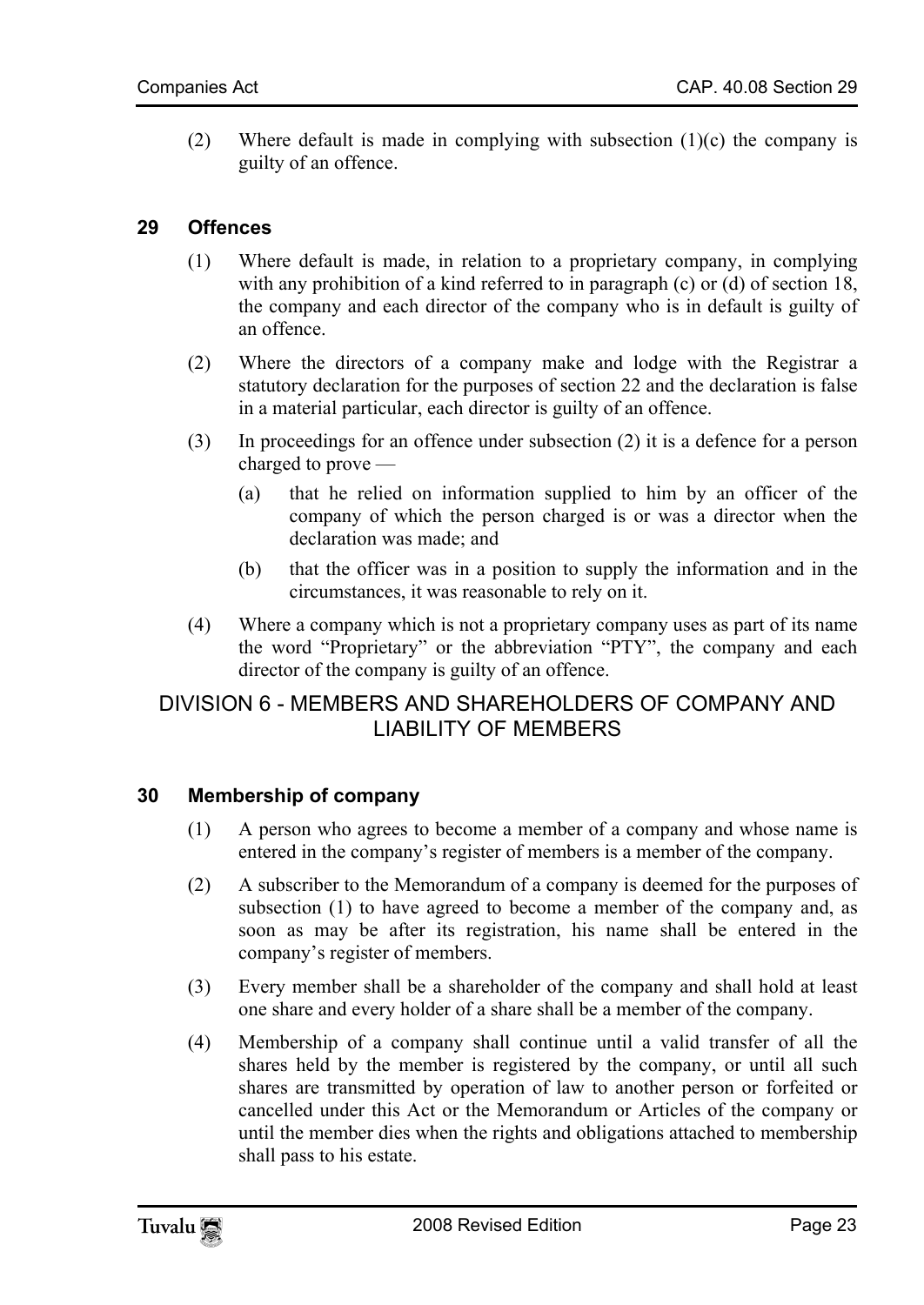<span id="page-22-0"></span>(2) Where default is made in complying with subsection  $(1)(c)$  the company is guilty of an offence.

#### **29 Offences**

- (1) Where default is made, in relation to a proprietary company, in complying with any prohibition of a kind referred to in paragraph (c) or (d) of section 18, the company and each director of the company who is in default is guilty of an offence.
- (2) Where the directors of a company make and lodge with the Registrar a statutory declaration for the purposes of section 22 and the declaration is false in a material particular, each director is guilty of an offence.
- (3) In proceedings for an offence under subsection (2) it is a defence for a person charged to prove —
	- (a) that he relied on information supplied to him by an officer of the company of which the person charged is or was a director when the declaration was made; and
	- (b) that the officer was in a position to supply the information and in the circumstances, it was reasonable to rely on it.
- <span id="page-22-2"></span><span id="page-22-1"></span>(4) Where a company which is not a proprietary company uses as part of its name the word "Proprietary" or the abbreviation "PTY", the company and each director of the company is guilty of an offence.

### DIVISION 6 - MEMBERS AND SHAREHOLDERS OF COMPANY AND LIABILITY OF MEMBERS

#### **30 Membership of company**

- (1) A person who agrees to become a member of a company and whose name is entered in the company's register of members is a member of the company.
- (2) A subscriber to the Memorandum of a company is deemed for the purposes of subsection (1) to have agreed to become a member of the company and, as soon as may be after its registration, his name shall be entered in the company's register of members.
- (3) Every member shall be a shareholder of the company and shall hold at least one share and every holder of a share shall be a member of the company.
- (4) Membership of a company shall continue until a valid transfer of all the shares held by the member is registered by the company, or until all such shares are transmitted by operation of law to another person or forfeited or cancelled under this Act or the Memorandum or Articles of the company or until the member dies when the rights and obligations attached to membership shall pass to his estate.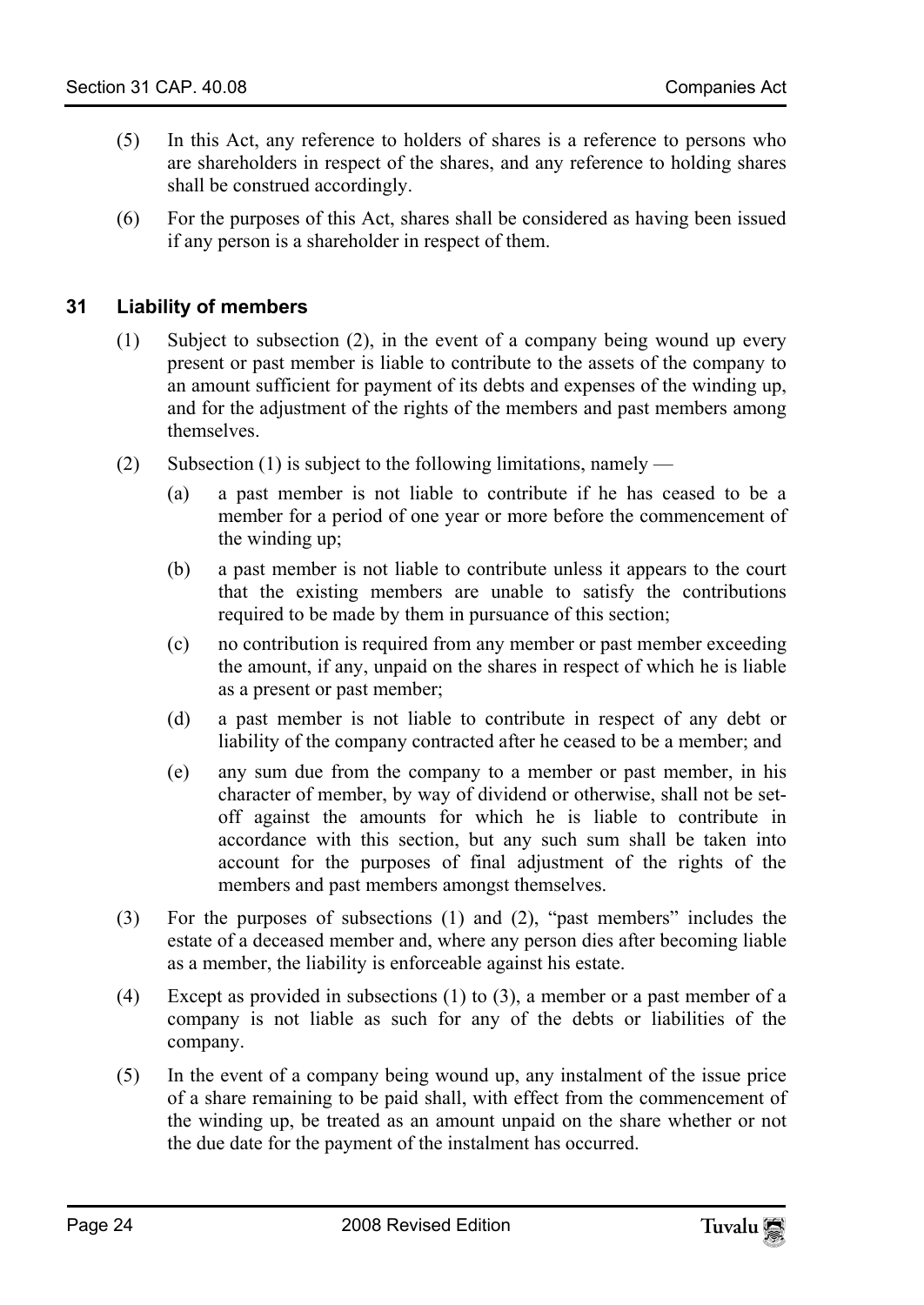- (5) In this Act, any reference to holders of shares is a reference to persons who are shareholders in respect of the shares, and any reference to holding shares shall be construed accordingly.
- <span id="page-23-0"></span>(6) For the purposes of this Act, shares shall be considered as having been issued if any person is a shareholder in respect of them.

#### **31 Liability of members**

- (1) Subject to subsection (2), in the event of a company being wound up every present or past member is liable to contribute to the assets of the company to an amount sufficient for payment of its debts and expenses of the winding up, and for the adjustment of the rights of the members and past members among themselves.
- (2) Subsection (1) is subject to the following limitations, namely
	- (a) a past member is not liable to contribute if he has ceased to be a member for a period of one year or more before the commencement of the winding up;
	- (b) a past member is not liable to contribute unless it appears to the court that the existing members are unable to satisfy the contributions required to be made by them in pursuance of this section;
	- (c) no contribution is required from any member or past member exceeding the amount, if any, unpaid on the shares in respect of which he is liable as a present or past member;
	- (d) a past member is not liable to contribute in respect of any debt or liability of the company contracted after he ceased to be a member; and
	- (e) any sum due from the company to a member or past member, in his character of member, by way of dividend or otherwise, shall not be setoff against the amounts for which he is liable to contribute in accordance with this section, but any such sum shall be taken into account for the purposes of final adjustment of the rights of the members and past members amongst themselves.
- (3) For the purposes of subsections (1) and (2), "past members" includes the estate of a deceased member and, where any person dies after becoming liable as a member, the liability is enforceable against his estate.
- (4) Except as provided in subsections (1) to (3), a member or a past member of a company is not liable as such for any of the debts or liabilities of the company.
- (5) In the event of a company being wound up, any instalment of the issue price of a share remaining to be paid shall, with effect from the commencement of the winding up, be treated as an amount unpaid on the share whether or not the due date for the payment of the instalment has occurred.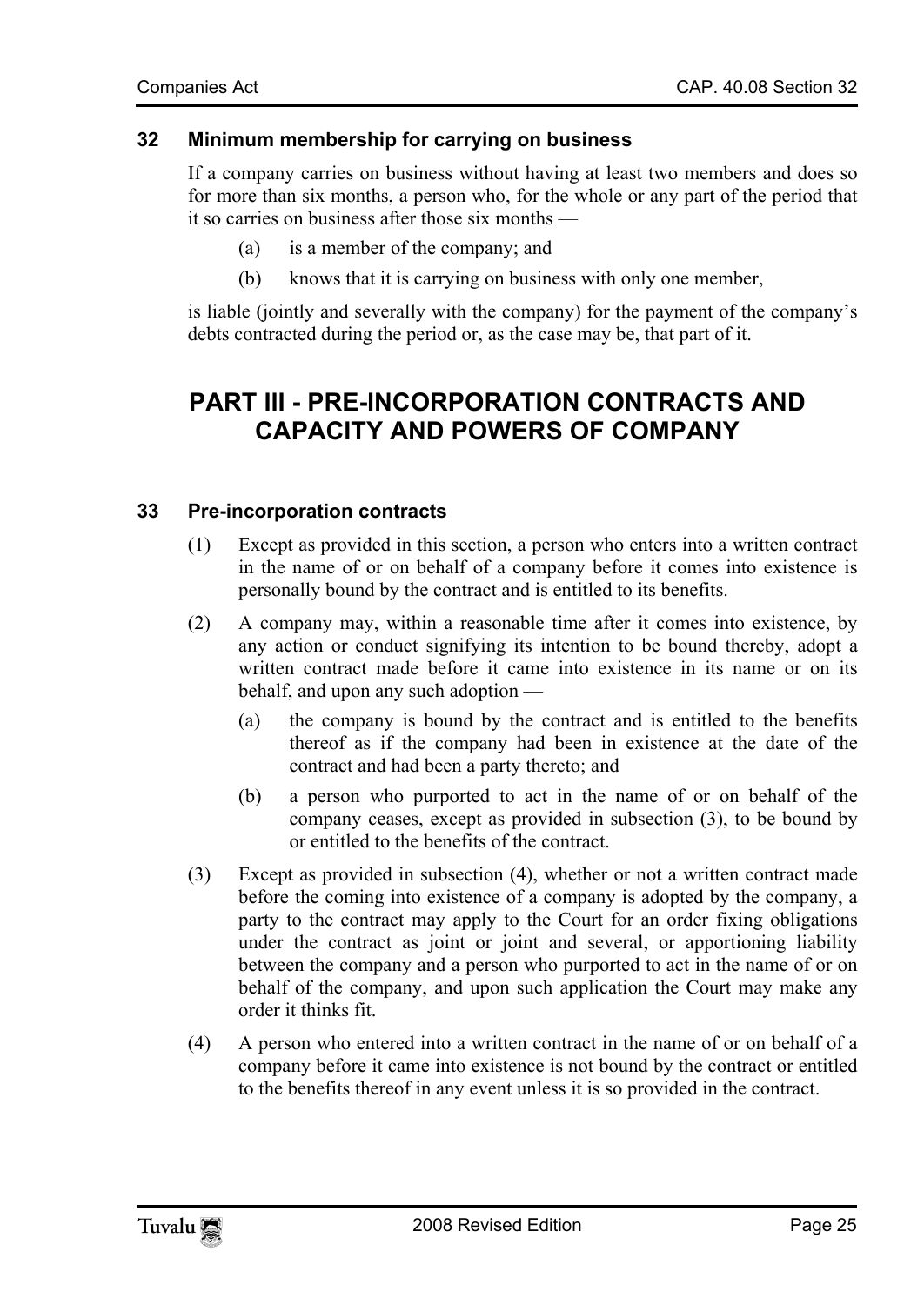#### **32 Minimum membership for carrying on business**

<span id="page-24-0"></span>If a company carries on business without having at least two members and does so for more than six months, a person who, for the whole or any part of the period that it so carries on business after those six months —

- (a) is a member of the company; and
- <span id="page-24-1"></span>(b) knows that it is carrying on business with only one member,

is liable (jointly and severally with the company) for the payment of the company's debts contracted during the period or, as the case may be, that part of it.

# <span id="page-24-2"></span>**PART III - PRE-INCORPORATION CONTRACTS AND CAPACITY AND POWERS OF COMPANY**

#### **33 Pre-incorporation contracts**

- (1) Except as provided in this section, a person who enters into a written contract in the name of or on behalf of a company before it comes into existence is personally bound by the contract and is entitled to its benefits.
- (2) A company may, within a reasonable time after it comes into existence, by any action or conduct signifying its intention to be bound thereby, adopt a written contract made before it came into existence in its name or on its behalf, and upon any such adoption —
	- (a) the company is bound by the contract and is entitled to the benefits thereof as if the company had been in existence at the date of the contract and had been a party thereto; and
	- (b) a person who purported to act in the name of or on behalf of the company ceases, except as provided in subsection (3), to be bound by or entitled to the benefits of the contract.
- (3) Except as provided in subsection (4), whether or not a written contract made before the coming into existence of a company is adopted by the company, a party to the contract may apply to the Court for an order fixing obligations under the contract as joint or joint and several, or apportioning liability between the company and a person who purported to act in the name of or on behalf of the company, and upon such application the Court may make any order it thinks fit.
- (4) A person who entered into a written contract in the name of or on behalf of a company before it came into existence is not bound by the contract or entitled to the benefits thereof in any event unless it is so provided in the contract.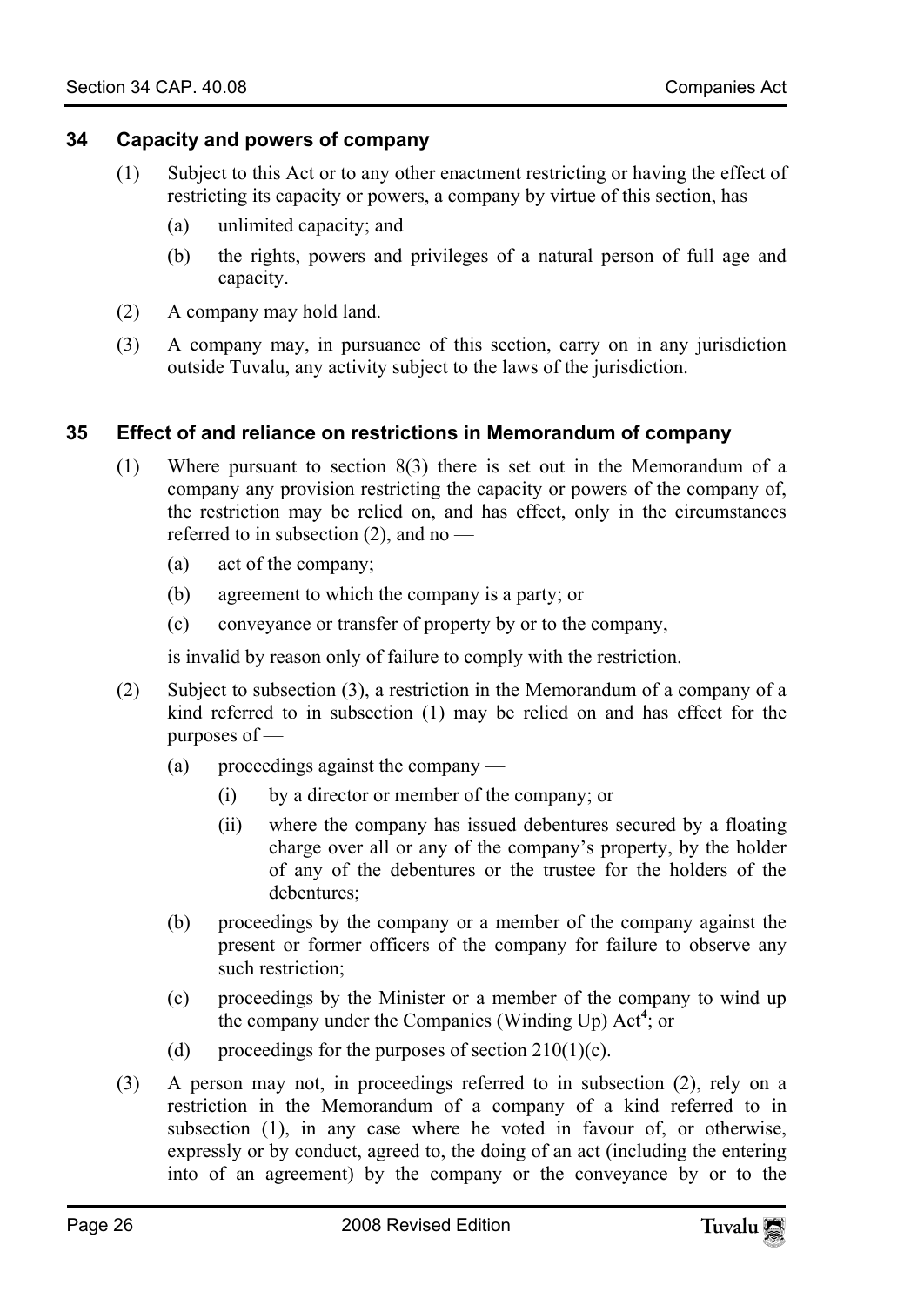#### **34 Capacity and powers of company**

- <span id="page-25-0"></span>(1) Subject to this Act or to any other enactment restricting or having the effect of restricting its capacity or powers, a company by virtue of this section, has —
	- (a) unlimited capacity; and
	- (b) the rights, powers and privileges of a natural person of full age and capacity.
- <span id="page-25-1"></span>(2) A company may hold land.
- (3) A company may, in pursuance of this section, carry on in any jurisdiction outside Tuvalu, any activity subject to the laws of the jurisdiction.

#### **35 Effect of and reliance on restrictions in Memorandum of company**

- (1) Where pursuant to section 8(3) there is set out in the Memorandum of a company any provision restricting the capacity or powers of the company of, the restriction may be relied on, and has effect, only in the circumstances referred to in subsection  $(2)$ , and no —
	- (a) act of the company;
	- (b) agreement to which the company is a party; or
	- (c) conveyance or transfer of property by or to the company,

is invalid by reason only of failure to comply with the restriction.

- (2) Subject to subsection (3), a restriction in the Memorandum of a company of a kind referred to in subsection (1) may be relied on and has effect for the purposes of —
	- (a) proceedings against the company
		- (i) by a director or member of the company; or
		- (ii) where the company has issued debentures secured by a floating charge over all or any of the company's property, by the holder of any of the debentures or the trustee for the holders of the debentures;
	- (b) proceedings by the company or a member of the company against [th](#page-187-2)e present or former officers of the company for failure to observe any such restriction;
	- (c) proceedings by the Minister or a member of the company to wind up the company under the Companies (Winding Up) Act**<sup>4</sup>** ; or
	- (d) proceedings for the purposes of section  $210(1)(c)$ .
- (3) A person may not, in proceedings referred to in subsection (2), rely on a restriction in the Memorandum of a company of a kind referred to in subsection (1), in any case where he voted in favour of, or otherwise, expressly or by conduct, agreed to, the doing of an act (including the entering into of an agreement) by the company or the conveyance by or to the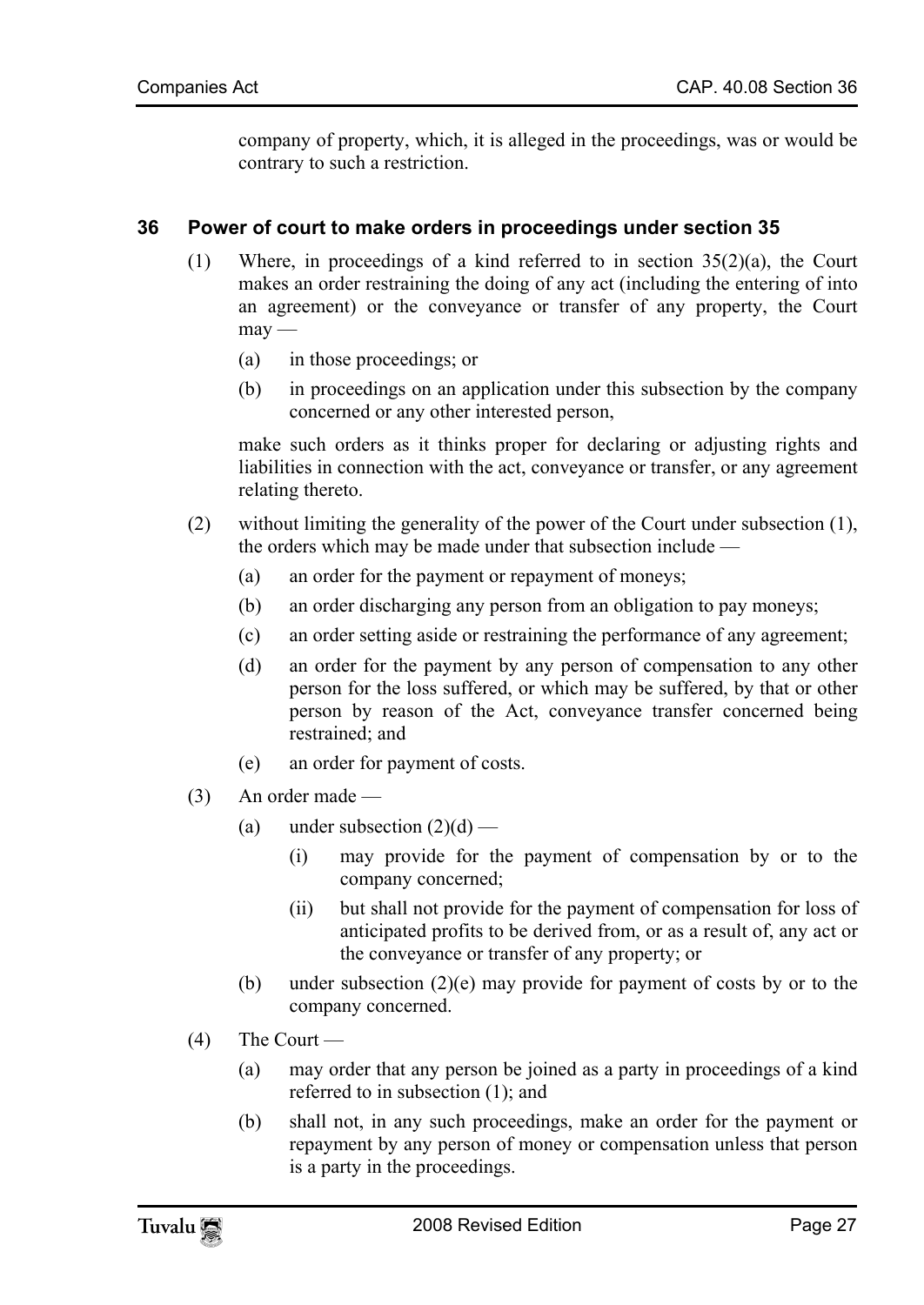<span id="page-26-0"></span>company of property, which, it is alleged in the proceedings, was or would be contrary to such a restriction.

#### **36 Power of court to make orders in proceedings under section 35**

- (1) Where, in proceedings of a kind referred to in section 35(2)(a), the Court makes an order restraining the doing of any act (including the entering of into an agreement) or the conveyance or transfer of any property, the Court  $may -$ 
	- (a) in those proceedings; or
	- (b) in proceedings on an application under this subsection by the company concerned or any other interested person,

make such orders as it thinks proper for declaring or adjusting rights and liabilities in connection with the act, conveyance or transfer, or any agreement relating thereto.

- (2) without limiting the generality of the power of the Court under subsection (1), the orders which may be made under that subsection include —
	- (a) an order for the payment or repayment of moneys;
	- (b) an order discharging any person from an obligation to pay moneys;
	- (c) an order setting aside or restraining the performance of any agreement;
	- (d) an order for the payment by any person of compensation to any other person for the loss suffered, or which may be suffered, by that or other person by reason of the Act, conveyance transfer concerned being restrained; and
	- (e) an order for payment of costs.
- (3) An order made
	- (a) under subsection  $(2)(d)$ 
		- (i) may provide for the payment of compensation by or to the company concerned;
		- (ii) but shall not provide for the payment of compensation for loss of anticipated profits to be derived from, or as a result of, any act or the conveyance or transfer of any property; or
	- (b) under subsection (2)(e) may provide for payment of costs by or to the company concerned.
- $(4)$  The Court
	- (a) may order that any person be joined as a party in proceedings of a kind referred to in subsection (1); and
	- (b) shall not, in any such proceedings, make an order for the payment or repayment by any person of money or compensation unless that person is a party in the proceedings.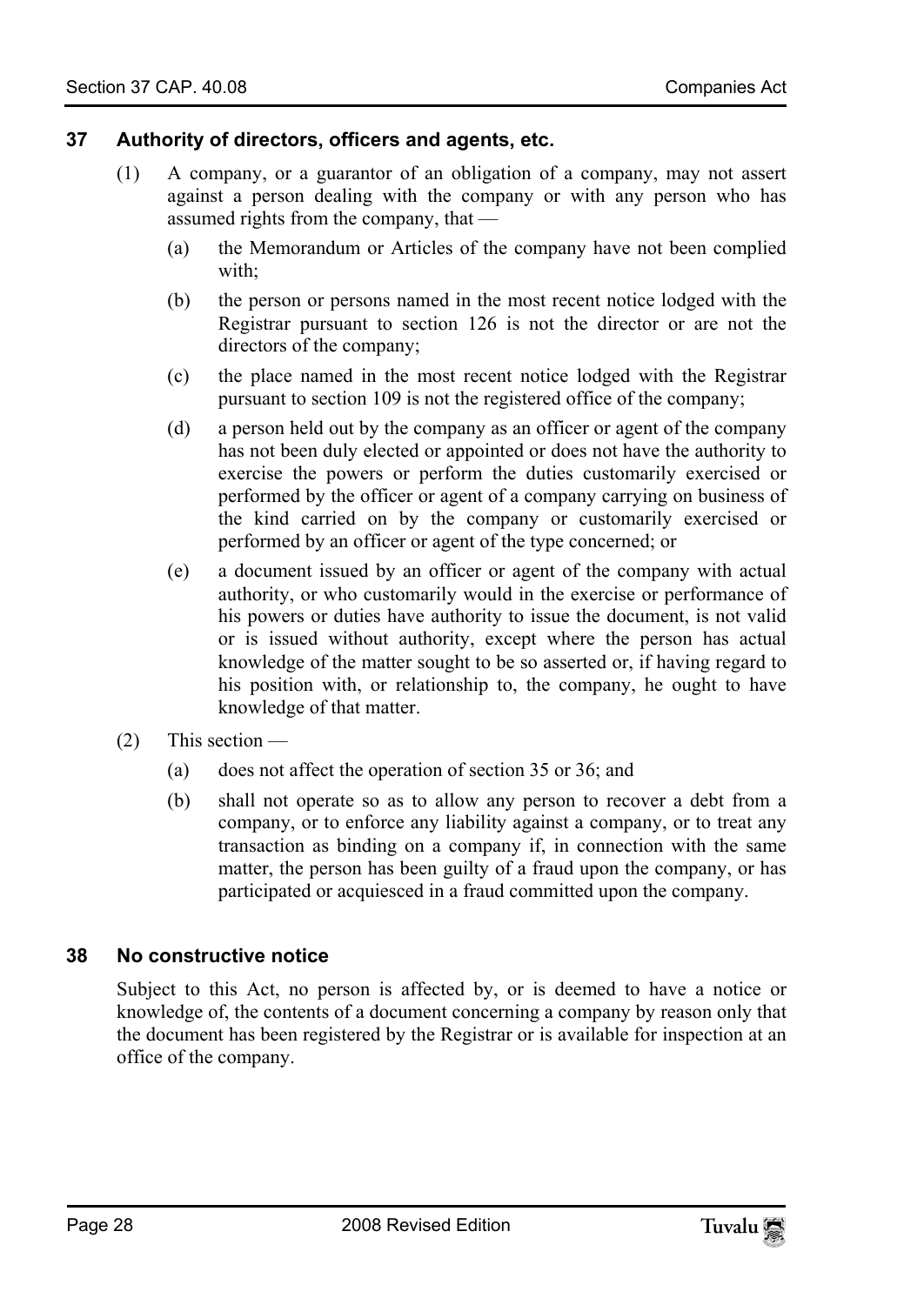#### <span id="page-27-0"></span>**37 Authority of directors, officers and agents, etc.**

- (1) A company, or a guarantor of an obligation of a company, may not assert against a person dealing with the company or with any person who has assumed rights from the company, that —
	- (a) the Memorandum or Articles of the company have not been complied with;
	- (b) the person or persons named in the most recent notice lodged with the Registrar pursuant to section 126 is not the director or are not the directors of the company;
	- (c) the place named in the most recent notice lodged with the Registrar pursuant to section 109 is not the registered office of the company;
	- (d) a person held out by the company as an officer or agent of the company has not been duly elected or appointed or does not have the authority to exercise the powers or perform the duties customarily exercised or performed by the officer or agent of a company carrying on business of the kind carried on by the company or customarily exercised or performed by an officer or agent of the type concerned; or
	- (e) a document issued by an officer or agent of the company with actual authority, or who customarily would in the exercise or performance of his powers or duties have authority to issue the document, is not valid or is issued without authority, except where the person has actual knowledge of the matter sought to be so asserted or, if having regard to his position with, or relationship to, the company, he ought to have knowledge of that matter.
- <span id="page-27-1"></span>(2) This section —
	- (a) does not affect the operation of section 35 or 36; and
	- (b) shall not operate so as to allow any person to recover a debt from a company, or to enforce any liability against a company, or to treat any transaction as binding on a company if, in connection with the same matter, the person has been guilty of a fraud upon the company, or has participated or acquiesced in a fraud committed upon the company.

#### **38 No constructive notice**

Subject to this Act, no person is affected by, or is deemed to have a notice or knowledge of, the contents of a document concerning a company by reason only that the document has been registered by the Registrar or is available for inspection at an office of the company.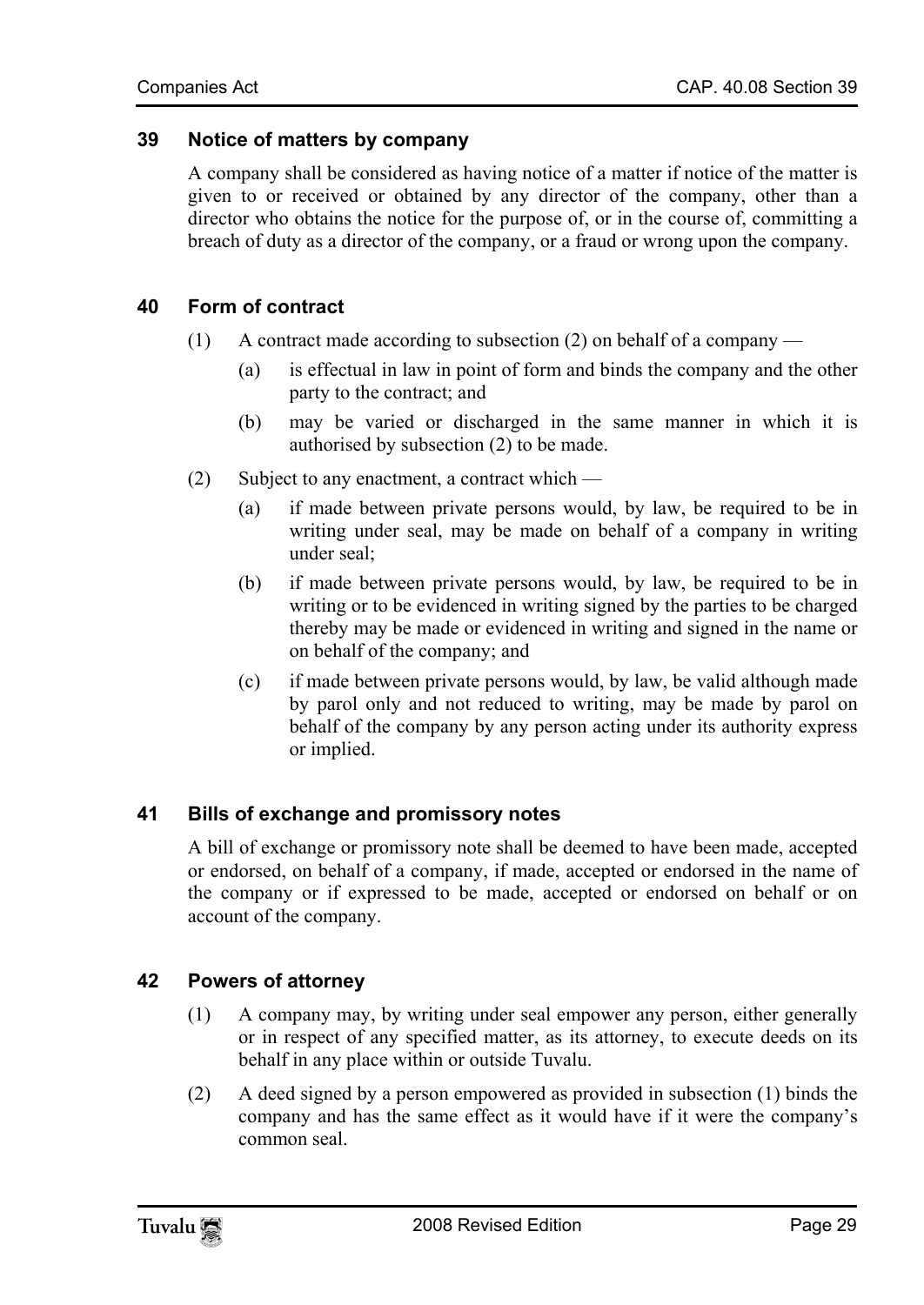#### **39 Notice of matters by company**

<span id="page-28-1"></span><span id="page-28-0"></span>A company shall be considered as having notice of a matter if notice of the matter is given to or received or obtained by any director of the company, other than a director who obtains the notice for the purpose of, or in the course of, committing a breach of duty as a director of the company, or a fraud or wrong upon the company.

#### **40 Form of contract**

- (1) A contract made according to subsection (2) on behalf of a company
	- (a) is effectual in law in point of form and binds the company and the other party to the contract; and
	- (b) may be varied or discharged in the same manner in which it is authorised by subsection (2) to be made.
- (2) Subject to any enactment, a contract which
	- (a) if made between private persons would, by law, be required to be in writing under seal, may be made on behalf of a company in writing under seal;
	- (b) if made between private persons would, by law, be required to be in writing or to be evidenced in writing signed by the parties to be charged thereby may be made or evidenced in writing and signed in the name or on behalf of the company; and
	- (c) if made between private persons would, by law, be valid although made by parol only and not reduced to writing, may be made by parol on behalf of the company by any person acting under its authority express or implied.

#### **41 Bills of exchange and promissory notes**

<span id="page-28-3"></span><span id="page-28-2"></span>A bill of exchange or promissory note shall be deemed to have been made, accepted or endorsed, on behalf of a company, if made, accepted or endorsed in the name of the company or if expressed to be made, accepted or endorsed on behalf or on account of the company.

#### **42 Powers of attorney**

- (1) A company may, by writing under seal empower any person, either generally or in respect of any specified matter, as its attorney, to execute deeds on its behalf in any place within or outside Tuvalu.
- (2) A deed signed by a person empowered as provided in subsection (1) binds the company and has the same effect as it would have if it were the company's common seal.

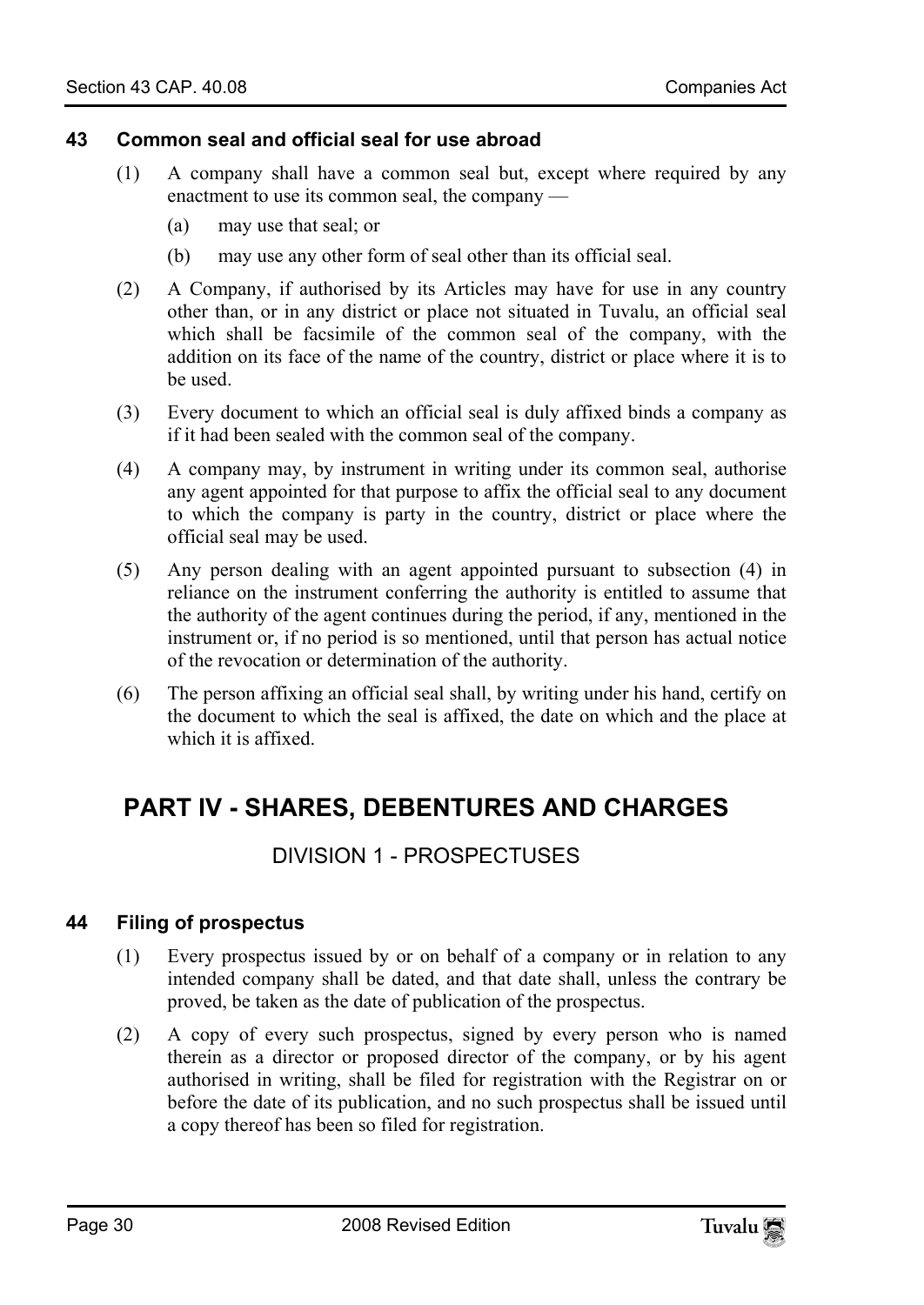#### <span id="page-29-0"></span>**43 Common seal and official seal for use abroad**

- (1) A company shall have a common seal but, except where required by any enactment to use its common seal, the company —
	- (a) may use that seal; or
	- (b) may use any other form of seal other than its official seal.
- (2) A Company, if authorised by its Articles may have for use in any country other than, or in any district or place not situated in Tuvalu, an official seal which shall be facsimile of the common seal of the company, with the addition on its face of the name of the country, district or place where it is to be used.
- (3) Every document to which an official seal is duly affixed binds a company as if it had been sealed with the common seal of the company.
- (4) A company may, by instrument in writing under its common seal, authorise any agent appointed for that purpose to affix the official seal to any document to which the company is party in the country, district or place where the official seal may be used.
- (5) Any person dealing with an agent appointed pursuant to subsection (4) in reliance on the instrument conferring the authority is entitled to assume that the authority of the agent continues during the period, if any, mentioned in the instrument or, if no period is so mentioned, until that person has actual notice of the revocation or determination of the authority.
- <span id="page-29-1"></span>(6) The person affixing an official seal shall, by writing under his hand, certify on the document to which the seal is affixed, the date on which and the place at which it is affixed.

# <span id="page-29-3"></span>**PART IV - SHARES, DEBENTURES AND CHARGES**

## <span id="page-29-2"></span>DIVISION 1 - PROSPECTUSES

#### **44 Filing of prospectus**

- (1) Every prospectus issued by or on behalf of a company or in relation to any intended company shall be dated, and that date shall, unless the contrary be proved, be taken as the date of publication of the prospectus.
- (2) A copy of every such prospectus, signed by every person who is named therein as a director or proposed director of the company, or by his agent authorised in writing, shall be filed for registration with the Registrar on or before the date of its publication, and no such prospectus shall be issued until a copy thereof has been so filed for registration.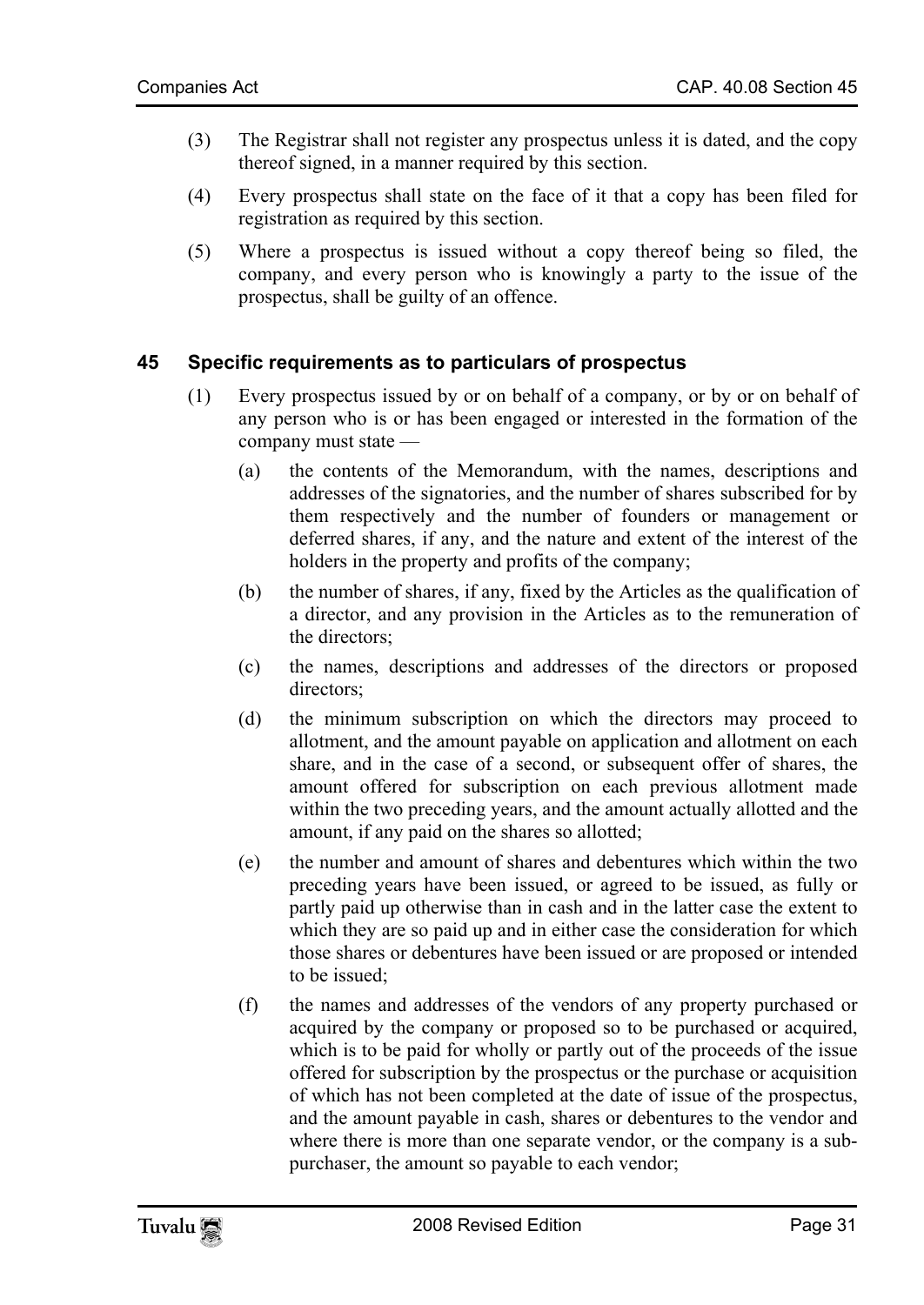- (3) The Registrar shall not register any prospectus unless it is dated, and the copy thereof signed, in a manner required by this section.
- (4) Every prospectus shall state on the face of it that a copy has been filed for registration as required by this section.
- <span id="page-30-0"></span>(5) Where a prospectus is issued without a copy thereof being so filed, the company, and every person who is knowingly a party to the issue of the prospectus, shall be guilty of an offence.

#### **45 Specific requirements as to particulars of prospectus**

- (1) Every prospectus issued by or on behalf of a company, or by or on behalf of any person who is or has been engaged or interested in the formation of the company must state —
	- (a) the contents of the Memorandum, with the names, descriptions and addresses of the signatories, and the number of shares subscribed for by them respectively and the number of founders or management or deferred shares, if any, and the nature and extent of the interest of the holders in the property and profits of the company;
	- (b) the number of shares, if any, fixed by the Articles as the qualification of a director, and any provision in the Articles as to the remuneration of the directors;
	- (c) the names, descriptions and addresses of the directors or proposed directors;
	- (d) the minimum subscription on which the directors may proceed to allotment, and the amount payable on application and allotment on each share, and in the case of a second, or subsequent offer of shares, the amount offered for subscription on each previous allotment made within the two preceding years, and the amount actually allotted and the amount, if any paid on the shares so allotted;
	- (e) the number and amount of shares and debentures which within the two preceding years have been issued, or agreed to be issued, as fully or partly paid up otherwise than in cash and in the latter case the extent to which they are so paid up and in either case the consideration for which those shares or debentures have been issued or are proposed or intended to be issued;
	- (f) the names and addresses of the vendors of any property purchased or acquired by the company or proposed so to be purchased or acquired, which is to be paid for wholly or partly out of the proceeds of the issue offered for subscription by the prospectus or the purchase or acquisition of which has not been completed at the date of issue of the prospectus, and the amount payable in cash, shares or debentures to the vendor and where there is more than one separate vendor, or the company is a subpurchaser, the amount so payable to each vendor;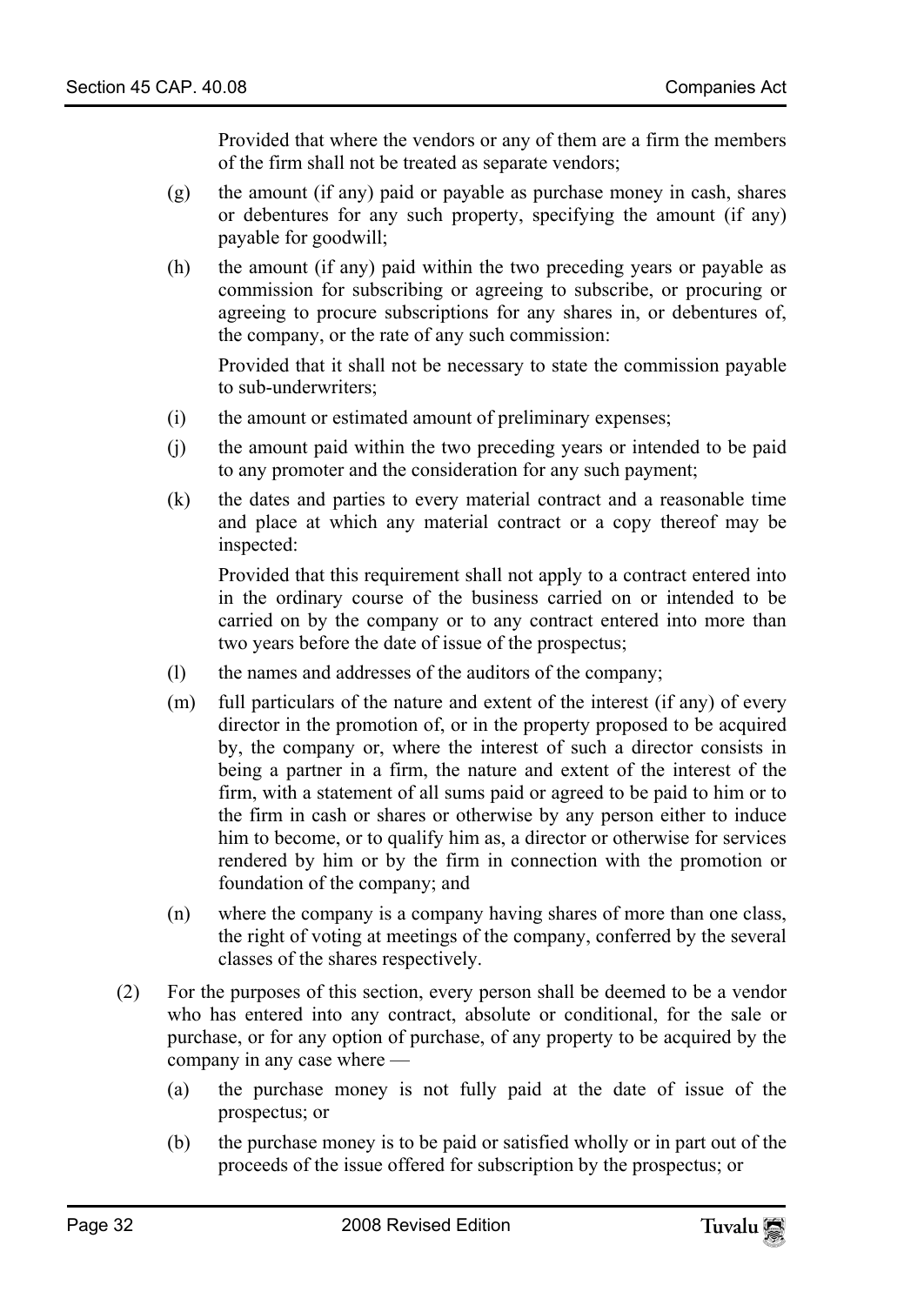Provided that where the vendors or any of them are a firm the members of the firm shall not be treated as separate vendors;

- (g) the amount (if any) paid or payable as purchase money in cash, shares or debentures for any such property, specifying the amount (if any) payable for goodwill;
- (h) the amount (if any) paid within the two preceding years or payable as commission for subscribing or agreeing to subscribe, or procuring or agreeing to procure subscriptions for any shares in, or debentures of, the company, or the rate of any such commission:

Provided that it shall not be necessary to state the commission payable to sub-underwriters;

- (i) the amount or estimated amount of preliminary expenses;
- (j) the amount paid within the two preceding years or intended to be paid to any promoter and the consideration for any such payment;
- (k) the dates and parties to every material contract and a reasonable time and place at which any material contract or a copy thereof may be inspected:

Provided that this requirement shall not apply to a contract entered into in the ordinary course of the business carried on or intended to be carried on by the company or to any contract entered into more than two years before the date of issue of the prospectus;

- (l) the names and addresses of the auditors of the company;
- (m) full particulars of the nature and extent of the interest (if any) of every director in the promotion of, or in the property proposed to be acquired by, the company or, where the interest of such a director consists in being a partner in a firm, the nature and extent of the interest of the firm, with a statement of all sums paid or agreed to be paid to him or to the firm in cash or shares or otherwise by any person either to induce him to become, or to qualify him as, a director or otherwise for services rendered by him or by the firm in connection with the promotion or foundation of the company; and
- (n) where the company is a company having shares of more than one class, the right of voting at meetings of the company, conferred by the several classes of the shares respectively.
- (2) For the purposes of this section, every person shall be deemed to be a vendor who has entered into any contract, absolute or conditional, for the sale or purchase, or for any option of purchase, of any property to be acquired by the company in any case where —
	- (a) the purchase money is not fully paid at the date of issue of the prospectus; or
	- (b) the purchase money is to be paid or satisfied wholly or in part out of the proceeds of the issue offered for subscription by the prospectus; or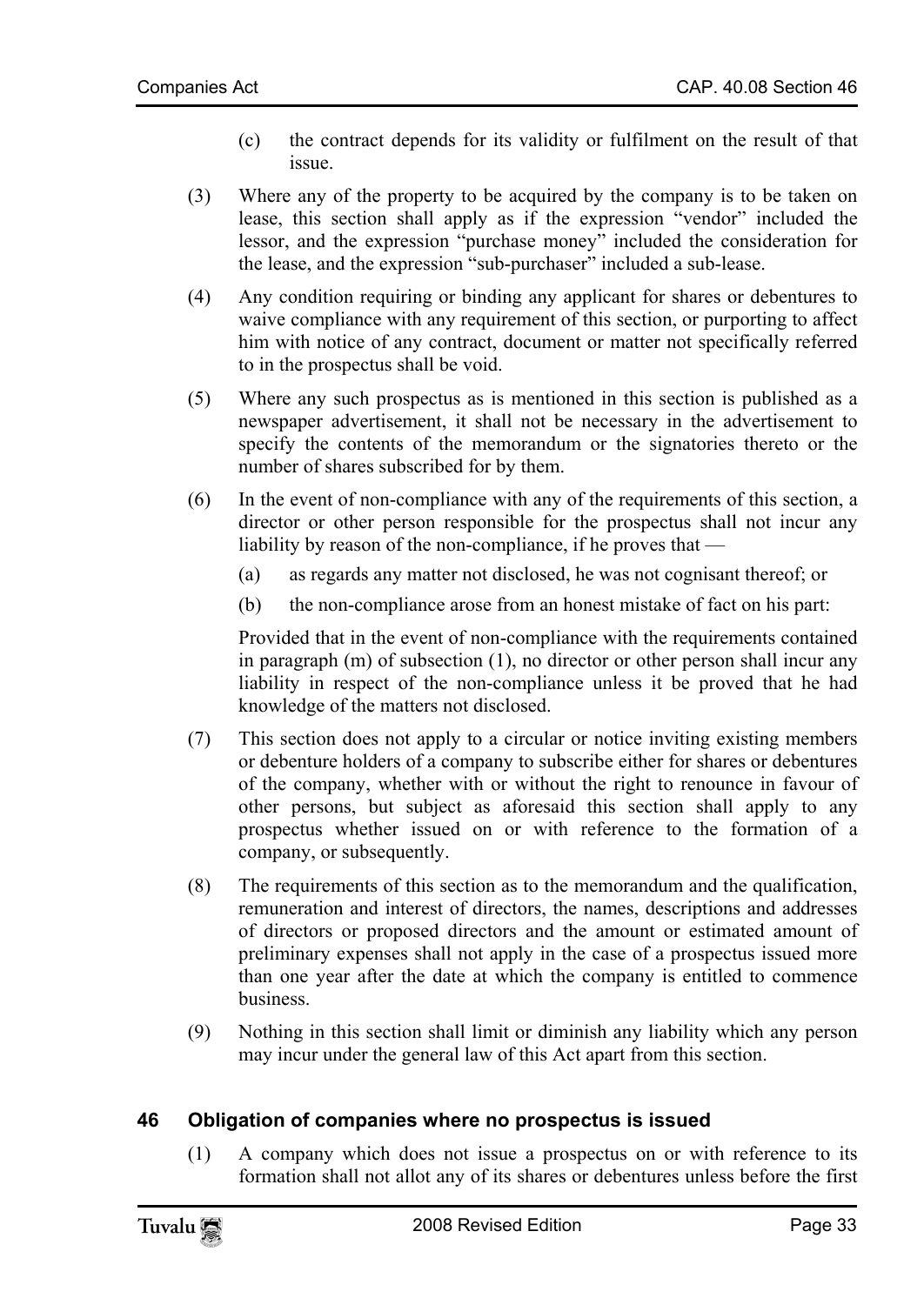- (c) the contract depends for its validity or fulfilment on the result of that issue.
- (3) Where any of the property to be acquired by the company is to be taken on lease, this section shall apply as if the expression "vendor" included the lessor, and the expression "purchase money" included the consideration for the lease, and the expression "sub-purchaser" included a sub-lease.
- (4) Any condition requiring or binding any applicant for shares or debentures to waive compliance with any requirement of this section, or purporting to affect him with notice of any contract, document or matter not specifically referred to in the prospectus shall be void.
- (5) Where any such prospectus as is mentioned in this section is published as a newspaper advertisement, it shall not be necessary in the advertisement to specify the contents of the memorandum or the signatories thereto or the number of shares subscribed for by them.
- (6) In the event of non-compliance with any of the requirements of this section, a director or other person responsible for the prospectus shall not incur any liability by reason of the non-compliance, if he proves that —
	- (a) as regards any matter not disclosed, he was not cognisant thereof; or
	- (b) the non-compliance arose from an honest mistake of fact on his part:

Provided that in the event of non-compliance with the requirements contained in paragraph (m) of subsection (1), no director or other person shall incur any liability in respect of the non-compliance unless it be proved that he had knowledge of the matters not disclosed.

- (7) This section does not apply to a circular or notice inviting existing members or debenture holders of a company to subscribe either for shares or debentures of the company, whether with or without the right to renounce in favour of other persons, but subject as aforesaid this section shall apply to any prospectus whether issued on or with reference to the formation of a company, or subsequently.
- (8) The requirements of this section as to the memorandum and the qualification, remuneration and interest of directors, the names, descriptions and addresses of directors or proposed directors and the amount or estimated amount of preliminary expenses shall not apply in the case of a prospectus issued more than one year after the date at which the company is entitled to commence business.
- <span id="page-32-0"></span>(9) Nothing in this section shall limit or diminish any liability which any person may incur under the general law of this Act apart from this section.

#### **46 Obligation of companies where no prospectus is issued**

(1) A company which does not issue a prospectus on or with reference to its formation shall not allot any of its shares or debentures unless before the first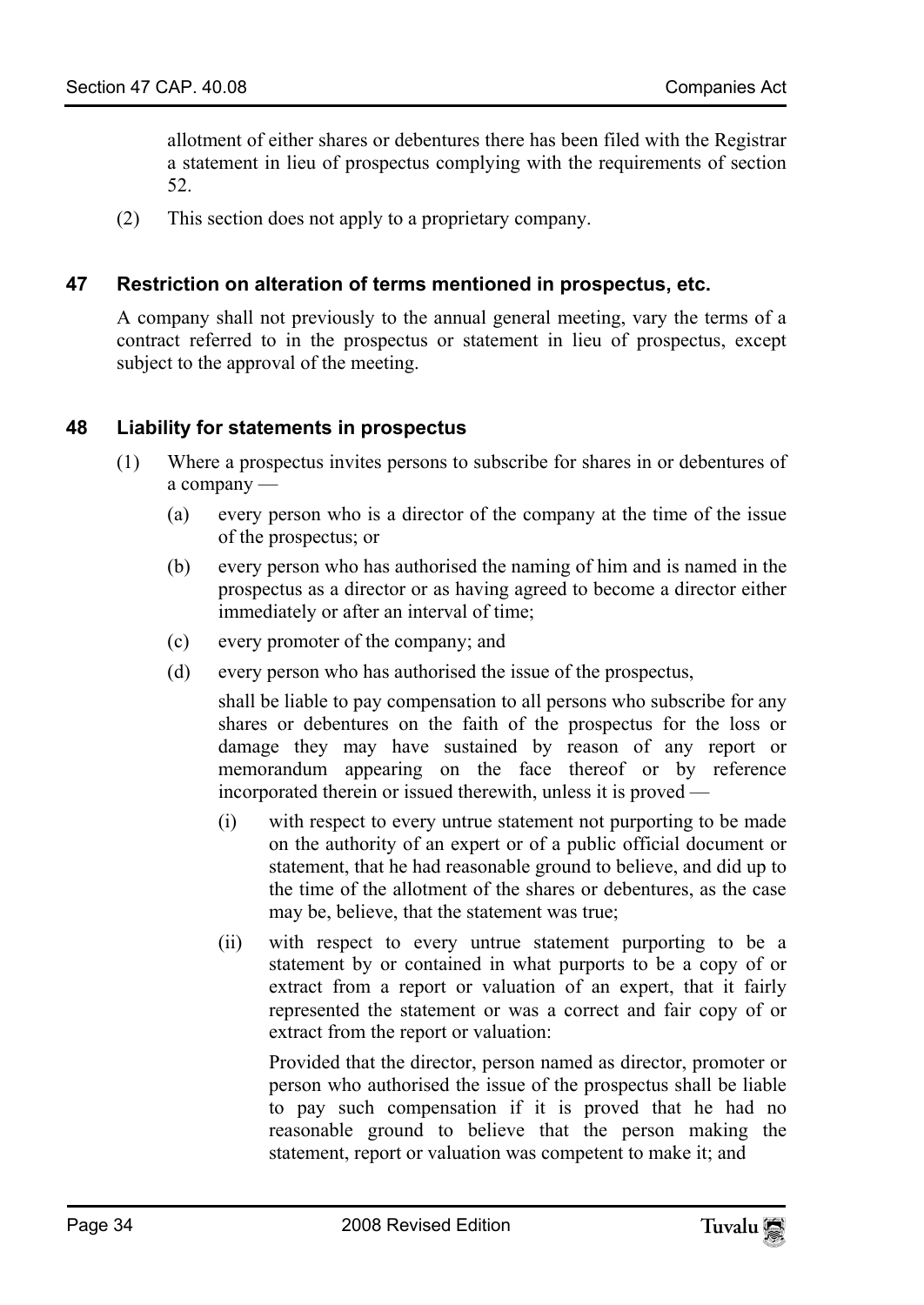<span id="page-33-0"></span>allotment of either shares or debentures there has been filed with the Registrar a statement in lieu of prospectus complying with the requirements of section 52.

(2) This section does not apply to a proprietary company.

#### **47 Restriction on alteration of terms mentioned in prospectus, etc.**

<span id="page-33-1"></span>A company shall not previously to the annual general meeting, vary the terms of a contract referred to in the prospectus or statement in lieu of prospectus, except subject to the approval of the meeting.

#### **48 Liability for statements in prospectus**

- (1) Where a prospectus invites persons to subscribe for shares in or debentures of a company —
	- (a) every person who is a director of the company at the time of the issue of the prospectus; or
	- (b) every person who has authorised the naming of him and is named in the prospectus as a director or as having agreed to become a director either immediately or after an interval of time;
	- (c) every promoter of the company; and
	- (d) every person who has authorised the issue of the prospectus,

shall be liable to pay compensation to all persons who subscribe for any shares or debentures on the faith of the prospectus for the loss or damage they may have sustained by reason of any report or memorandum appearing on the face thereof or by reference incorporated therein or issued therewith, unless it is proved —

- (i) with respect to every untrue statement not purporting to be made on the authority of an expert or of a public official document or statement, that he had reasonable ground to believe, and did up to the time of the allotment of the shares or debentures, as the case may be, believe, that the statement was true;
- (ii) with respect to every untrue statement purporting to be a statement by or contained in what purports to be a copy of or extract from a report or valuation of an expert, that it fairly represented the statement or was a correct and fair copy of or extract from the report or valuation:

Provided that the director, person named as director, promoter or person who authorised the issue of the prospectus shall be liable to pay such compensation if it is proved that he had no reasonable ground to believe that the person making the statement, report or valuation was competent to make it; and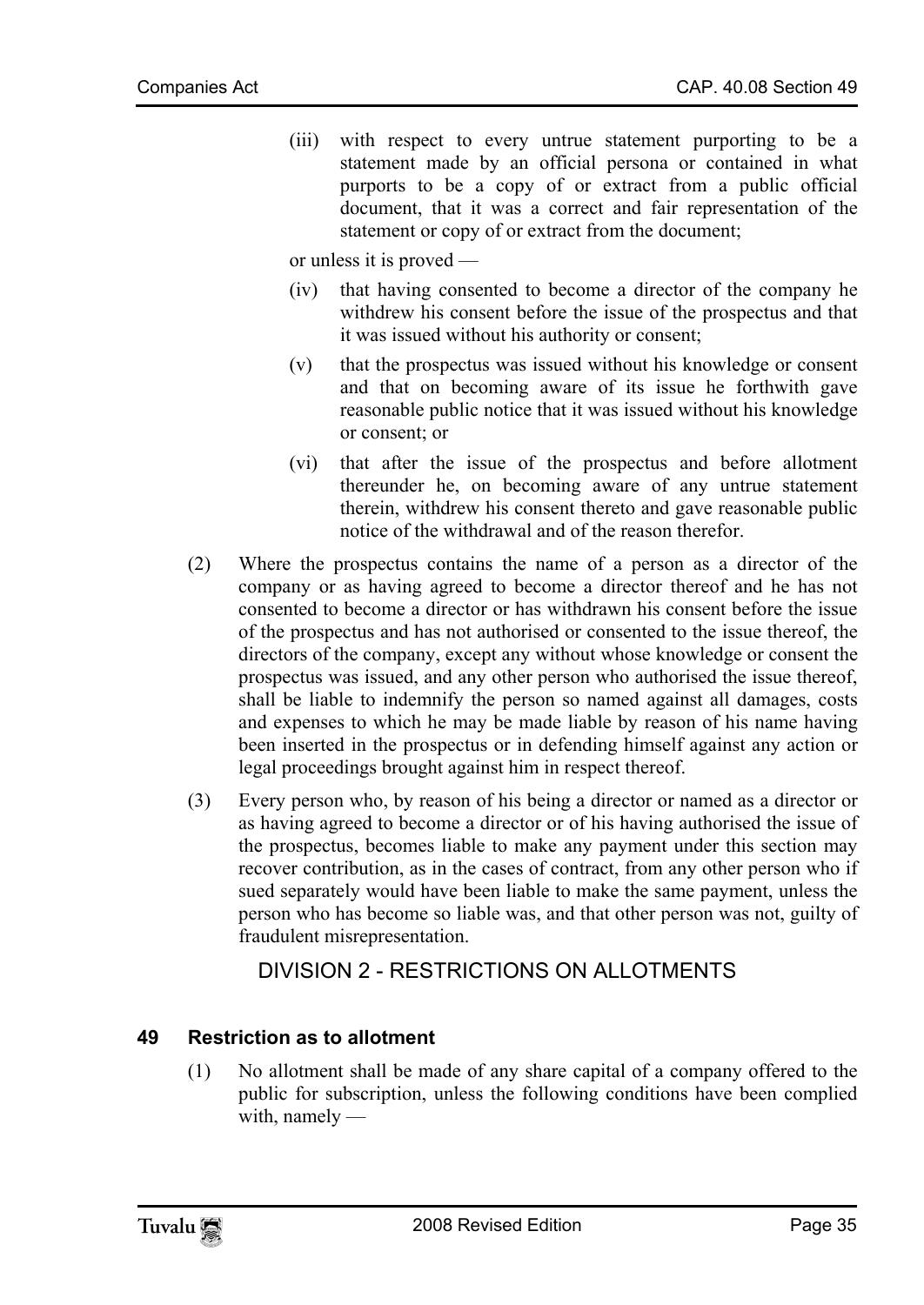(iii) with respect to every untrue statement purporting to be a statement made by an official persona or contained in what purports to be a copy of or extract from a public official document, that it was a correct and fair representation of the statement or copy of or extract from the document;

or unless it is proved —

- (iv) that having consented to become a director of the company he withdrew his consent before the issue of the prospectus and that it was issued without his authority or consent;
- (v) that the prospectus was issued without his knowledge or consent and that on becoming aware of its issue he forthwith gave reasonable public notice that it was issued without his knowledge or consent; or
- (vi) that after the issue of the prospectus and before allotment thereunder he, on becoming aware of any untrue statement therein, withdrew his consent thereto and gave reasonable public notice of the withdrawal and of the reason therefor.
- (2) Where the prospectus contains the name of a person as a director of the company or as having agreed to become a director thereof and he has not consented to become a director or has withdrawn his consent before the issue of the prospectus and has not authorised or consented to the issue thereof, the directors of the company, except any without whose knowledge or consent the prospectus was issued, and any other person who authorised the issue thereof, shall be liable to indemnify the person so named against all damages, costs and expenses to which he may be made liable by reason of his name having been inserted in the prospectus or in defending himself against any action or legal proceedings brought against him in respect thereof.
- (3) Every person who, by reason of his being a director or named as a director or as having agreed to become a director or of his having authorised the issue of the prospectus, becomes liable to make any payment under this section may recover contribution, as in the cases of contract, from any other person who if sued separately would have been liable to make the same payment, unless the person who has become so liable was, and that other person was not, guilty of fraudulent misrepresentation.

## <span id="page-34-1"></span><span id="page-34-0"></span>DIVISION 2 - RESTRICTIONS ON ALLOTMENTS

#### **49 Restriction as to allotment**

(1) No allotment shall be made of any share capital of a company offered to the public for subscription, unless the following conditions have been complied with, namely —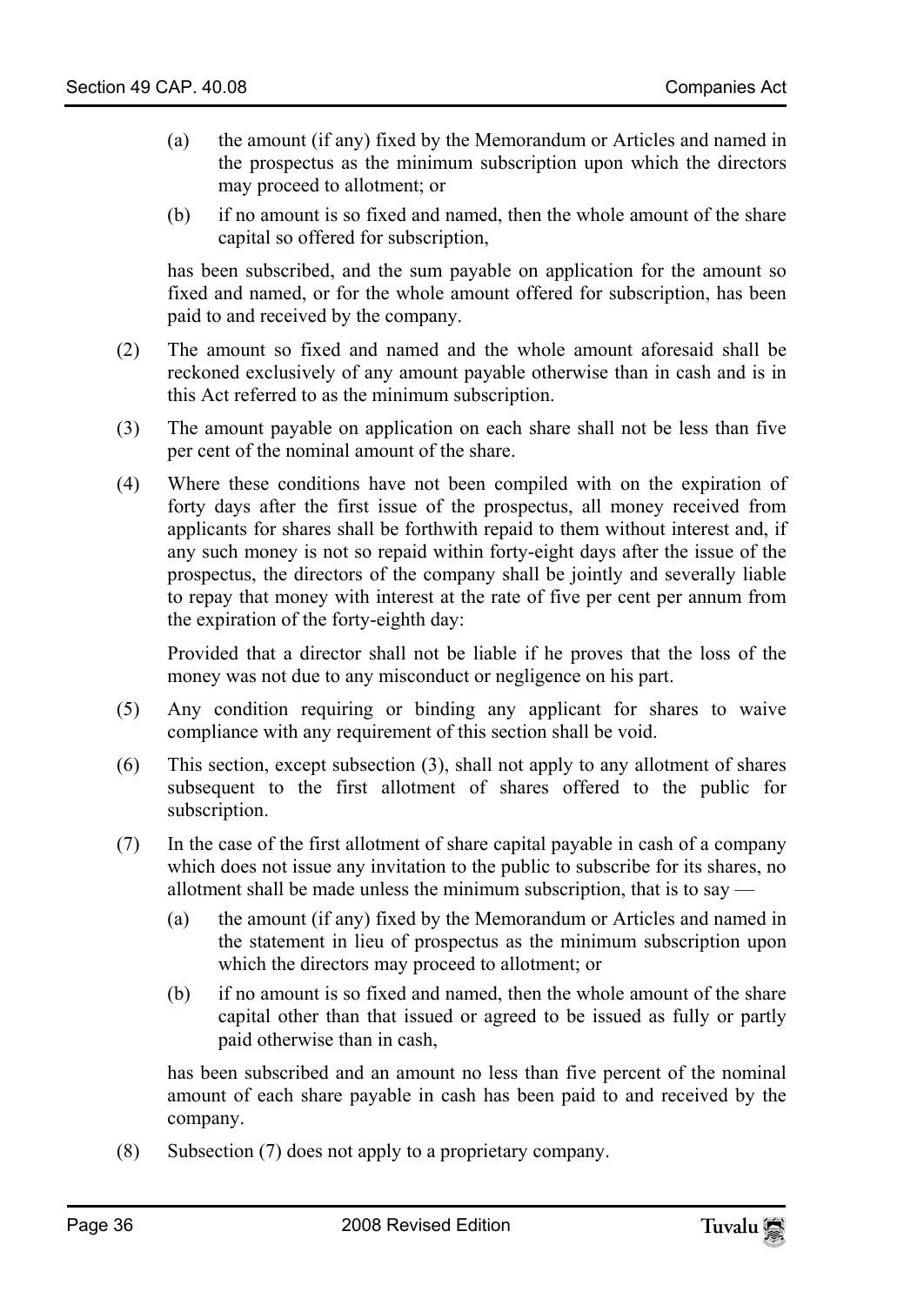- (a) the amount (if any) fixed by the Memorandum or Articles and named in the prospectus as the minimum subscription upon which the directors may proceed to allotment; or
- (b) if no amount is so fixed and named, then the whole amount of the share capital so offered for subscription,

has been subscribed, and the sum payable on application for the amount so fixed and named, or for the whole amount offered for subscription, has been paid to and received by the company.

- (2) The amount so fixed and named and the whole amount aforesaid shall be reckoned exclusively of any amount payable otherwise than in cash and is in this Act referred to as the minimum subscription.
- (3) The amount payable on application on each share shall not be less than five per cent of the nominal amount of the share.
- (4) Where these conditions have not been compiled with on the expiration of forty days after the first issue of the prospectus, all money received from applicants for shares shall be forthwith repaid to them without interest and, if any such money is not so repaid within forty-eight days after the issue of the prospectus, the directors of the company shall be jointly and severally liable to repay that money with interest at the rate of five per cent per annum from the expiration of the forty-eighth day:

Provided that a director shall not be liable if he proves that the loss of the money was not due to any misconduct or negligence on his part.

- (5) Any condition requiring or binding any applicant for shares to waive compliance with any requirement of this section shall be void.
- (6) This section, except subsection (3), shall not apply to any allotment of shares subsequent to the first allotment of shares offered to the public for subscription.
- (7) In the case of the first allotment of share capital payable in cash of a company which does not issue any invitation to the public to subscribe for its shares, no allotment shall be made unless the minimum subscription, that is to say —
	- (a) the amount (if any) fixed by the Memorandum or Articles and named in the statement in lieu of prospectus as the minimum subscription upon which the directors may proceed to allotment; or
	- (b) if no amount is so fixed and named, then the whole amount of the share capital other than that issued or agreed to be issued as fully or partly paid otherwise than in cash,

has been subscribed and an amount no less than five percent of the nominal amount of each share payable in cash has been paid to and received by the company.

(8) Subsection (7) does not apply to a proprietary company.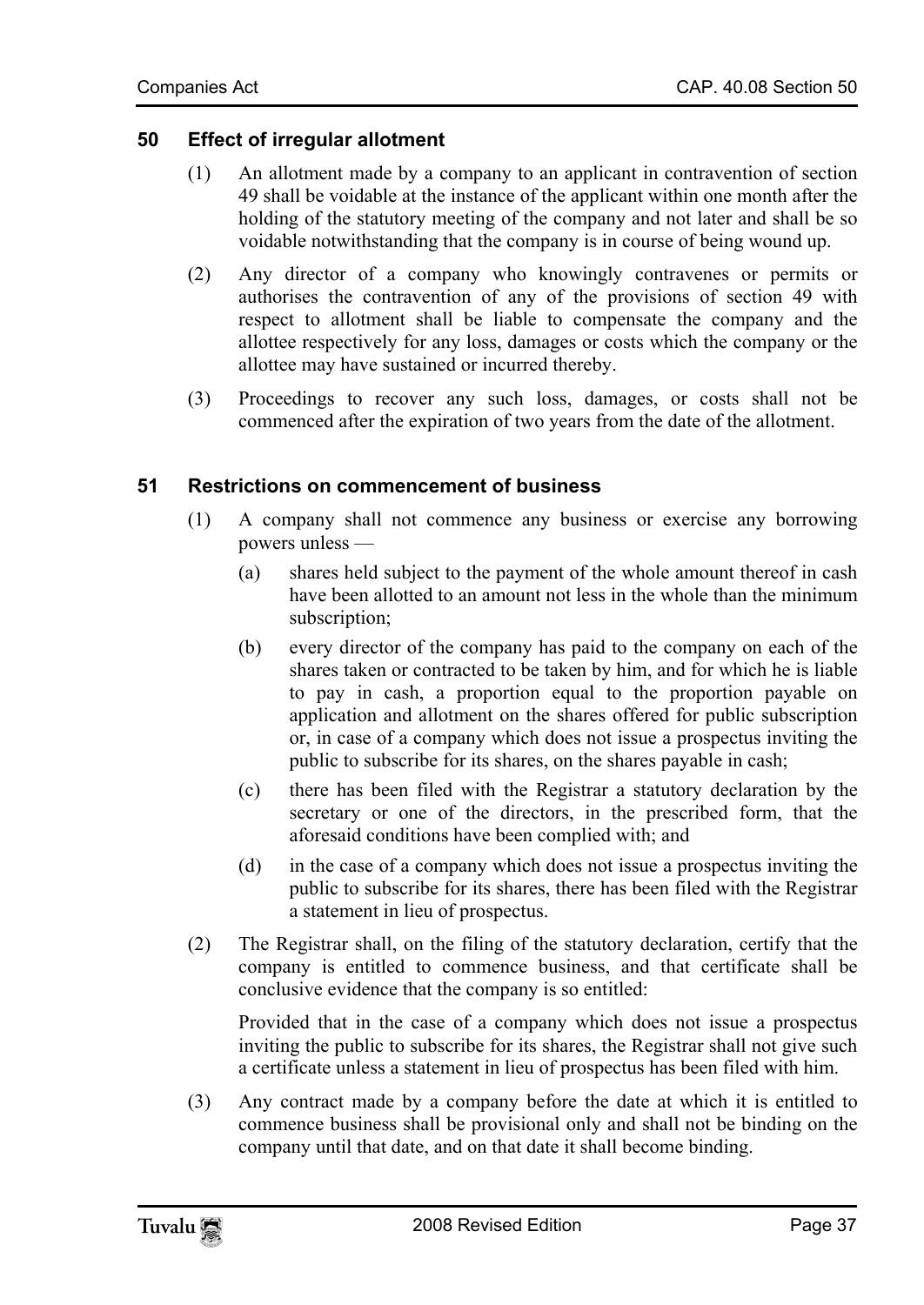#### **50 Effect of irregular allotment**

- (1) An allotment made by a company to an applicant in contravention of section 49 shall be voidable at the instance of the applicant within one month after the holding of the statutory meeting of the company and not later and shall be so voidable notwithstanding that the company is in course of being wound up.
- (2) Any director of a company who knowingly contravenes or permits or authorises the contravention of any of the provisions of section 49 with respect to allotment shall be liable to compensate the company and the allottee respectively for any loss, damages or costs which the company or the allottee may have sustained or incurred thereby.
- (3) Proceedings to recover any such loss, damages, or costs shall not be commenced after the expiration of two years from the date of the allotment.

#### **51 Restrictions on commencement of business**

- (1) A company shall not commence any business or exercise any borrowing powers unless —
	- (a) shares held subject to the payment of the whole amount thereof in cash have been allotted to an amount not less in the whole than the minimum subscription;
	- (b) every director of the company has paid to the company on each of the shares taken or contracted to be taken by him, and for which he is liable to pay in cash, a proportion equal to the proportion payable on application and allotment on the shares offered for public subscription or, in case of a company which does not issue a prospectus inviting the public to subscribe for its shares, on the shares payable in cash;
	- (c) there has been filed with the Registrar a statutory declaration by the secretary or one of the directors, in the prescribed form, that the aforesaid conditions have been complied with; and
	- (d) in the case of a company which does not issue a prospectus inviting the public to subscribe for its shares, there has been filed with the Registrar a statement in lieu of prospectus.
- (2) The Registrar shall, on the filing of the statutory declaration, certify that the company is entitled to commence business, and that certificate shall be conclusive evidence that the company is so entitled:

Provided that in the case of a company which does not issue a prospectus inviting the public to subscribe for its shares, the Registrar shall not give such a certificate unless a statement in lieu of prospectus has been filed with him.

(3) Any contract made by a company before the date at which it is entitled to commence business shall be provisional only and shall not be binding on the company until that date, and on that date it shall become binding.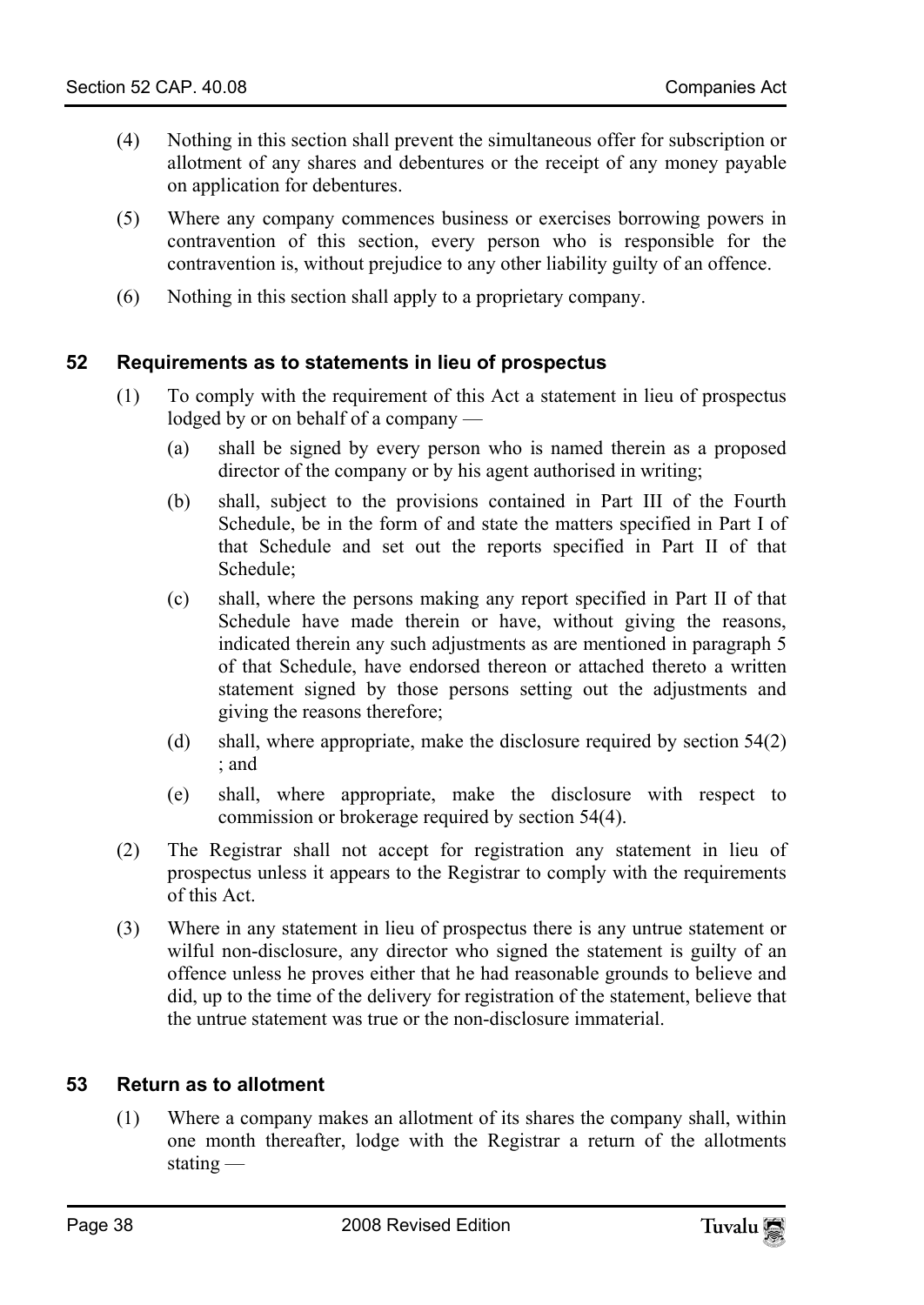- (4) Nothing in this section shall prevent the simultaneous offer for subscription or allotment of any shares and debentures or the receipt of any money payable on application for debentures.
- (5) Where any company commences business or exercises borrowing powers in contravention of this section, every person who is responsible for the contravention is, without prejudice to any other liability guilty of an offence.
- (6) Nothing in this section shall apply to a proprietary company.

### **52 Requirements as to statements in lieu of prospectus**

- (1) To comply with the requirement of this Act a statement in lieu of prospectus lodged by or on behalf of a company —
	- (a) shall be signed by every person who is named therein as a proposed director of the company or by his agent authorised in writing;
	- (b) shall, subject to the provisions contained in Part III of the Fourth Schedule, be in the form of and state the matters specified in Part I of that Schedule and set out the reports specified in Part II of that Schedule;
	- (c) shall, where the persons making any report specified in Part II of that Schedule have made therein or have, without giving the reasons, indicated therein any such adjustments as are mentioned in paragraph 5 of that Schedule, have endorsed thereon or attached thereto a written statement signed by those persons setting out the adjustments and giving the reasons therefore;
	- (d) shall, where appropriate, make the disclosure required by section 54(2) ; and
	- (e) shall, where appropriate, make the disclosure with respect to commission or brokerage required by section 54(4).
- (2) The Registrar shall not accept for registration any statement in lieu of prospectus unless it appears to the Registrar to comply with the requirements of this Act.
- (3) Where in any statement in lieu of prospectus there is any untrue statement or wilful non-disclosure, any director who signed the statement is guilty of an offence unless he proves either that he had reasonable grounds to believe and did, up to the time of the delivery for registration of the statement, believe that the untrue statement was true or the non-disclosure immaterial.

#### **53 Return as to allotment**

(1) Where a company makes an allotment of its shares the company shall, within one month thereafter, lodge with the Registrar a return of the allotments stating —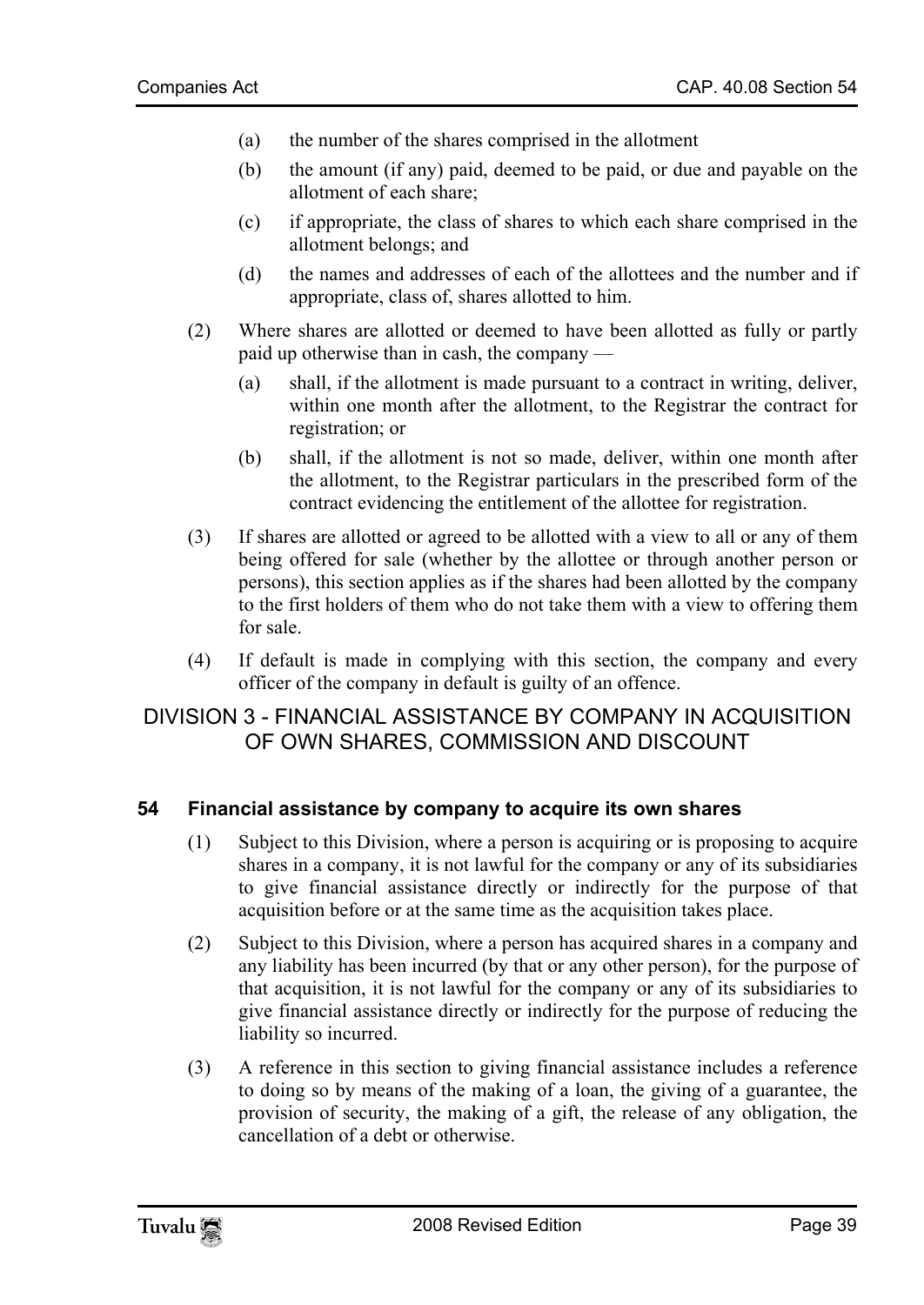- (a) the number of the shares comprised in the allotment
- (b) the amount (if any) paid, deemed to be paid, or due and payable on the allotment of each share;
- (c) if appropriate, the class of shares to which each share comprised in the allotment belongs; and
- (d) the names and addresses of each of the allottees and the number and if appropriate, class of, shares allotted to him.
- (2) Where shares are allotted or deemed to have been allotted as fully or partly paid up otherwise than in cash, the company —
	- (a) shall, if the allotment is made pursuant to a contract in writing, deliver, within one month after the allotment, to the Registrar the contract for registration; or
	- (b) shall, if the allotment is not so made, deliver, within one month after the allotment, to the Registrar particulars in the prescribed form of the contract evidencing the entitlement of the allottee for registration.
- (3) If shares are allotted or agreed to be allotted with a view to all or any of them being offered for sale (whether by the allottee or through another person or persons), this section applies as if the shares had been allotted by the company to the first holders of them who do not take them with a view to offering them for sale.
- (4) If default is made in complying with this section, the company and every officer of the company in default is guilty of an offence.

## DIVISION 3 - FINANCIAL ASSISTANCE BY COMPANY IN ACQUISITION OF OWN SHARES, COMMISSION AND DISCOUNT

### **54 Financial assistance by company to acquire its own shares**

- (1) Subject to this Division, where a person is acquiring or is proposing to acquire shares in a company, it is not lawful for the company or any of its subsidiaries to give financial assistance directly or indirectly for the purpose of that acquisition before or at the same time as the acquisition takes place.
- (2) Subject to this Division, where a person has acquired shares in a company and any liability has been incurred (by that or any other person), for the purpose of that acquisition, it is not lawful for the company or any of its subsidiaries to give financial assistance directly or indirectly for the purpose of reducing the liability so incurred.
- (3) A reference in this section to giving financial assistance includes a reference to doing so by means of the making of a loan, the giving of a guarantee, the provision of security, the making of a gift, the release of any obligation, the cancellation of a debt or otherwise.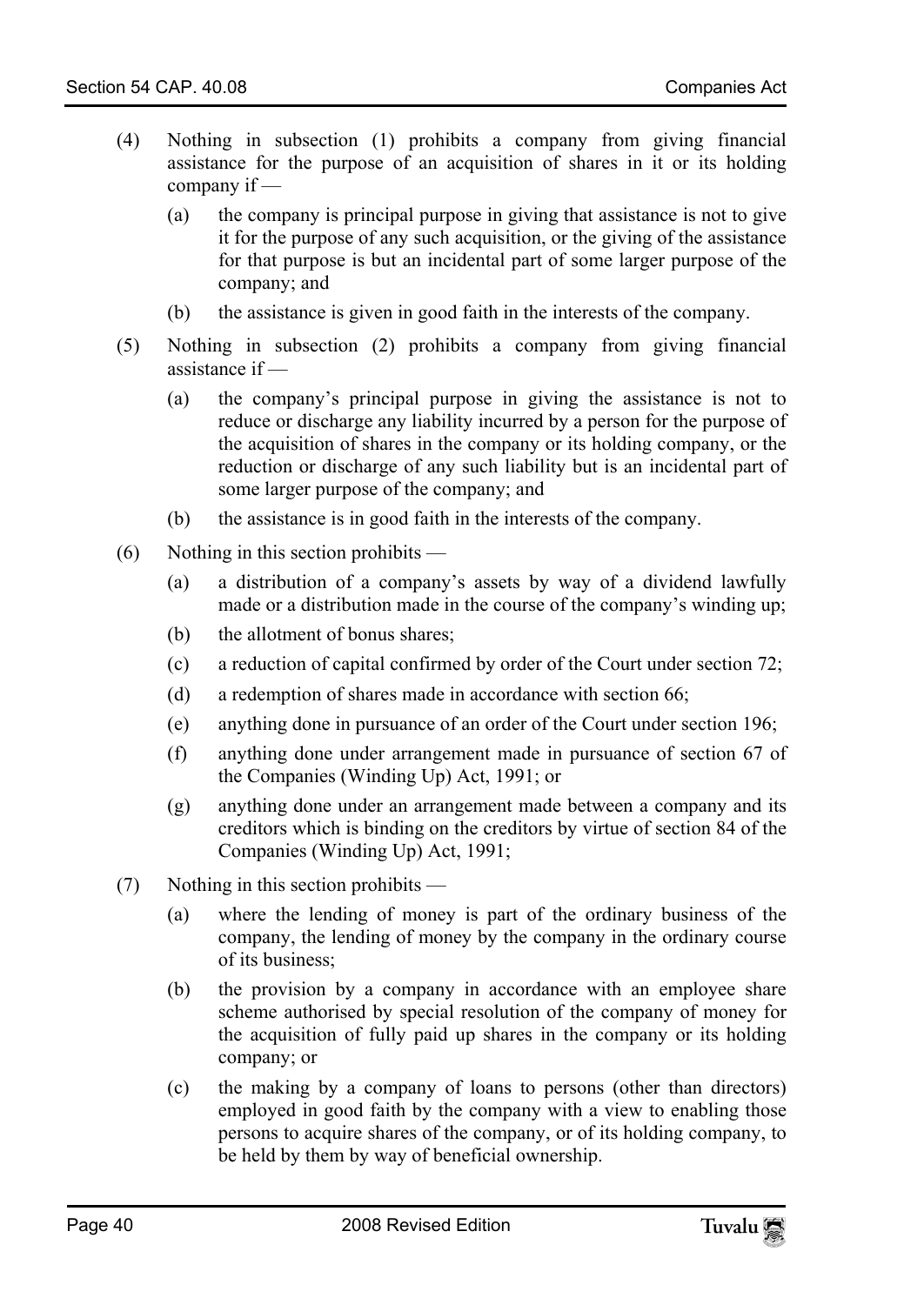- (4) Nothing in subsection (1) prohibits a company from giving financial assistance for the purpose of an acquisition of shares in it or its holding company if —
	- (a) the company is principal purpose in giving that assistance is not to give it for the purpose of any such acquisition, or the giving of the assistance for that purpose is but an incidental part of some larger purpose of the company; and
	- (b) the assistance is given in good faith in the interests of the company.
- (5) Nothing in subsection (2) prohibits a company from giving financial assistance if —
	- (a) the company's principal purpose in giving the assistance is not to reduce or discharge any liability incurred by a person for the purpose of the acquisition of shares in the company or its holding company, or the reduction or discharge of any such liability but is an incidental part of some larger purpose of the company; and
	- (b) the assistance is in good faith in the interests of the company.
- (6) Nothing in this section prohibits
	- (a) a distribution of a company's assets by way of a dividend lawfully made or a distribution made in the course of the company's winding up;
	- (b) the allotment of bonus shares;
	- (c) a reduction of capital confirmed by order of the Court under section 72;
	- (d) a redemption of shares made in accordance with section 66;
	- (e) anything done in pursuance of an order of the Court under section 196;
	- (f) anything done under arrangement made in pursuance of section 67 of the Companies (Winding Up) Act, 1991; or
	- (g) anything done under an arrangement made between a company and its creditors which is binding on the creditors by virtue of section 84 of the Companies (Winding Up) Act, 1991;
- (7) Nothing in this section prohibits
	- (a) where the lending of money is part of the ordinary business of the company, the lending of money by the company in the ordinary course of its business;
	- (b) the provision by a company in accordance with an employee share scheme authorised by special resolution of the company of money for the acquisition of fully paid up shares in the company or its holding company; or
	- (c) the making by a company of loans to persons (other than directors) employed in good faith by the company with a view to enabling those persons to acquire shares of the company, or of its holding company, to be held by them by way of beneficial ownership.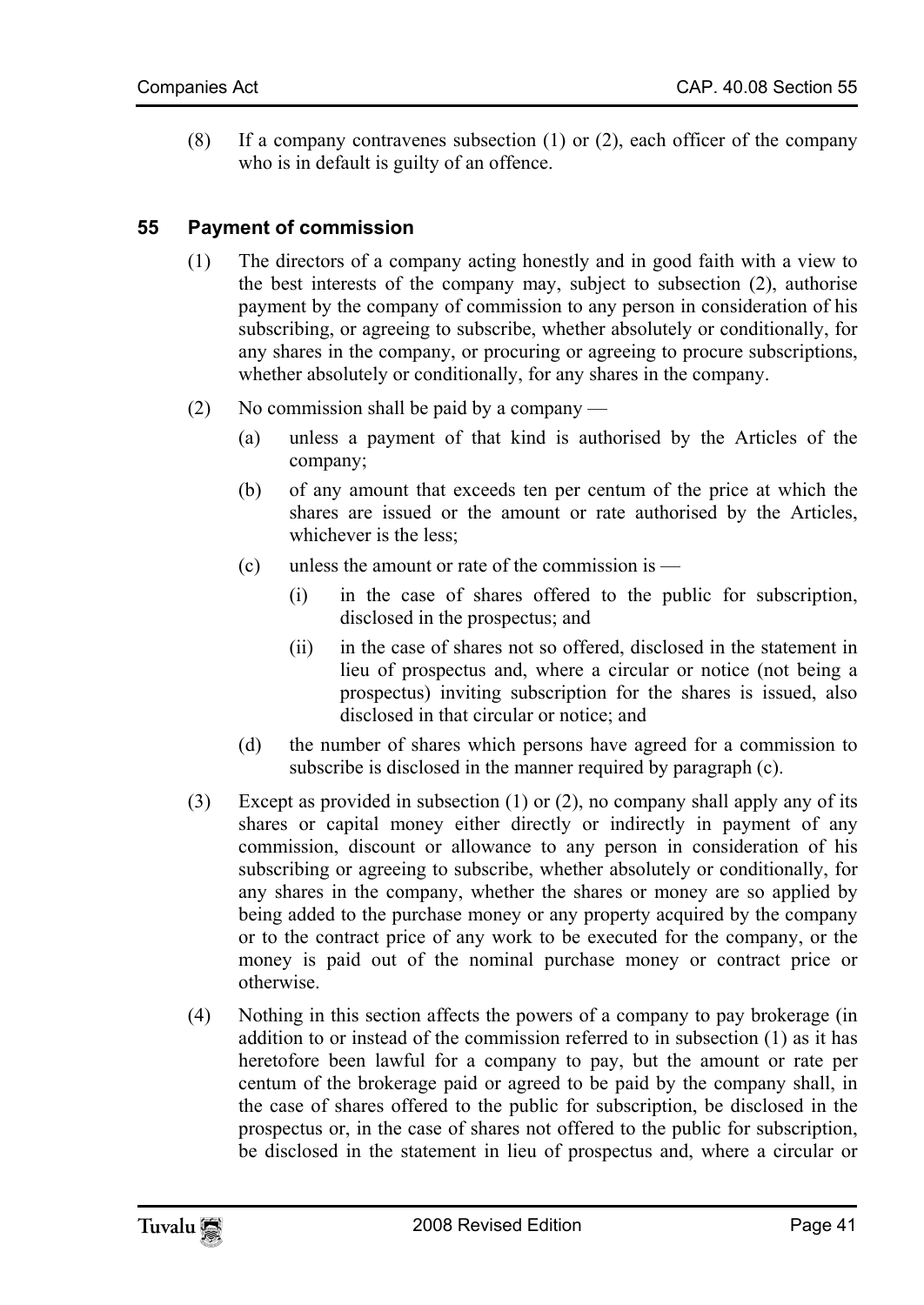(8) If a company contravenes subsection (1) or (2), each officer of the company who is in default is guilty of an offence.

### **55 Payment of commission**

- (1) The directors of a company acting honestly and in good faith with a view to the best interests of the company may, subject to subsection (2), authorise payment by the company of commission to any person in consideration of his subscribing, or agreeing to subscribe, whether absolutely or conditionally, for any shares in the company, or procuring or agreeing to procure subscriptions, whether absolutely or conditionally, for any shares in the company.
- (2) No commission shall be paid by a company
	- (a) unless a payment of that kind is authorised by the Articles of the company;
	- (b) of any amount that exceeds ten per centum of the price at which the shares are issued or the amount or rate authorised by the Articles, whichever is the less;
	- (c) unless the amount or rate of the commission is
		- (i) in the case of shares offered to the public for subscription, disclosed in the prospectus; and
		- (ii) in the case of shares not so offered, disclosed in the statement in lieu of prospectus and, where a circular or notice (not being a prospectus) inviting subscription for the shares is issued, also disclosed in that circular or notice; and
	- (d) the number of shares which persons have agreed for a commission to subscribe is disclosed in the manner required by paragraph (c).
- (3) Except as provided in subsection (1) or (2), no company shall apply any of its shares or capital money either directly or indirectly in payment of any commission, discount or allowance to any person in consideration of his subscribing or agreeing to subscribe, whether absolutely or conditionally, for any shares in the company, whether the shares or money are so applied by being added to the purchase money or any property acquired by the company or to the contract price of any work to be executed for the company, or the money is paid out of the nominal purchase money or contract price or otherwise.
- (4) Nothing in this section affects the powers of a company to pay brokerage (in addition to or instead of the commission referred to in subsection (1) as it has heretofore been lawful for a company to pay, but the amount or rate per centum of the brokerage paid or agreed to be paid by the company shall, in the case of shares offered to the public for subscription, be disclosed in the prospectus or, in the case of shares not offered to the public for subscription, be disclosed in the statement in lieu of prospectus and, where a circular or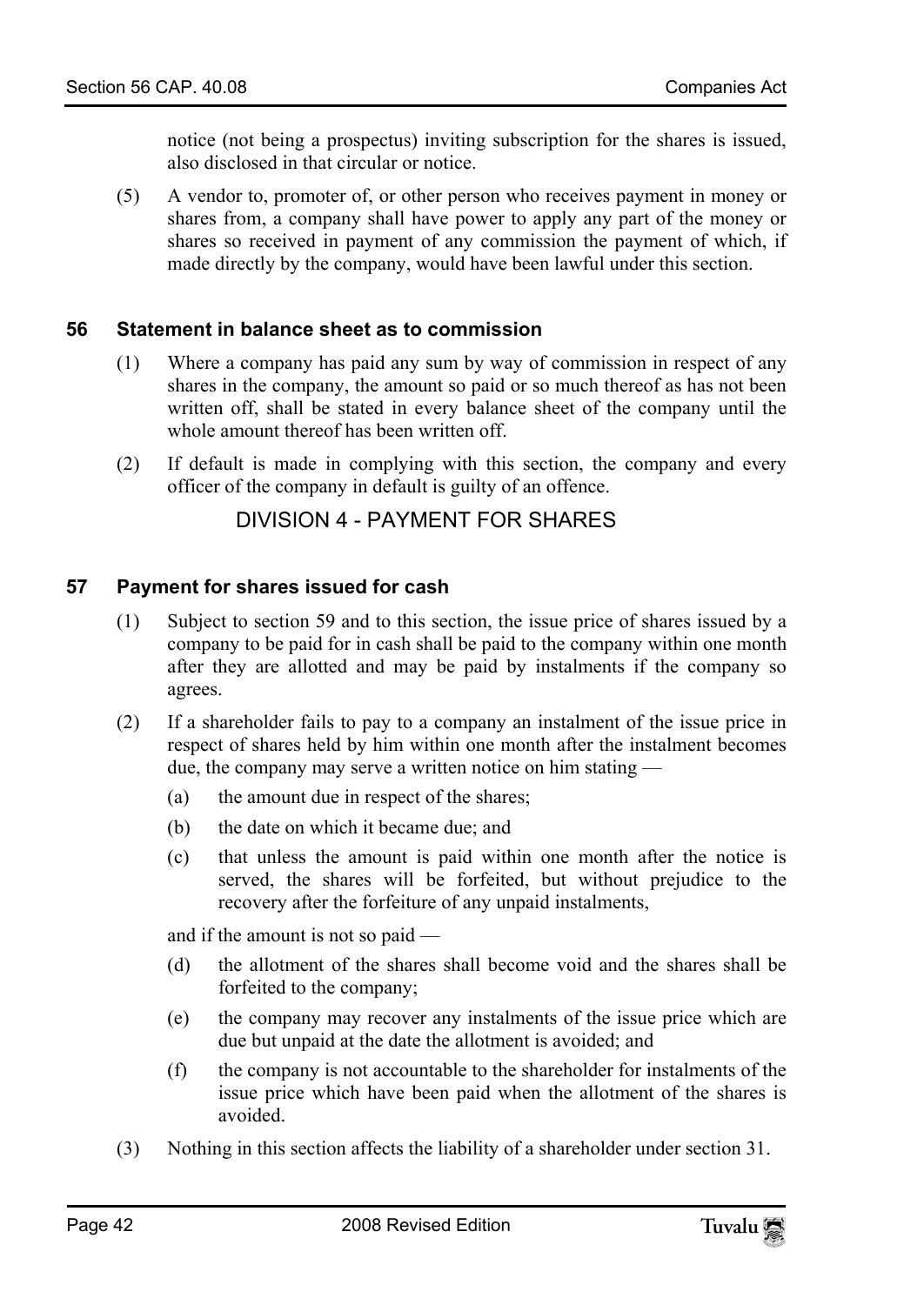notice (not being a prospectus) inviting subscription for the shares is issued, also disclosed in that circular or notice.

(5) A vendor to, promoter of, or other person who receives payment in money or shares from, a company shall have power to apply any part of the money or shares so received in payment of any commission the payment of which, if made directly by the company, would have been lawful under this section.

### **56 Statement in balance sheet as to commission**

- (1) Where a company has paid any sum by way of commission in respect of any shares in the company, the amount so paid or so much thereof as has not been written off, shall be stated in every balance sheet of the company until the whole amount thereof has been written off.
- (2) If default is made in complying with this section, the company and every officer of the company in default is guilty of an offence.

### DIVISION 4 - PAYMENT FOR SHARES

### **57 Payment for shares issued for cash**

- (1) Subject to section 59 and to this section, the issue price of shares issued by a company to be paid for in cash shall be paid to the company within one month after they are allotted and may be paid by instalments if the company so agrees.
- (2) If a shareholder fails to pay to a company an instalment of the issue price in respect of shares held by him within one month after the instalment becomes due, the company may serve a written notice on him stating —
	- (a) the amount due in respect of the shares;
	- (b) the date on which it became due; and
	- (c) that unless the amount is paid within one month after the notice is served, the shares will be forfeited, but without prejudice to the recovery after the forfeiture of any unpaid instalments,

and if the amount is not so paid —

- (d) the allotment of the shares shall become void and the shares shall be forfeited to the company;
- (e) the company may recover any instalments of the issue price which are due but unpaid at the date the allotment is avoided; and
- (f) the company is not accountable to the shareholder for instalments of the issue price which have been paid when the allotment of the shares is avoided.
- (3) Nothing in this section affects the liability of a shareholder under section 31.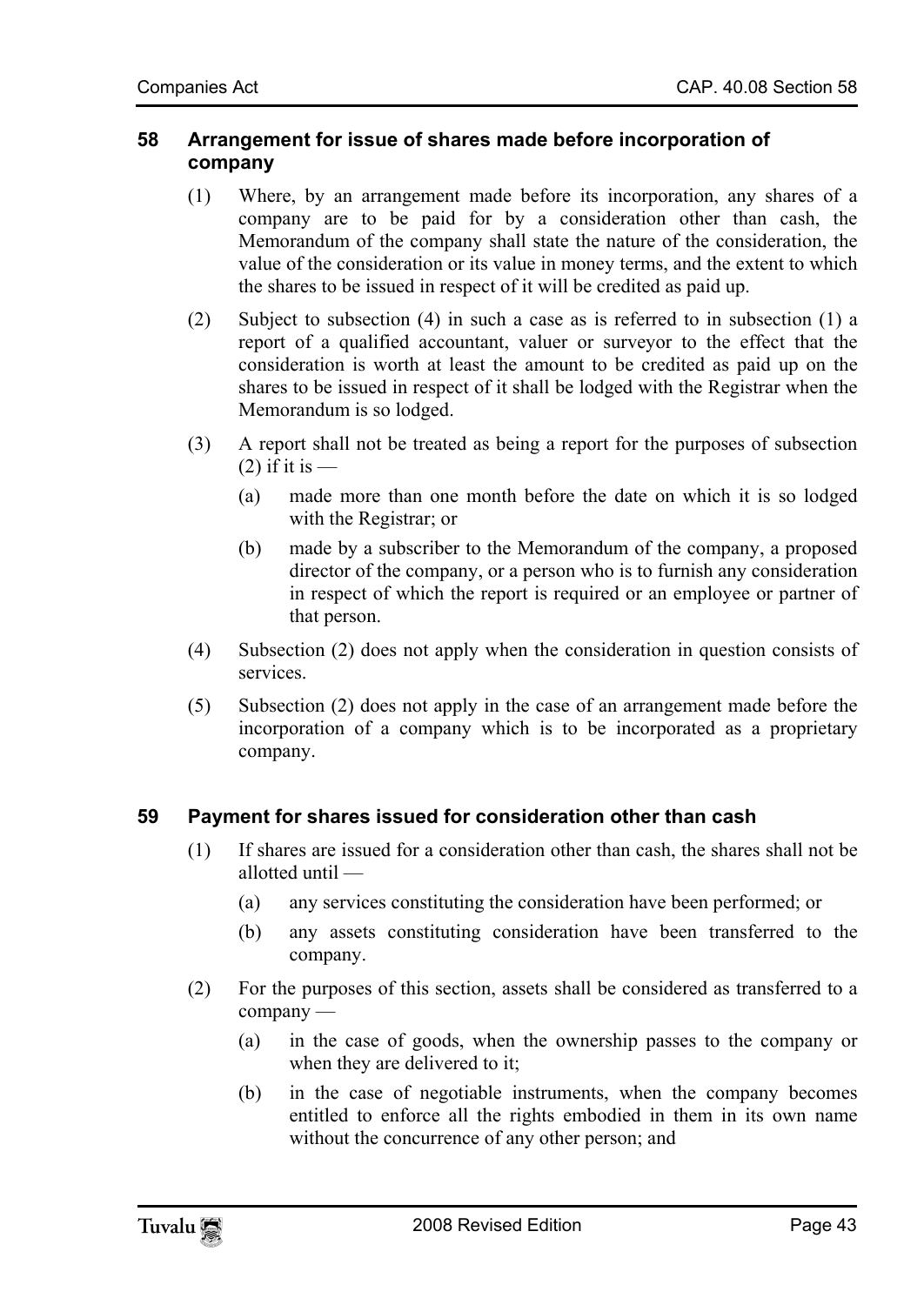### **58 Arrangement for issue of shares made before incorporation of company**

- (1) Where, by an arrangement made before its incorporation, any shares of a company are to be paid for by a consideration other than cash, the Memorandum of the company shall state the nature of the consideration, the value of the consideration or its value in money terms, and the extent to which the shares to be issued in respect of it will be credited as paid up.
- (2) Subject to subsection (4) in such a case as is referred to in subsection (1) a report of a qualified accountant, valuer or surveyor to the effect that the consideration is worth at least the amount to be credited as paid up on the shares to be issued in respect of it shall be lodged with the Registrar when the Memorandum is so lodged.
- (3) A report shall not be treated as being a report for the purposes of subsection  $(2)$  if it is —
	- (a) made more than one month before the date on which it is so lodged with the Registrar; or
	- (b) made by a subscriber to the Memorandum of the company, a proposed director of the company, or a person who is to furnish any consideration in respect of which the report is required or an employee or partner of that person.
- (4) Subsection (2) does not apply when the consideration in question consists of services.
- (5) Subsection (2) does not apply in the case of an arrangement made before the incorporation of a company which is to be incorporated as a proprietary company.

### **59 Payment for shares issued for consideration other than cash**

- (1) If shares are issued for a consideration other than cash, the shares shall not be allotted until —
	- (a) any services constituting the consideration have been performed; or
	- (b) any assets constituting consideration have been transferred to the company.
- (2) For the purposes of this section, assets shall be considered as transferred to a company —
	- (a) in the case of goods, when the ownership passes to the company or when they are delivered to it;
	- (b) in the case of negotiable instruments, when the company becomes entitled to enforce all the rights embodied in them in its own name without the concurrence of any other person; and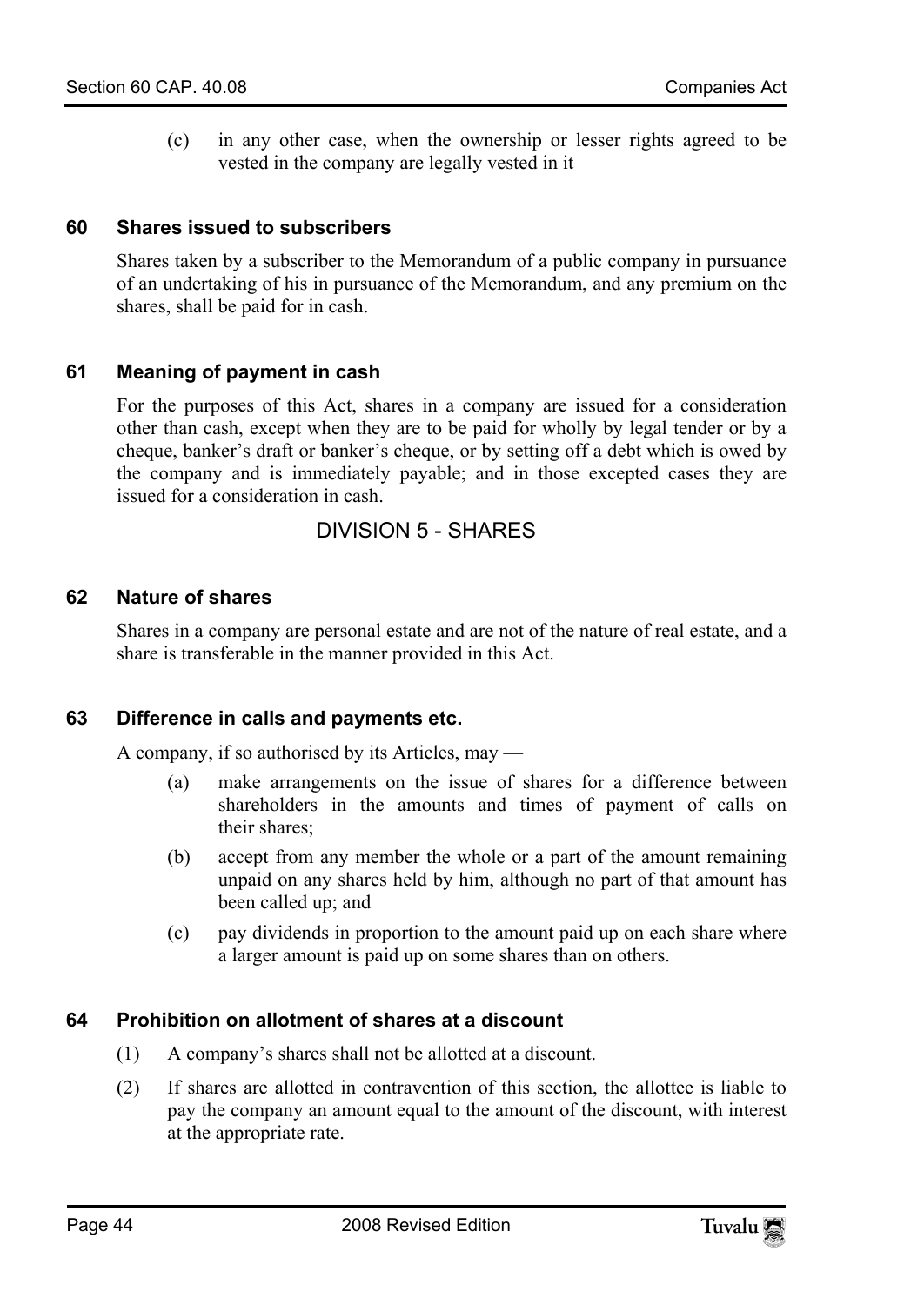(c) in any other case, when the ownership or lesser rights agreed to be vested in the company are legally vested in it

### **60 Shares issued to subscribers**

Shares taken by a subscriber to the Memorandum of a public company in pursuance of an undertaking of his in pursuance of the Memorandum, and any premium on the shares, shall be paid for in cash.

### **61 Meaning of payment in cash**

For the purposes of this Act, shares in a company are issued for a consideration other than cash, except when they are to be paid for wholly by legal tender or by a cheque, banker's draft or banker's cheque, or by setting off a debt which is owed by the company and is immediately payable; and in those excepted cases they are issued for a consideration in cash.

# DIVISION 5 - SHARES

### **62 Nature of shares**

Shares in a company are personal estate and are not of the nature of real estate, and a share is transferable in the manner provided in this Act.

#### **63 Difference in calls and payments etc.**

A company, if so authorised by its Articles, may —

- (a) make arrangements on the issue of shares for a difference between shareholders in the amounts and times of payment of calls on their shares;
- (b) accept from any member the whole or a part of the amount remaining unpaid on any shares held by him, although no part of that amount has been called up; and
- (c) pay dividends in proportion to the amount paid up on each share where a larger amount is paid up on some shares than on others.

#### **64 Prohibition on allotment of shares at a discount**

- (1) A company's shares shall not be allotted at a discount.
- (2) If shares are allotted in contravention of this section, the allottee is liable to pay the company an amount equal to the amount of the discount, with interest at the appropriate rate.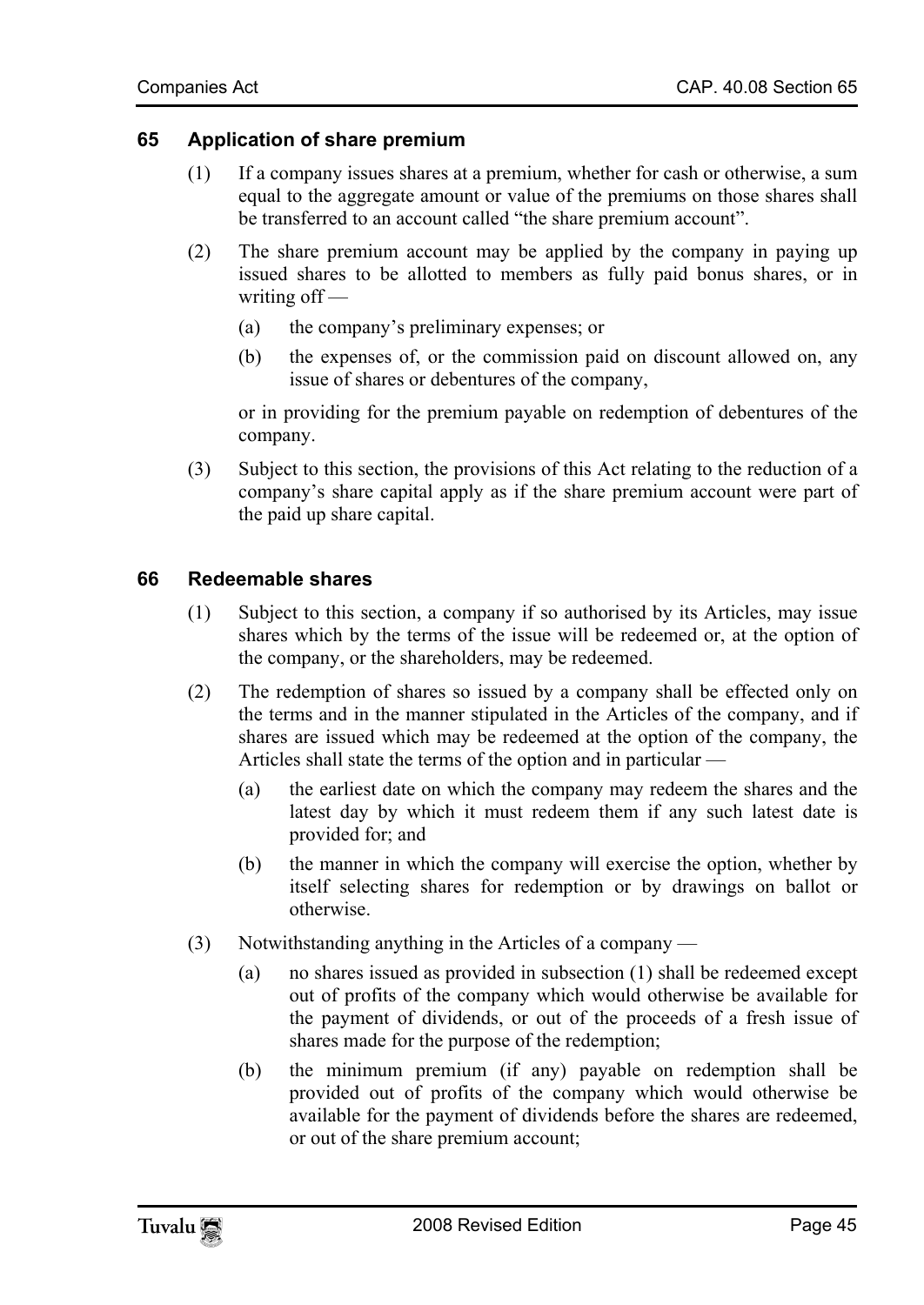#### **65 Application of share premium**

- (1) If a company issues shares at a premium, whether for cash or otherwise, a sum equal to the aggregate amount or value of the premiums on those shares shall be transferred to an account called "the share premium account".
- (2) The share premium account may be applied by the company in paying up issued shares to be allotted to members as fully paid bonus shares, or in writing off —
	- (a) the company's preliminary expenses; or
	- (b) the expenses of, or the commission paid on discount allowed on, any issue of shares or debentures of the company,

or in providing for the premium payable on redemption of debentures of the company.

(3) Subject to this section, the provisions of this Act relating to the reduction of a company's share capital apply as if the share premium account were part of the paid up share capital.

#### **66 Redeemable shares**

- (1) Subject to this section, a company if so authorised by its Articles, may issue shares which by the terms of the issue will be redeemed or, at the option of the company, or the shareholders, may be redeemed.
- (2) The redemption of shares so issued by a company shall be effected only on the terms and in the manner stipulated in the Articles of the company, and if shares are issued which may be redeemed at the option of the company, the Articles shall state the terms of the option and in particular —
	- (a) the earliest date on which the company may redeem the shares and the latest day by which it must redeem them if any such latest date is provided for; and
	- (b) the manner in which the company will exercise the option, whether by itself selecting shares for redemption or by drawings on ballot or otherwise.
- (3) Notwithstanding anything in the Articles of a company
	- (a) no shares issued as provided in subsection (1) shall be redeemed except out of profits of the company which would otherwise be available for the payment of dividends, or out of the proceeds of a fresh issue of shares made for the purpose of the redemption;
	- (b) the minimum premium (if any) payable on redemption shall be provided out of profits of the company which would otherwise be available for the payment of dividends before the shares are redeemed, or out of the share premium account;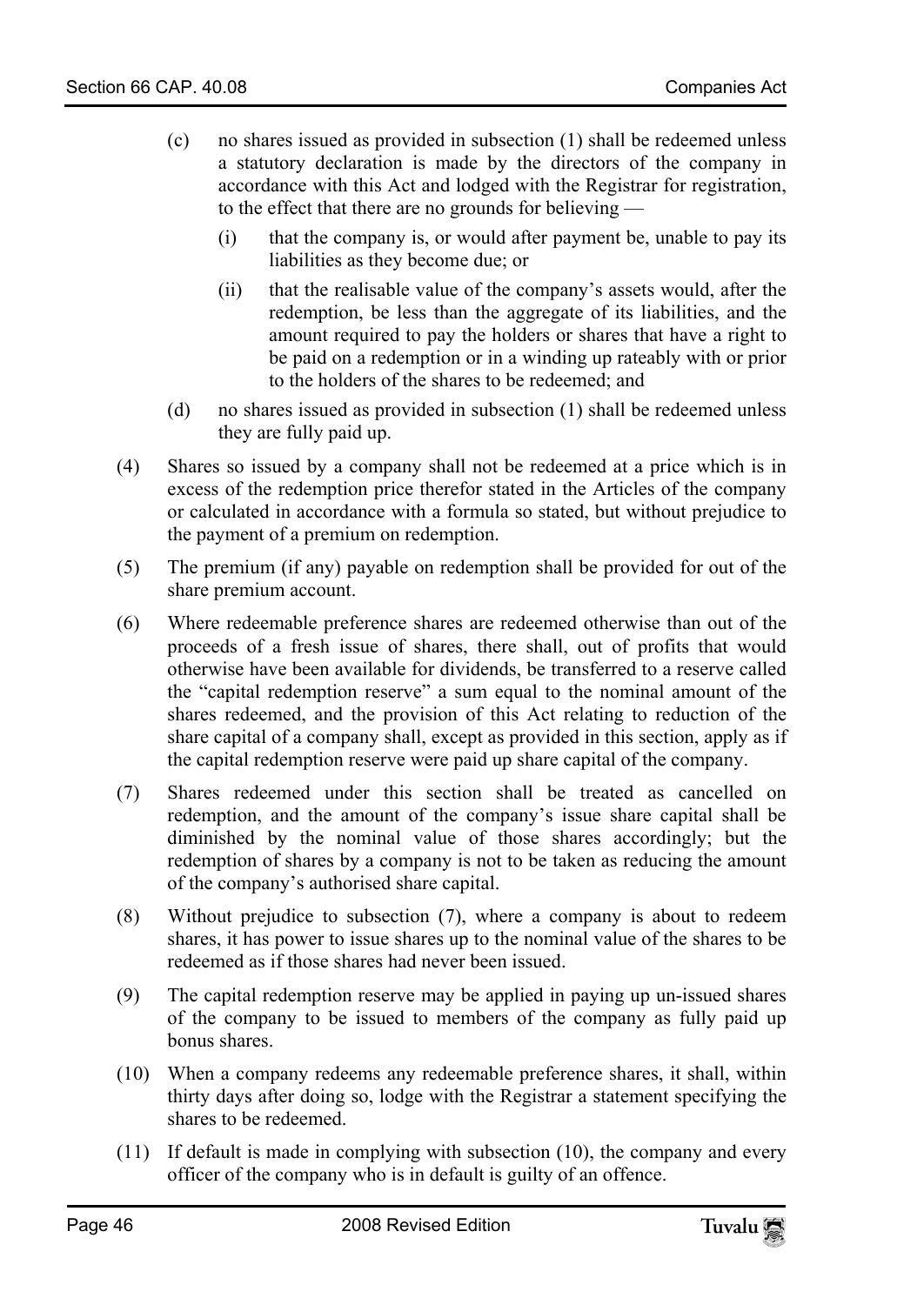- (c) no shares issued as provided in subsection (1) shall be redeemed unless a statutory declaration is made by the directors of the company in accordance with this Act and lodged with the Registrar for registration, to the effect that there are no grounds for believing —
	- (i) that the company is, or would after payment be, unable to pay its liabilities as they become due; or
	- (ii) that the realisable value of the company's assets would, after the redemption, be less than the aggregate of its liabilities, and the amount required to pay the holders or shares that have a right to be paid on a redemption or in a winding up rateably with or prior to the holders of the shares to be redeemed; and
- (d) no shares issued as provided in subsection (1) shall be redeemed unless they are fully paid up.
- (4) Shares so issued by a company shall not be redeemed at a price which is in excess of the redemption price therefor stated in the Articles of the company or calculated in accordance with a formula so stated, but without prejudice to the payment of a premium on redemption.
- (5) The premium (if any) payable on redemption shall be provided for out of the share premium account.
- (6) Where redeemable preference shares are redeemed otherwise than out of the proceeds of a fresh issue of shares, there shall, out of profits that would otherwise have been available for dividends, be transferred to a reserve called the "capital redemption reserve" a sum equal to the nominal amount of the shares redeemed, and the provision of this Act relating to reduction of the share capital of a company shall, except as provided in this section, apply as if the capital redemption reserve were paid up share capital of the company.
- (7) Shares redeemed under this section shall be treated as cancelled on redemption, and the amount of the company's issue share capital shall be diminished by the nominal value of those shares accordingly; but the redemption of shares by a company is not to be taken as reducing the amount of the company's authorised share capital.
- (8) Without prejudice to subsection (7), where a company is about to redeem shares, it has power to issue shares up to the nominal value of the shares to be redeemed as if those shares had never been issued.
- (9) The capital redemption reserve may be applied in paying up un-issued shares of the company to be issued to members of the company as fully paid up bonus shares.
- (10) When a company redeems any redeemable preference shares, it shall, within thirty days after doing so, lodge with the Registrar a statement specifying the shares to be redeemed.
- (11) If default is made in complying with subsection (10), the company and every officer of the company who is in default is guilty of an offence.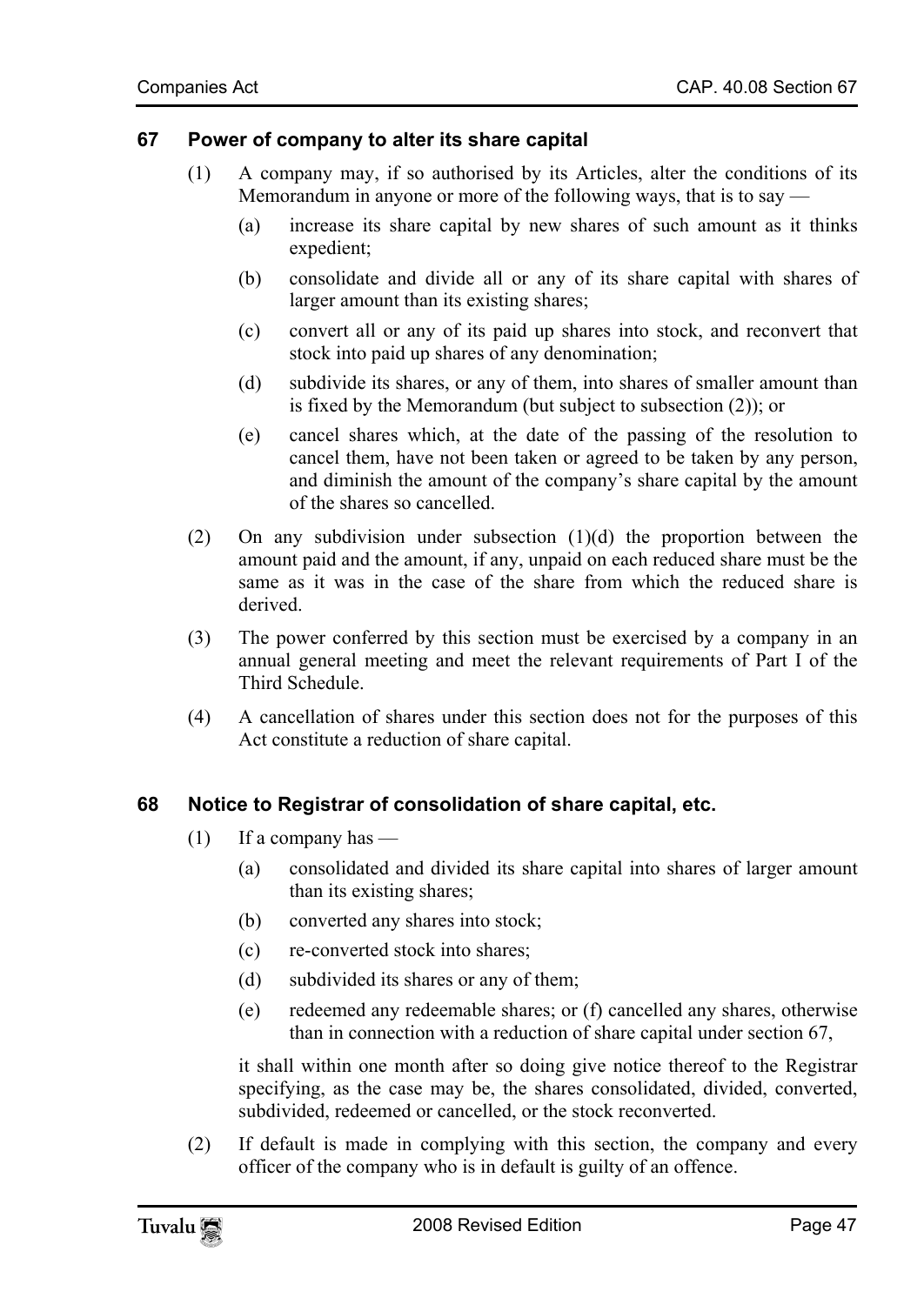#### **67 Power of company to alter its share capital**

- (1) A company may, if so authorised by its Articles, alter the conditions of its Memorandum in anyone or more of the following ways, that is to say —
	- (a) increase its share capital by new shares of such amount as it thinks expedient;
	- (b) consolidate and divide all or any of its share capital with shares of larger amount than its existing shares;
	- (c) convert all or any of its paid up shares into stock, and reconvert that stock into paid up shares of any denomination;
	- (d) subdivide its shares, or any of them, into shares of smaller amount than is fixed by the Memorandum (but subject to subsection (2)); or
	- (e) cancel shares which, at the date of the passing of the resolution to cancel them, have not been taken or agreed to be taken by any person, and diminish the amount of the company's share capital by the amount of the shares so cancelled.
- (2) On any subdivision under subsection (1)(d) the proportion between the amount paid and the amount, if any, unpaid on each reduced share must be the same as it was in the case of the share from which the reduced share is derived.
- (3) The power conferred by this section must be exercised by a company in an annual general meeting and meet the relevant requirements of Part I of the Third Schedule.
- (4) A cancellation of shares under this section does not for the purposes of this Act constitute a reduction of share capital.

#### **68 Notice to Registrar of consolidation of share capital, etc.**

- $(1)$  If a company has
	- (a) consolidated and divided its share capital into shares of larger amount than its existing shares;
	- (b) converted any shares into stock;
	- (c) re-converted stock into shares;
	- (d) subdivided its shares or any of them;
	- (e) redeemed any redeemable shares; or (f) cancelled any shares, otherwise than in connection with a reduction of share capital under section 67,

it shall within one month after so doing give notice thereof to the Registrar specifying, as the case may be, the shares consolidated, divided, converted, subdivided, redeemed or cancelled, or the stock reconverted.

(2) If default is made in complying with this section, the company and every officer of the company who is in default is guilty of an offence.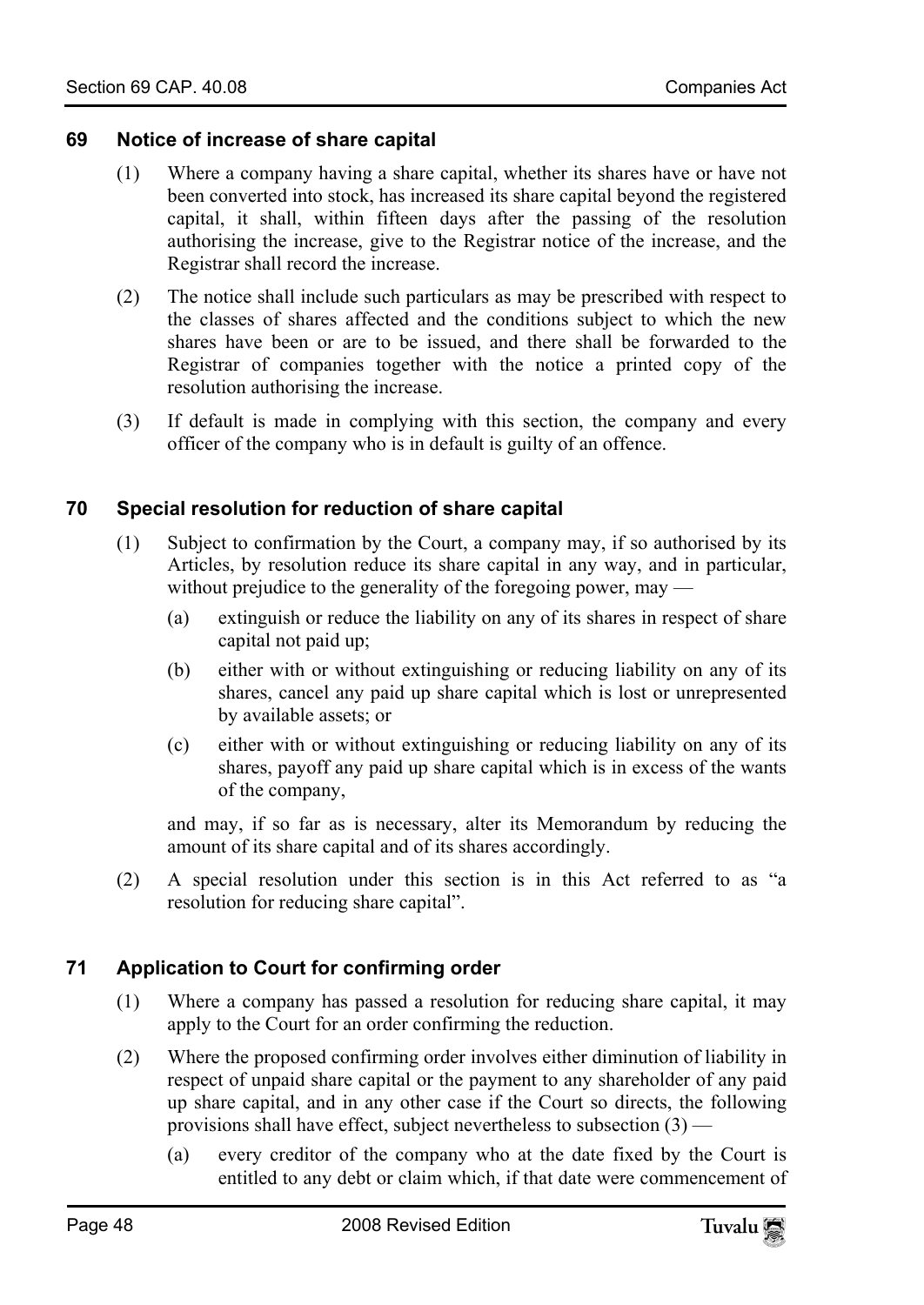#### **69 Notice of increase of share capital**

- (1) Where a company having a share capital, whether its shares have or have not been converted into stock, has increased its share capital beyond the registered capital, it shall, within fifteen days after the passing of the resolution authorising the increase, give to the Registrar notice of the increase, and the Registrar shall record the increase.
- (2) The notice shall include such particulars as may be prescribed with respect to the classes of shares affected and the conditions subject to which the new shares have been or are to be issued, and there shall be forwarded to the Registrar of companies together with the notice a printed copy of the resolution authorising the increase.
- (3) If default is made in complying with this section, the company and every officer of the company who is in default is guilty of an offence.

### **70 Special resolution for reduction of share capital**

- (1) Subject to confirmation by the Court, a company may, if so authorised by its Articles, by resolution reduce its share capital in any way, and in particular, without prejudice to the generality of the foregoing power, may -
	- (a) extinguish or reduce the liability on any of its shares in respect of share capital not paid up;
	- (b) either with or without extinguishing or reducing liability on any of its shares, cancel any paid up share capital which is lost or unrepresented by available assets; or
	- (c) either with or without extinguishing or reducing liability on any of its shares, payoff any paid up share capital which is in excess of the wants of the company,

and may, if so far as is necessary, alter its Memorandum by reducing the amount of its share capital and of its shares accordingly.

(2) A special resolution under this section is in this Act referred to as "a resolution for reducing share capital".

### **71 Application to Court for confirming order**

- (1) Where a company has passed a resolution for reducing share capital, it may apply to the Court for an order confirming the reduction.
- (2) Where the proposed confirming order involves either diminution of liability in respect of unpaid share capital or the payment to any shareholder of any paid up share capital, and in any other case if the Court so directs, the following provisions shall have effect, subject nevertheless to subsection (3) —
	- (a) every creditor of the company who at the date fixed by the Court is entitled to any debt or claim which, if that date were commencement of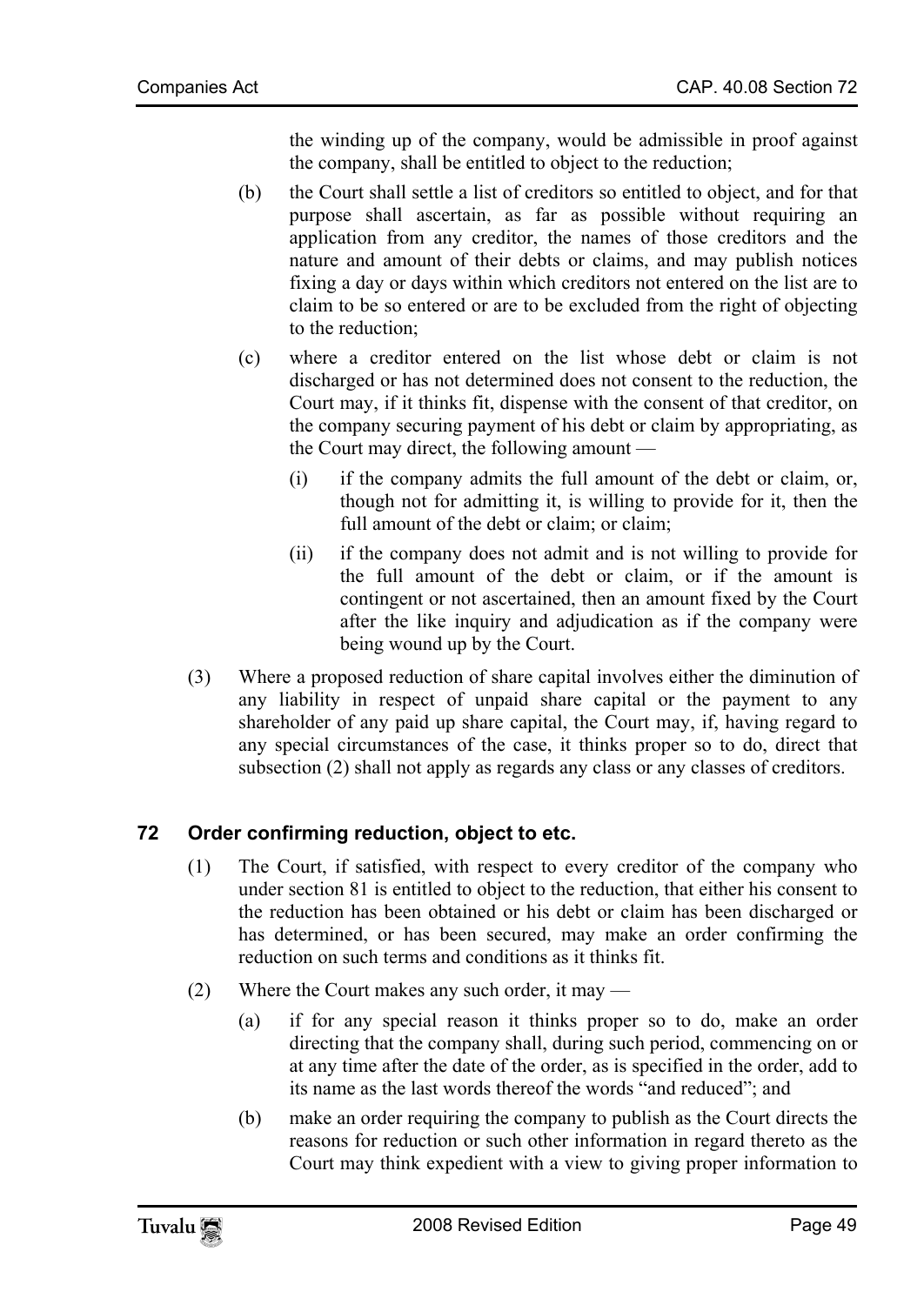the winding up of the company, would be admissible in proof against the company, shall be entitled to object to the reduction;

- (b) the Court shall settle a list of creditors so entitled to object, and for that purpose shall ascertain, as far as possible without requiring an application from any creditor, the names of those creditors and the nature and amount of their debts or claims, and may publish notices fixing a day or days within which creditors not entered on the list are to claim to be so entered or are to be excluded from the right of objecting to the reduction;
- (c) where a creditor entered on the list whose debt or claim is not discharged or has not determined does not consent to the reduction, the Court may, if it thinks fit, dispense with the consent of that creditor, on the company securing payment of his debt or claim by appropriating, as the Court may direct, the following amount —
	- (i) if the company admits the full amount of the debt or claim, or, though not for admitting it, is willing to provide for it, then the full amount of the debt or claim; or claim;
	- (ii) if the company does not admit and is not willing to provide for the full amount of the debt or claim, or if the amount is contingent or not ascertained, then an amount fixed by the Court after the like inquiry and adjudication as if the company were being wound up by the Court.
- (3) Where a proposed reduction of share capital involves either the diminution of any liability in respect of unpaid share capital or the payment to any shareholder of any paid up share capital, the Court may, if, having regard to any special circumstances of the case, it thinks proper so to do, direct that subsection (2) shall not apply as regards any class or any classes of creditors.

### **72 Order confirming reduction, object to etc.**

- (1) The Court, if satisfied, with respect to every creditor of the company who under section 81 is entitled to object to the reduction, that either his consent to the reduction has been obtained or his debt or claim has been discharged or has determined, or has been secured, may make an order confirming the reduction on such terms and conditions as it thinks fit.
- (2) Where the Court makes any such order, it may
	- (a) if for any special reason it thinks proper so to do, make an order directing that the company shall, during such period, commencing on or at any time after the date of the order, as is specified in the order, add to its name as the last words thereof the words "and reduced"; and
	- (b) make an order requiring the company to publish as the Court directs the reasons for reduction or such other information in regard thereto as the Court may think expedient with a view to giving proper information to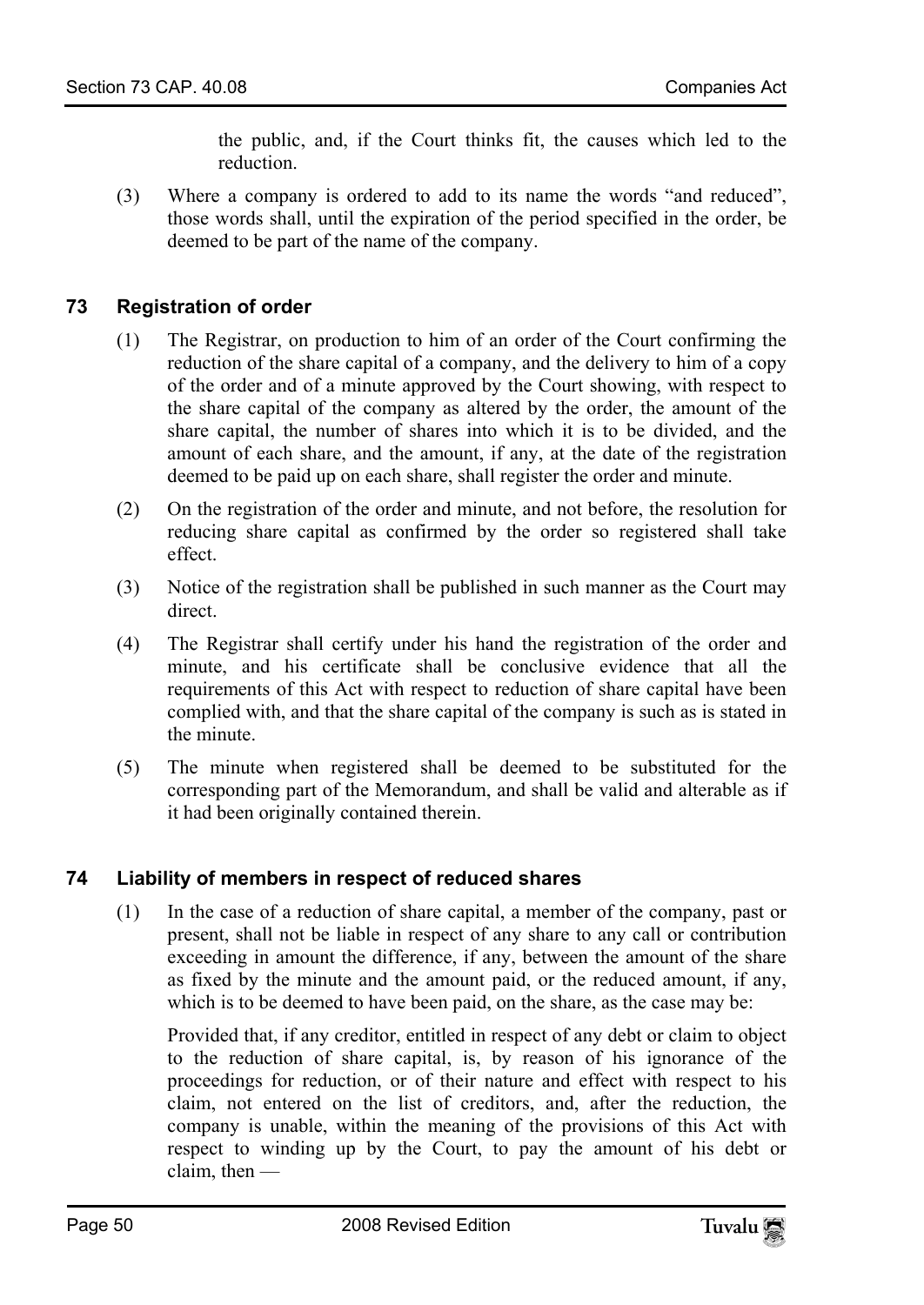the public, and, if the Court thinks fit, the causes which led to the reduction.

(3) Where a company is ordered to add to its name the words "and reduced", those words shall, until the expiration of the period specified in the order, be deemed to be part of the name of the company.

### **73 Registration of order**

- (1) The Registrar, on production to him of an order of the Court confirming the reduction of the share capital of a company, and the delivery to him of a copy of the order and of a minute approved by the Court showing, with respect to the share capital of the company as altered by the order, the amount of the share capital, the number of shares into which it is to be divided, and the amount of each share, and the amount, if any, at the date of the registration deemed to be paid up on each share, shall register the order and minute.
- (2) On the registration of the order and minute, and not before, the resolution for reducing share capital as confirmed by the order so registered shall take effect.
- (3) Notice of the registration shall be published in such manner as the Court may direct.
- (4) The Registrar shall certify under his hand the registration of the order and minute, and his certificate shall be conclusive evidence that all the requirements of this Act with respect to reduction of share capital have been complied with, and that the share capital of the company is such as is stated in the minute.
- (5) The minute when registered shall be deemed to be substituted for the corresponding part of the Memorandum, and shall be valid and alterable as if it had been originally contained therein.

#### **74 Liability of members in respect of reduced shares**

(1) In the case of a reduction of share capital, a member of the company, past or present, shall not be liable in respect of any share to any call or contribution exceeding in amount the difference, if any, between the amount of the share as fixed by the minute and the amount paid, or the reduced amount, if any, which is to be deemed to have been paid, on the share, as the case may be:

Provided that, if any creditor, entitled in respect of any debt or claim to object to the reduction of share capital, is, by reason of his ignorance of the proceedings for reduction, or of their nature and effect with respect to his claim, not entered on the list of creditors, and, after the reduction, the company is unable, within the meaning of the provisions of this Act with respect to winding up by the Court, to pay the amount of his debt or claim, then —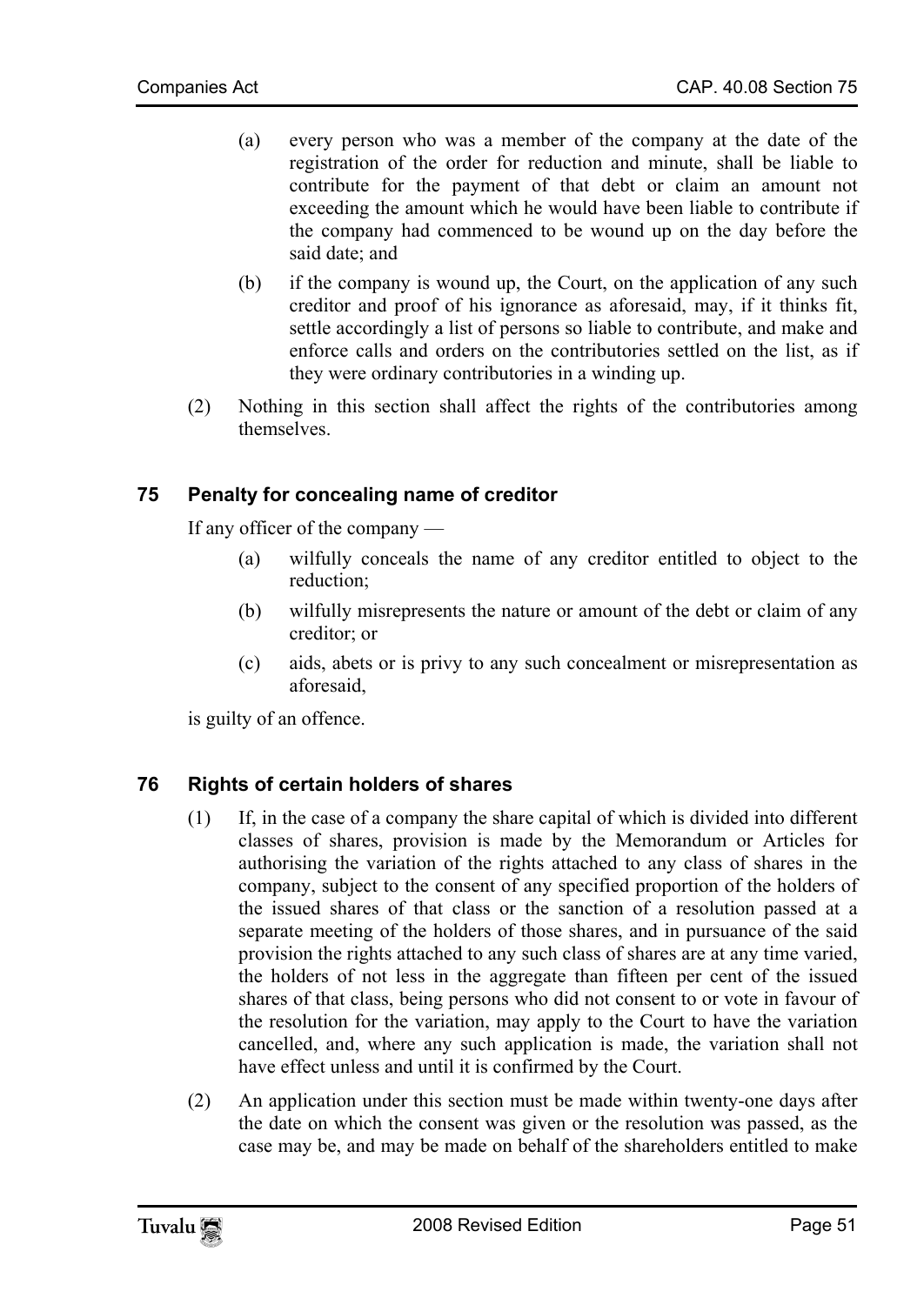- (a) every person who was a member of the company at the date of the registration of the order for reduction and minute, shall be liable to contribute for the payment of that debt or claim an amount not exceeding the amount which he would have been liable to contribute if the company had commenced to be wound up on the day before the said date; and
- (b) if the company is wound up, the Court, on the application of any such creditor and proof of his ignorance as aforesaid, may, if it thinks fit, settle accordingly a list of persons so liable to contribute, and make and enforce calls and orders on the contributories settled on the list, as if they were ordinary contributories in a winding up.
- (2) Nothing in this section shall affect the rights of the contributories among themselves.

### **75 Penalty for concealing name of creditor**

If any officer of the company —

- (a) wilfully conceals the name of any creditor entitled to object to the reduction;
- (b) wilfully misrepresents the nature or amount of the debt or claim of any creditor; or
- (c) aids, abets or is privy to any such concealment or misrepresentation as aforesaid,

is guilty of an offence.

#### **76 Rights of certain holders of shares**

- (1) If, in the case of a company the share capital of which is divided into different classes of shares, provision is made by the Memorandum or Articles for authorising the variation of the rights attached to any class of shares in the company, subject to the consent of any specified proportion of the holders of the issued shares of that class or the sanction of a resolution passed at a separate meeting of the holders of those shares, and in pursuance of the said provision the rights attached to any such class of shares are at any time varied, the holders of not less in the aggregate than fifteen per cent of the issued shares of that class, being persons who did not consent to or vote in favour of the resolution for the variation, may apply to the Court to have the variation cancelled, and, where any such application is made, the variation shall not have effect unless and until it is confirmed by the Court.
- (2) An application under this section must be made within twenty-one days after the date on which the consent was given or the resolution was passed, as the case may be, and may be made on behalf of the shareholders entitled to make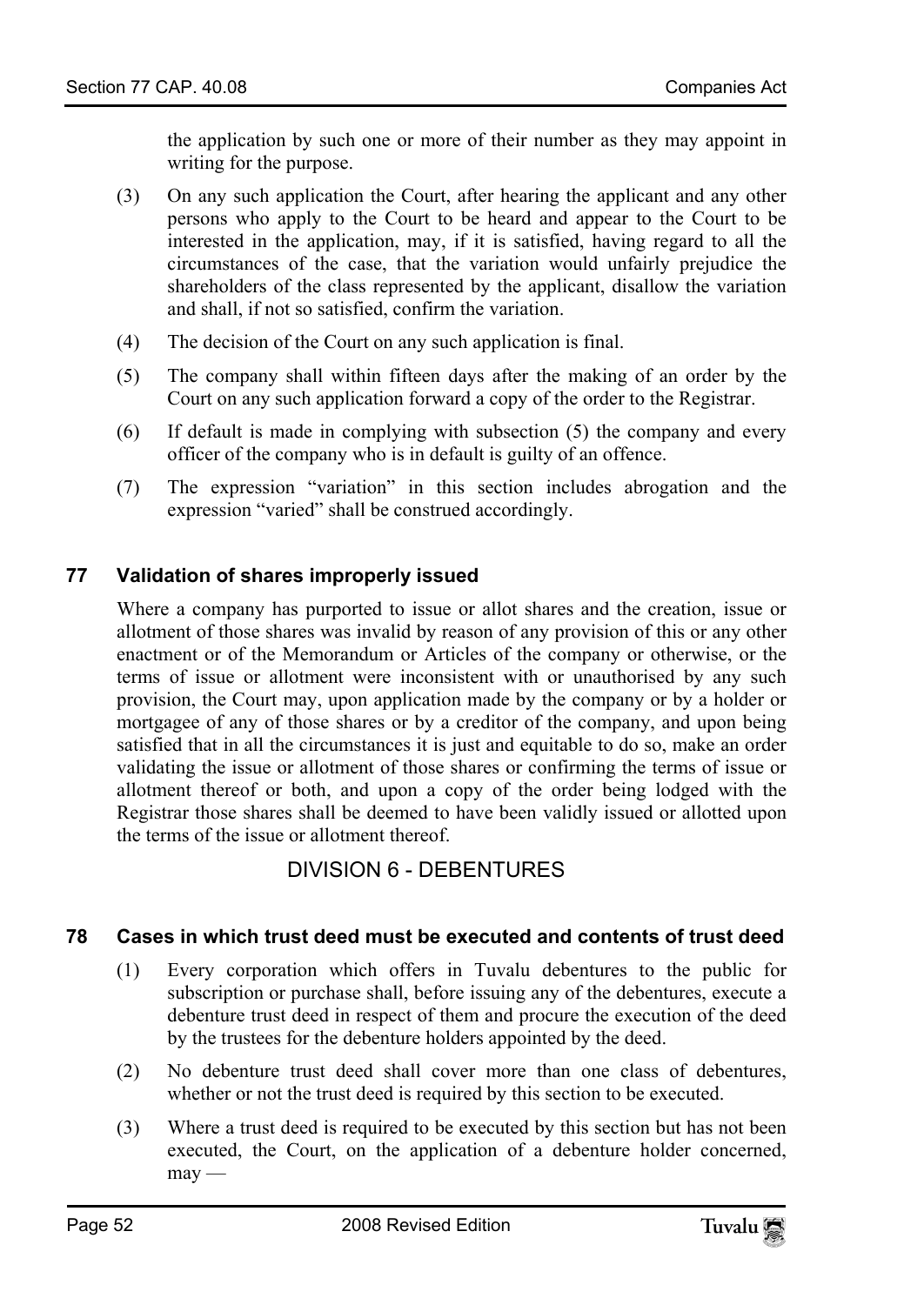the application by such one or more of their number as they may appoint in writing for the purpose.

- (3) On any such application the Court, after hearing the applicant and any other persons who apply to the Court to be heard and appear to the Court to be interested in the application, may, if it is satisfied, having regard to all the circumstances of the case, that the variation would unfairly prejudice the shareholders of the class represented by the applicant, disallow the variation and shall, if not so satisfied, confirm the variation.
- (4) The decision of the Court on any such application is final.
- (5) The company shall within fifteen days after the making of an order by the Court on any such application forward a copy of the order to the Registrar.
- (6) If default is made in complying with subsection (5) the company and every officer of the company who is in default is guilty of an offence.
- (7) The expression "variation" in this section includes abrogation and the expression "varied" shall be construed accordingly.

# **77 Validation of shares improperly issued**

Where a company has purported to issue or allot shares and the creation, issue or allotment of those shares was invalid by reason of any provision of this or any other enactment or of the Memorandum or Articles of the company or otherwise, or the terms of issue or allotment were inconsistent with or unauthorised by any such provision, the Court may, upon application made by the company or by a holder or mortgagee of any of those shares or by a creditor of the company, and upon being satisfied that in all the circumstances it is just and equitable to do so, make an order validating the issue or allotment of those shares or confirming the terms of issue or allotment thereof or both, and upon a copy of the order being lodged with the Registrar those shares shall be deemed to have been validly issued or allotted upon the terms of the issue or allotment thereof.

# DIVISION 6 - DEBENTURES

### **78 Cases in which trust deed must be executed and contents of trust deed**

- (1) Every corporation which offers in Tuvalu debentures to the public for subscription or purchase shall, before issuing any of the debentures, execute a debenture trust deed in respect of them and procure the execution of the deed by the trustees for the debenture holders appointed by the deed.
- (2) No debenture trust deed shall cover more than one class of debentures, whether or not the trust deed is required by this section to be executed.
- (3) Where a trust deed is required to be executed by this section but has not been executed, the Court, on the application of a debenture holder concerned,  $may -$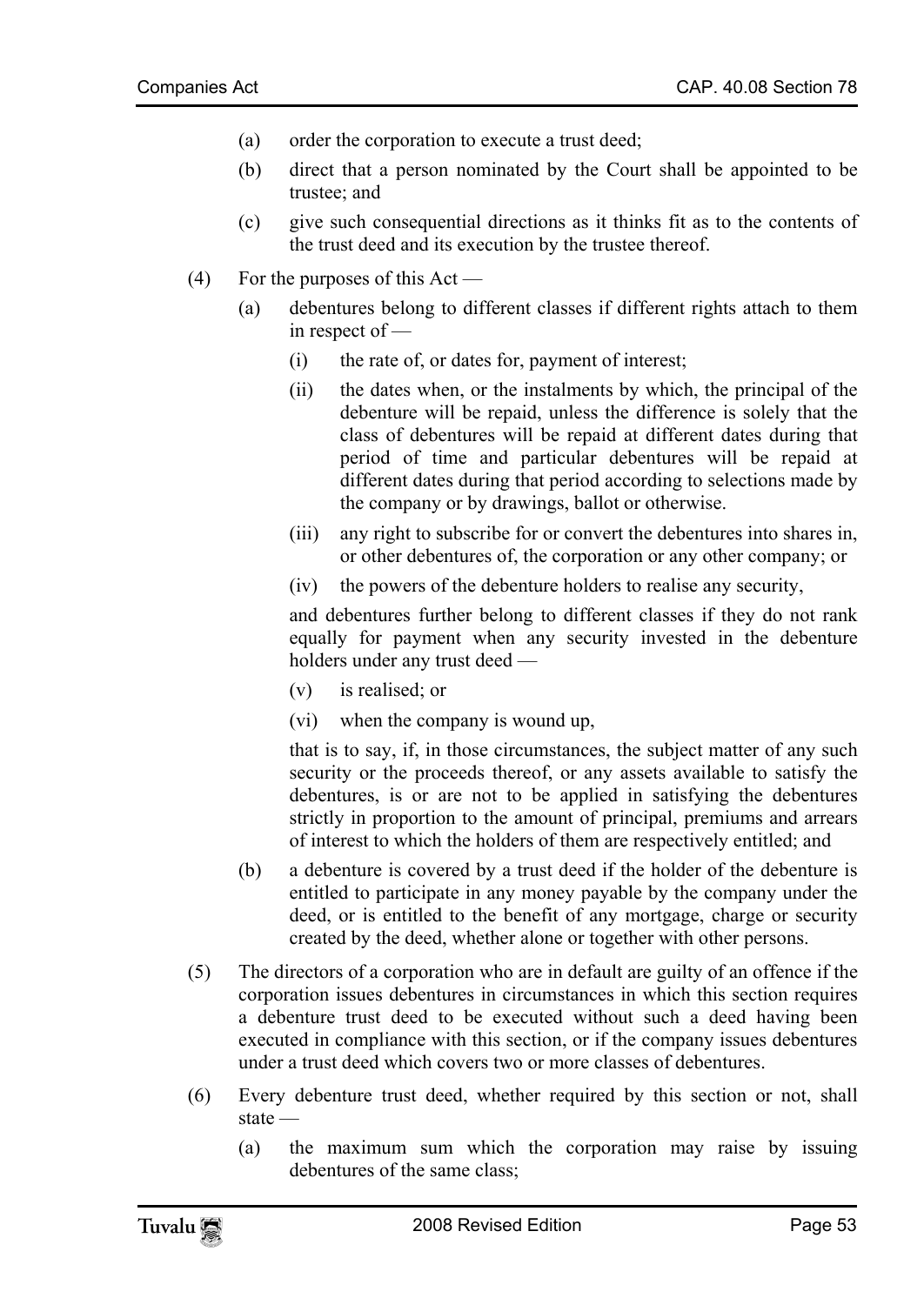- (a) order the corporation to execute a trust deed;
- (b) direct that a person nominated by the Court shall be appointed to be trustee; and
- (c) give such consequential directions as it thinks fit as to the contents of the trust deed and its execution by the trustee thereof.
- (4) For the purposes of this Act
	- (a) debentures belong to different classes if different rights attach to them in respect of —
		- (i) the rate of, or dates for, payment of interest;
		- (ii) the dates when, or the instalments by which, the principal of the debenture will be repaid, unless the difference is solely that the class of debentures will be repaid at different dates during that period of time and particular debentures will be repaid at different dates during that period according to selections made by the company or by drawings, ballot or otherwise.
		- (iii) any right to subscribe for or convert the debentures into shares in, or other debentures of, the corporation or any other company; or
		- (iv) the powers of the debenture holders to realise any security,

and debentures further belong to different classes if they do not rank equally for payment when any security invested in the debenture holders under any trust deed —

- (v) is realised; or
- (vi) when the company is wound up,

that is to say, if, in those circumstances, the subject matter of any such security or the proceeds thereof, or any assets available to satisfy the debentures, is or are not to be applied in satisfying the debentures strictly in proportion to the amount of principal, premiums and arrears of interest to which the holders of them are respectively entitled; and

- (b) a debenture is covered by a trust deed if the holder of the debenture is entitled to participate in any money payable by the company under the deed, or is entitled to the benefit of any mortgage, charge or security created by the deed, whether alone or together with other persons.
- (5) The directors of a corporation who are in default are guilty of an offence if the corporation issues debentures in circumstances in which this section requires a debenture trust deed to be executed without such a deed having been executed in compliance with this section, or if the company issues debentures under a trust deed which covers two or more classes of debentures.
- (6) Every debenture trust deed, whether required by this section or not, shall state —
	- (a) the maximum sum which the corporation may raise by issuing debentures of the same class;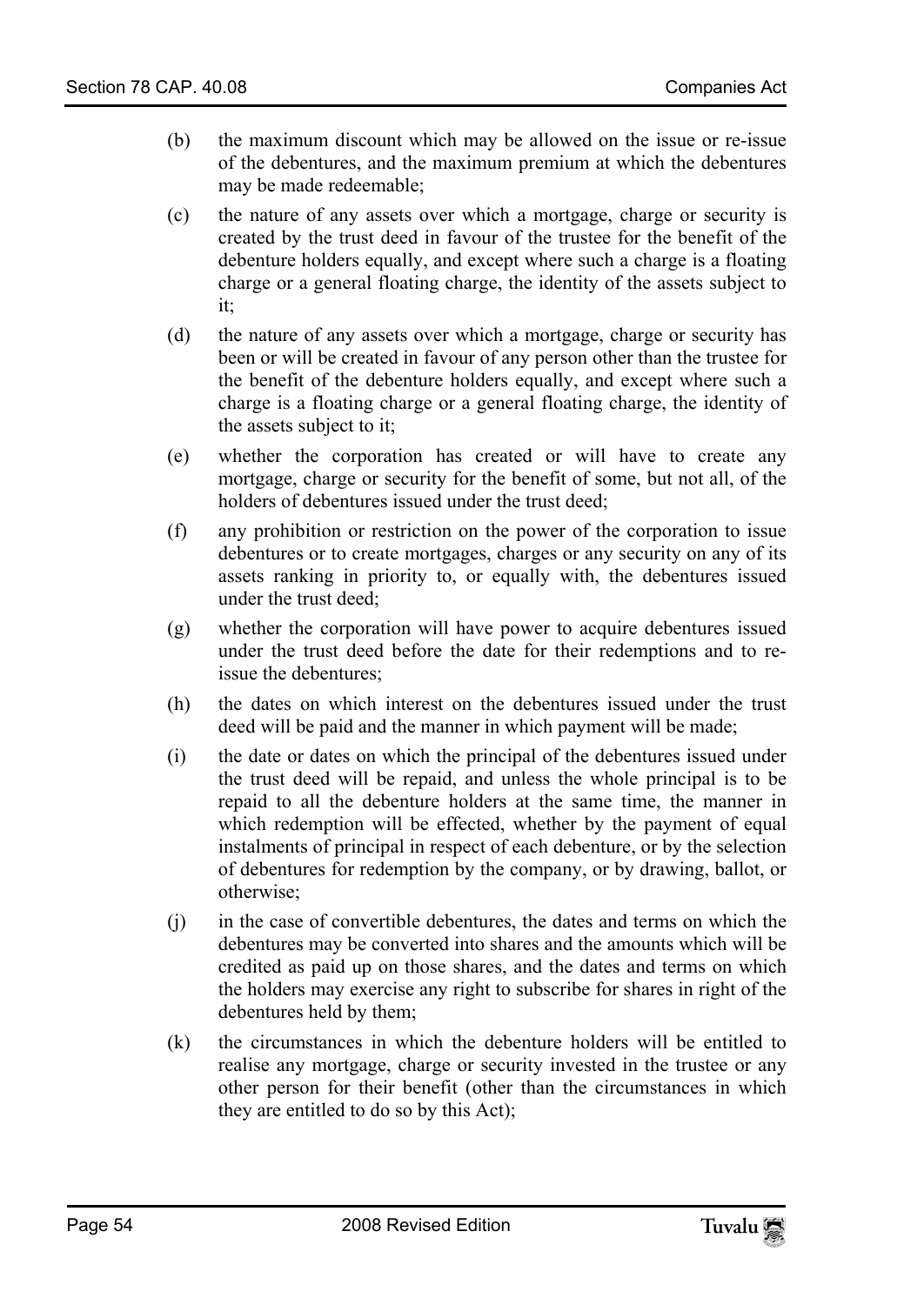- (b) the maximum discount which may be allowed on the issue or re-issue of the debentures, and the maximum premium at which the debentures may be made redeemable;
- (c) the nature of any assets over which a mortgage, charge or security is created by the trust deed in favour of the trustee for the benefit of the debenture holders equally, and except where such a charge is a floating charge or a general floating charge, the identity of the assets subject to it;
- (d) the nature of any assets over which a mortgage, charge or security has been or will be created in favour of any person other than the trustee for the benefit of the debenture holders equally, and except where such a charge is a floating charge or a general floating charge, the identity of the assets subject to it;
- (e) whether the corporation has created or will have to create any mortgage, charge or security for the benefit of some, but not all, of the holders of debentures issued under the trust deed;
- (f) any prohibition or restriction on the power of the corporation to issue debentures or to create mortgages, charges or any security on any of its assets ranking in priority to, or equally with, the debentures issued under the trust deed;
- (g) whether the corporation will have power to acquire debentures issued under the trust deed before the date for their redemptions and to reissue the debentures;
- (h) the dates on which interest on the debentures issued under the trust deed will be paid and the manner in which payment will be made;
- (i) the date or dates on which the principal of the debentures issued under the trust deed will be repaid, and unless the whole principal is to be repaid to all the debenture holders at the same time, the manner in which redemption will be effected, whether by the payment of equal instalments of principal in respect of each debenture, or by the selection of debentures for redemption by the company, or by drawing, ballot, or otherwise;
- (j) in the case of convertible debentures, the dates and terms on which the debentures may be converted into shares and the amounts which will be credited as paid up on those shares, and the dates and terms on which the holders may exercise any right to subscribe for shares in right of the debentures held by them;
- (k) the circumstances in which the debenture holders will be entitled to realise any mortgage, charge or security invested in the trustee or any other person for their benefit (other than the circumstances in which they are entitled to do so by this Act);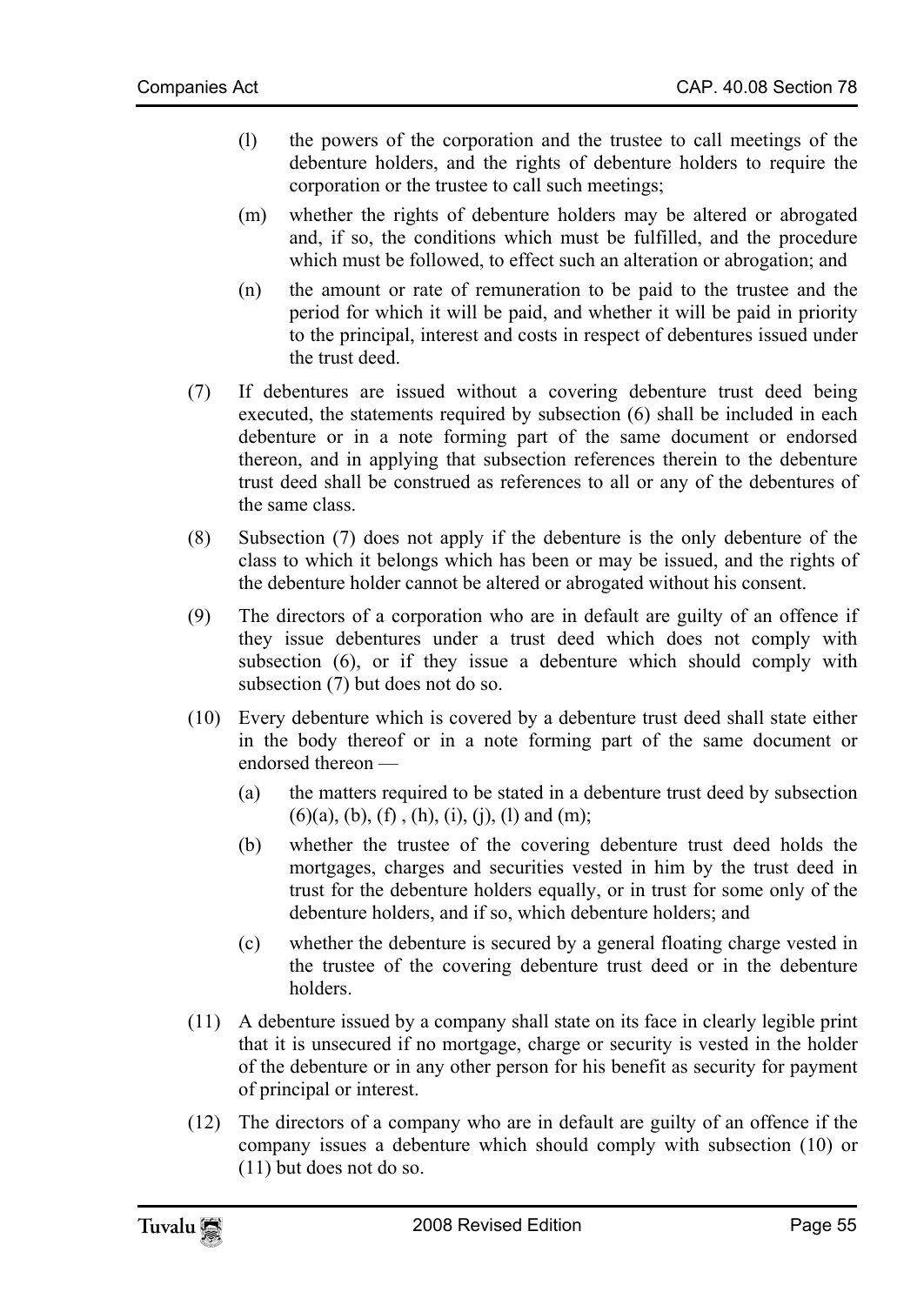- (l) the powers of the corporation and the trustee to call meetings of the debenture holders, and the rights of debenture holders to require the corporation or the trustee to call such meetings;
- (m) whether the rights of debenture holders may be altered or abrogated and, if so, the conditions which must be fulfilled, and the procedure which must be followed, to effect such an alteration or abrogation; and
- (n) the amount or rate of remuneration to be paid to the trustee and the period for which it will be paid, and whether it will be paid in priority to the principal, interest and costs in respect of debentures issued under the trust deed.
- (7) If debentures are issued without a covering debenture trust deed being executed, the statements required by subsection (6) shall be included in each debenture or in a note forming part of the same document or endorsed thereon, and in applying that subsection references therein to the debenture trust deed shall be construed as references to all or any of the debentures of the same class.
- (8) Subsection (7) does not apply if the debenture is the only debenture of the class to which it belongs which has been or may be issued, and the rights of the debenture holder cannot be altered or abrogated without his consent.
- (9) The directors of a corporation who are in default are guilty of an offence if they issue debentures under a trust deed which does not comply with subsection (6), or if they issue a debenture which should comply with subsection (7) but does not do so.
- (10) Every debenture which is covered by a debenture trust deed shall state either in the body thereof or in a note forming part of the same document or endorsed thereon —
	- (a) the matters required to be stated in a debenture trust deed by subsection  $(6)(a)$ ,  $(b)$ ,  $(f)$ ,  $(h)$ ,  $(i)$ ,  $(i)$ ,  $(l)$  and  $(m)$ ;
	- (b) whether the trustee of the covering debenture trust deed holds the mortgages, charges and securities vested in him by the trust deed in trust for the debenture holders equally, or in trust for some only of the debenture holders, and if so, which debenture holders; and
	- (c) whether the debenture is secured by a general floating charge vested in the trustee of the covering debenture trust deed or in the debenture holders.
- (11) A debenture issued by a company shall state on its face in clearly legible print that it is unsecured if no mortgage, charge or security is vested in the holder of the debenture or in any other person for his benefit as security for payment of principal or interest.
- (12) The directors of a company who are in default are guilty of an offence if the company issues a debenture which should comply with subsection (10) or (11) but does not do so.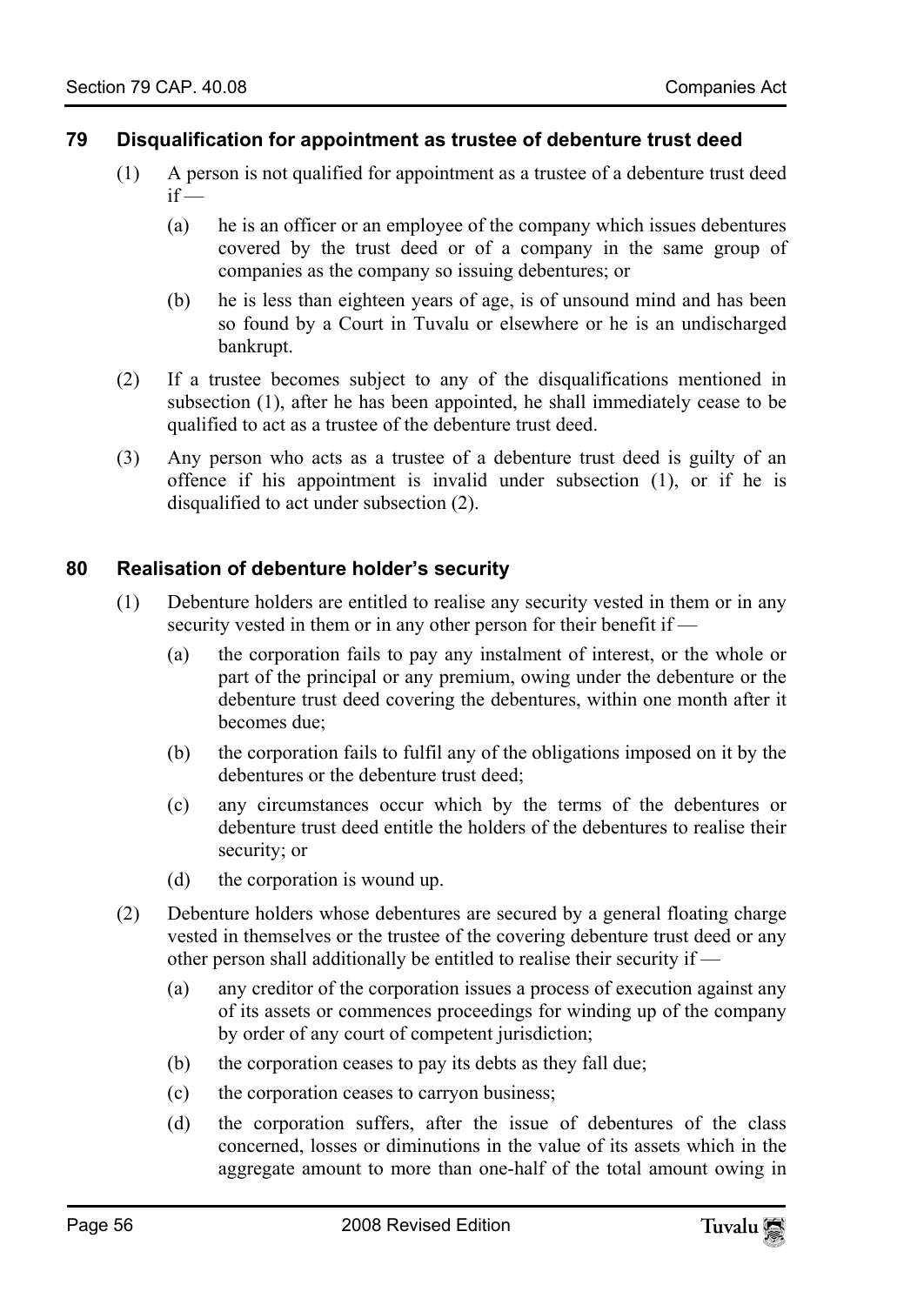#### **79 Disqualification for appointment as trustee of debenture trust deed**

- (1) A person is not qualified for appointment as a trustee of a debenture trust deed  $if -$ 
	- (a) he is an officer or an employee of the company which issues debentures covered by the trust deed or of a company in the same group of companies as the company so issuing debentures; or
	- (b) he is less than eighteen years of age, is of unsound mind and has been so found by a Court in Tuvalu or elsewhere or he is an undischarged bankrupt.
- (2) If a trustee becomes subject to any of the disqualifications mentioned in subsection (1), after he has been appointed, he shall immediately cease to be qualified to act as a trustee of the debenture trust deed.
- (3) Any person who acts as a trustee of a debenture trust deed is guilty of an offence if his appointment is invalid under subsection (1), or if he is disqualified to act under subsection (2).

### **80 Realisation of debenture holder's security**

- (1) Debenture holders are entitled to realise any security vested in them or in any security vested in them or in any other person for their benefit if —
	- (a) the corporation fails to pay any instalment of interest, or the whole or part of the principal or any premium, owing under the debenture or the debenture trust deed covering the debentures, within one month after it becomes due;
	- (b) the corporation fails to fulfil any of the obligations imposed on it by the debentures or the debenture trust deed;
	- (c) any circumstances occur which by the terms of the debentures or debenture trust deed entitle the holders of the debentures to realise their security; or
	- (d) the corporation is wound up.
- (2) Debenture holders whose debentures are secured by a general floating charge vested in themselves or the trustee of the covering debenture trust deed or any other person shall additionally be entitled to realise their security if —
	- (a) any creditor of the corporation issues a process of execution against any of its assets or commences proceedings for winding up of the company by order of any court of competent jurisdiction;
	- (b) the corporation ceases to pay its debts as they fall due;
	- (c) the corporation ceases to carryon business;
	- (d) the corporation suffers, after the issue of debentures of the class concerned, losses or diminutions in the value of its assets which in the aggregate amount to more than one-half of the total amount owing in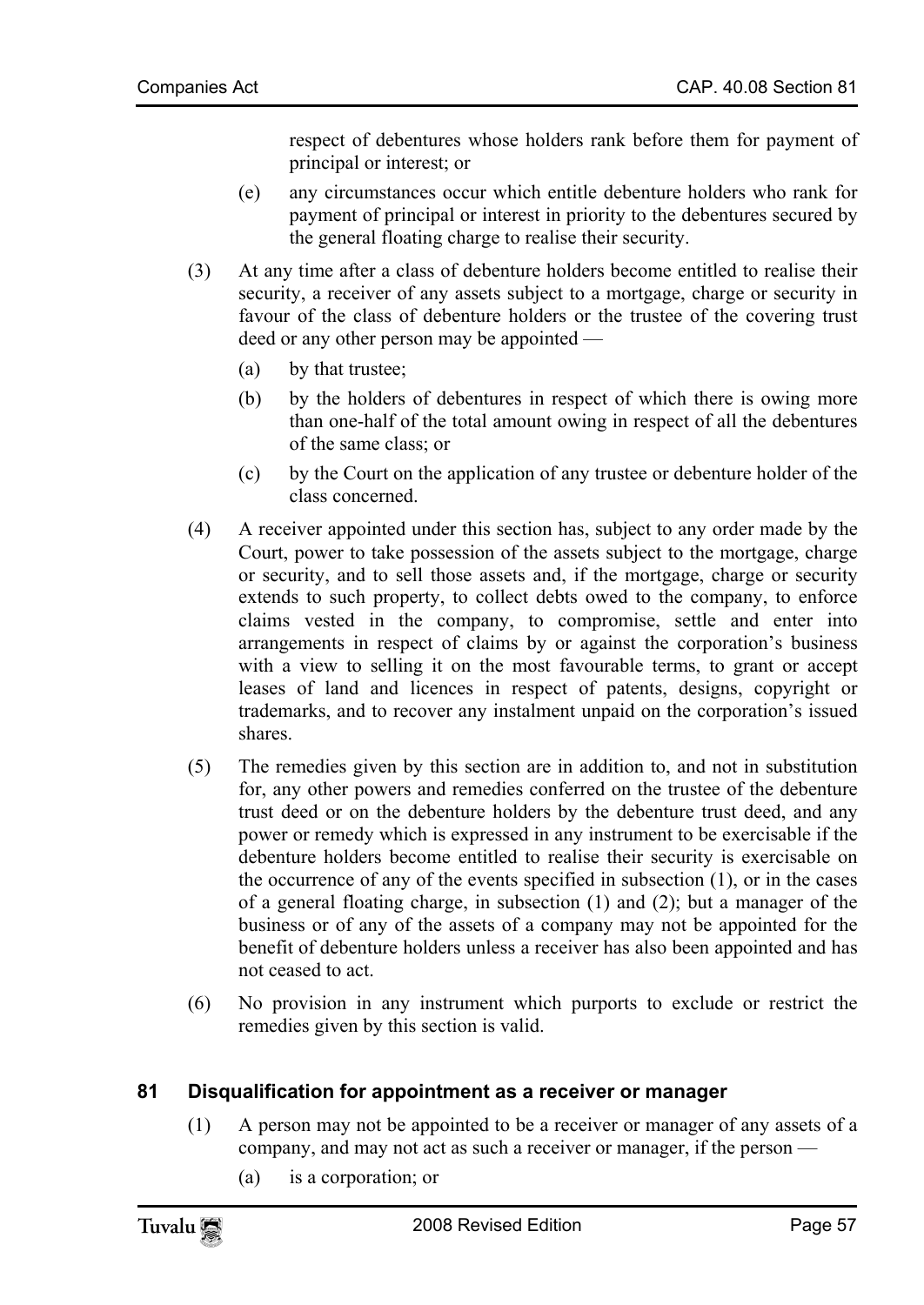respect of debentures whose holders rank before them for payment of principal or interest; or

- (e) any circumstances occur which entitle debenture holders who rank for payment of principal or interest in priority to the debentures secured by the general floating charge to realise their security.
- (3) At any time after a class of debenture holders become entitled to realise their security, a receiver of any assets subject to a mortgage, charge or security in favour of the class of debenture holders or the trustee of the covering trust deed or any other person may be appointed —
	- (a) by that trustee;
	- (b) by the holders of debentures in respect of which there is owing more than one-half of the total amount owing in respect of all the debentures of the same class; or
	- (c) by the Court on the application of any trustee or debenture holder of the class concerned.
- (4) A receiver appointed under this section has, subject to any order made by the Court, power to take possession of the assets subject to the mortgage, charge or security, and to sell those assets and, if the mortgage, charge or security extends to such property, to collect debts owed to the company, to enforce claims vested in the company, to compromise, settle and enter into arrangements in respect of claims by or against the corporation's business with a view to selling it on the most favourable terms, to grant or accept leases of land and licences in respect of patents, designs, copyright or trademarks, and to recover any instalment unpaid on the corporation's issued shares.
- (5) The remedies given by this section are in addition to, and not in substitution for, any other powers and remedies conferred on the trustee of the debenture trust deed or on the debenture holders by the debenture trust deed, and any power or remedy which is expressed in any instrument to be exercisable if the debenture holders become entitled to realise their security is exercisable on the occurrence of any of the events specified in subsection (1), or in the cases of a general floating charge, in subsection (1) and (2); but a manager of the business or of any of the assets of a company may not be appointed for the benefit of debenture holders unless a receiver has also been appointed and has not ceased to act.
- (6) No provision in any instrument which purports to exclude or restrict the remedies given by this section is valid.

#### **81 Disqualification for appointment as a receiver or manager**

- (1) A person may not be appointed to be a receiver or manager of any assets of a company, and may not act as such a receiver or manager, if the person —
	- (a) is a corporation; or

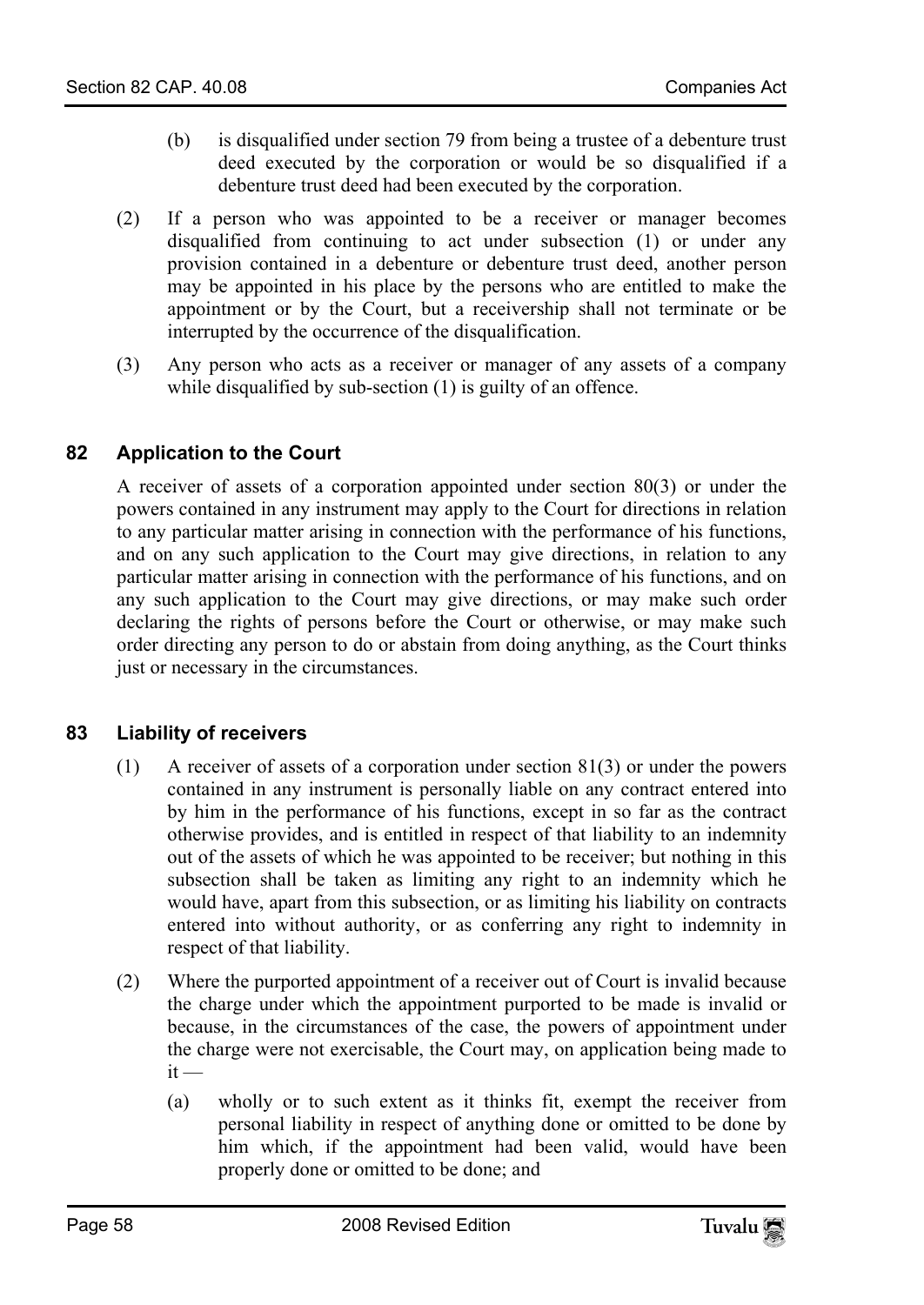- (b) is disqualified under section 79 from being a trustee of a debenture trust deed executed by the corporation or would be so disqualified if a debenture trust deed had been executed by the corporation.
- (2) If a person who was appointed to be a receiver or manager becomes disqualified from continuing to act under subsection (1) or under any provision contained in a debenture or debenture trust deed, another person may be appointed in his place by the persons who are entitled to make the appointment or by the Court, but a receivership shall not terminate or be interrupted by the occurrence of the disqualification.
- (3) Any person who acts as a receiver or manager of any assets of a company while disqualified by sub-section (1) is guilty of an offence.

### **82 Application to the Court**

A receiver of assets of a corporation appointed under section 80(3) or under the powers contained in any instrument may apply to the Court for directions in relation to any particular matter arising in connection with the performance of his functions, and on any such application to the Court may give directions, in relation to any particular matter arising in connection with the performance of his functions, and on any such application to the Court may give directions, or may make such order declaring the rights of persons before the Court or otherwise, or may make such order directing any person to do or abstain from doing anything, as the Court thinks just or necessary in the circumstances.

#### **83 Liability of receivers**

- (1) A receiver of assets of a corporation under section 81(3) or under the powers contained in any instrument is personally liable on any contract entered into by him in the performance of his functions, except in so far as the contract otherwise provides, and is entitled in respect of that liability to an indemnity out of the assets of which he was appointed to be receiver; but nothing in this subsection shall be taken as limiting any right to an indemnity which he would have, apart from this subsection, or as limiting his liability on contracts entered into without authority, or as conferring any right to indemnity in respect of that liability.
- (2) Where the purported appointment of a receiver out of Court is invalid because the charge under which the appointment purported to be made is invalid or because, in the circumstances of the case, the powers of appointment under the charge were not exercisable, the Court may, on application being made to  $it -$ 
	- (a) wholly or to such extent as it thinks fit, exempt the receiver from personal liability in respect of anything done or omitted to be done by him which, if the appointment had been valid, would have been properly done or omitted to be done; and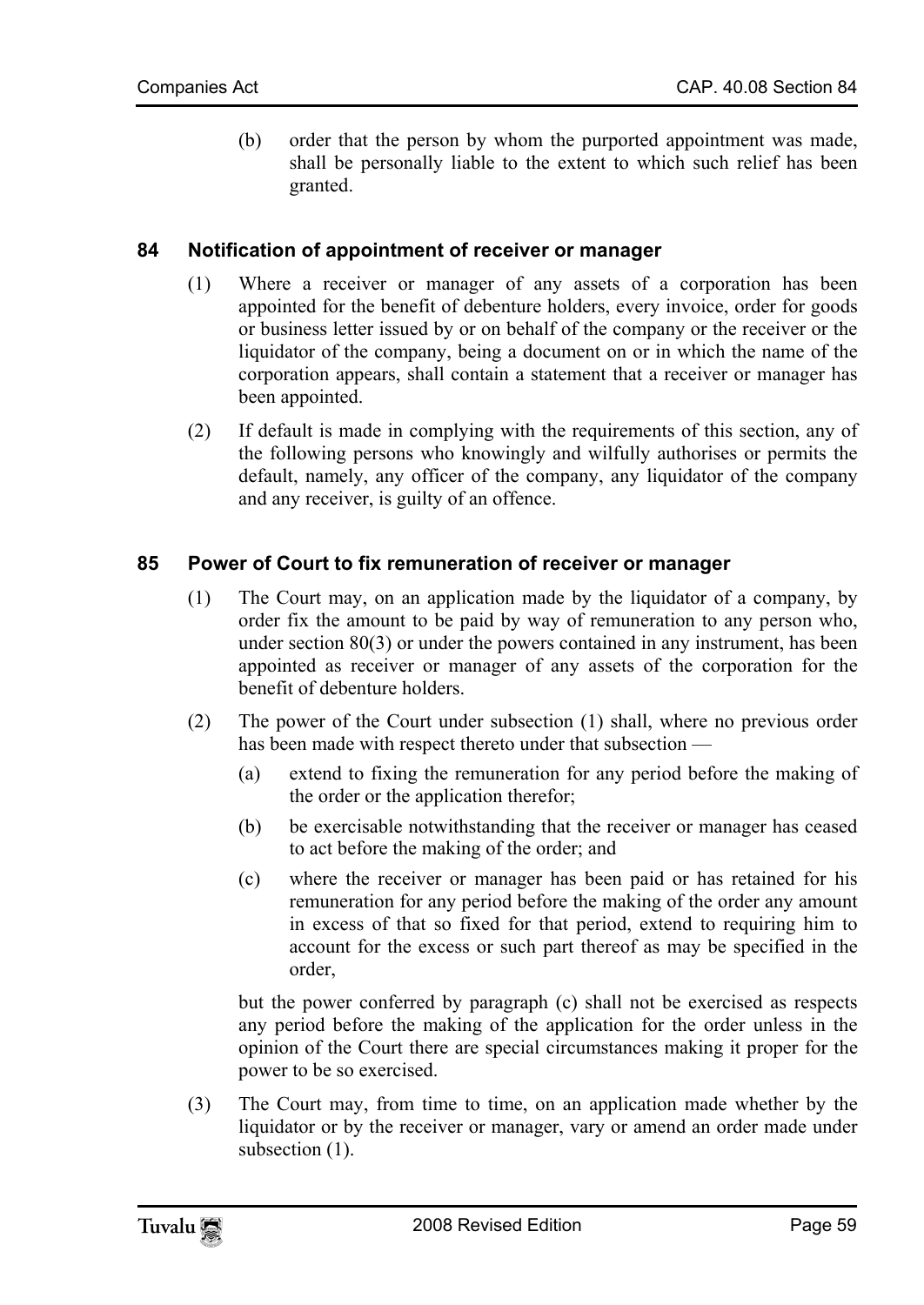(b) order that the person by whom the purported appointment was made, shall be personally liable to the extent to which such relief has been granted.

### **84 Notification of appointment of receiver or manager**

- (1) Where a receiver or manager of any assets of a corporation has been appointed for the benefit of debenture holders, every invoice, order for goods or business letter issued by or on behalf of the company or the receiver or the liquidator of the company, being a document on or in which the name of the corporation appears, shall contain a statement that a receiver or manager has been appointed.
- (2) If default is made in complying with the requirements of this section, any of the following persons who knowingly and wilfully authorises or permits the default, namely, any officer of the company, any liquidator of the company and any receiver, is guilty of an offence.

#### **85 Power of Court to fix remuneration of receiver or manager**

- (1) The Court may, on an application made by the liquidator of a company, by order fix the amount to be paid by way of remuneration to any person who, under section 80(3) or under the powers contained in any instrument, has been appointed as receiver or manager of any assets of the corporation for the benefit of debenture holders.
- (2) The power of the Court under subsection (1) shall, where no previous order has been made with respect thereto under that subsection -
	- (a) extend to fixing the remuneration for any period before the making of the order or the application therefor;
	- (b) be exercisable notwithstanding that the receiver or manager has ceased to act before the making of the order; and
	- (c) where the receiver or manager has been paid or has retained for his remuneration for any period before the making of the order any amount in excess of that so fixed for that period, extend to requiring him to account for the excess or such part thereof as may be specified in the order,

but the power conferred by paragraph (c) shall not be exercised as respects any period before the making of the application for the order unless in the opinion of the Court there are special circumstances making it proper for the power to be so exercised.

(3) The Court may, from time to time, on an application made whether by the liquidator or by the receiver or manager, vary or amend an order made under subsection (1).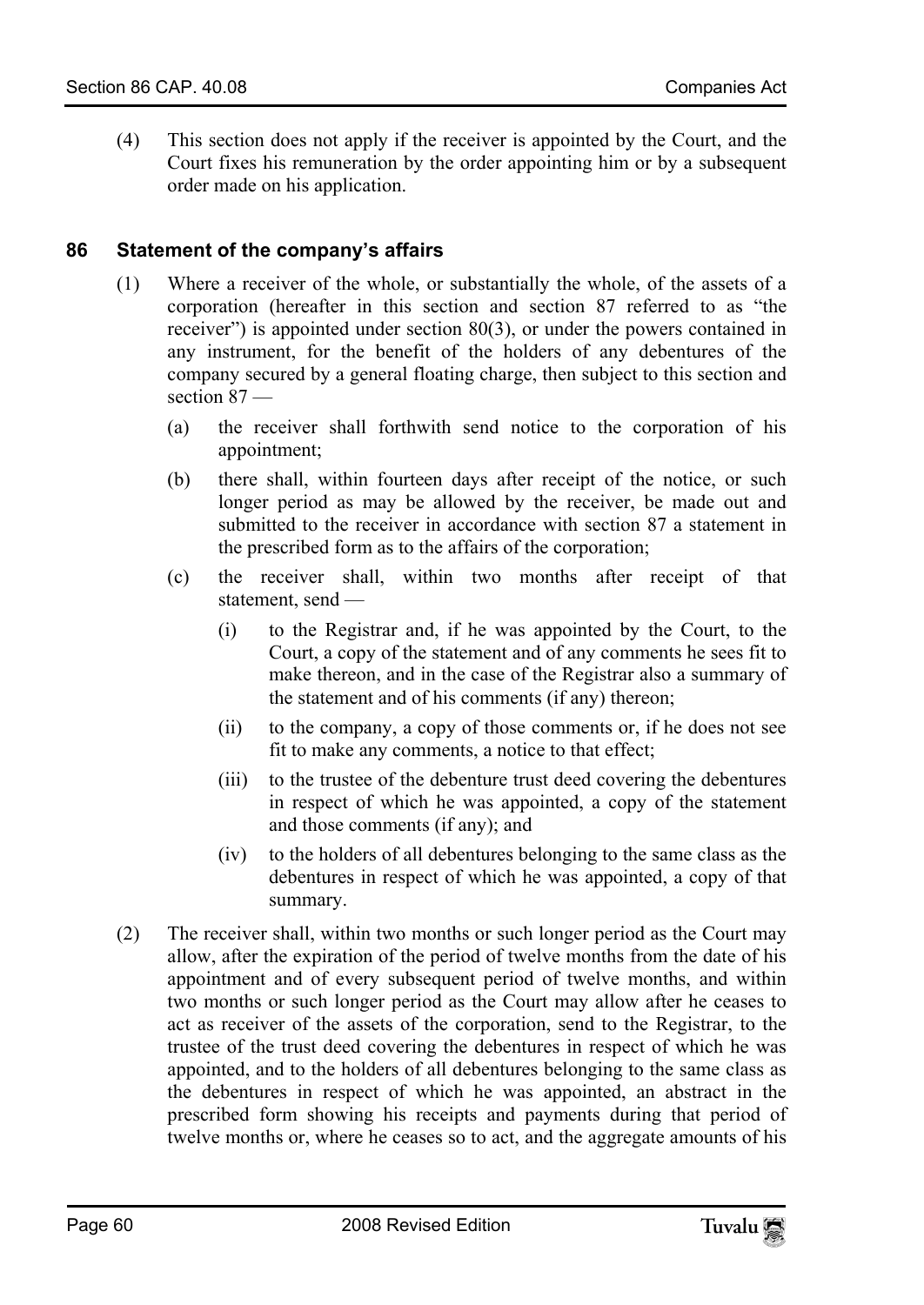(4) This section does not apply if the receiver is appointed by the Court, and the Court fixes his remuneration by the order appointing him or by a subsequent order made on his application.

### **86 Statement of the company's affairs**

- (1) Where a receiver of the whole, or substantially the whole, of the assets of a corporation (hereafter in this section and section 87 referred to as "the receiver") is appointed under section 80(3), or under the powers contained in any instrument, for the benefit of the holders of any debentures of the company secured by a general floating charge, then subject to this section and section 87 —
	- (a) the receiver shall forthwith send notice to the corporation of his appointment;
	- (b) there shall, within fourteen days after receipt of the notice, or such longer period as may be allowed by the receiver, be made out and submitted to the receiver in accordance with section 87 a statement in the prescribed form as to the affairs of the corporation;
	- (c) the receiver shall, within two months after receipt of that statement, send —
		- (i) to the Registrar and, if he was appointed by the Court, to the Court, a copy of the statement and of any comments he sees fit to make thereon, and in the case of the Registrar also a summary of the statement and of his comments (if any) thereon;
		- (ii) to the company, a copy of those comments or, if he does not see fit to make any comments, a notice to that effect;
		- (iii) to the trustee of the debenture trust deed covering the debentures in respect of which he was appointed, a copy of the statement and those comments (if any); and
		- (iv) to the holders of all debentures belonging to the same class as the debentures in respect of which he was appointed, a copy of that summary.
- (2) The receiver shall, within two months or such longer period as the Court may allow, after the expiration of the period of twelve months from the date of his appointment and of every subsequent period of twelve months, and within two months or such longer period as the Court may allow after he ceases to act as receiver of the assets of the corporation, send to the Registrar, to the trustee of the trust deed covering the debentures in respect of which he was appointed, and to the holders of all debentures belonging to the same class as the debentures in respect of which he was appointed, an abstract in the prescribed form showing his receipts and payments during that period of twelve months or, where he ceases so to act, and the aggregate amounts of his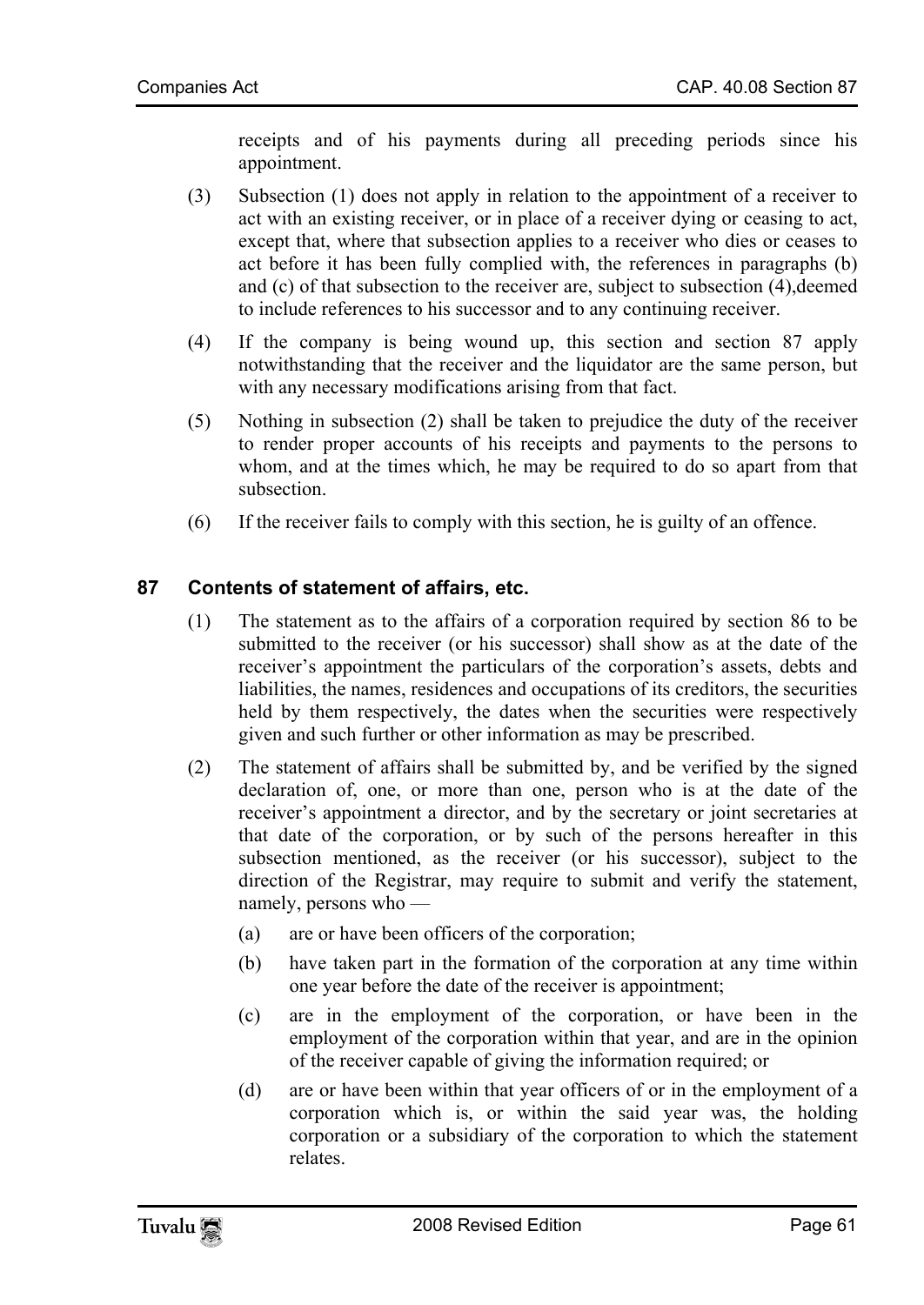receipts and of his payments during all preceding periods since his appointment.

- (3) Subsection (1) does not apply in relation to the appointment of a receiver to act with an existing receiver, or in place of a receiver dying or ceasing to act, except that, where that subsection applies to a receiver who dies or ceases to act before it has been fully complied with, the references in paragraphs (b) and (c) of that subsection to the receiver are, subject to subsection (4),deemed to include references to his successor and to any continuing receiver.
- (4) If the company is being wound up, this section and section 87 apply notwithstanding that the receiver and the liquidator are the same person, but with any necessary modifications arising from that fact.
- (5) Nothing in subsection (2) shall be taken to prejudice the duty of the receiver to render proper accounts of his receipts and payments to the persons to whom, and at the times which, he may be required to do so apart from that subsection.
- (6) If the receiver fails to comply with this section, he is guilty of an offence.

#### **87 Contents of statement of affairs, etc.**

- (1) The statement as to the affairs of a corporation required by section 86 to be submitted to the receiver (or his successor) shall show as at the date of the receiver's appointment the particulars of the corporation's assets, debts and liabilities, the names, residences and occupations of its creditors, the securities held by them respectively, the dates when the securities were respectively given and such further or other information as may be prescribed.
- (2) The statement of affairs shall be submitted by, and be verified by the signed declaration of, one, or more than one, person who is at the date of the receiver's appointment a director, and by the secretary or joint secretaries at that date of the corporation, or by such of the persons hereafter in this subsection mentioned, as the receiver (or his successor), subject to the direction of the Registrar, may require to submit and verify the statement, namely, persons who —
	- (a) are or have been officers of the corporation;
	- (b) have taken part in the formation of the corporation at any time within one year before the date of the receiver is appointment;
	- (c) are in the employment of the corporation, or have been in the employment of the corporation within that year, and are in the opinion of the receiver capable of giving the information required; or
	- (d) are or have been within that year officers of or in the employment of a corporation which is, or within the said year was, the holding corporation or a subsidiary of the corporation to which the statement relates.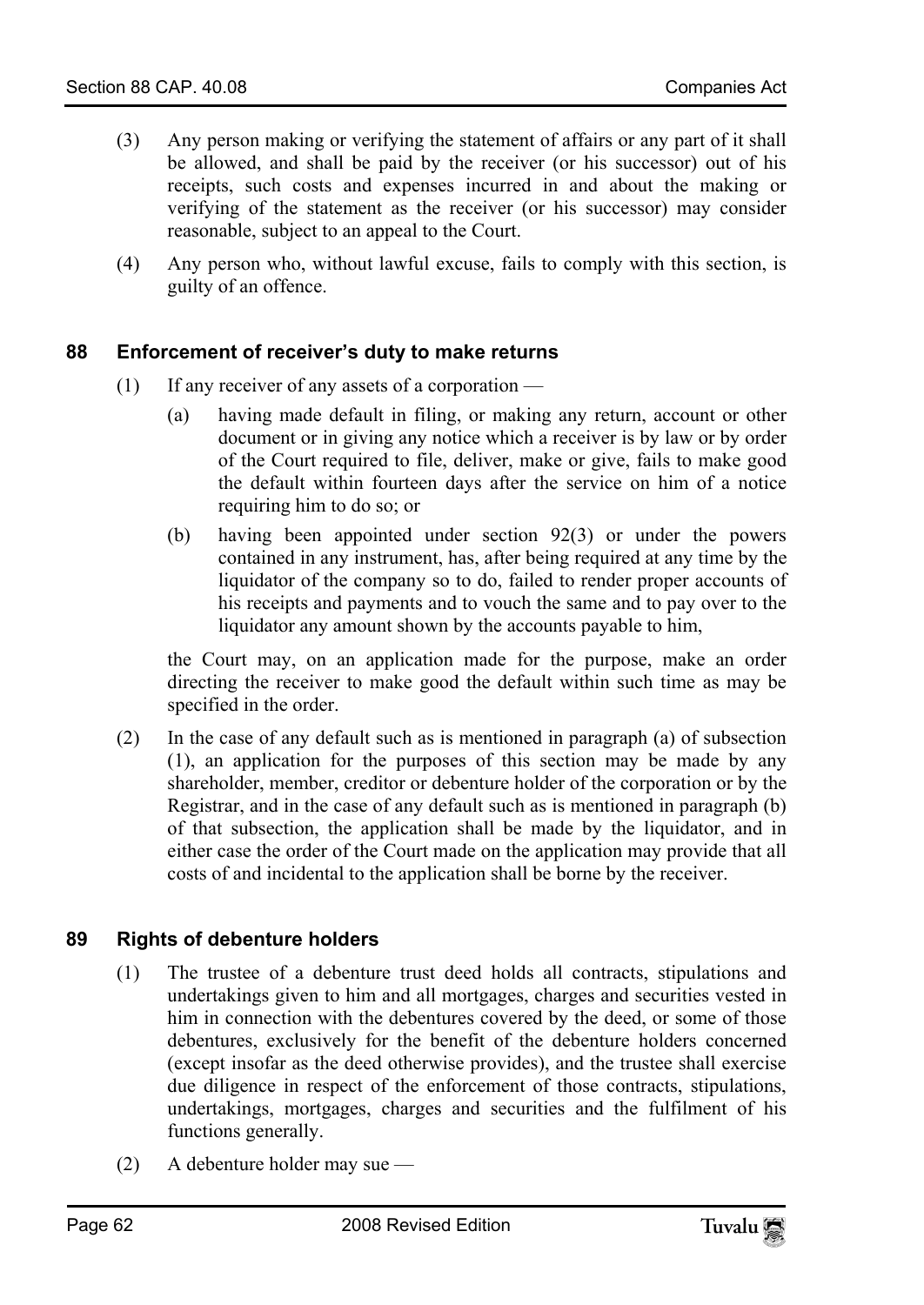- (3) Any person making or verifying the statement of affairs or any part of it shall be allowed, and shall be paid by the receiver (or his successor) out of his receipts, such costs and expenses incurred in and about the making or verifying of the statement as the receiver (or his successor) may consider reasonable, subject to an appeal to the Court.
- (4) Any person who, without lawful excuse, fails to comply with this section, is guilty of an offence.

### **88 Enforcement of receiver's duty to make returns**

- (1) If any receiver of any assets of a corporation
	- (a) having made default in filing, or making any return, account or other document or in giving any notice which a receiver is by law or by order of the Court required to file, deliver, make or give, fails to make good the default within fourteen days after the service on him of a notice requiring him to do so; or
	- (b) having been appointed under section 92(3) or under the powers contained in any instrument, has, after being required at any time by the liquidator of the company so to do, failed to render proper accounts of his receipts and payments and to vouch the same and to pay over to the liquidator any amount shown by the accounts payable to him,

the Court may, on an application made for the purpose, make an order directing the receiver to make good the default within such time as may be specified in the order.

(2) In the case of any default such as is mentioned in paragraph (a) of subsection (1), an application for the purposes of this section may be made by any shareholder, member, creditor or debenture holder of the corporation or by the Registrar, and in the case of any default such as is mentioned in paragraph (b) of that subsection, the application shall be made by the liquidator, and in either case the order of the Court made on the application may provide that all costs of and incidental to the application shall be borne by the receiver.

### **89 Rights of debenture holders**

- (1) The trustee of a debenture trust deed holds all contracts, stipulations and undertakings given to him and all mortgages, charges and securities vested in him in connection with the debentures covered by the deed, or some of those debentures, exclusively for the benefit of the debenture holders concerned (except insofar as the deed otherwise provides), and the trustee shall exercise due diligence in respect of the enforcement of those contracts, stipulations, undertakings, mortgages, charges and securities and the fulfilment of his functions generally.
- (2) A debenture holder may sue —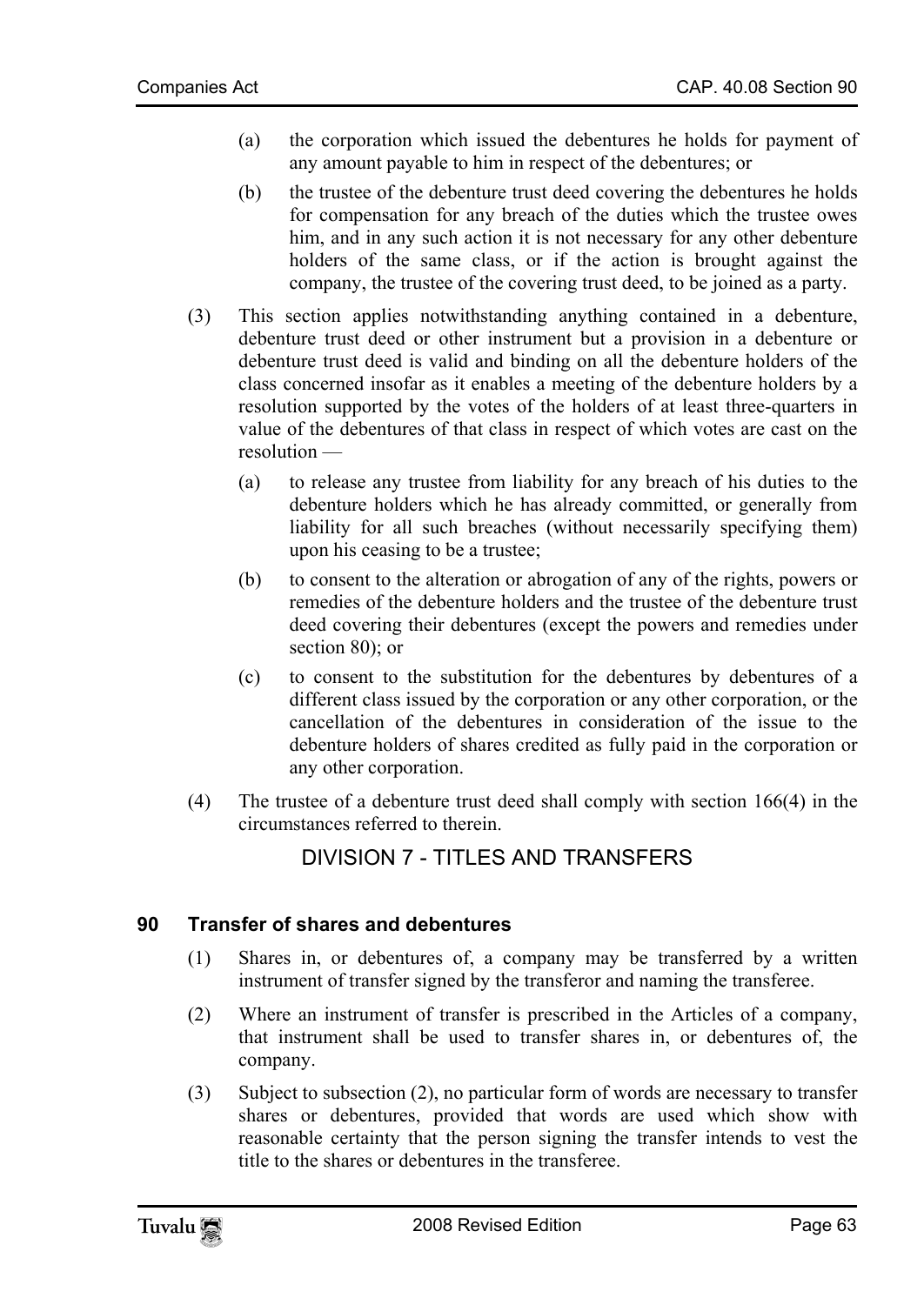- (a) the corporation which issued the debentures he holds for payment of any amount payable to him in respect of the debentures; or
- (b) the trustee of the debenture trust deed covering the debentures he holds for compensation for any breach of the duties which the trustee owes him, and in any such action it is not necessary for any other debenture holders of the same class, or if the action is brought against the company, the trustee of the covering trust deed, to be joined as a party.
- (3) This section applies notwithstanding anything contained in a debenture, debenture trust deed or other instrument but a provision in a debenture or debenture trust deed is valid and binding on all the debenture holders of the class concerned insofar as it enables a meeting of the debenture holders by a resolution supported by the votes of the holders of at least three-quarters in value of the debentures of that class in respect of which votes are cast on the resolution —
	- (a) to release any trustee from liability for any breach of his duties to the debenture holders which he has already committed, or generally from liability for all such breaches (without necessarily specifying them) upon his ceasing to be a trustee;
	- (b) to consent to the alteration or abrogation of any of the rights, powers or remedies of the debenture holders and the trustee of the debenture trust deed covering their debentures (except the powers and remedies under section 80); or
	- (c) to consent to the substitution for the debentures by debentures of a different class issued by the corporation or any other corporation, or the cancellation of the debentures in consideration of the issue to the debenture holders of shares credited as fully paid in the corporation or any other corporation.
- (4) The trustee of a debenture trust deed shall comply with section 166(4) in the circumstances referred to therein.

# DIVISION 7 - TITLES AND TRANSFERS

#### **90 Transfer of shares and debentures**

- (1) Shares in, or debentures of, a company may be transferred by a written instrument of transfer signed by the transferor and naming the transferee.
- (2) Where an instrument of transfer is prescribed in the Articles of a company, that instrument shall be used to transfer shares in, or debentures of, the company.
- (3) Subject to subsection (2), no particular form of words are necessary to transfer shares or debentures, provided that words are used which show with reasonable certainty that the person signing the transfer intends to vest the title to the shares or debentures in the transferee.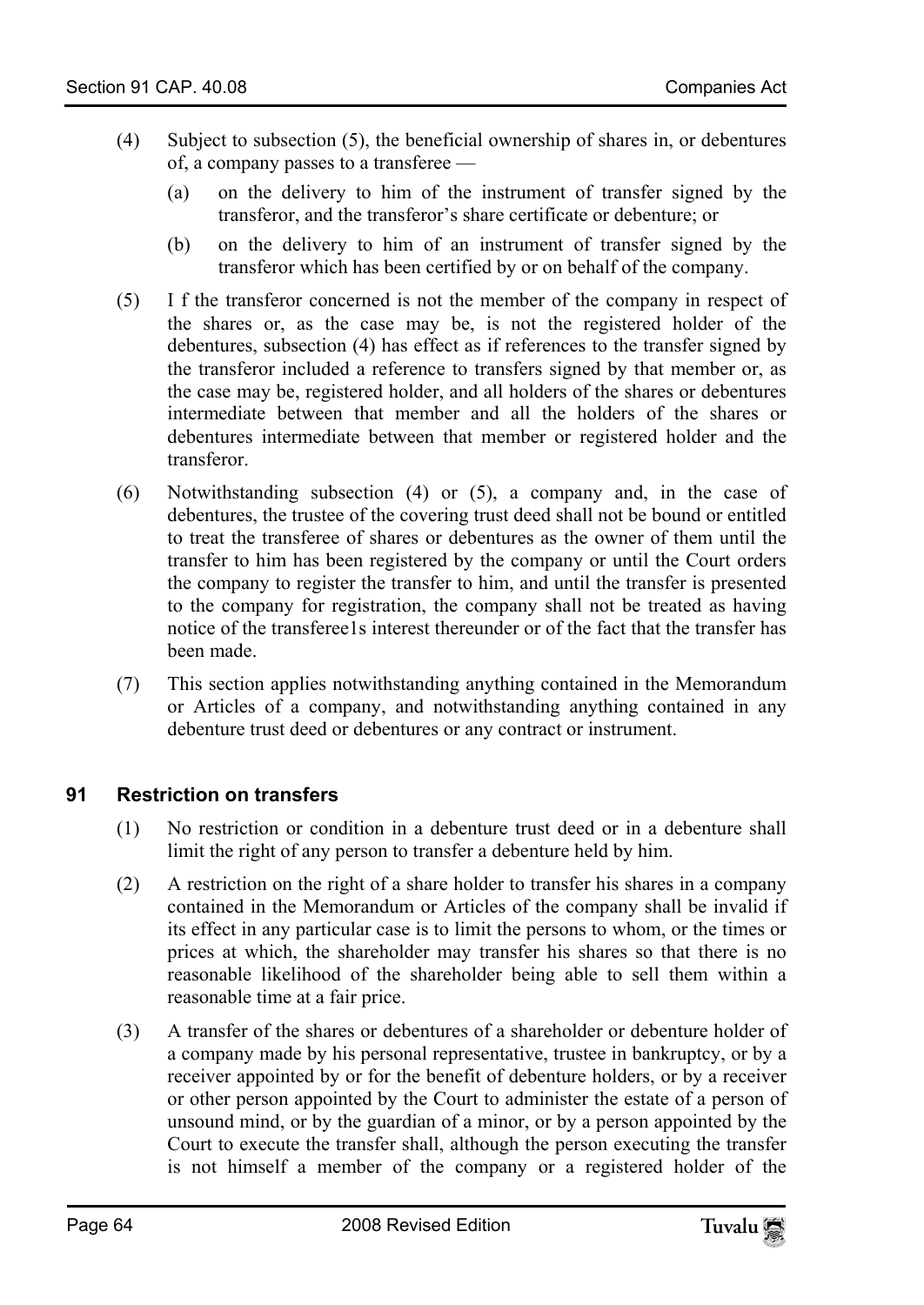- (4) Subject to subsection (5), the beneficial ownership of shares in, or debentures of, a company passes to a transferee —
	- (a) on the delivery to him of the instrument of transfer signed by the transferor, and the transferor's share certificate or debenture; or
	- (b) on the delivery to him of an instrument of transfer signed by the transferor which has been certified by or on behalf of the company.
- (5) I f the transferor concerned is not the member of the company in respect of the shares or, as the case may be, is not the registered holder of the debentures, subsection (4) has effect as if references to the transfer signed by the transferor included a reference to transfers signed by that member or, as the case may be, registered holder, and all holders of the shares or debentures intermediate between that member and all the holders of the shares or debentures intermediate between that member or registered holder and the transferor.
- (6) Notwithstanding subsection (4) or (5), a company and, in the case of debentures, the trustee of the covering trust deed shall not be bound or entitled to treat the transferee of shares or debentures as the owner of them until the transfer to him has been registered by the company or until the Court orders the company to register the transfer to him, and until the transfer is presented to the company for registration, the company shall not be treated as having notice of the transferee1s interest thereunder or of the fact that the transfer has been made.
- (7) This section applies notwithstanding anything contained in the Memorandum or Articles of a company, and notwithstanding anything contained in any debenture trust deed or debentures or any contract or instrument.

#### **91 Restriction on transfers**

- (1) No restriction or condition in a debenture trust deed or in a debenture shall limit the right of any person to transfer a debenture held by him.
- (2) A restriction on the right of a share holder to transfer his shares in a company contained in the Memorandum or Articles of the company shall be invalid if its effect in any particular case is to limit the persons to whom, or the times or prices at which, the shareholder may transfer his shares so that there is no reasonable likelihood of the shareholder being able to sell them within a reasonable time at a fair price.
- (3) A transfer of the shares or debentures of a shareholder or debenture holder of a company made by his personal representative, trustee in bankruptcy, or by a receiver appointed by or for the benefit of debenture holders, or by a receiver or other person appointed by the Court to administer the estate of a person of unsound mind, or by the guardian of a minor, or by a person appointed by the Court to execute the transfer shall, although the person executing the transfer is not himself a member of the company or a registered holder of the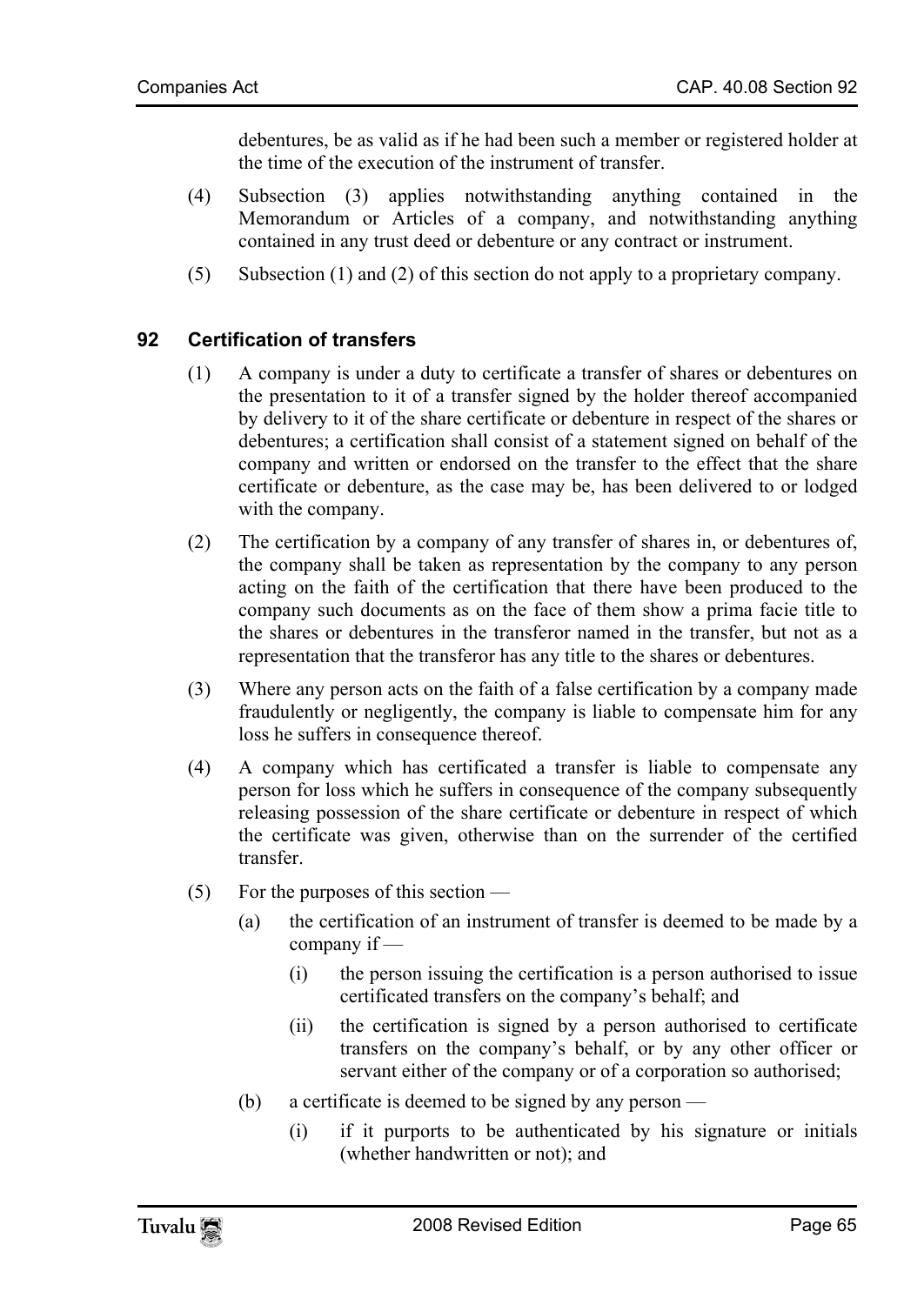debentures, be as valid as if he had been such a member or registered holder at the time of the execution of the instrument of transfer.

- (4) Subsection (3) applies notwithstanding anything contained in the Memorandum or Articles of a company, and notwithstanding anything contained in any trust deed or debenture or any contract or instrument.
- (5) Subsection (1) and (2) of this section do not apply to a proprietary company.

### **92 Certification of transfers**

- (1) A company is under a duty to certificate a transfer of shares or debentures on the presentation to it of a transfer signed by the holder thereof accompanied by delivery to it of the share certificate or debenture in respect of the shares or debentures; a certification shall consist of a statement signed on behalf of the company and written or endorsed on the transfer to the effect that the share certificate or debenture, as the case may be, has been delivered to or lodged with the company.
- (2) The certification by a company of any transfer of shares in, or debentures of, the company shall be taken as representation by the company to any person acting on the faith of the certification that there have been produced to the company such documents as on the face of them show a prima facie title to the shares or debentures in the transferor named in the transfer, but not as a representation that the transferor has any title to the shares or debentures.
- (3) Where any person acts on the faith of a false certification by a company made fraudulently or negligently, the company is liable to compensate him for any loss he suffers in consequence thereof.
- (4) A company which has certificated a transfer is liable to compensate any person for loss which he suffers in consequence of the company subsequently releasing possession of the share certificate or debenture in respect of which the certificate was given, otherwise than on the surrender of the certified transfer.
- (5) For the purposes of this section
	- (a) the certification of an instrument of transfer is deemed to be made by a company if —
		- (i) the person issuing the certification is a person authorised to issue certificated transfers on the company's behalf; and
		- (ii) the certification is signed by a person authorised to certificate transfers on the company's behalf, or by any other officer or servant either of the company or of a corporation so authorised;
	- (b) a certificate is deemed to be signed by any person
		- (i) if it purports to be authenticated by his signature or initials (whether handwritten or not); and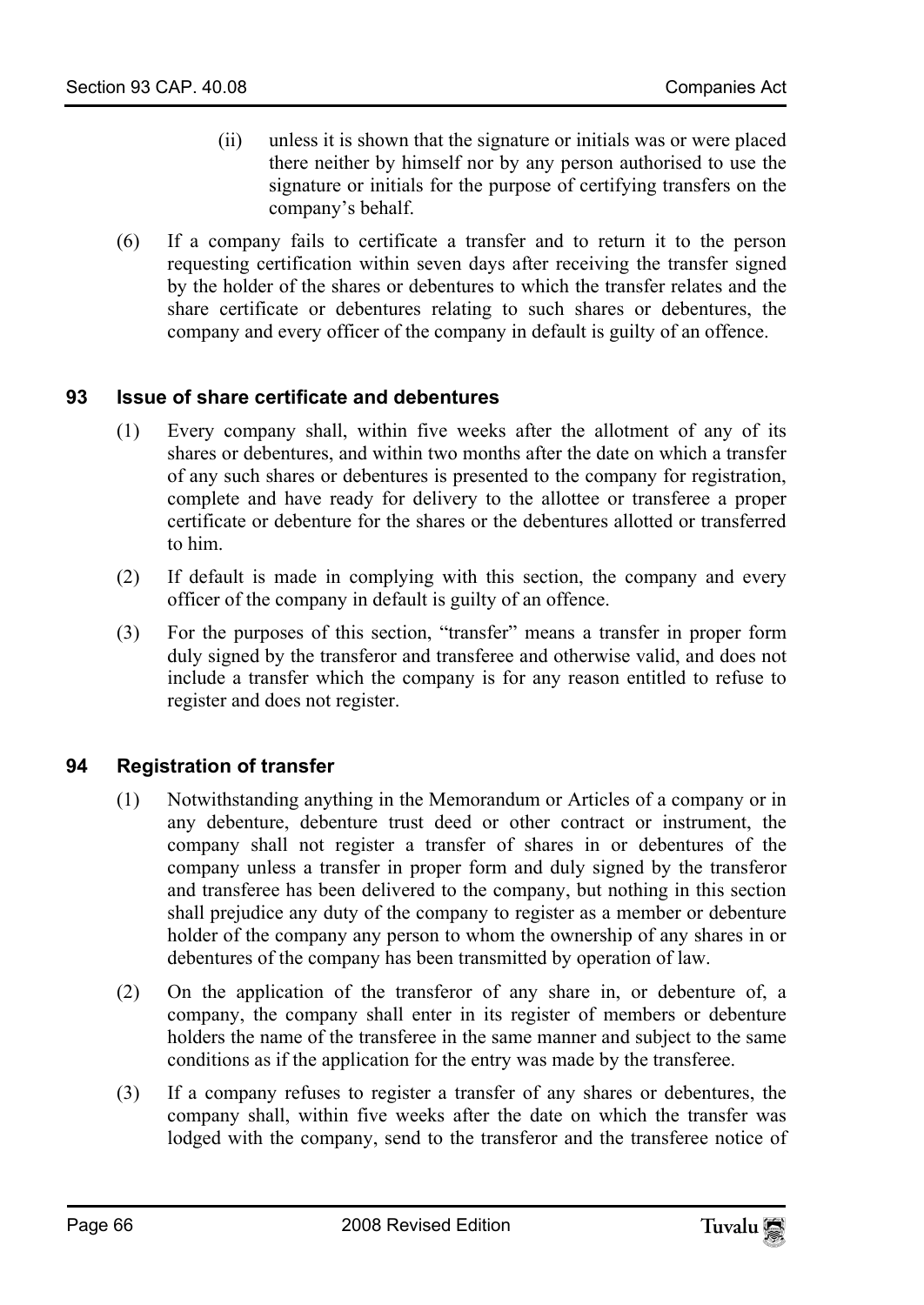- (ii) unless it is shown that the signature or initials was or were placed there neither by himself nor by any person authorised to use the signature or initials for the purpose of certifying transfers on the company's behalf.
- (6) If a company fails to certificate a transfer and to return it to the person requesting certification within seven days after receiving the transfer signed by the holder of the shares or debentures to which the transfer relates and the share certificate or debentures relating to such shares or debentures, the company and every officer of the company in default is guilty of an offence.

### **93 Issue of share certificate and debentures**

- (1) Every company shall, within five weeks after the allotment of any of its shares or debentures, and within two months after the date on which a transfer of any such shares or debentures is presented to the company for registration, complete and have ready for delivery to the allottee or transferee a proper certificate or debenture for the shares or the debentures allotted or transferred to him.
- (2) If default is made in complying with this section, the company and every officer of the company in default is guilty of an offence.
- (3) For the purposes of this section, "transfer" means a transfer in proper form duly signed by the transferor and transferee and otherwise valid, and does not include a transfer which the company is for any reason entitled to refuse to register and does not register.

#### **94 Registration of transfer**

- (1) Notwithstanding anything in the Memorandum or Articles of a company or in any debenture, debenture trust deed or other contract or instrument, the company shall not register a transfer of shares in or debentures of the company unless a transfer in proper form and duly signed by the transferor and transferee has been delivered to the company, but nothing in this section shall prejudice any duty of the company to register as a member or debenture holder of the company any person to whom the ownership of any shares in or debentures of the company has been transmitted by operation of law.
- (2) On the application of the transferor of any share in, or debenture of, a company, the company shall enter in its register of members or debenture holders the name of the transferee in the same manner and subject to the same conditions as if the application for the entry was made by the transferee.
- (3) If a company refuses to register a transfer of any shares or debentures, the company shall, within five weeks after the date on which the transfer was lodged with the company, send to the transferor and the transferee notice of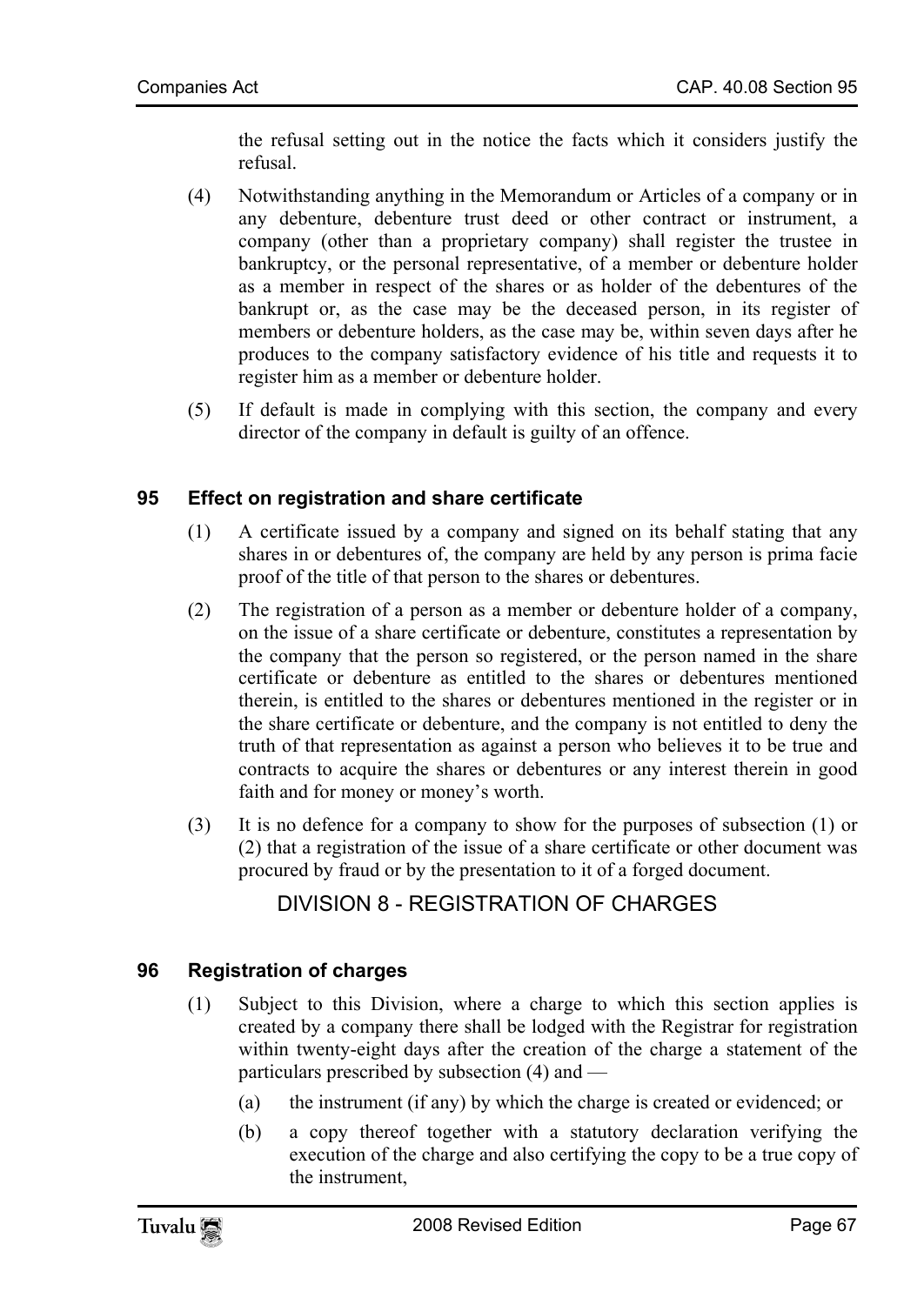the refusal setting out in the notice the facts which it considers justify the refusal.

- (4) Notwithstanding anything in the Memorandum or Articles of a company or in any debenture, debenture trust deed or other contract or instrument, a company (other than a proprietary company) shall register the trustee in bankruptcy, or the personal representative, of a member or debenture holder as a member in respect of the shares or as holder of the debentures of the bankrupt or, as the case may be the deceased person, in its register of members or debenture holders, as the case may be, within seven days after he produces to the company satisfactory evidence of his title and requests it to register him as a member or debenture holder.
- (5) If default is made in complying with this section, the company and every director of the company in default is guilty of an offence.

#### **95 Effect on registration and share certificate**

- (1) A certificate issued by a company and signed on its behalf stating that any shares in or debentures of, the company are held by any person is prima facie proof of the title of that person to the shares or debentures.
- (2) The registration of a person as a member or debenture holder of a company, on the issue of a share certificate or debenture, constitutes a representation by the company that the person so registered, or the person named in the share certificate or debenture as entitled to the shares or debentures mentioned therein, is entitled to the shares or debentures mentioned in the register or in the share certificate or debenture, and the company is not entitled to deny the truth of that representation as against a person who believes it to be true and contracts to acquire the shares or debentures or any interest therein in good faith and for money or money's worth.
- (3) It is no defence for a company to show for the purposes of subsection (1) or (2) that a registration of the issue of a share certificate or other document was procured by fraud or by the presentation to it of a forged document.

# DIVISION 8 - REGISTRATION OF CHARGES

#### **96 Registration of charges**

- (1) Subject to this Division, where a charge to which this section applies is created by a company there shall be lodged with the Registrar for registration within twenty-eight days after the creation of the charge a statement of the particulars prescribed by subsection (4) and —
	- (a) the instrument (if any) by which the charge is created or evidenced; or
	- (b) a copy thereof together with a statutory declaration verifying the execution of the charge and also certifying the copy to be a true copy of the instrument,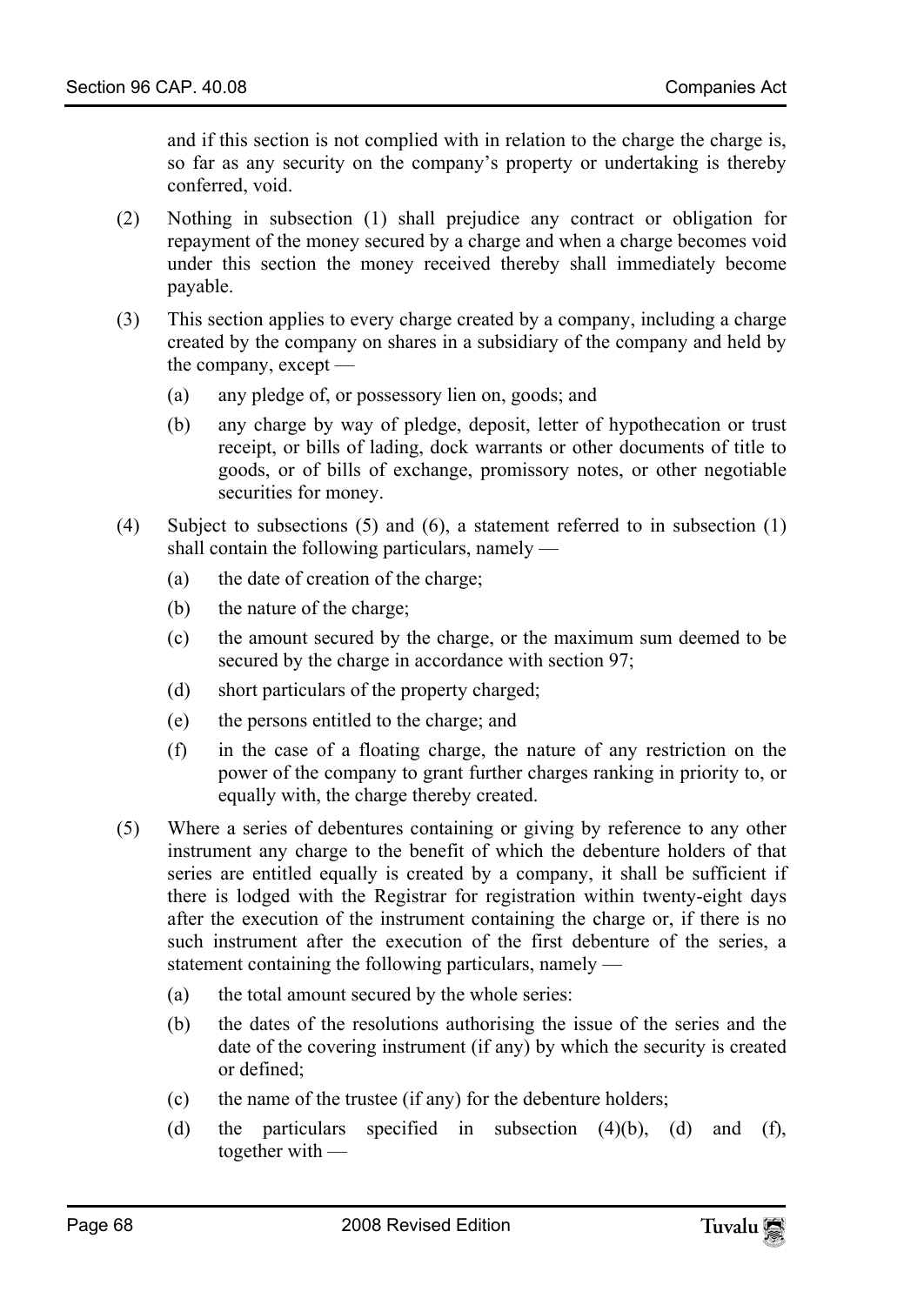and if this section is not complied with in relation to the charge the charge is, so far as any security on the company's property or undertaking is thereby conferred, void.

- (2) Nothing in subsection (1) shall prejudice any contract or obligation for repayment of the money secured by a charge and when a charge becomes void under this section the money received thereby shall immediately become payable.
- (3) This section applies to every charge created by a company, including a charge created by the company on shares in a subsidiary of the company and held by the company, except —
	- (a) any pledge of, or possessory lien on, goods; and
	- (b) any charge by way of pledge, deposit, letter of hypothecation or trust receipt, or bills of lading, dock warrants or other documents of title to goods, or of bills of exchange, promissory notes, or other negotiable securities for money.
- (4) Subject to subsections (5) and (6), a statement referred to in subsection (1) shall contain the following particulars, namely —
	- (a) the date of creation of the charge;
	- (b) the nature of the charge;
	- (c) the amount secured by the charge, or the maximum sum deemed to be secured by the charge in accordance with section 97;
	- (d) short particulars of the property charged;
	- (e) the persons entitled to the charge; and
	- (f) in the case of a floating charge, the nature of any restriction on the power of the company to grant further charges ranking in priority to, or equally with, the charge thereby created.
- (5) Where a series of debentures containing or giving by reference to any other instrument any charge to the benefit of which the debenture holders of that series are entitled equally is created by a company, it shall be sufficient if there is lodged with the Registrar for registration within twenty-eight days after the execution of the instrument containing the charge or, if there is no such instrument after the execution of the first debenture of the series, a statement containing the following particulars, namely —
	- (a) the total amount secured by the whole series:
	- (b) the dates of the resolutions authorising the issue of the series and the date of the covering instrument (if any) by which the security is created or defined;
	- (c) the name of the trustee (if any) for the debenture holders;
	- (d) the particulars specified in subsection (4)(b), (d) and (f), together with —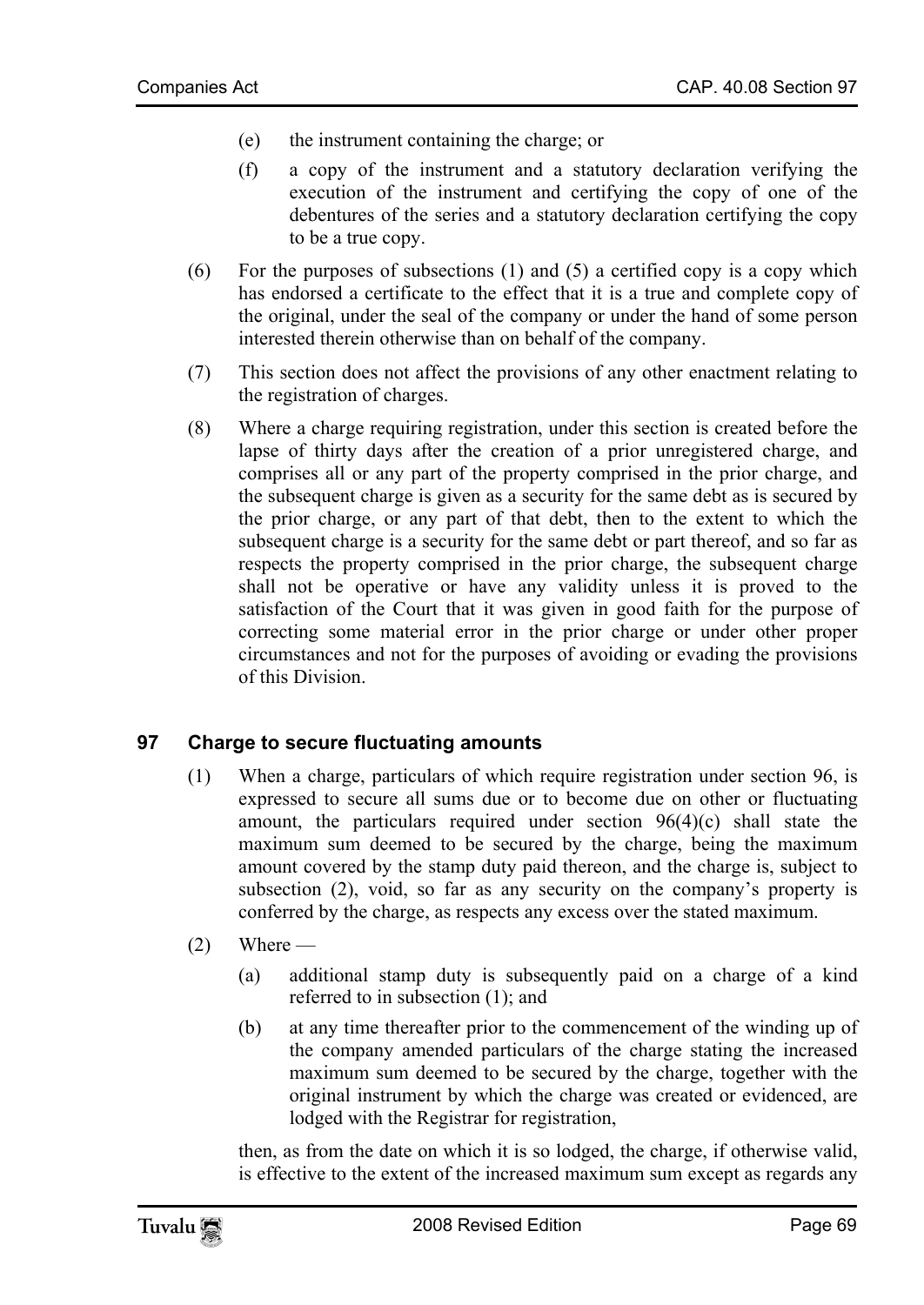- (e) the instrument containing the charge; or
- (f) a copy of the instrument and a statutory declaration verifying the execution of the instrument and certifying the copy of one of the debentures of the series and a statutory declaration certifying the copy to be a true copy.
- (6) For the purposes of subsections  $(1)$  and  $(5)$  a certified copy is a copy which has endorsed a certificate to the effect that it is a true and complete copy of the original, under the seal of the company or under the hand of some person interested therein otherwise than on behalf of the company.
- (7) This section does not affect the provisions of any other enactment relating to the registration of charges.
- (8) Where a charge requiring registration, under this section is created before the lapse of thirty days after the creation of a prior unregistered charge, and comprises all or any part of the property comprised in the prior charge, and the subsequent charge is given as a security for the same debt as is secured by the prior charge, or any part of that debt, then to the extent to which the subsequent charge is a security for the same debt or part thereof, and so far as respects the property comprised in the prior charge, the subsequent charge shall not be operative or have any validity unless it is proved to the satisfaction of the Court that it was given in good faith for the purpose of correcting some material error in the prior charge or under other proper circumstances and not for the purposes of avoiding or evading the provisions of this Division.

### **97 Charge to secure fluctuating amounts**

- (1) When a charge, particulars of which require registration under section 96, is expressed to secure all sums due or to become due on other or fluctuating amount, the particulars required under section 96(4)(c) shall state the maximum sum deemed to be secured by the charge, being the maximum amount covered by the stamp duty paid thereon, and the charge is, subject to subsection (2), void, so far as any security on the company's property is conferred by the charge, as respects any excess over the stated maximum.
- $(2)$  Where
	- (a) additional stamp duty is subsequently paid on a charge of a kind referred to in subsection (1); and
	- (b) at any time thereafter prior to the commencement of the winding up of the company amended particulars of the charge stating the increased maximum sum deemed to be secured by the charge, together with the original instrument by which the charge was created or evidenced, are lodged with the Registrar for registration,

then, as from the date on which it is so lodged, the charge, if otherwise valid, is effective to the extent of the increased maximum sum except as regards any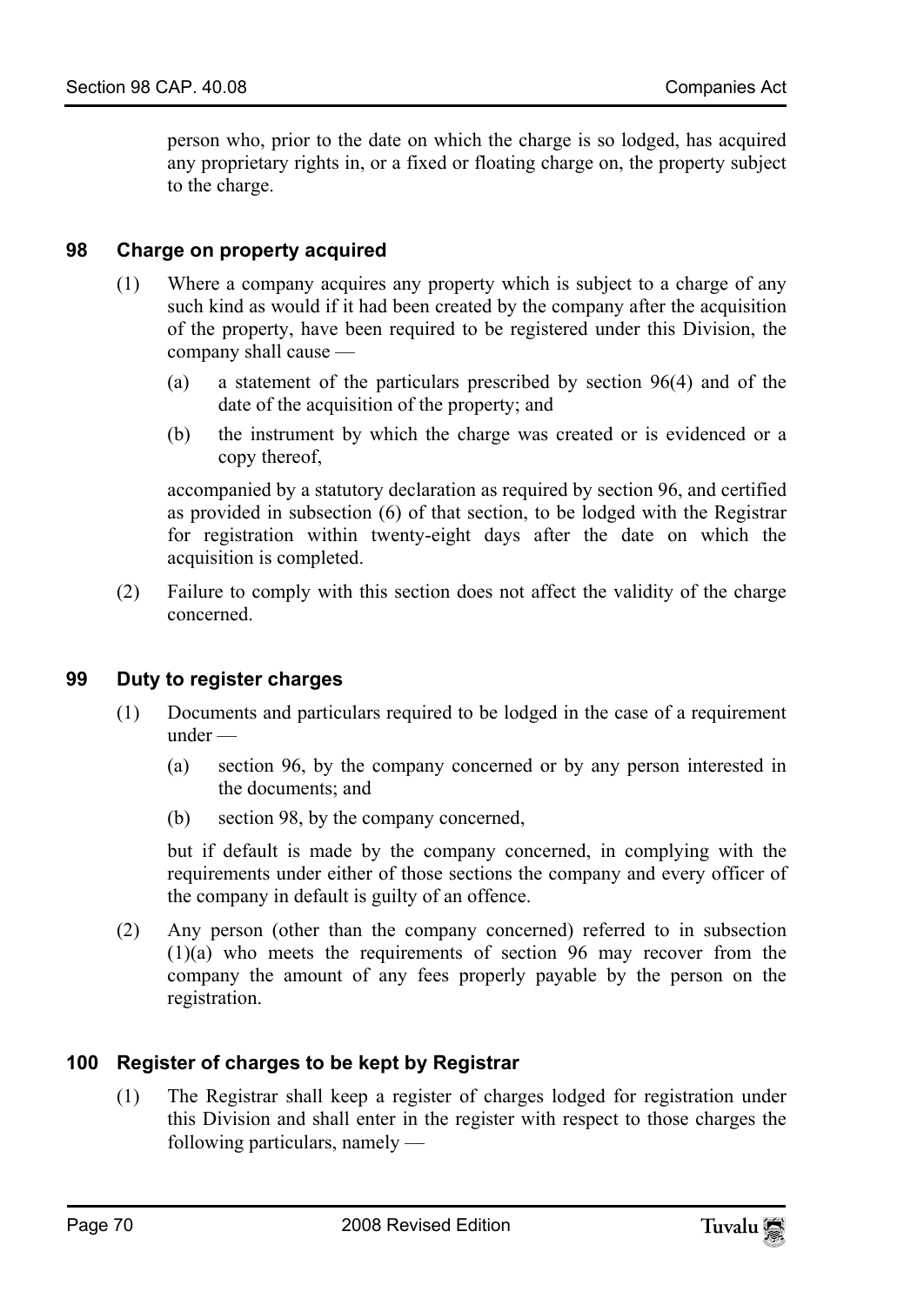person who, prior to the date on which the charge is so lodged, has acquired any proprietary rights in, or a fixed or floating charge on, the property subject to the charge.

### **98 Charge on property acquired**

- (1) Where a company acquires any property which is subject to a charge of any such kind as would if it had been created by the company after the acquisition of the property, have been required to be registered under this Division, the company shall cause —
	- (a) a statement of the particulars prescribed by section 96(4) and of the date of the acquisition of the property; and
	- (b) the instrument by which the charge was created or is evidenced or a copy thereof,

accompanied by a statutory declaration as required by section 96, and certified as provided in subsection (6) of that section, to be lodged with the Registrar for registration within twenty-eight days after the date on which the acquisition is completed.

(2) Failure to comply with this section does not affect the validity of the charge concerned.

#### **99 Duty to register charges**

- (1) Documents and particulars required to be lodged in the case of a requirement under —
	- (a) section 96, by the company concerned or by any person interested in the documents; and
	- (b) section 98, by the company concerned,

but if default is made by the company concerned, in complying with the requirements under either of those sections the company and every officer of the company in default is guilty of an offence.

(2) Any person (other than the company concerned) referred to in subsection (1)(a) who meets the requirements of section 96 may recover from the company the amount of any fees properly payable by the person on the registration.

#### **100 Register of charges to be kept by Registrar**

(1) The Registrar shall keep a register of charges lodged for registration under this Division and shall enter in the register with respect to those charges the following particulars, namely —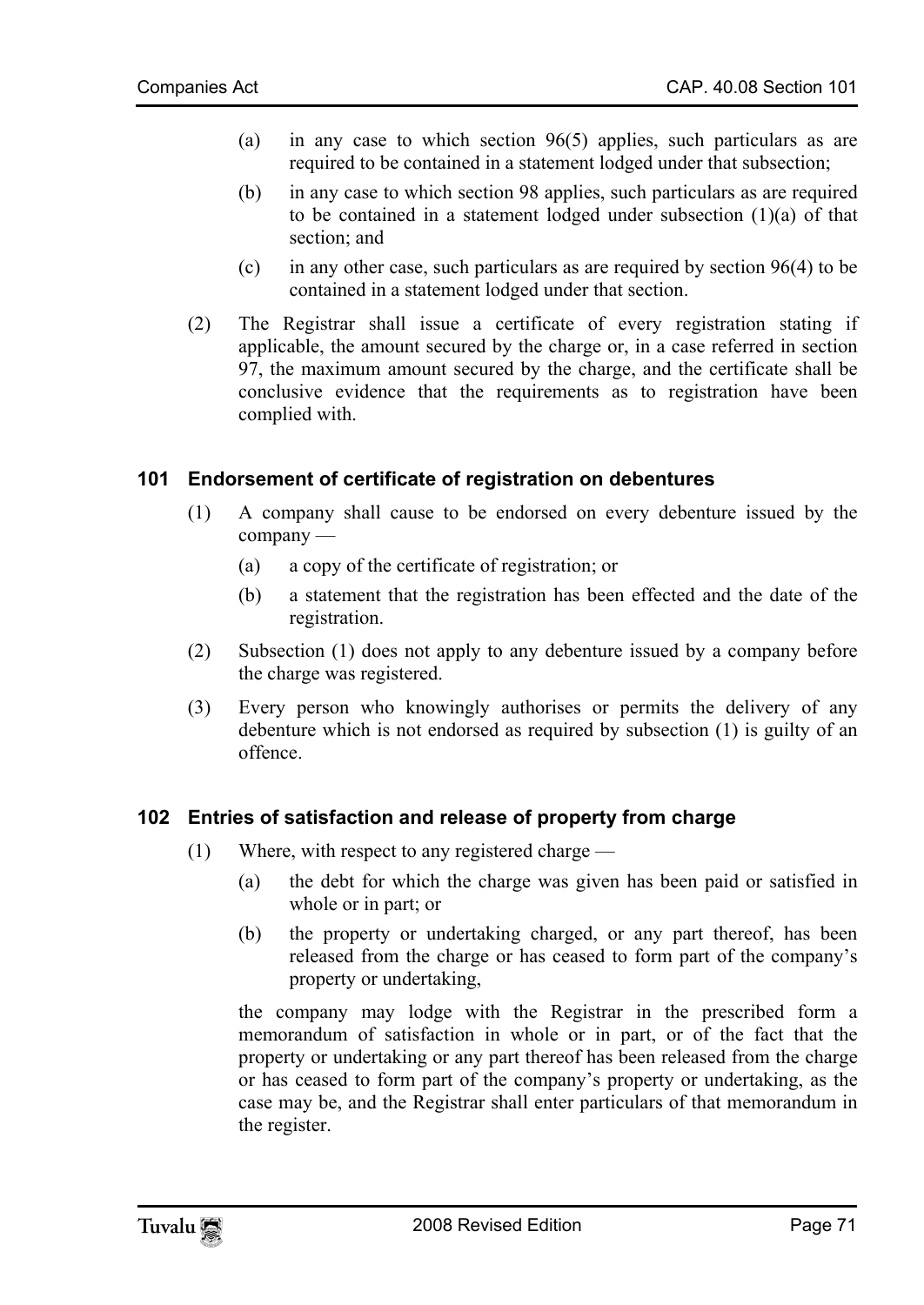- (a) in any case to which section 96(5) applies, such particulars as are required to be contained in a statement lodged under that subsection;
- (b) in any case to which section 98 applies, such particulars as are required to be contained in a statement lodged under subsection (1)(a) of that section; and
- (c) in any other case, such particulars as are required by section 96(4) to be contained in a statement lodged under that section.
- (2) The Registrar shall issue a certificate of every registration stating if applicable, the amount secured by the charge or, in a case referred in section 97, the maximum amount secured by the charge, and the certificate shall be conclusive evidence that the requirements as to registration have been complied with.

### **101 Endorsement of certificate of registration on debentures**

- (1) A company shall cause to be endorsed on every debenture issued by the company —
	- (a) a copy of the certificate of registration; or
	- (b) a statement that the registration has been effected and the date of the registration.
- (2) Subsection (1) does not apply to any debenture issued by a company before the charge was registered.
- (3) Every person who knowingly authorises or permits the delivery of any debenture which is not endorsed as required by subsection (1) is guilty of an offence.

#### **102 Entries of satisfaction and release of property from charge**

- (1) Where, with respect to any registered charge
	- (a) the debt for which the charge was given has been paid or satisfied in whole or in part; or
	- (b) the property or undertaking charged, or any part thereof, has been released from the charge or has ceased to form part of the company's property or undertaking,

the company may lodge with the Registrar in the prescribed form a memorandum of satisfaction in whole or in part, or of the fact that the property or undertaking or any part thereof has been released from the charge or has ceased to form part of the company's property or undertaking, as the case may be, and the Registrar shall enter particulars of that memorandum in the register.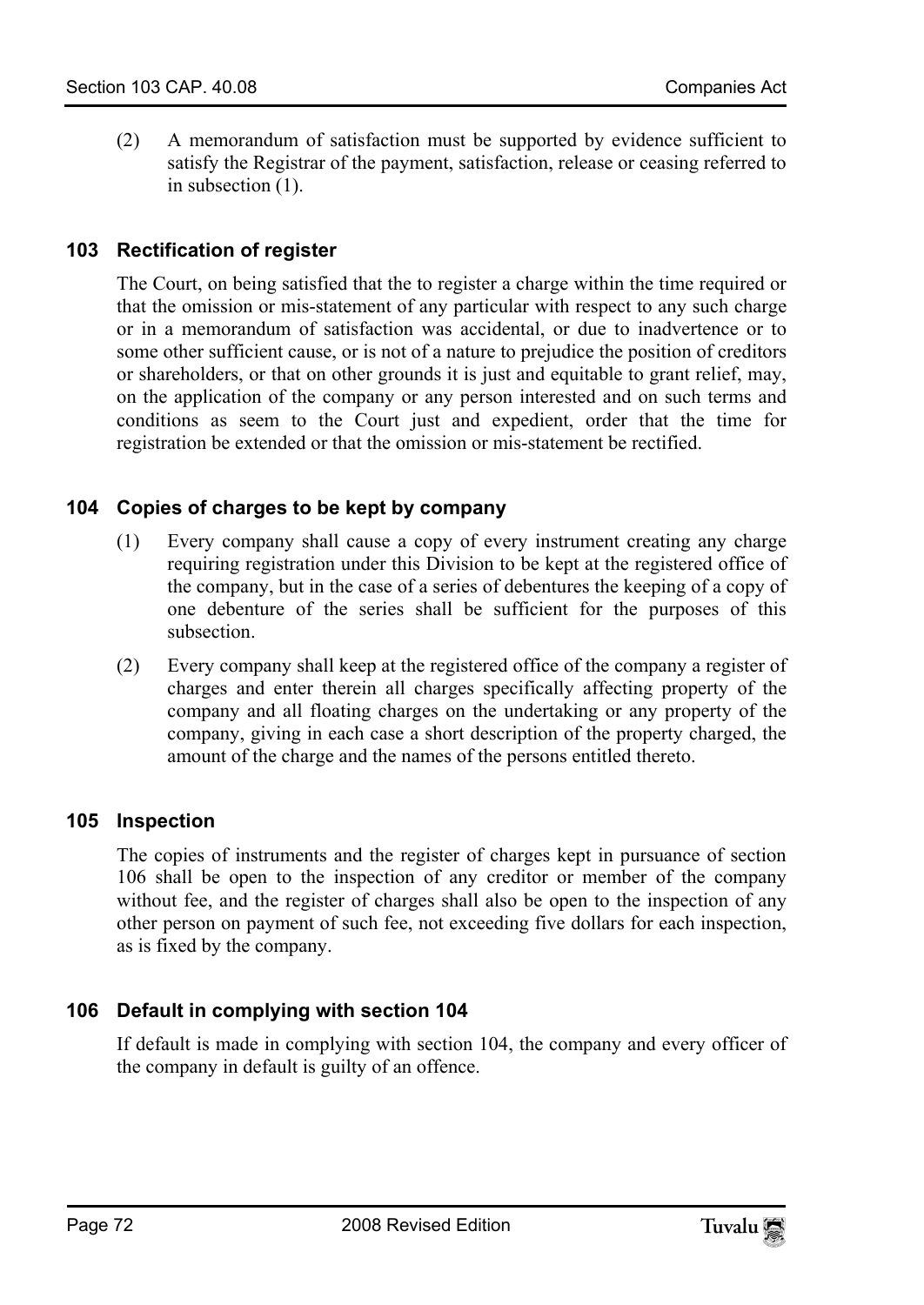(2) A memorandum of satisfaction must be supported by evidence sufficient to satisfy the Registrar of the payment, satisfaction, release or ceasing referred to in subsection (1).

### **103 Rectification of register**

The Court, on being satisfied that the to register a charge within the time required or that the omission or mis-statement of any particular with respect to any such charge or in a memorandum of satisfaction was accidental, or due to inadvertence or to some other sufficient cause, or is not of a nature to prejudice the position of creditors or shareholders, or that on other grounds it is just and equitable to grant relief, may, on the application of the company or any person interested and on such terms and conditions as seem to the Court just and expedient, order that the time for registration be extended or that the omission or mis-statement be rectified.

### **104 Copies of charges to be kept by company**

- (1) Every company shall cause a copy of every instrument creating any charge requiring registration under this Division to be kept at the registered office of the company, but in the case of a series of debentures the keeping of a copy of one debenture of the series shall be sufficient for the purposes of this subsection.
- (2) Every company shall keep at the registered office of the company a register of charges and enter therein all charges specifically affecting property of the company and all floating charges on the undertaking or any property of the company, giving in each case a short description of the property charged, the amount of the charge and the names of the persons entitled thereto.

#### **105 Inspection**

The copies of instruments and the register of charges kept in pursuance of section 106 shall be open to the inspection of any creditor or member of the company without fee, and the register of charges shall also be open to the inspection of any other person on payment of such fee, not exceeding five dollars for each inspection, as is fixed by the company.

### **106 Default in complying with section 104**

If default is made in complying with section 104, the company and every officer of the company in default is guilty of an offence.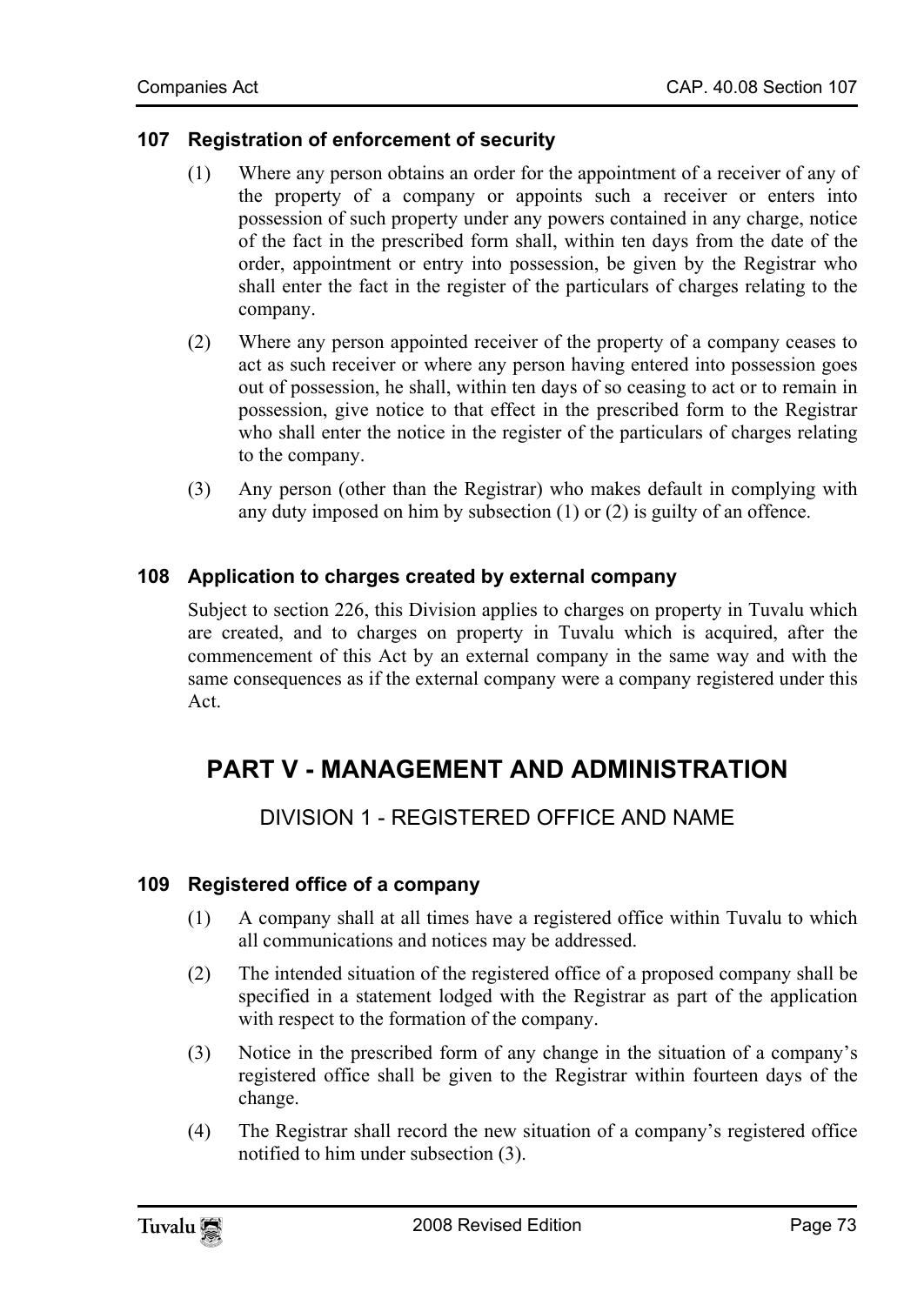## **107 Registration of enforcement of security**

- (1) Where any person obtains an order for the appointment of a receiver of any of the property of a company or appoints such a receiver or enters into possession of such property under any powers contained in any charge, notice of the fact in the prescribed form shall, within ten days from the date of the order, appointment or entry into possession, be given by the Registrar who shall enter the fact in the register of the particulars of charges relating to the company.
- (2) Where any person appointed receiver of the property of a company ceases to act as such receiver or where any person having entered into possession goes out of possession, he shall, within ten days of so ceasing to act or to remain in possession, give notice to that effect in the prescribed form to the Registrar who shall enter the notice in the register of the particulars of charges relating to the company.
- (3) Any person (other than the Registrar) who makes default in complying with any duty imposed on him by subsection (1) or (2) is guilty of an offence.

## **108 Application to charges created by external company**

Subject to section 226, this Division applies to charges on property in Tuvalu which are created, and to charges on property in Tuvalu which is acquired, after the commencement of this Act by an external company in the same way and with the same consequences as if the external company were a company registered under this Act.

# **PART V - MANAGEMENT AND ADMINISTRATION**

## DIVISION 1 - REGISTERED OFFICE AND NAME

#### **109 Registered office of a company**

- (1) A company shall at all times have a registered office within Tuvalu to which all communications and notices may be addressed.
- (2) The intended situation of the registered office of a proposed company shall be specified in a statement lodged with the Registrar as part of the application with respect to the formation of the company.
- (3) Notice in the prescribed form of any change in the situation of a company's registered office shall be given to the Registrar within fourteen days of the change.
- (4) The Registrar shall record the new situation of a company's registered office notified to him under subsection (3).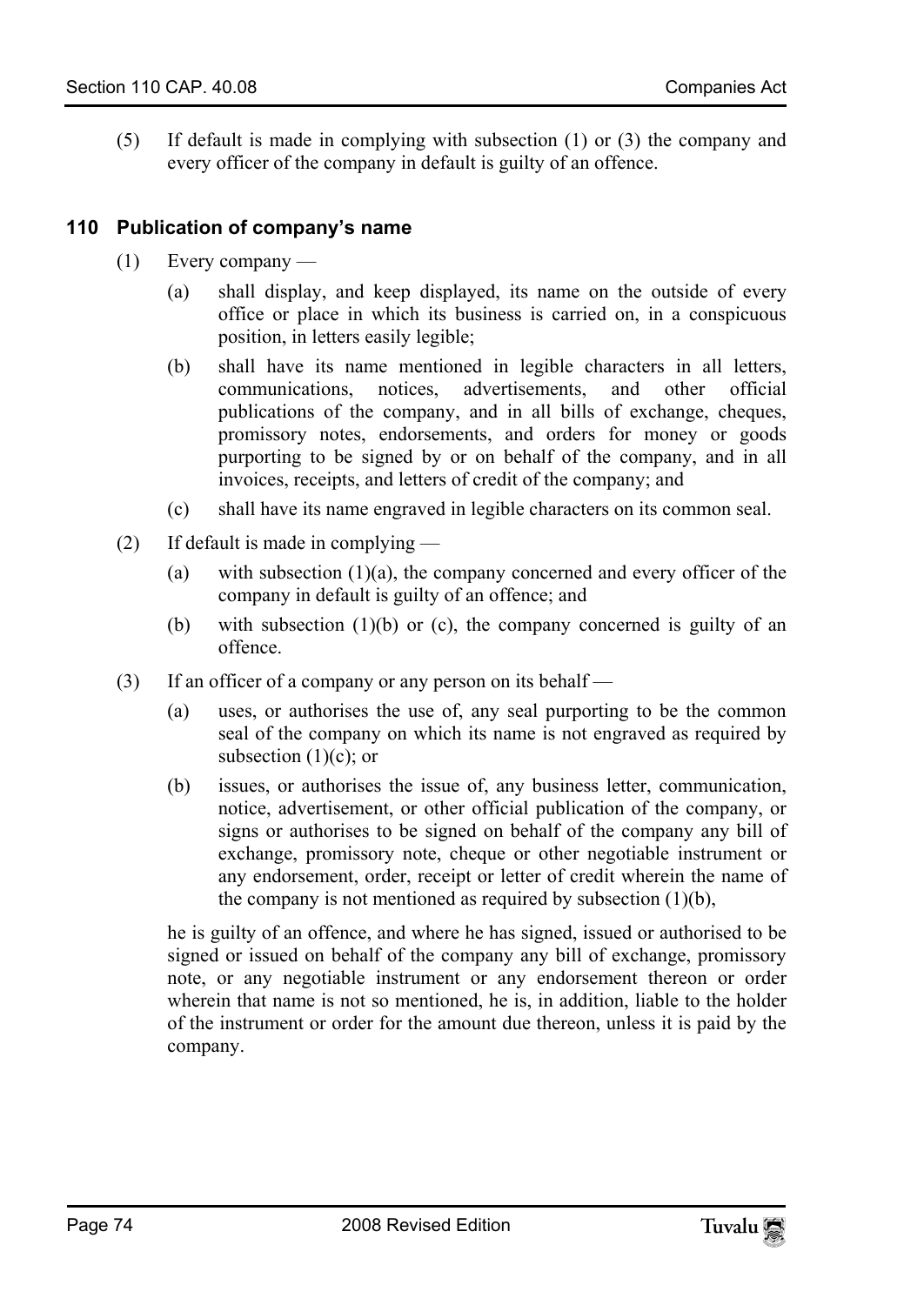(5) If default is made in complying with subsection (1) or (3) the company and every officer of the company in default is guilty of an offence.

## **110 Publication of company's name**

- (1) Every company
	- (a) shall display, and keep displayed, its name on the outside of every office or place in which its business is carried on, in a conspicuous position, in letters easily legible;
	- (b) shall have its name mentioned in legible characters in all letters, communications, notices, advertisements, and other official publications of the company, and in all bills of exchange, cheques, promissory notes, endorsements, and orders for money or goods purporting to be signed by or on behalf of the company, and in all invoices, receipts, and letters of credit of the company; and
	- (c) shall have its name engraved in legible characters on its common seal.
- (2) If default is made in complying
	- (a) with subsection  $(1)(a)$ , the company concerned and every officer of the company in default is guilty of an offence; and
	- (b) with subsection (1)(b) or (c), the company concerned is guilty of an offence.
- (3) If an officer of a company or any person on its behalf
	- (a) uses, or authorises the use of, any seal purporting to be the common seal of the company on which its name is not engraved as required by subsection  $(1)(c)$ ; or
	- (b) issues, or authorises the issue of, any business letter, communication, notice, advertisement, or other official publication of the company, or signs or authorises to be signed on behalf of the company any bill of exchange, promissory note, cheque or other negotiable instrument or any endorsement, order, receipt or letter of credit wherein the name of the company is not mentioned as required by subsection  $(1)(b)$ ,

he is guilty of an offence, and where he has signed, issued or authorised to be signed or issued on behalf of the company any bill of exchange, promissory note, or any negotiable instrument or any endorsement thereon or order wherein that name is not so mentioned, he is, in addition, liable to the holder of the instrument or order for the amount due thereon, unless it is paid by the company.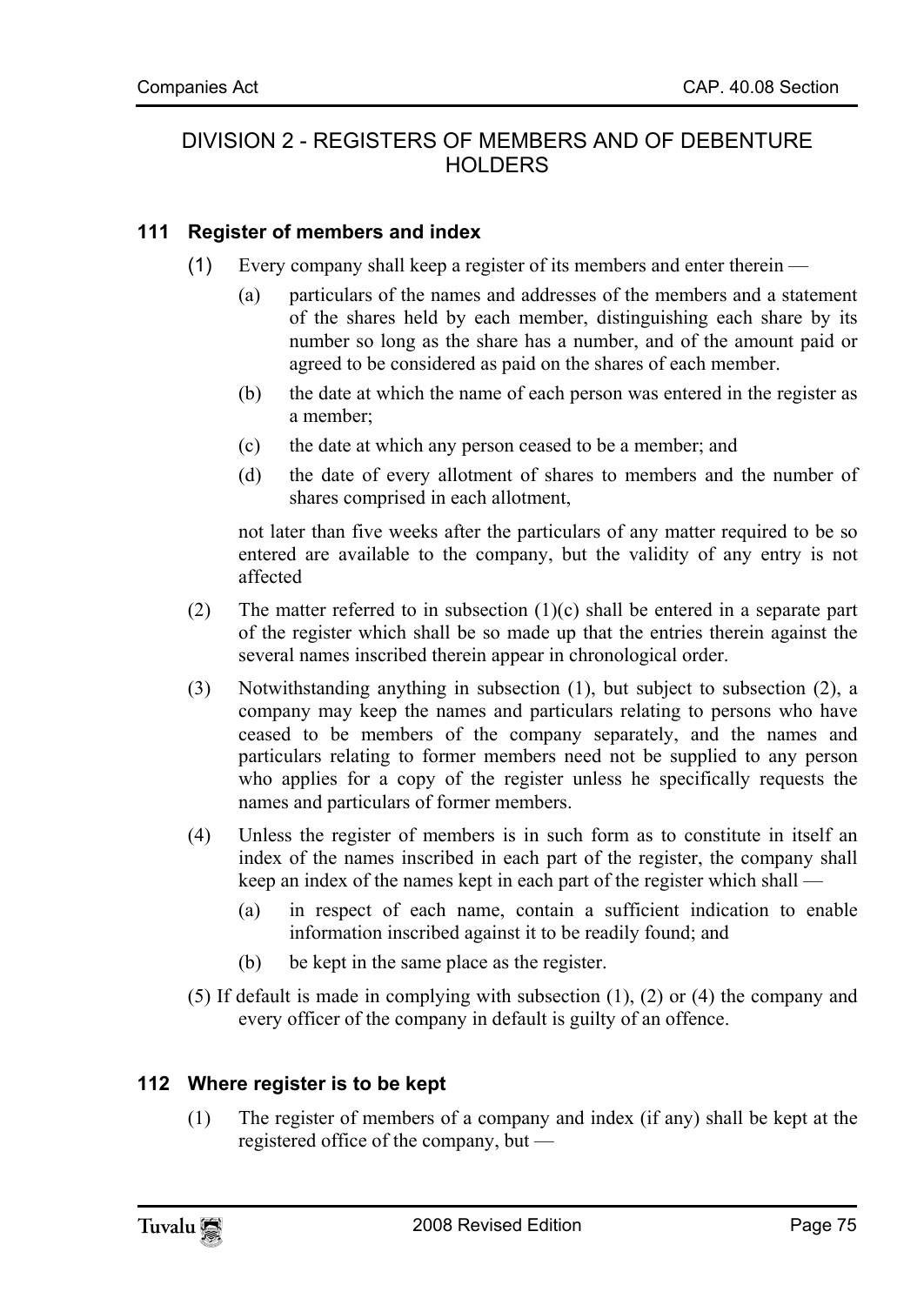## DIVISION 2 - REGISTERS OF MEMBERS AND OF DEBENTURE HOLDERS

## **111 Register of members and index**

- (1) Every company shall keep a register of its members and enter therein
	- (a) particulars of the names and addresses of the members and a statement of the shares held by each member, distinguishing each share by its number so long as the share has a number, and of the amount paid or agreed to be considered as paid on the shares of each member.
	- (b) the date at which the name of each person was entered in the register as a member;
	- (c) the date at which any person ceased to be a member; and
	- (d) the date of every allotment of shares to members and the number of shares comprised in each allotment,

not later than five weeks after the particulars of any matter required to be so entered are available to the company, but the validity of any entry is not affected

- (2) The matter referred to in subsection  $(1)(c)$  shall be entered in a separate part of the register which shall be so made up that the entries therein against the several names inscribed therein appear in chronological order.
- (3) Notwithstanding anything in subsection (1), but subject to subsection (2), a company may keep the names and particulars relating to persons who have ceased to be members of the company separately, and the names and particulars relating to former members need not be supplied to any person who applies for a copy of the register unless he specifically requests the names and particulars of former members.
- (4) Unless the register of members is in such form as to constitute in itself an index of the names inscribed in each part of the register, the company shall keep an index of the names kept in each part of the register which shall —
	- (a) in respect of each name, contain a sufficient indication to enable information inscribed against it to be readily found; and
	- (b) be kept in the same place as the register.
- (5) If default is made in complying with subsection (1), (2) or (4) the company and every officer of the company in default is guilty of an offence.

#### **112 Where register is to be kept**

(1) The register of members of a company and index (if any) shall be kept at the registered office of the company, but —

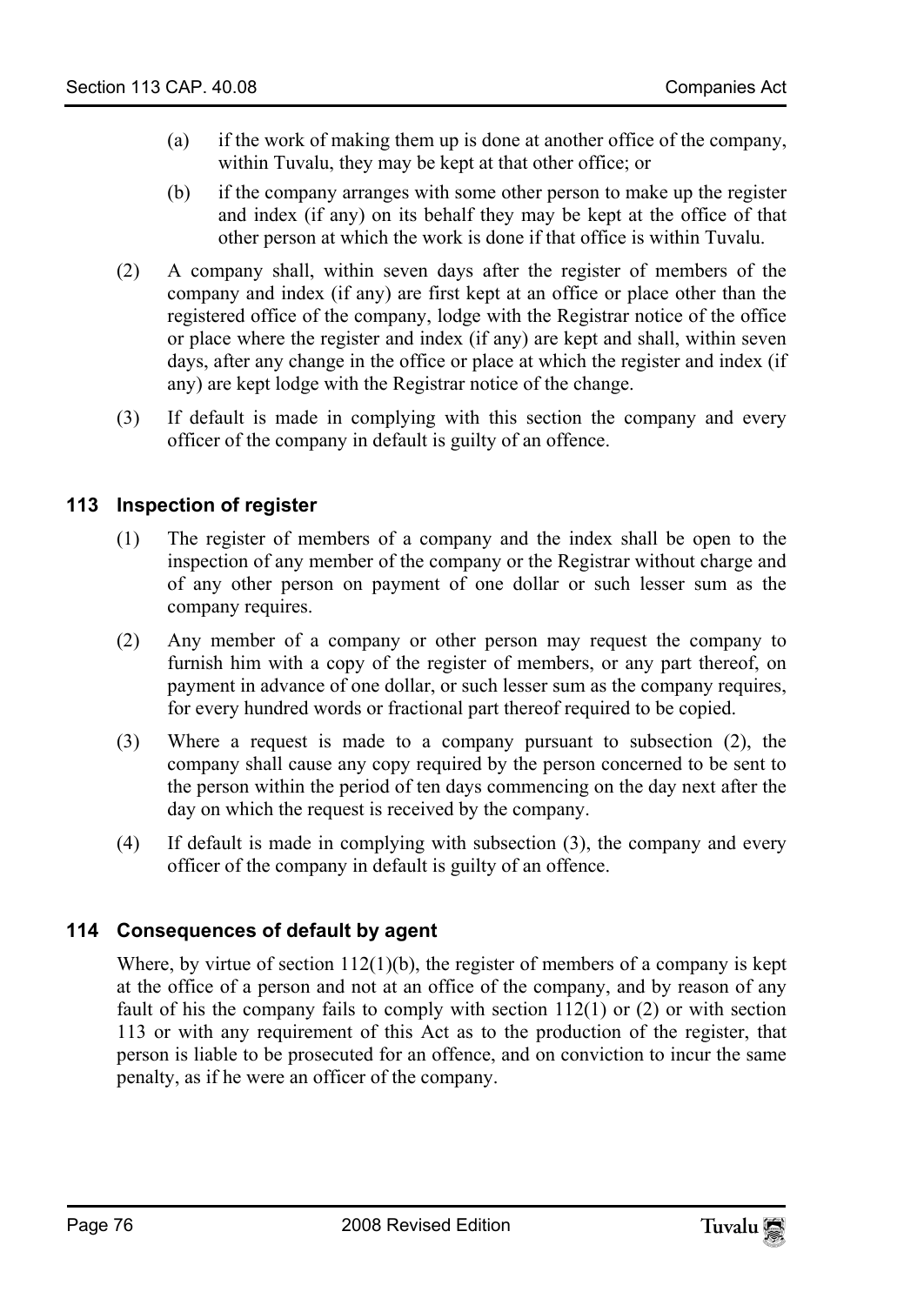- (a) if the work of making them up is done at another office of the company, within Tuvalu, they may be kept at that other office; or
- (b) if the company arranges with some other person to make up the register and index (if any) on its behalf they may be kept at the office of that other person at which the work is done if that office is within Tuvalu.
- (2) A company shall, within seven days after the register of members of the company and index (if any) are first kept at an office or place other than the registered office of the company, lodge with the Registrar notice of the office or place where the register and index (if any) are kept and shall, within seven days, after any change in the office or place at which the register and index (if any) are kept lodge with the Registrar notice of the change.
- (3) If default is made in complying with this section the company and every officer of the company in default is guilty of an offence.

## **113 Inspection of register**

- (1) The register of members of a company and the index shall be open to the inspection of any member of the company or the Registrar without charge and of any other person on payment of one dollar or such lesser sum as the company requires.
- (2) Any member of a company or other person may request the company to furnish him with a copy of the register of members, or any part thereof, on payment in advance of one dollar, or such lesser sum as the company requires, for every hundred words or fractional part thereof required to be copied.
- (3) Where a request is made to a company pursuant to subsection (2), the company shall cause any copy required by the person concerned to be sent to the person within the period of ten days commencing on the day next after the day on which the request is received by the company.
- (4) If default is made in complying with subsection (3), the company and every officer of the company in default is guilty of an offence.

## **114 Consequences of default by agent**

Where, by virtue of section  $112(1)(b)$ , the register of members of a company is kept at the office of a person and not at an office of the company, and by reason of any fault of his the company fails to comply with section  $112(1)$  or (2) or with section 113 or with any requirement of this Act as to the production of the register, that person is liable to be prosecuted for an offence, and on conviction to incur the same penalty, as if he were an officer of the company.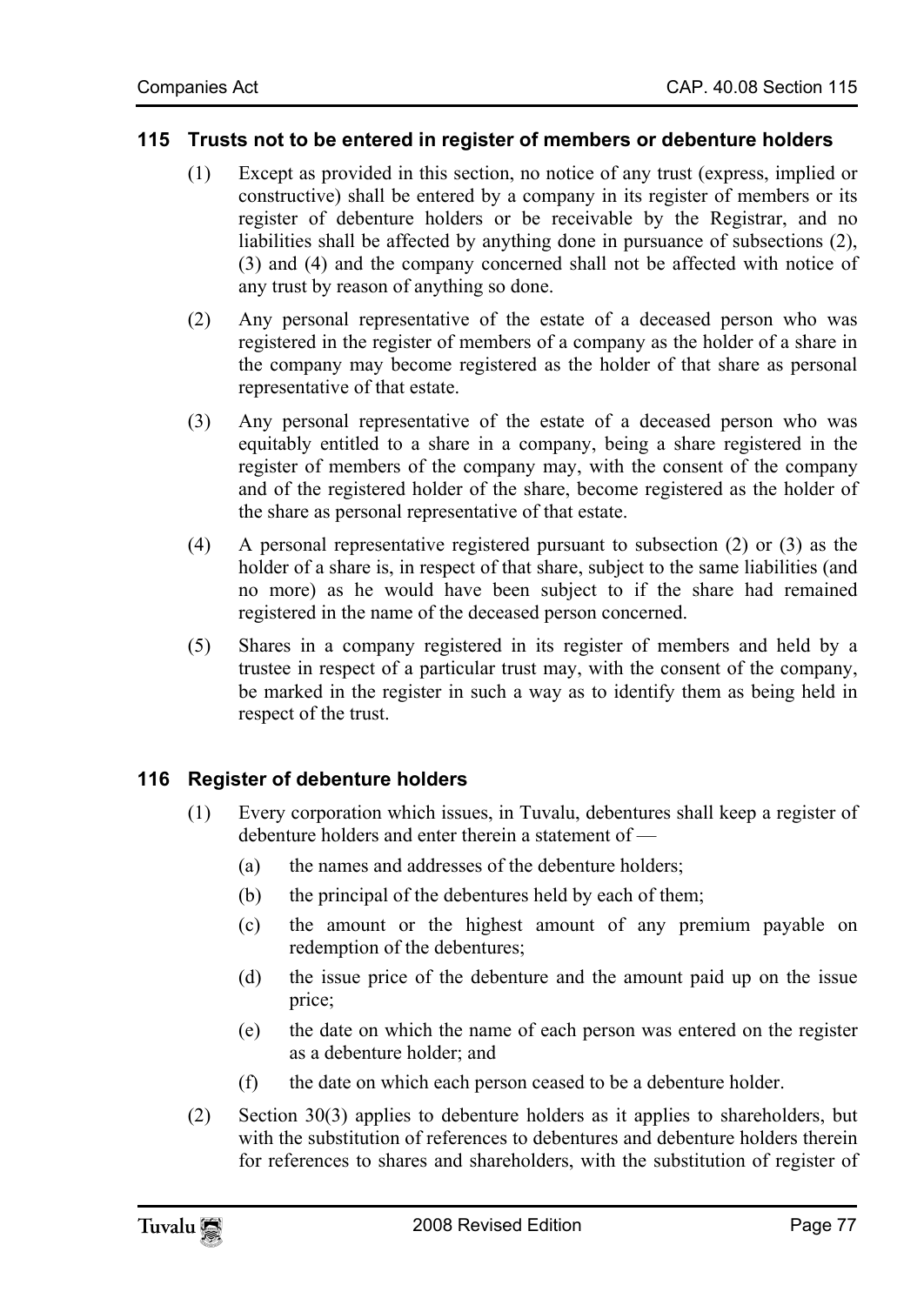#### **115 Trusts not to be entered in register of members or debenture holders**

- (1) Except as provided in this section, no notice of any trust (express, implied or constructive) shall be entered by a company in its register of members or its register of debenture holders or be receivable by the Registrar, and no liabilities shall be affected by anything done in pursuance of subsections (2), (3) and (4) and the company concerned shall not be affected with notice of any trust by reason of anything so done.
- (2) Any personal representative of the estate of a deceased person who was registered in the register of members of a company as the holder of a share in the company may become registered as the holder of that share as personal representative of that estate.
- (3) Any personal representative of the estate of a deceased person who was equitably entitled to a share in a company, being a share registered in the register of members of the company may, with the consent of the company and of the registered holder of the share, become registered as the holder of the share as personal representative of that estate.
- (4) A personal representative registered pursuant to subsection (2) or (3) as the holder of a share is, in respect of that share, subject to the same liabilities (and no more) as he would have been subject to if the share had remained registered in the name of the deceased person concerned.
- (5) Shares in a company registered in its register of members and held by a trustee in respect of a particular trust may, with the consent of the company, be marked in the register in such a way as to identify them as being held in respect of the trust.

#### **116 Register of debenture holders**

- (1) Every corporation which issues, in Tuvalu, debentures shall keep a register of debenture holders and enter therein a statement of —
	- (a) the names and addresses of the debenture holders;
	- (b) the principal of the debentures held by each of them;
	- (c) the amount or the highest amount of any premium payable on redemption of the debentures;
	- (d) the issue price of the debenture and the amount paid up on the issue price;
	- (e) the date on which the name of each person was entered on the register as a debenture holder; and
	- (f) the date on which each person ceased to be a debenture holder.
- (2) Section 30(3) applies to debenture holders as it applies to shareholders, but with the substitution of references to debentures and debenture holders therein for references to shares and shareholders, with the substitution of register of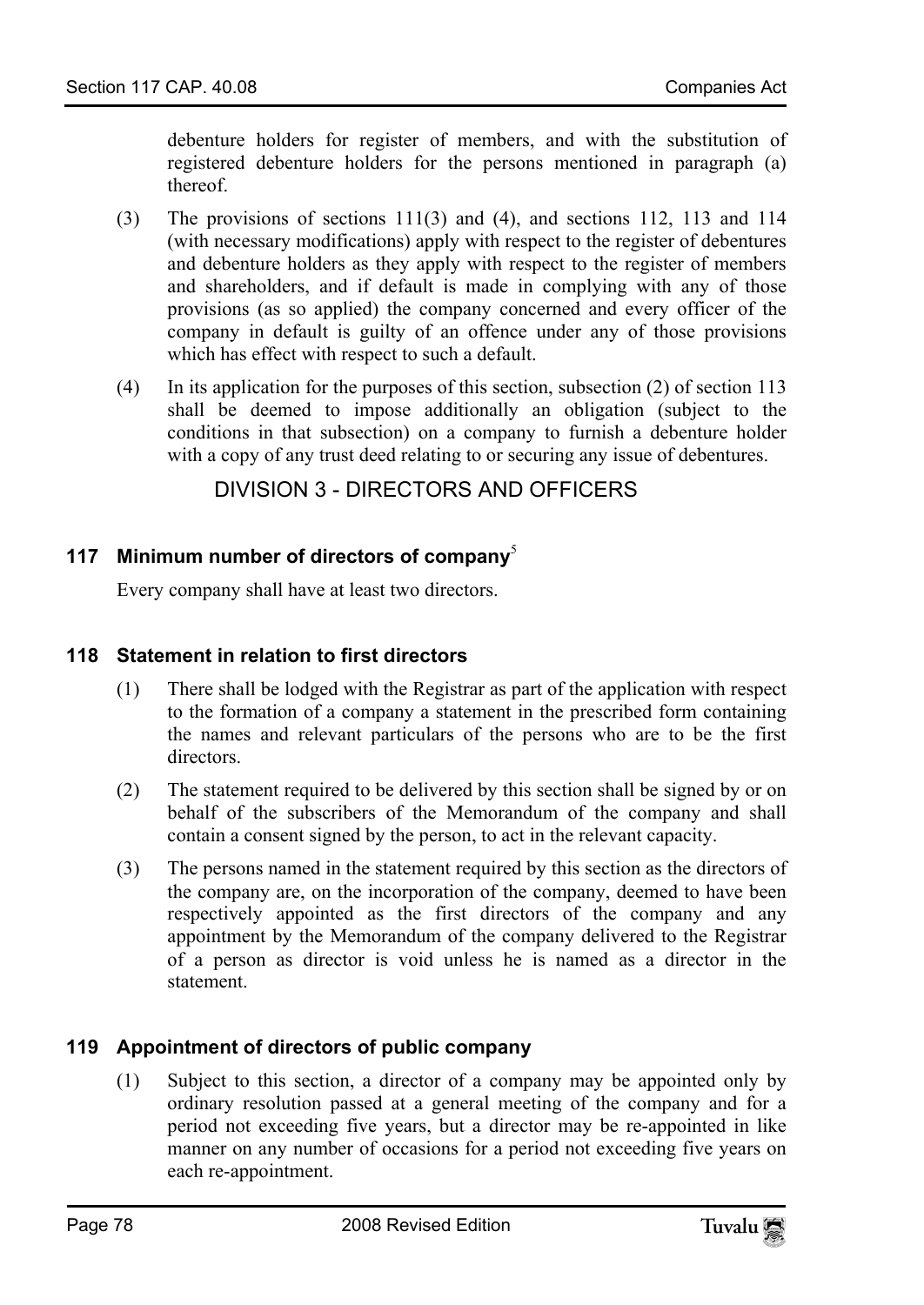debenture holders for register of members, and with the substitution of registered debenture holders for the persons mentioned in paragraph (a) thereof.

- (3) The provisions of sections 111(3) and (4), and sections 112, 113 and 114 (with necessary modifications) apply with respect to the register of debentures and debenture holders as they apply with respect to the register of members and shareholders, and if default is made in complying with any of those provisions (as so applied) the company concerned and every officer of the company in default is guilty of an offence under any of those provisions which has effect with respect to such a default.
- (4) In its application for the purposes of this section, subsection (2) of section 113 shall be deemed to impose additionally an obligation (subject to the conditions in that subsection) on a company to furnish [a](#page-187-0) debenture holder with a copy of any trust deed relating to or securing any issue of debentures.

## DIVISION 3 - DIRECTORS AND OFFICERS

## **117 Minimum number of directors of company**<sup>5</sup>

Every company shall have at least two directors.

#### **118 Statement in relation to first directors**

- (1) There shall be lodged with the Registrar as part of the application with respect to the formation of a company a statement in the prescribed form containing the names and relevant particulars of the persons who are to be the first directors.
- (2) The statement required to be delivered by this section shall be signed by or on behalf of the subscribers of the Memorandum of the company and shall contain a consent signed by the person, to act in the relevant capacity.
- (3) The persons named in the statement required by this section as the directors of the company are, on the incorporation of the company, deemed to have been respectively appointed as the first directors of the company and any appointment by the Memorandum of the company delivered to the Registrar of a person as director is void unless he is named as a director in the statement.

## **119 Appointment of directors of public company**

(1) Subject to this section, a director of a company may be appointed only by ordinary resolution passed at a general meeting of the company and for a period not exceeding five years, but a director may be re-appointed in like manner on any number of occasions for a period not exceeding five years on each re-appointment.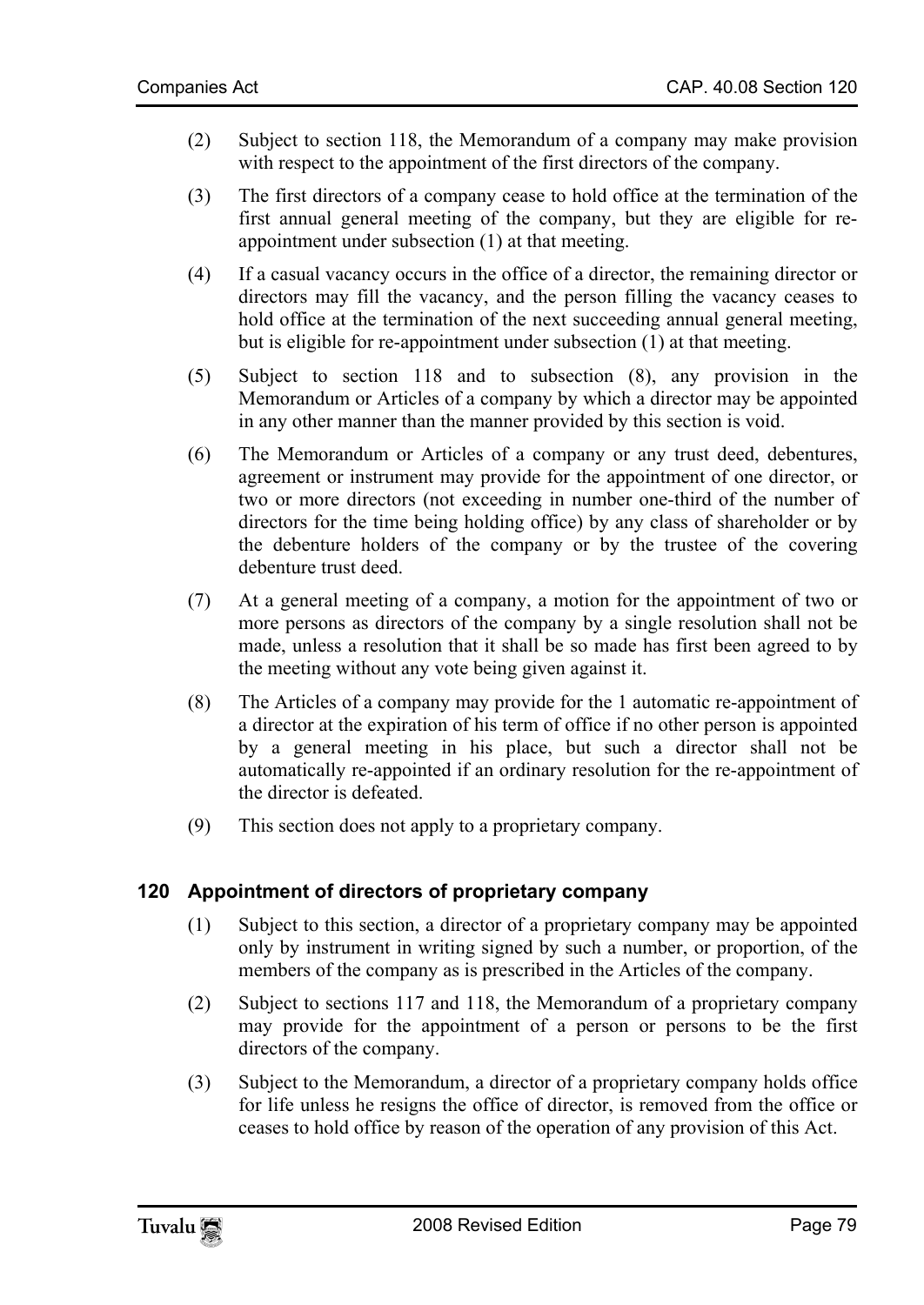- (2) Subject to section 118, the Memorandum of a company may make provision with respect to the appointment of the first directors of the company.
- (3) The first directors of a company cease to hold office at the termination of the first annual general meeting of the company, but they are eligible for reappointment under subsection (1) at that meeting.
- (4) If a casual vacancy occurs in the office of a director, the remaining director or directors may fill the vacancy, and the person filling the vacancy ceases to hold office at the termination of the next succeeding annual general meeting, but is eligible for re-appointment under subsection (1) at that meeting.
- (5) Subject to section 118 and to subsection (8), any provision in the Memorandum or Articles of a company by which a director may be appointed in any other manner than the manner provided by this section is void.
- (6) The Memorandum or Articles of a company or any trust deed, debentures, agreement or instrument may provide for the appointment of one director, or two or more directors (not exceeding in number one-third of the number of directors for the time being holding office) by any class of shareholder or by the debenture holders of the company or by the trustee of the covering debenture trust deed.
- (7) At a general meeting of a company, a motion for the appointment of two or more persons as directors of the company by a single resolution shall not be made, unless a resolution that it shall be so made has first been agreed to by the meeting without any vote being given against it.
- (8) The Articles of a company may provide for the 1 automatic re-appointment of a director at the expiration of his term of office if no other person is appointed by a general meeting in his place, but such a director shall not be automatically re-appointed if an ordinary resolution for the re-appointment of the director is defeated.
- (9) This section does not apply to a proprietary company.

#### **120 Appointment of directors of proprietary company**

- (1) Subject to this section, a director of a proprietary company may be appointed only by instrument in writing signed by such a number, or proportion, of the members of the company as is prescribed in the Articles of the company.
- (2) Subject to sections 117 and 118, the Memorandum of a proprietary company may provide for the appointment of a person or persons to be the first directors of the company.
- (3) Subject to the Memorandum, a director of a proprietary company holds office for life unless he resigns the office of director, is removed from the office or ceases to hold office by reason of the operation of any provision of this Act.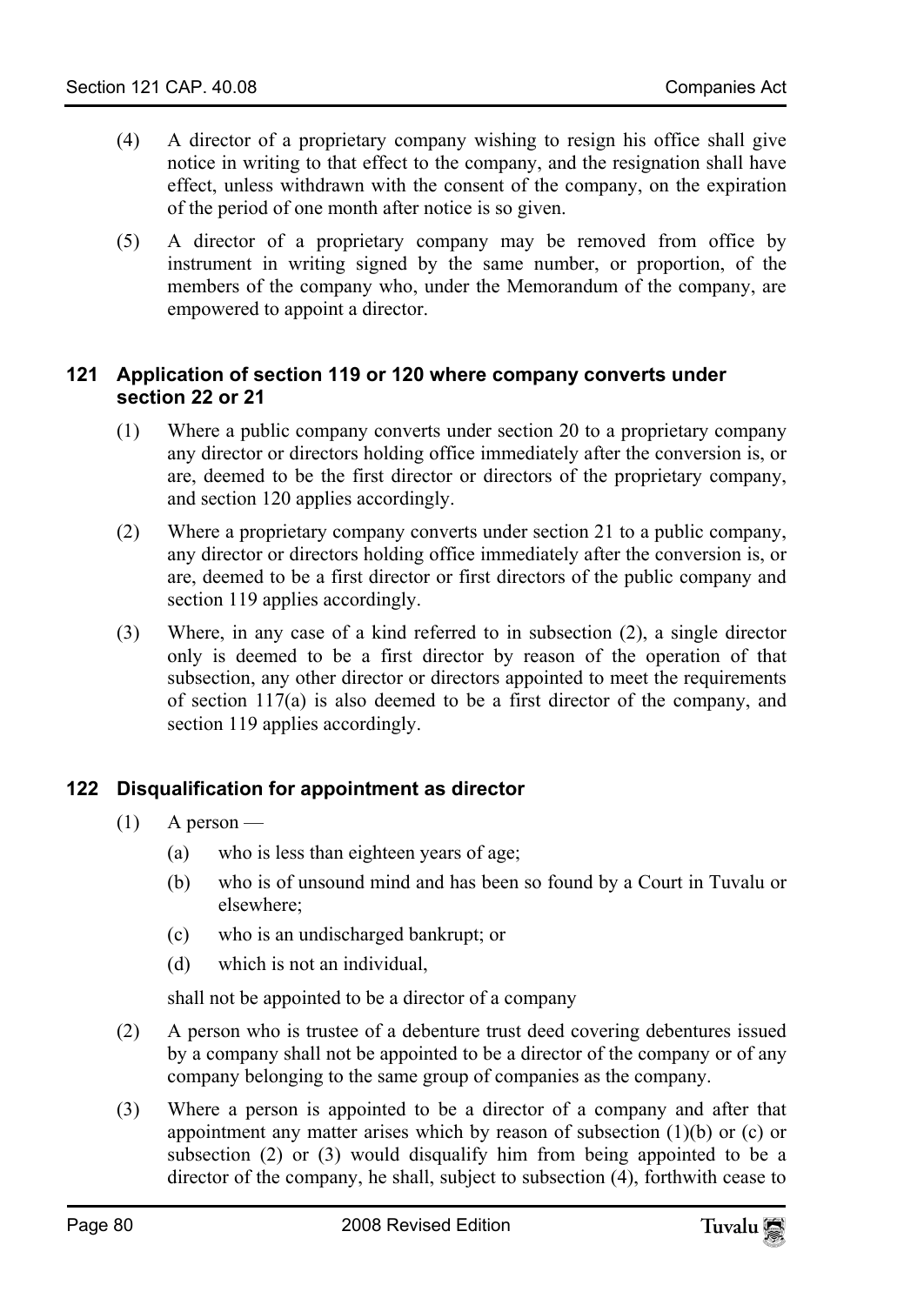- (4) A director of a proprietary company wishing to resign his office shall give notice in writing to that effect to the company, and the resignation shall have effect, unless withdrawn with the consent of the company, on the expiration of the period of one month after notice is so given.
- (5) A director of a proprietary company may be removed from office by instrument in writing signed by the same number, or proportion, of the members of the company who, under the Memorandum of the company, are empowered to appoint a director.

## **121 Application of section 119 or 120 where company converts under section 22 or 21**

- (1) Where a public company converts under section 20 to a proprietary company any director or directors holding office immediately after the conversion is, or are, deemed to be the first director or directors of the proprietary company, and section 120 applies accordingly.
- (2) Where a proprietary company converts under section 21 to a public company, any director or directors holding office immediately after the conversion is, or are, deemed to be a first director or first directors of the public company and section 119 applies accordingly.
- (3) Where, in any case of a kind referred to in subsection (2), a single director only is deemed to be a first director by reason of the operation of that subsection, any other director or directors appointed to meet the requirements of section 117(a) is also deemed to be a first director of the company, and section 119 applies accordingly.

## **122 Disqualification for appointment as director**

- $(1)$  A person
	- (a) who is less than eighteen years of age;
	- (b) who is of unsound mind and has been so found by a Court in Tuvalu or elsewhere;
	- (c) who is an undischarged bankrupt; or
	- (d) which is not an individual,

shall not be appointed to be a director of a company

- (2) A person who is trustee of a debenture trust deed covering debentures issued by a company shall not be appointed to be a director of the company or of any company belonging to the same group of companies as the company.
- (3) Where a person is appointed to be a director of a company and after that appointment any matter arises which by reason of subsection (1)(b) or (c) or subsection (2) or (3) would disqualify him from being appointed to be a director of the company, he shall, subject to subsection (4), forthwith cease to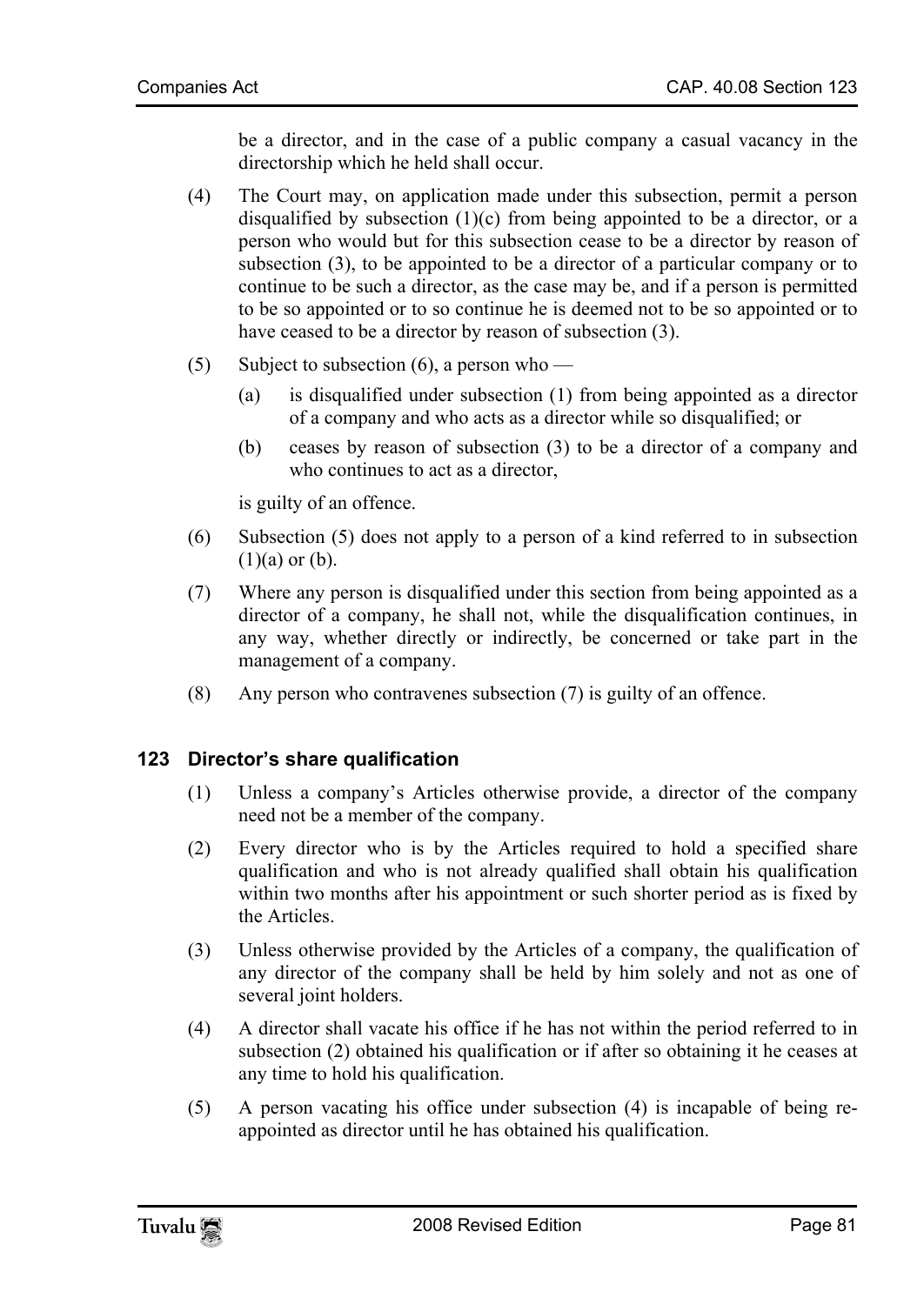be a director, and in the case of a public company a casual vacancy in the directorship which he held shall occur.

- (4) The Court may, on application made under this subsection, permit a person disqualified by subsection  $(1)(c)$  from being appointed to be a director, or a person who would but for this subsection cease to be a director by reason of subsection (3), to be appointed to be a director of a particular company or to continue to be such a director, as the case may be, and if a person is permitted to be so appointed or to so continue he is deemed not to be so appointed or to have ceased to be a director by reason of subsection (3).
- (5) Subject to subsection (6), a person who
	- (a) is disqualified under subsection (1) from being appointed as a director of a company and who acts as a director while so disqualified; or
	- (b) ceases by reason of subsection (3) to be a director of a company and who continues to act as a director,

is guilty of an offence.

- (6) Subsection (5) does not apply to a person of a kind referred to in subsection  $(1)(a)$  or  $(b)$ .
- (7) Where any person is disqualified under this section from being appointed as a director of a company, he shall not, while the disqualification continues, in any way, whether directly or indirectly, be concerned or take part in the management of a company.
- (8) Any person who contravenes subsection (7) is guilty of an offence.

#### **123 Director's share qualification**

- (1) Unless a company's Articles otherwise provide, a director of the company need not be a member of the company.
- (2) Every director who is by the Articles required to hold a specified share qualification and who is not already qualified shall obtain his qualification within two months after his appointment or such shorter period as is fixed by the Articles.
- (3) Unless otherwise provided by the Articles of a company, the qualification of any director of the company shall be held by him solely and not as one of several joint holders.
- (4) A director shall vacate his office if he has not within the period referred to in subsection (2) obtained his qualification or if after so obtaining it he ceases at any time to hold his qualification.
- (5) A person vacating his office under subsection (4) is incapable of being reappointed as director until he has obtained his qualification.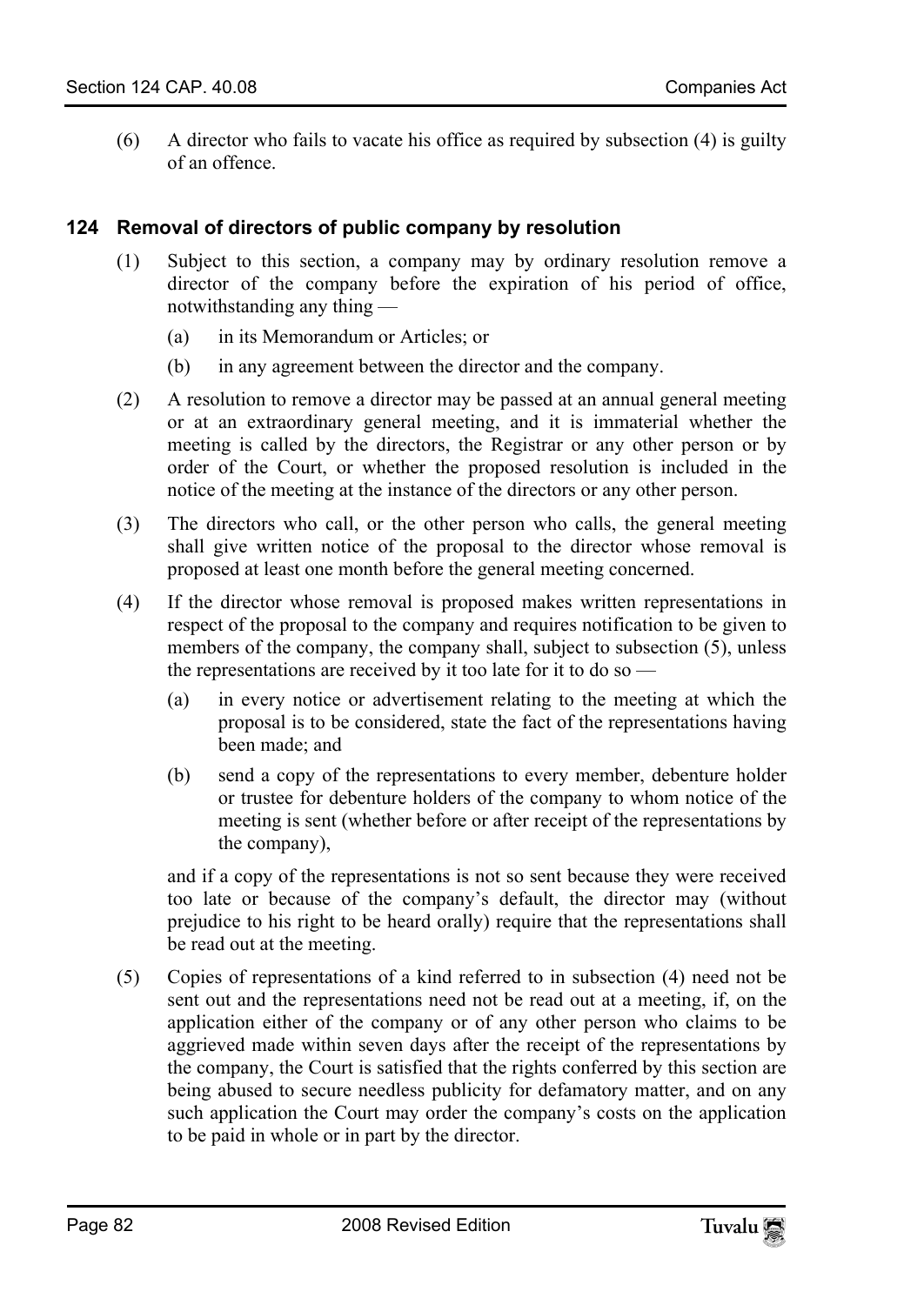(6) A director who fails to vacate his office as required by subsection (4) is guilty of an offence.

## **124 Removal of directors of public company by resolution**

- (1) Subject to this section, a company may by ordinary resolution remove a director of the company before the expiration of his period of office, notwithstanding any thing —
	- (a) in its Memorandum or Articles; or
	- (b) in any agreement between the director and the company.
- (2) A resolution to remove a director may be passed at an annual general meeting or at an extraordinary general meeting, and it is immaterial whether the meeting is called by the directors, the Registrar or any other person or by order of the Court, or whether the proposed resolution is included in the notice of the meeting at the instance of the directors or any other person.
- (3) The directors who call, or the other person who calls, the general meeting shall give written notice of the proposal to the director whose removal is proposed at least one month before the general meeting concerned.
- (4) If the director whose removal is proposed makes written representations in respect of the proposal to the company and requires notification to be given to members of the company, the company shall, subject to subsection (5), unless the representations are received by it too late for it to do so —
	- (a) in every notice or advertisement relating to the meeting at which the proposal is to be considered, state the fact of the representations having been made; and
	- (b) send a copy of the representations to every member, debenture holder or trustee for debenture holders of the company to whom notice of the meeting is sent (whether before or after receipt of the representations by the company),

and if a copy of the representations is not so sent because they were received too late or because of the company's default, the director may (without prejudice to his right to be heard orally) require that the representations shall be read out at the meeting.

(5) Copies of representations of a kind referred to in subsection (4) need not be sent out and the representations need not be read out at a meeting, if, on the application either of the company or of any other person who claims to be aggrieved made within seven days after the receipt of the representations by the company, the Court is satisfied that the rights conferred by this section are being abused to secure needless publicity for defamatory matter, and on any such application the Court may order the company's costs on the application to be paid in whole or in part by the director.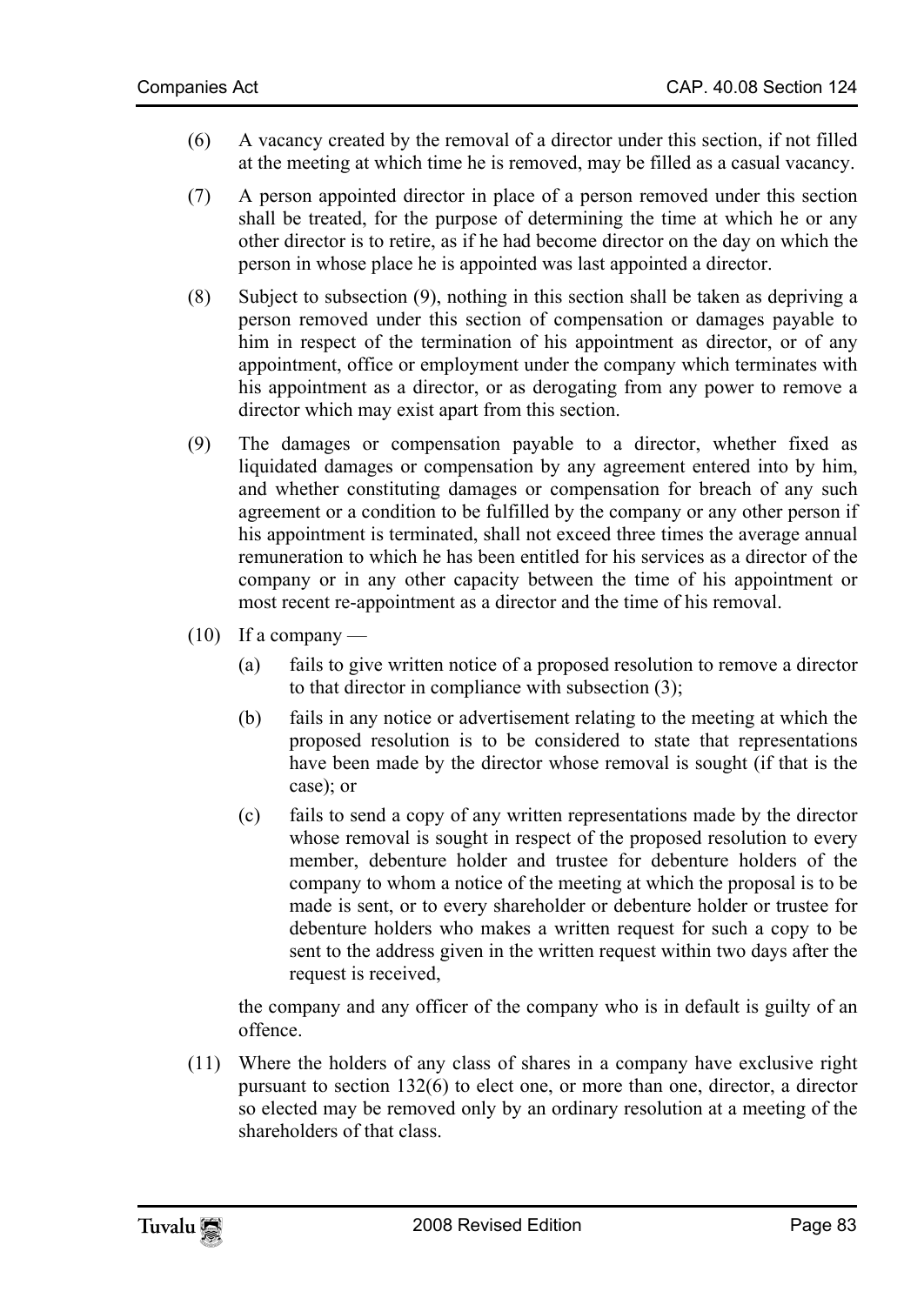- (6) A vacancy created by the removal of a director under this section, if not filled at the meeting at which time he is removed, may be filled as a casual vacancy.
- (7) A person appointed director in place of a person removed under this section shall be treated, for the purpose of determining the time at which he or any other director is to retire, as if he had become director on the day on which the person in whose place he is appointed was last appointed a director.
- (8) Subject to subsection (9), nothing in this section shall be taken as depriving a person removed under this section of compensation or damages payable to him in respect of the termination of his appointment as director, or of any appointment, office or employment under the company which terminates with his appointment as a director, or as derogating from any power to remove a director which may exist apart from this section.
- (9) The damages or compensation payable to a director, whether fixed as liquidated damages or compensation by any agreement entered into by him, and whether constituting damages or compensation for breach of any such agreement or a condition to be fulfilled by the company or any other person if his appointment is terminated, shall not exceed three times the average annual remuneration to which he has been entitled for his services as a director of the company or in any other capacity between the time of his appointment or most recent re-appointment as a director and the time of his removal.
- $(10)$  If a company
	- (a) fails to give written notice of a proposed resolution to remove a director to that director in compliance with subsection (3);
	- (b) fails in any notice or advertisement relating to the meeting at which the proposed resolution is to be considered to state that representations have been made by the director whose removal is sought (if that is the case); or
	- (c) fails to send a copy of any written representations made by the director whose removal is sought in respect of the proposed resolution to every member, debenture holder and trustee for debenture holders of the company to whom a notice of the meeting at which the proposal is to be made is sent, or to every shareholder or debenture holder or trustee for debenture holders who makes a written request for such a copy to be sent to the address given in the written request within two days after the request is received,

the company and any officer of the company who is in default is guilty of an offence.

(11) Where the holders of any class of shares in a company have exclusive right pursuant to section 132(6) to elect one, or more than one, director, a director so elected may be removed only by an ordinary resolution at a meeting of the shareholders of that class.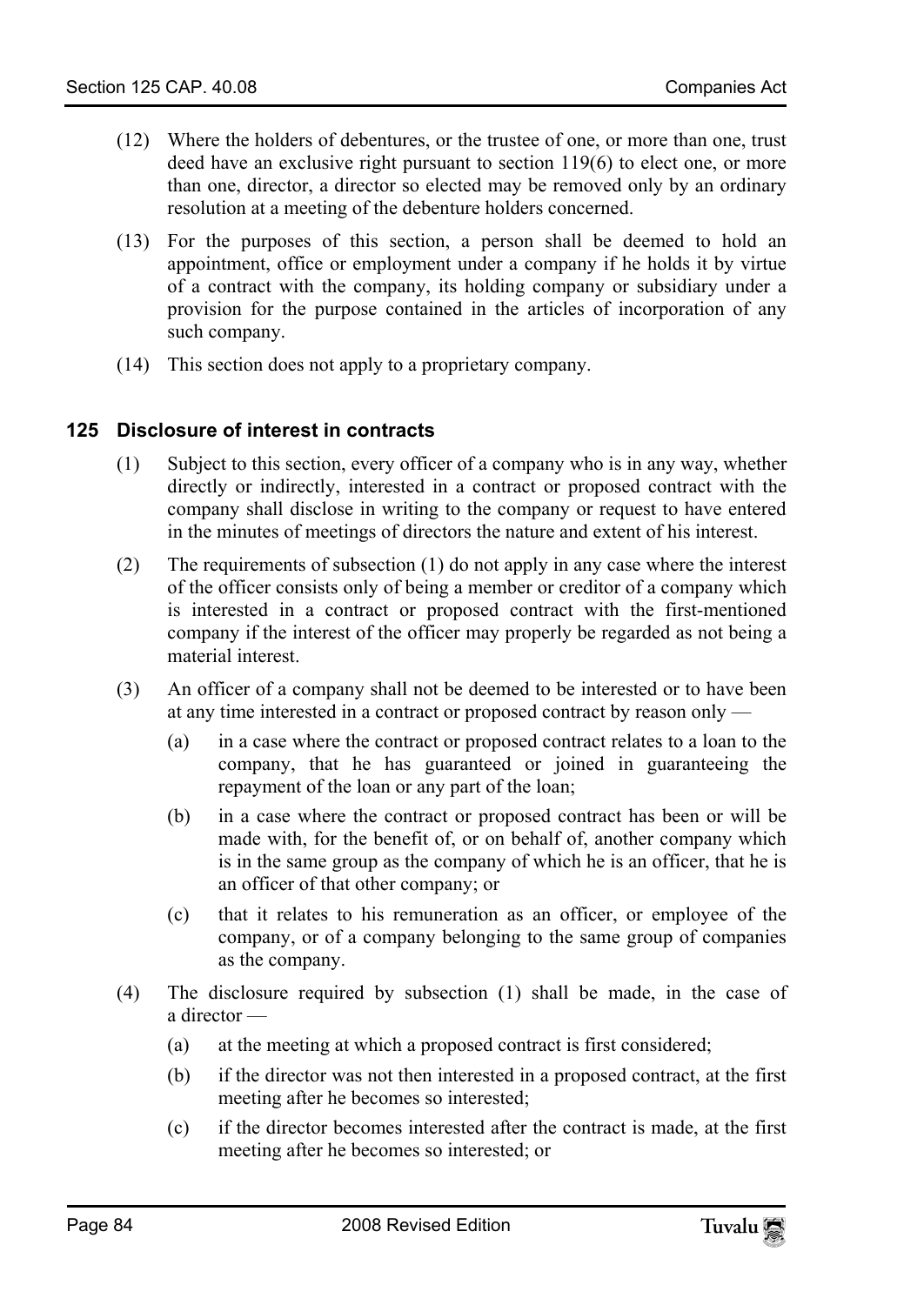- (12) Where the holders of debentures, or the trustee of one, or more than one, trust deed have an exclusive right pursuant to section 119(6) to elect one, or more than one, director, a director so elected may be removed only by an ordinary resolution at a meeting of the debenture holders concerned.
- (13) For the purposes of this section, a person shall be deemed to hold an appointment, office or employment under a company if he holds it by virtue of a contract with the company, its holding company or subsidiary under a provision for the purpose contained in the articles of incorporation of any such company.
- (14) This section does not apply to a proprietary company.

#### **125 Disclosure of interest in contracts**

- (1) Subject to this section, every officer of a company who is in any way, whether directly or indirectly, interested in a contract or proposed contract with the company shall disclose in writing to the company or request to have entered in the minutes of meetings of directors the nature and extent of his interest.
- (2) The requirements of subsection (1) do not apply in any case where the interest of the officer consists only of being a member or creditor of a company which is interested in a contract or proposed contract with the first-mentioned company if the interest of the officer may properly be regarded as not being a material interest.
- (3) An officer of a company shall not be deemed to be interested or to have been at any time interested in a contract or proposed contract by reason only —
	- (a) in a case where the contract or proposed contract relates to a loan to the company, that he has guaranteed or joined in guaranteeing the repayment of the loan or any part of the loan;
	- (b) in a case where the contract or proposed contract has been or will be made with, for the benefit of, or on behalf of, another company which is in the same group as the company of which he is an officer, that he is an officer of that other company; or
	- (c) that it relates to his remuneration as an officer, or employee of the company, or of a company belonging to the same group of companies as the company.
- (4) The disclosure required by subsection (1) shall be made, in the case of a director —
	- (a) at the meeting at which a proposed contract is first considered;
	- (b) if the director was not then interested in a proposed contract, at the first meeting after he becomes so interested;
	- (c) if the director becomes interested after the contract is made, at the first meeting after he becomes so interested; or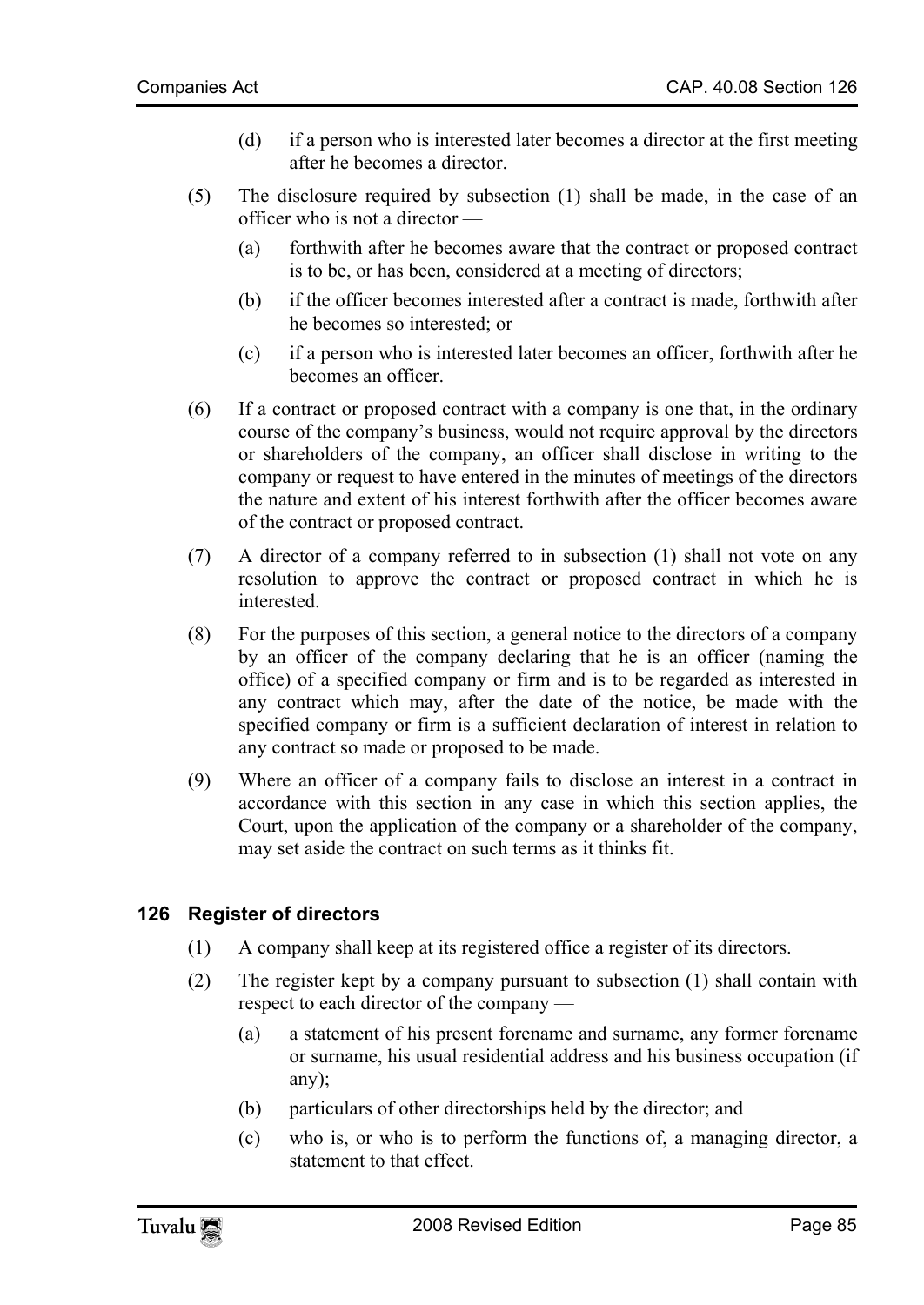- (d) if a person who is interested later becomes a director at the first meeting after he becomes a director.
- (5) The disclosure required by subsection (1) shall be made, in the case of an officer who is not a director —
	- (a) forthwith after he becomes aware that the contract or proposed contract is to be, or has been, considered at a meeting of directors;
	- (b) if the officer becomes interested after a contract is made, forthwith after he becomes so interested; or
	- (c) if a person who is interested later becomes an officer, forthwith after he becomes an officer.
- (6) If a contract or proposed contract with a company is one that, in the ordinary course of the company's business, would not require approval by the directors or shareholders of the company, an officer shall disclose in writing to the company or request to have entered in the minutes of meetings of the directors the nature and extent of his interest forthwith after the officer becomes aware of the contract or proposed contract.
- (7) A director of a company referred to in subsection (1) shall not vote on any resolution to approve the contract or proposed contract in which he is interested.
- (8) For the purposes of this section, a general notice to the directors of a company by an officer of the company declaring that he is an officer (naming the office) of a specified company or firm and is to be regarded as interested in any contract which may, after the date of the notice, be made with the specified company or firm is a sufficient declaration of interest in relation to any contract so made or proposed to be made.
- (9) Where an officer of a company fails to disclose an interest in a contract in accordance with this section in any case in which this section applies, the Court, upon the application of the company or a shareholder of the company, may set aside the contract on such terms as it thinks fit.

#### **126 Register of directors**

- (1) A company shall keep at its registered office a register of its directors.
- (2) The register kept by a company pursuant to subsection (1) shall contain with respect to each director of the company —
	- (a) a statement of his present forename and surname, any former forename or surname, his usual residential address and his business occupation (if any);
	- (b) particulars of other directorships held by the director; and
	- (c) who is, or who is to perform the functions of, a managing director, a statement to that effect.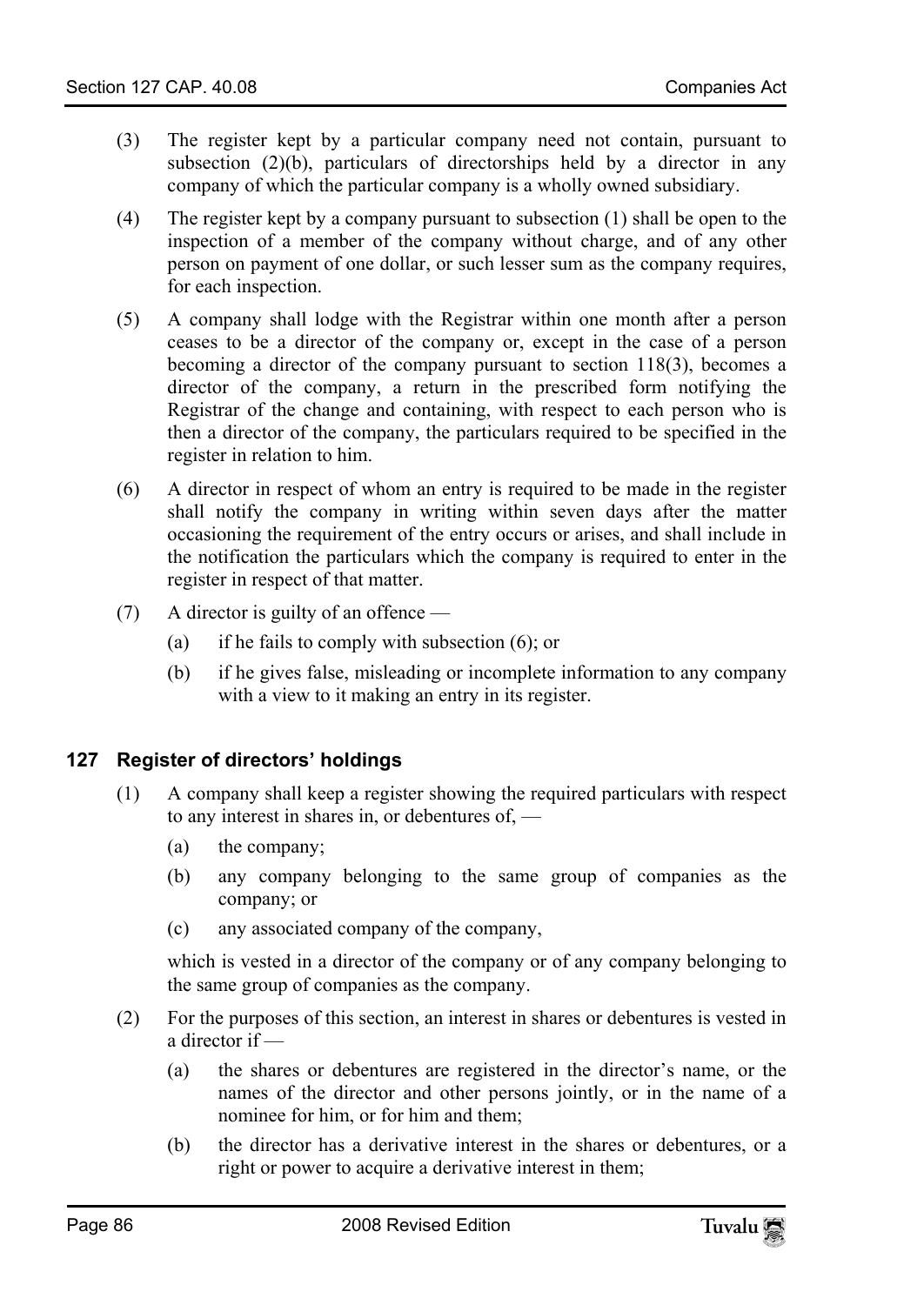- (3) The register kept by a particular company need not contain, pursuant to subsection  $(2)(b)$ , particulars of directorships held by a director in any company of which the particular company is a wholly owned subsidiary.
- (4) The register kept by a company pursuant to subsection (1) shall be open to the inspection of a member of the company without charge, and of any other person on payment of one dollar, or such lesser sum as the company requires, for each inspection.
- (5) A company shall lodge with the Registrar within one month after a person ceases to be a director of the company or, except in the case of a person becoming a director of the company pursuant to section 118(3), becomes a director of the company, a return in the prescribed form notifying the Registrar of the change and containing, with respect to each person who is then a director of the company, the particulars required to be specified in the register in relation to him.
- (6) A director in respect of whom an entry is required to be made in the register shall notify the company in writing within seven days after the matter occasioning the requirement of the entry occurs or arises, and shall include in the notification the particulars which the company is required to enter in the register in respect of that matter.
- (7) A director is guilty of an offence
	- (a) if he fails to comply with subsection (6); or
	- (b) if he gives false, misleading or incomplete information to any company with a view to it making an entry in its register.

#### **127 Register of directors' holdings**

- (1) A company shall keep a register showing the required particulars with respect to any interest in shares in, or debentures of, —
	- (a) the company;
	- (b) any company belonging to the same group of companies as the company; or
	- (c) any associated company of the company,

which is vested in a director of the company or of any company belonging to the same group of companies as the company.

- (2) For the purposes of this section, an interest in shares or debentures is vested in a director if —
	- (a) the shares or debentures are registered in the director's name, or the names of the director and other persons jointly, or in the name of a nominee for him, or for him and them;
	- (b) the director has a derivative interest in the shares or debentures, or a right or power to acquire a derivative interest in them;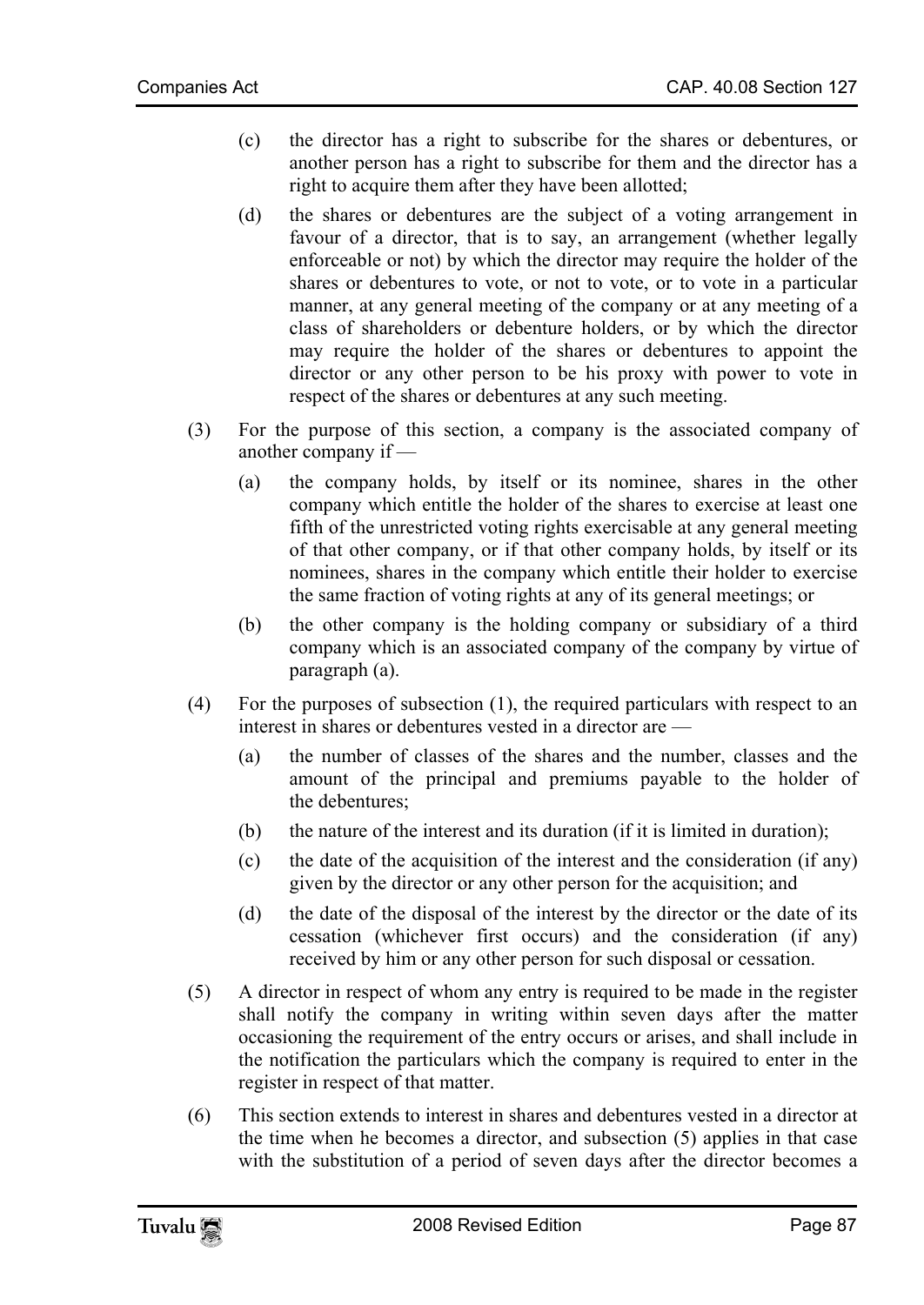- (c) the director has a right to subscribe for the shares or debentures, or another person has a right to subscribe for them and the director has a right to acquire them after they have been allotted;
- (d) the shares or debentures are the subject of a voting arrangement in favour of a director, that is to say, an arrangement (whether legally enforceable or not) by which the director may require the holder of the shares or debentures to vote, or not to vote, or to vote in a particular manner, at any general meeting of the company or at any meeting of a class of shareholders or debenture holders, or by which the director may require the holder of the shares or debentures to appoint the director or any other person to be his proxy with power to vote in respect of the shares or debentures at any such meeting.
- (3) For the purpose of this section, a company is the associated company of another company if —
	- (a) the company holds, by itself or its nominee, shares in the other company which entitle the holder of the shares to exercise at least one fifth of the unrestricted voting rights exercisable at any general meeting of that other company, or if that other company holds, by itself or its nominees, shares in the company which entitle their holder to exercise the same fraction of voting rights at any of its general meetings; or
	- (b) the other company is the holding company or subsidiary of a third company which is an associated company of the company by virtue of paragraph (a).
- (4) For the purposes of subsection (1), the required particulars with respect to an interest in shares or debentures vested in a director are —
	- (a) the number of classes of the shares and the number, classes and the amount of the principal and premiums payable to the holder of the debentures;
	- (b) the nature of the interest and its duration (if it is limited in duration);
	- (c) the date of the acquisition of the interest and the consideration (if any) given by the director or any other person for the acquisition; and
	- (d) the date of the disposal of the interest by the director or the date of its cessation (whichever first occurs) and the consideration (if any) received by him or any other person for such disposal or cessation.
- (5) A director in respect of whom any entry is required to be made in the register shall notify the company in writing within seven days after the matter occasioning the requirement of the entry occurs or arises, and shall include in the notification the particulars which the company is required to enter in the register in respect of that matter.
- (6) This section extends to interest in shares and debentures vested in a director at the time when he becomes a director, and subsection (5) applies in that case with the substitution of a period of seven days after the director becomes a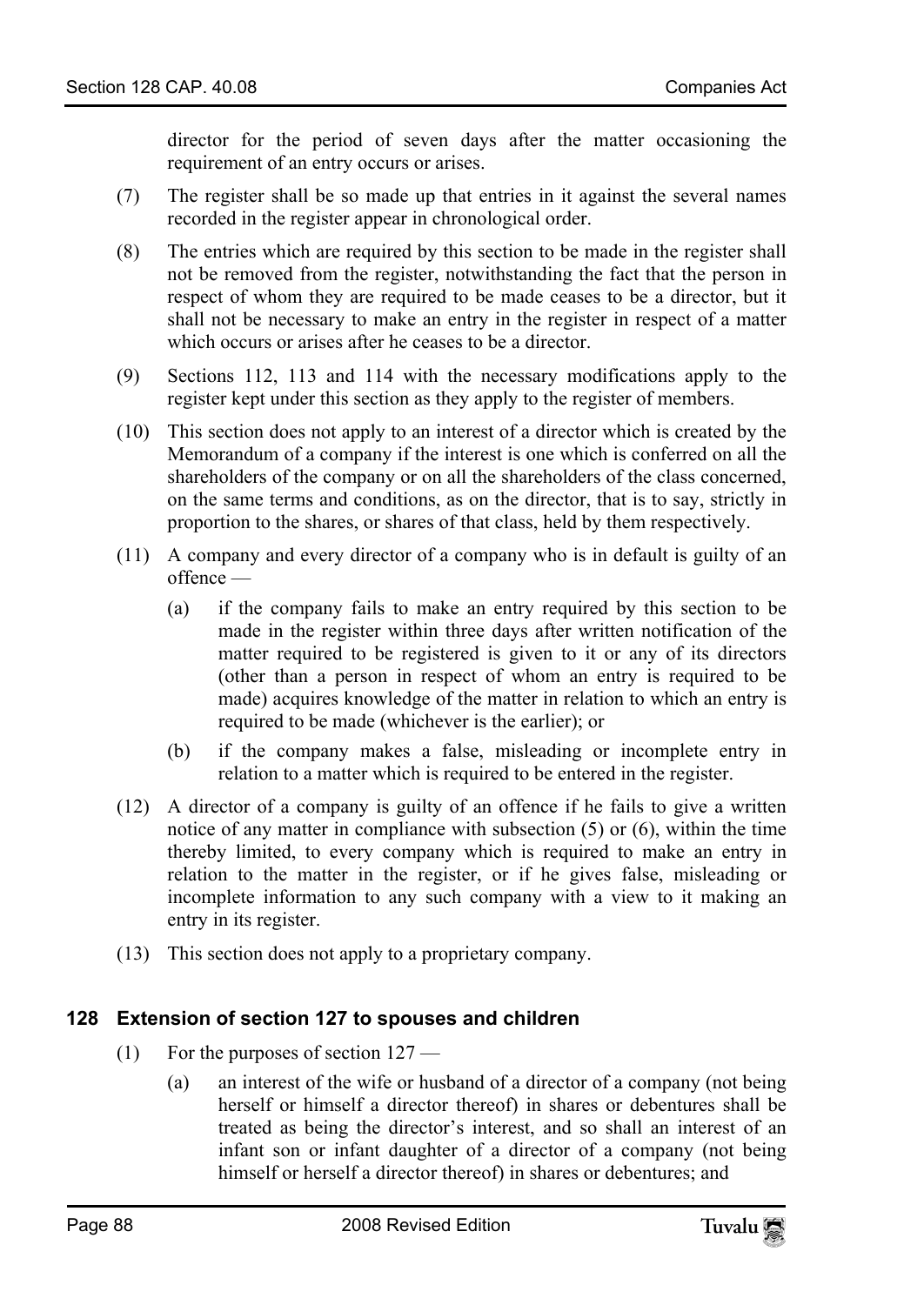director for the period of seven days after the matter occasioning the requirement of an entry occurs or arises.

- (7) The register shall be so made up that entries in it against the several names recorded in the register appear in chronological order.
- (8) The entries which are required by this section to be made in the register shall not be removed from the register, notwithstanding the fact that the person in respect of whom they are required to be made ceases to be a director, but it shall not be necessary to make an entry in the register in respect of a matter which occurs or arises after he ceases to be a director.
- (9) Sections 112, 113 and 114 with the necessary modifications apply to the register kept under this section as they apply to the register of members.
- (10) This section does not apply to an interest of a director which is created by the Memorandum of a company if the interest is one which is conferred on all the shareholders of the company or on all the shareholders of the class concerned, on the same terms and conditions, as on the director, that is to say, strictly in proportion to the shares, or shares of that class, held by them respectively.
- (11) A company and every director of a company who is in default is guilty of an offence —
	- (a) if the company fails to make an entry required by this section to be made in the register within three days after written notification of the matter required to be registered is given to it or any of its directors (other than a person in respect of whom an entry is required to be made) acquires knowledge of the matter in relation to which an entry is required to be made (whichever is the earlier); or
	- (b) if the company makes a false, misleading or incomplete entry in relation to a matter which is required to be entered in the register.
- (12) A director of a company is guilty of an offence if he fails to give a written notice of any matter in compliance with subsection (5) or (6), within the time thereby limited, to every company which is required to make an entry in relation to the matter in the register, or if he gives false, misleading or incomplete information to any such company with a view to it making an entry in its register.
- (13) This section does not apply to a proprietary company.

#### **128 Extension of section 127 to spouses and children**

- (1) For the purposes of section 127
	- (a) an interest of the wife or husband of a director of a company (not being herself or himself a director thereof) in shares or debentures shall be treated as being the director's interest, and so shall an interest of an infant son or infant daughter of a director of a company (not being himself or herself a director thereof) in shares or debentures; and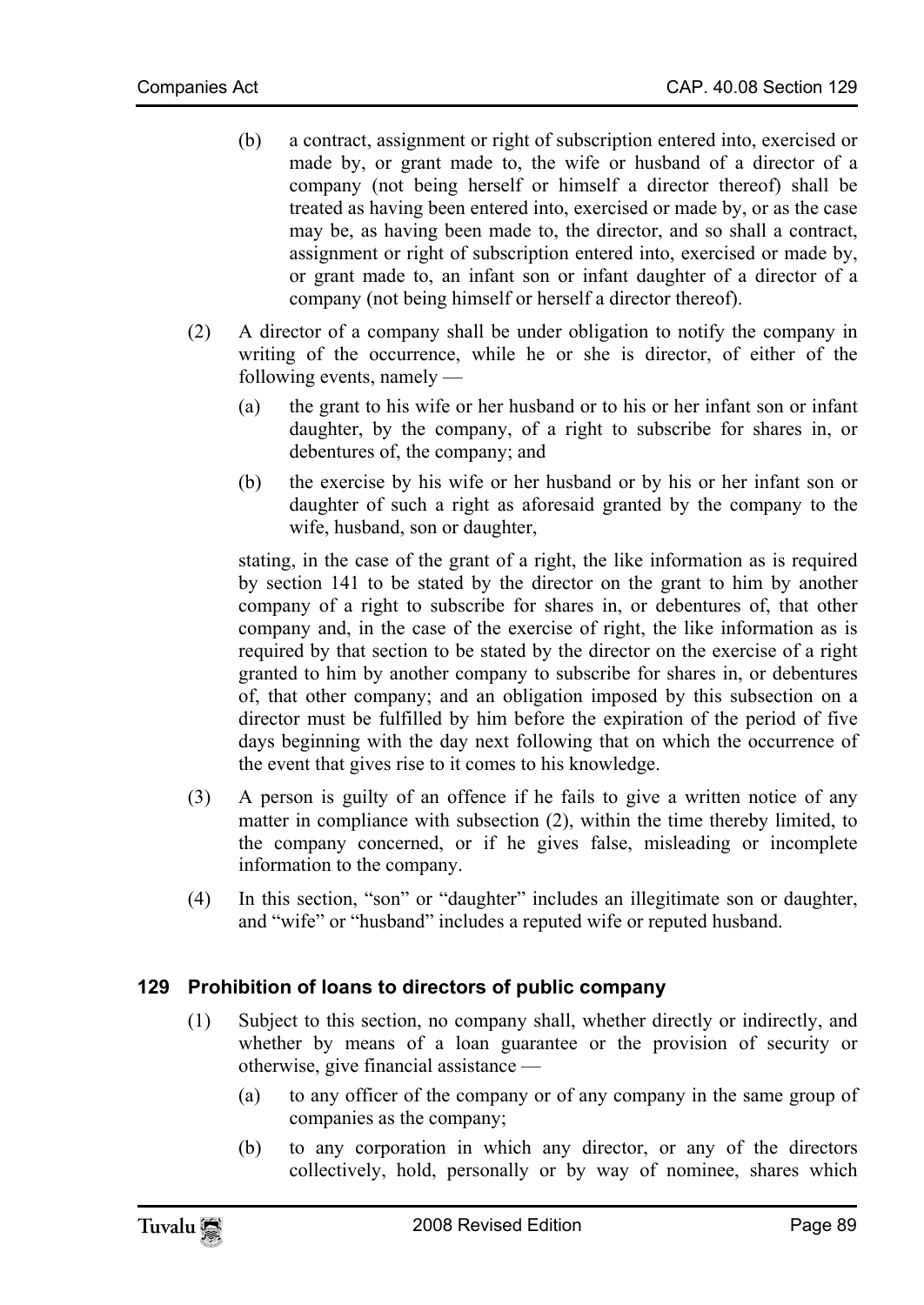- (b) a contract, assignment or right of subscription entered into, exercised or made by, or grant made to, the wife or husband of a director of a company (not being herself or himself a director thereof) shall be treated as having been entered into, exercised or made by, or as the case may be, as having been made to, the director, and so shall a contract, assignment or right of subscription entered into, exercised or made by, or grant made to, an infant son or infant daughter of a director of a company (not being himself or herself a director thereof).
- (2) A director of a company shall be under obligation to notify the company in writing of the occurrence, while he or she is director, of either of the following events, namely —
	- (a) the grant to his wife or her husband or to his or her infant son or infant daughter, by the company, of a right to subscribe for shares in, or debentures of, the company; and
	- (b) the exercise by his wife or her husband or by his or her infant son or daughter of such a right as aforesaid granted by the company to the wife, husband, son or daughter,

stating, in the case of the grant of a right, the like information as is required by section 141 to be stated by the director on the grant to him by another company of a right to subscribe for shares in, or debentures of, that other company and, in the case of the exercise of right, the like information as is required by that section to be stated by the director on the exercise of a right granted to him by another company to subscribe for shares in, or debentures of, that other company; and an obligation imposed by this subsection on a director must be fulfilled by him before the expiration of the period of five days beginning with the day next following that on which the occurrence of the event that gives rise to it comes to his knowledge.

- (3) A person is guilty of an offence if he fails to give a written notice of any matter in compliance with subsection (2), within the time thereby limited, to the company concerned, or if he gives false, misleading or incomplete information to the company.
- (4) In this section, "son" or "daughter" includes an illegitimate son or daughter, and "wife" or "husband" includes a reputed wife or reputed husband.

## **129 Prohibition of loans to directors of public company**

- (1) Subject to this section, no company shall, whether directly or indirectly, and whether by means of a loan guarantee or the provision of security or otherwise, give financial assistance —
	- (a) to any officer of the company or of any company in the same group of companies as the company;
	- (b) to any corporation in which any director, or any of the directors collectively, hold, personally or by way of nominee, shares which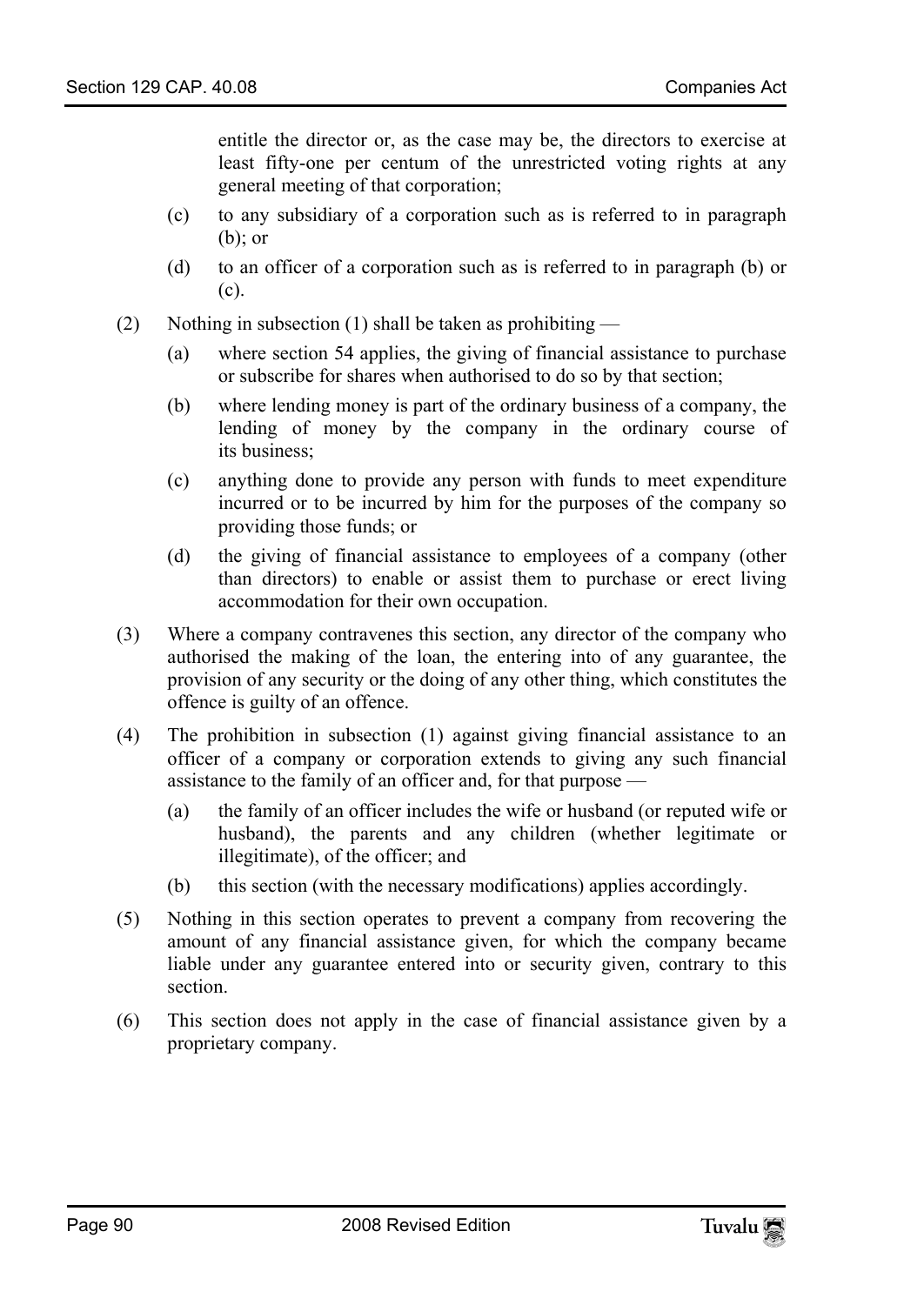entitle the director or, as the case may be, the directors to exercise at least fifty-one per centum of the unrestricted voting rights at any general meeting of that corporation;

- (c) to any subsidiary of a corporation such as is referred to in paragraph (b); or
- (d) to an officer of a corporation such as is referred to in paragraph (b) or (c).
- (2) Nothing in subsection (1) shall be taken as prohibiting
	- (a) where section 54 applies, the giving of financial assistance to purchase or subscribe for shares when authorised to do so by that section;
	- (b) where lending money is part of the ordinary business of a company, the lending of money by the company in the ordinary course of its business;
	- (c) anything done to provide any person with funds to meet expenditure incurred or to be incurred by him for the purposes of the company so providing those funds; or
	- (d) the giving of financial assistance to employees of a company (other than directors) to enable or assist them to purchase or erect living accommodation for their own occupation.
- (3) Where a company contravenes this section, any director of the company who authorised the making of the loan, the entering into of any guarantee, the provision of any security or the doing of any other thing, which constitutes the offence is guilty of an offence.
- (4) The prohibition in subsection (1) against giving financial assistance to an officer of a company or corporation extends to giving any such financial assistance to the family of an officer and, for that purpose —
	- (a) the family of an officer includes the wife or husband (or reputed wife or husband), the parents and any children (whether legitimate or illegitimate), of the officer; and
	- (b) this section (with the necessary modifications) applies accordingly.
- (5) Nothing in this section operates to prevent a company from recovering the amount of any financial assistance given, for which the company became liable under any guarantee entered into or security given, contrary to this section.
- (6) This section does not apply in the case of financial assistance given by a proprietary company.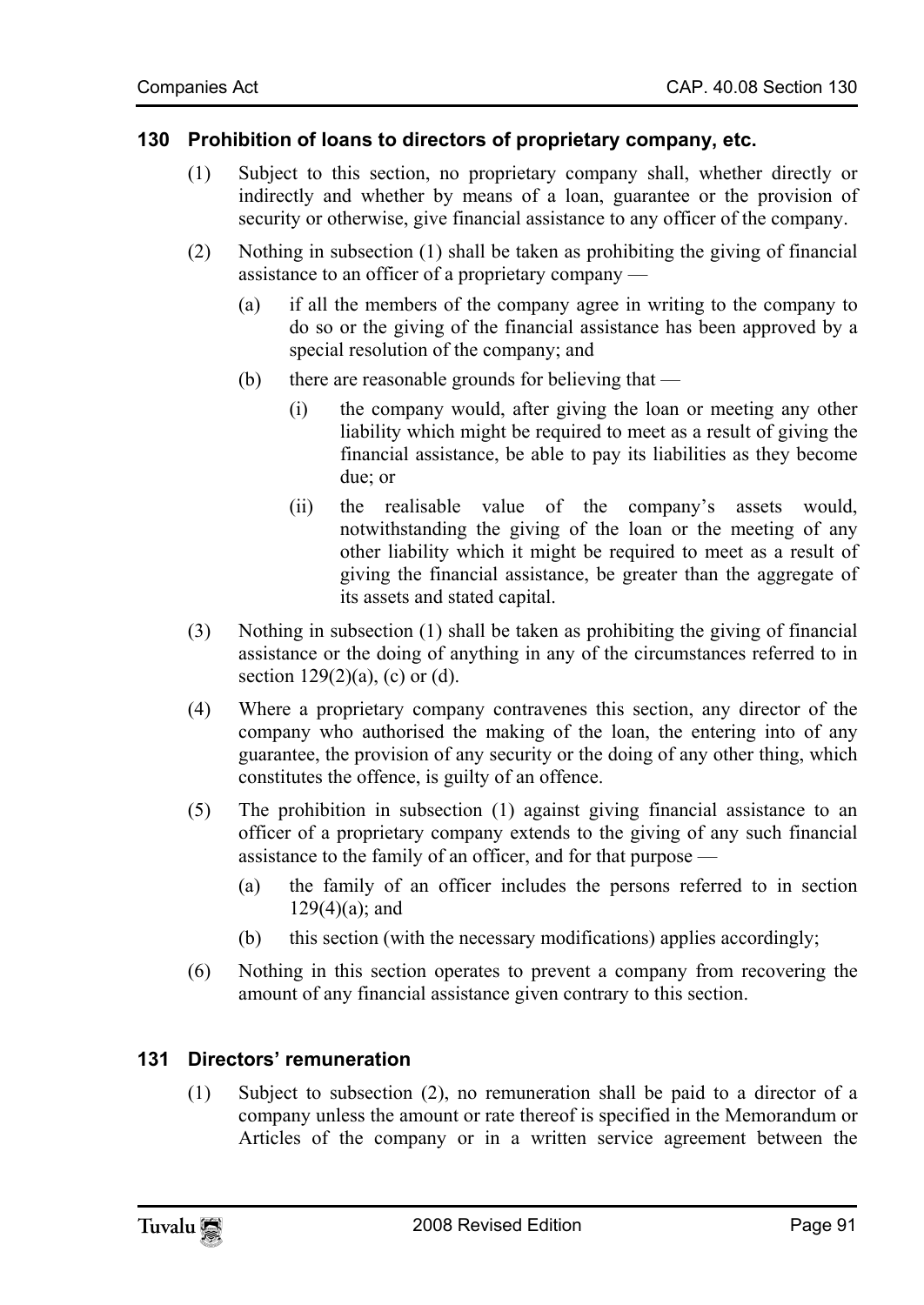#### **130 Prohibition of loans to directors of proprietary company, etc.**

- (1) Subject to this section, no proprietary company shall, whether directly or indirectly and whether by means of a loan, guarantee or the provision of security or otherwise, give financial assistance to any officer of the company.
- (2) Nothing in subsection (1) shall be taken as prohibiting the giving of financial assistance to an officer of a proprietary company —
	- (a) if all the members of the company agree in writing to the company to do so or the giving of the financial assistance has been approved by a special resolution of the company; and
	- (b) there are reasonable grounds for believing that
		- (i) the company would, after giving the loan or meeting any other liability which might be required to meet as a result of giving the financial assistance, be able to pay its liabilities as they become due; or
		- (ii) the realisable value of the company's assets would, notwithstanding the giving of the loan or the meeting of any other liability which it might be required to meet as a result of giving the financial assistance, be greater than the aggregate of its assets and stated capital.
- (3) Nothing in subsection (1) shall be taken as prohibiting the giving of financial assistance or the doing of anything in any of the circumstances referred to in section  $129(2)(a)$ , (c) or (d).
- (4) Where a proprietary company contravenes this section, any director of the company who authorised the making of the loan, the entering into of any guarantee, the provision of any security or the doing of any other thing, which constitutes the offence, is guilty of an offence.
- (5) The prohibition in subsection (1) against giving financial assistance to an officer of a proprietary company extends to the giving of any such financial assistance to the family of an officer, and for that purpose —
	- (a) the family of an officer includes the persons referred to in section  $129(4)(a)$ ; and
	- (b) this section (with the necessary modifications) applies accordingly;
- (6) Nothing in this section operates to prevent a company from recovering the amount of any financial assistance given contrary to this section.

#### **131 Directors' remuneration**

(1) Subject to subsection (2), no remuneration shall be paid to a director of a company unless the amount or rate thereof is specified in the Memorandum or Articles of the company or in a written service agreement between the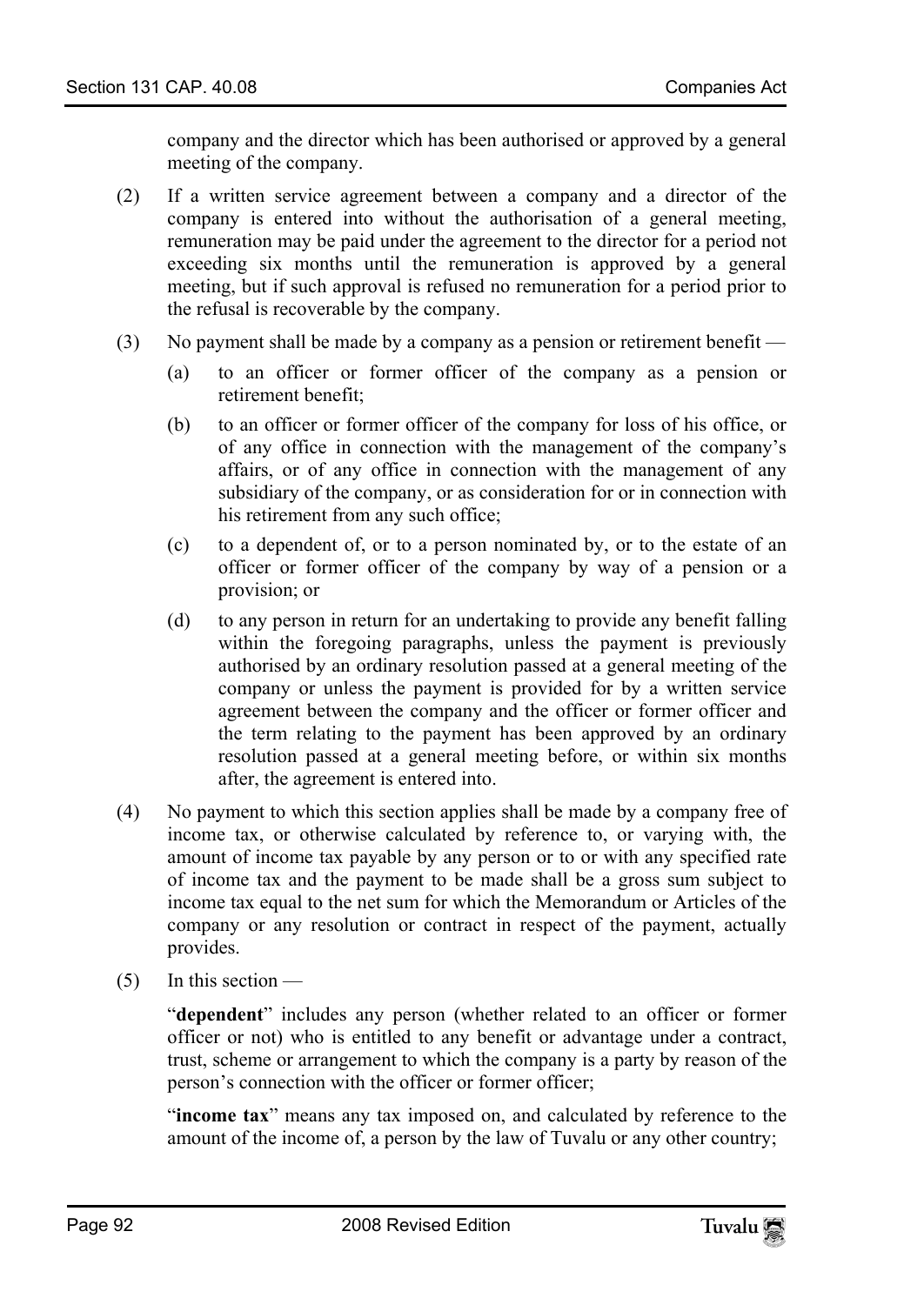company and the director which has been authorised or approved by a general meeting of the company.

- (2) If a written service agreement between a company and a director of the company is entered into without the authorisation of a general meeting, remuneration may be paid under the agreement to the director for a period not exceeding six months until the remuneration is approved by a general meeting, but if such approval is refused no remuneration for a period prior to the refusal is recoverable by the company.
- (3) No payment shall be made by a company as a pension or retirement benefit
	- (a) to an officer or former officer of the company as a pension or retirement benefit;
	- (b) to an officer or former officer of the company for loss of his office, or of any office in connection with the management of the company's affairs, or of any office in connection with the management of any subsidiary of the company, or as consideration for or in connection with his retirement from any such office;
	- (c) to a dependent of, or to a person nominated by, or to the estate of an officer or former officer of the company by way of a pension or a provision; or
	- (d) to any person in return for an undertaking to provide any benefit falling within the foregoing paragraphs, unless the payment is previously authorised by an ordinary resolution passed at a general meeting of the company or unless the payment is provided for by a written service agreement between the company and the officer or former officer and the term relating to the payment has been approved by an ordinary resolution passed at a general meeting before, or within six months after, the agreement is entered into.
- (4) No payment to which this section applies shall be made by a company free of income tax, or otherwise calculated by reference to, or varying with, the amount of income tax payable by any person or to or with any specified rate of income tax and the payment to be made shall be a gross sum subject to income tax equal to the net sum for which the Memorandum or Articles of the company or any resolution or contract in respect of the payment, actually provides.
- (5) In this section —

"**dependent**" includes any person (whether related to an officer or former officer or not) who is entitled to any benefit or advantage under a contract, trust, scheme or arrangement to which the company is a party by reason of the person's connection with the officer or former officer;

"**income tax**" means any tax imposed on, and calculated by reference to the amount of the income of, a person by the law of Tuvalu or any other country;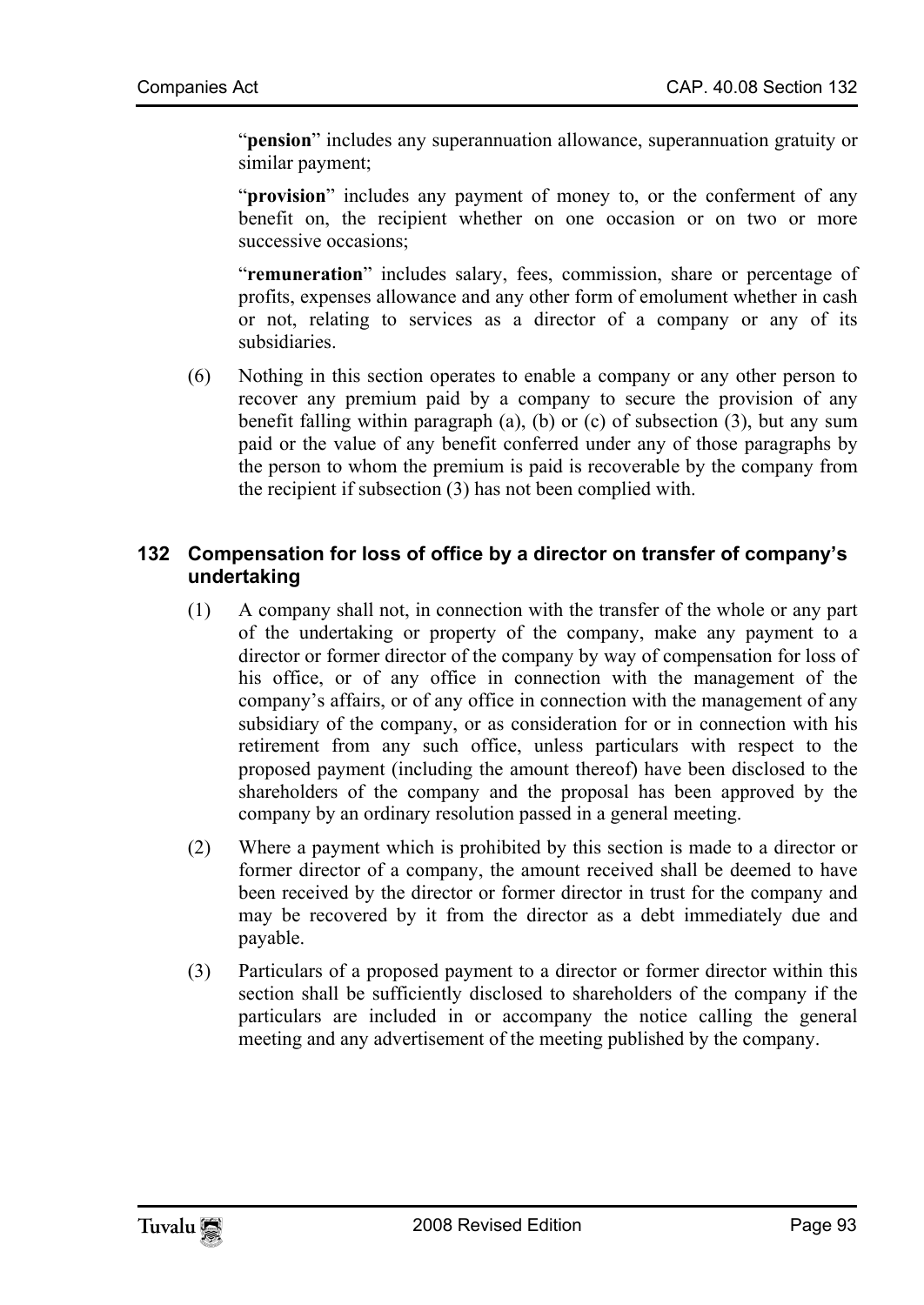"**pension**" includes any superannuation allowance, superannuation gratuity or similar payment;

"**provision**" includes any payment of money to, or the conferment of any benefit on, the recipient whether on one occasion or on two or more successive occasions;

"**remuneration**" includes salary, fees, commission, share or percentage of profits, expenses allowance and any other form of emolument whether in cash or not, relating to services as a director of a company or any of its subsidiaries.

(6) Nothing in this section operates to enable a company or any other person to recover any premium paid by a company to secure the provision of any benefit falling within paragraph (a), (b) or (c) of subsection (3), but any sum paid or the value of any benefit conferred under any of those paragraphs by the person to whom the premium is paid is recoverable by the company from the recipient if subsection (3) has not been complied with.

## **132 Compensation for loss of office by a director on transfer of company's undertaking**

- (1) A company shall not, in connection with the transfer of the whole or any part of the undertaking or property of the company, make any payment to a director or former director of the company by way of compensation for loss of his office, or of any office in connection with the management of the company's affairs, or of any office in connection with the management of any subsidiary of the company, or as consideration for or in connection with his retirement from any such office, unless particulars with respect to the proposed payment (including the amount thereof) have been disclosed to the shareholders of the company and the proposal has been approved by the company by an ordinary resolution passed in a general meeting.
- (2) Where a payment which is prohibited by this section is made to a director or former director of a company, the amount received shall be deemed to have been received by the director or former director in trust for the company and may be recovered by it from the director as a debt immediately due and payable.
- (3) Particulars of a proposed payment to a director or former director within this section shall be sufficiently disclosed to shareholders of the company if the particulars are included in or accompany the notice calling the general meeting and any advertisement of the meeting published by the company.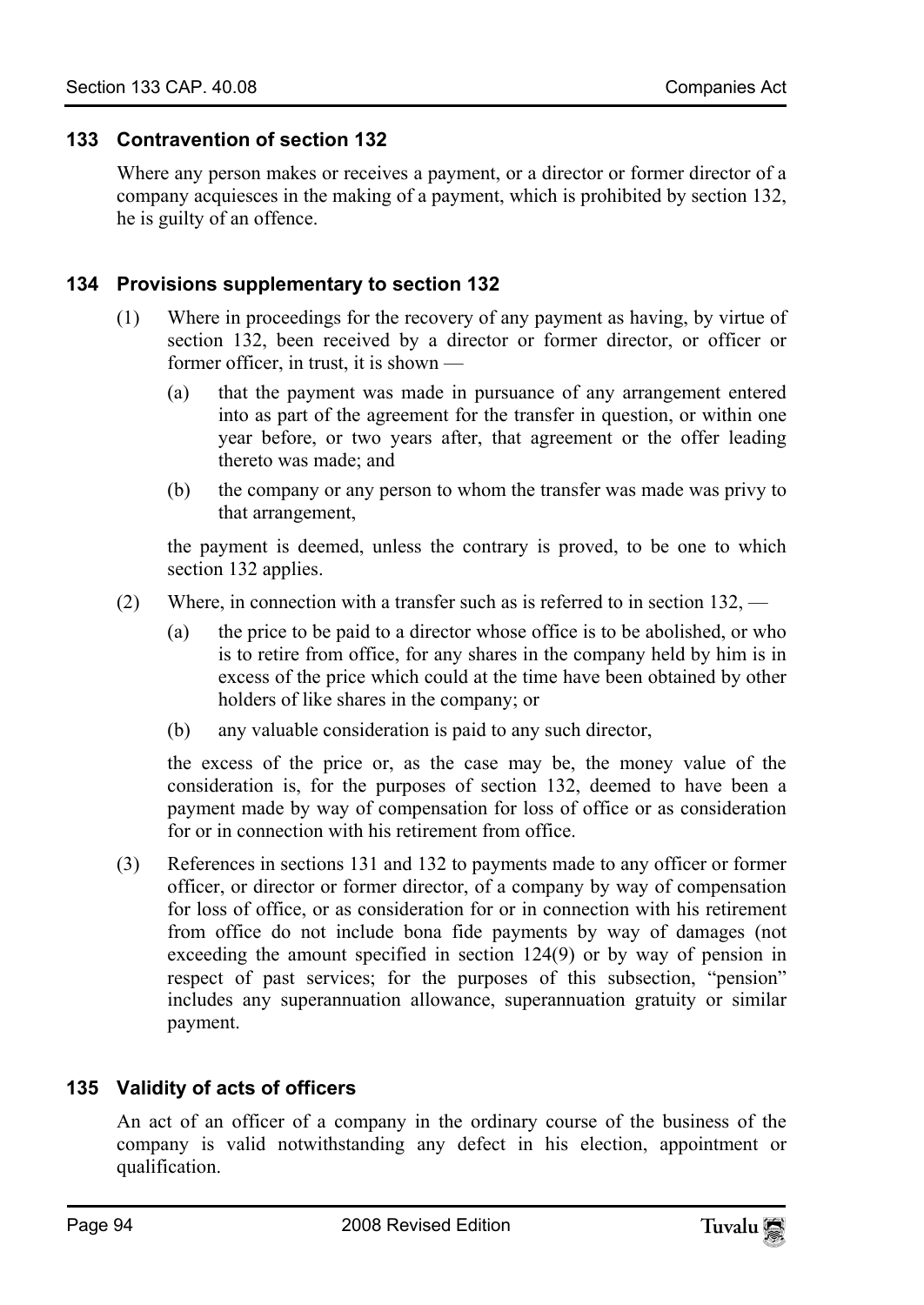#### **133 Contravention of section 132**

Where any person makes or receives a payment, or a director or former director of a company acquiesces in the making of a payment, which is prohibited by section 132, he is guilty of an offence.

#### **134 Provisions supplementary to section 132**

- (1) Where in proceedings for the recovery of any payment as having, by virtue of section 132, been received by a director or former director, or officer or former officer, in trust, it is shown —
	- (a) that the payment was made in pursuance of any arrangement entered into as part of the agreement for the transfer in question, or within one year before, or two years after, that agreement or the offer leading thereto was made; and
	- (b) the company or any person to whom the transfer was made was privy to that arrangement,

the payment is deemed, unless the contrary is proved, to be one to which section 132 applies.

- (2) Where, in connection with a transfer such as is referred to in section 132,
	- (a) the price to be paid to a director whose office is to be abolished, or who is to retire from office, for any shares in the company held by him is in excess of the price which could at the time have been obtained by other holders of like shares in the company; or
	- (b) any valuable consideration is paid to any such director,

the excess of the price or, as the case may be, the money value of the consideration is, for the purposes of section 132, deemed to have been a payment made by way of compensation for loss of office or as consideration for or in connection with his retirement from office.

(3) References in sections 131 and 132 to payments made to any officer or former officer, or director or former director, of a company by way of compensation for loss of office, or as consideration for or in connection with his retirement from office do not include bona fide payments by way of damages (not exceeding the amount specified in section 124(9) or by way of pension in respect of past services; for the purposes of this subsection, "pension" includes any superannuation allowance, superannuation gratuity or similar payment.

#### **135 Validity of acts of officers**

An act of an officer of a company in the ordinary course of the business of the company is valid notwithstanding any defect in his election, appointment or qualification.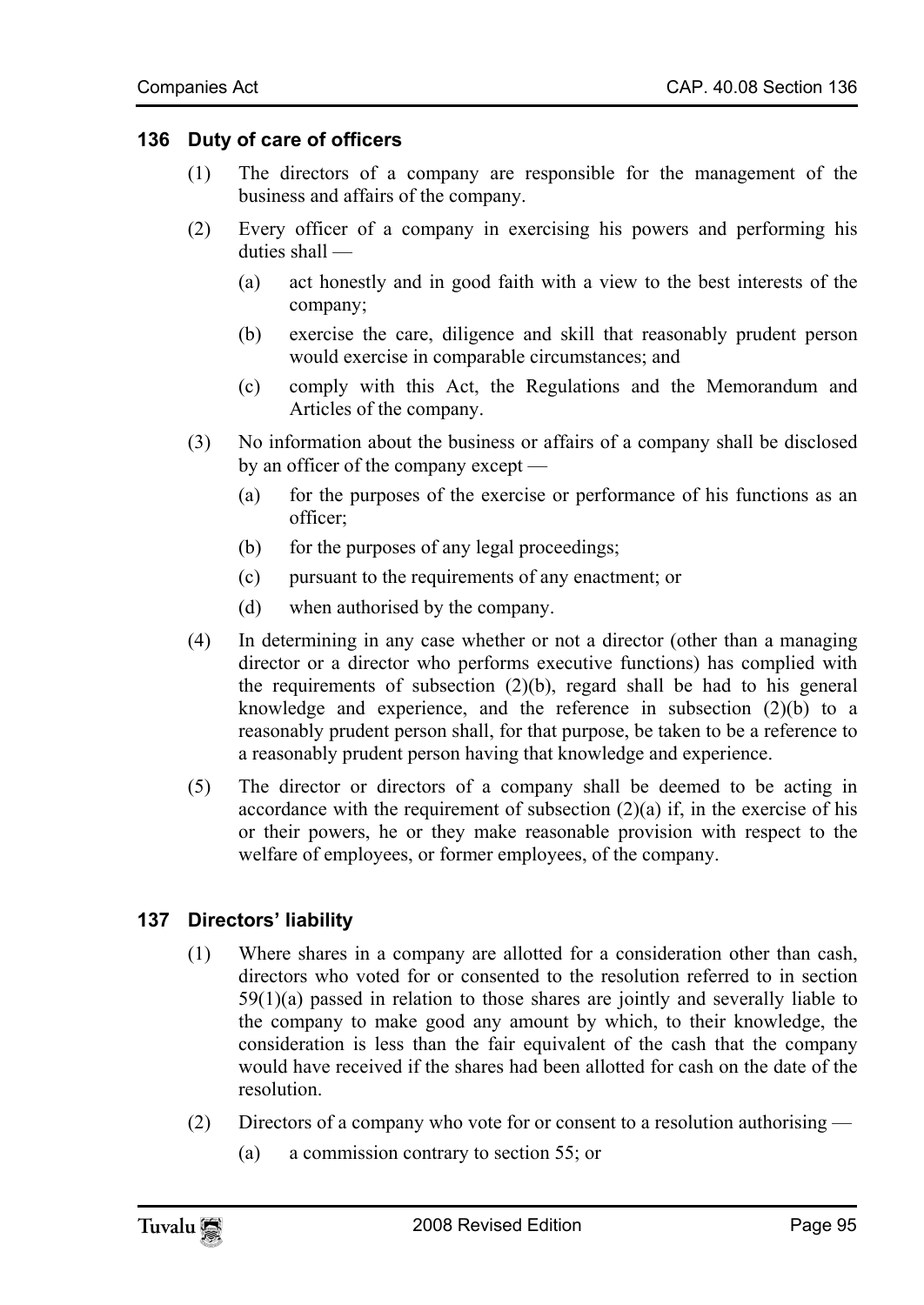#### **136 Duty of care of officers**

- (1) The directors of a company are responsible for the management of the business and affairs of the company.
- (2) Every officer of a company in exercising his powers and performing his duties shall —
	- (a) act honestly and in good faith with a view to the best interests of the company;
	- (b) exercise the care, diligence and skill that reasonably prudent person would exercise in comparable circumstances; and
	- (c) comply with this Act, the Regulations and the Memorandum and Articles of the company.
- (3) No information about the business or affairs of a company shall be disclosed by an officer of the company except —
	- (a) for the purposes of the exercise or performance of his functions as an officer;
	- (b) for the purposes of any legal proceedings;
	- (c) pursuant to the requirements of any enactment; or
	- (d) when authorised by the company.
- (4) In determining in any case whether or not a director (other than a managing director or a director who performs executive functions) has complied with the requirements of subsection  $(2)(b)$ , regard shall be had to his general knowledge and experience, and the reference in subsection (2)(b) to a reasonably prudent person shall, for that purpose, be taken to be a reference to a reasonably prudent person having that knowledge and experience.
- (5) The director or directors of a company shall be deemed to be acting in accordance with the requirement of subsection  $(2)(a)$  if, in the exercise of his or their powers, he or they make reasonable provision with respect to the welfare of employees, or former employees, of the company.

#### **137 Directors' liability**

- (1) Where shares in a company are allotted for a consideration other than cash, directors who voted for or consented to the resolution referred to in section 59(1)(a) passed in relation to those shares are jointly and severally liable to the company to make good any amount by which, to their knowledge, the consideration is less than the fair equivalent of the cash that the company would have received if the shares had been allotted for cash on the date of the resolution.
- (2) Directors of a company who vote for or consent to a resolution authorising
	- (a) a commission contrary to section 55; or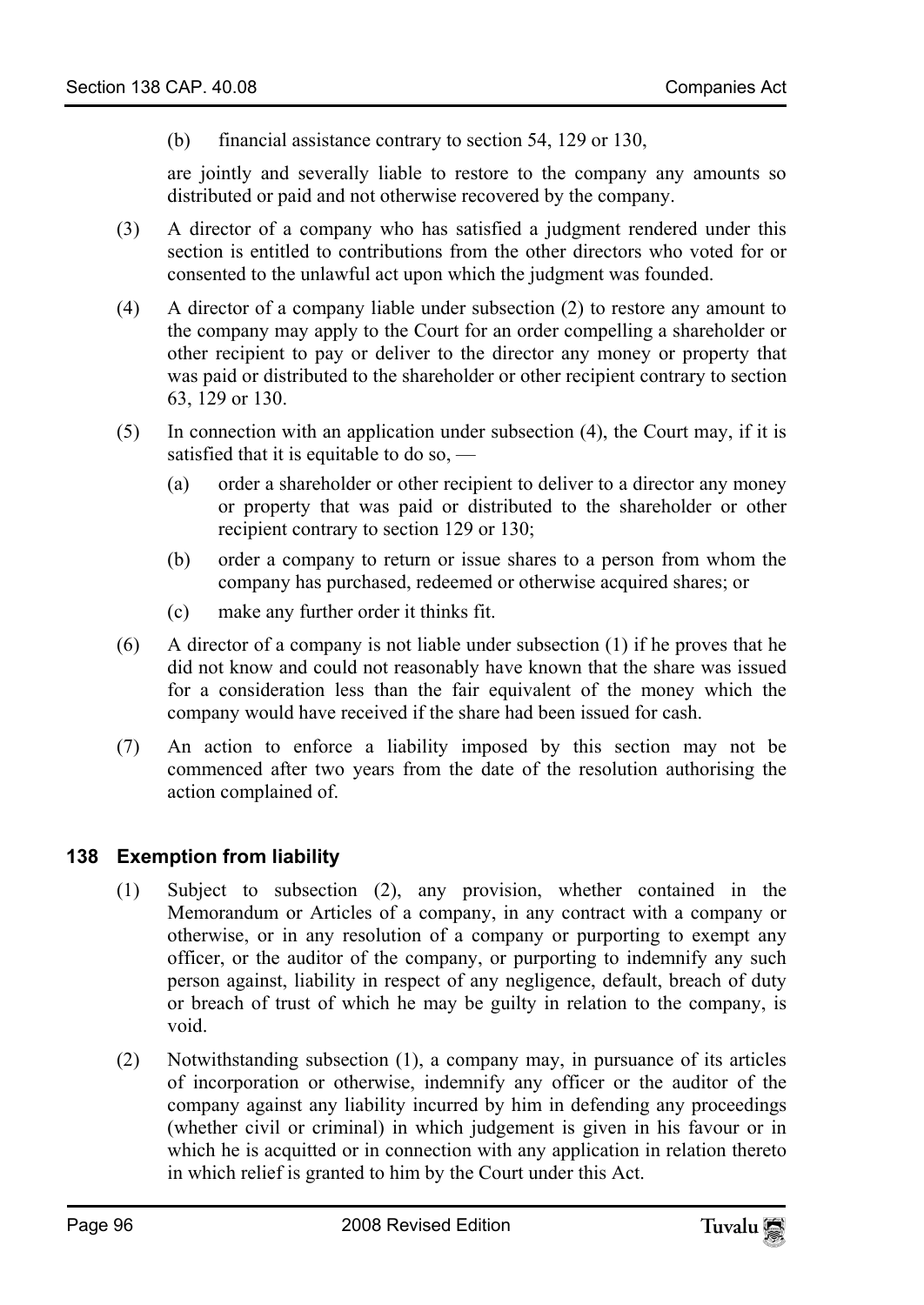(b) financial assistance contrary to section 54, 129 or 130,

are jointly and severally liable to restore to the company any amounts so distributed or paid and not otherwise recovered by the company.

- (3) A director of a company who has satisfied a judgment rendered under this section is entitled to contributions from the other directors who voted for or consented to the unlawful act upon which the judgment was founded.
- (4) A director of a company liable under subsection (2) to restore any amount to the company may apply to the Court for an order compelling a shareholder or other recipient to pay or deliver to the director any money or property that was paid or distributed to the shareholder or other recipient contrary to section 63, 129 or 130.
- (5) In connection with an application under subsection (4), the Court may, if it is satisfied that it is equitable to do so, —
	- (a) order a shareholder or other recipient to deliver to a director any money or property that was paid or distributed to the shareholder or other recipient contrary to section 129 or 130;
	- (b) order a company to return or issue shares to a person from whom the company has purchased, redeemed or otherwise acquired shares; or
	- (c) make any further order it thinks fit.
- (6) A director of a company is not liable under subsection (1) if he proves that he did not know and could not reasonably have known that the share was issued for a consideration less than the fair equivalent of the money which the company would have received if the share had been issued for cash.
- (7) An action to enforce a liability imposed by this section may not be commenced after two years from the date of the resolution authorising the action complained of.

## **138 Exemption from liability**

- (1) Subject to subsection (2), any provision, whether contained in the Memorandum or Articles of a company, in any contract with a company or otherwise, or in any resolution of a company or purporting to exempt any officer, or the auditor of the company, or purporting to indemnify any such person against, liability in respect of any negligence, default, breach of duty or breach of trust of which he may be guilty in relation to the company, is void.
- (2) Notwithstanding subsection (1), a company may, in pursuance of its articles of incorporation or otherwise, indemnify any officer or the auditor of the company against any liability incurred by him in defending any proceedings (whether civil or criminal) in which judgement is given in his favour or in which he is acquitted or in connection with any application in relation thereto in which relief is granted to him by the Court under this Act.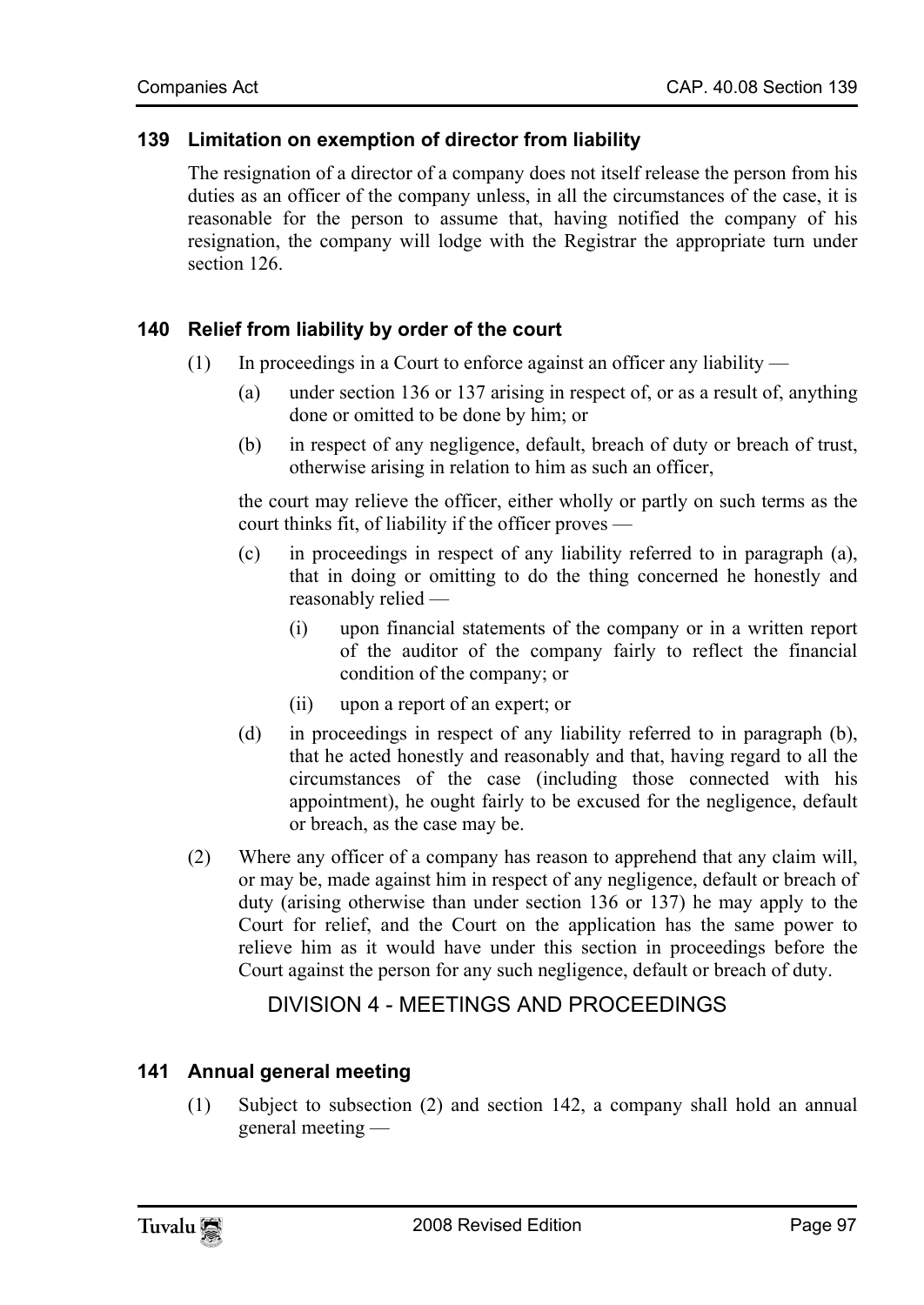## **139 Limitation on exemption of director from liability**

The resignation of a director of a company does not itself release the person from his duties as an officer of the company unless, in all the circumstances of the case, it is reasonable for the person to assume that, having notified the company of his resignation, the company will lodge with the Registrar the appropriate turn under section 126

## **140 Relief from liability by order of the court**

- (1) In proceedings in a Court to enforce against an officer any liability
	- (a) under section 136 or 137 arising in respect of, or as a result of, anything done or omitted to be done by him; or
	- (b) in respect of any negligence, default, breach of duty or breach of trust, otherwise arising in relation to him as such an officer,

the court may relieve the officer, either wholly or partly on such terms as the court thinks fit, of liability if the officer proves —

- (c) in proceedings in respect of any liability referred to in paragraph (a), that in doing or omitting to do the thing concerned he honestly and reasonably relied —
	- (i) upon financial statements of the company or in a written report of the auditor of the company fairly to reflect the financial condition of the company; or
	- (ii) upon a report of an expert; or
- (d) in proceedings in respect of any liability referred to in paragraph (b), that he acted honestly and reasonably and that, having regard to all the circumstances of the case (including those connected with his appointment), he ought fairly to be excused for the negligence, default or breach, as the case may be.
- (2) Where any officer of a company has reason to apprehend that any claim will, or may be, made against him in respect of any negligence, default or breach of duty (arising otherwise than under section 136 or 137) he may apply to the Court for relief, and the Court on the application has the same power to relieve him as it would have under this section in proceedings before the Court against the person for any such negligence, default or breach of duty.

## DIVISION 4 - MEETINGS AND PROCEEDINGS

## **141 Annual general meeting**

(1) Subject to subsection (2) and section 142, a company shall hold an annual general meeting —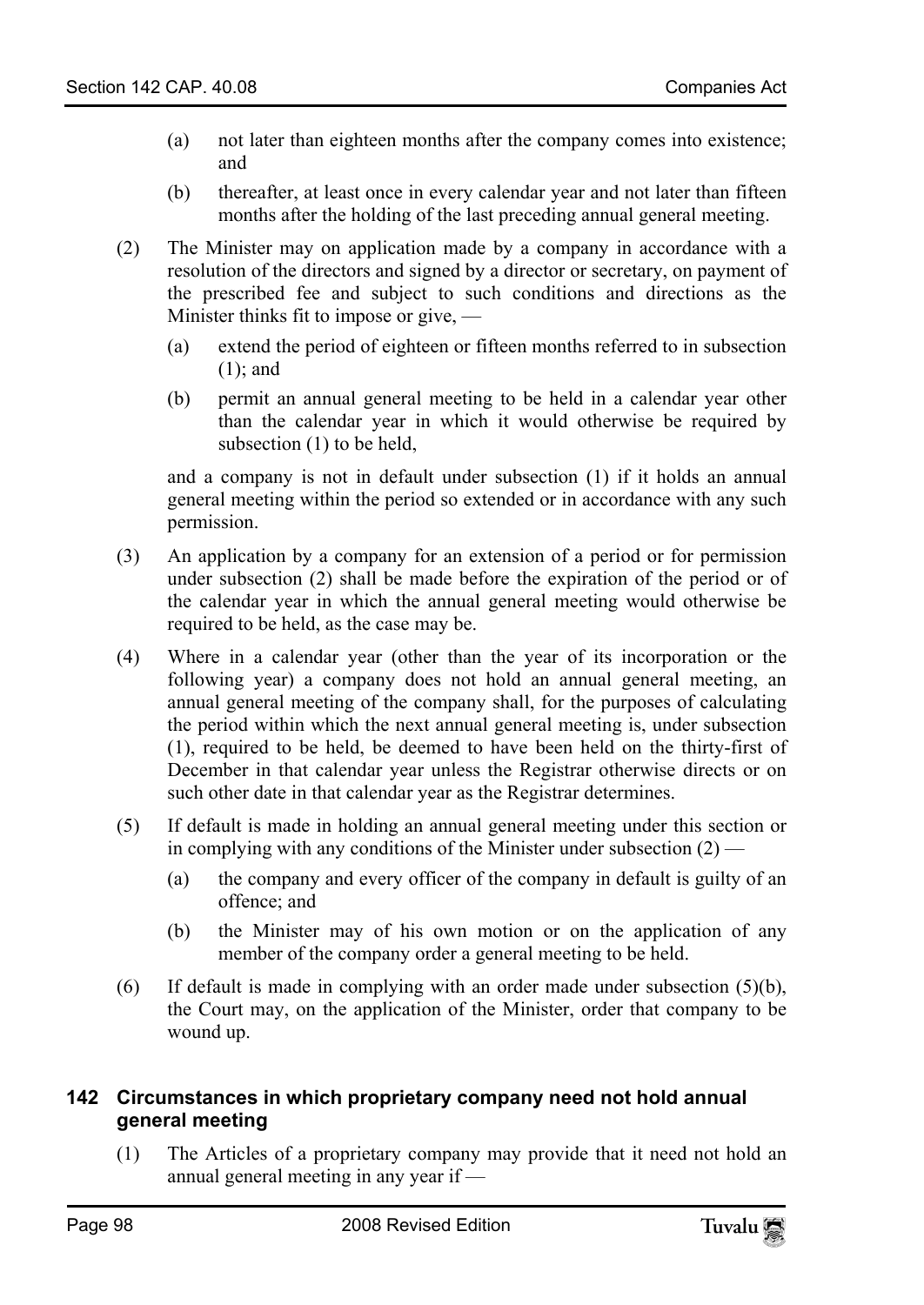- (a) not later than eighteen months after the company comes into existence; and
- (b) thereafter, at least once in every calendar year and not later than fifteen months after the holding of the last preceding annual general meeting.
- (2) The Minister may on application made by a company in accordance with a resolution of the directors and signed by a director or secretary, on payment of the prescribed fee and subject to such conditions and directions as the Minister thinks fit to impose or give, —
	- (a) extend the period of eighteen or fifteen months referred to in subsection (1); and
	- (b) permit an annual general meeting to be held in a calendar year other than the calendar year in which it would otherwise be required by subsection (1) to be held,

and a company is not in default under subsection (1) if it holds an annual general meeting within the period so extended or in accordance with any such permission.

- (3) An application by a company for an extension of a period or for permission under subsection (2) shall be made before the expiration of the period or of the calendar year in which the annual general meeting would otherwise be required to be held, as the case may be.
- (4) Where in a calendar year (other than the year of its incorporation or the following year) a company does not hold an annual general meeting, an annual general meeting of the company shall, for the purposes of calculating the period within which the next annual general meeting is, under subsection (1), required to be held, be deemed to have been held on the thirty-first of December in that calendar year unless the Registrar otherwise directs or on such other date in that calendar year as the Registrar determines.
- (5) If default is made in holding an annual general meeting under this section or in complying with any conditions of the Minister under subsection  $(2)$  —
	- (a) the company and every officer of the company in default is guilty of an offence; and
	- (b) the Minister may of his own motion or on the application of any member of the company order a general meeting to be held.
- (6) If default is made in complying with an order made under subsection  $(5)(b)$ , the Court may, on the application of the Minister, order that company to be wound up.

#### **142 Circumstances in which proprietary company need not hold annual general meeting**

(1) The Articles of a proprietary company may provide that it need not hold an annual general meeting in any year if —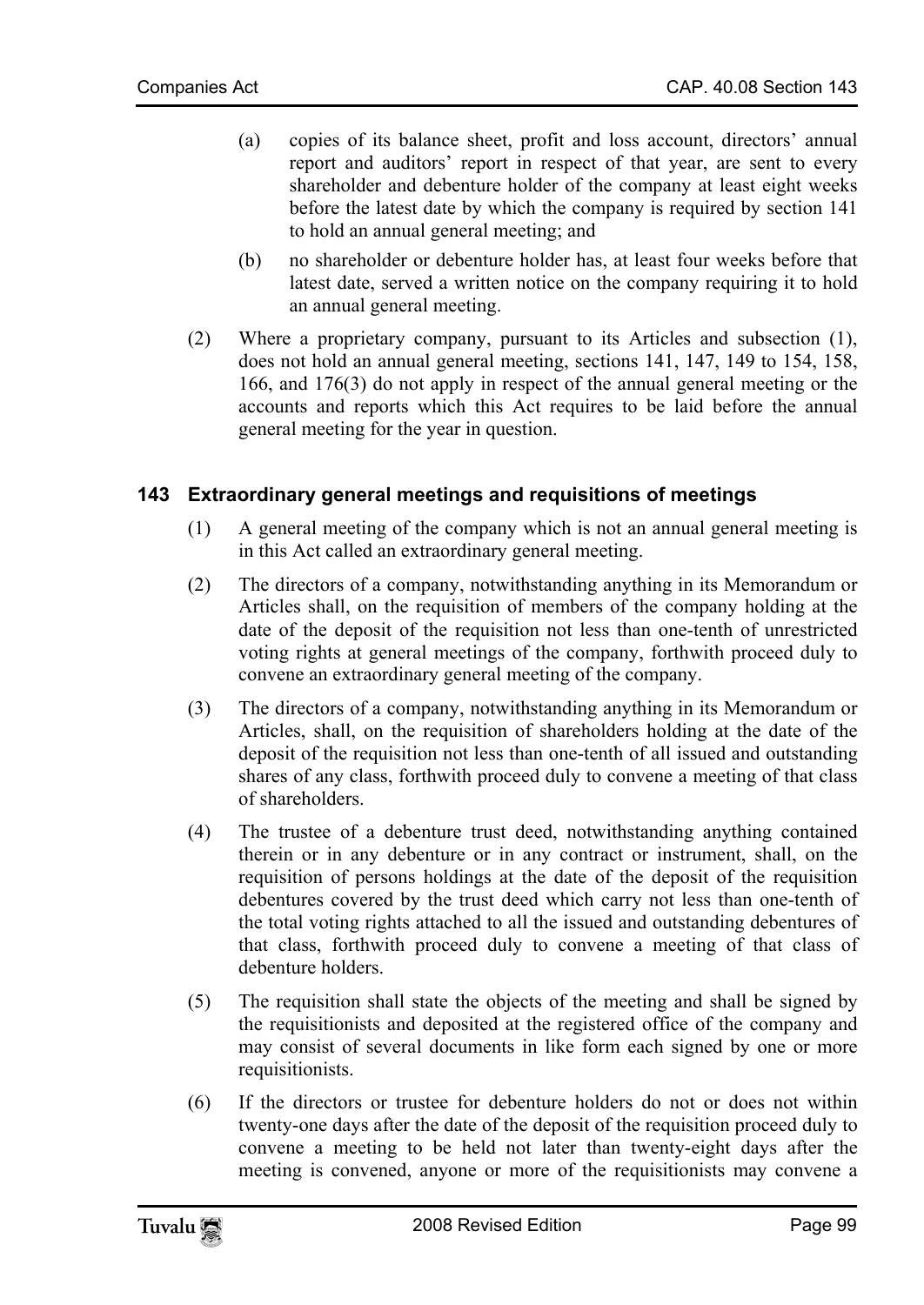- (a) copies of its balance sheet, profit and loss account, directors' annual report and auditors' report in respect of that year, are sent to every shareholder and debenture holder of the company at least eight weeks before the latest date by which the company is required by section 141 to hold an annual general meeting; and
- (b) no shareholder or debenture holder has, at least four weeks before that latest date, served a written notice on the company requiring it to hold an annual general meeting.
- (2) Where a proprietary company, pursuant to its Articles and subsection (1), does not hold an annual general meeting, sections 141, 147, 149 to 154, 158, 166, and 176(3) do not apply in respect of the annual general meeting or the accounts and reports which this Act requires to be laid before the annual general meeting for the year in question.

## **143 Extraordinary general meetings and requisitions of meetings**

- (1) A general meeting of the company which is not an annual general meeting is in this Act called an extraordinary general meeting.
- (2) The directors of a company, notwithstanding anything in its Memorandum or Articles shall, on the requisition of members of the company holding at the date of the deposit of the requisition not less than one-tenth of unrestricted voting rights at general meetings of the company, forthwith proceed duly to convene an extraordinary general meeting of the company.
- (3) The directors of a company, notwithstanding anything in its Memorandum or Articles, shall, on the requisition of shareholders holding at the date of the deposit of the requisition not less than one-tenth of all issued and outstanding shares of any class, forthwith proceed duly to convene a meeting of that class of shareholders.
- (4) The trustee of a debenture trust deed, notwithstanding anything contained therein or in any debenture or in any contract or instrument, shall, on the requisition of persons holdings at the date of the deposit of the requisition debentures covered by the trust deed which carry not less than one-tenth of the total voting rights attached to all the issued and outstanding debentures of that class, forthwith proceed duly to convene a meeting of that class of debenture holders.
- (5) The requisition shall state the objects of the meeting and shall be signed by the requisitionists and deposited at the registered office of the company and may consist of several documents in like form each signed by one or more requisitionists.
- (6) If the directors or trustee for debenture holders do not or does not within twenty-one days after the date of the deposit of the requisition proceed duly to convene a meeting to be held not later than twenty-eight days after the meeting is convened, anyone or more of the requisitionists may convene a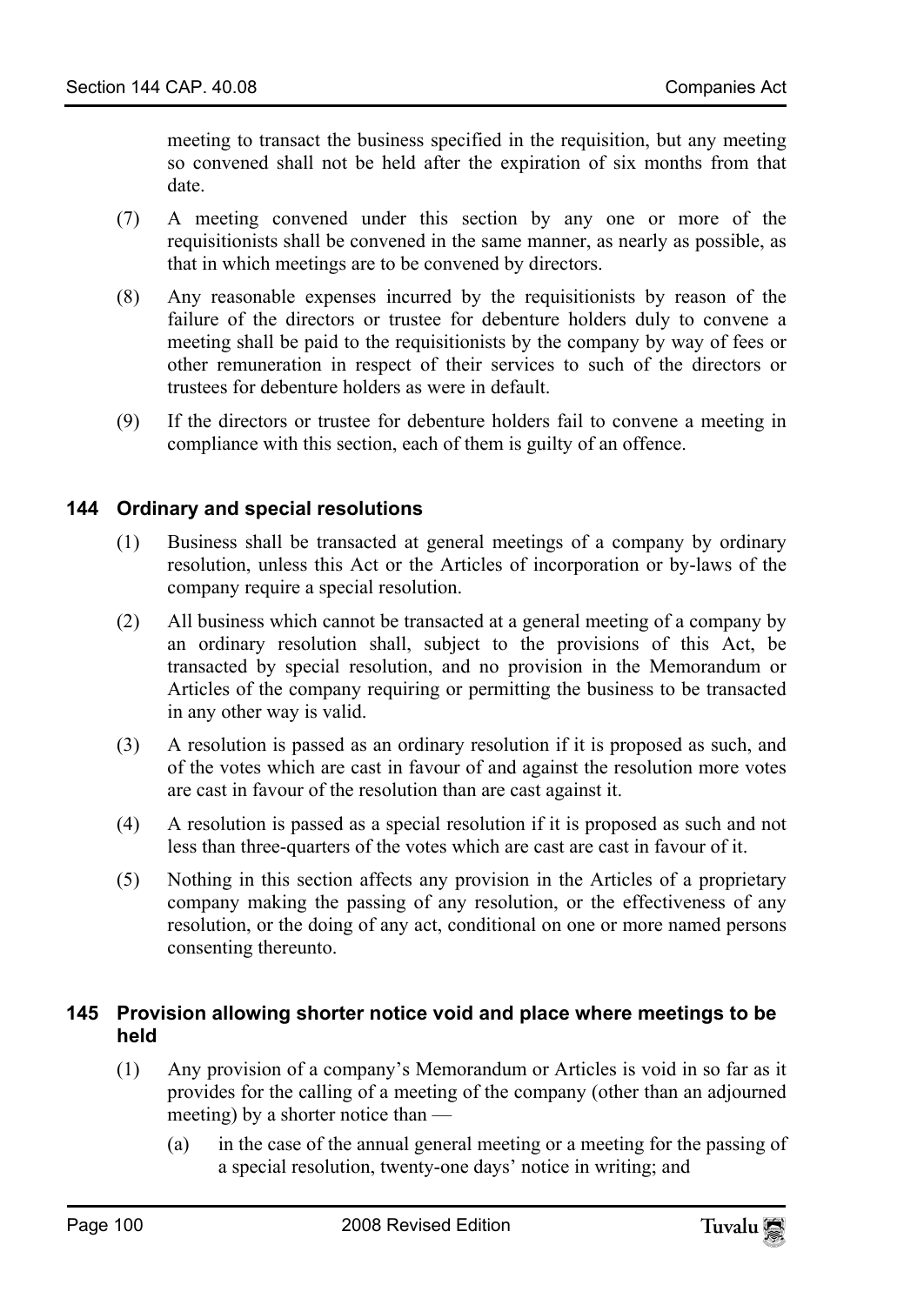meeting to transact the business specified in the requisition, but any meeting so convened shall not be held after the expiration of six months from that date.

- (7) A meeting convened under this section by any one or more of the requisitionists shall be convened in the same manner, as nearly as possible, as that in which meetings are to be convened by directors.
- (8) Any reasonable expenses incurred by the requisitionists by reason of the failure of the directors or trustee for debenture holders duly to convene a meeting shall be paid to the requisitionists by the company by way of fees or other remuneration in respect of their services to such of the directors or trustees for debenture holders as were in default.
- (9) If the directors or trustee for debenture holders fail to convene a meeting in compliance with this section, each of them is guilty of an offence.

## **144 Ordinary and special resolutions**

- (1) Business shall be transacted at general meetings of a company by ordinary resolution, unless this Act or the Articles of incorporation or by-laws of the company require a special resolution.
- (2) All business which cannot be transacted at a general meeting of a company by an ordinary resolution shall, subject to the provisions of this Act, be transacted by special resolution, and no provision in the Memorandum or Articles of the company requiring or permitting the business to be transacted in any other way is valid.
- (3) A resolution is passed as an ordinary resolution if it is proposed as such, and of the votes which are cast in favour of and against the resolution more votes are cast in favour of the resolution than are cast against it.
- (4) A resolution is passed as a special resolution if it is proposed as such and not less than three-quarters of the votes which are cast are cast in favour of it.
- (5) Nothing in this section affects any provision in the Articles of a proprietary company making the passing of any resolution, or the effectiveness of any resolution, or the doing of any act, conditional on one or more named persons consenting thereunto.

## **145 Provision allowing shorter notice void and place where meetings to be held**

- (1) Any provision of a company's Memorandum or Articles is void in so far as it provides for the calling of a meeting of the company (other than an adjourned meeting) by a shorter notice than —
	- (a) in the case of the annual general meeting or a meeting for the passing of a special resolution, twenty-one days' notice in writing; and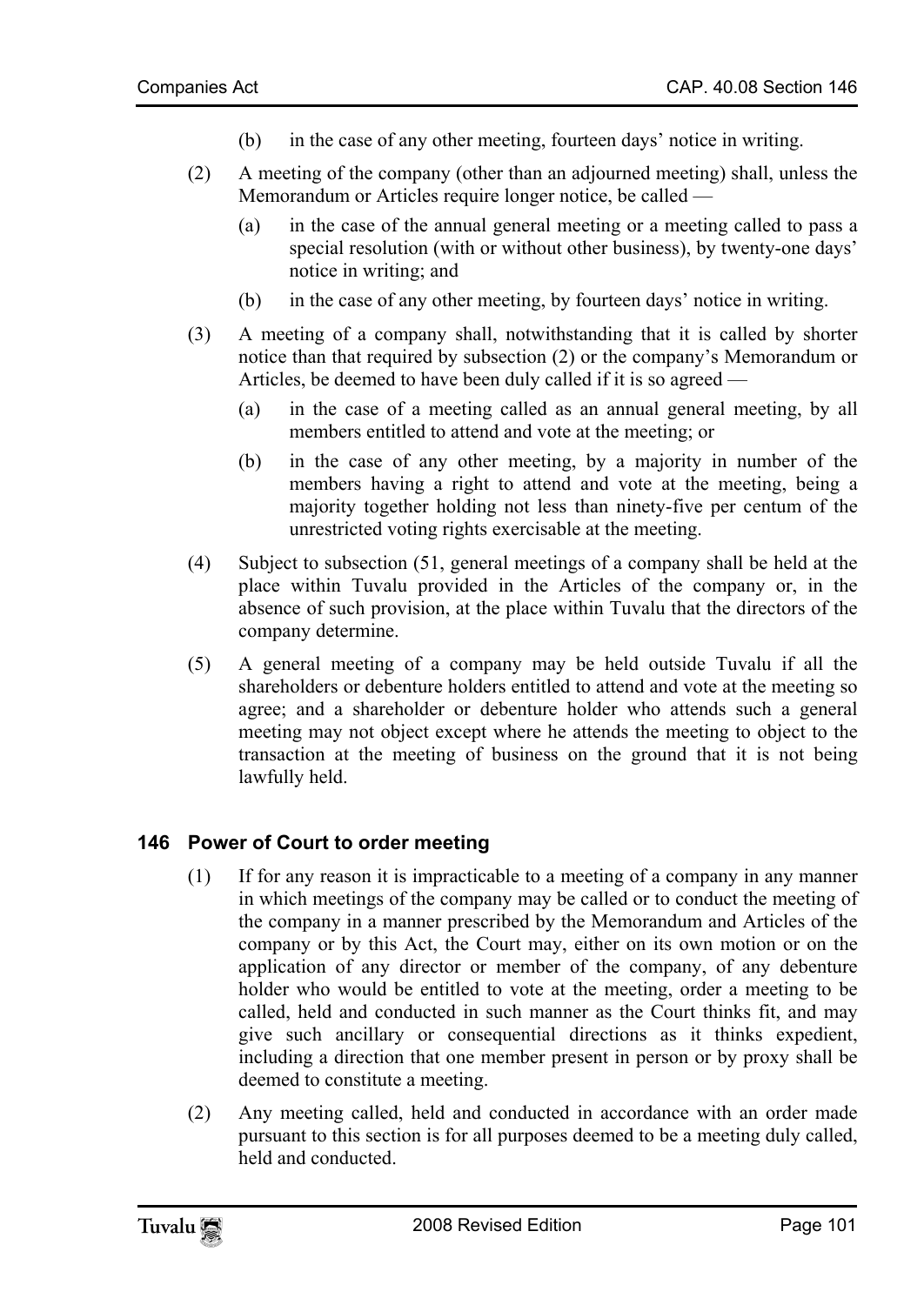- (b) in the case of any other meeting, fourteen days' notice in writing.
- (2) A meeting of the company (other than an adjourned meeting) shall, unless the Memorandum or Articles require longer notice, be called —
	- (a) in the case of the annual general meeting or a meeting called to pass a special resolution (with or without other business), by twenty-one days' notice in writing; and
	- (b) in the case of any other meeting, by fourteen days' notice in writing.
- (3) A meeting of a company shall, notwithstanding that it is called by shorter notice than that required by subsection (2) or the company's Memorandum or Articles, be deemed to have been duly called if it is so agreed —
	- (a) in the case of a meeting called as an annual general meeting, by all members entitled to attend and vote at the meeting; or
	- (b) in the case of any other meeting, by a majority in number of the members having a right to attend and vote at the meeting, being a majority together holding not less than ninety-five per centum of the unrestricted voting rights exercisable at the meeting.
- (4) Subject to subsection (51, general meetings of a company shall be held at the place within Tuvalu provided in the Articles of the company or, in the absence of such provision, at the place within Tuvalu that the directors of the company determine.
- (5) A general meeting of a company may be held outside Tuvalu if all the shareholders or debenture holders entitled to attend and vote at the meeting so agree; and a shareholder or debenture holder who attends such a general meeting may not object except where he attends the meeting to object to the transaction at the meeting of business on the ground that it is not being lawfully held.

## **146 Power of Court to order meeting**

- (1) If for any reason it is impracticable to a meeting of a company in any manner in which meetings of the company may be called or to conduct the meeting of the company in a manner prescribed by the Memorandum and Articles of the company or by this Act, the Court may, either on its own motion or on the application of any director or member of the company, of any debenture holder who would be entitled to vote at the meeting, order a meeting to be called, held and conducted in such manner as the Court thinks fit, and may give such ancillary or consequential directions as it thinks expedient, including a direction that one member present in person or by proxy shall be deemed to constitute a meeting.
- (2) Any meeting called, held and conducted in accordance with an order made pursuant to this section is for all purposes deemed to be a meeting duly called, held and conducted.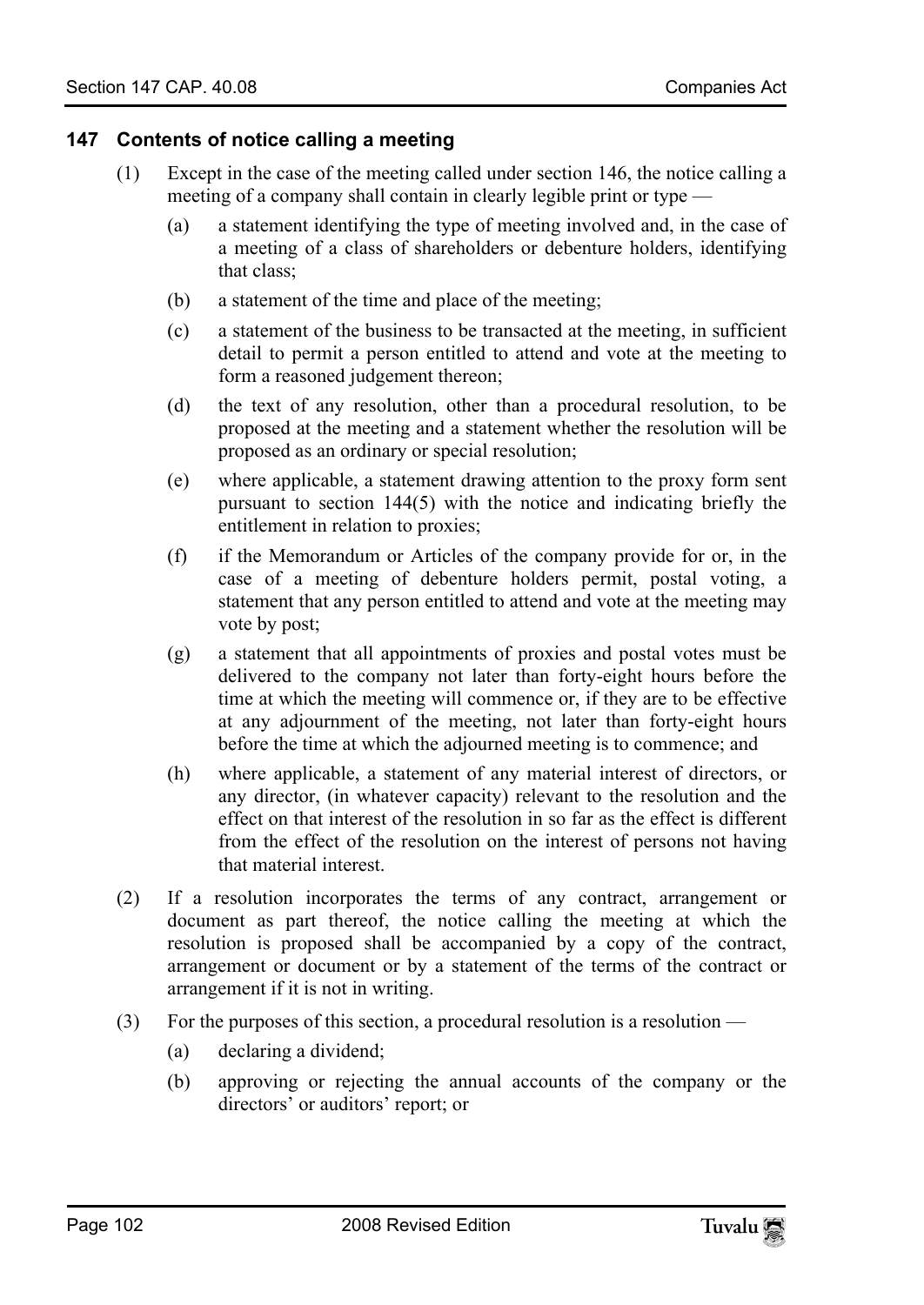#### **147 Contents of notice calling a meeting**

- (1) Except in the case of the meeting called under section 146, the notice calling a meeting of a company shall contain in clearly legible print or type —
	- (a) a statement identifying the type of meeting involved and, in the case of a meeting of a class of shareholders or debenture holders, identifying that class;
	- (b) a statement of the time and place of the meeting;
	- (c) a statement of the business to be transacted at the meeting, in sufficient detail to permit a person entitled to attend and vote at the meeting to form a reasoned judgement thereon;
	- (d) the text of any resolution, other than a procedural resolution, to be proposed at the meeting and a statement whether the resolution will be proposed as an ordinary or special resolution;
	- (e) where applicable, a statement drawing attention to the proxy form sent pursuant to section 144(5) with the notice and indicating briefly the entitlement in relation to proxies;
	- (f) if the Memorandum or Articles of the company provide for or, in the case of a meeting of debenture holders permit, postal voting, a statement that any person entitled to attend and vote at the meeting may vote by post;
	- (g) a statement that all appointments of proxies and postal votes must be delivered to the company not later than forty-eight hours before the time at which the meeting will commence or, if they are to be effective at any adjournment of the meeting, not later than forty-eight hours before the time at which the adjourned meeting is to commence; and
	- (h) where applicable, a statement of any material interest of directors, or any director, (in whatever capacity) relevant to the resolution and the effect on that interest of the resolution in so far as the effect is different from the effect of the resolution on the interest of persons not having that material interest.
- (2) If a resolution incorporates the terms of any contract, arrangement or document as part thereof, the notice calling the meeting at which the resolution is proposed shall be accompanied by a copy of the contract, arrangement or document or by a statement of the terms of the contract or arrangement if it is not in writing.
- (3) For the purposes of this section, a procedural resolution is a resolution  $-$ 
	- (a) declaring a dividend;
	- (b) approving or rejecting the annual accounts of the company or the directors' or auditors' report; or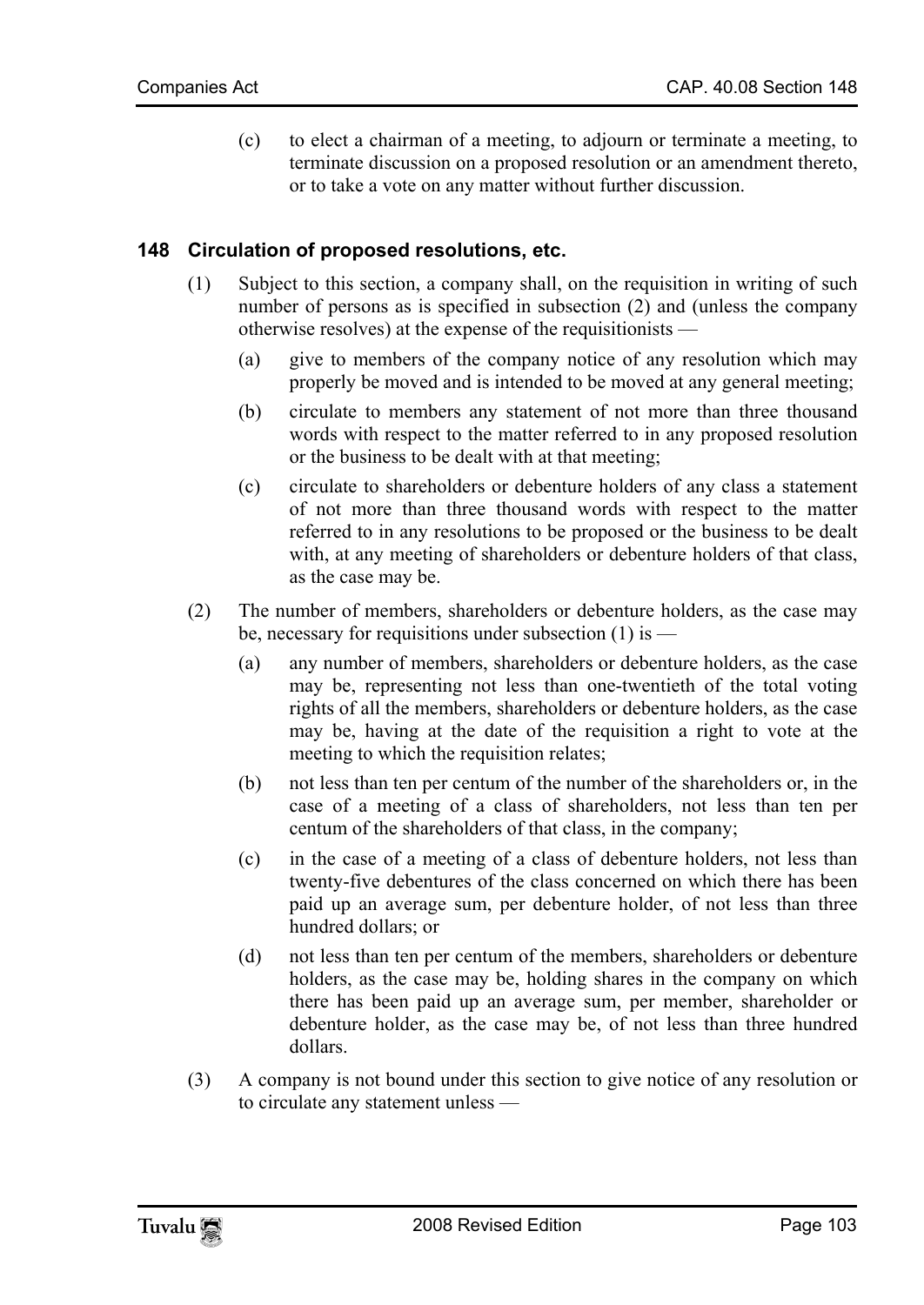(c) to elect a chairman of a meeting, to adjourn or terminate a meeting, to terminate discussion on a proposed resolution or an amendment thereto, or to take a vote on any matter without further discussion.

## **148 Circulation of proposed resolutions, etc.**

- (1) Subject to this section, a company shall, on the requisition in writing of such number of persons as is specified in subsection (2) and (unless the company otherwise resolves) at the expense of the requisitionists —
	- (a) give to members of the company notice of any resolution which may properly be moved and is intended to be moved at any general meeting;
	- (b) circulate to members any statement of not more than three thousand words with respect to the matter referred to in any proposed resolution or the business to be dealt with at that meeting;
	- (c) circulate to shareholders or debenture holders of any class a statement of not more than three thousand words with respect to the matter referred to in any resolutions to be proposed or the business to be dealt with, at any meeting of shareholders or debenture holders of that class, as the case may be.
- (2) The number of members, shareholders or debenture holders, as the case may be, necessary for requisitions under subsection  $(1)$  is —
	- (a) any number of members, shareholders or debenture holders, as the case may be, representing not less than one-twentieth of the total voting rights of all the members, shareholders or debenture holders, as the case may be, having at the date of the requisition a right to vote at the meeting to which the requisition relates;
	- (b) not less than ten per centum of the number of the shareholders or, in the case of a meeting of a class of shareholders, not less than ten per centum of the shareholders of that class, in the company;
	- (c) in the case of a meeting of a class of debenture holders, not less than twenty-five debentures of the class concerned on which there has been paid up an average sum, per debenture holder, of not less than three hundred dollars; or
	- (d) not less than ten per centum of the members, shareholders or debenture holders, as the case may be, holding shares in the company on which there has been paid up an average sum, per member, shareholder or debenture holder, as the case may be, of not less than three hundred dollars.
- (3) A company is not bound under this section to give notice of any resolution or to circulate any statement unless —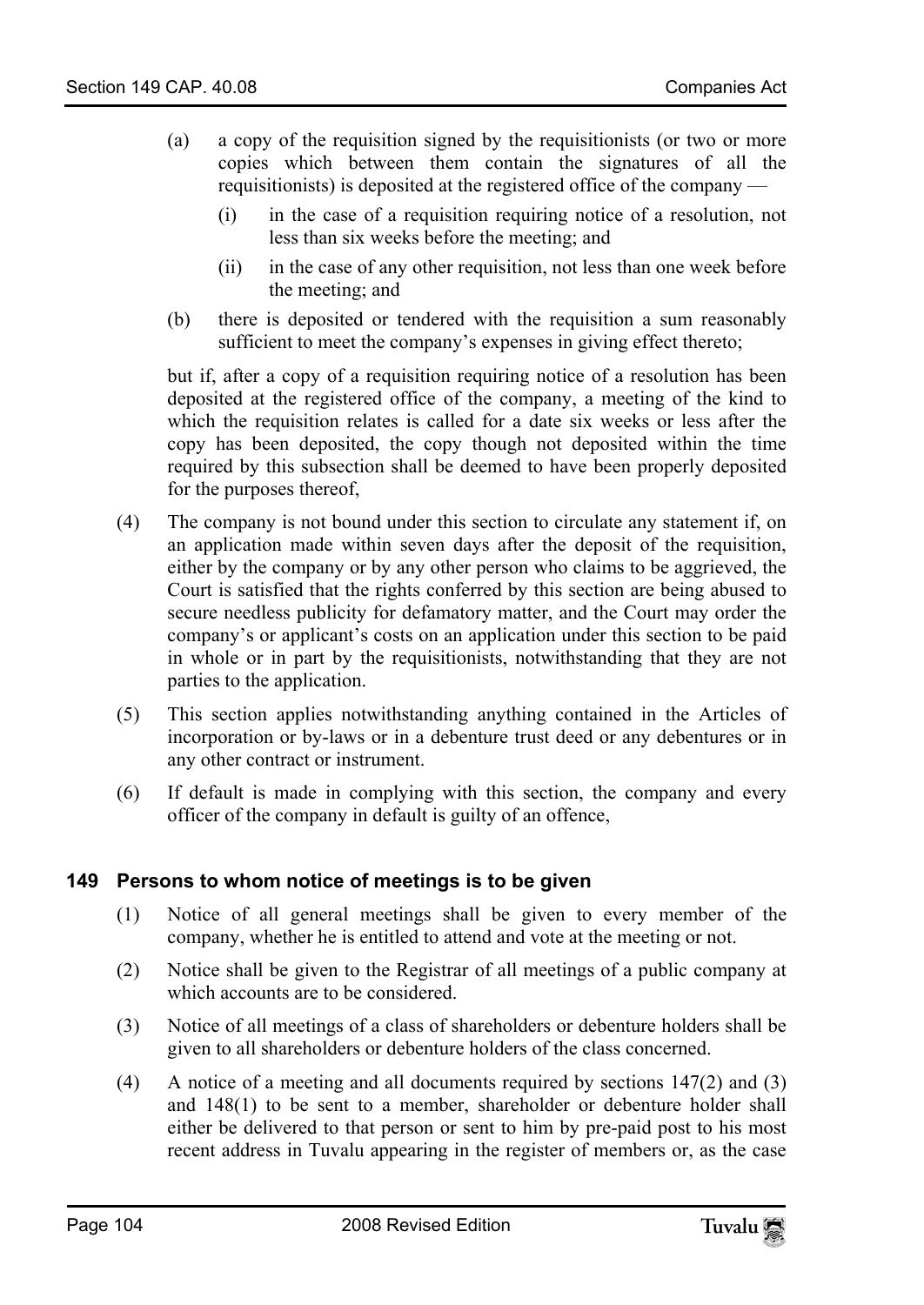- (a) a copy of the requisition signed by the requisitionists (or two or more copies which between them contain the signatures of all the requisitionists) is deposited at the registered office of the company —
	- (i) in the case of a requisition requiring notice of a resolution, not less than six weeks before the meeting; and
	- (ii) in the case of any other requisition, not less than one week before the meeting; and
- (b) there is deposited or tendered with the requisition a sum reasonably sufficient to meet the company's expenses in giving effect thereto;

but if, after a copy of a requisition requiring notice of a resolution has been deposited at the registered office of the company, a meeting of the kind to which the requisition relates is called for a date six weeks or less after the copy has been deposited, the copy though not deposited within the time required by this subsection shall be deemed to have been properly deposited for the purposes thereof,

- (4) The company is not bound under this section to circulate any statement if, on an application made within seven days after the deposit of the requisition, either by the company or by any other person who claims to be aggrieved, the Court is satisfied that the rights conferred by this section are being abused to secure needless publicity for defamatory matter, and the Court may order the company's or applicant's costs on an application under this section to be paid in whole or in part by the requisitionists, notwithstanding that they are not parties to the application.
- (5) This section applies notwithstanding anything contained in the Articles of incorporation or by-laws or in a debenture trust deed or any debentures or in any other contract or instrument.
- (6) If default is made in complying with this section, the company and every officer of the company in default is guilty of an offence,

## **149 Persons to whom notice of meetings is to be given**

- (1) Notice of all general meetings shall be given to every member of the company, whether he is entitled to attend and vote at the meeting or not.
- (2) Notice shall be given to the Registrar of all meetings of a public company at which accounts are to be considered.
- (3) Notice of all meetings of a class of shareholders or debenture holders shall be given to all shareholders or debenture holders of the class concerned.
- (4) A notice of a meeting and all documents required by sections 147(2) and (3) and 148(1) to be sent to a member, shareholder or debenture holder shall either be delivered to that person or sent to him by pre-paid post to his most recent address in Tuvalu appearing in the register of members or, as the case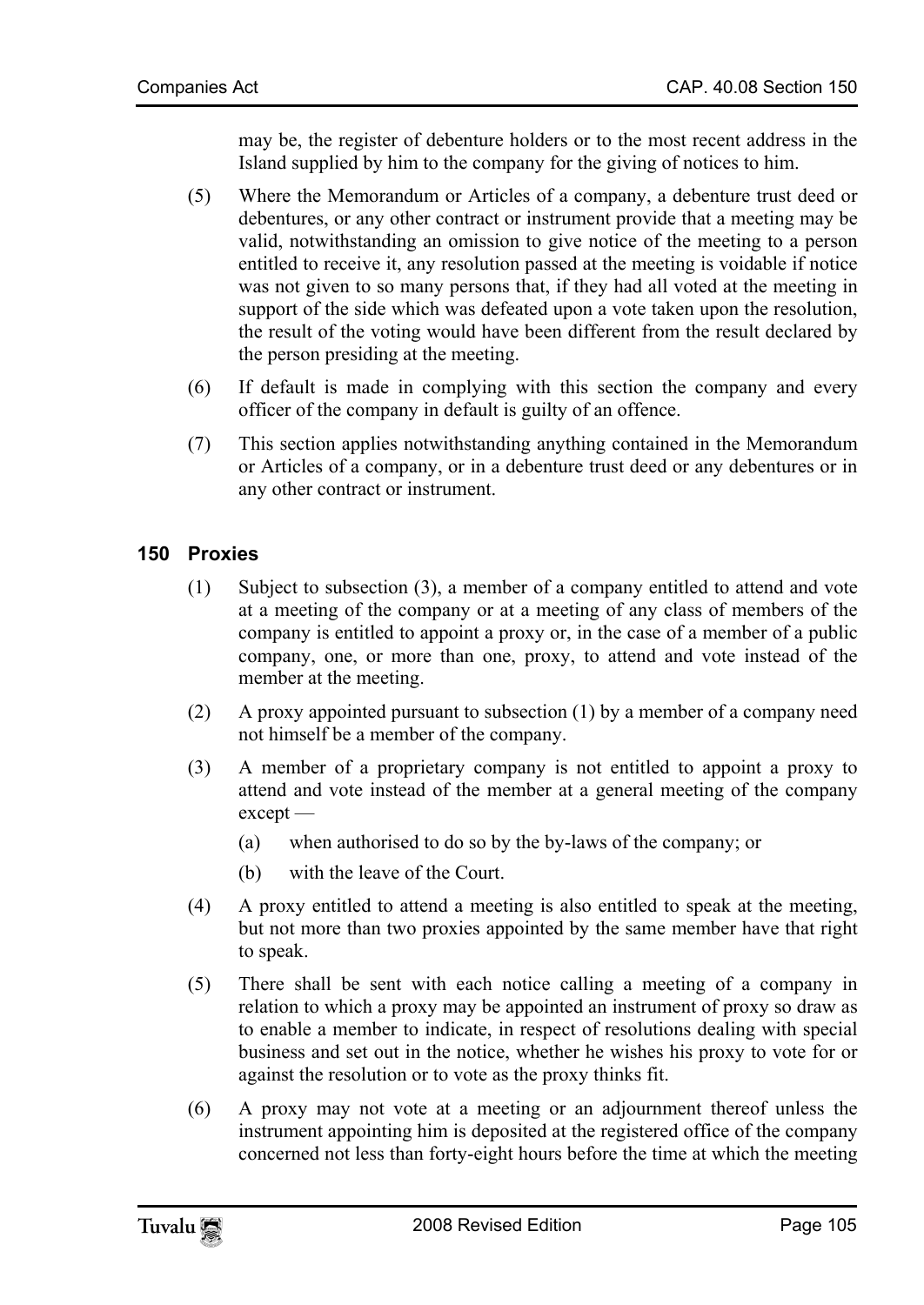may be, the register of debenture holders or to the most recent address in the Island supplied by him to the company for the giving of notices to him.

- (5) Where the Memorandum or Articles of a company, a debenture trust deed or debentures, or any other contract or instrument provide that a meeting may be valid, notwithstanding an omission to give notice of the meeting to a person entitled to receive it, any resolution passed at the meeting is voidable if notice was not given to so many persons that, if they had all voted at the meeting in support of the side which was defeated upon a vote taken upon the resolution, the result of the voting would have been different from the result declared by the person presiding at the meeting.
- (6) If default is made in complying with this section the company and every officer of the company in default is guilty of an offence.
- (7) This section applies notwithstanding anything contained in the Memorandum or Articles of a company, or in a debenture trust deed or any debentures or in any other contract or instrument.

## **150 Proxies**

- (1) Subject to subsection (3), a member of a company entitled to attend and vote at a meeting of the company or at a meeting of any class of members of the company is entitled to appoint a proxy or, in the case of a member of a public company, one, or more than one, proxy, to attend and vote instead of the member at the meeting.
- (2) A proxy appointed pursuant to subsection (1) by a member of a company need not himself be a member of the company.
- (3) A member of a proprietary company is not entitled to appoint a proxy to attend and vote instead of the member at a general meeting of the company except —
	- (a) when authorised to do so by the by-laws of the company; or
	- (b) with the leave of the Court.
- (4) A proxy entitled to attend a meeting is also entitled to speak at the meeting, but not more than two proxies appointed by the same member have that right to speak.
- (5) There shall be sent with each notice calling a meeting of a company in relation to which a proxy may be appointed an instrument of proxy so draw as to enable a member to indicate, in respect of resolutions dealing with special business and set out in the notice, whether he wishes his proxy to vote for or against the resolution or to vote as the proxy thinks fit.
- (6) A proxy may not vote at a meeting or an adjournment thereof unless the instrument appointing him is deposited at the registered office of the company concerned not less than forty-eight hours before the time at which the meeting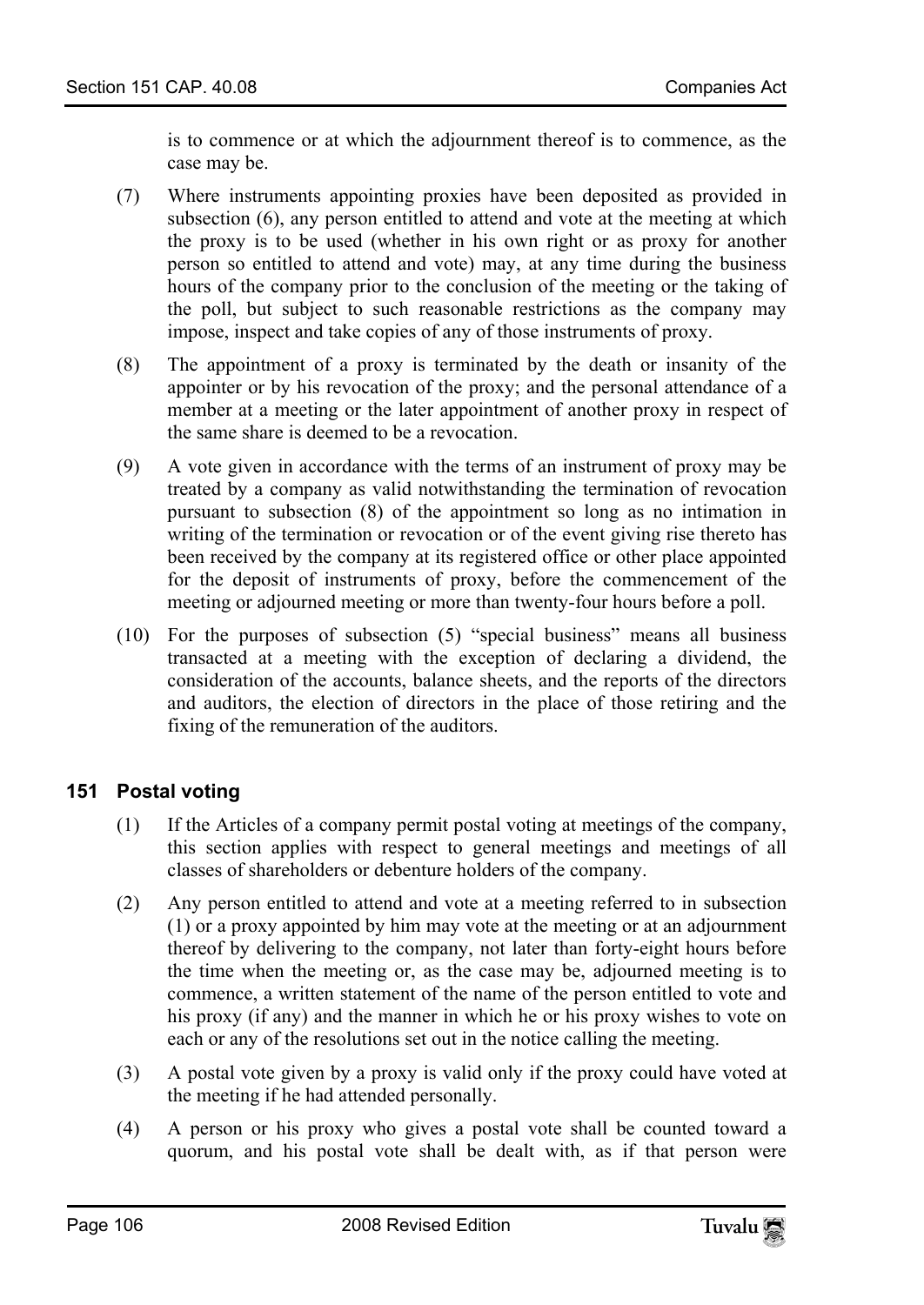is to commence or at which the adjournment thereof is to commence, as the case may be.

- (7) Where instruments appointing proxies have been deposited as provided in subsection (6), any person entitled to attend and vote at the meeting at which the proxy is to be used (whether in his own right or as proxy for another person so entitled to attend and vote) may, at any time during the business hours of the company prior to the conclusion of the meeting or the taking of the poll, but subject to such reasonable restrictions as the company may impose, inspect and take copies of any of those instruments of proxy.
- (8) The appointment of a proxy is terminated by the death or insanity of the appointer or by his revocation of the proxy; and the personal attendance of a member at a meeting or the later appointment of another proxy in respect of the same share is deemed to be a revocation.
- (9) A vote given in accordance with the terms of an instrument of proxy may be treated by a company as valid notwithstanding the termination of revocation pursuant to subsection (8) of the appointment so long as no intimation in writing of the termination or revocation or of the event giving rise thereto has been received by the company at its registered office or other place appointed for the deposit of instruments of proxy, before the commencement of the meeting or adjourned meeting or more than twenty-four hours before a poll.
- (10) For the purposes of subsection (5) "special business" means all business transacted at a meeting with the exception of declaring a dividend, the consideration of the accounts, balance sheets, and the reports of the directors and auditors, the election of directors in the place of those retiring and the fixing of the remuneration of the auditors.

## **151 Postal voting**

- (1) If the Articles of a company permit postal voting at meetings of the company, this section applies with respect to general meetings and meetings of all classes of shareholders or debenture holders of the company.
- (2) Any person entitled to attend and vote at a meeting referred to in subsection (1) or a proxy appointed by him may vote at the meeting or at an adjournment thereof by delivering to the company, not later than forty-eight hours before the time when the meeting or, as the case may be, adjourned meeting is to commence, a written statement of the name of the person entitled to vote and his proxy (if any) and the manner in which he or his proxy wishes to vote on each or any of the resolutions set out in the notice calling the meeting.
- (3) A postal vote given by a proxy is valid only if the proxy could have voted at the meeting if he had attended personally.
- (4) A person or his proxy who gives a postal vote shall be counted toward a quorum, and his postal vote shall be dealt with, as if that person were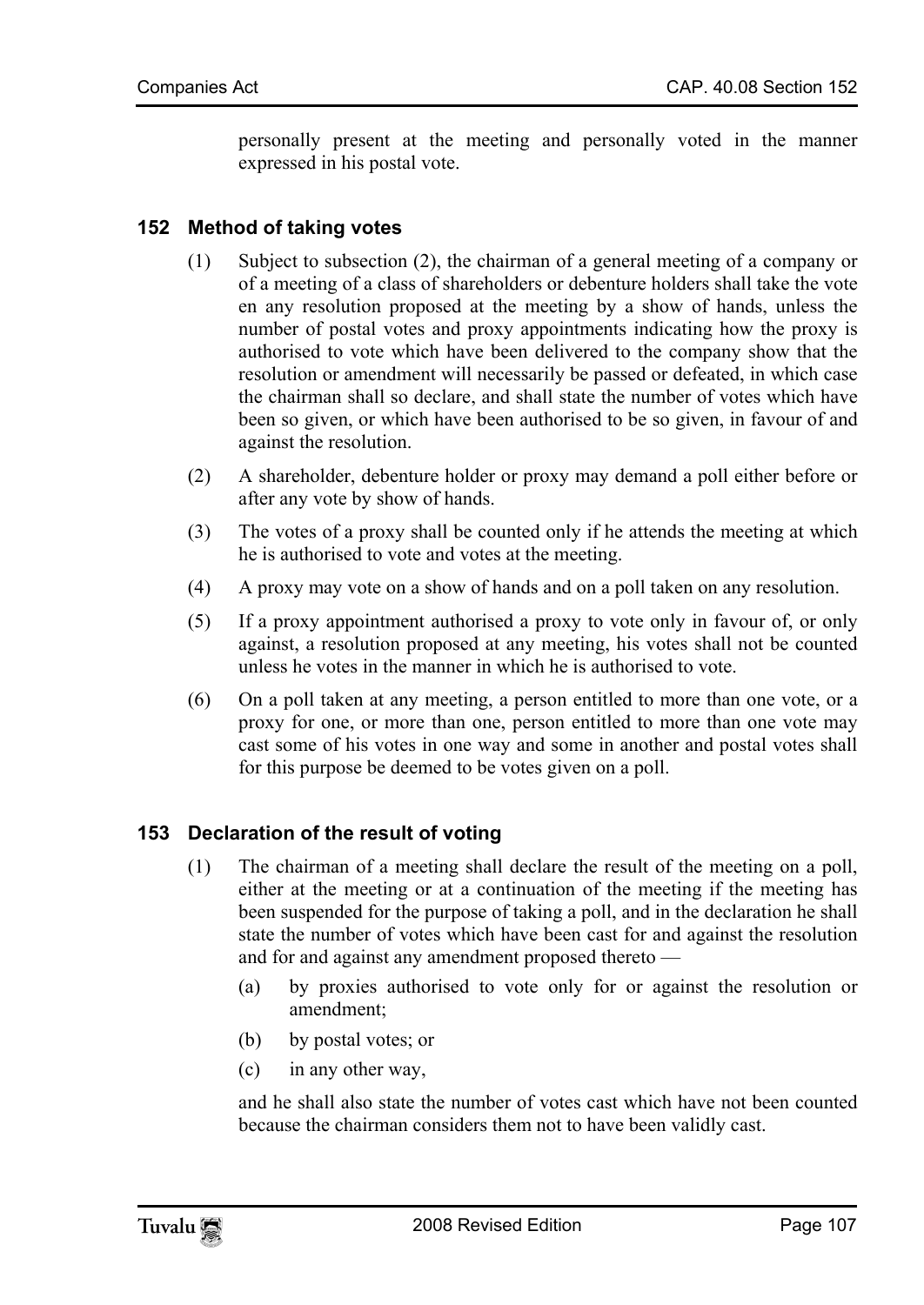personally present at the meeting and personally voted in the manner expressed in his postal vote.

## **152 Method of taking votes**

- (1) Subject to subsection (2), the chairman of a general meeting of a company or of a meeting of a class of shareholders or debenture holders shall take the vote en any resolution proposed at the meeting by a show of hands, unless the number of postal votes and proxy appointments indicating how the proxy is authorised to vote which have been delivered to the company show that the resolution or amendment will necessarily be passed or defeated, in which case the chairman shall so declare, and shall state the number of votes which have been so given, or which have been authorised to be so given, in favour of and against the resolution.
- (2) A shareholder, debenture holder or proxy may demand a poll either before or after any vote by show of hands.
- (3) The votes of a proxy shall be counted only if he attends the meeting at which he is authorised to vote and votes at the meeting.
- (4) A proxy may vote on a show of hands and on a poll taken on any resolution.
- (5) If a proxy appointment authorised a proxy to vote only in favour of, or only against, a resolution proposed at any meeting, his votes shall not be counted unless he votes in the manner in which he is authorised to vote.
- (6) On a poll taken at any meeting, a person entitled to more than one vote, or a proxy for one, or more than one, person entitled to more than one vote may cast some of his votes in one way and some in another and postal votes shall for this purpose be deemed to be votes given on a poll.

#### **153 Declaration of the result of voting**

- (1) The chairman of a meeting shall declare the result of the meeting on a poll, either at the meeting or at a continuation of the meeting if the meeting has been suspended for the purpose of taking a poll, and in the declaration he shall state the number of votes which have been cast for and against the resolution and for and against any amendment proposed thereto —
	- (a) by proxies authorised to vote only for or against the resolution or amendment;
	- (b) by postal votes; or
	- (c) in any other way,

and he shall also state the number of votes cast which have not been counted because the chairman considers them not to have been validly cast.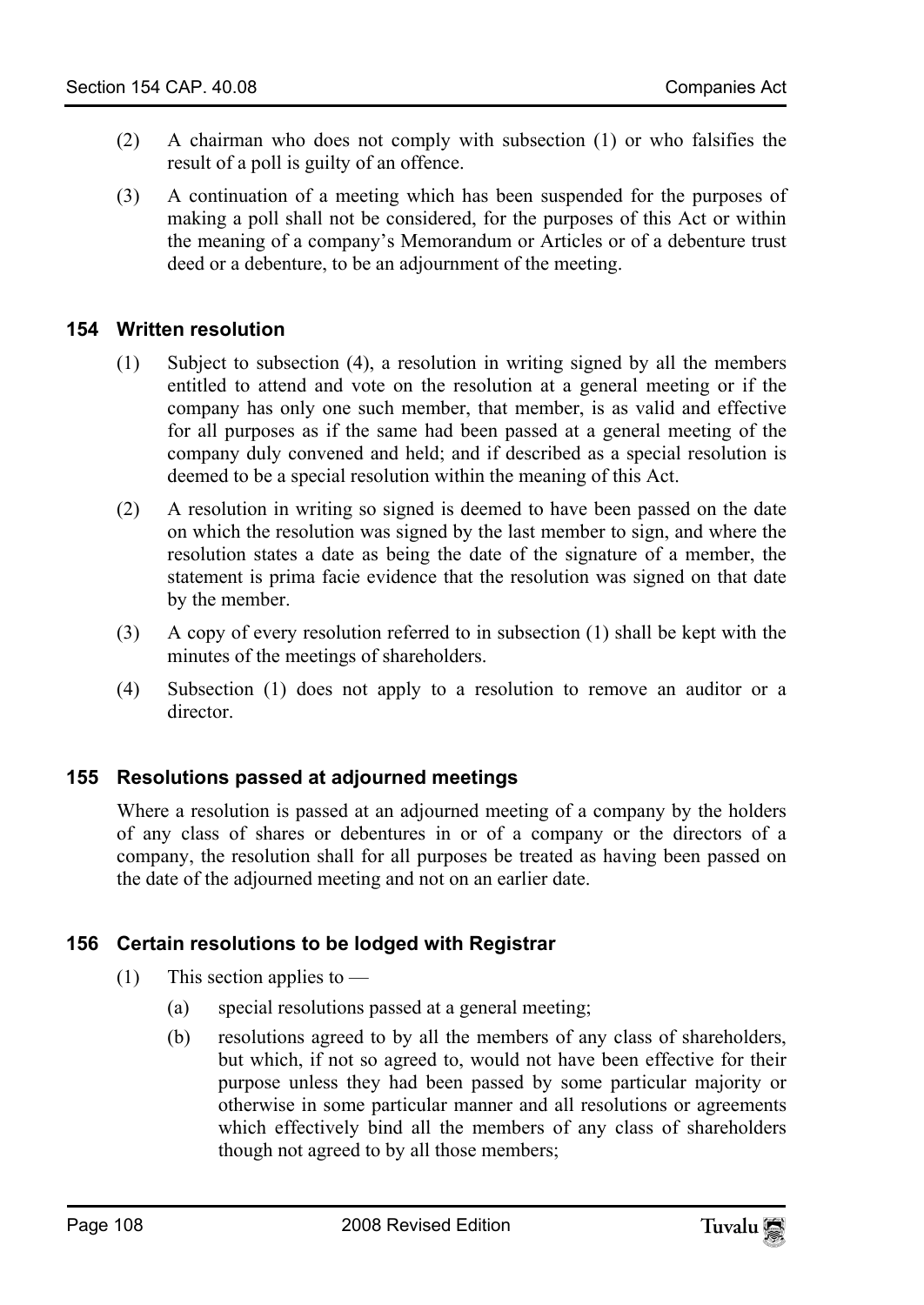- (2) A chairman who does not comply with subsection (1) or who falsifies the result of a poll is guilty of an offence.
- (3) A continuation of a meeting which has been suspended for the purposes of making a poll shall not be considered, for the purposes of this Act or within the meaning of a company's Memorandum or Articles or of a debenture trust deed or a debenture, to be an adjournment of the meeting.

## **154 Written resolution**

- (1) Subject to subsection (4), a resolution in writing signed by all the members entitled to attend and vote on the resolution at a general meeting or if the company has only one such member, that member, is as valid and effective for all purposes as if the same had been passed at a general meeting of the company duly convened and held; and if described as a special resolution is deemed to be a special resolution within the meaning of this Act.
- (2) A resolution in writing so signed is deemed to have been passed on the date on which the resolution was signed by the last member to sign, and where the resolution states a date as being the date of the signature of a member, the statement is prima facie evidence that the resolution was signed on that date by the member.
- (3) A copy of every resolution referred to in subsection (1) shall be kept with the minutes of the meetings of shareholders.
- (4) Subsection (1) does not apply to a resolution to remove an auditor or a director.

## **155 Resolutions passed at adjourned meetings**

Where a resolution is passed at an adjourned meeting of a company by the holders of any class of shares or debentures in or of a company or the directors of a company, the resolution shall for all purposes be treated as having been passed on the date of the adjourned meeting and not on an earlier date.

#### **156 Certain resolutions to be lodged with Registrar**

- $(1)$  This section applies to
	- (a) special resolutions passed at a general meeting;
	- (b) resolutions agreed to by all the members of any class of shareholders, but which, if not so agreed to, would not have been effective for their purpose unless they had been passed by some particular majority or otherwise in some particular manner and all resolutions or agreements which effectively bind all the members of any class of shareholders though not agreed to by all those members;

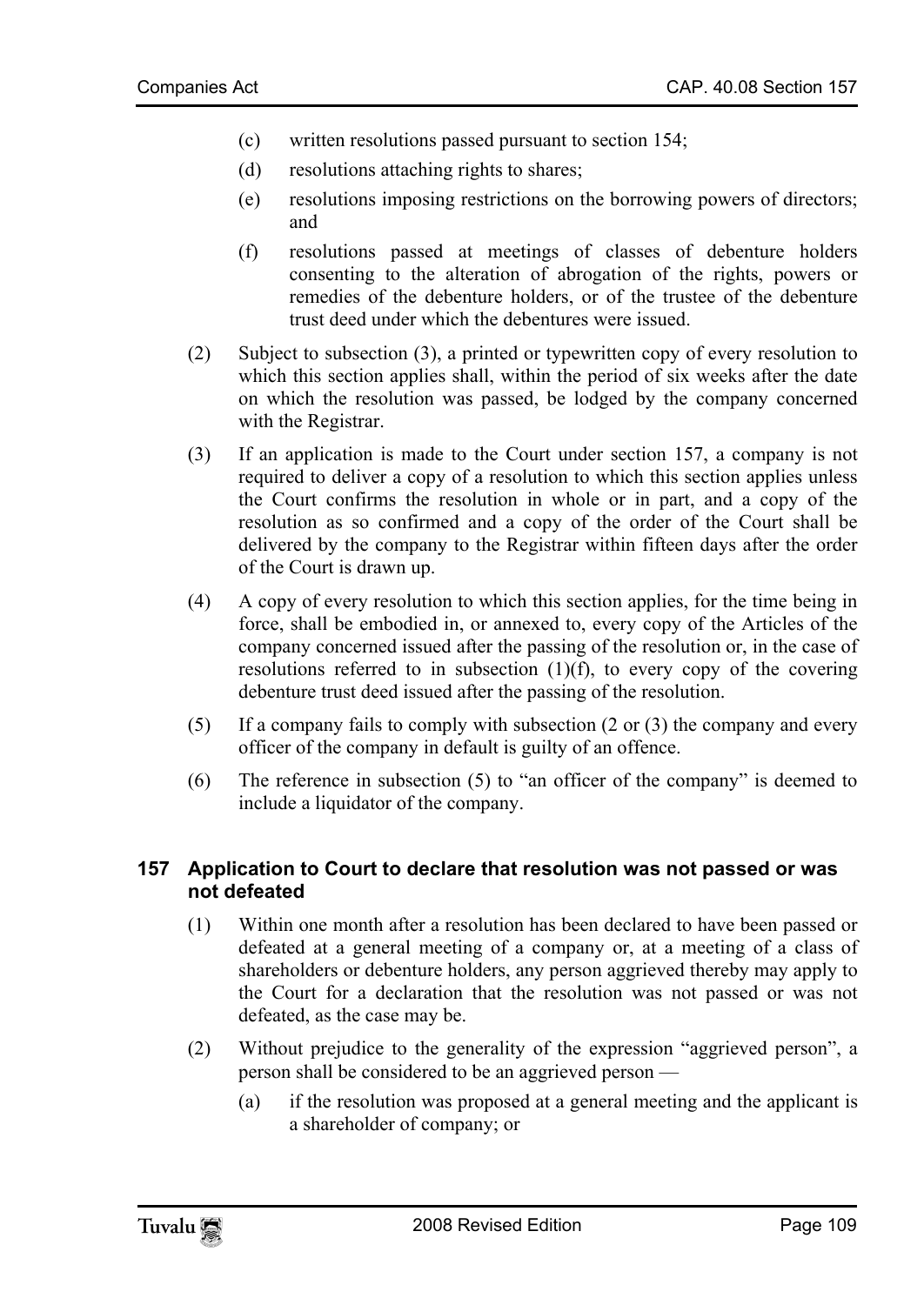- (c) written resolutions passed pursuant to section 154;
- (d) resolutions attaching rights to shares;
- (e) resolutions imposing restrictions on the borrowing powers of directors; and
- (f) resolutions passed at meetings of classes of debenture holders consenting to the alteration of abrogation of the rights, powers or remedies of the debenture holders, or of the trustee of the debenture trust deed under which the debentures were issued.
- (2) Subject to subsection (3), a printed or typewritten copy of every resolution to which this section applies shall, within the period of six weeks after the date on which the resolution was passed, be lodged by the company concerned with the Registrar.
- (3) If an application is made to the Court under section 157, a company is not required to deliver a copy of a resolution to which this section applies unless the Court confirms the resolution in whole or in part, and a copy of the resolution as so confirmed and a copy of the order of the Court shall be delivered by the company to the Registrar within fifteen days after the order of the Court is drawn up.
- (4) A copy of every resolution to which this section applies, for the time being in force, shall be embodied in, or annexed to, every copy of the Articles of the company concerned issued after the passing of the resolution or, in the case of resolutions referred to in subsection  $(1)(f)$ , to every copy of the covering debenture trust deed issued after the passing of the resolution.
- (5) If a company fails to comply with subsection (2 or (3) the company and every officer of the company in default is guilty of an offence.
- (6) The reference in subsection (5) to "an officer of the company" is deemed to include a liquidator of the company.

#### **157 Application to Court to declare that resolution was not passed or was not defeated**

- (1) Within one month after a resolution has been declared to have been passed or defeated at a general meeting of a company or, at a meeting of a class of shareholders or debenture holders, any person aggrieved thereby may apply to the Court for a declaration that the resolution was not passed or was not defeated, as the case may be.
- (2) Without prejudice to the generality of the expression "aggrieved person", a person shall be considered to be an aggrieved person —
	- (a) if the resolution was proposed at a general meeting and the applicant is a shareholder of company; or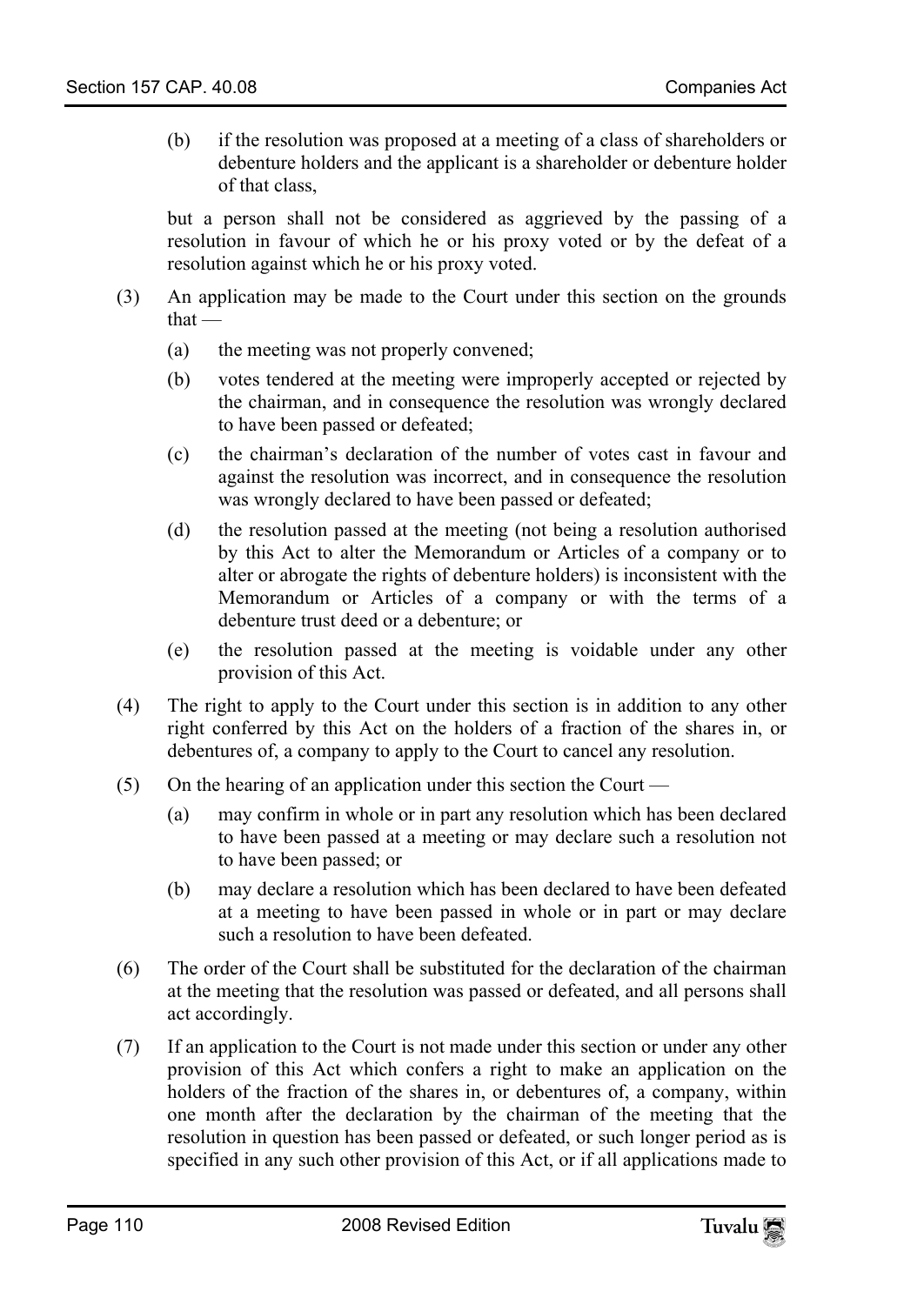(b) if the resolution was proposed at a meeting of a class of shareholders or debenture holders and the applicant is a shareholder or debenture holder of that class,

but a person shall not be considered as aggrieved by the passing of a resolution in favour of which he or his proxy voted or by the defeat of a resolution against which he or his proxy voted.

- (3) An application may be made to the Court under this section on the grounds  $that -$ 
	- (a) the meeting was not properly convened;
	- (b) votes tendered at the meeting were improperly accepted or rejected by the chairman, and in consequence the resolution was wrongly declared to have been passed or defeated;
	- (c) the chairman's declaration of the number of votes cast in favour and against the resolution was incorrect, and in consequence the resolution was wrongly declared to have been passed or defeated;
	- (d) the resolution passed at the meeting (not being a resolution authorised by this Act to alter the Memorandum or Articles of a company or to alter or abrogate the rights of debenture holders) is inconsistent with the Memorandum or Articles of a company or with the terms of a debenture trust deed or a debenture; or
	- (e) the resolution passed at the meeting is voidable under any other provision of this Act.
- (4) The right to apply to the Court under this section is in addition to any other right conferred by this Act on the holders of a fraction of the shares in, or debentures of, a company to apply to the Court to cancel any resolution.
- (5) On the hearing of an application under this section the Court
	- (a) may confirm in whole or in part any resolution which has been declared to have been passed at a meeting or may declare such a resolution not to have been passed; or
	- (b) may declare a resolution which has been declared to have been defeated at a meeting to have been passed in whole or in part or may declare such a resolution to have been defeated.
- (6) The order of the Court shall be substituted for the declaration of the chairman at the meeting that the resolution was passed or defeated, and all persons shall act accordingly.
- (7) If an application to the Court is not made under this section or under any other provision of this Act which confers a right to make an application on the holders of the fraction of the shares in, or debentures of, a company, within one month after the declaration by the chairman of the meeting that the resolution in question has been passed or defeated, or such longer period as is specified in any such other provision of this Act, or if all applications made to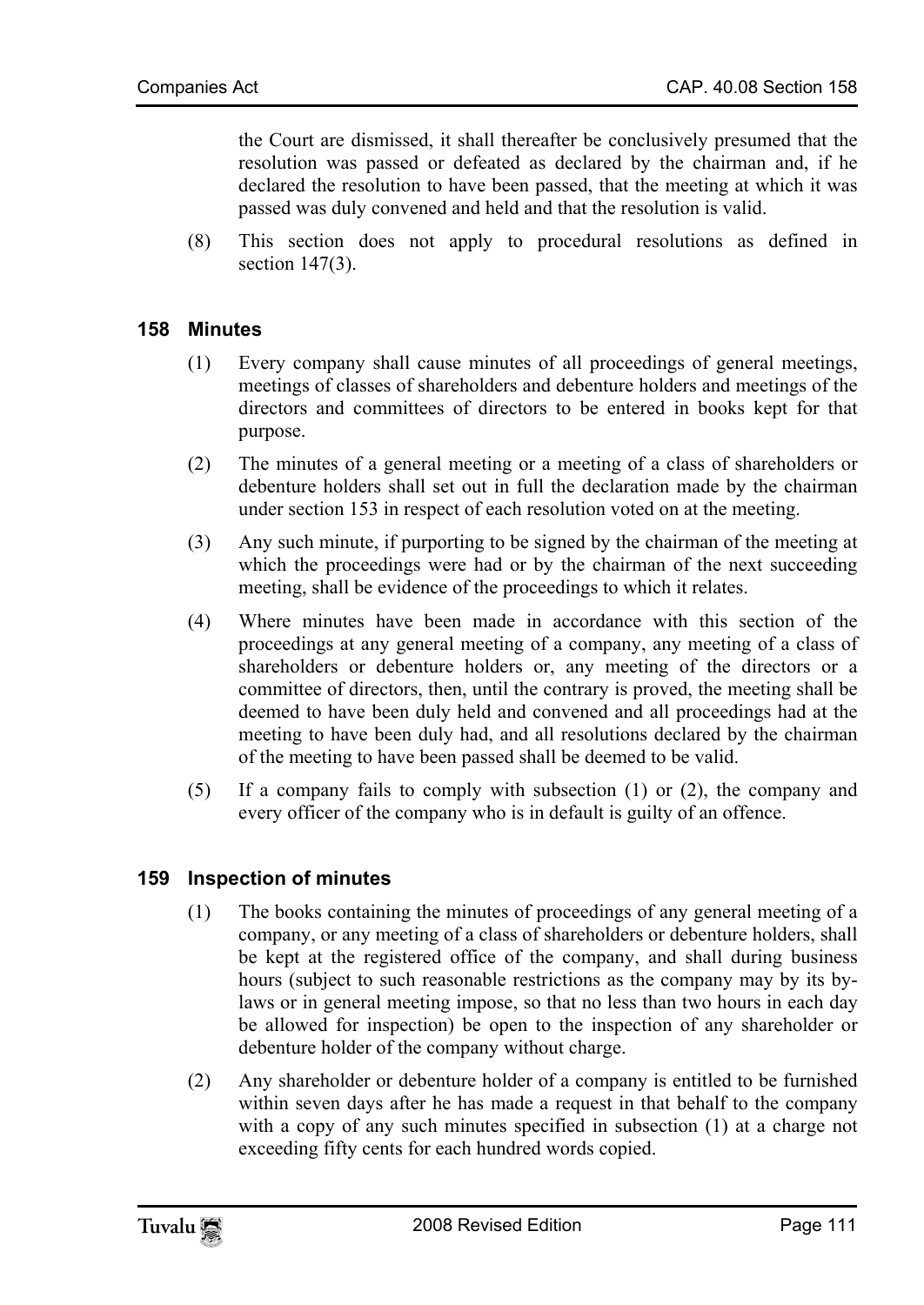the Court are dismissed, it shall thereafter be conclusively presumed that the resolution was passed or defeated as declared by the chairman and, if he declared the resolution to have been passed, that the meeting at which it was passed was duly convened and held and that the resolution is valid.

(8) This section does not apply to procedural resolutions as defined in section 147(3).

#### **158 Minutes**

- (1) Every company shall cause minutes of all proceedings of general meetings, meetings of classes of shareholders and debenture holders and meetings of the directors and committees of directors to be entered in books kept for that purpose.
- (2) The minutes of a general meeting or a meeting of a class of shareholders or debenture holders shall set out in full the declaration made by the chairman under section 153 in respect of each resolution voted on at the meeting.
- (3) Any such minute, if purporting to be signed by the chairman of the meeting at which the proceedings were had or by the chairman of the next succeeding meeting, shall be evidence of the proceedings to which it relates.
- (4) Where minutes have been made in accordance with this section of the proceedings at any general meeting of a company, any meeting of a class of shareholders or debenture holders or, any meeting of the directors or a committee of directors, then, until the contrary is proved, the meeting shall be deemed to have been duly held and convened and all proceedings had at the meeting to have been duly had, and all resolutions declared by the chairman of the meeting to have been passed shall be deemed to be valid.
- (5) If a company fails to comply with subsection (1) or (2), the company and every officer of the company who is in default is guilty of an offence.

#### **159 Inspection of minutes**

- (1) The books containing the minutes of proceedings of any general meeting of a company, or any meeting of a class of shareholders or debenture holders, shall be kept at the registered office of the company, and shall during business hours (subject to such reasonable restrictions as the company may by its bylaws or in general meeting impose, so that no less than two hours in each day be allowed for inspection) be open to the inspection of any shareholder or debenture holder of the company without charge.
- (2) Any shareholder or debenture holder of a company is entitled to be furnished within seven days after he has made a request in that behalf to the company with a copy of any such minutes specified in subsection (1) at a charge not exceeding fifty cents for each hundred words copied.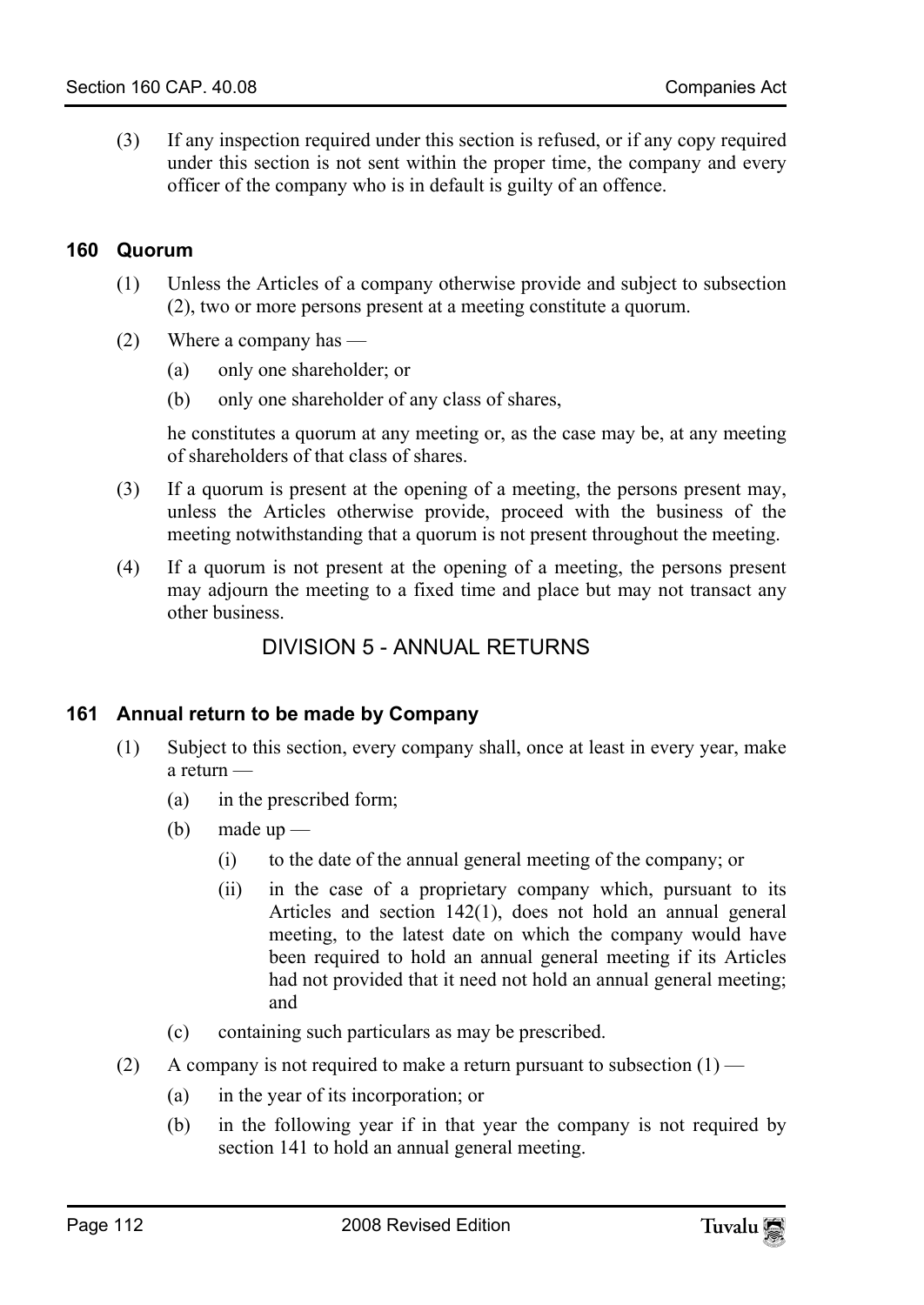(3) If any inspection required under this section is refused, or if any copy required under this section is not sent within the proper time, the company and every officer of the company who is in default is guilty of an offence.

#### **160 Quorum**

- (1) Unless the Articles of a company otherwise provide and subject to subsection (2), two or more persons present at a meeting constitute a quorum.
- (2) Where a company has
	- (a) only one shareholder; or
	- (b) only one shareholder of any class of shares,

he constitutes a quorum at any meeting or, as the case may be, at any meeting of shareholders of that class of shares.

- (3) If a quorum is present at the opening of a meeting, the persons present may, unless the Articles otherwise provide, proceed with the business of the meeting notwithstanding that a quorum is not present throughout the meeting.
- (4) If a quorum is not present at the opening of a meeting, the persons present may adjourn the meeting to a fixed time and place but may not transact any other business.

## DIVISION 5 - ANNUAL RETURNS

## **161 Annual return to be made by Company**

- (1) Subject to this section, every company shall, once at least in every year, make a return —
	- (a) in the prescribed form;
	- (b) made  $up$ 
		- (i) to the date of the annual general meeting of the company; or
		- (ii) in the case of a proprietary company which, pursuant to its Articles and section 142(1), does not hold an annual general meeting, to the latest date on which the company would have been required to hold an annual general meeting if its Articles had not provided that it need not hold an annual general meeting; and
	- (c) containing such particulars as may be prescribed.
- (2) A company is not required to make a return pursuant to subsection  $(1)$ 
	- (a) in the year of its incorporation; or
	- (b) in the following year if in that year the company is not required by section 141 to hold an annual general meeting.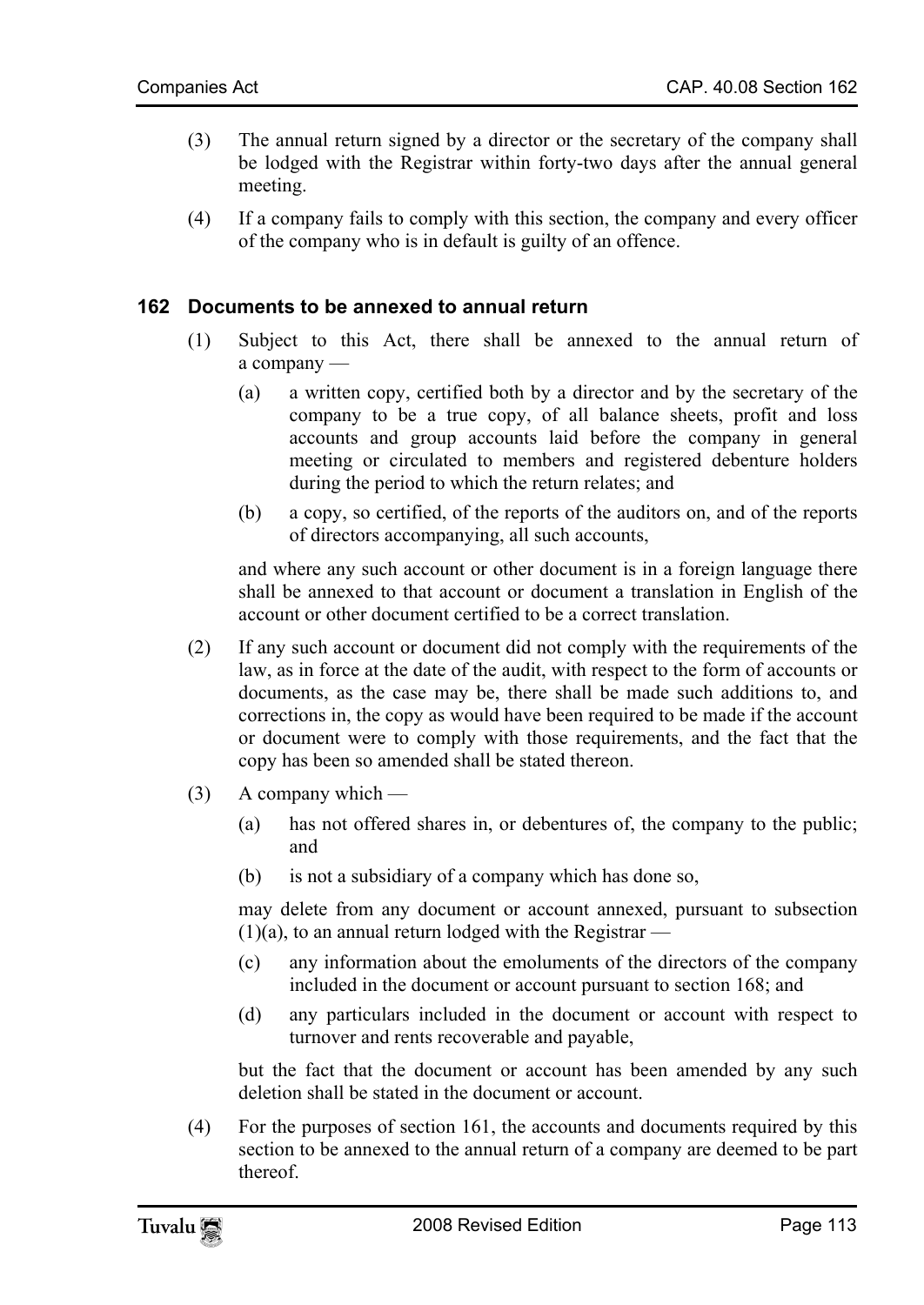- (3) The annual return signed by a director or the secretary of the company shall be lodged with the Registrar within forty-two days after the annual general meeting.
- (4) If a company fails to comply with this section, the company and every officer of the company who is in default is guilty of an offence.

#### **162 Documents to be annexed to annual return**

- (1) Subject to this Act, there shall be annexed to the annual return of a company —
	- (a) a written copy, certified both by a director and by the secretary of the company to be a true copy, of all balance sheets, profit and loss accounts and group accounts laid before the company in general meeting or circulated to members and registered debenture holders during the period to which the return relates; and
	- (b) a copy, so certified, of the reports of the auditors on, and of the reports of directors accompanying, all such accounts,

and where any such account or other document is in a foreign language there shall be annexed to that account or document a translation in English of the account or other document certified to be a correct translation.

- (2) If any such account or document did not comply with the requirements of the law, as in force at the date of the audit, with respect to the form of accounts or documents, as the case may be, there shall be made such additions to, and corrections in, the copy as would have been required to be made if the account or document were to comply with those requirements, and the fact that the copy has been so amended shall be stated thereon.
- (3) A company which
	- (a) has not offered shares in, or debentures of, the company to the public; and
	- (b) is not a subsidiary of a company which has done so,

may delete from any document or account annexed, pursuant to subsection  $(1)(a)$ , to an annual return lodged with the Registrar —

- (c) any information about the emoluments of the directors of the company included in the document or account pursuant to section 168; and
- (d) any particulars included in the document or account with respect to turnover and rents recoverable and payable,

but the fact that the document or account has been amended by any such deletion shall be stated in the document or account.

(4) For the purposes of section 161, the accounts and documents required by this section to be annexed to the annual return of a company are deemed to be part thereof.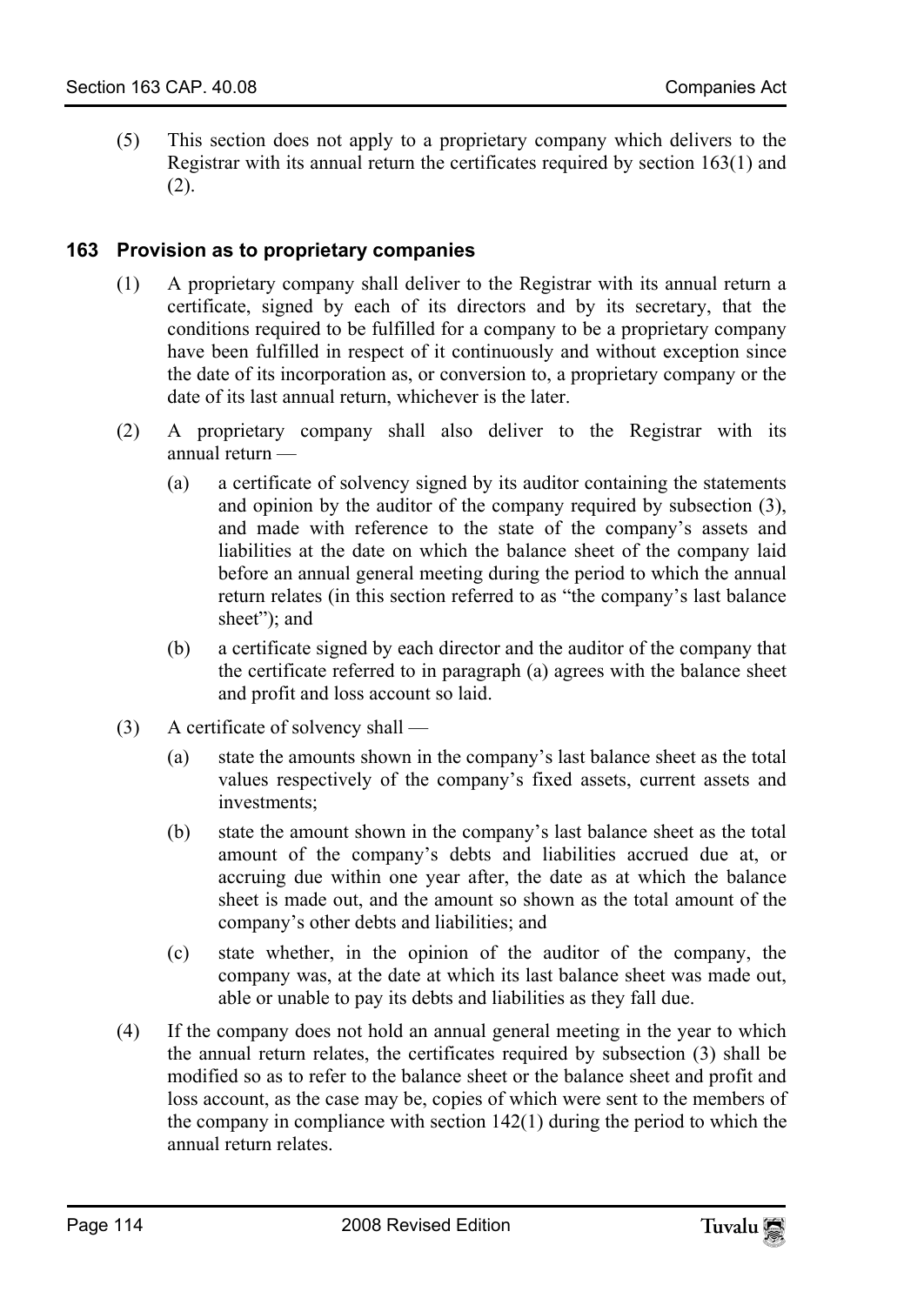(5) This section does not apply to a proprietary company which delivers to the Registrar with its annual return the certificates required by section 163(1) and (2).

## **163 Provision as to proprietary companies**

- (1) A proprietary company shall deliver to the Registrar with its annual return a certificate, signed by each of its directors and by its secretary, that the conditions required to be fulfilled for a company to be a proprietary company have been fulfilled in respect of it continuously and without exception since the date of its incorporation as, or conversion to, a proprietary company or the date of its last annual return, whichever is the later.
- (2) A proprietary company shall also deliver to the Registrar with its annual return —
	- (a) a certificate of solvency signed by its auditor containing the statements and opinion by the auditor of the company required by subsection (3), and made with reference to the state of the company's assets and liabilities at the date on which the balance sheet of the company laid before an annual general meeting during the period to which the annual return relates (in this section referred to as "the company's last balance sheet"); and
	- (b) a certificate signed by each director and the auditor of the company that the certificate referred to in paragraph (a) agrees with the balance sheet and profit and loss account so laid.
- (3) A certificate of solvency shall
	- (a) state the amounts shown in the company's last balance sheet as the total values respectively of the company's fixed assets, current assets and investments;
	- (b) state the amount shown in the company's last balance sheet as the total amount of the company's debts and liabilities accrued due at, or accruing due within one year after, the date as at which the balance sheet is made out, and the amount so shown as the total amount of the company's other debts and liabilities; and
	- (c) state whether, in the opinion of the auditor of the company, the company was, at the date at which its last balance sheet was made out, able or unable to pay its debts and liabilities as they fall due.
- (4) If the company does not hold an annual general meeting in the year to which the annual return relates, the certificates required by subsection (3) shall be modified so as to refer to the balance sheet or the balance sheet and profit and loss account, as the case may be, copies of which were sent to the members of the company in compliance with section 142(1) during the period to which the annual return relates.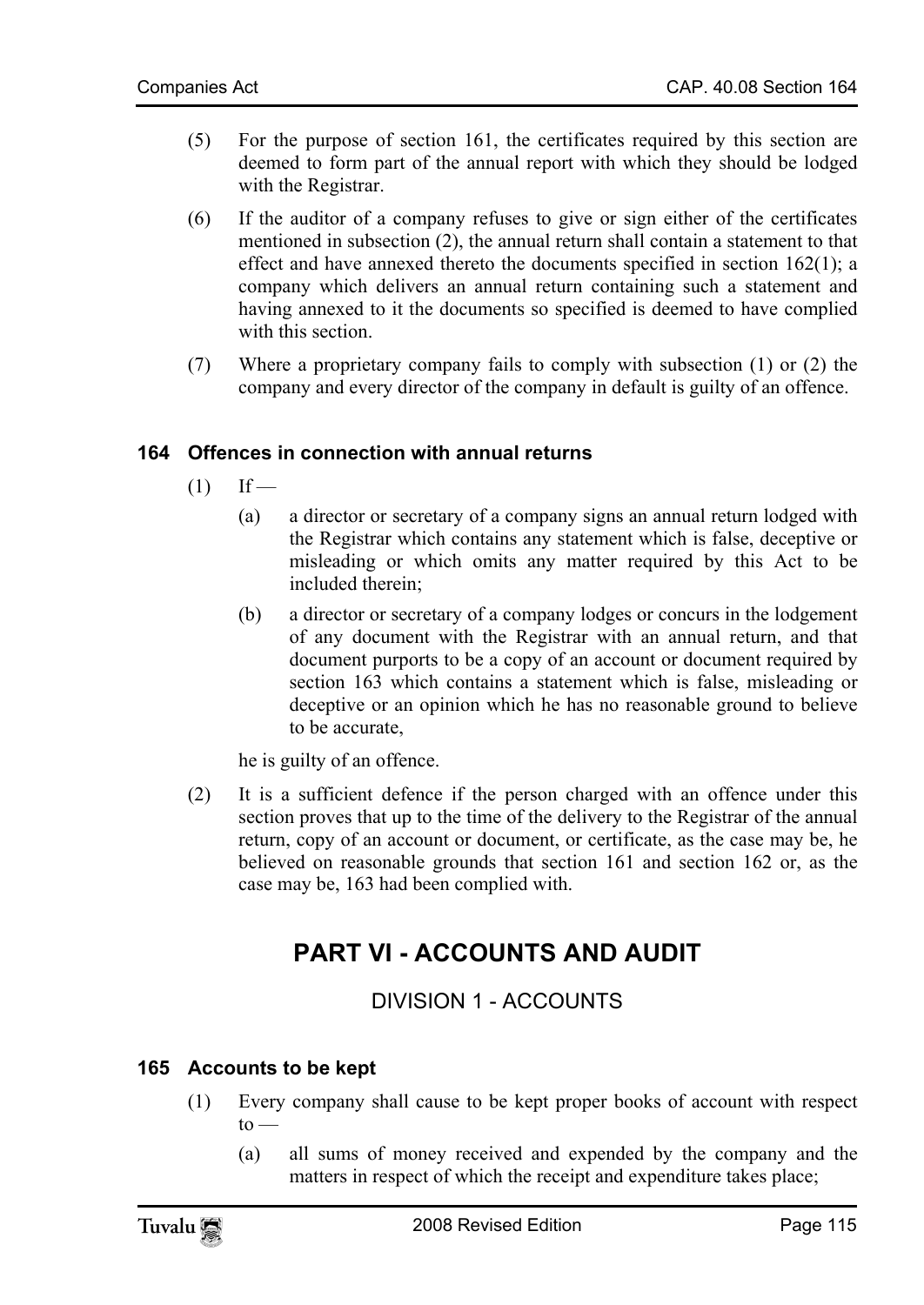- (5) For the purpose of section 161, the certificates required by this section are deemed to form part of the annual report with which they should be lodged with the Registrar.
- (6) If the auditor of a company refuses to give or sign either of the certificates mentioned in subsection (2), the annual return shall contain a statement to that effect and have annexed thereto the documents specified in section 162(1); a company which delivers an annual return containing such a statement and having annexed to it the documents so specified is deemed to have complied with this section.
- (7) Where a proprietary company fails to comply with subsection (1) or (2) the company and every director of the company in default is guilty of an offence.

#### **164 Offences in connection with annual returns**

- $(1)$  If
	- (a) a director or secretary of a company signs an annual return lodged with the Registrar which contains any statement which is false, deceptive or misleading or which omits any matter required by this Act to be included therein;
	- (b) a director or secretary of a company lodges or concurs in the lodgement of any document with the Registrar with an annual return, and that document purports to be a copy of an account or document required by section 163 which contains a statement which is false, misleading or deceptive or an opinion which he has no reasonable ground to believe to be accurate,

he is guilty of an offence.

(2) It is a sufficient defence if the person charged with an offence under this section proves that up to the time of the delivery to the Registrar of the annual return, copy of an account or document, or certificate, as the case may be, he believed on reasonable grounds that section 161 and section 162 or, as the case may be, 163 had been complied with.

# **PART VI - ACCOUNTS AND AUDIT**

## DIVISION 1 - ACCOUNTS

#### **165 Accounts to be kept**

- (1) Every company shall cause to be kept proper books of account with respect  $to -$ 
	- (a) all sums of money received and expended by the company and the matters in respect of which the receipt and expenditure takes place;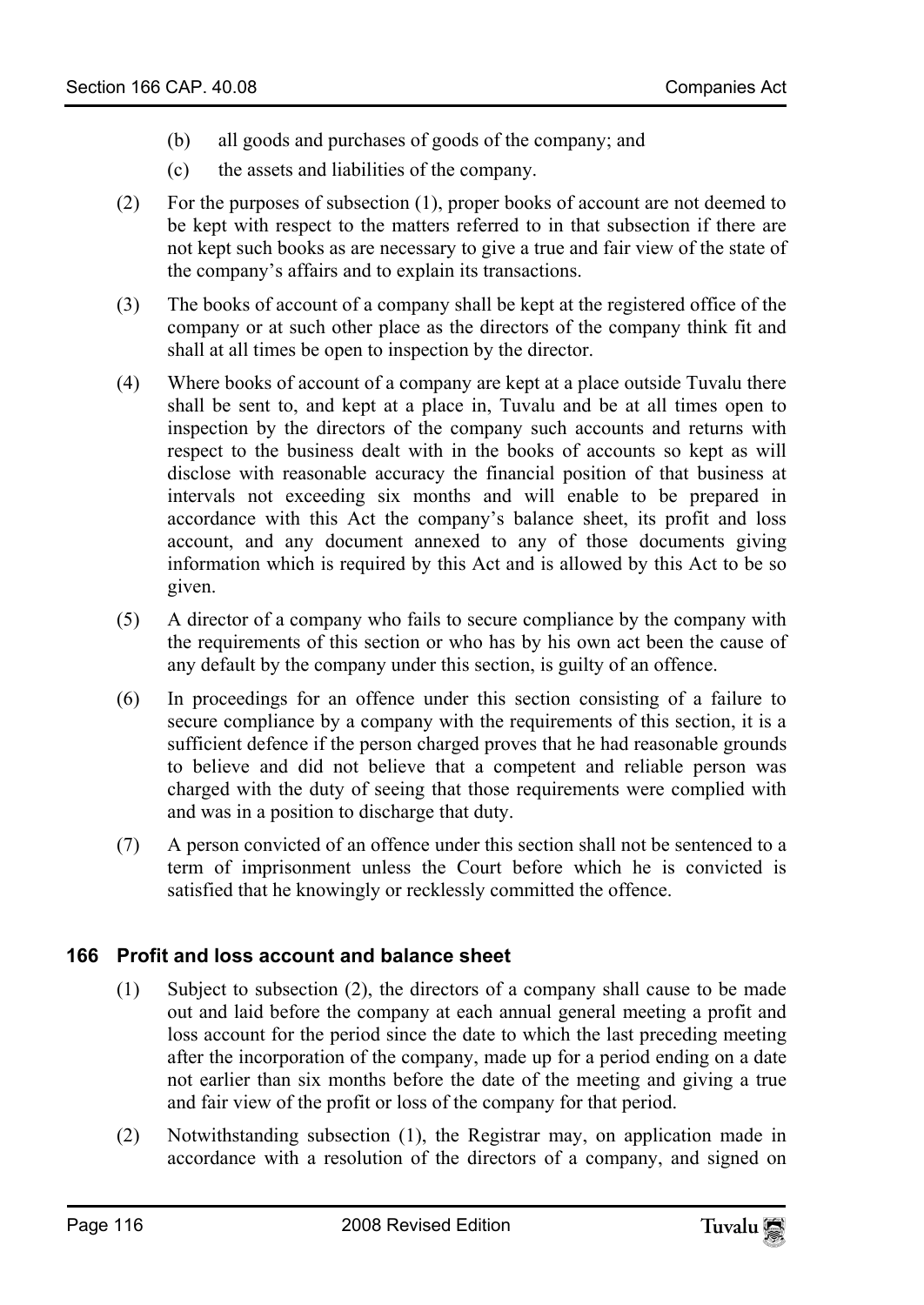- (b) all goods and purchases of goods of the company; and
- (c) the assets and liabilities of the company.
- (2) For the purposes of subsection (1), proper books of account are not deemed to be kept with respect to the matters referred to in that subsection if there are not kept such books as are necessary to give a true and fair view of the state of the company's affairs and to explain its transactions.
- (3) The books of account of a company shall be kept at the registered office of the company or at such other place as the directors of the company think fit and shall at all times be open to inspection by the director.
- (4) Where books of account of a company are kept at a place outside Tuvalu there shall be sent to, and kept at a place in, Tuvalu and be at all times open to inspection by the directors of the company such accounts and returns with respect to the business dealt with in the books of accounts so kept as will disclose with reasonable accuracy the financial position of that business at intervals not exceeding six months and will enable to be prepared in accordance with this Act the company's balance sheet, its profit and loss account, and any document annexed to any of those documents giving information which is required by this Act and is allowed by this Act to be so given.
- (5) A director of a company who fails to secure compliance by the company with the requirements of this section or who has by his own act been the cause of any default by the company under this section, is guilty of an offence.
- (6) In proceedings for an offence under this section consisting of a failure to secure compliance by a company with the requirements of this section, it is a sufficient defence if the person charged proves that he had reasonable grounds to believe and did not believe that a competent and reliable person was charged with the duty of seeing that those requirements were complied with and was in a position to discharge that duty.
- (7) A person convicted of an offence under this section shall not be sentenced to a term of imprisonment unless the Court before which he is convicted is satisfied that he knowingly or recklessly committed the offence.

## **166 Profit and loss account and balance sheet**

- (1) Subject to subsection (2), the directors of a company shall cause to be made out and laid before the company at each annual general meeting a profit and loss account for the period since the date to which the last preceding meeting after the incorporation of the company, made up for a period ending on a date not earlier than six months before the date of the meeting and giving a true and fair view of the profit or loss of the company for that period.
- (2) Notwithstanding subsection (1), the Registrar may, on application made in accordance with a resolution of the directors of a company, and signed on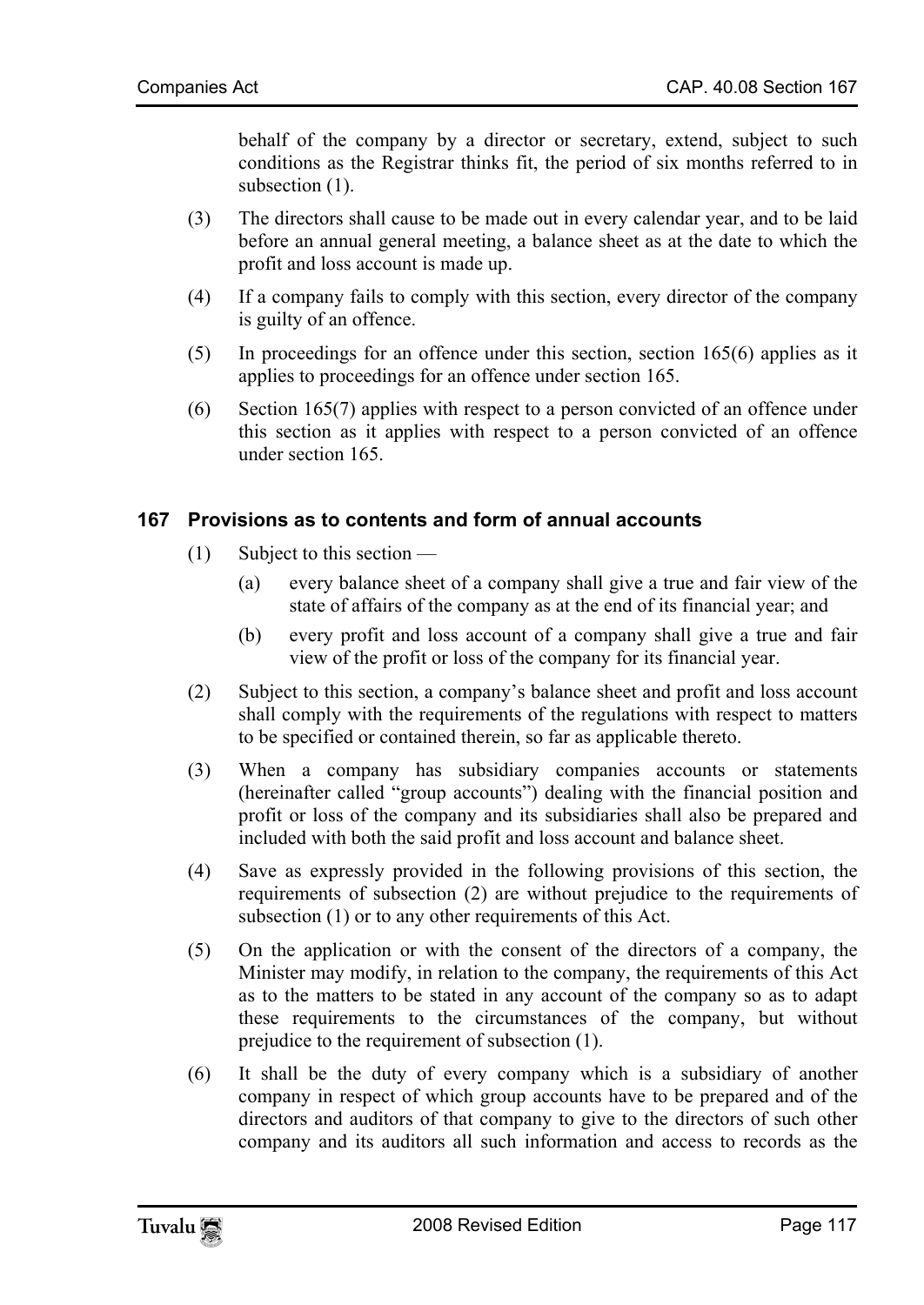behalf of the company by a director or secretary, extend, subject to such conditions as the Registrar thinks fit, the period of six months referred to in subsection  $(1)$ .

- (3) The directors shall cause to be made out in every calendar year, and to be laid before an annual general meeting, a balance sheet as at the date to which the profit and loss account is made up.
- (4) If a company fails to comply with this section, every director of the company is guilty of an offence.
- (5) In proceedings for an offence under this section, section 165(6) applies as it applies to proceedings for an offence under section 165.
- (6) Section 165(7) applies with respect to a person convicted of an offence under this section as it applies with respect to a person convicted of an offence under section 165.

#### **167 Provisions as to contents and form of annual accounts**

- (1) Subject to this section
	- (a) every balance sheet of a company shall give a true and fair view of the state of affairs of the company as at the end of its financial year; and
	- (b) every profit and loss account of a company shall give a true and fair view of the profit or loss of the company for its financial year.
- (2) Subject to this section, a company's balance sheet and profit and loss account shall comply with the requirements of the regulations with respect to matters to be specified or contained therein, so far as applicable thereto.
- (3) When a company has subsidiary companies accounts or statements (hereinafter called "group accounts") dealing with the financial position and profit or loss of the company and its subsidiaries shall also be prepared and included with both the said profit and loss account and balance sheet.
- (4) Save as expressly provided in the following provisions of this section, the requirements of subsection (2) are without prejudice to the requirements of subsection (1) or to any other requirements of this Act.
- (5) On the application or with the consent of the directors of a company, the Minister may modify, in relation to the company, the requirements of this Act as to the matters to be stated in any account of the company so as to adapt these requirements to the circumstances of the company, but without prejudice to the requirement of subsection (1).
- (6) It shall be the duty of every company which is a subsidiary of another company in respect of which group accounts have to be prepared and of the directors and auditors of that company to give to the directors of such other company and its auditors all such information and access to records as the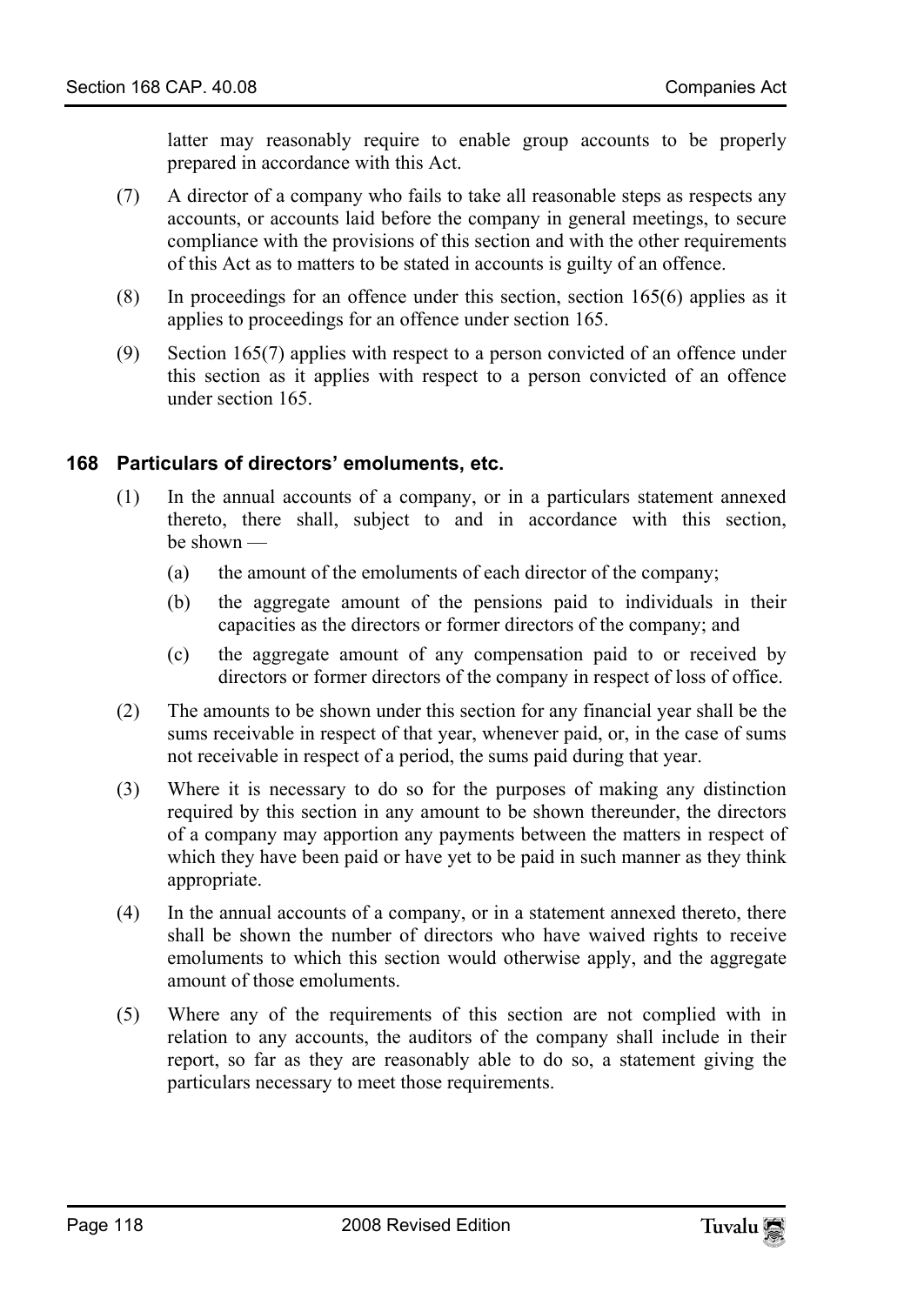latter may reasonably require to enable group accounts to be properly prepared in accordance with this Act.

- (7) A director of a company who fails to take all reasonable steps as respects any accounts, or accounts laid before the company in general meetings, to secure compliance with the provisions of this section and with the other requirements of this Act as to matters to be stated in accounts is guilty of an offence.
- (8) In proceedings for an offence under this section, section 165(6) applies as it applies to proceedings for an offence under section 165.
- (9) Section 165(7) applies with respect to a person convicted of an offence under this section as it applies with respect to a person convicted of an offence under section 165.

#### **168 Particulars of directors' emoluments, etc.**

- (1) In the annual accounts of a company, or in a particulars statement annexed thereto, there shall, subject to and in accordance with this section, be shown —
	- (a) the amount of the emoluments of each director of the company;
	- (b) the aggregate amount of the pensions paid to individuals in their capacities as the directors or former directors of the company; and
	- (c) the aggregate amount of any compensation paid to or received by directors or former directors of the company in respect of loss of office.
- (2) The amounts to be shown under this section for any financial year shall be the sums receivable in respect of that year, whenever paid, or, in the case of sums not receivable in respect of a period, the sums paid during that year.
- (3) Where it is necessary to do so for the purposes of making any distinction required by this section in any amount to be shown thereunder, the directors of a company may apportion any payments between the matters in respect of which they have been paid or have yet to be paid in such manner as they think appropriate.
- (4) In the annual accounts of a company, or in a statement annexed thereto, there shall be shown the number of directors who have waived rights to receive emoluments to which this section would otherwise apply, and the aggregate amount of those emoluments.
- (5) Where any of the requirements of this section are not complied with in relation to any accounts, the auditors of the company shall include in their report, so far as they are reasonably able to do so, a statement giving the particulars necessary to meet those requirements.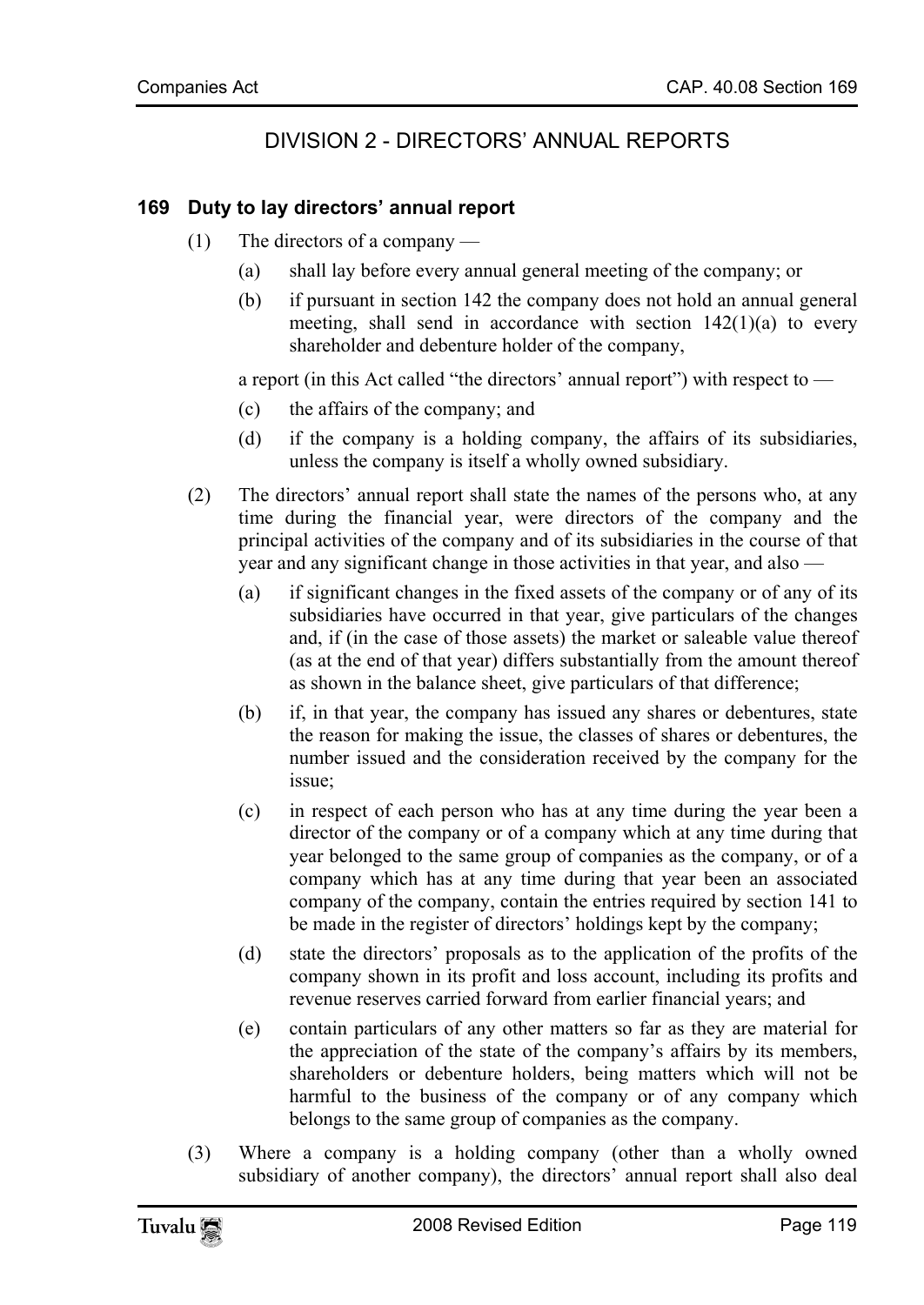# DIVISION 2 - DIRECTORS' ANNUAL REPORTS

#### **169 Duty to lay directors' annual report**

- (1) The directors of a company
	- (a) shall lay before every annual general meeting of the company; or
	- (b) if pursuant in section 142 the company does not hold an annual general meeting, shall send in accordance with section  $142(1)(a)$  to every shareholder and debenture holder of the company,

a report (in this Act called "the directors' annual report") with respect to —

- (c) the affairs of the company; and
- (d) if the company is a holding company, the affairs of its subsidiaries, unless the company is itself a wholly owned subsidiary.
- (2) The directors' annual report shall state the names of the persons who, at any time during the financial year, were directors of the company and the principal activities of the company and of its subsidiaries in the course of that year and any significant change in those activities in that year, and also —
	- (a) if significant changes in the fixed assets of the company or of any of its subsidiaries have occurred in that year, give particulars of the changes and, if (in the case of those assets) the market or saleable value thereof (as at the end of that year) differs substantially from the amount thereof as shown in the balance sheet, give particulars of that difference;
	- (b) if, in that year, the company has issued any shares or debentures, state the reason for making the issue, the classes of shares or debentures, the number issued and the consideration received by the company for the issue;
	- (c) in respect of each person who has at any time during the year been a director of the company or of a company which at any time during that year belonged to the same group of companies as the company, or of a company which has at any time during that year been an associated company of the company, contain the entries required by section 141 to be made in the register of directors' holdings kept by the company;
	- (d) state the directors' proposals as to the application of the profits of the company shown in its profit and loss account, including its profits and revenue reserves carried forward from earlier financial years; and
	- (e) contain particulars of any other matters so far as they are material for the appreciation of the state of the company's affairs by its members, shareholders or debenture holders, being matters which will not be harmful to the business of the company or of any company which belongs to the same group of companies as the company.
- (3) Where a company is a holding company (other than a wholly owned subsidiary of another company), the directors' annual report shall also deal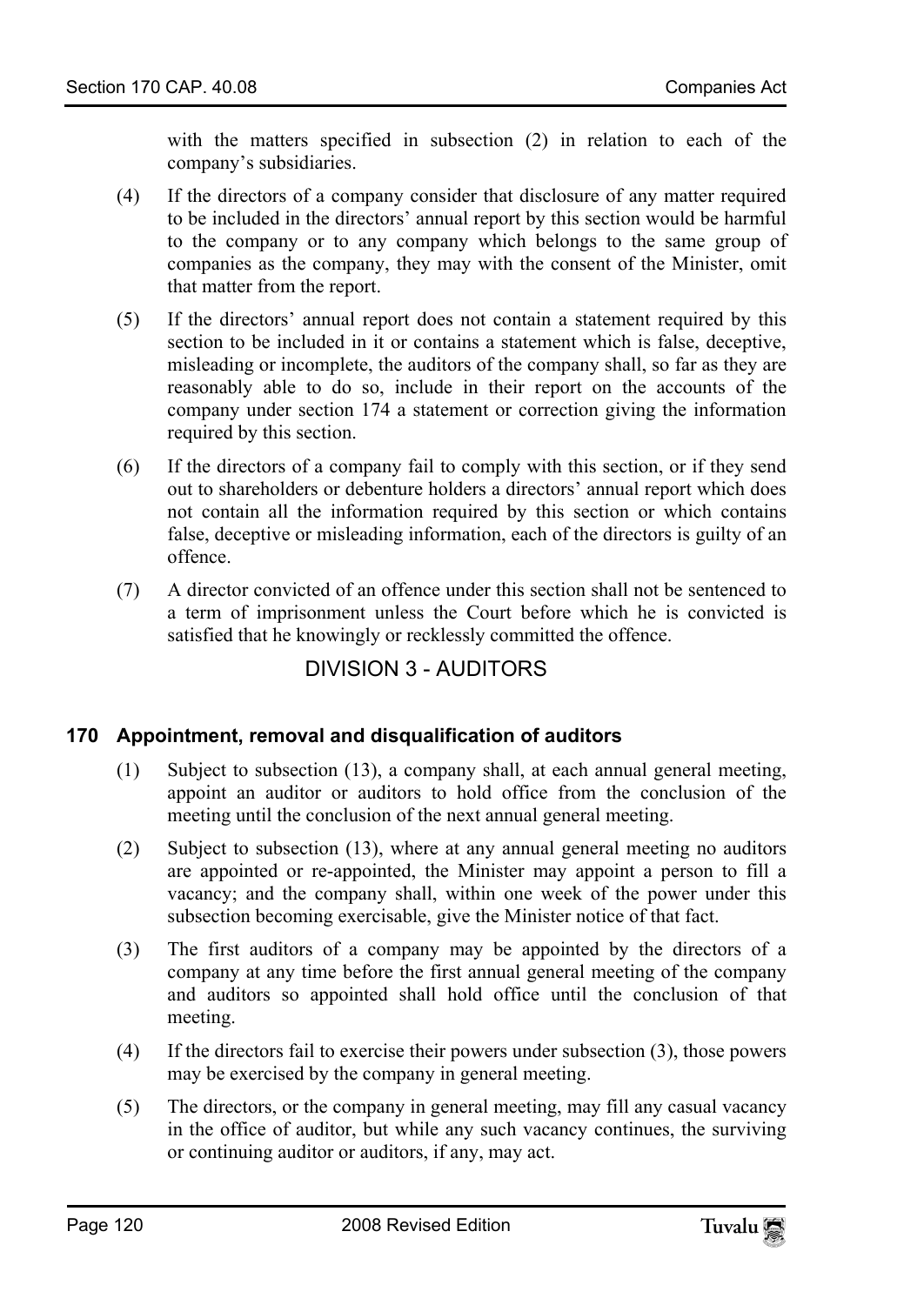with the matters specified in subsection (2) in relation to each of the company's subsidiaries.

- (4) If the directors of a company consider that disclosure of any matter required to be included in the directors' annual report by this section would be harmful to the company or to any company which belongs to the same group of companies as the company, they may with the consent of the Minister, omit that matter from the report.
- (5) If the directors' annual report does not contain a statement required by this section to be included in it or contains a statement which is false, deceptive, misleading or incomplete, the auditors of the company shall, so far as they are reasonably able to do so, include in their report on the accounts of the company under section 174 a statement or correction giving the information required by this section.
- (6) If the directors of a company fail to comply with this section, or if they send out to shareholders or debenture holders a directors' annual report which does not contain all the information required by this section or which contains false, deceptive or misleading information, each of the directors is guilty of an offence.
- (7) A director convicted of an offence under this section shall not be sentenced to a term of imprisonment unless the Court before which he is convicted is satisfied that he knowingly or recklessly committed the offence.

## DIVISION 3 - AUDITORS

## **170 Appointment, removal and disqualification of auditors**

- (1) Subject to subsection (13), a company shall, at each annual general meeting, appoint an auditor or auditors to hold office from the conclusion of the meeting until the conclusion of the next annual general meeting.
- (2) Subject to subsection (13), where at any annual general meeting no auditors are appointed or re-appointed, the Minister may appoint a person to fill a vacancy; and the company shall, within one week of the power under this subsection becoming exercisable, give the Minister notice of that fact.
- (3) The first auditors of a company may be appointed by the directors of a company at any time before the first annual general meeting of the company and auditors so appointed shall hold office until the conclusion of that meeting.
- (4) If the directors fail to exercise their powers under subsection (3), those powers may be exercised by the company in general meeting.
- (5) The directors, or the company in general meeting, may fill any casual vacancy in the office of auditor, but while any such vacancy continues, the surviving or continuing auditor or auditors, if any, may act.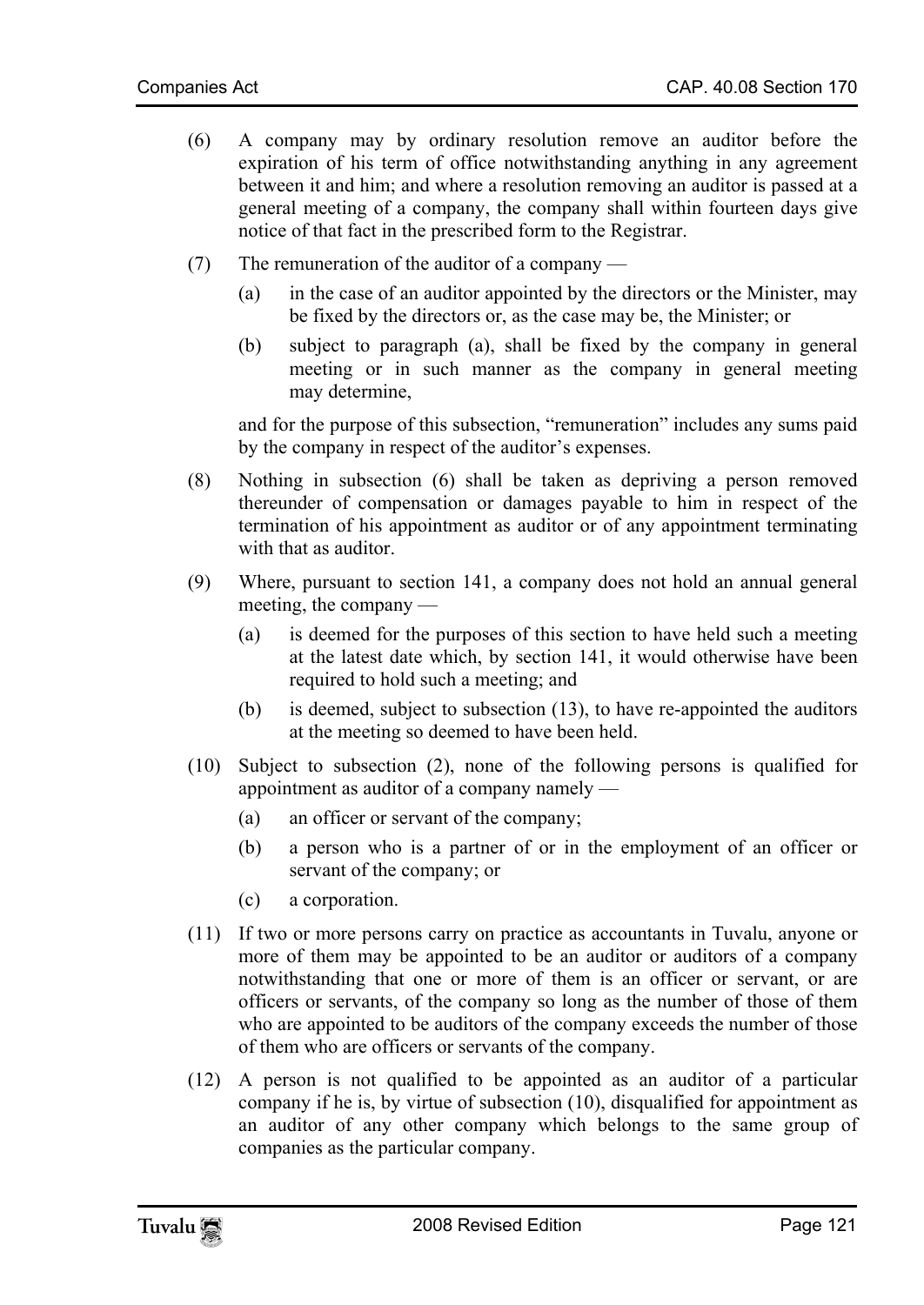- (6) A company may by ordinary resolution remove an auditor before the expiration of his term of office notwithstanding anything in any agreement between it and him; and where a resolution removing an auditor is passed at a general meeting of a company, the company shall within fourteen days give notice of that fact in the prescribed form to the Registrar.
- (7) The remuneration of the auditor of a company
	- (a) in the case of an auditor appointed by the directors or the Minister, may be fixed by the directors or, as the case may be, the Minister; or
	- (b) subject to paragraph (a), shall be fixed by the company in general meeting or in such manner as the company in general meeting may determine,

and for the purpose of this subsection, "remuneration" includes any sums paid by the company in respect of the auditor's expenses.

- (8) Nothing in subsection (6) shall be taken as depriving a person removed thereunder of compensation or damages payable to him in respect of the termination of his appointment as auditor or of any appointment terminating with that as auditor.
- (9) Where, pursuant to section 141, a company does not hold an annual general meeting, the company —
	- (a) is deemed for the purposes of this section to have held such a meeting at the latest date which, by section 141, it would otherwise have been required to hold such a meeting; and
	- (b) is deemed, subject to subsection (13), to have re-appointed the auditors at the meeting so deemed to have been held.
- (10) Subject to subsection (2), none of the following persons is qualified for appointment as auditor of a company namely —
	- (a) an officer or servant of the company;
	- (b) a person who is a partner of or in the employment of an officer or servant of the company; or
	- (c) a corporation.
- (11) If two or more persons carry on practice as accountants in Tuvalu, anyone or more of them may be appointed to be an auditor or auditors of a company notwithstanding that one or more of them is an officer or servant, or are officers or servants, of the company so long as the number of those of them who are appointed to be auditors of the company exceeds the number of those of them who are officers or servants of the company.
- (12) A person is not qualified to be appointed as an auditor of a particular company if he is, by virtue of subsection (10), disqualified for appointment as an auditor of any other company which belongs to the same group of companies as the particular company.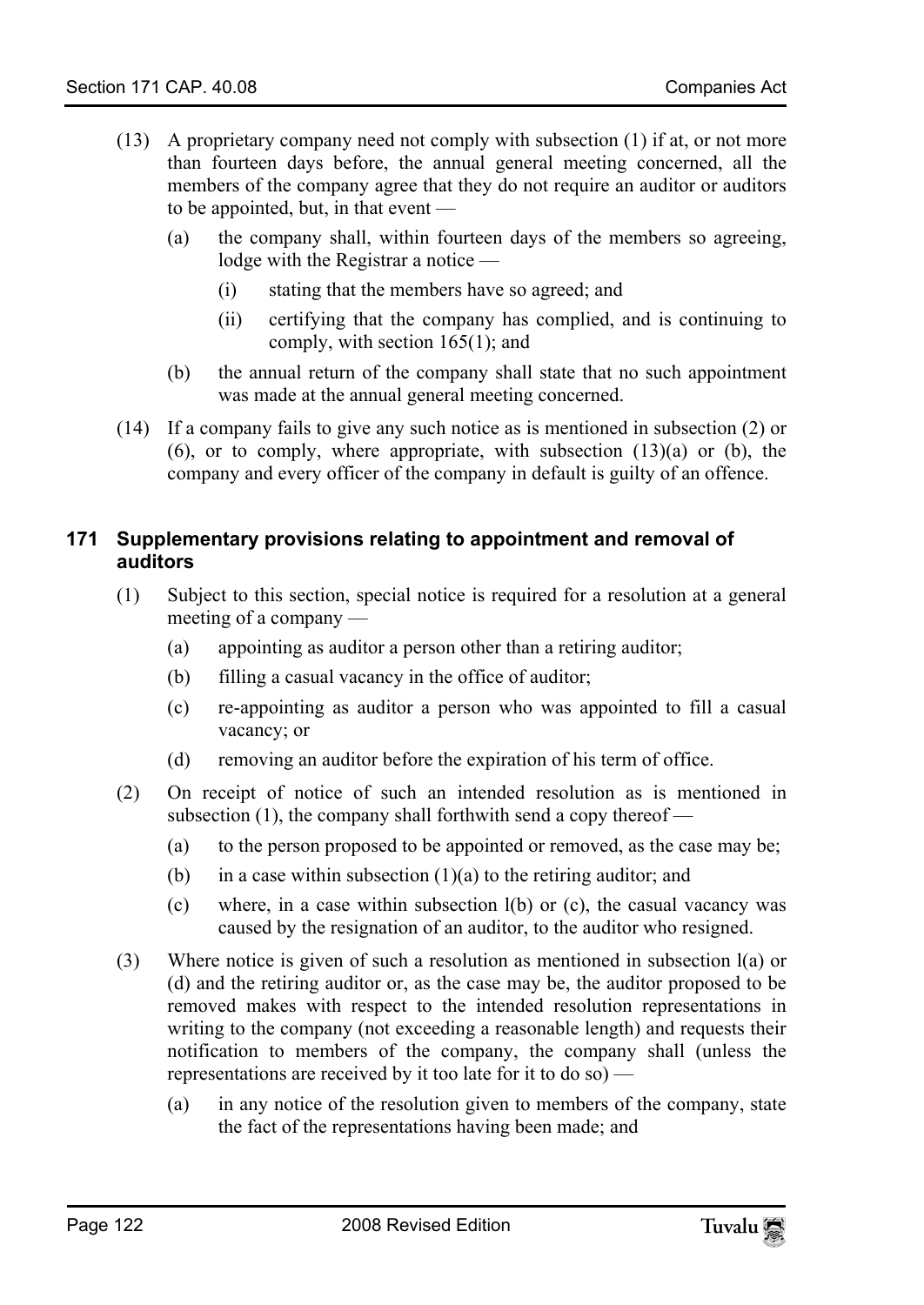- (13) A proprietary company need not comply with subsection (1) if at, or not more than fourteen days before, the annual general meeting concerned, all the members of the company agree that they do not require an auditor or auditors to be appointed, but, in that event —
	- (a) the company shall, within fourteen days of the members so agreeing, lodge with the Registrar a notice —
		- (i) stating that the members have so agreed; and
		- (ii) certifying that the company has complied, and is continuing to comply, with section 165(1); and
	- (b) the annual return of the company shall state that no such appointment was made at the annual general meeting concerned.
- (14) If a company fails to give any such notice as is mentioned in subsection (2) or  $(6)$ , or to comply, where appropriate, with subsection  $(13)(a)$  or  $(b)$ , the company and every officer of the company in default is guilty of an offence.

## **171 Supplementary provisions relating to appointment and removal of auditors**

- (1) Subject to this section, special notice is required for a resolution at a general meeting of a company —
	- (a) appointing as auditor a person other than a retiring auditor;
	- (b) filling a casual vacancy in the office of auditor;
	- (c) re-appointing as auditor a person who was appointed to fill a casual vacancy; or
	- (d) removing an auditor before the expiration of his term of office.
- (2) On receipt of notice of such an intended resolution as is mentioned in subsection (1), the company shall forthwith send a copy thereof —
	- (a) to the person proposed to be appointed or removed, as the case may be;
	- (b) in a case within subsection  $(1)(a)$  to the retiring auditor; and
	- (c) where, in a case within subsection l(b) or (c), the casual vacancy was caused by the resignation of an auditor, to the auditor who resigned.
- (3) Where notice is given of such a resolution as mentioned in subsection l(a) or (d) and the retiring auditor or, as the case may be, the auditor proposed to be removed makes with respect to the intended resolution representations in writing to the company (not exceeding a reasonable length) and requests their notification to members of the company, the company shall (unless the representations are received by it too late for it to do so) —
	- (a) in any notice of the resolution given to members of the company, state the fact of the representations having been made; and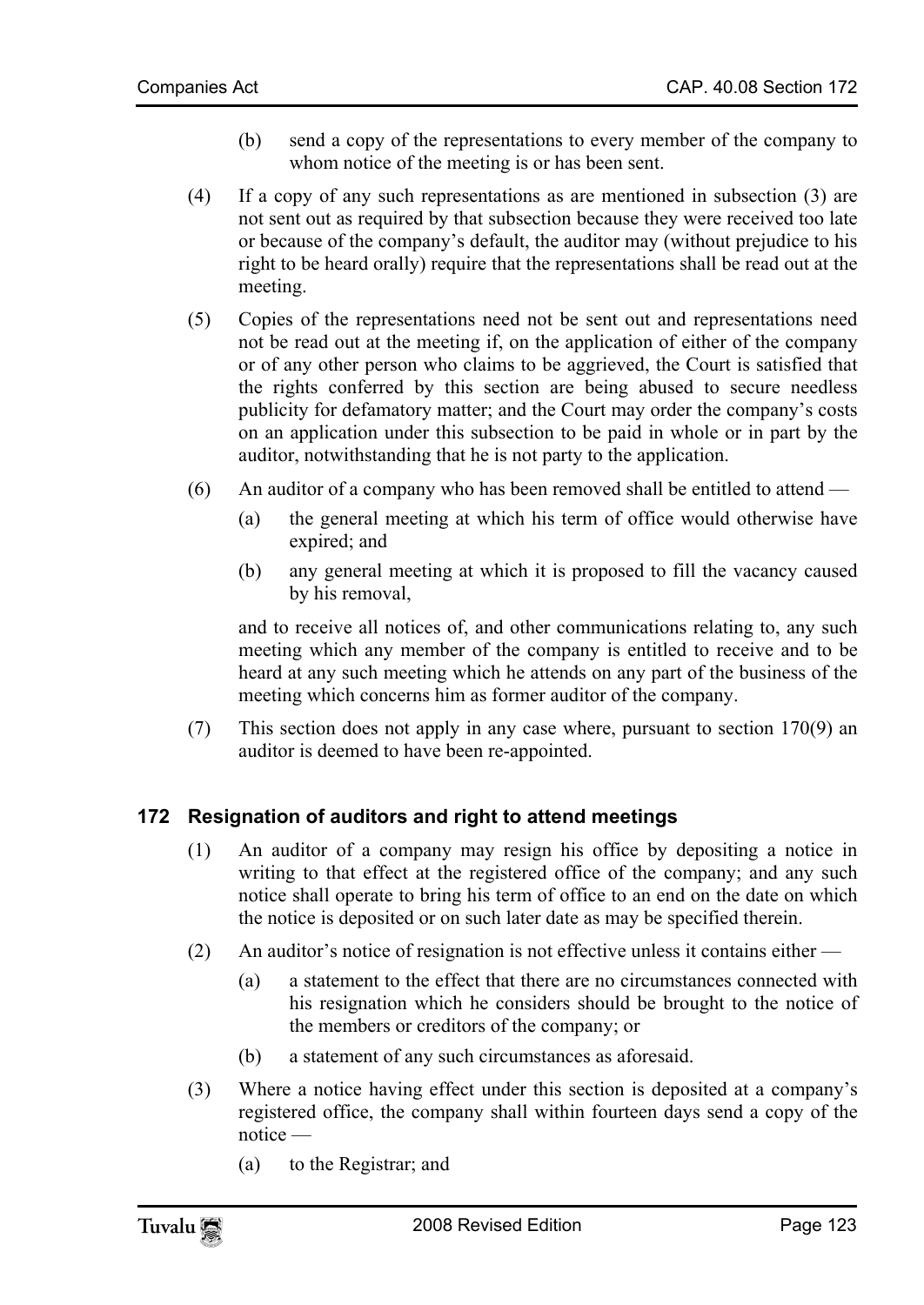- (b) send a copy of the representations to every member of the company to whom notice of the meeting is or has been sent.
- (4) If a copy of any such representations as are mentioned in subsection (3) are not sent out as required by that subsection because they were received too late or because of the company's default, the auditor may (without prejudice to his right to be heard orally) require that the representations shall be read out at the meeting.
- (5) Copies of the representations need not be sent out and representations need not be read out at the meeting if, on the application of either of the company or of any other person who claims to be aggrieved, the Court is satisfied that the rights conferred by this section are being abused to secure needless publicity for defamatory matter; and the Court may order the company's costs on an application under this subsection to be paid in whole or in part by the auditor, notwithstanding that he is not party to the application.
- (6) An auditor of a company who has been removed shall be entitled to attend
	- (a) the general meeting at which his term of office would otherwise have expired; and
	- (b) any general meeting at which it is proposed to fill the vacancy caused by his removal,

and to receive all notices of, and other communications relating to, any such meeting which any member of the company is entitled to receive and to be heard at any such meeting which he attends on any part of the business of the meeting which concerns him as former auditor of the company.

(7) This section does not apply in any case where, pursuant to section 170(9) an auditor is deemed to have been re-appointed.

## **172 Resignation of auditors and right to attend meetings**

- (1) An auditor of a company may resign his office by depositing a notice in writing to that effect at the registered office of the company; and any such notice shall operate to bring his term of office to an end on the date on which the notice is deposited or on such later date as may be specified therein.
- (2) An auditor's notice of resignation is not effective unless it contains either
	- (a) a statement to the effect that there are no circumstances connected with his resignation which he considers should be brought to the notice of the members or creditors of the company; or
	- (b) a statement of any such circumstances as aforesaid.
- (3) Where a notice having effect under this section is deposited at a company's registered office, the company shall within fourteen days send a copy of the notice —
	- (a) to the Registrar; and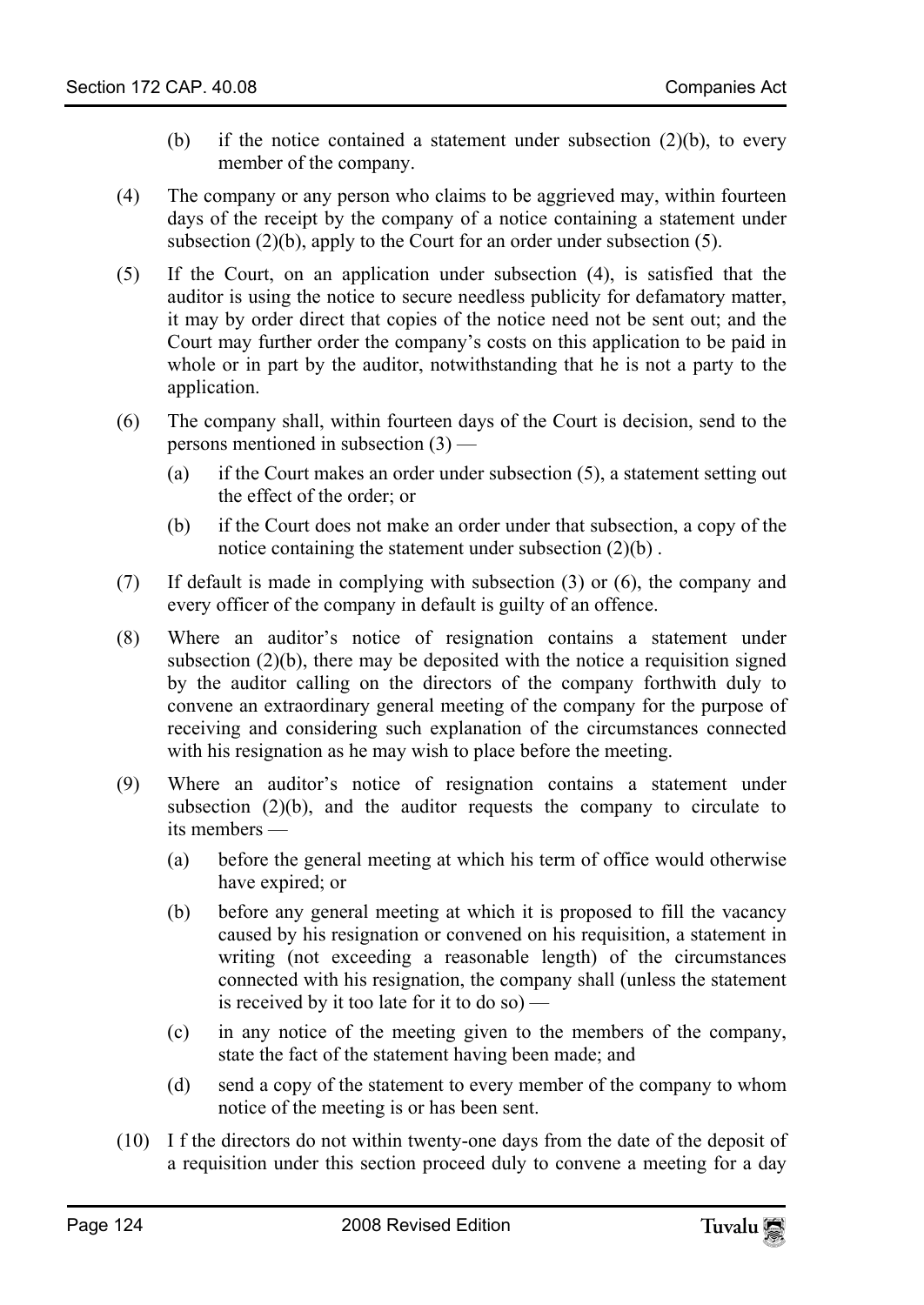- (b) if the notice contained a statement under subsection (2)(b), to every member of the company.
- (4) The company or any person who claims to be aggrieved may, within fourteen days of the receipt by the company of a notice containing a statement under subsection (2)(b), apply to the Court for an order under subsection (5).
- (5) If the Court, on an application under subsection (4), is satisfied that the auditor is using the notice to secure needless publicity for defamatory matter, it may by order direct that copies of the notice need not be sent out; and the Court may further order the company's costs on this application to be paid in whole or in part by the auditor, notwithstanding that he is not a party to the application.
- (6) The company shall, within fourteen days of the Court is decision, send to the persons mentioned in subsection (3) —
	- (a) if the Court makes an order under subsection (5), a statement setting out the effect of the order; or
	- (b) if the Court does not make an order under that subsection, a copy of the notice containing the statement under subsection (2)(b) .
- (7) If default is made in complying with subsection (3) or (6), the company and every officer of the company in default is guilty of an offence.
- (8) Where an auditor's notice of resignation contains a statement under subsection (2)(b), there may be deposited with the notice a requisition signed by the auditor calling on the directors of the company forthwith duly to convene an extraordinary general meeting of the company for the purpose of receiving and considering such explanation of the circumstances connected with his resignation as he may wish to place before the meeting.
- (9) Where an auditor's notice of resignation contains a statement under subsection  $(2)(b)$ , and the auditor requests the company to circulate to its members —
	- (a) before the general meeting at which his term of office would otherwise have expired; or
	- (b) before any general meeting at which it is proposed to fill the vacancy caused by his resignation or convened on his requisition, a statement in writing (not exceeding a reasonable length) of the circumstances connected with his resignation, the company shall (unless the statement is received by it too late for it to do so) —
	- (c) in any notice of the meeting given to the members of the company, state the fact of the statement having been made; and
	- (d) send a copy of the statement to every member of the company to whom notice of the meeting is or has been sent.
- (10) I f the directors do not within twenty-one days from the date of the deposit of a requisition under this section proceed duly to convene a meeting for a day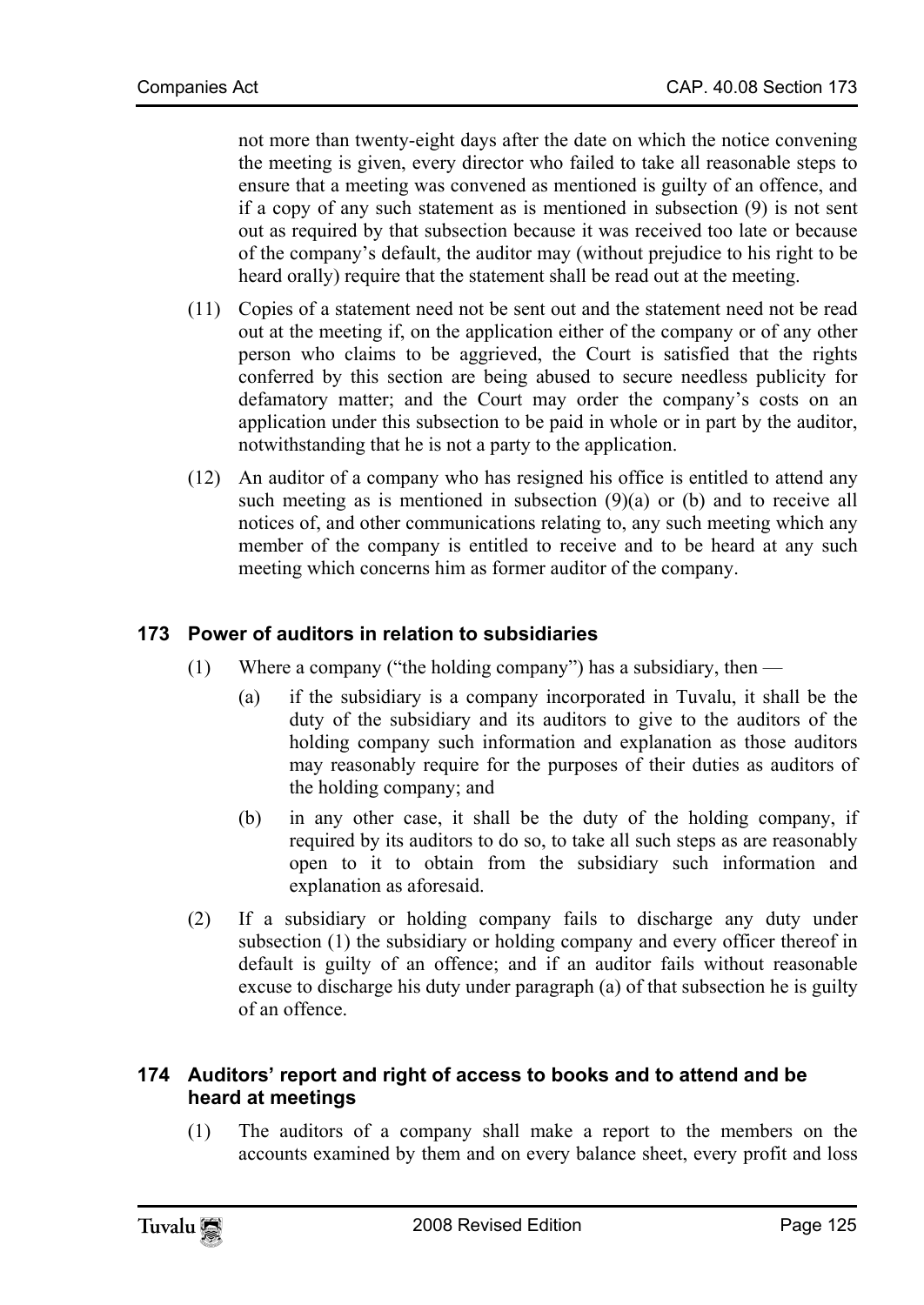not more than twenty-eight days after the date on which the notice convening the meeting is given, every director who failed to take all reasonable steps to ensure that a meeting was convened as mentioned is guilty of an offence, and if a copy of any such statement as is mentioned in subsection (9) is not sent out as required by that subsection because it was received too late or because of the company's default, the auditor may (without prejudice to his right to be heard orally) require that the statement shall be read out at the meeting.

- (11) Copies of a statement need not be sent out and the statement need not be read out at the meeting if, on the application either of the company or of any other person who claims to be aggrieved, the Court is satisfied that the rights conferred by this section are being abused to secure needless publicity for defamatory matter; and the Court may order the company's costs on an application under this subsection to be paid in whole or in part by the auditor, notwithstanding that he is not a party to the application.
- (12) An auditor of a company who has resigned his office is entitled to attend any such meeting as is mentioned in subsection  $(9)(a)$  or (b) and to receive all notices of, and other communications relating to, any such meeting which any member of the company is entitled to receive and to be heard at any such meeting which concerns him as former auditor of the company.

## **173 Power of auditors in relation to subsidiaries**

- (1) Where a company ("the holding company") has a subsidiary, then
	- (a) if the subsidiary is a company incorporated in Tuvalu, it shall be the duty of the subsidiary and its auditors to give to the auditors of the holding company such information and explanation as those auditors may reasonably require for the purposes of their duties as auditors of the holding company; and
	- (b) in any other case, it shall be the duty of the holding company, if required by its auditors to do so, to take all such steps as are reasonably open to it to obtain from the subsidiary such information and explanation as aforesaid.
- (2) If a subsidiary or holding company fails to discharge any duty under subsection (1) the subsidiary or holding company and every officer thereof in default is guilty of an offence; and if an auditor fails without reasonable excuse to discharge his duty under paragraph (a) of that subsection he is guilty of an offence.

## **174 Auditors' report and right of access to books and to attend and be heard at meetings**

(1) The auditors of a company shall make a report to the members on the accounts examined by them and on every balance sheet, every profit and loss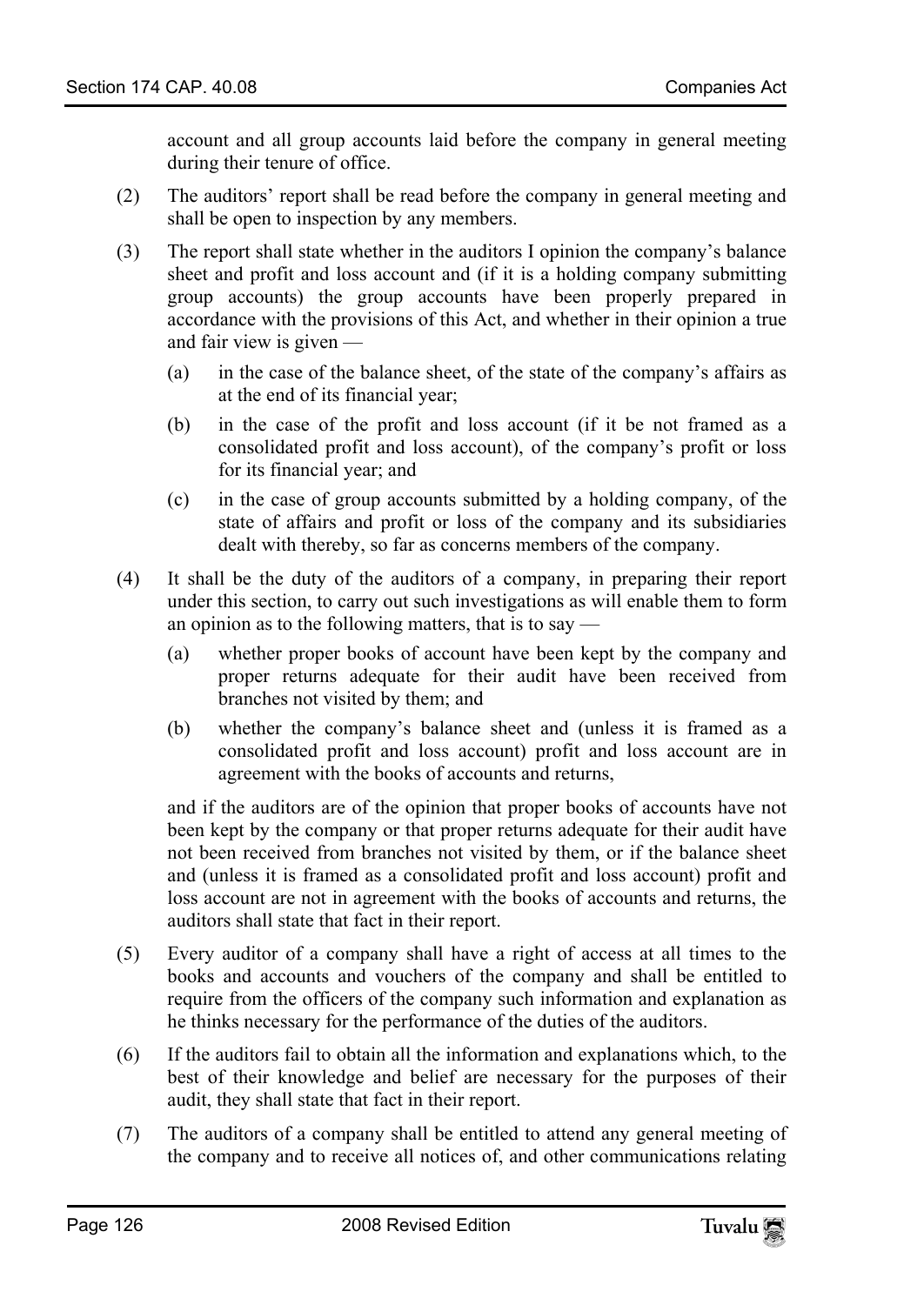account and all group accounts laid before the company in general meeting during their tenure of office.

- (2) The auditors' report shall be read before the company in general meeting and shall be open to inspection by any members.
- (3) The report shall state whether in the auditors I opinion the company's balance sheet and profit and loss account and (if it is a holding company submitting group accounts) the group accounts have been properly prepared in accordance with the provisions of this Act, and whether in their opinion a true and fair view is given —
	- (a) in the case of the balance sheet, of the state of the company's affairs as at the end of its financial year;
	- (b) in the case of the profit and loss account (if it be not framed as a consolidated profit and loss account), of the company's profit or loss for its financial year; and
	- (c) in the case of group accounts submitted by a holding company, of the state of affairs and profit or loss of the company and its subsidiaries dealt with thereby, so far as concerns members of the company.
- (4) It shall be the duty of the auditors of a company, in preparing their report under this section, to carry out such investigations as will enable them to form an opinion as to the following matters, that is to say —
	- (a) whether proper books of account have been kept by the company and proper returns adequate for their audit have been received from branches not visited by them; and
	- (b) whether the company's balance sheet and (unless it is framed as a consolidated profit and loss account) profit and loss account are in agreement with the books of accounts and returns,

and if the auditors are of the opinion that proper books of accounts have not been kept by the company or that proper returns adequate for their audit have not been received from branches not visited by them, or if the balance sheet and (unless it is framed as a consolidated profit and loss account) profit and loss account are not in agreement with the books of accounts and returns, the auditors shall state that fact in their report.

- (5) Every auditor of a company shall have a right of access at all times to the books and accounts and vouchers of the company and shall be entitled to require from the officers of the company such information and explanation as he thinks necessary for the performance of the duties of the auditors.
- (6) If the auditors fail to obtain all the information and explanations which, to the best of their knowledge and belief are necessary for the purposes of their audit, they shall state that fact in their report.
- (7) The auditors of a company shall be entitled to attend any general meeting of the company and to receive all notices of, and other communications relating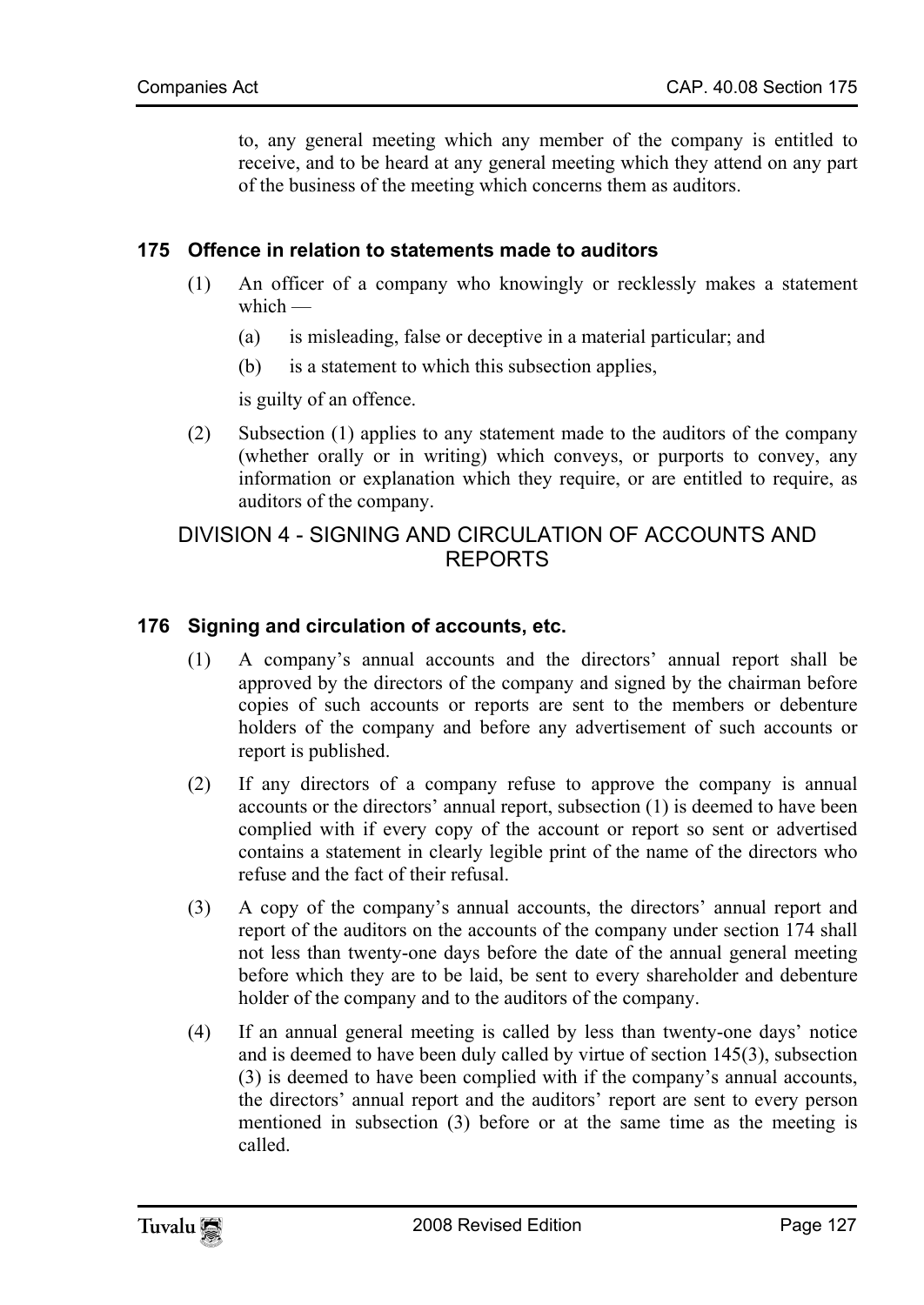to, any general meeting which any member of the company is entitled to receive, and to be heard at any general meeting which they attend on any part of the business of the meeting which concerns them as auditors.

## **175 Offence in relation to statements made to auditors**

- (1) An officer of a company who knowingly or recklessly makes a statement which —
	- (a) is misleading, false or deceptive in a material particular; and
	- (b) is a statement to which this subsection applies,

is guilty of an offence.

(2) Subsection (1) applies to any statement made to the auditors of the company (whether orally or in writing) which conveys, or purports to convey, any information or explanation which they require, or are entitled to require, as auditors of the company.

## DIVISION 4 - SIGNING AND CIRCULATION OF ACCOUNTS AND REPORTS

#### **176 Signing and circulation of accounts, etc.**

- (1) A company's annual accounts and the directors' annual report shall be approved by the directors of the company and signed by the chairman before copies of such accounts or reports are sent to the members or debenture holders of the company and before any advertisement of such accounts or report is published.
- (2) If any directors of a company refuse to approve the company is annual accounts or the directors' annual report, subsection (1) is deemed to have been complied with if every copy of the account or report so sent or advertised contains a statement in clearly legible print of the name of the directors who refuse and the fact of their refusal.
- (3) A copy of the company's annual accounts, the directors' annual report and report of the auditors on the accounts of the company under section 174 shall not less than twenty-one days before the date of the annual general meeting before which they are to be laid, be sent to every shareholder and debenture holder of the company and to the auditors of the company.
- (4) If an annual general meeting is called by less than twenty-one days' notice and is deemed to have been duly called by virtue of section 145(3), subsection (3) is deemed to have been complied with if the company's annual accounts, the directors' annual report and the auditors' report are sent to every person mentioned in subsection (3) before or at the same time as the meeting is called.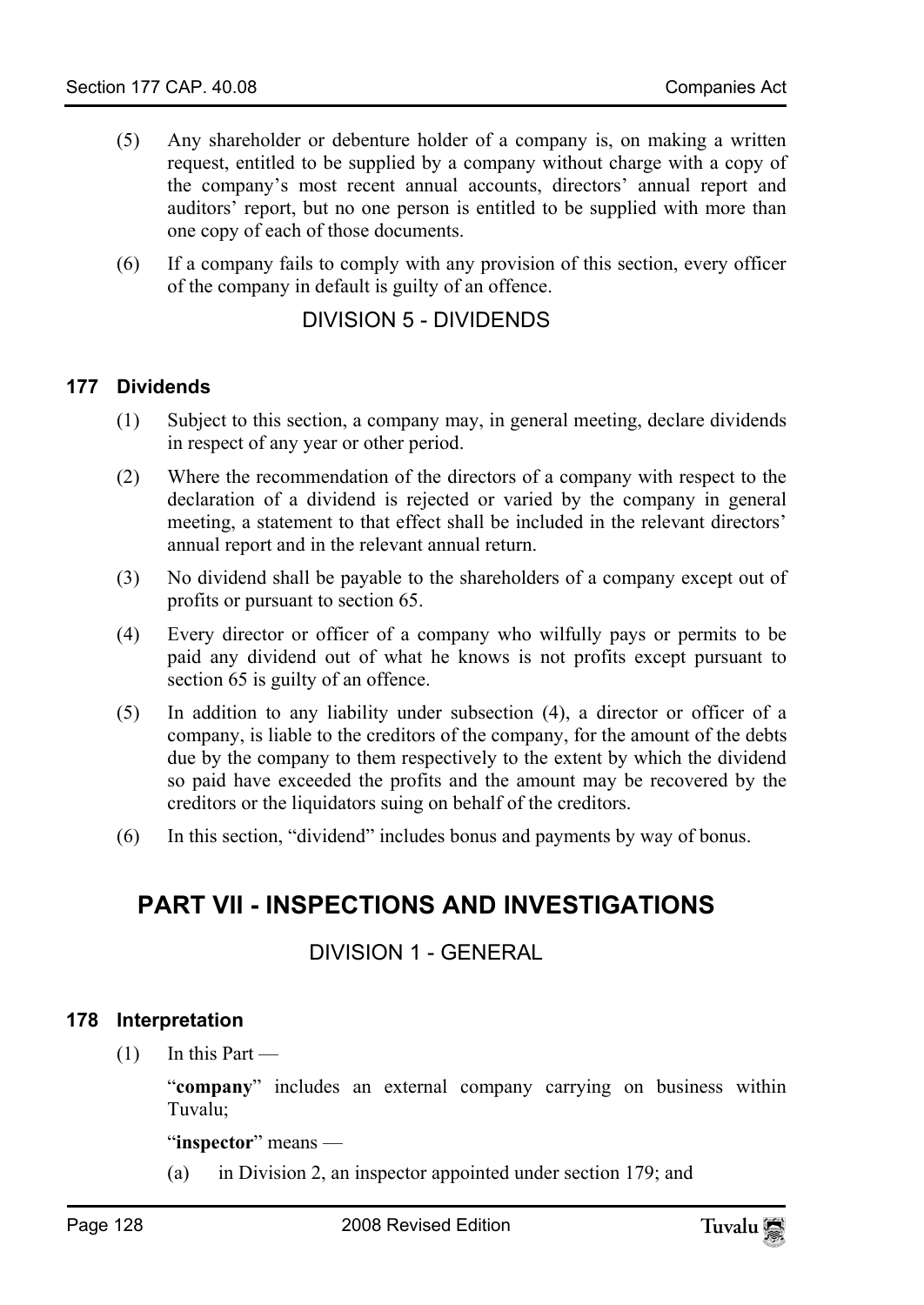- (5) Any shareholder or debenture holder of a company is, on making a written request, entitled to be supplied by a company without charge with a copy of the company's most recent annual accounts, directors' annual report and auditors' report, but no one person is entitled to be supplied with more than one copy of each of those documents.
- (6) If a company fails to comply with any provision of this section, every officer of the company in default is guilty of an offence.

## DIVISION 5 - DIVIDENDS

## **177 Dividends**

- (1) Subject to this section, a company may, in general meeting, declare dividends in respect of any year or other period.
- (2) Where the recommendation of the directors of a company with respect to the declaration of a dividend is rejected or varied by the company in general meeting, a statement to that effect shall be included in the relevant directors' annual report and in the relevant annual return.
- (3) No dividend shall be payable to the shareholders of a company except out of profits or pursuant to section 65.
- (4) Every director or officer of a company who wilfully pays or permits to be paid any dividend out of what he knows is not profits except pursuant to section 65 is guilty of an offence.
- (5) In addition to any liability under subsection (4), a director or officer of a company, is liable to the creditors of the company, for the amount of the debts due by the company to them respectively to the extent by which the dividend so paid have exceeded the profits and the amount may be recovered by the creditors or the liquidators suing on behalf of the creditors.
- (6) In this section, "dividend" includes bonus and payments by way of bonus.

# **PART VII - INSPECTIONS AND INVESTIGATIONS**

DIVISION 1 - GENERAL

#### **178 Interpretation**

 $(1)$  In this Part —

"**company**" includes an external company carrying on business within Tuvalu;

"**inspector**" means —

(a) in Division 2, an inspector appointed under section 179; and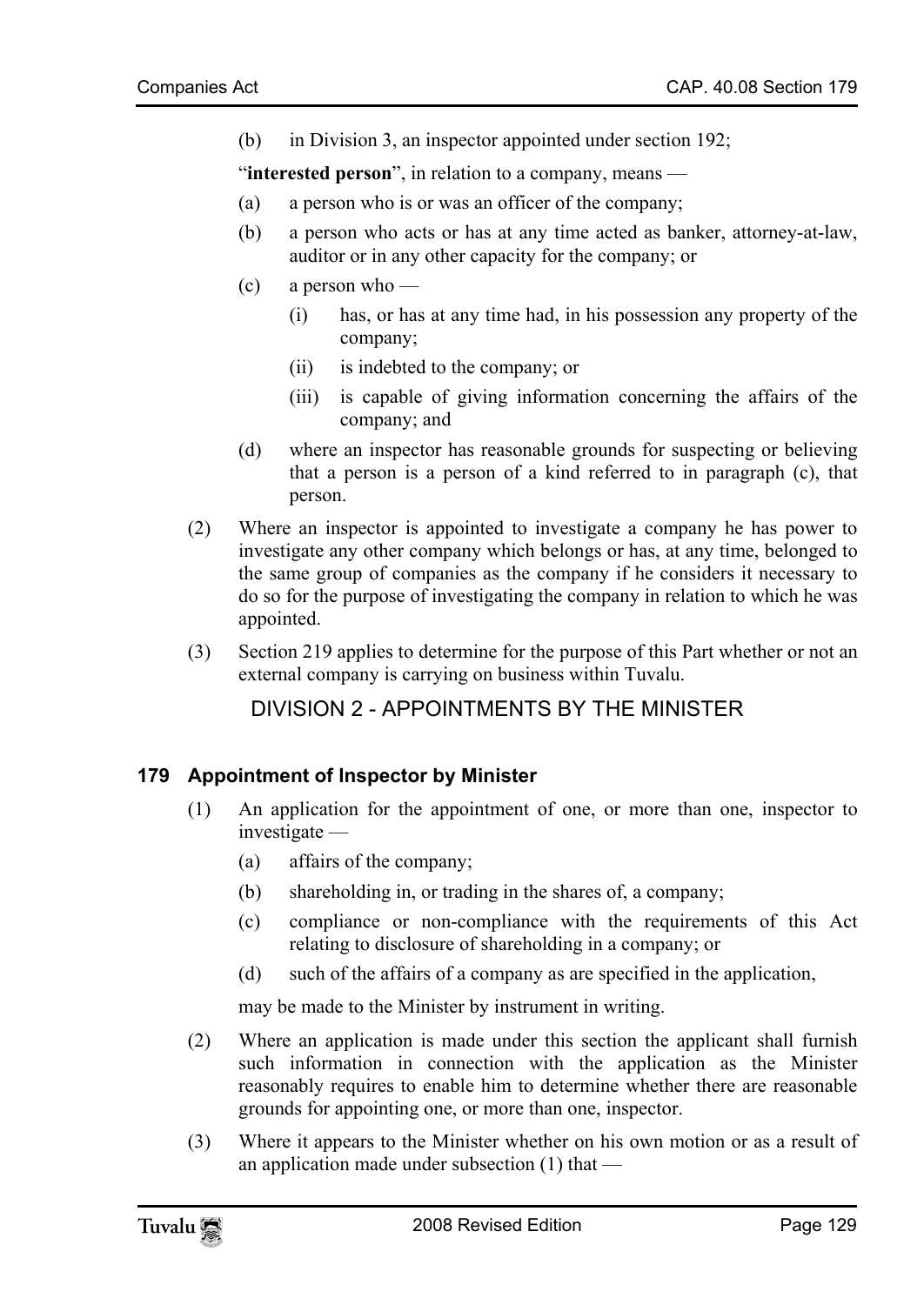(b) in Division 3, an inspector appointed under section 192;

"**interested person**", in relation to a company, means —

- (a) a person who is or was an officer of the company;
- (b) a person who acts or has at any time acted as banker, attorney-at-law, auditor or in any other capacity for the company; or
- $(c)$  a person who
	- (i) has, or has at any time had, in his possession any property of the company;
	- (ii) is indebted to the company; or
	- (iii) is capable of giving information concerning the affairs of the company; and
- (d) where an inspector has reasonable grounds for suspecting or believing that a person is a person of a kind referred to in paragraph (c), that person.
- (2) Where an inspector is appointed to investigate a company he has power to investigate any other company which belongs or has, at any time, belonged to the same group of companies as the company if he considers it necessary to do so for the purpose of investigating the company in relation to which he was appointed.
- (3) Section 219 applies to determine for the purpose of this Part whether or not an external company is carrying on business within Tuvalu.

## DIVISION 2 - APPOINTMENTS BY THE MINISTER

## **179 Appointment of Inspector by Minister**

- (1) An application for the appointment of one, or more than one, inspector to investigate —
	- (a) affairs of the company;
	- (b) shareholding in, or trading in the shares of, a company;
	- (c) compliance or non-compliance with the requirements of this Act relating to disclosure of shareholding in a company; or
	- (d) such of the affairs of a company as are specified in the application,

may be made to the Minister by instrument in writing.

- (2) Where an application is made under this section the applicant shall furnish such information in connection with the application as the Minister reasonably requires to enable him to determine whether there are reasonable grounds for appointing one, or more than one, inspector.
- (3) Where it appears to the Minister whether on his own motion or as a result of an application made under subsection  $(1)$  that —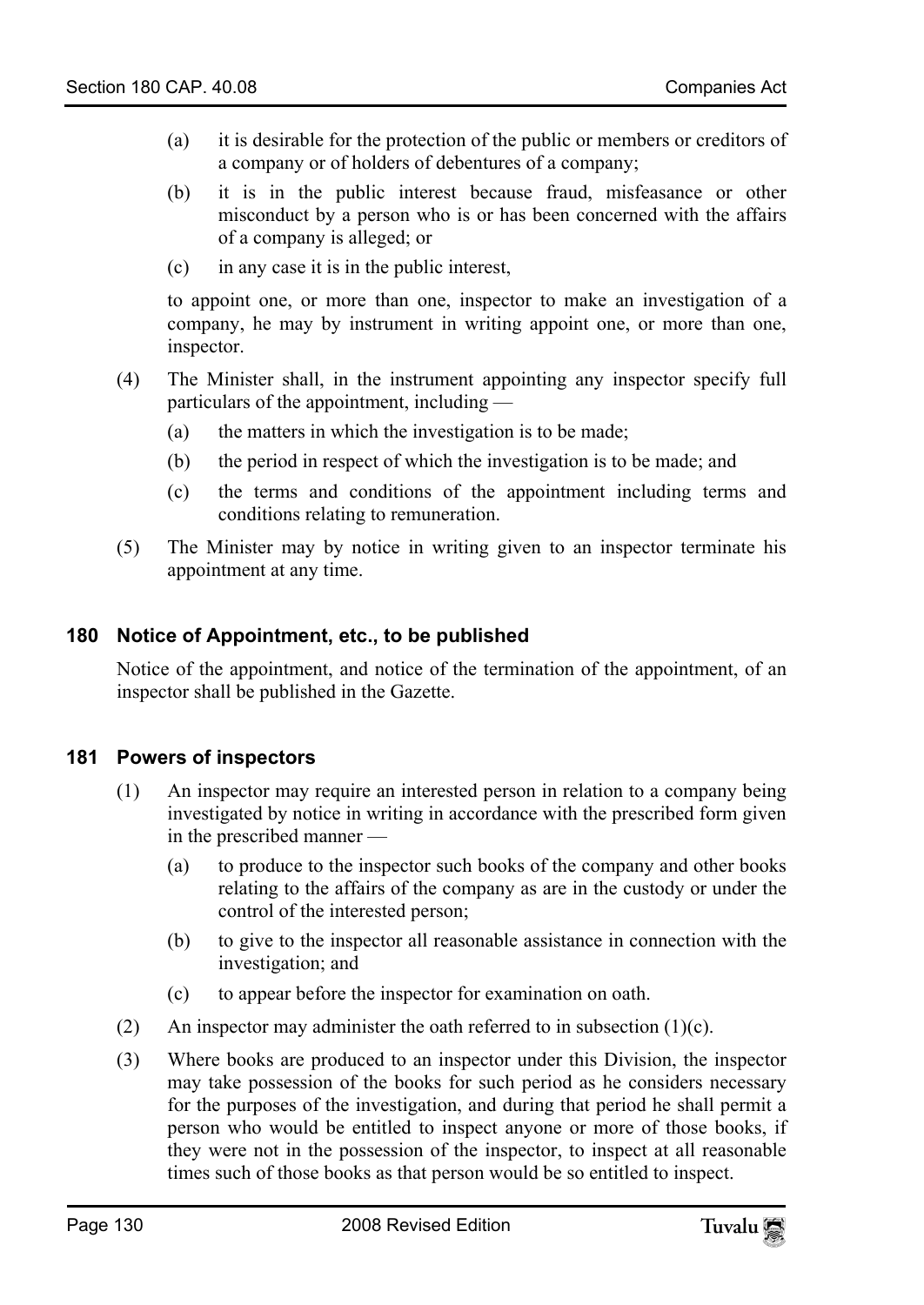- (a) it is desirable for the protection of the public or members or creditors of a company or of holders of debentures of a company;
- (b) it is in the public interest because fraud, misfeasance or other misconduct by a person who is or has been concerned with the affairs of a company is alleged; or
- (c) in any case it is in the public interest,

to appoint one, or more than one, inspector to make an investigation of a company, he may by instrument in writing appoint one, or more than one, inspector.

- (4) The Minister shall, in the instrument appointing any inspector specify full particulars of the appointment, including —
	- (a) the matters in which the investigation is to be made;
	- (b) the period in respect of which the investigation is to be made; and
	- (c) the terms and conditions of the appointment including terms and conditions relating to remuneration.
- (5) The Minister may by notice in writing given to an inspector terminate his appointment at any time.

#### **180 Notice of Appointment, etc., to be published**

Notice of the appointment, and notice of the termination of the appointment, of an inspector shall be published in the Gazette.

#### **181 Powers of inspectors**

- (1) An inspector may require an interested person in relation to a company being investigated by notice in writing in accordance with the prescribed form given in the prescribed manner —
	- (a) to produce to the inspector such books of the company and other books relating to the affairs of the company as are in the custody or under the control of the interested person;
	- (b) to give to the inspector all reasonable assistance in connection with the investigation; and
	- (c) to appear before the inspector for examination on oath.
- (2) An inspector may administer the oath referred to in subsection  $(1)(c)$ .
- (3) Where books are produced to an inspector under this Division, the inspector may take possession of the books for such period as he considers necessary for the purposes of the investigation, and during that period he shall permit a person who would be entitled to inspect anyone or more of those books, if they were not in the possession of the inspector, to inspect at all reasonable times such of those books as that person would be so entitled to inspect.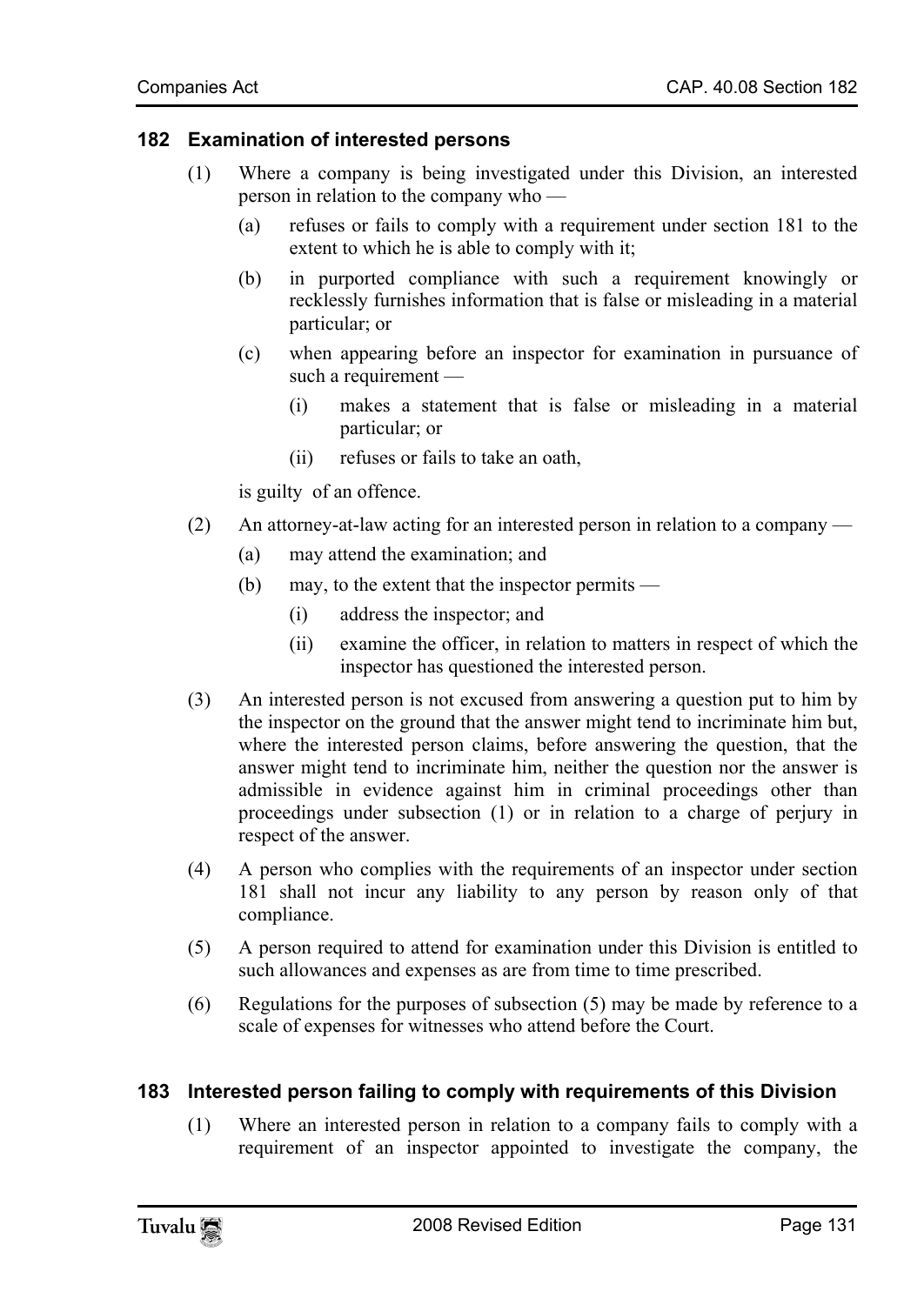#### **182 Examination of interested persons**

- (1) Where a company is being investigated under this Division, an interested person in relation to the company who —
	- (a) refuses or fails to comply with a requirement under section 181 to the extent to which he is able to comply with it;
	- (b) in purported compliance with such a requirement knowingly or recklessly furnishes information that is false or misleading in a material particular; or
	- (c) when appearing before an inspector for examination in pursuance of such a requirement —
		- (i) makes a statement that is false or misleading in a material particular; or
		- (ii) refuses or fails to take an oath,

is guilty of an offence.

- (2) An attorney-at-law acting for an interested person in relation to a company
	- (a) may attend the examination; and
	- (b) may, to the extent that the inspector permits
		- (i) address the inspector; and
		- (ii) examine the officer, in relation to matters in respect of which the inspector has questioned the interested person.
- (3) An interested person is not excused from answering a question put to him by the inspector on the ground that the answer might tend to incriminate him but, where the interested person claims, before answering the question, that the answer might tend to incriminate him, neither the question nor the answer is admissible in evidence against him in criminal proceedings other than proceedings under subsection (1) or in relation to a charge of perjury in respect of the answer.
- (4) A person who complies with the requirements of an inspector under section 181 shall not incur any liability to any person by reason only of that compliance.
- (5) A person required to attend for examination under this Division is entitled to such allowances and expenses as are from time to time prescribed.
- (6) Regulations for the purposes of subsection (5) may be made by reference to a scale of expenses for witnesses who attend before the Court.

#### **183 Interested person failing to comply with requirements of this Division**

(1) Where an interested person in relation to a company fails to comply with a requirement of an inspector appointed to investigate the company, the

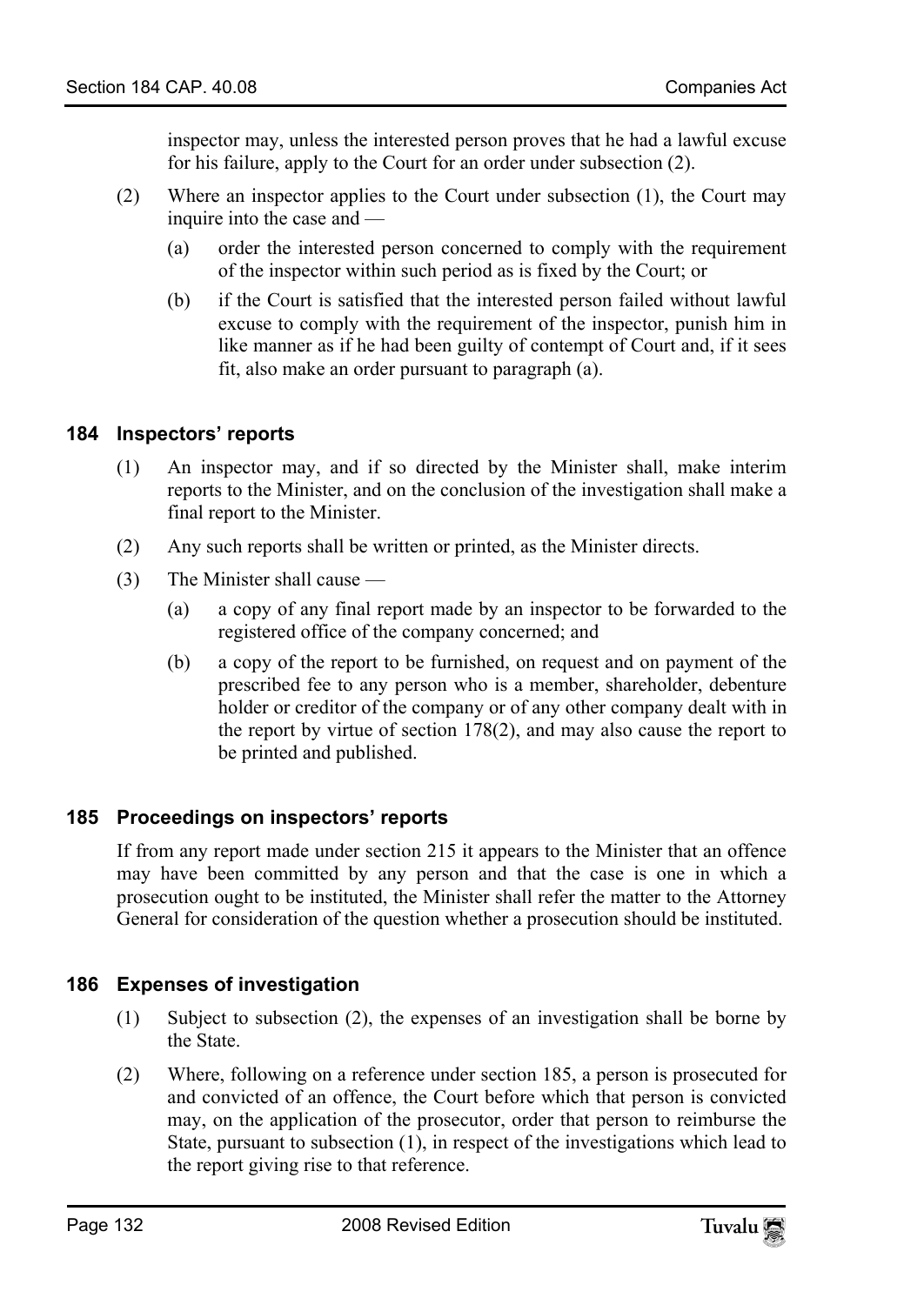inspector may, unless the interested person proves that he had a lawful excuse for his failure, apply to the Court for an order under subsection (2).

- (2) Where an inspector applies to the Court under subsection (1), the Court may inquire into the case and —
	- (a) order the interested person concerned to comply with the requirement of the inspector within such period as is fixed by the Court; or
	- (b) if the Court is satisfied that the interested person failed without lawful excuse to comply with the requirement of the inspector, punish him in like manner as if he had been guilty of contempt of Court and, if it sees fit, also make an order pursuant to paragraph (a).

## **184 Inspectors' reports**

- (1) An inspector may, and if so directed by the Minister shall, make interim reports to the Minister, and on the conclusion of the investigation shall make a final report to the Minister.
- (2) Any such reports shall be written or printed, as the Minister directs.
- (3) The Minister shall cause
	- (a) a copy of any final report made by an inspector to be forwarded to the registered office of the company concerned; and
	- (b) a copy of the report to be furnished, on request and on payment of the prescribed fee to any person who is a member, shareholder, debenture holder or creditor of the company or of any other company dealt with in the report by virtue of section 178(2), and may also cause the report to be printed and published.

#### **185 Proceedings on inspectors' reports**

If from any report made under section 215 it appears to the Minister that an offence may have been committed by any person and that the case is one in which a prosecution ought to be instituted, the Minister shall refer the matter to the Attorney General for consideration of the question whether a prosecution should be instituted.

#### **186 Expenses of investigation**

- (1) Subject to subsection (2), the expenses of an investigation shall be borne by the State.
- (2) Where, following on a reference under section 185, a person is prosecuted for and convicted of an offence, the Court before which that person is convicted may, on the application of the prosecutor, order that person to reimburse the State, pursuant to subsection (1), in respect of the investigations which lead to the report giving rise to that reference.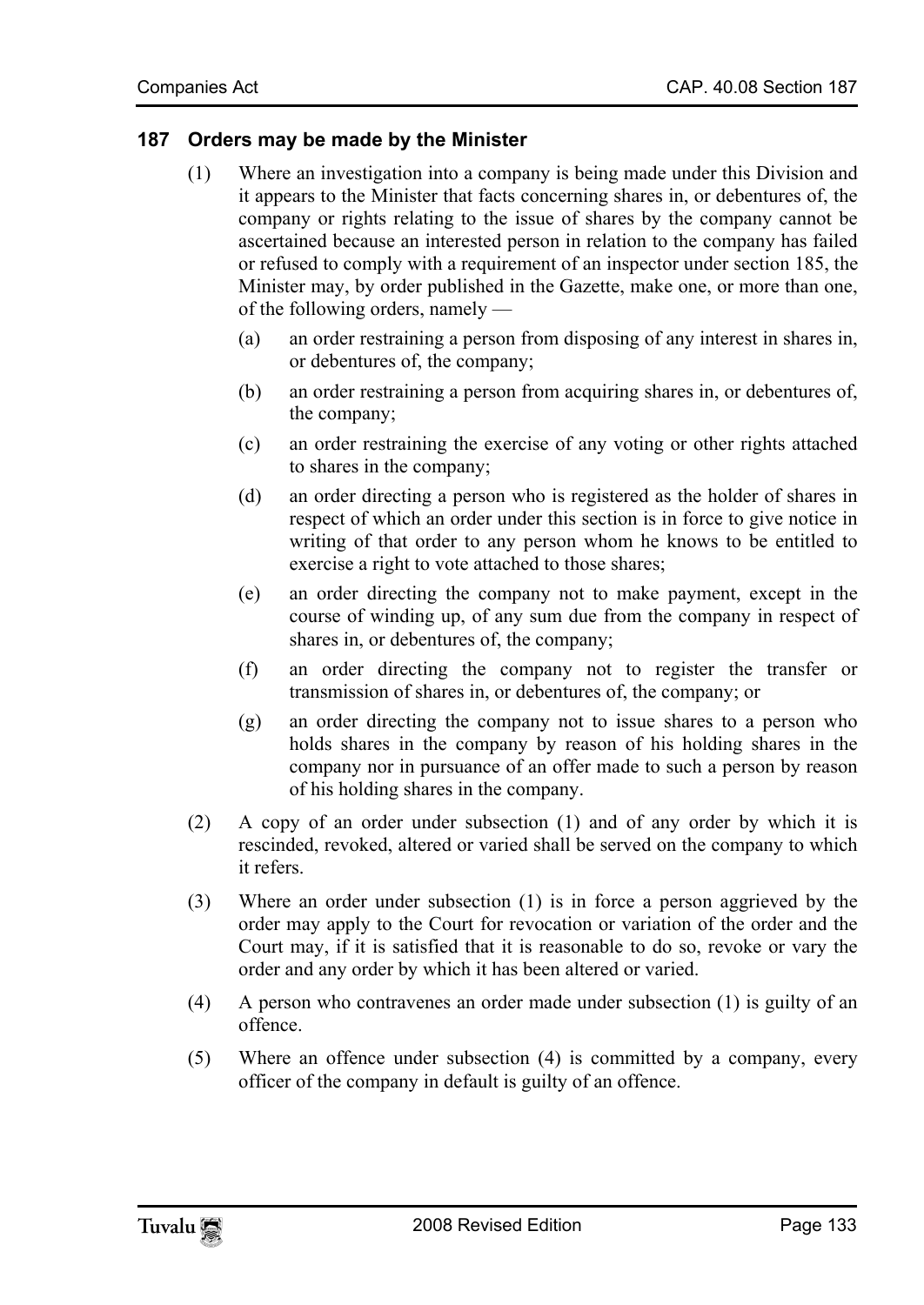#### **187 Orders may be made by the Minister**

- (1) Where an investigation into a company is being made under this Division and it appears to the Minister that facts concerning shares in, or debentures of, the company or rights relating to the issue of shares by the company cannot be ascertained because an interested person in relation to the company has failed or refused to comply with a requirement of an inspector under section 185, the Minister may, by order published in the Gazette, make one, or more than one, of the following orders, namely —
	- (a) an order restraining a person from disposing of any interest in shares in, or debentures of, the company;
	- (b) an order restraining a person from acquiring shares in, or debentures of, the company;
	- (c) an order restraining the exercise of any voting or other rights attached to shares in the company;
	- (d) an order directing a person who is registered as the holder of shares in respect of which an order under this section is in force to give notice in writing of that order to any person whom he knows to be entitled to exercise a right to vote attached to those shares;
	- (e) an order directing the company not to make payment, except in the course of winding up, of any sum due from the company in respect of shares in, or debentures of, the company;
	- (f) an order directing the company not to register the transfer or transmission of shares in, or debentures of, the company; or
	- (g) an order directing the company not to issue shares to a person who holds shares in the company by reason of his holding shares in the company nor in pursuance of an offer made to such a person by reason of his holding shares in the company.
- (2) A copy of an order under subsection (1) and of any order by which it is rescinded, revoked, altered or varied shall be served on the company to which it refers.
- (3) Where an order under subsection (1) is in force a person aggrieved by the order may apply to the Court for revocation or variation of the order and the Court may, if it is satisfied that it is reasonable to do so, revoke or vary the order and any order by which it has been altered or varied.
- (4) A person who contravenes an order made under subsection (1) is guilty of an offence.
- (5) Where an offence under subsection (4) is committed by a company, every officer of the company in default is guilty of an offence.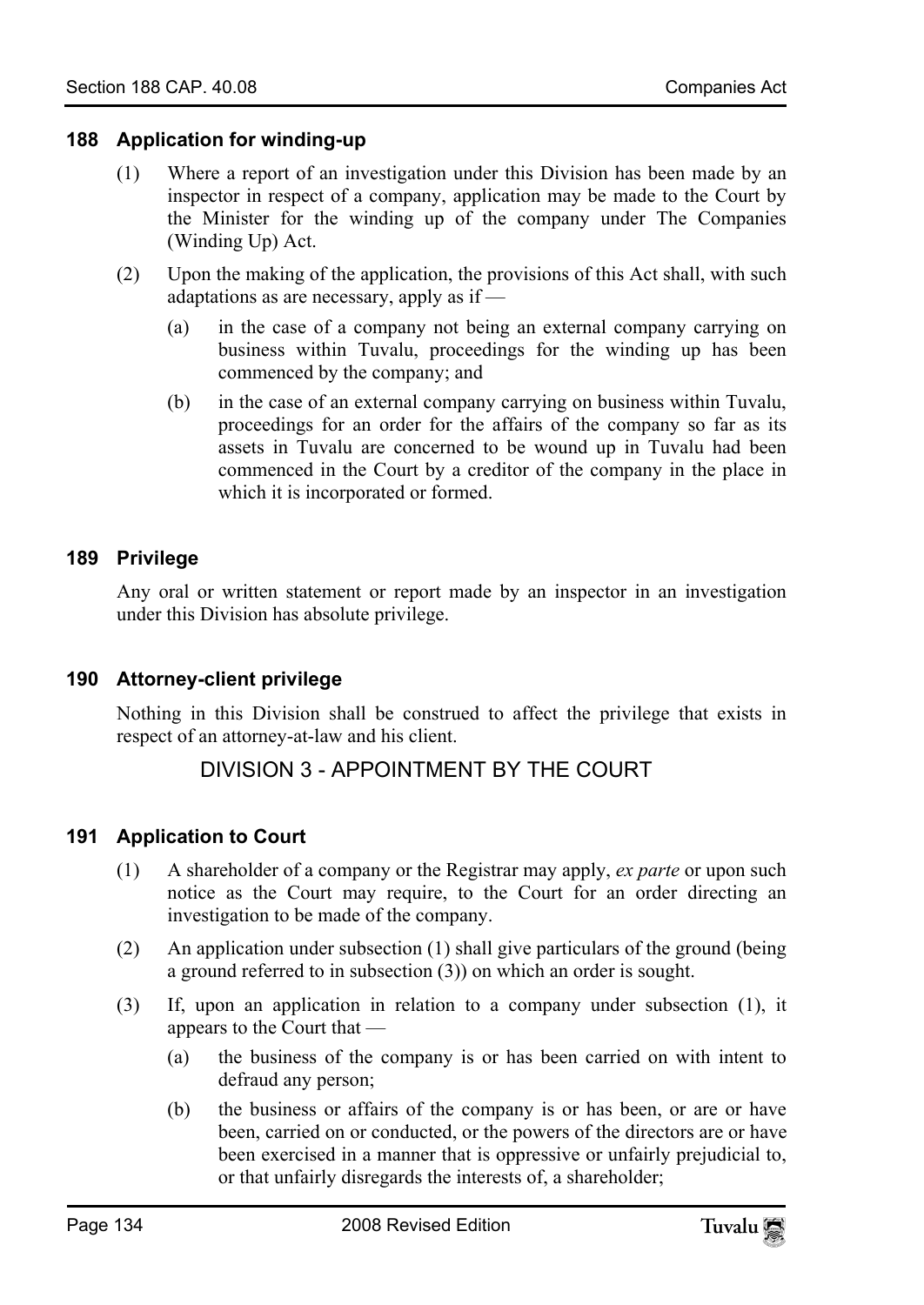#### **188 Application for winding-up**

- (1) Where a report of an investigation under this Division has been made by an inspector in respect of a company, application may be made to the Court by the Minister for the winding up of the company under The Companies (Winding Up) Act.
- (2) Upon the making of the application, the provisions of this Act shall, with such adaptations as are necessary, apply as if —
	- (a) in the case of a company not being an external company carrying on business within Tuvalu, proceedings for the winding up has been commenced by the company; and
	- (b) in the case of an external company carrying on business within Tuvalu, proceedings for an order for the affairs of the company so far as its assets in Tuvalu are concerned to be wound up in Tuvalu had been commenced in the Court by a creditor of the company in the place in which it is incorporated or formed.

## **189 Privilege**

Any oral or written statement or report made by an inspector in an investigation under this Division has absolute privilege.

#### **190 Attorney-client privilege**

Nothing in this Division shall be construed to affect the privilege that exists in respect of an attorney-at-law and his client.

## DIVISION 3 - APPOINTMENT BY THE COURT

#### **191 Application to Court**

- (1) A shareholder of a company or the Registrar may apply, *ex parte* or upon such notice as the Court may require, to the Court for an order directing an investigation to be made of the company.
- (2) An application under subsection (1) shall give particulars of the ground (being a ground referred to in subsection (3)) on which an order is sought.
- (3) If, upon an application in relation to a company under subsection (1), it appears to the Court that —
	- (a) the business of the company is or has been carried on with intent to defraud any person;
	- (b) the business or affairs of the company is or has been, or are or have been, carried on or conducted, or the powers of the directors are or have been exercised in a manner that is oppressive or unfairly prejudicial to, or that unfairly disregards the interests of, a shareholder;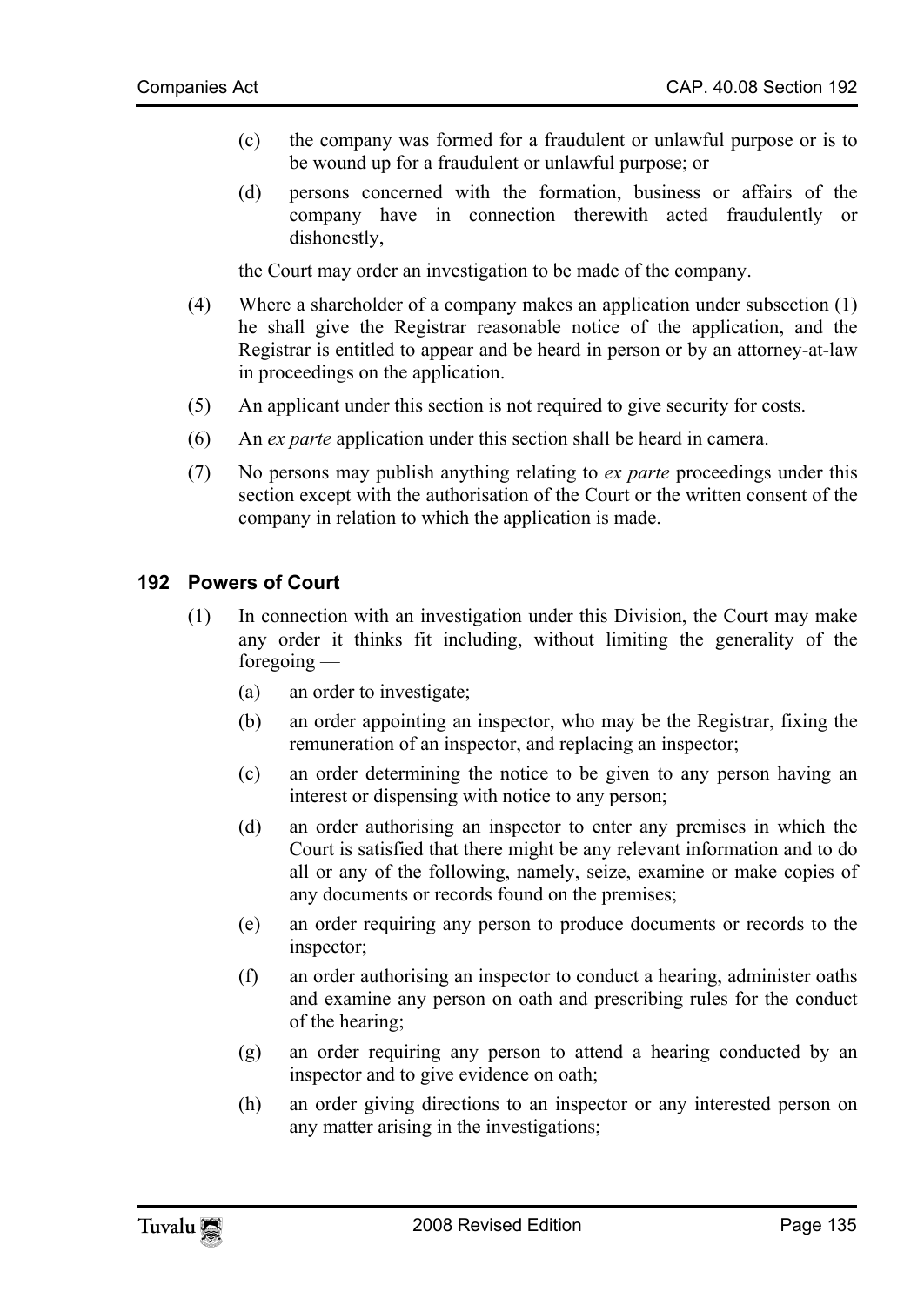- (c) the company was formed for a fraudulent or unlawful purpose or is to be wound up for a fraudulent or unlawful purpose; or
- (d) persons concerned with the formation, business or affairs of the company have in connection therewith acted fraudulently or dishonestly,

the Court may order an investigation to be made of the company.

- (4) Where a shareholder of a company makes an application under subsection (1) he shall give the Registrar reasonable notice of the application, and the Registrar is entitled to appear and be heard in person or by an attorney-at-law in proceedings on the application.
- (5) An applicant under this section is not required to give security for costs.
- (6) An *ex parte* application under this section shall be heard in camera.
- (7) No persons may publish anything relating to *ex parte* proceedings under this section except with the authorisation of the Court or the written consent of the company in relation to which the application is made.

#### **192 Powers of Court**

- (1) In connection with an investigation under this Division, the Court may make any order it thinks fit including, without limiting the generality of the foregoing —
	- (a) an order to investigate;
	- (b) an order appointing an inspector, who may be the Registrar, fixing the remuneration of an inspector, and replacing an inspector;
	- (c) an order determining the notice to be given to any person having an interest or dispensing with notice to any person;
	- (d) an order authorising an inspector to enter any premises in which the Court is satisfied that there might be any relevant information and to do all or any of the following, namely, seize, examine or make copies of any documents or records found on the premises;
	- (e) an order requiring any person to produce documents or records to the inspector;
	- (f) an order authorising an inspector to conduct a hearing, administer oaths and examine any person on oath and prescribing rules for the conduct of the hearing;
	- (g) an order requiring any person to attend a hearing conducted by an inspector and to give evidence on oath;
	- (h) an order giving directions to an inspector or any interested person on any matter arising in the investigations;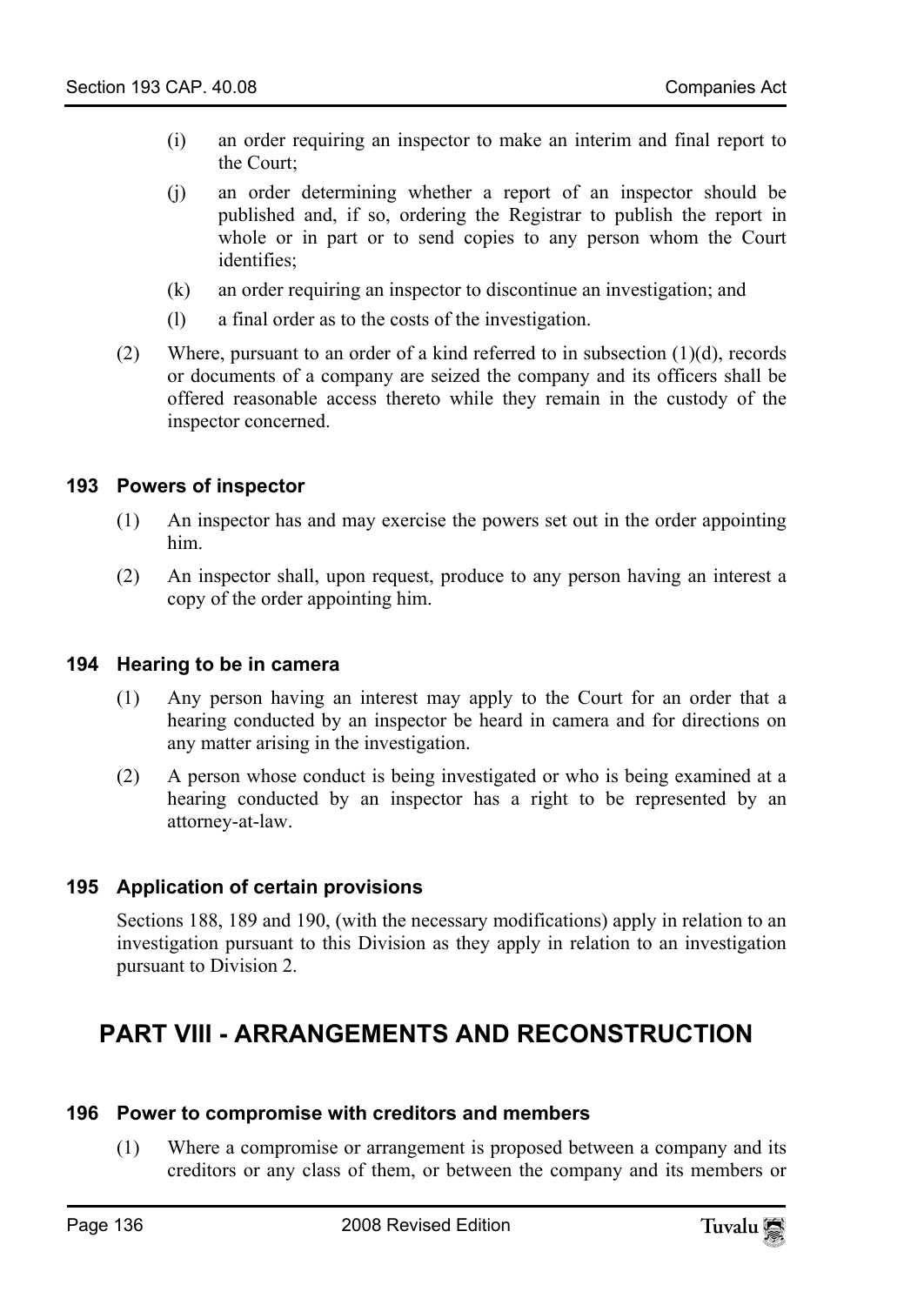- (i) an order requiring an inspector to make an interim and final report to the Court;
- (j) an order determining whether a report of an inspector should be published and, if so, ordering the Registrar to publish the report in whole or in part or to send copies to any person whom the Court identifies;
- (k) an order requiring an inspector to discontinue an investigation; and
- (l) a final order as to the costs of the investigation.
- (2) Where, pursuant to an order of a kind referred to in subsection  $(1)(d)$ , records or documents of a company are seized the company and its officers shall be offered reasonable access thereto while they remain in the custody of the inspector concerned.

#### **193 Powers of inspector**

- (1) An inspector has and may exercise the powers set out in the order appointing him.
- (2) An inspector shall, upon request, produce to any person having an interest a copy of the order appointing him.

#### **194 Hearing to be in camera**

- (1) Any person having an interest may apply to the Court for an order that a hearing conducted by an inspector be heard in camera and for directions on any matter arising in the investigation.
- (2) A person whose conduct is being investigated or who is being examined at a hearing conducted by an inspector has a right to be represented by an attorney-at-law.

#### **195 Application of certain provisions**

Sections 188, 189 and 190, (with the necessary modifications) apply in relation to an investigation pursuant to this Division as they apply in relation to an investigation pursuant to Division 2.

# **PART VIII - ARRANGEMENTS AND RECONSTRUCTION**

#### **196 Power to compromise with creditors and members**

(1) Where a compromise or arrangement is proposed between a company and its creditors or any class of them, or between the company and its members or

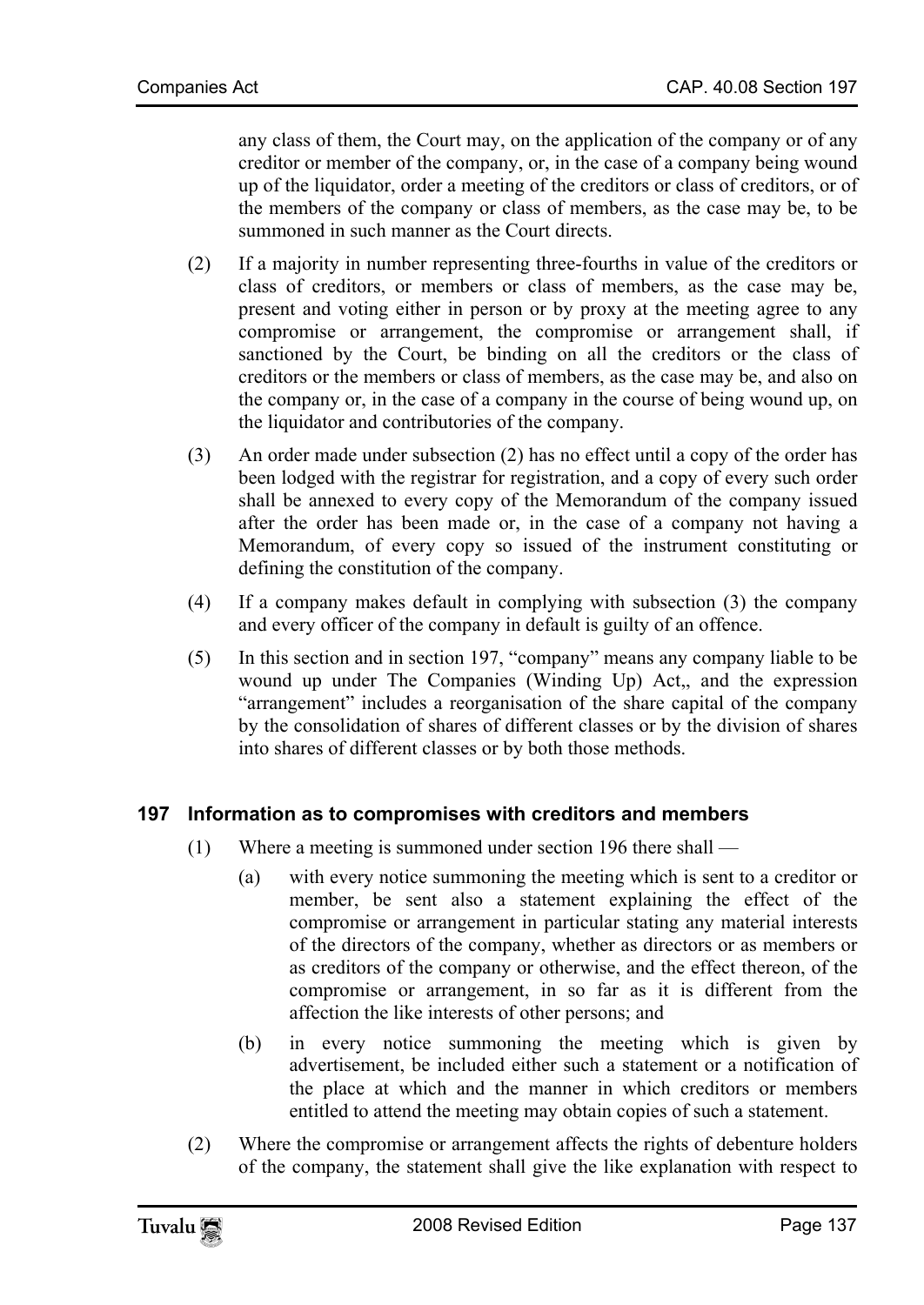any class of them, the Court may, on the application of the company or of any creditor or member of the company, or, in the case of a company being wound up of the liquidator, order a meeting of the creditors or class of creditors, or of the members of the company or class of members, as the case may be, to be summoned in such manner as the Court directs.

- (2) If a majority in number representing three-fourths in value of the creditors or class of creditors, or members or class of members, as the case may be, present and voting either in person or by proxy at the meeting agree to any compromise or arrangement, the compromise or arrangement shall, if sanctioned by the Court, be binding on all the creditors or the class of creditors or the members or class of members, as the case may be, and also on the company or, in the case of a company in the course of being wound up, on the liquidator and contributories of the company.
- (3) An order made under subsection (2) has no effect until a copy of the order has been lodged with the registrar for registration, and a copy of every such order shall be annexed to every copy of the Memorandum of the company issued after the order has been made or, in the case of a company not having a Memorandum, of every copy so issued of the instrument constituting or defining the constitution of the company.
- (4) If a company makes default in complying with subsection (3) the company and every officer of the company in default is guilty of an offence.
- (5) In this section and in section 197, "company" means any company liable to be wound up under The Companies (Winding Up) Act,, and the expression "arrangement" includes a reorganisation of the share capital of the company by the consolidation of shares of different classes or by the division of shares into shares of different classes or by both those methods.

## **197 Information as to compromises with creditors and members**

- (1) Where a meeting is summoned under section 196 there shall
	- (a) with every notice summoning the meeting which is sent to a creditor or member, be sent also a statement explaining the effect of the compromise or arrangement in particular stating any material interests of the directors of the company, whether as directors or as members or as creditors of the company or otherwise, and the effect thereon, of the compromise or arrangement, in so far as it is different from the affection the like interests of other persons; and
	- (b) in every notice summoning the meeting which is given by advertisement, be included either such a statement or a notification of the place at which and the manner in which creditors or members entitled to attend the meeting may obtain copies of such a statement.
- (2) Where the compromise or arrangement affects the rights of debenture holders of the company, the statement shall give the like explanation with respect to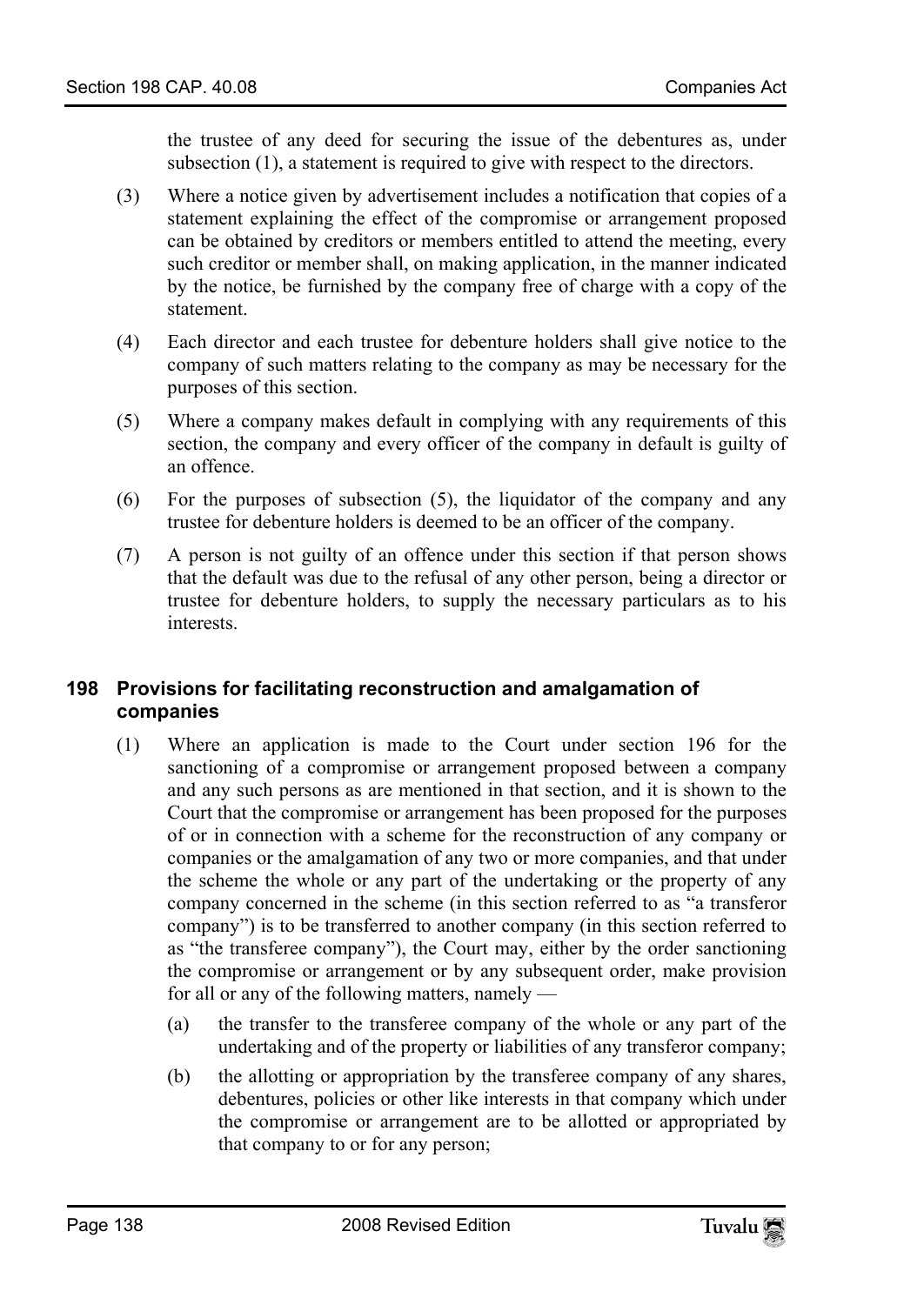the trustee of any deed for securing the issue of the debentures as, under subsection (1), a statement is required to give with respect to the directors.

- (3) Where a notice given by advertisement includes a notification that copies of a statement explaining the effect of the compromise or arrangement proposed can be obtained by creditors or members entitled to attend the meeting, every such creditor or member shall, on making application, in the manner indicated by the notice, be furnished by the company free of charge with a copy of the statement.
- (4) Each director and each trustee for debenture holders shall give notice to the company of such matters relating to the company as may be necessary for the purposes of this section.
- (5) Where a company makes default in complying with any requirements of this section, the company and every officer of the company in default is guilty of an offence.
- (6) For the purposes of subsection (5), the liquidator of the company and any trustee for debenture holders is deemed to be an officer of the company.
- (7) A person is not guilty of an offence under this section if that person shows that the default was due to the refusal of any other person, being a director or trustee for debenture holders, to supply the necessary particulars as to his interests.

## **198 Provisions for facilitating reconstruction and amalgamation of companies**

- (1) Where an application is made to the Court under section 196 for the sanctioning of a compromise or arrangement proposed between a company and any such persons as are mentioned in that section, and it is shown to the Court that the compromise or arrangement has been proposed for the purposes of or in connection with a scheme for the reconstruction of any company or companies or the amalgamation of any two or more companies, and that under the scheme the whole or any part of the undertaking or the property of any company concerned in the scheme (in this section referred to as "a transferor company") is to be transferred to another company (in this section referred to as "the transferee company"), the Court may, either by the order sanctioning the compromise or arrangement or by any subsequent order, make provision for all or any of the following matters, namely —
	- (a) the transfer to the transferee company of the whole or any part of the undertaking and of the property or liabilities of any transferor company;
	- (b) the allotting or appropriation by the transferee company of any shares, debentures, policies or other like interests in that company which under the compromise or arrangement are to be allotted or appropriated by that company to or for any person;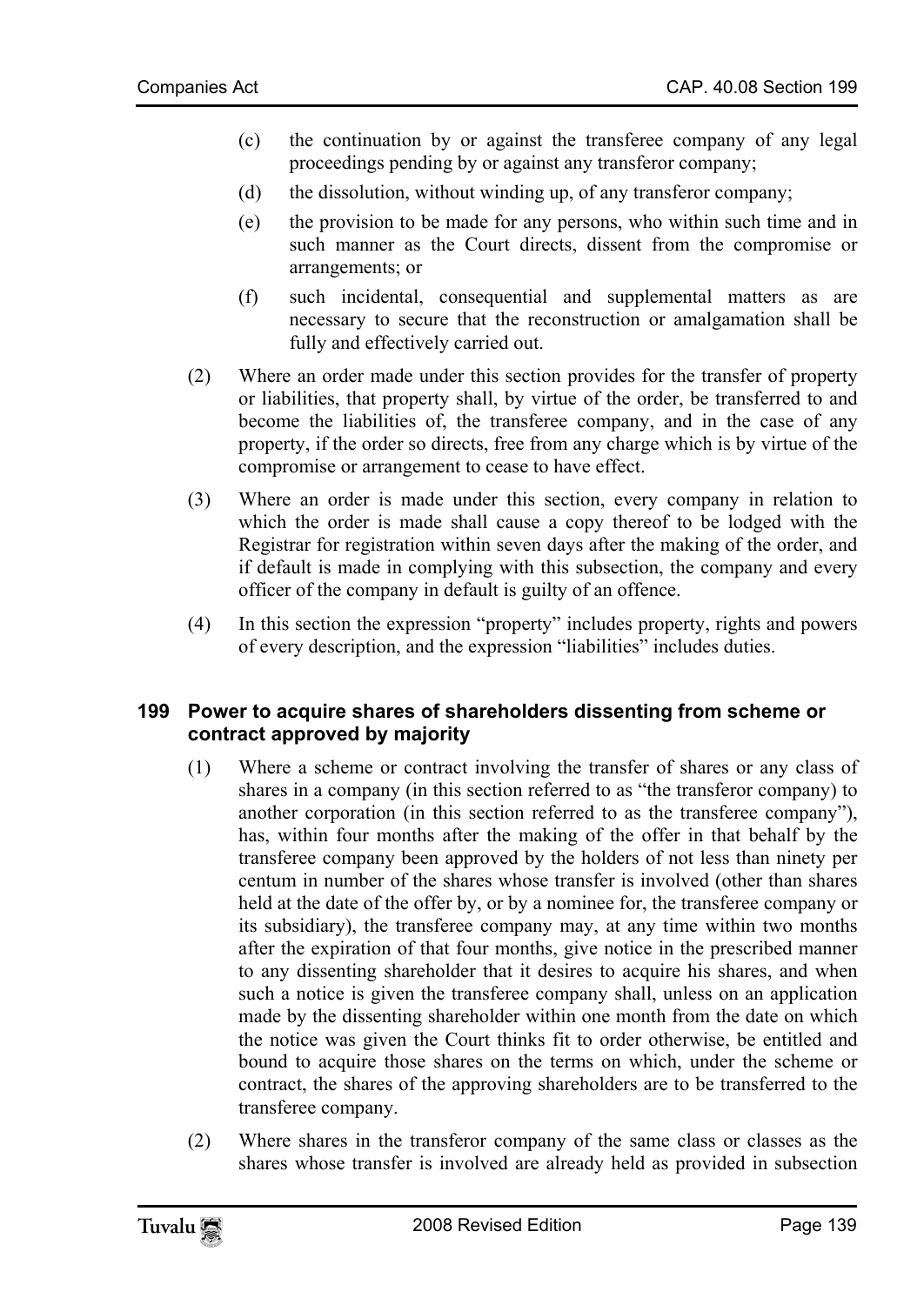- (c) the continuation by or against the transferee company of any legal proceedings pending by or against any transferor company;
- (d) the dissolution, without winding up, of any transferor company;
- (e) the provision to be made for any persons, who within such time and in such manner as the Court directs, dissent from the compromise or arrangements; or
- (f) such incidental, consequential and supplemental matters as are necessary to secure that the reconstruction or amalgamation shall be fully and effectively carried out.
- (2) Where an order made under this section provides for the transfer of property or liabilities, that property shall, by virtue of the order, be transferred to and become the liabilities of, the transferee company, and in the case of any property, if the order so directs, free from any charge which is by virtue of the compromise or arrangement to cease to have effect.
- (3) Where an order is made under this section, every company in relation to which the order is made shall cause a copy thereof to be lodged with the Registrar for registration within seven days after the making of the order, and if default is made in complying with this subsection, the company and every officer of the company in default is guilty of an offence.
- (4) In this section the expression "property" includes property, rights and powers of every description, and the expression "liabilities" includes duties.

## **199 Power to acquire shares of shareholders dissenting from scheme or contract approved by majority**

- (1) Where a scheme or contract involving the transfer of shares or any class of shares in a company (in this section referred to as "the transferor company) to another corporation (in this section referred to as the transferee company"), has, within four months after the making of the offer in that behalf by the transferee company been approved by the holders of not less than ninety per centum in number of the shares whose transfer is involved (other than shares held at the date of the offer by, or by a nominee for, the transferee company or its subsidiary), the transferee company may, at any time within two months after the expiration of that four months, give notice in the prescribed manner to any dissenting shareholder that it desires to acquire his shares, and when such a notice is given the transferee company shall, unless on an application made by the dissenting shareholder within one month from the date on which the notice was given the Court thinks fit to order otherwise, be entitled and bound to acquire those shares on the terms on which, under the scheme or contract, the shares of the approving shareholders are to be transferred to the transferee company.
- (2) Where shares in the transferor company of the same class or classes as the shares whose transfer is involved are already held as provided in subsection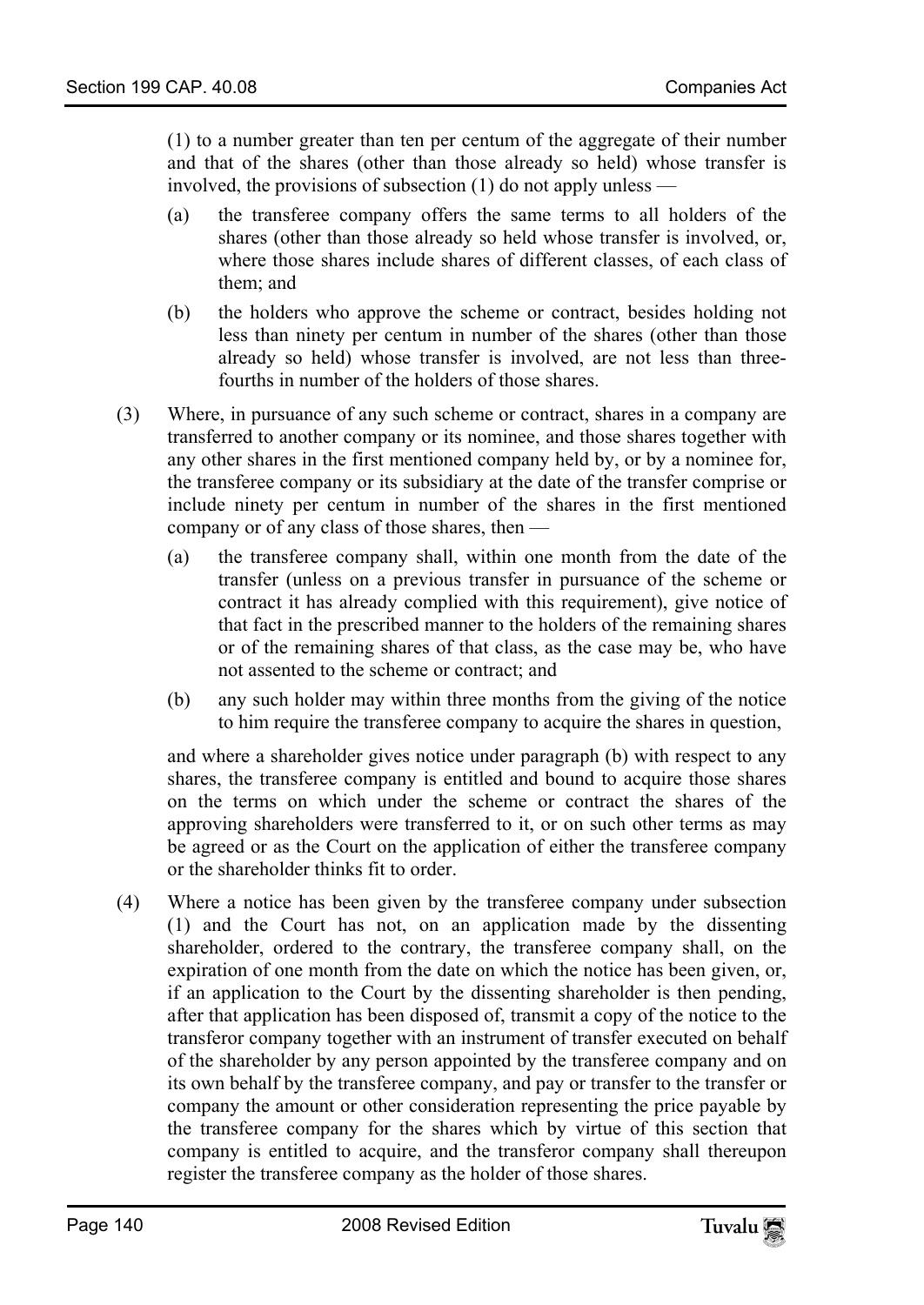(1) to a number greater than ten per centum of the aggregate of their number and that of the shares (other than those already so held) whose transfer is involved, the provisions of subsection (1) do not apply unless —

- (a) the transferee company offers the same terms to all holders of the shares (other than those already so held whose transfer is involved, or, where those shares include shares of different classes, of each class of them; and
- (b) the holders who approve the scheme or contract, besides holding not less than ninety per centum in number of the shares (other than those already so held) whose transfer is involved, are not less than threefourths in number of the holders of those shares.
- (3) Where, in pursuance of any such scheme or contract, shares in a company are transferred to another company or its nominee, and those shares together with any other shares in the first mentioned company held by, or by a nominee for, the transferee company or its subsidiary at the date of the transfer comprise or include ninety per centum in number of the shares in the first mentioned company or of any class of those shares, then —
	- (a) the transferee company shall, within one month from the date of the transfer (unless on a previous transfer in pursuance of the scheme or contract it has already complied with this requirement), give notice of that fact in the prescribed manner to the holders of the remaining shares or of the remaining shares of that class, as the case may be, who have not assented to the scheme or contract; and
	- (b) any such holder may within three months from the giving of the notice to him require the transferee company to acquire the shares in question,

and where a shareholder gives notice under paragraph (b) with respect to any shares, the transferee company is entitled and bound to acquire those shares on the terms on which under the scheme or contract the shares of the approving shareholders were transferred to it, or on such other terms as may be agreed or as the Court on the application of either the transferee company or the shareholder thinks fit to order.

(4) Where a notice has been given by the transferee company under subsection (1) and the Court has not, on an application made by the dissenting shareholder, ordered to the contrary, the transferee company shall, on the expiration of one month from the date on which the notice has been given, or, if an application to the Court by the dissenting shareholder is then pending, after that application has been disposed of, transmit a copy of the notice to the transferor company together with an instrument of transfer executed on behalf of the shareholder by any person appointed by the transferee company and on its own behalf by the transferee company, and pay or transfer to the transfer or company the amount or other consideration representing the price payable by the transferee company for the shares which by virtue of this section that company is entitled to acquire, and the transferor company shall thereupon register the transferee company as the holder of those shares.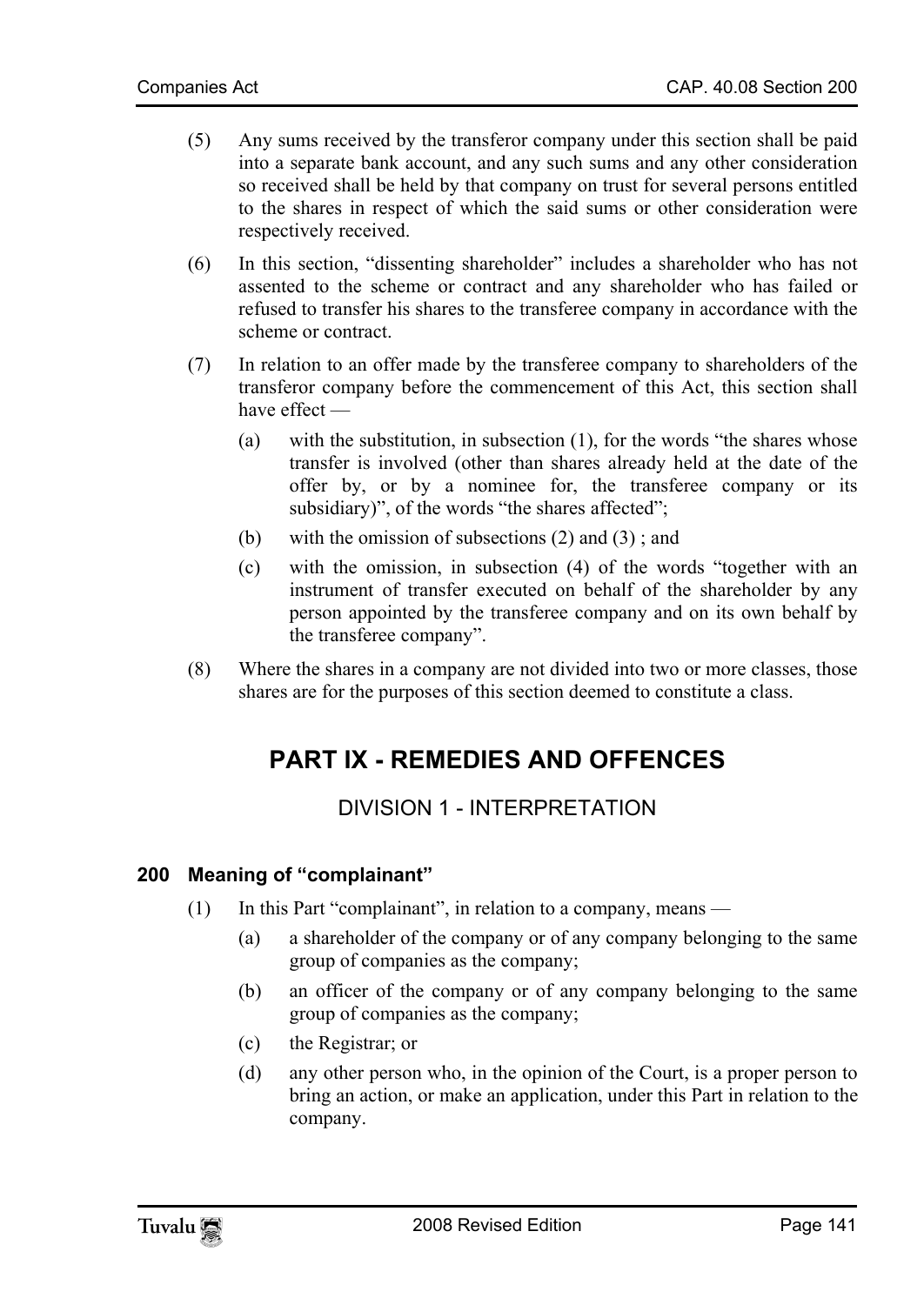- (5) Any sums received by the transferor company under this section shall be paid into a separate bank account, and any such sums and any other consideration so received shall be held by that company on trust for several persons entitled to the shares in respect of which the said sums or other consideration were respectively received.
- (6) In this section, "dissenting shareholder" includes a shareholder who has not assented to the scheme or contract and any shareholder who has failed or refused to transfer his shares to the transferee company in accordance with the scheme or contract.
- (7) In relation to an offer made by the transferee company to shareholders of the transferor company before the commencement of this Act, this section shall have effect —
	- (a) with the substitution, in subsection (1), for the words "the shares whose transfer is involved (other than shares already held at the date of the offer by, or by a nominee for, the transferee company or its subsidiary)", of the words "the shares affected";
	- (b) with the omission of subsections (2) and (3) ; and
	- (c) with the omission, in subsection (4) of the words "together with an instrument of transfer executed on behalf of the shareholder by any person appointed by the transferee company and on its own behalf by the transferee company".
- (8) Where the shares in a company are not divided into two or more classes, those shares are for the purposes of this section deemed to constitute a class.

# **PART IX - REMEDIES AND OFFENCES**

## DIVISION 1 - INTERPRETATION

#### **200 Meaning of "complainant"**

- (1) In this Part "complainant", in relation to a company, means
	- (a) a shareholder of the company or of any company belonging to the same group of companies as the company;
	- (b) an officer of the company or of any company belonging to the same group of companies as the company;
	- (c) the Registrar; or
	- (d) any other person who, in the opinion of the Court, is a proper person to bring an action, or make an application, under this Part in relation to the company.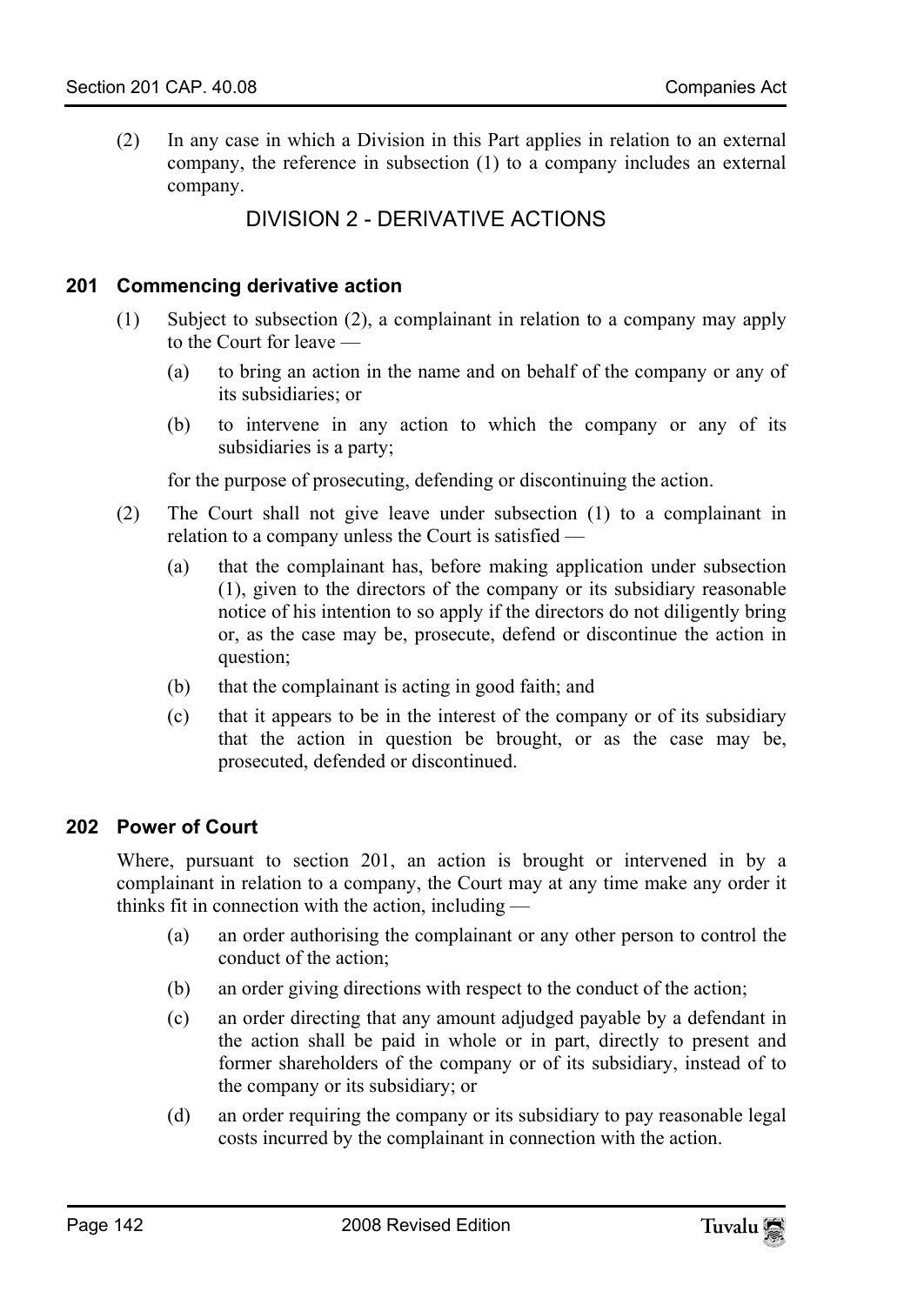(2) In any case in which a Division in this Part applies in relation to an external company, the reference in subsection (1) to a company includes an external company.

# DIVISION 2 - DERIVATIVE ACTIONS

#### **201 Commencing derivative action**

- (1) Subject to subsection (2), a complainant in relation to a company may apply to the Court for leave —
	- (a) to bring an action in the name and on behalf of the company or any of its subsidiaries; or
	- (b) to intervene in any action to which the company or any of its subsidiaries is a party;

for the purpose of prosecuting, defending or discontinuing the action.

- (2) The Court shall not give leave under subsection (1) to a complainant in relation to a company unless the Court is satisfied —
	- (a) that the complainant has, before making application under subsection (1), given to the directors of the company or its subsidiary reasonable notice of his intention to so apply if the directors do not diligently bring or, as the case may be, prosecute, defend or discontinue the action in question;
	- (b) that the complainant is acting in good faith; and
	- (c) that it appears to be in the interest of the company or of its subsidiary that the action in question be brought, or as the case may be, prosecuted, defended or discontinued.

#### **202 Power of Court**

Where, pursuant to section 201, an action is brought or intervened in by a complainant in relation to a company, the Court may at any time make any order it thinks fit in connection with the action, including —

- (a) an order authorising the complainant or any other person to control the conduct of the action;
- (b) an order giving directions with respect to the conduct of the action;
- (c) an order directing that any amount adjudged payable by a defendant in the action shall be paid in whole or in part, directly to present and former shareholders of the company or of its subsidiary, instead of to the company or its subsidiary; or
- (d) an order requiring the company or its subsidiary to pay reasonable legal costs incurred by the complainant in connection with the action.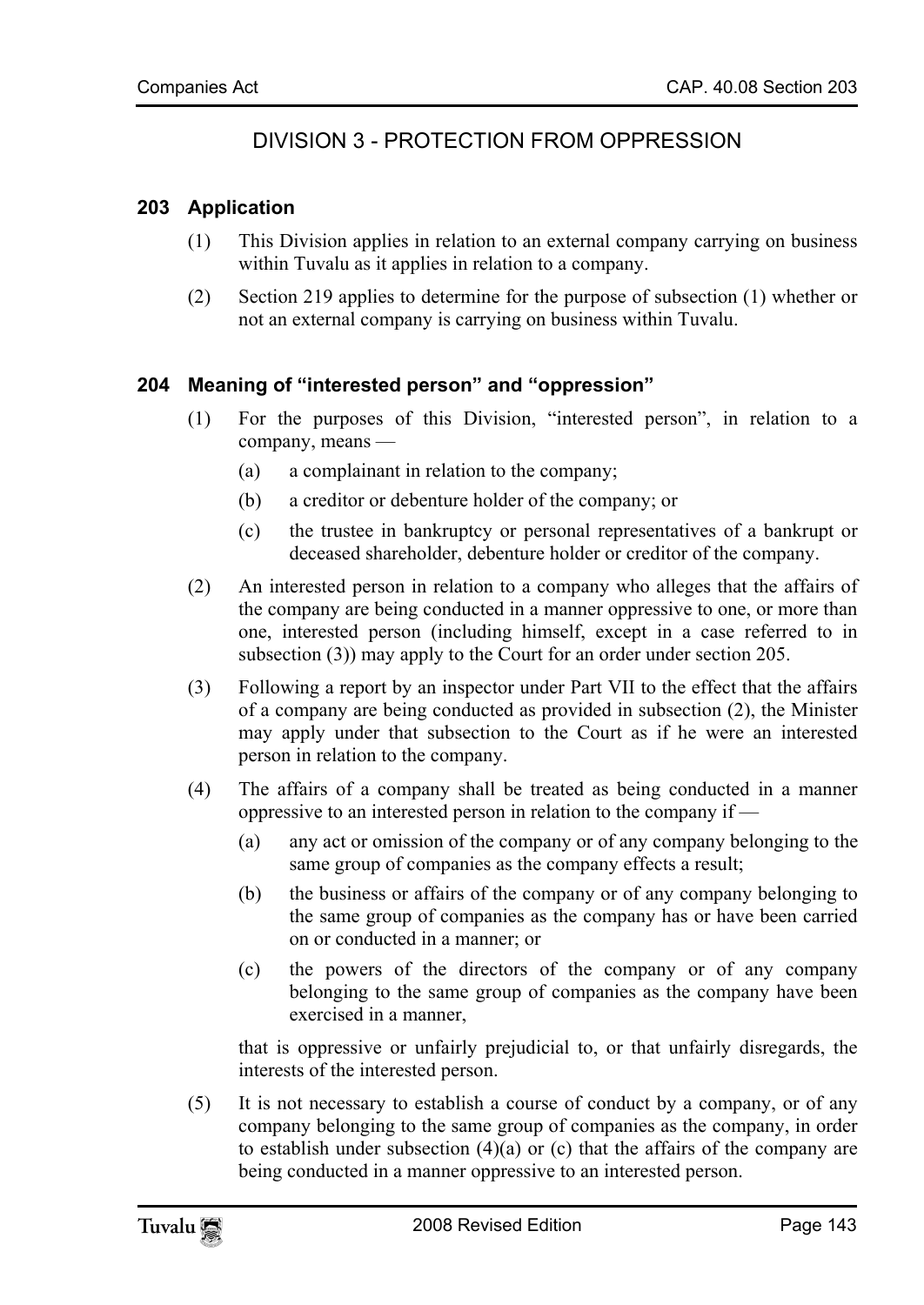# DIVISION 3 - PROTECTION FROM OPPRESSION

## **203 Application**

- (1) This Division applies in relation to an external company carrying on business within Tuvalu as it applies in relation to a company.
- (2) Section 219 applies to determine for the purpose of subsection (1) whether or not an external company is carrying on business within Tuvalu.

## **204 Meaning of "interested person" and "oppression"**

- (1) For the purposes of this Division, "interested person", in relation to a company, means —
	- (a) a complainant in relation to the company;
	- (b) a creditor or debenture holder of the company; or
	- (c) the trustee in bankruptcy or personal representatives of a bankrupt or deceased shareholder, debenture holder or creditor of the company.
- (2) An interested person in relation to a company who alleges that the affairs of the company are being conducted in a manner oppressive to one, or more than one, interested person (including himself, except in a case referred to in subsection (3)) may apply to the Court for an order under section 205.
- (3) Following a report by an inspector under Part VII to the effect that the affairs of a company are being conducted as provided in subsection (2), the Minister may apply under that subsection to the Court as if he were an interested person in relation to the company.
- (4) The affairs of a company shall be treated as being conducted in a manner oppressive to an interested person in relation to the company if —
	- (a) any act or omission of the company or of any company belonging to the same group of companies as the company effects a result;
	- (b) the business or affairs of the company or of any company belonging to the same group of companies as the company has or have been carried on or conducted in a manner; or
	- (c) the powers of the directors of the company or of any company belonging to the same group of companies as the company have been exercised in a manner,

that is oppressive or unfairly prejudicial to, or that unfairly disregards, the interests of the interested person.

(5) It is not necessary to establish a course of conduct by a company, or of any company belonging to the same group of companies as the company, in order to establish under subsection  $(4)(a)$  or (c) that the affairs of the company are being conducted in a manner oppressive to an interested person.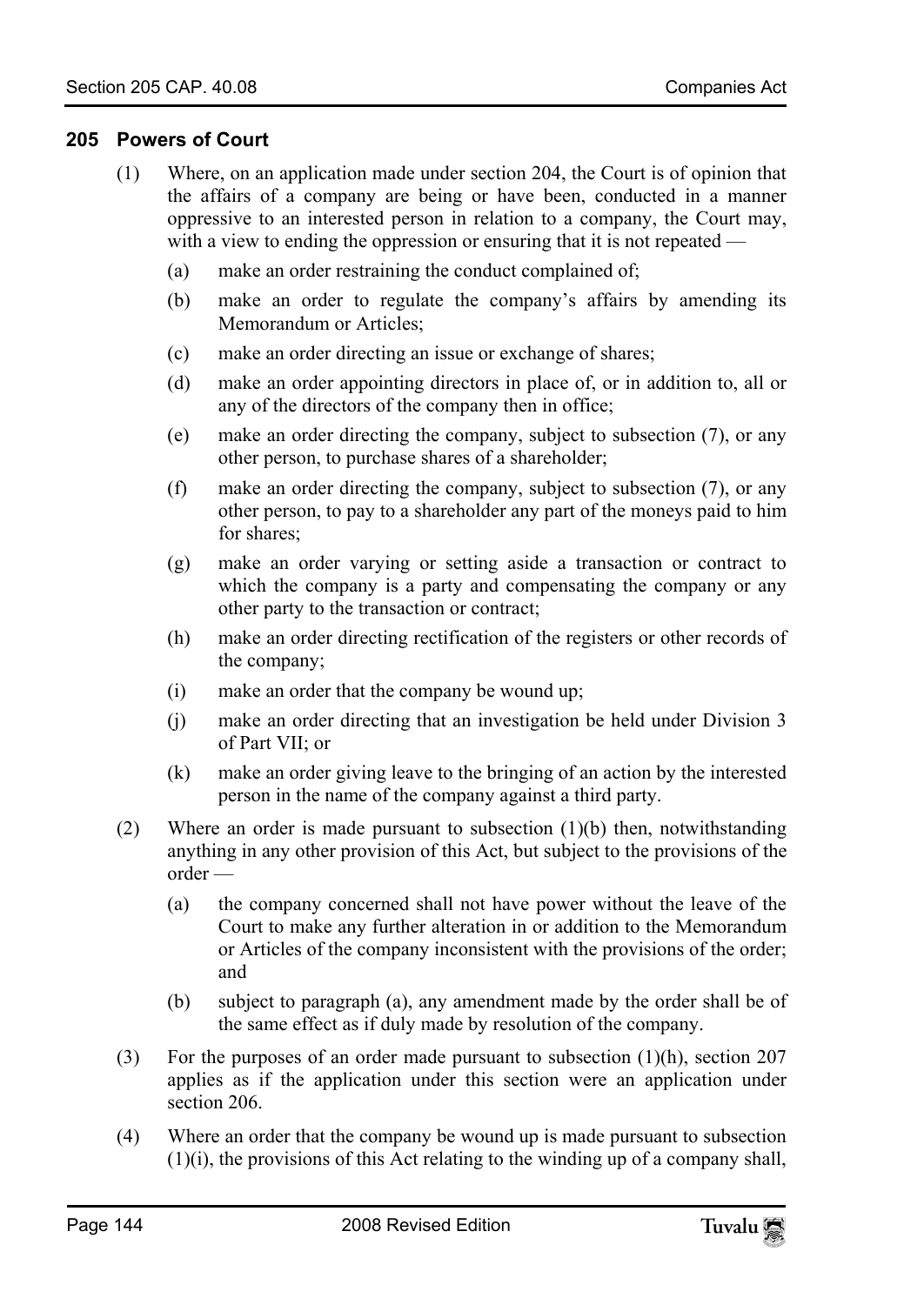#### **205 Powers of Court**

- (1) Where, on an application made under section 204, the Court is of opinion that the affairs of a company are being or have been, conducted in a manner oppressive to an interested person in relation to a company, the Court may, with a view to ending the oppression or ensuring that it is not repeated —
	- (a) make an order restraining the conduct complained of;
	- (b) make an order to regulate the company's affairs by amending its Memorandum or Articles;
	- (c) make an order directing an issue or exchange of shares;
	- (d) make an order appointing directors in place of, or in addition to, all or any of the directors of the company then in office;
	- (e) make an order directing the company, subject to subsection (7), or any other person, to purchase shares of a shareholder;
	- (f) make an order directing the company, subject to subsection (7), or any other person, to pay to a shareholder any part of the moneys paid to him for shares;
	- (g) make an order varying or setting aside a transaction or contract to which the company is a party and compensating the company or any other party to the transaction or contract;
	- (h) make an order directing rectification of the registers or other records of the company;
	- (i) make an order that the company be wound up;
	- (j) make an order directing that an investigation be held under Division 3 of Part VII; or
	- (k) make an order giving leave to the bringing of an action by the interested person in the name of the company against a third party.
- (2) Where an order is made pursuant to subsection (1)(b) then, notwithstanding anything in any other provision of this Act, but subject to the provisions of the order —
	- (a) the company concerned shall not have power without the leave of the Court to make any further alteration in or addition to the Memorandum or Articles of the company inconsistent with the provisions of the order; and
	- (b) subject to paragraph (a), any amendment made by the order shall be of the same effect as if duly made by resolution of the company.
- (3) For the purposes of an order made pursuant to subsection (1)(h), section 207 applies as if the application under this section were an application under section 206.
- (4) Where an order that the company be wound up is made pursuant to subsection (1)(i), the provisions of this Act relating to the winding up of a company shall,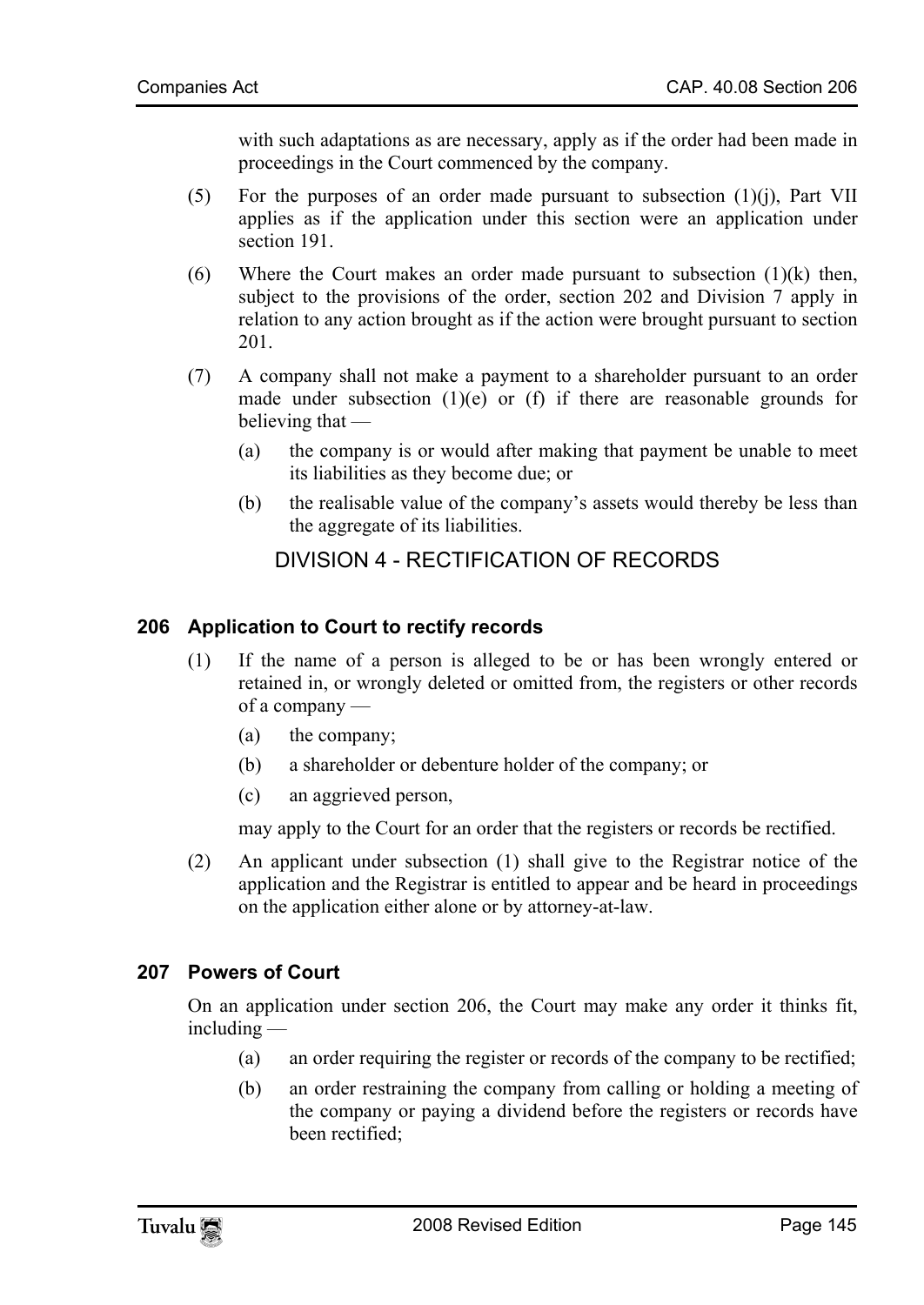with such adaptations as are necessary, apply as if the order had been made in proceedings in the Court commenced by the company.

- (5) For the purposes of an order made pursuant to subsection (1)(j), Part VII applies as if the application under this section were an application under section 191.
- (6) Where the Court makes an order made pursuant to subsection  $(1)(k)$  then, subject to the provisions of the order, section 202 and Division 7 apply in relation to any action brought as if the action were brought pursuant to section 201.
- (7) A company shall not make a payment to a shareholder pursuant to an order made under subsection  $(1)(e)$  or  $(f)$  if there are reasonable grounds for believing that —
	- (a) the company is or would after making that payment be unable to meet its liabilities as they become due; or
	- (b) the realisable value of the company's assets would thereby be less than the aggregate of its liabilities.

DIVISION 4 - RECTIFICATION OF RECORDS

#### **206 Application to Court to rectify records**

- (1) If the name of a person is alleged to be or has been wrongly entered or retained in, or wrongly deleted or omitted from, the registers or other records of a company —
	- (a) the company;
	- (b) a shareholder or debenture holder of the company; or
	- (c) an aggrieved person,

may apply to the Court for an order that the registers or records be rectified.

(2) An applicant under subsection (1) shall give to the Registrar notice of the application and the Registrar is entitled to appear and be heard in proceedings on the application either alone or by attorney-at-law.

#### **207 Powers of Court**

On an application under section 206, the Court may make any order it thinks fit, including —

- (a) an order requiring the register or records of the company to be rectified;
- (b) an order restraining the company from calling or holding a meeting of the company or paying a dividend before the registers or records have been rectified;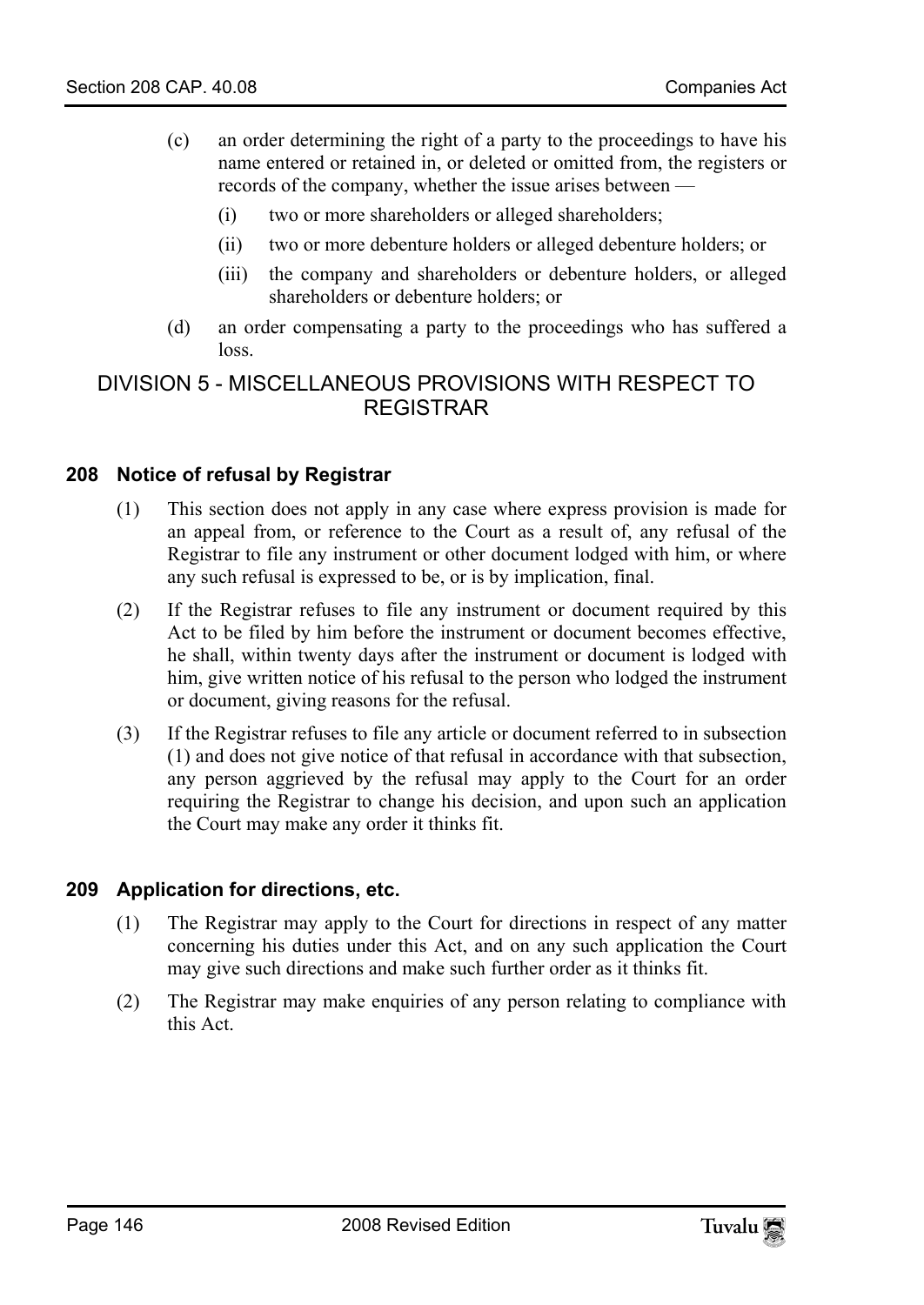- (c) an order determining the right of a party to the proceedings to have his name entered or retained in, or deleted or omitted from, the registers or records of the company, whether the issue arises between —
	- (i) two or more shareholders or alleged shareholders;
	- (ii) two or more debenture holders or alleged debenture holders; or
	- (iii) the company and shareholders or debenture holders, or alleged shareholders or debenture holders; or
- (d) an order compensating a party to the proceedings who has suffered a loss.

# DIVISION 5 - MISCELLANEOUS PROVISIONS WITH RESPECT TO REGISTRAR

#### **208 Notice of refusal by Registrar**

- (1) This section does not apply in any case where express provision is made for an appeal from, or reference to the Court as a result of, any refusal of the Registrar to file any instrument or other document lodged with him, or where any such refusal is expressed to be, or is by implication, final.
- (2) If the Registrar refuses to file any instrument or document required by this Act to be filed by him before the instrument or document becomes effective, he shall, within twenty days after the instrument or document is lodged with him, give written notice of his refusal to the person who lodged the instrument or document, giving reasons for the refusal.
- (3) If the Registrar refuses to file any article or document referred to in subsection (1) and does not give notice of that refusal in accordance with that subsection, any person aggrieved by the refusal may apply to the Court for an order requiring the Registrar to change his decision, and upon such an application the Court may make any order it thinks fit.

#### **209 Application for directions, etc.**

- (1) The Registrar may apply to the Court for directions in respect of any matter concerning his duties under this Act, and on any such application the Court may give such directions and make such further order as it thinks fit.
- (2) The Registrar may make enquiries of any person relating to compliance with this Act.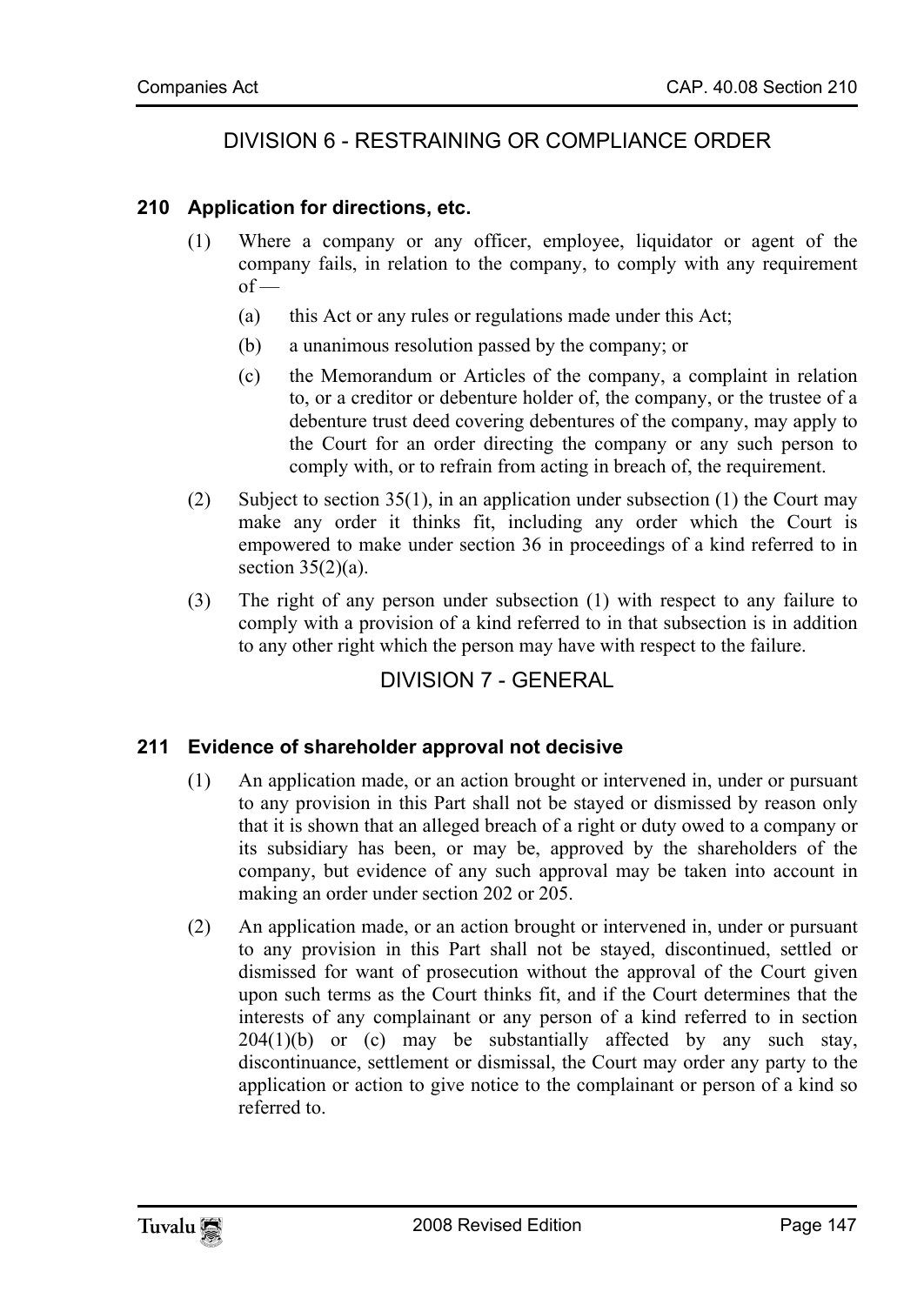# DIVISION 6 - RESTRAINING OR COMPLIANCE ORDER

#### **210 Application for directions, etc.**

- (1) Where a company or any officer, employee, liquidator or agent of the company fails, in relation to the company, to comply with any requirement  $of -$ 
	- (a) this Act or any rules or regulations made under this Act;
	- (b) a unanimous resolution passed by the company; or
	- (c) the Memorandum or Articles of the company, a complaint in relation to, or a creditor or debenture holder of, the company, or the trustee of a debenture trust deed covering debentures of the company, may apply to the Court for an order directing the company or any such person to comply with, or to refrain from acting in breach of, the requirement.
- (2) Subject to section 35(1), in an application under subsection (1) the Court may make any order it thinks fit, including any order which the Court is empowered to make under section 36 in proceedings of a kind referred to in section  $35(2)(a)$ .
- (3) The right of any person under subsection (1) with respect to any failure to comply with a provision of a kind referred to in that subsection is in addition to any other right which the person may have with respect to the failure.

DIVISION 7 - GENERAL

#### **211 Evidence of shareholder approval not decisive**

- (1) An application made, or an action brought or intervened in, under or pursuant to any provision in this Part shall not be stayed or dismissed by reason only that it is shown that an alleged breach of a right or duty owed to a company or its subsidiary has been, or may be, approved by the shareholders of the company, but evidence of any such approval may be taken into account in making an order under section 202 or 205.
- (2) An application made, or an action brought or intervened in, under or pursuant to any provision in this Part shall not be stayed, discontinued, settled or dismissed for want of prosecution without the approval of the Court given upon such terms as the Court thinks fit, and if the Court determines that the interests of any complainant or any person of a kind referred to in section  $204(1)(b)$  or (c) may be substantially affected by any such stay, discontinuance, settlement or dismissal, the Court may order any party to the application or action to give notice to the complainant or person of a kind so referred to.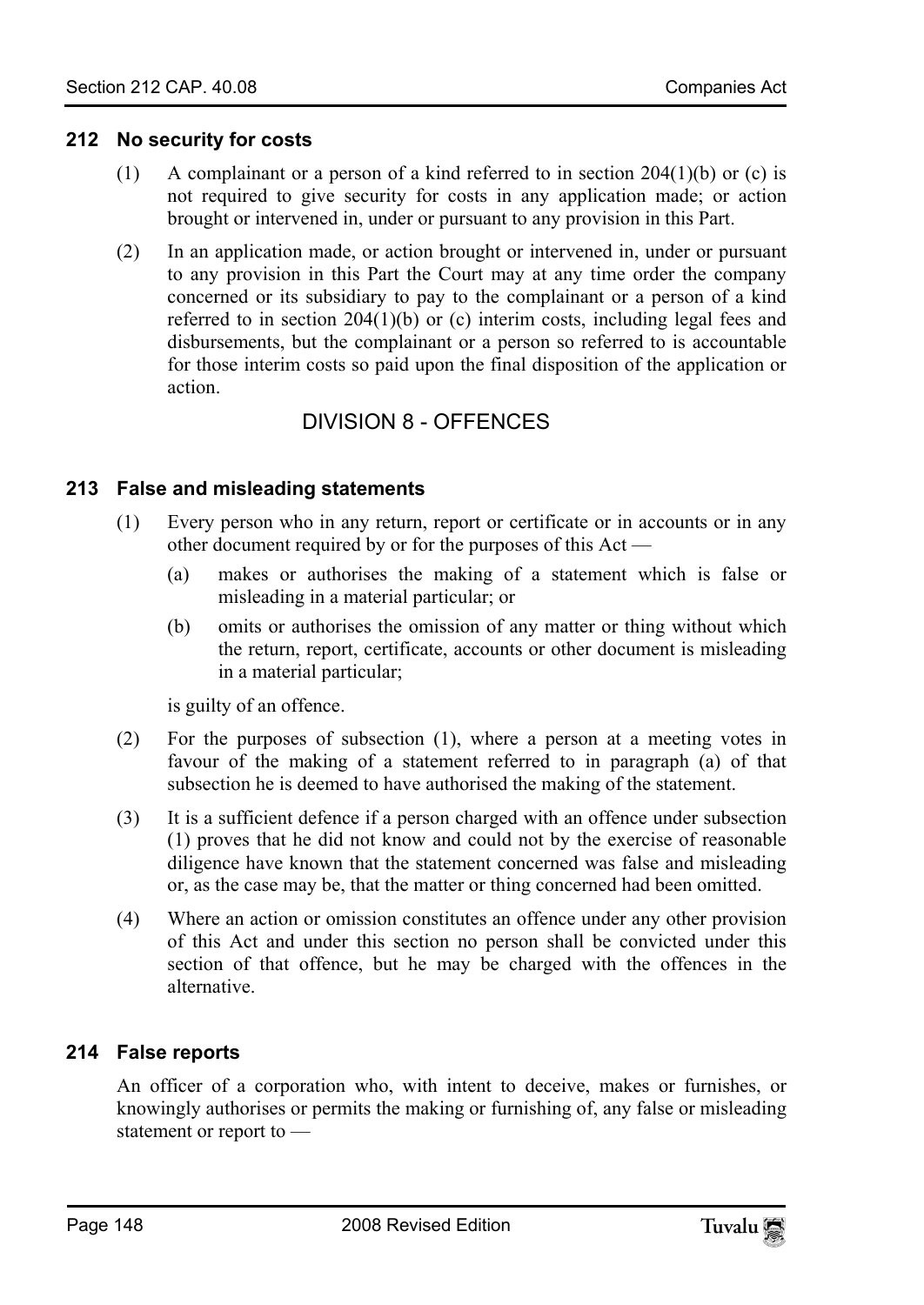#### **212 No security for costs**

- (1) A complainant or a person of a kind referred to in section  $204(1)(b)$  or (c) is not required to give security for costs in any application made; or action brought or intervened in, under or pursuant to any provision in this Part.
- (2) In an application made, or action brought or intervened in, under or pursuant to any provision in this Part the Court may at any time order the company concerned or its subsidiary to pay to the complainant or a person of a kind referred to in section  $204(1)(b)$  or (c) interim costs, including legal fees and disbursements, but the complainant or a person so referred to is accountable for those interim costs so paid upon the final disposition of the application or action.

# DIVISION 8 - OFFENCES

#### **213 False and misleading statements**

- (1) Every person who in any return, report or certificate or in accounts or in any other document required by or for the purposes of this Act —
	- (a) makes or authorises the making of a statement which is false or misleading in a material particular; or
	- (b) omits or authorises the omission of any matter or thing without which the return, report, certificate, accounts or other document is misleading in a material particular;

is guilty of an offence.

- (2) For the purposes of subsection (1), where a person at a meeting votes in favour of the making of a statement referred to in paragraph (a) of that subsection he is deemed to have authorised the making of the statement.
- (3) It is a sufficient defence if a person charged with an offence under subsection (1) proves that he did not know and could not by the exercise of reasonable diligence have known that the statement concerned was false and misleading or, as the case may be, that the matter or thing concerned had been omitted.
- (4) Where an action or omission constitutes an offence under any other provision of this Act and under this section no person shall be convicted under this section of that offence, but he may be charged with the offences in the alternative.

# **214 False reports**

An officer of a corporation who, with intent to deceive, makes or furnishes, or knowingly authorises or permits the making or furnishing of, any false or misleading statement or report to —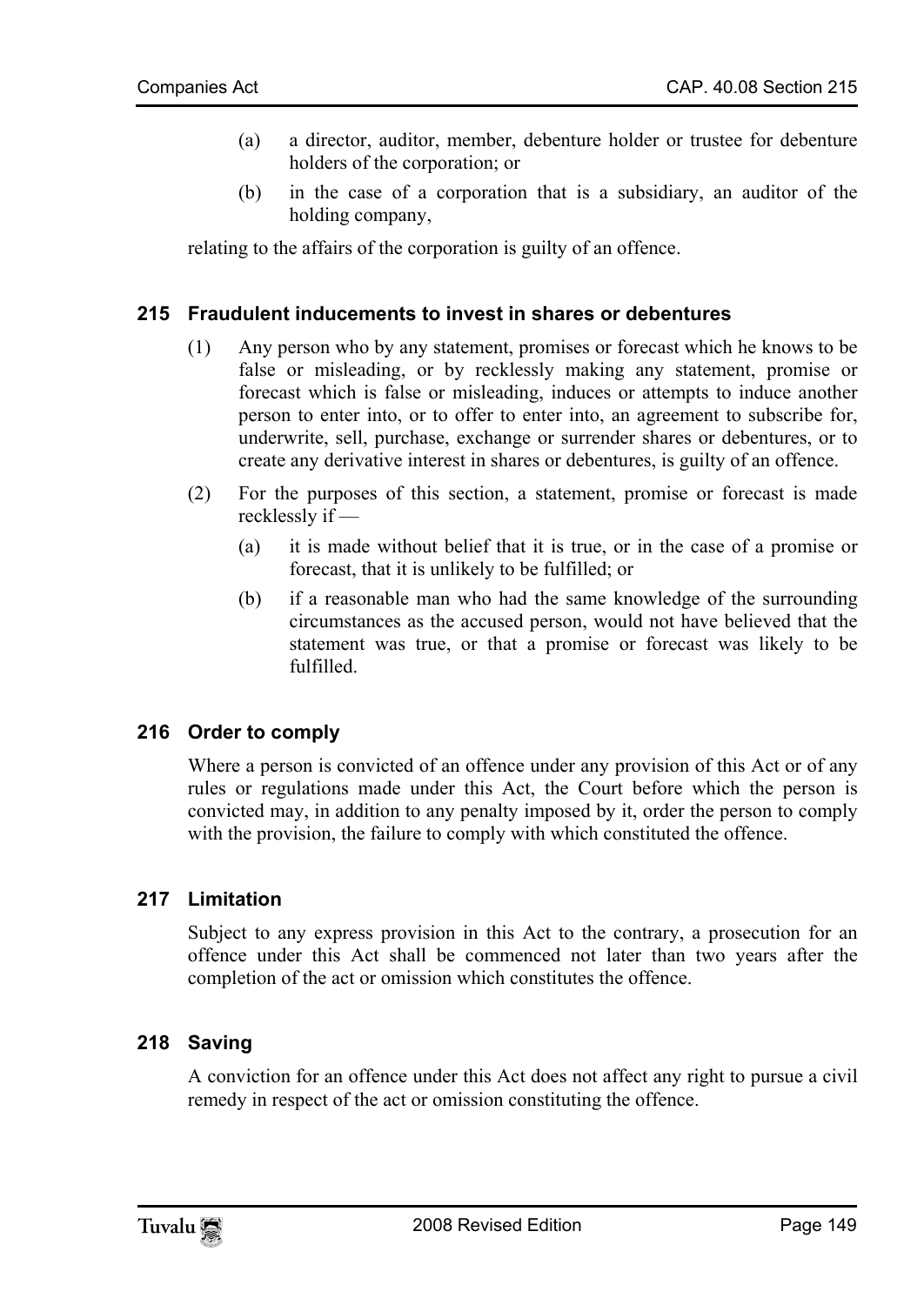- (a) a director, auditor, member, debenture holder or trustee for debenture holders of the corporation; or
- (b) in the case of a corporation that is a subsidiary, an auditor of the holding company,

relating to the affairs of the corporation is guilty of an offence.

### **215 Fraudulent inducements to invest in shares or debentures**

- (1) Any person who by any statement, promises or forecast which he knows to be false or misleading, or by recklessly making any statement, promise or forecast which is false or misleading, induces or attempts to induce another person to enter into, or to offer to enter into, an agreement to subscribe for, underwrite, sell, purchase, exchange or surrender shares or debentures, or to create any derivative interest in shares or debentures, is guilty of an offence.
- (2) For the purposes of this section, a statement, promise or forecast is made recklessly if —
	- (a) it is made without belief that it is true, or in the case of a promise or forecast, that it is unlikely to be fulfilled; or
	- (b) if a reasonable man who had the same knowledge of the surrounding circumstances as the accused person, would not have believed that the statement was true, or that a promise or forecast was likely to be fulfilled.

#### **216 Order to comply**

Where a person is convicted of an offence under any provision of this Act or of any rules or regulations made under this Act, the Court before which the person is convicted may, in addition to any penalty imposed by it, order the person to comply with the provision, the failure to comply with which constituted the offence.

#### **217 Limitation**

Subject to any express provision in this Act to the contrary, a prosecution for an offence under this Act shall be commenced not later than two years after the completion of the act or omission which constitutes the offence.

# **218 Saving**

A conviction for an offence under this Act does not affect any right to pursue a civil remedy in respect of the act or omission constituting the offence.

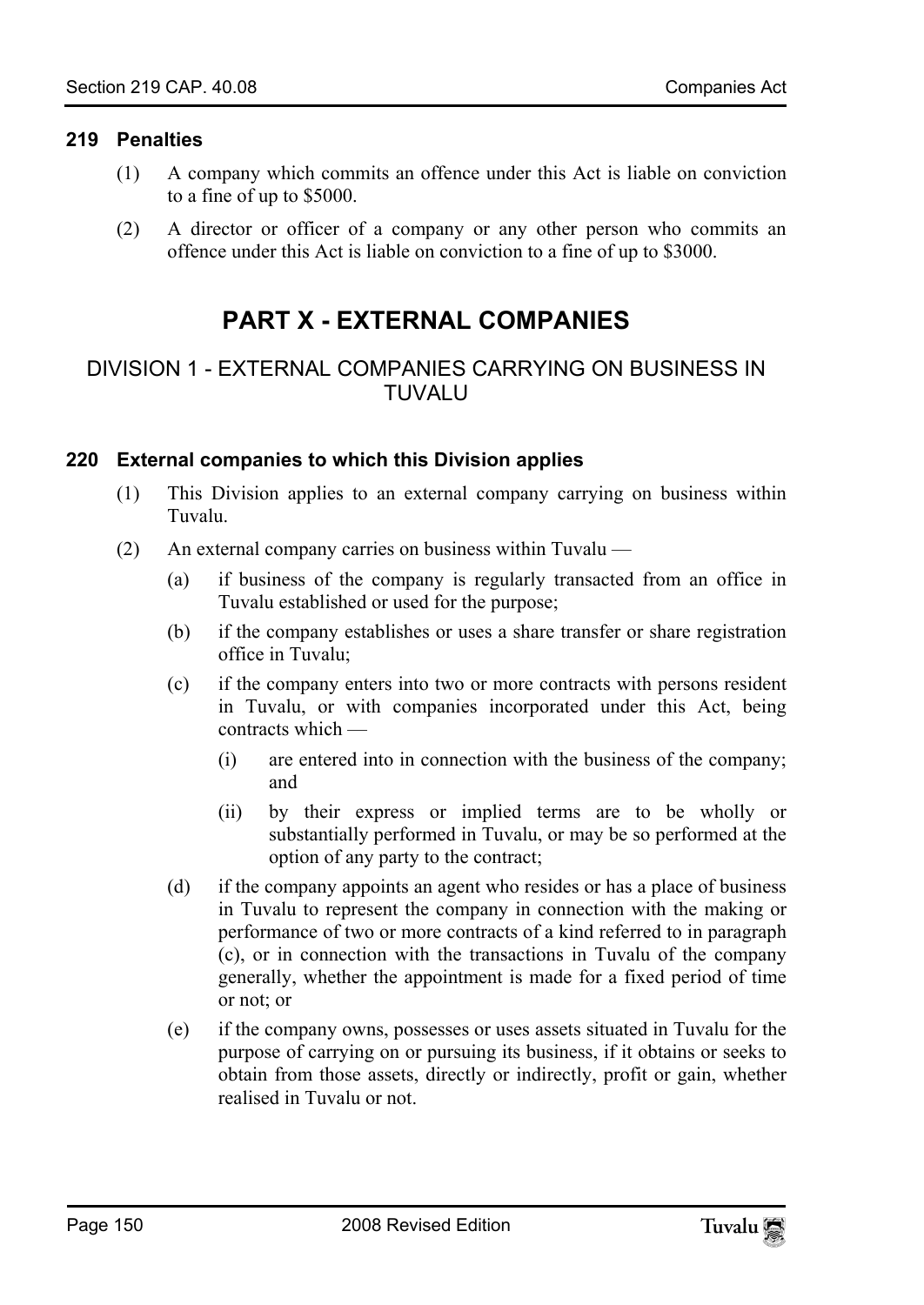#### **219 Penalties**

- (1) A company which commits an offence under this Act is liable on conviction to a fine of up to \$5000.
- (2) A director or officer of a company or any other person who commits an offence under this Act is liable on conviction to a fine of up to \$3000.

# **PART X - EXTERNAL COMPANIES**

# DIVISION 1 - EXTERNAL COMPANIES CARRYING ON BUSINESS IN TUVALU

#### **220 External companies to which this Division applies**

- (1) This Division applies to an external company carrying on business within Tuvalu.
- (2) An external company carries on business within Tuvalu
	- (a) if business of the company is regularly transacted from an office in Tuvalu established or used for the purpose;
	- (b) if the company establishes or uses a share transfer or share registration office in Tuvalu;
	- (c) if the company enters into two or more contracts with persons resident in Tuvalu, or with companies incorporated under this Act, being contracts which —
		- (i) are entered into in connection with the business of the company; and
		- (ii) by their express or implied terms are to be wholly or substantially performed in Tuvalu, or may be so performed at the option of any party to the contract;
	- (d) if the company appoints an agent who resides or has a place of business in Tuvalu to represent the company in connection with the making or performance of two or more contracts of a kind referred to in paragraph (c), or in connection with the transactions in Tuvalu of the company generally, whether the appointment is made for a fixed period of time or not; or
	- (e) if the company owns, possesses or uses assets situated in Tuvalu for the purpose of carrying on or pursuing its business, if it obtains or seeks to obtain from those assets, directly or indirectly, profit or gain, whether realised in Tuvalu or not.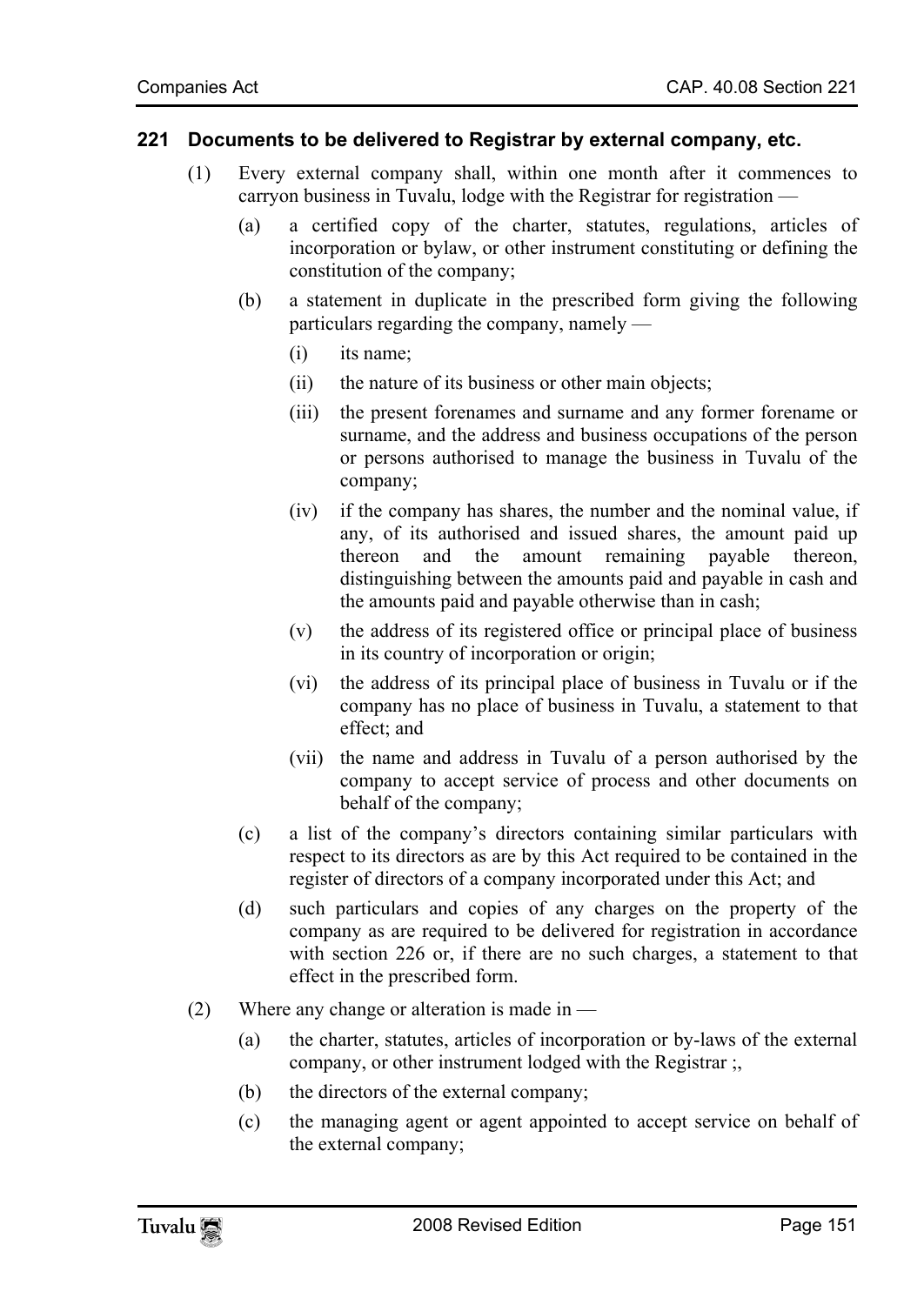#### **221 Documents to be delivered to Registrar by external company, etc.**

- (1) Every external company shall, within one month after it commences to carryon business in Tuvalu, lodge with the Registrar for registration —
	- (a) a certified copy of the charter, statutes, regulations, articles of incorporation or bylaw, or other instrument constituting or defining the constitution of the company;
	- (b) a statement in duplicate in the prescribed form giving the following particulars regarding the company, namely —
		- (i) its name;
		- (ii) the nature of its business or other main objects;
		- (iii) the present forenames and surname and any former forename or surname, and the address and business occupations of the person or persons authorised to manage the business in Tuvalu of the company;
		- (iv) if the company has shares, the number and the nominal value, if any, of its authorised and issued shares, the amount paid up thereon and the amount remaining payable thereon, distinguishing between the amounts paid and payable in cash and the amounts paid and payable otherwise than in cash;
		- (v) the address of its registered office or principal place of business in its country of incorporation or origin;
		- (vi) the address of its principal place of business in Tuvalu or if the company has no place of business in Tuvalu, a statement to that effect; and
		- (vii) the name and address in Tuvalu of a person authorised by the company to accept service of process and other documents on behalf of the company;
	- (c) a list of the company's directors containing similar particulars with respect to its directors as are by this Act required to be contained in the register of directors of a company incorporated under this Act; and
	- (d) such particulars and copies of any charges on the property of the company as are required to be delivered for registration in accordance with section 226 or, if there are no such charges, a statement to that effect in the prescribed form.
- (2) Where any change or alteration is made in
	- (a) the charter, statutes, articles of incorporation or by-laws of the external company, or other instrument lodged with the Registrar ;,
	- (b) the directors of the external company;
	- (c) the managing agent or agent appointed to accept service on behalf of the external company;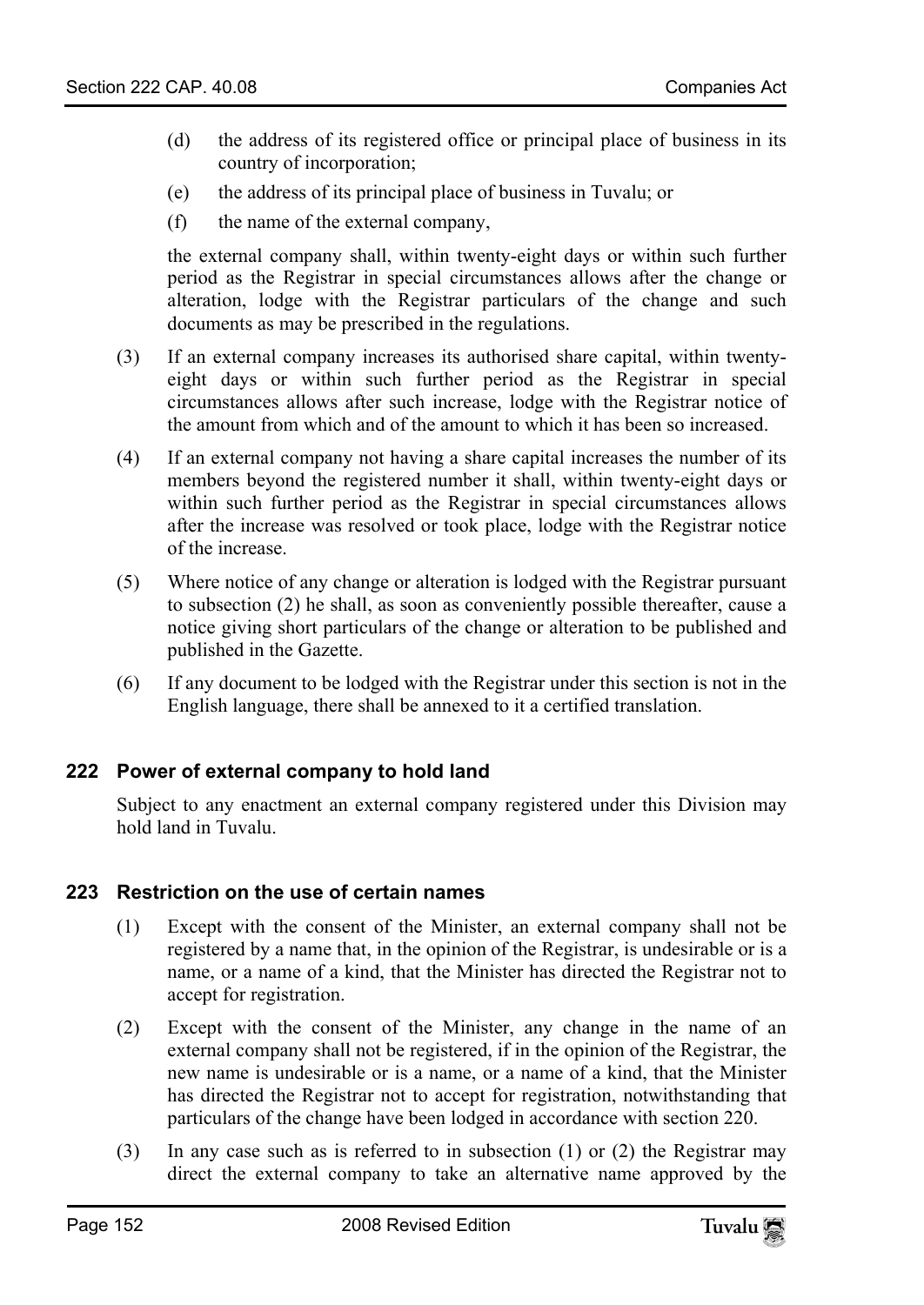- (d) the address of its registered office or principal place of business in its country of incorporation;
- (e) the address of its principal place of business in Tuvalu; or
- (f) the name of the external company,

the external company shall, within twenty-eight days or within such further period as the Registrar in special circumstances allows after the change or alteration, lodge with the Registrar particulars of the change and such documents as may be prescribed in the regulations.

- (3) If an external company increases its authorised share capital, within twentyeight days or within such further period as the Registrar in special circumstances allows after such increase, lodge with the Registrar notice of the amount from which and of the amount to which it has been so increased.
- (4) If an external company not having a share capital increases the number of its members beyond the registered number it shall, within twenty-eight days or within such further period as the Registrar in special circumstances allows after the increase was resolved or took place, lodge with the Registrar notice of the increase.
- (5) Where notice of any change or alteration is lodged with the Registrar pursuant to subsection (2) he shall, as soon as conveniently possible thereafter, cause a notice giving short particulars of the change or alteration to be published and published in the Gazette.
- (6) If any document to be lodged with the Registrar under this section is not in the English language, there shall be annexed to it a certified translation.

# **222 Power of external company to hold land**

Subject to any enactment an external company registered under this Division may hold land in Tuvalu.

#### **223 Restriction on the use of certain names**

- (1) Except with the consent of the Minister, an external company shall not be registered by a name that, in the opinion of the Registrar, is undesirable or is a name, or a name of a kind, that the Minister has directed the Registrar not to accept for registration.
- (2) Except with the consent of the Minister, any change in the name of an external company shall not be registered, if in the opinion of the Registrar, the new name is undesirable or is a name, or a name of a kind, that the Minister has directed the Registrar not to accept for registration, notwithstanding that particulars of the change have been lodged in accordance with section 220.
- (3) In any case such as is referred to in subsection (1) or (2) the Registrar may direct the external company to take an alternative name approved by the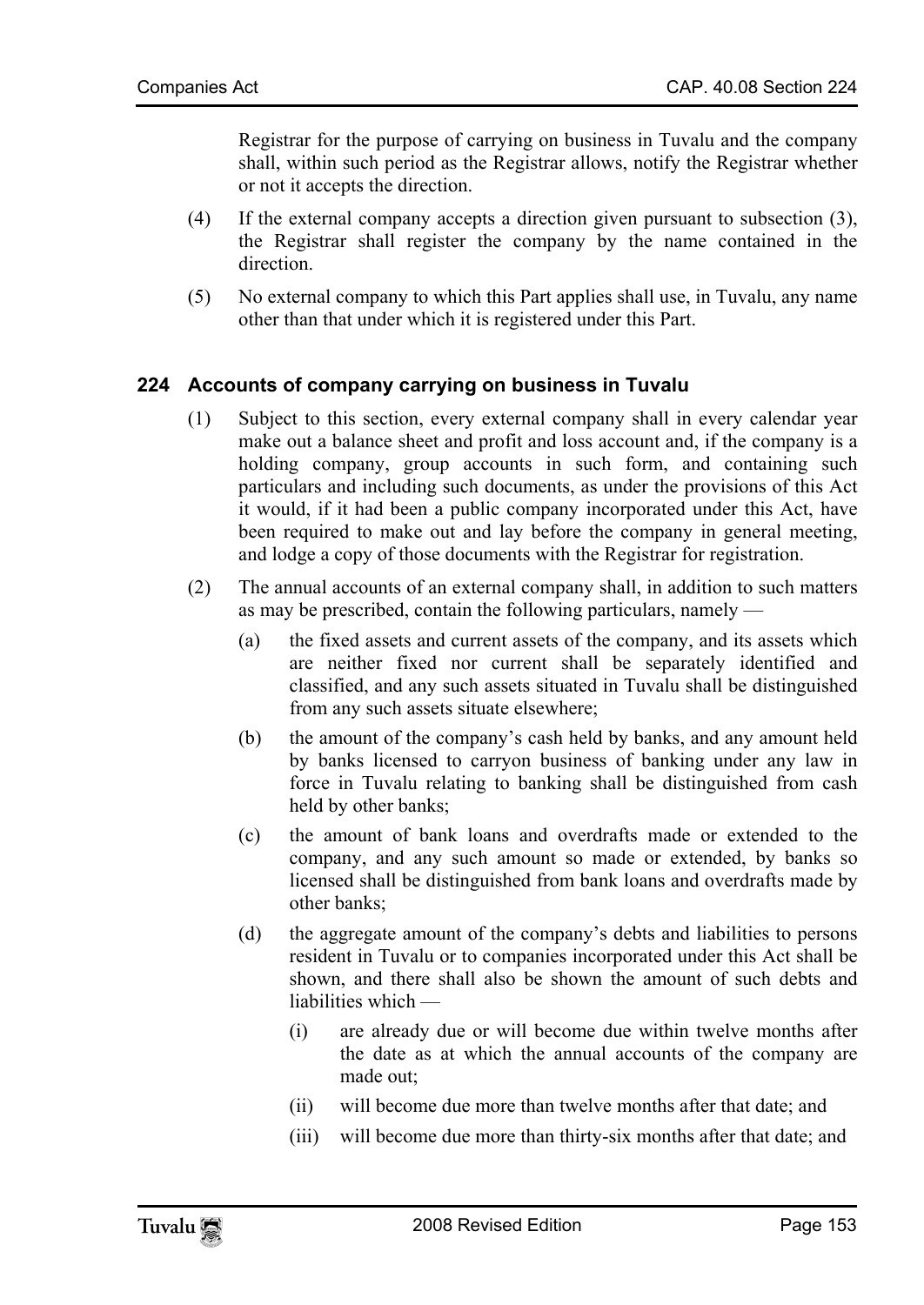Registrar for the purpose of carrying on business in Tuvalu and the company shall, within such period as the Registrar allows, notify the Registrar whether or not it accepts the direction.

- (4) If the external company accepts a direction given pursuant to subsection (3), the Registrar shall register the company by the name contained in the direction.
- (5) No external company to which this Part applies shall use, in Tuvalu, any name other than that under which it is registered under this Part.

### **224 Accounts of company carrying on business in Tuvalu**

- (1) Subject to this section, every external company shall in every calendar year make out a balance sheet and profit and loss account and, if the company is a holding company, group accounts in such form, and containing such particulars and including such documents, as under the provisions of this Act it would, if it had been a public company incorporated under this Act, have been required to make out and lay before the company in general meeting, and lodge a copy of those documents with the Registrar for registration.
- (2) The annual accounts of an external company shall, in addition to such matters as may be prescribed, contain the following particulars, namely —
	- (a) the fixed assets and current assets of the company, and its assets which are neither fixed nor current shall be separately identified and classified, and any such assets situated in Tuvalu shall be distinguished from any such assets situate elsewhere;
	- (b) the amount of the company's cash held by banks, and any amount held by banks licensed to carryon business of banking under any law in force in Tuvalu relating to banking shall be distinguished from cash held by other banks;
	- (c) the amount of bank loans and overdrafts made or extended to the company, and any such amount so made or extended, by banks so licensed shall be distinguished from bank loans and overdrafts made by other banks;
	- (d) the aggregate amount of the company's debts and liabilities to persons resident in Tuvalu or to companies incorporated under this Act shall be shown, and there shall also be shown the amount of such debts and liabilities which —
		- (i) are already due or will become due within twelve months after the date as at which the annual accounts of the company are made out;
		- (ii) will become due more than twelve months after that date; and
		- (iii) will become due more than thirty-six months after that date; and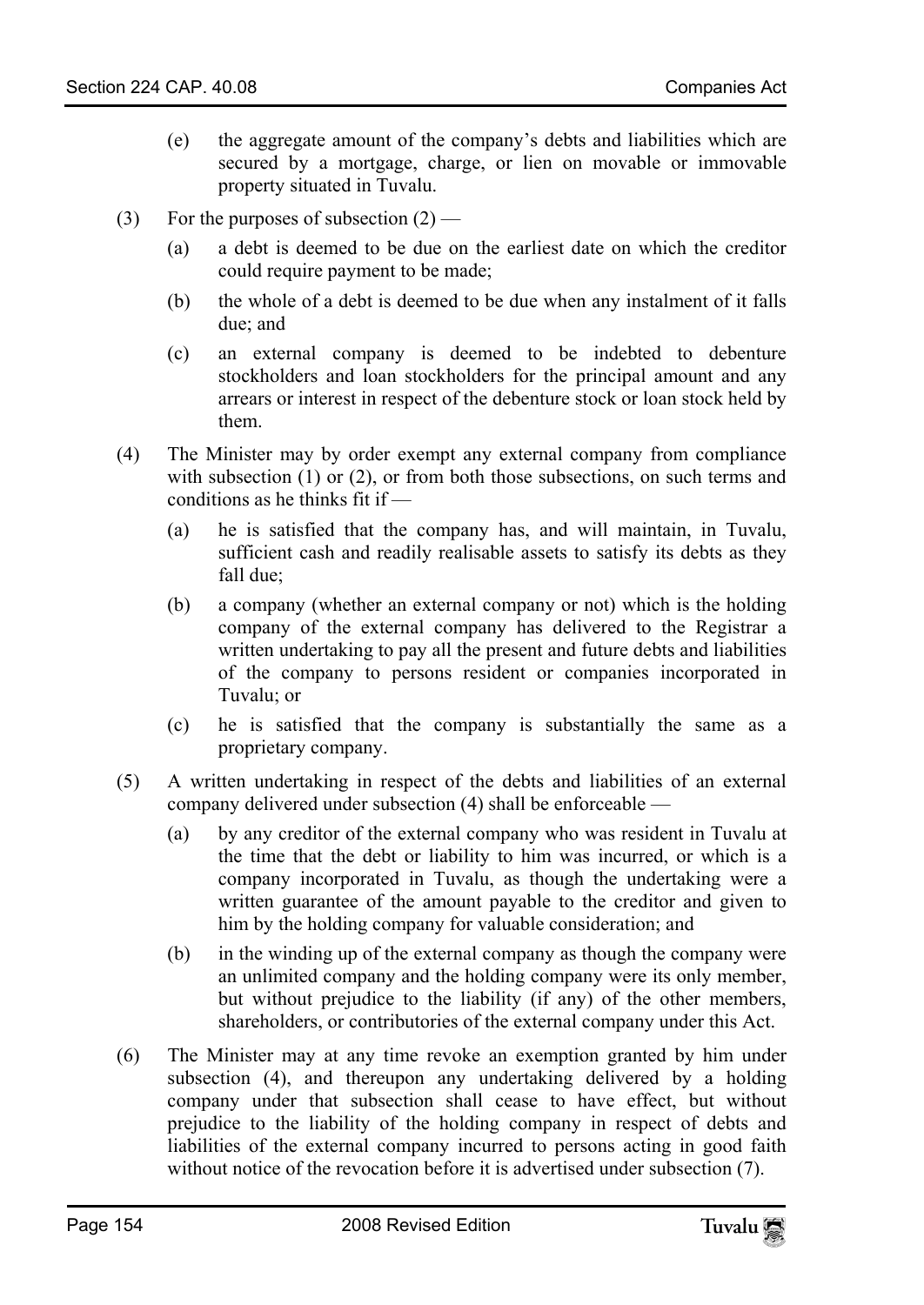- (e) the aggregate amount of the company's debts and liabilities which are secured by a mortgage, charge, or lien on movable or immovable property situated in Tuvalu.
- (3) For the purposes of subsection  $(2)$ 
	- (a) a debt is deemed to be due on the earliest date on which the creditor could require payment to be made;
	- (b) the whole of a debt is deemed to be due when any instalment of it falls due; and
	- (c) an external company is deemed to be indebted to debenture stockholders and loan stockholders for the principal amount and any arrears or interest in respect of the debenture stock or loan stock held by them.
- (4) The Minister may by order exempt any external company from compliance with subsection (1) or (2), or from both those subsections, on such terms and conditions as he thinks fit if —
	- (a) he is satisfied that the company has, and will maintain, in Tuvalu, sufficient cash and readily realisable assets to satisfy its debts as they fall due;
	- (b) a company (whether an external company or not) which is the holding company of the external company has delivered to the Registrar a written undertaking to pay all the present and future debts and liabilities of the company to persons resident or companies incorporated in Tuvalu; or
	- (c) he is satisfied that the company is substantially the same as a proprietary company.
- (5) A written undertaking in respect of the debts and liabilities of an external company delivered under subsection (4) shall be enforceable —
	- (a) by any creditor of the external company who was resident in Tuvalu at the time that the debt or liability to him was incurred, or which is a company incorporated in Tuvalu, as though the undertaking were a written guarantee of the amount payable to the creditor and given to him by the holding company for valuable consideration; and
	- (b) in the winding up of the external company as though the company were an unlimited company and the holding company were its only member, but without prejudice to the liability (if any) of the other members, shareholders, or contributories of the external company under this Act.
- (6) The Minister may at any time revoke an exemption granted by him under subsection (4), and thereupon any undertaking delivered by a holding company under that subsection shall cease to have effect, but without prejudice to the liability of the holding company in respect of debts and liabilities of the external company incurred to persons acting in good faith without notice of the revocation before it is advertised under subsection  $(7)$ .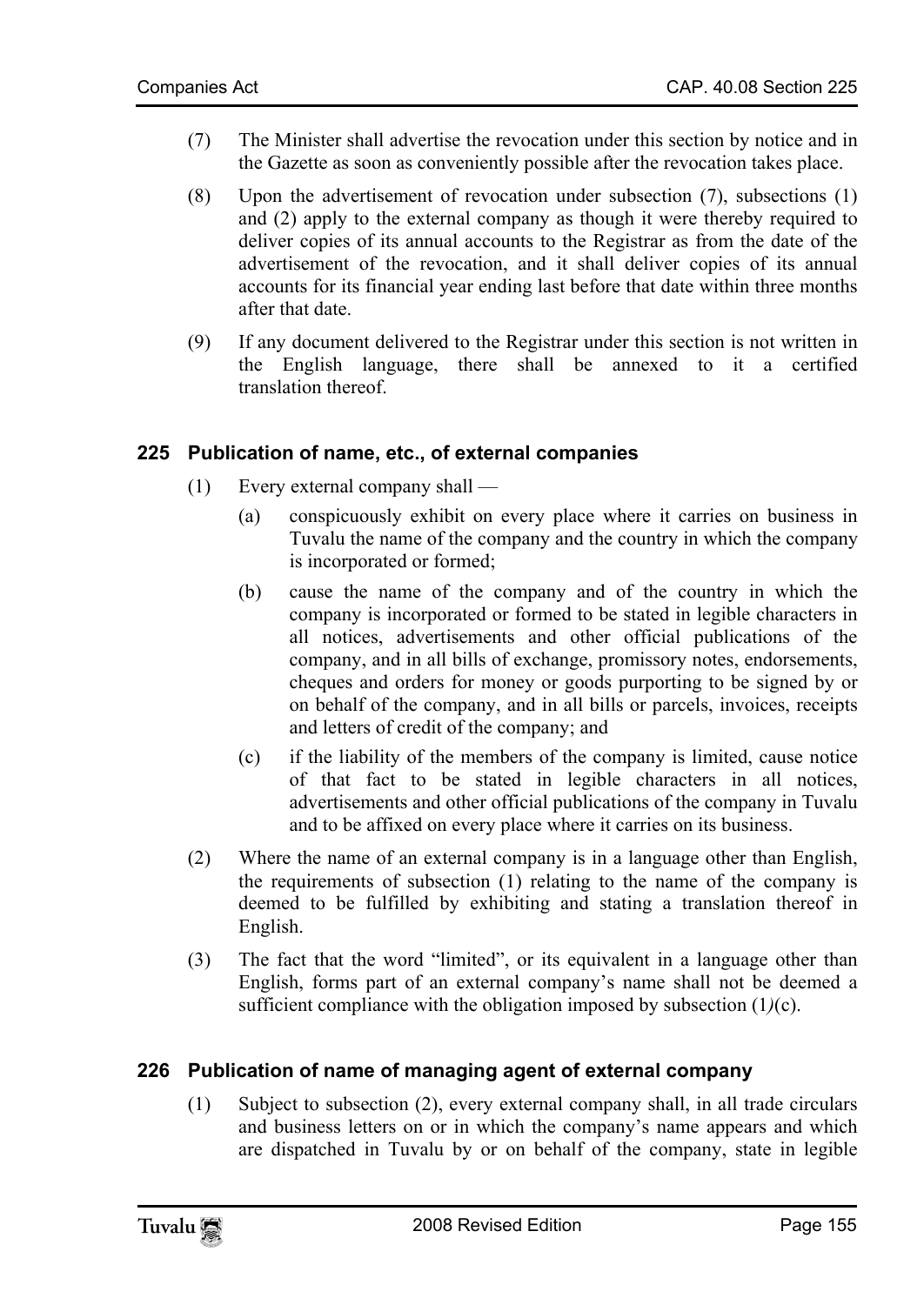- (7) The Minister shall advertise the revocation under this section by notice and in the Gazette as soon as conveniently possible after the revocation takes place.
- (8) Upon the advertisement of revocation under subsection (7), subsections (1) and (2) apply to the external company as though it were thereby required to deliver copies of its annual accounts to the Registrar as from the date of the advertisement of the revocation, and it shall deliver copies of its annual accounts for its financial year ending last before that date within three months after that date.
- (9) If any document delivered to the Registrar under this section is not written in the English language, there shall be annexed to it a certified translation thereof.

### **225 Publication of name, etc., of external companies**

- (1) Every external company shall
	- (a) conspicuously exhibit on every place where it carries on business in Tuvalu the name of the company and the country in which the company is incorporated or formed;
	- (b) cause the name of the company and of the country in which the company is incorporated or formed to be stated in legible characters in all notices, advertisements and other official publications of the company, and in all bills of exchange, promissory notes, endorsements, cheques and orders for money or goods purporting to be signed by or on behalf of the company, and in all bills or parcels, invoices, receipts and letters of credit of the company; and
	- (c) if the liability of the members of the company is limited, cause notice of that fact to be stated in legible characters in all notices, advertisements and other official publications of the company in Tuvalu and to be affixed on every place where it carries on its business.
- (2) Where the name of an external company is in a language other than English, the requirements of subsection (1) relating to the name of the company is deemed to be fulfilled by exhibiting and stating a translation thereof in English.
- (3) The fact that the word "limited", or its equivalent in a language other than English, forms part of an external company's name shall not be deemed a sufficient compliance with the obligation imposed by subsection (1*)*(c).

# **226 Publication of name of managing agent of external company**

(1) Subject to subsection (2), every external company shall, in all trade circulars and business letters on or in which the company's name appears and which are dispatched in Tuvalu by or on behalf of the company, state in legible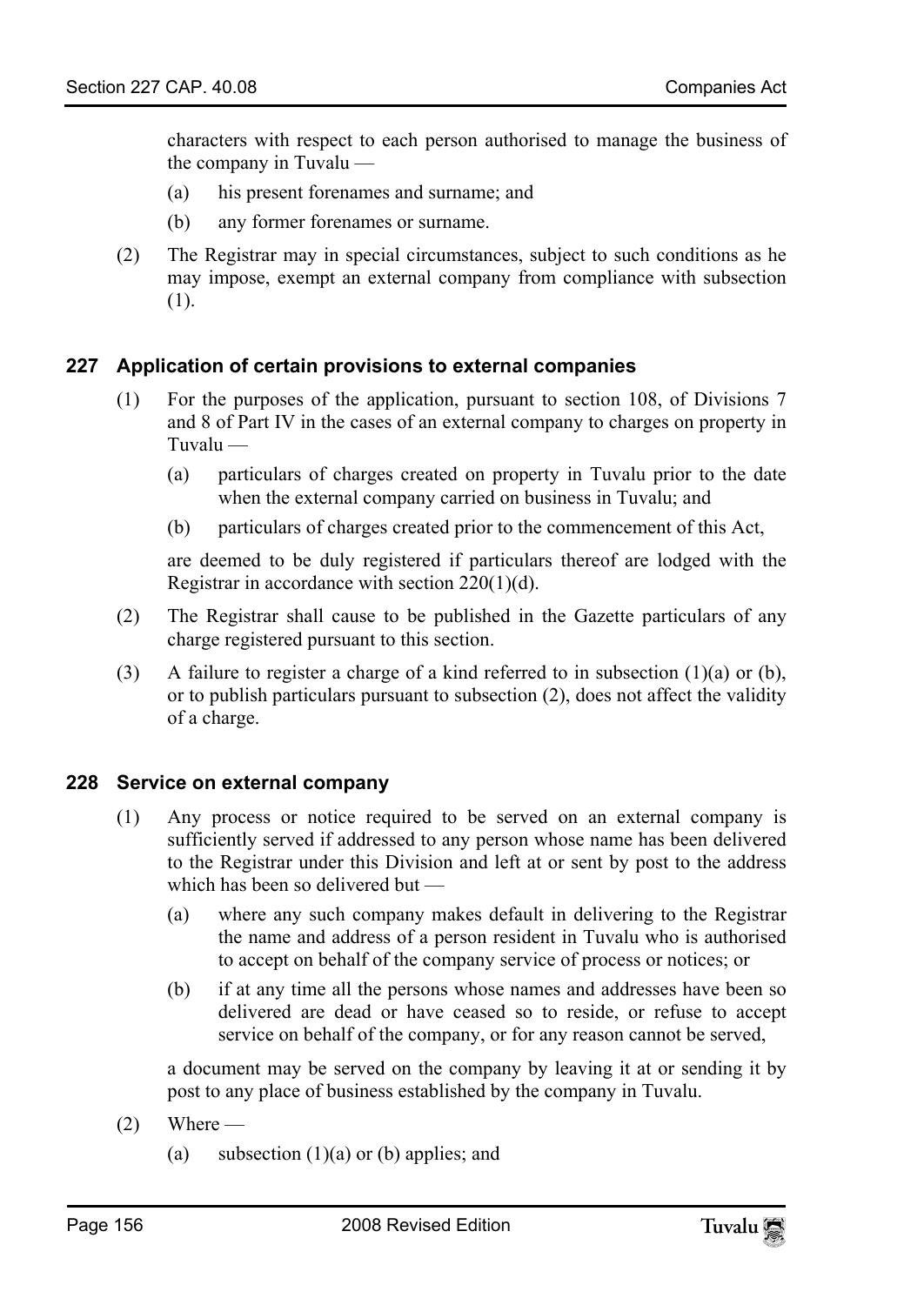characters with respect to each person authorised to manage the business of the company in Tuvalu —

- (a) his present forenames and surname; and
- (b) any former forenames or surname.
- (2) The Registrar may in special circumstances, subject to such conditions as he may impose, exempt an external company from compliance with subsection (1).

### **227 Application of certain provisions to external companies**

- (1) For the purposes of the application, pursuant to section 108, of Divisions 7 and 8 of Part IV in the cases of an external company to charges on property in Tuvalu —
	- (a) particulars of charges created on property in Tuvalu prior to the date when the external company carried on business in Tuvalu; and
	- (b) particulars of charges created prior to the commencement of this Act,

are deemed to be duly registered if particulars thereof are lodged with the Registrar in accordance with section 220(1)(d).

- (2) The Registrar shall cause to be published in the Gazette particulars of any charge registered pursuant to this section.
- (3) A failure to register a charge of a kind referred to in subsection (1)(a) or (b), or to publish particulars pursuant to subsection (2), does not affect the validity of a charge.

#### **228 Service on external company**

- (1) Any process or notice required to be served on an external company is sufficiently served if addressed to any person whose name has been delivered to the Registrar under this Division and left at or sent by post to the address which has been so delivered but —
	- (a) where any such company makes default in delivering to the Registrar the name and address of a person resident in Tuvalu who is authorised to accept on behalf of the company service of process or notices; or
	- (b) if at any time all the persons whose names and addresses have been so delivered are dead or have ceased so to reside, or refuse to accept service on behalf of the company, or for any reason cannot be served,

a document may be served on the company by leaving it at or sending it by post to any place of business established by the company in Tuvalu.

- $(2)$  Where
	- (a) subsection  $(1)(a)$  or (b) applies; and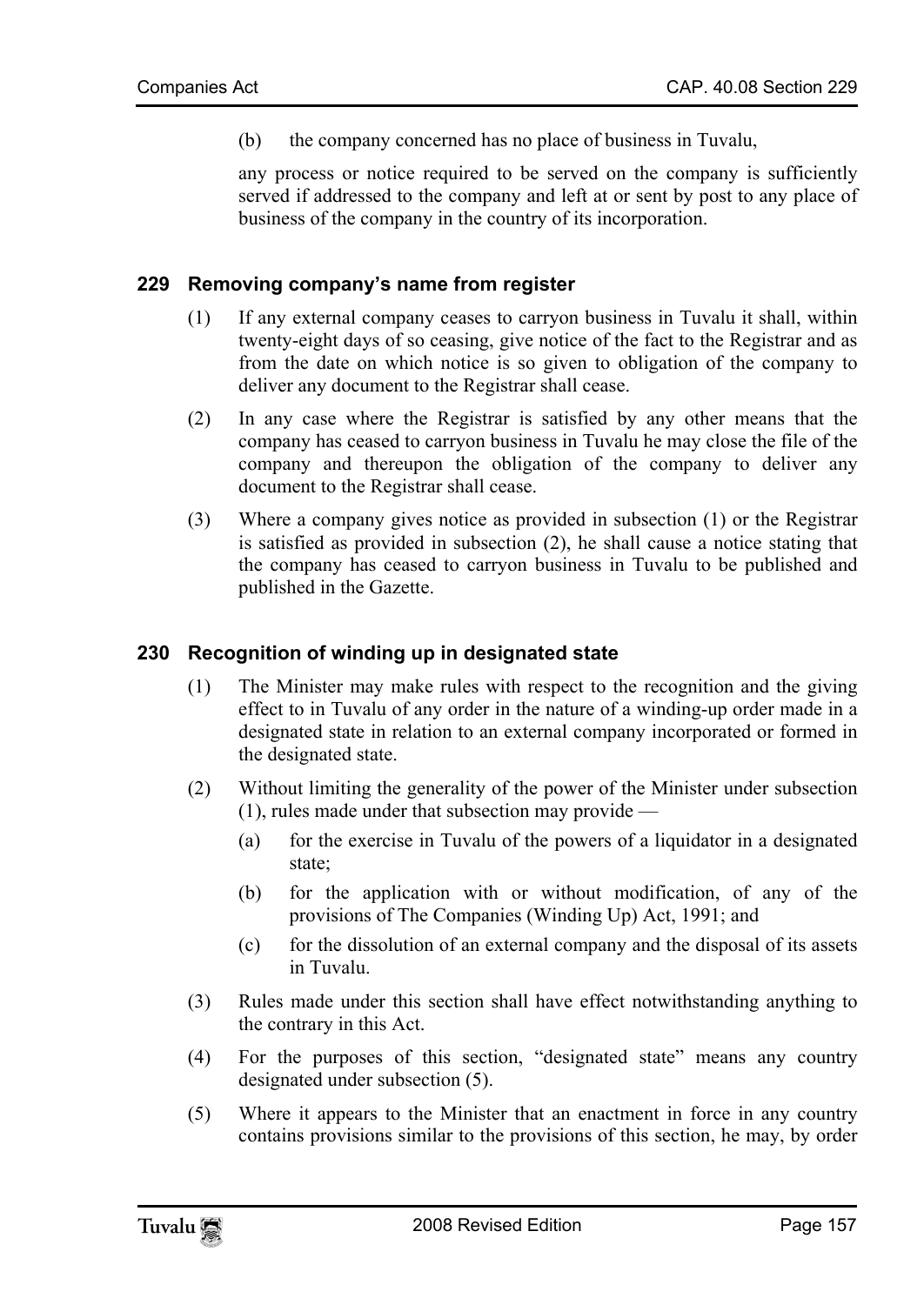(b) the company concerned has no place of business in Tuvalu,

any process or notice required to be served on the company is sufficiently served if addressed to the company and left at or sent by post to any place of business of the company in the country of its incorporation.

#### **229 Removing company's name from register**

- (1) If any external company ceases to carryon business in Tuvalu it shall, within twenty-eight days of so ceasing, give notice of the fact to the Registrar and as from the date on which notice is so given to obligation of the company to deliver any document to the Registrar shall cease.
- (2) In any case where the Registrar is satisfied by any other means that the company has ceased to carryon business in Tuvalu he may close the file of the company and thereupon the obligation of the company to deliver any document to the Registrar shall cease.
- (3) Where a company gives notice as provided in subsection (1) or the Registrar is satisfied as provided in subsection (2), he shall cause a notice stating that the company has ceased to carryon business in Tuvalu to be published and published in the Gazette.

#### **230 Recognition of winding up in designated state**

- (1) The Minister may make rules with respect to the recognition and the giving effect to in Tuvalu of any order in the nature of a winding-up order made in a designated state in relation to an external company incorporated or formed in the designated state.
- (2) Without limiting the generality of the power of the Minister under subsection  $(1)$ , rules made under that subsection may provide —
	- (a) for the exercise in Tuvalu of the powers of a liquidator in a designated state;
	- (b) for the application with or without modification, of any of the provisions of The Companies (Winding Up) Act, 1991; and
	- (c) for the dissolution of an external company and the disposal of its assets in Tuvalu.
- (3) Rules made under this section shall have effect notwithstanding anything to the contrary in this Act.
- (4) For the purposes of this section, "designated state" means any country designated under subsection (5).
- (5) Where it appears to the Minister that an enactment in force in any country contains provisions similar to the provisions of this section, he may, by order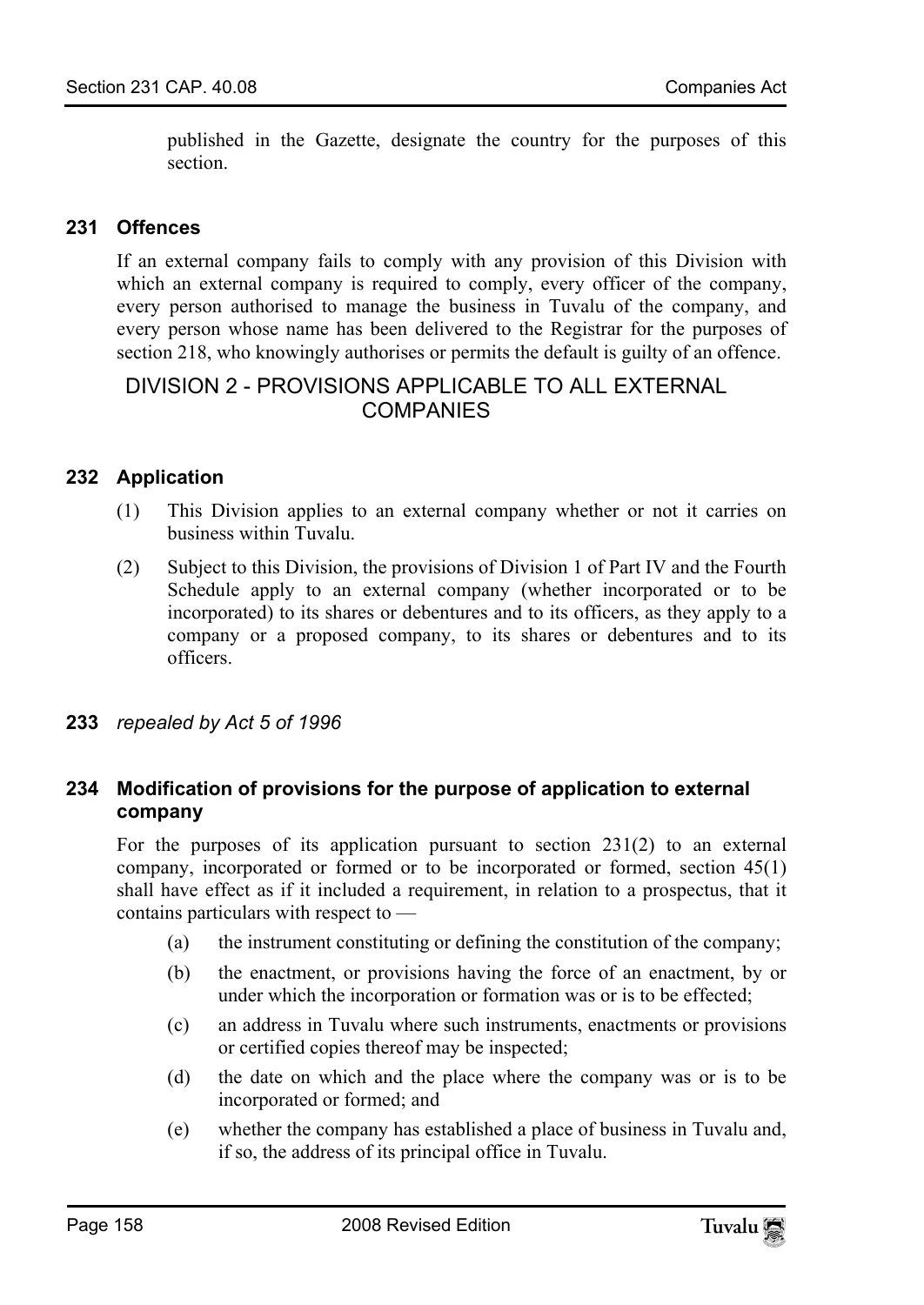published in the Gazette, designate the country for the purposes of this section.

### **231 Offences**

If an external company fails to comply with any provision of this Division with which an external company is required to comply, every officer of the company, every person authorised to manage the business in Tuvalu of the company, and every person whose name has been delivered to the Registrar for the purposes of section 218, who knowingly authorises or permits the default is guilty of an offence.

# DIVISION 2 - PROVISIONS APPLICABLE TO ALL EXTERNAL **COMPANIES**

# **232 Application**

- (1) This Division applies to an external company whether or not it carries on business within Tuvalu.
- (2) Subject to this Division, the provisions of Division 1 of Part IV and the Fourth Schedule apply to an external company (whether incorporated or to be incorporated) to its shares or debentures and to its officers, as they apply to a company or a proposed company, to its shares or debentures and to its officers.
- **233** *repealed by Act 5 of 1996*

### **234 Modification of provisions for the purpose of application to external company**

For the purposes of its application pursuant to section 231(2) to an external company, incorporated or formed or to be incorporated or formed, section 45(1) shall have effect as if it included a requirement, in relation to a prospectus, that it contains particulars with respect to —

- (a) the instrument constituting or defining the constitution of the company;
- (b) the enactment, or provisions having the force of an enactment, by or under which the incorporation or formation was or is to be effected;
- (c) an address in Tuvalu where such instruments, enactments or provisions or certified copies thereof may be inspected;
- (d) the date on which and the place where the company was or is to be incorporated or formed; and
- (e) whether the company has established a place of business in Tuvalu and, if so, the address of its principal office in Tuvalu.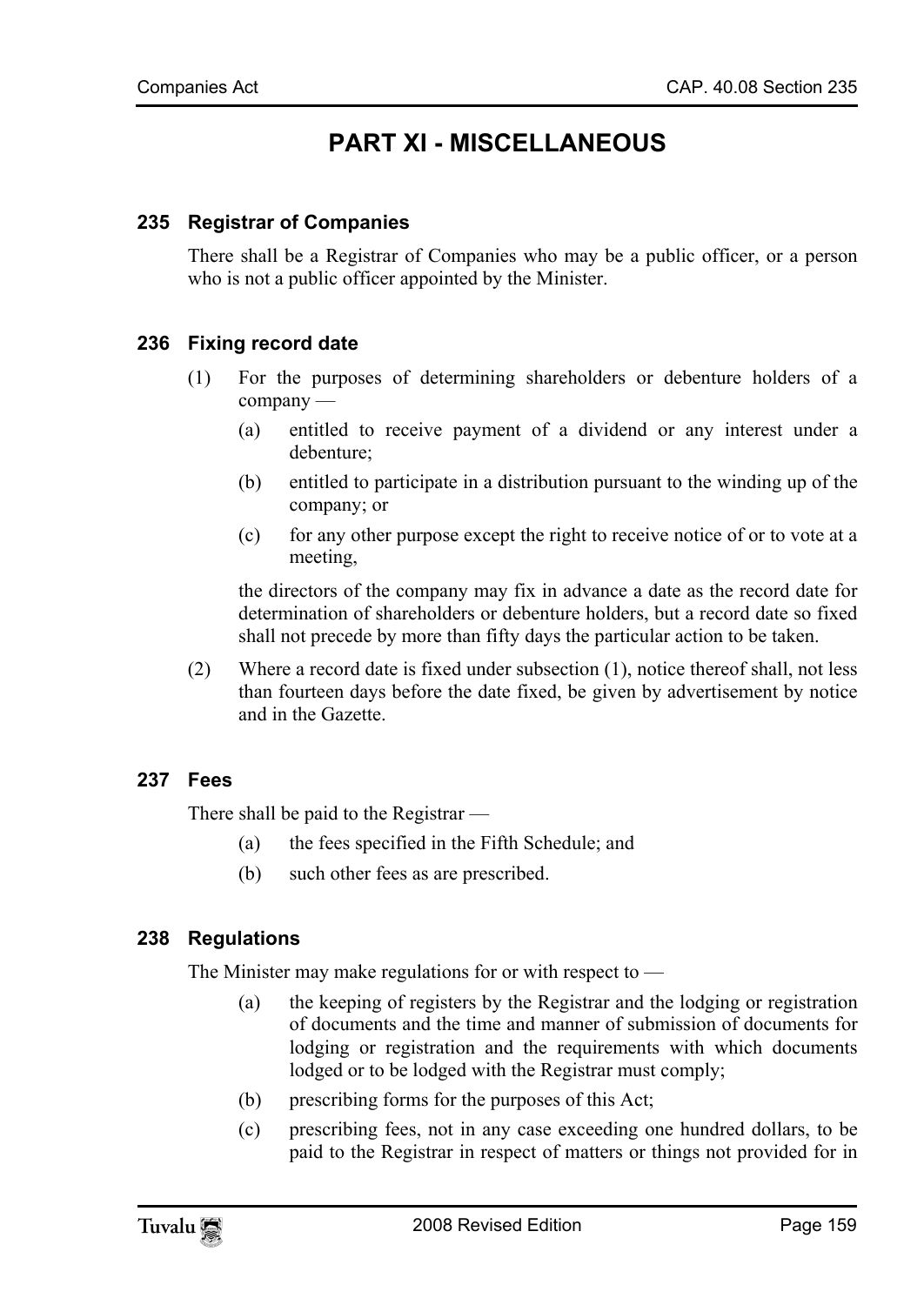# **PART XI - MISCELLANEOUS**

#### **235 Registrar of Companies**

There shall be a Registrar of Companies who may be a public officer, or a person who is not a public officer appointed by the Minister.

### **236 Fixing record date**

- (1) For the purposes of determining shareholders or debenture holders of a company —
	- (a) entitled to receive payment of a dividend or any interest under a debenture;
	- (b) entitled to participate in a distribution pursuant to the winding up of the company; or
	- (c) for any other purpose except the right to receive notice of or to vote at a meeting,

the directors of the company may fix in advance a date as the record date for determination of shareholders or debenture holders, but a record date so fixed shall not precede by more than fifty days the particular action to be taken.

(2) Where a record date is fixed under subsection (1), notice thereof shall, not less than fourteen days before the date fixed, be given by advertisement by notice and in the Gazette.

#### **237 Fees**

There shall be paid to the Registrar —

- (a) the fees specified in the Fifth Schedule; and
- (b) such other fees as are prescribed.

# **238 Regulations**

The Minister may make regulations for or with respect to —

- (a) the keeping of registers by the Registrar and the lodging or registration of documents and the time and manner of submission of documents for lodging or registration and the requirements with which documents lodged or to be lodged with the Registrar must comply;
- (b) prescribing forms for the purposes of this Act;
- (c) prescribing fees, not in any case exceeding one hundred dollars, to be paid to the Registrar in respect of matters or things not provided for in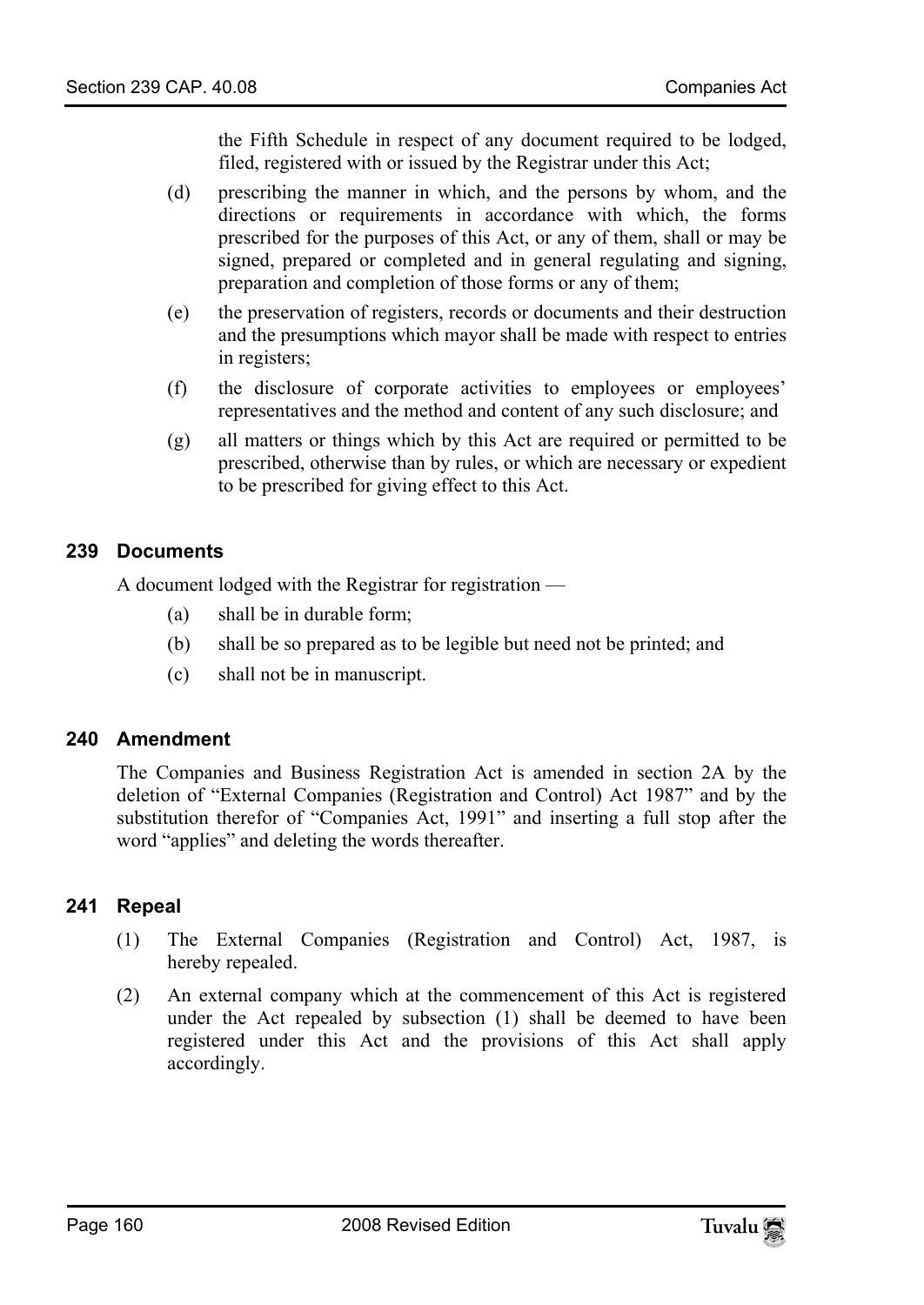the Fifth Schedule in respect of any document required to be lodged, filed, registered with or issued by the Registrar under this Act;

- (d) prescribing the manner in which, and the persons by whom, and the directions or requirements in accordance with which, the forms prescribed for the purposes of this Act, or any of them, shall or may be signed, prepared or completed and in general regulating and signing, preparation and completion of those forms or any of them;
- (e) the preservation of registers, records or documents and their destruction and the presumptions which mayor shall be made with respect to entries in registers;
- (f) the disclosure of corporate activities to employees or employees' representatives and the method and content of any such disclosure; and
- (g) all matters or things which by this Act are required or permitted to be prescribed, otherwise than by rules, or which are necessary or expedient to be prescribed for giving effect to this Act.

# **239 Documents**

A document lodged with the Registrar for registration —

- (a) shall be in durable form;
- (b) shall be so prepared as to be legible but need not be printed; and
- (c) shall not be in manuscript.

# **240 Amendment**

The Companies and Business Registration Act is amended in section 2A by the deletion of "External Companies (Registration and Control) Act 1987" and by the substitution therefor of "Companies Act, 1991" and inserting a full stop after the word "applies" and deleting the words thereafter.

# **241 Repeal**

- (1) The External Companies (Registration and Control) Act, 1987, is hereby repealed.
- (2) An external company which at the commencement of this Act is registered under the Act repealed by subsection (1) shall be deemed to have been registered under this Act and the provisions of this Act shall apply accordingly.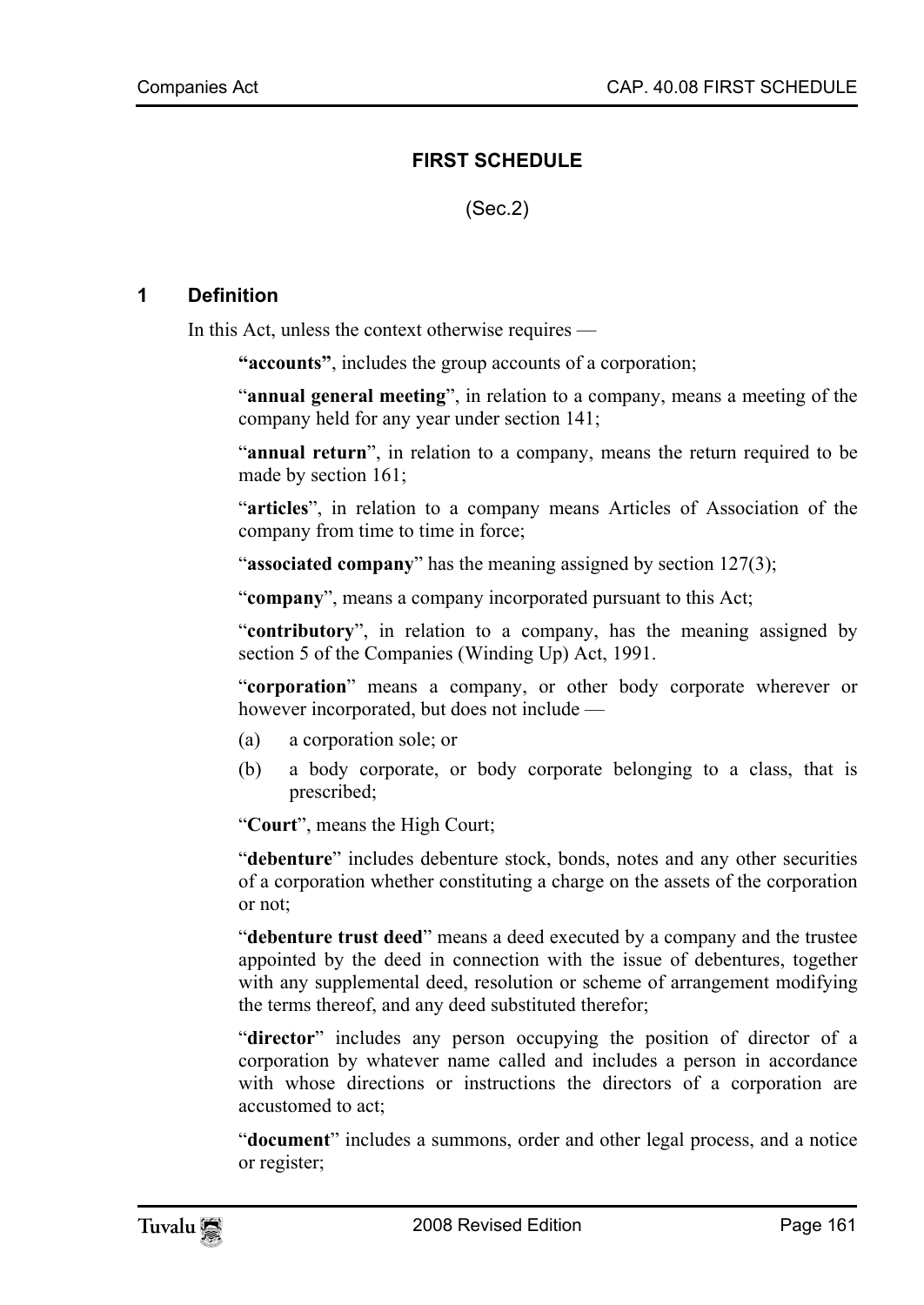# **FIRST SCHEDULE**

(Sec.2)

## **1 Definition**

In this Act, unless the context otherwise requires —

**"accounts"**, includes the group accounts of a corporation;

"**annual general meeting**", in relation to a company, means a meeting of the company held for any year under section 141;

"**annual return**", in relation to a company, means the return required to be made by section 161;

"**articles**", in relation to a company means Articles of Association of the company from time to time in force;

"**associated company**" has the meaning assigned by section 127(3);

"**company**", means a company incorporated pursuant to this Act;

"**contributory**", in relation to a company, has the meaning assigned by section 5 of the Companies (Winding Up) Act, 1991.

"**corporation**" means a company, or other body corporate wherever or however incorporated, but does not include —

- (a) a corporation sole; or
- (b) a body corporate, or body corporate belonging to a class, that is prescribed;

"**Court**", means the High Court;

"**debenture**" includes debenture stock, bonds, notes and any other securities of a corporation whether constituting a charge on the assets of the corporation or not;

"**debenture trust deed**" means a deed executed by a company and the trustee appointed by the deed in connection with the issue of debentures, together with any supplemental deed, resolution or scheme of arrangement modifying the terms thereof, and any deed substituted therefor;

"**director**" includes any person occupying the position of director of a corporation by whatever name called and includes a person in accordance with whose directions or instructions the directors of a corporation are accustomed to act;

"**document**" includes a summons, order and other legal process, and a notice or register;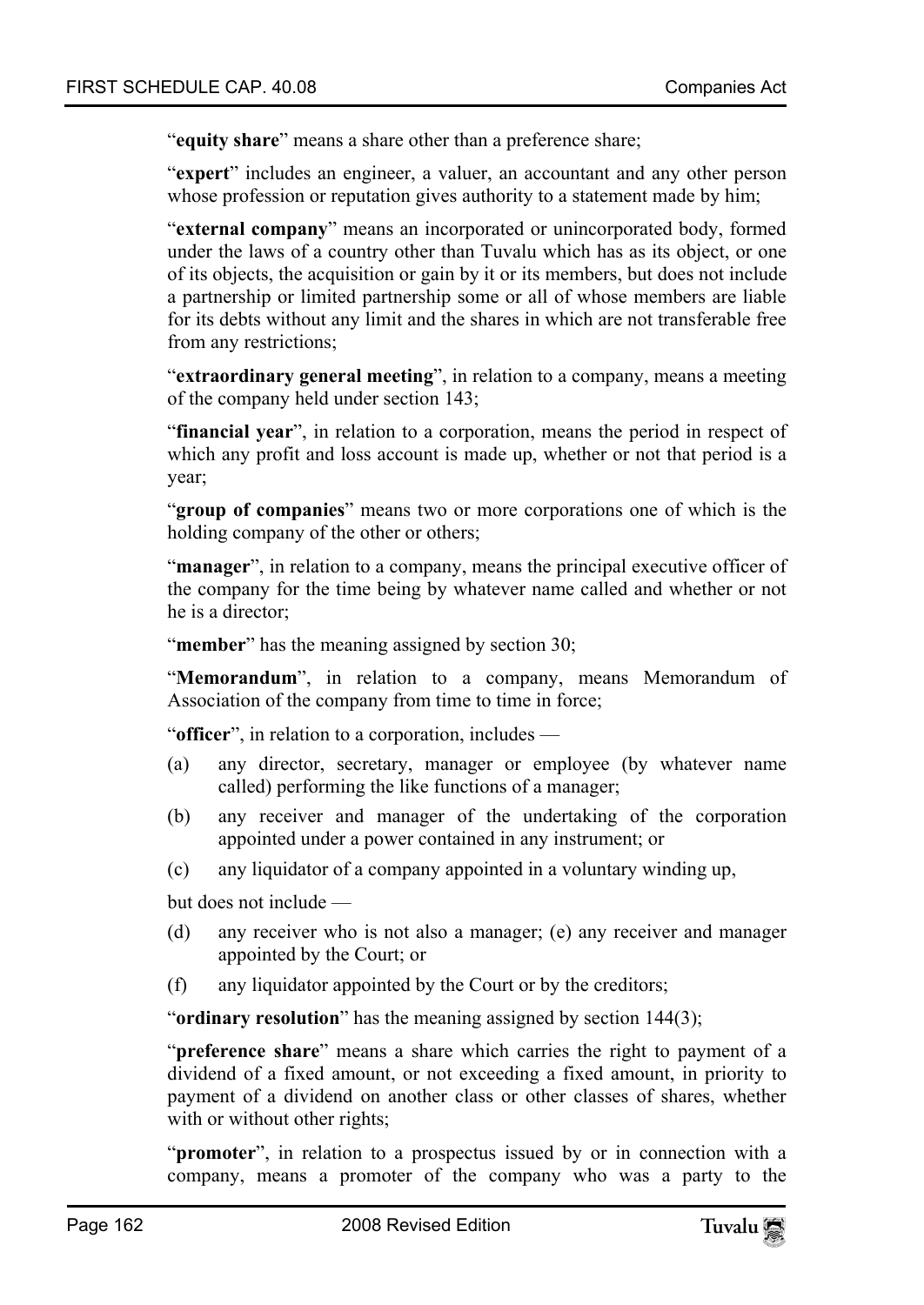"**equity share**" means a share other than a preference share;

"**expert**" includes an engineer, a valuer, an accountant and any other person whose profession or reputation gives authority to a statement made by him;

"**external company**" means an incorporated or unincorporated body, formed under the laws of a country other than Tuvalu which has as its object, or one of its objects, the acquisition or gain by it or its members, but does not include a partnership or limited partnership some or all of whose members are liable for its debts without any limit and the shares in which are not transferable free from any restrictions;

"**extraordinary general meeting**", in relation to a company, means a meeting of the company held under section 143;

"**financial year**", in relation to a corporation, means the period in respect of which any profit and loss account is made up, whether or not that period is a year;

"**group of companies**" means two or more corporations one of which is the holding company of the other or others;

"**manager**", in relation to a company, means the principal executive officer of the company for the time being by whatever name called and whether or not he is a director;

"**member**" has the meaning assigned by section 30;

"Memorandum", in relation to a company, means Memorandum of Association of the company from time to time in force;

"**officer**", in relation to a corporation, includes —

- (a) any director, secretary, manager or employee (by whatever name called) performing the like functions of a manager;
- (b) any receiver and manager of the undertaking of the corporation appointed under a power contained in any instrument; or
- (c) any liquidator of a company appointed in a voluntary winding up,

but does not include —

- (d) any receiver who is not also a manager; (e) any receiver and manager appointed by the Court; or
- (f) any liquidator appointed by the Court or by the creditors;

"**ordinary resolution**" has the meaning assigned by section 144(3);

"**preference share**" means a share which carries the right to payment of a dividend of a fixed amount, or not exceeding a fixed amount, in priority to payment of a dividend on another class or other classes of shares, whether with or without other rights;

"**promoter**", in relation to a prospectus issued by or in connection with a company, means a promoter of the company who was a party to the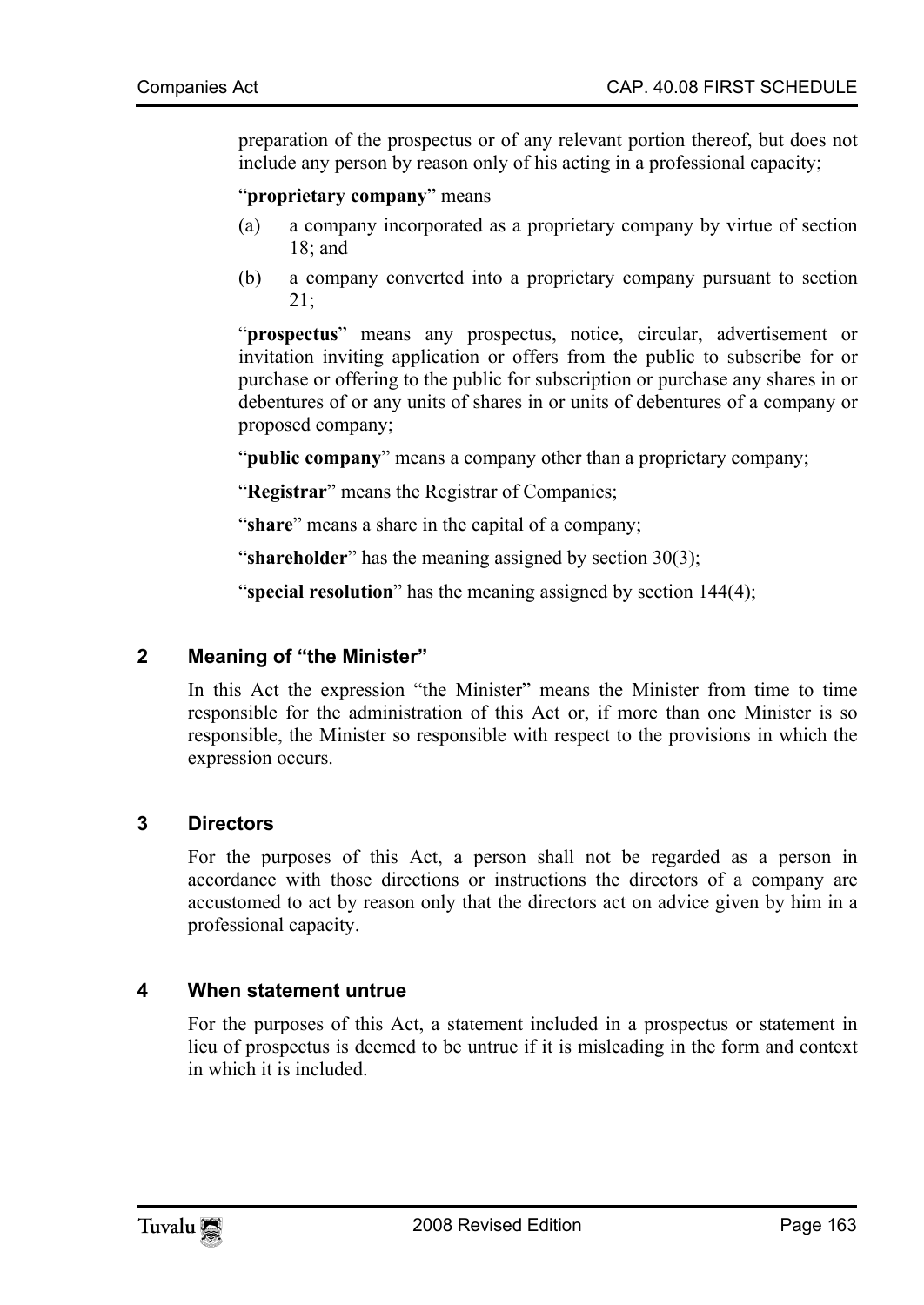preparation of the prospectus or of any relevant portion thereof, but does not include any person by reason only of his acting in a professional capacity;

#### "**proprietary company**" means —

- (a) a company incorporated as a proprietary company by virtue of section 18; and
- (b) a company converted into a proprietary company pursuant to section 21;

"**prospectus**" means any prospectus, notice, circular, advertisement or invitation inviting application or offers from the public to subscribe for or purchase or offering to the public for subscription or purchase any shares in or debentures of or any units of shares in or units of debentures of a company or proposed company;

"**public company**" means a company other than a proprietary company;

"**Registrar**" means the Registrar of Companies;

"**share**" means a share in the capital of a company;

"**shareholder**" has the meaning assigned by section 30(3);

"**special resolution**" has the meaning assigned by section 144(4);

#### **2 Meaning of "the Minister"**

In this Act the expression "the Minister" means the Minister from time to time responsible for the administration of this Act or, if more than one Minister is so responsible, the Minister so responsible with respect to the provisions in which the expression occurs.

#### **3 Directors**

For the purposes of this Act, a person shall not be regarded as a person in accordance with those directions or instructions the directors of a company are accustomed to act by reason only that the directors act on advice given by him in a professional capacity.

#### **4 When statement untrue**

For the purposes of this Act, a statement included in a prospectus or statement in lieu of prospectus is deemed to be untrue if it is misleading in the form and context in which it is included.

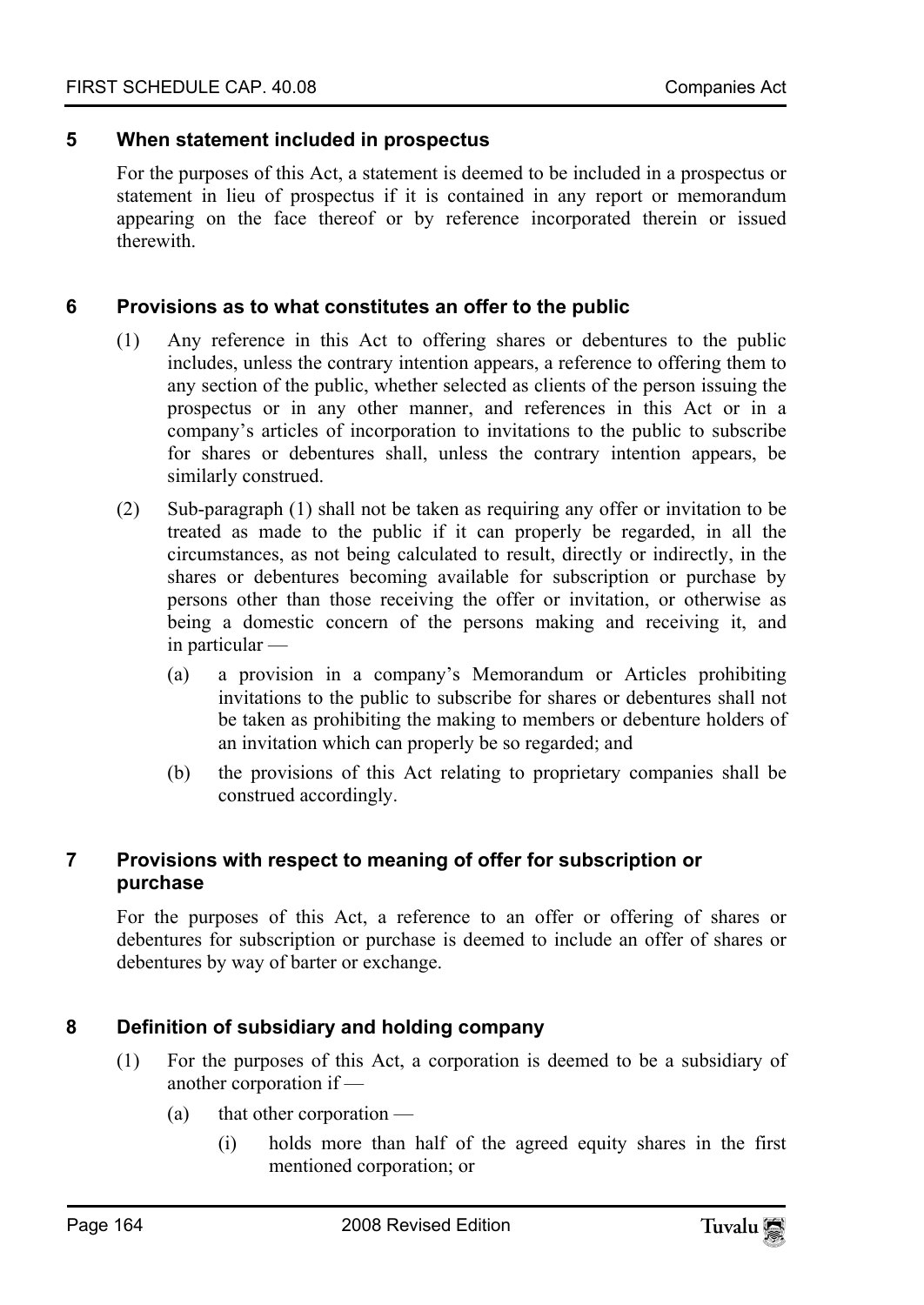#### **5 When statement included in prospectus**

For the purposes of this Act, a statement is deemed to be included in a prospectus or statement in lieu of prospectus if it is contained in any report or memorandum appearing on the face thereof or by reference incorporated therein or issued therewith.

#### **6 Provisions as to what constitutes an offer to the public**

- (1) Any reference in this Act to offering shares or debentures to the public includes, unless the contrary intention appears, a reference to offering them to any section of the public, whether selected as clients of the person issuing the prospectus or in any other manner, and references in this Act or in a company's articles of incorporation to invitations to the public to subscribe for shares or debentures shall, unless the contrary intention appears, be similarly construed.
- (2) Sub-paragraph (1) shall not be taken as requiring any offer or invitation to be treated as made to the public if it can properly be regarded, in all the circumstances, as not being calculated to result, directly or indirectly, in the shares or debentures becoming available for subscription or purchase by persons other than those receiving the offer or invitation, or otherwise as being a domestic concern of the persons making and receiving it, and in particular —
	- (a) a provision in a company's Memorandum or Articles prohibiting invitations to the public to subscribe for shares or debentures shall not be taken as prohibiting the making to members or debenture holders of an invitation which can properly be so regarded; and
	- (b) the provisions of this Act relating to proprietary companies shall be construed accordingly.

### **7 Provisions with respect to meaning of offer for subscription or purchase**

For the purposes of this Act, a reference to an offer or offering of shares or debentures for subscription or purchase is deemed to include an offer of shares or debentures by way of barter or exchange.

# **8 Definition of subsidiary and holding company**

- (1) For the purposes of this Act, a corporation is deemed to be a subsidiary of another corporation if —
	- (a) that other corporation
		- (i) holds more than half of the agreed equity shares in the first mentioned corporation; or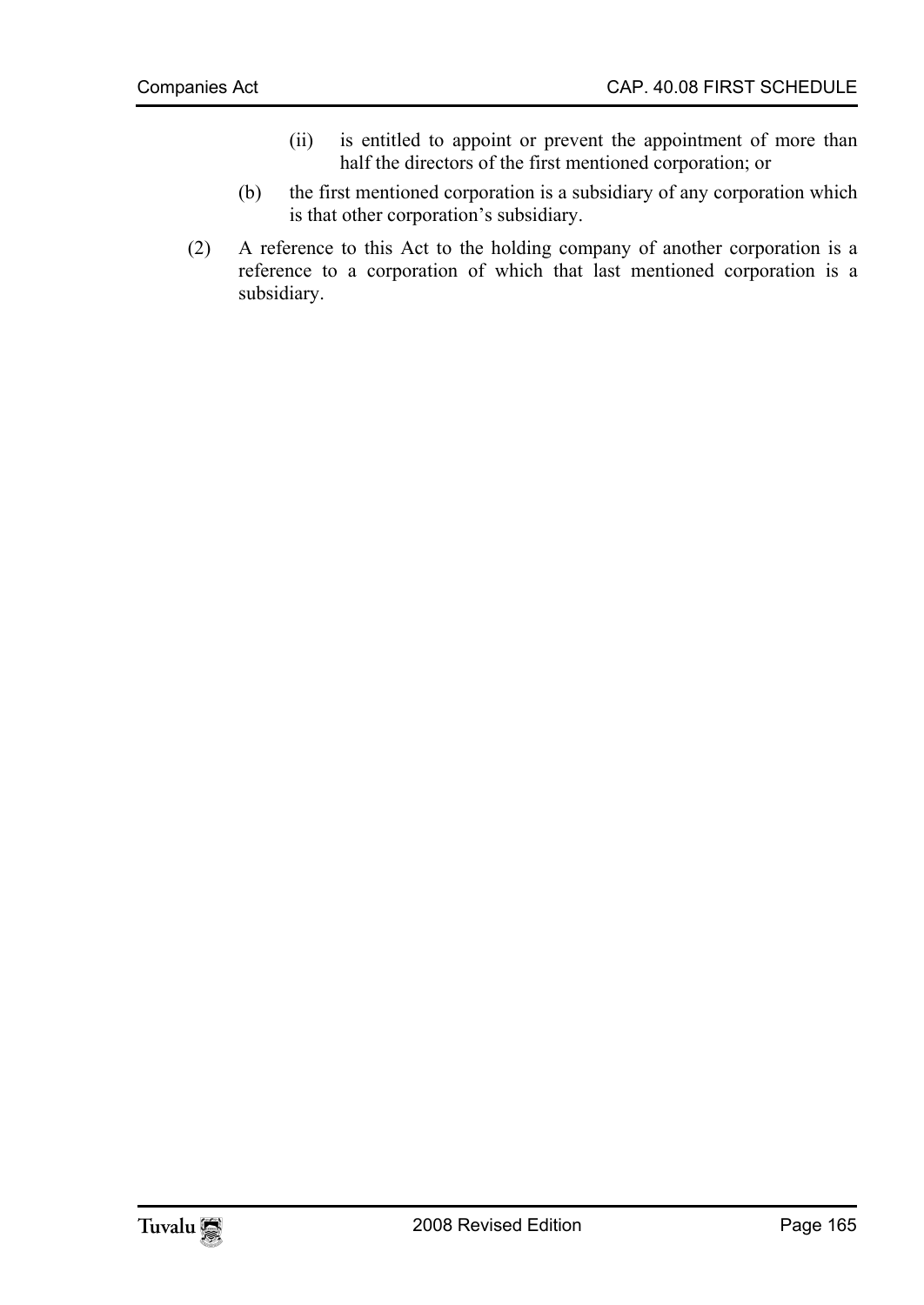- (ii) is entitled to appoint or prevent the appointment of more than half the directors of the first mentioned corporation; or
- (b) the first mentioned corporation is a subsidiary of any corporation which is that other corporation's subsidiary.
- (2) A reference to this Act to the holding company of another corporation is a reference to a corporation of which that last mentioned corporation is a subsidiary.

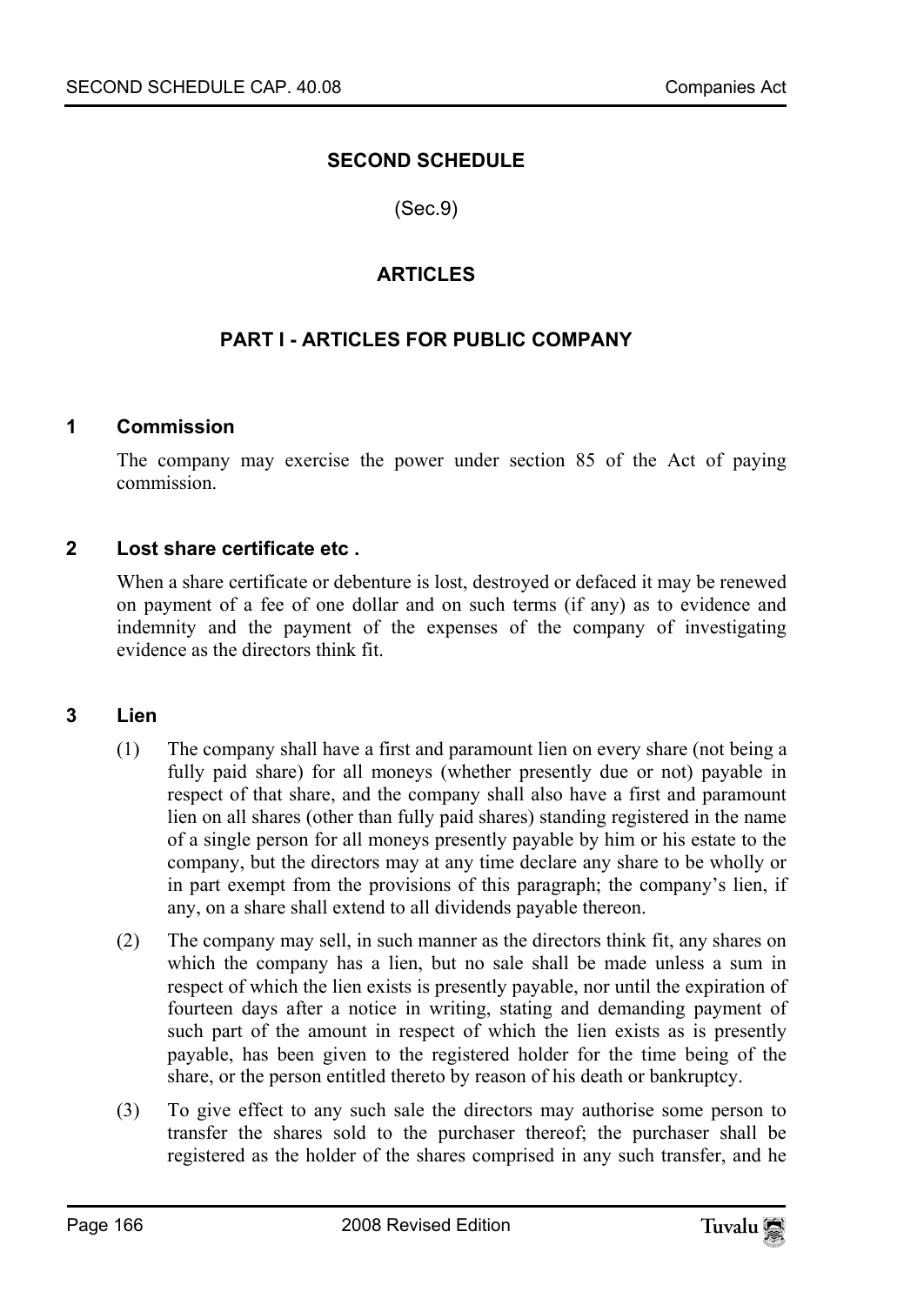# **SECOND SCHEDULE**

(Sec.9)

# **ARTICLES**

# **PART I - ARTICLES FOR PUBLIC COMPANY**

#### **1 Commission**

The company may exercise the power under section 85 of the Act of paying commission.

## **2 Lost share certificate etc .**

When a share certificate or debenture is lost, destroyed or defaced it may be renewed on payment of a fee of one dollar and on such terms (if any) as to evidence and indemnity and the payment of the expenses of the company of investigating evidence as the directors think fit.

#### **3 Lien**

- (1) The company shall have a first and paramount lien on every share (not being a fully paid share) for all moneys (whether presently due or not) payable in respect of that share, and the company shall also have a first and paramount lien on all shares (other than fully paid shares) standing registered in the name of a single person for all moneys presently payable by him or his estate to the company, but the directors may at any time declare any share to be wholly or in part exempt from the provisions of this paragraph; the company's lien, if any, on a share shall extend to all dividends payable thereon.
- (2) The company may sell, in such manner as the directors think fit, any shares on which the company has a lien, but no sale shall be made unless a sum in respect of which the lien exists is presently payable, nor until the expiration of fourteen days after a notice in writing, stating and demanding payment of such part of the amount in respect of which the lien exists as is presently payable, has been given to the registered holder for the time being of the share, or the person entitled thereto by reason of his death or bankruptcy.
- (3) To give effect to any such sale the directors may authorise some person to transfer the shares sold to the purchaser thereof; the purchaser shall be registered as the holder of the shares comprised in any such transfer, and he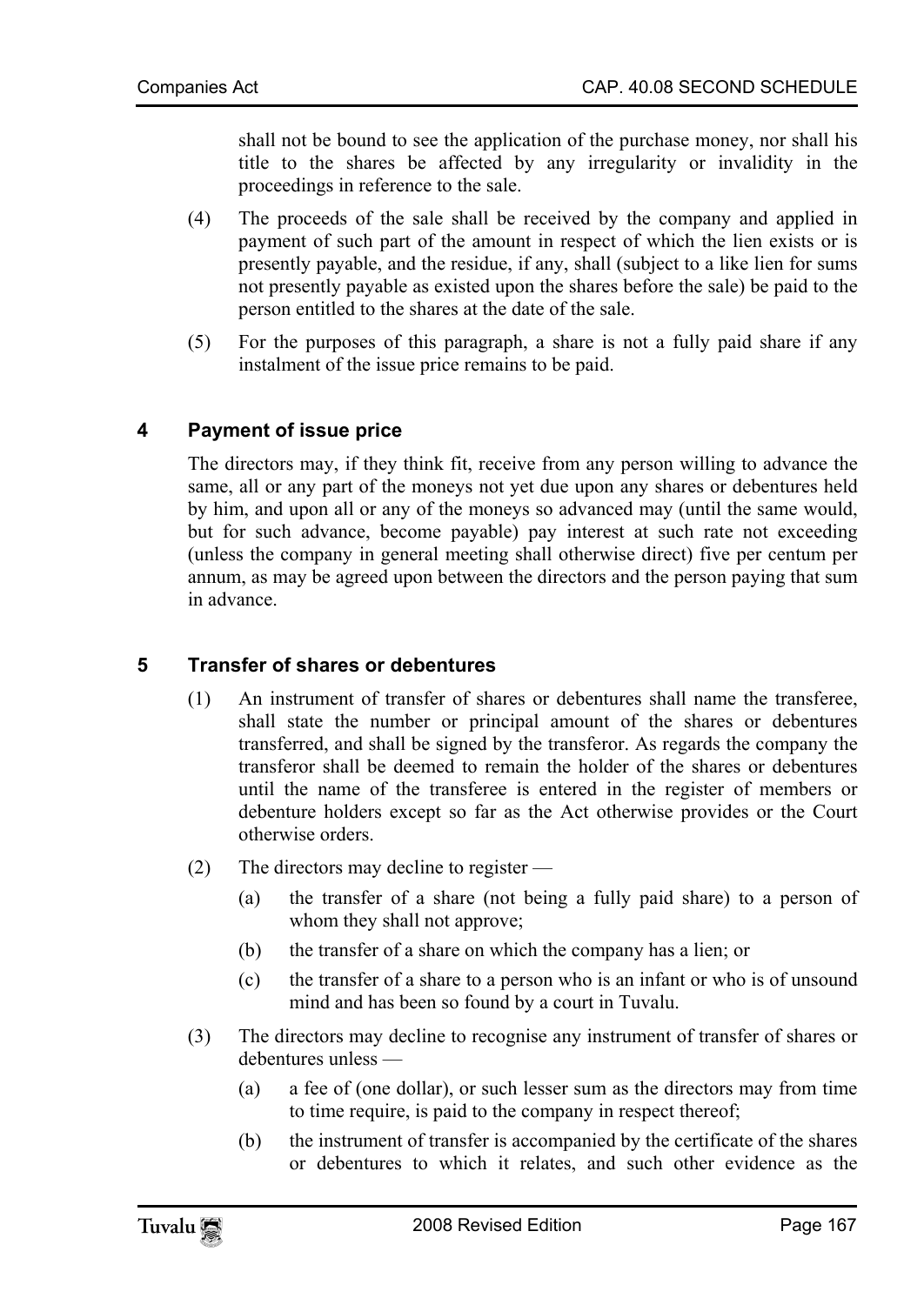shall not be bound to see the application of the purchase money, nor shall his title to the shares be affected by any irregularity or invalidity in the proceedings in reference to the sale.

- (4) The proceeds of the sale shall be received by the company and applied in payment of such part of the amount in respect of which the lien exists or is presently payable, and the residue, if any, shall (subject to a like lien for sums not presently payable as existed upon the shares before the sale) be paid to the person entitled to the shares at the date of the sale.
- (5) For the purposes of this paragraph, a share is not a fully paid share if any instalment of the issue price remains to be paid.

### **4 Payment of issue price**

The directors may, if they think fit, receive from any person willing to advance the same, all or any part of the moneys not yet due upon any shares or debentures held by him, and upon all or any of the moneys so advanced may (until the same would, but for such advance, become payable) pay interest at such rate not exceeding (unless the company in general meeting shall otherwise direct) five per centum per annum, as may be agreed upon between the directors and the person paying that sum in advance.

#### **5 Transfer of shares or debentures**

- (1) An instrument of transfer of shares or debentures shall name the transferee, shall state the number or principal amount of the shares or debentures transferred, and shall be signed by the transferor. As regards the company the transferor shall be deemed to remain the holder of the shares or debentures until the name of the transferee is entered in the register of members or debenture holders except so far as the Act otherwise provides or the Court otherwise orders.
- (2) The directors may decline to register
	- (a) the transfer of a share (not being a fully paid share) to a person of whom they shall not approve;
	- (b) the transfer of a share on which the company has a lien; or
	- (c) the transfer of a share to a person who is an infant or who is of unsound mind and has been so found by a court in Tuvalu.
- (3) The directors may decline to recognise any instrument of transfer of shares or debentures unless —
	- (a) a fee of (one dollar), or such lesser sum as the directors may from time to time require, is paid to the company in respect thereof;
	- (b) the instrument of transfer is accompanied by the certificate of the shares or debentures to which it relates, and such other evidence as the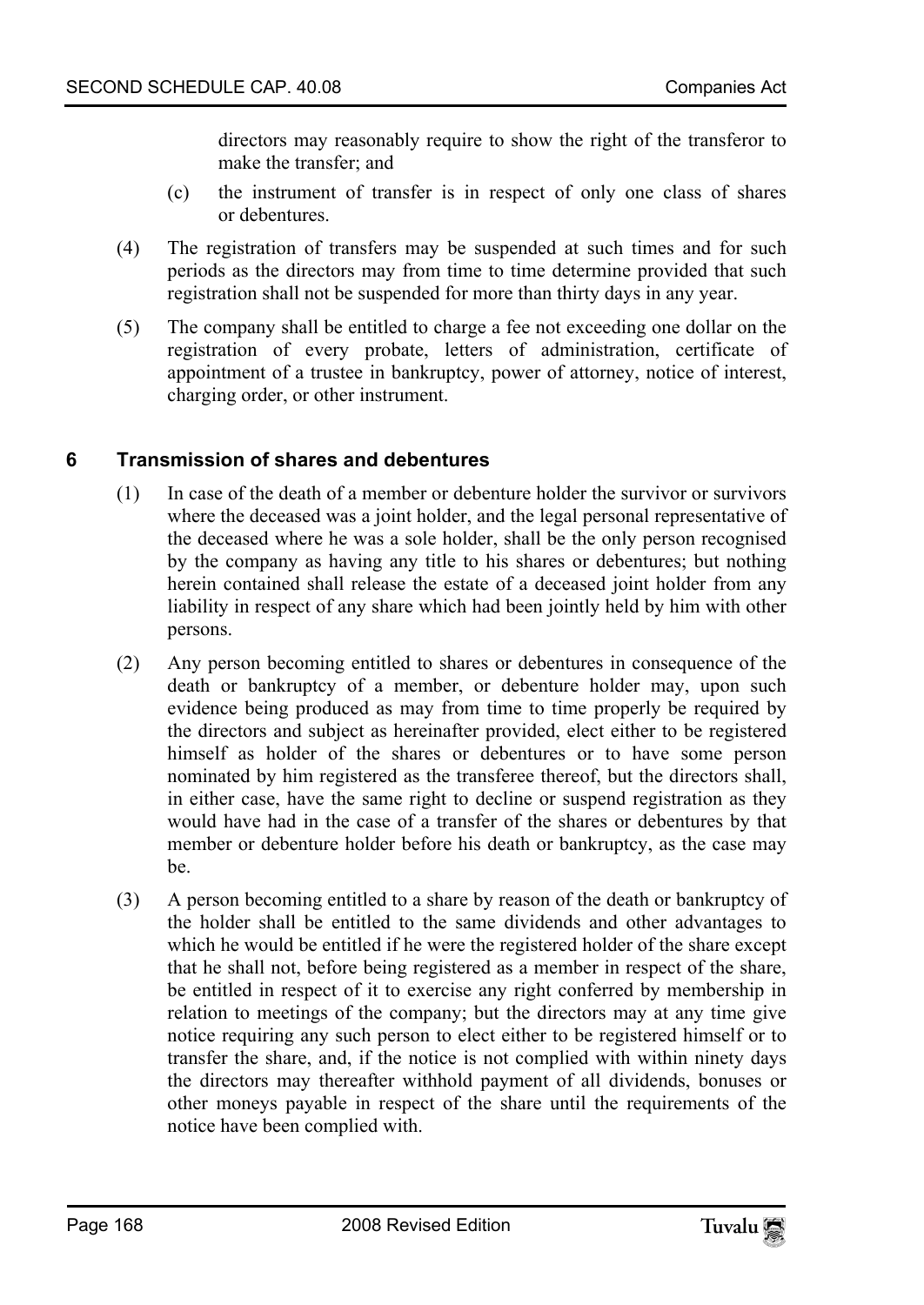directors may reasonably require to show the right of the transferor to make the transfer; and

- (c) the instrument of transfer is in respect of only one class of shares or debentures.
- (4) The registration of transfers may be suspended at such times and for such periods as the directors may from time to time determine provided that such registration shall not be suspended for more than thirty days in any year.
- (5) The company shall be entitled to charge a fee not exceeding one dollar on the registration of every probate, letters of administration, certificate of appointment of a trustee in bankruptcy, power of attorney, notice of interest, charging order, or other instrument.

### **6 Transmission of shares and debentures**

- (1) In case of the death of a member or debenture holder the survivor or survivors where the deceased was a joint holder, and the legal personal representative of the deceased where he was a sole holder, shall be the only person recognised by the company as having any title to his shares or debentures; but nothing herein contained shall release the estate of a deceased joint holder from any liability in respect of any share which had been jointly held by him with other persons.
- (2) Any person becoming entitled to shares or debentures in consequence of the death or bankruptcy of a member, or debenture holder may, upon such evidence being produced as may from time to time properly be required by the directors and subject as hereinafter provided, elect either to be registered himself as holder of the shares or debentures or to have some person nominated by him registered as the transferee thereof, but the directors shall, in either case, have the same right to decline or suspend registration as they would have had in the case of a transfer of the shares or debentures by that member or debenture holder before his death or bankruptcy, as the case may be.
- (3) A person becoming entitled to a share by reason of the death or bankruptcy of the holder shall be entitled to the same dividends and other advantages to which he would be entitled if he were the registered holder of the share except that he shall not, before being registered as a member in respect of the share, be entitled in respect of it to exercise any right conferred by membership in relation to meetings of the company; but the directors may at any time give notice requiring any such person to elect either to be registered himself or to transfer the share, and, if the notice is not complied with within ninety days the directors may thereafter withhold payment of all dividends, bonuses or other moneys payable in respect of the share until the requirements of the notice have been complied with.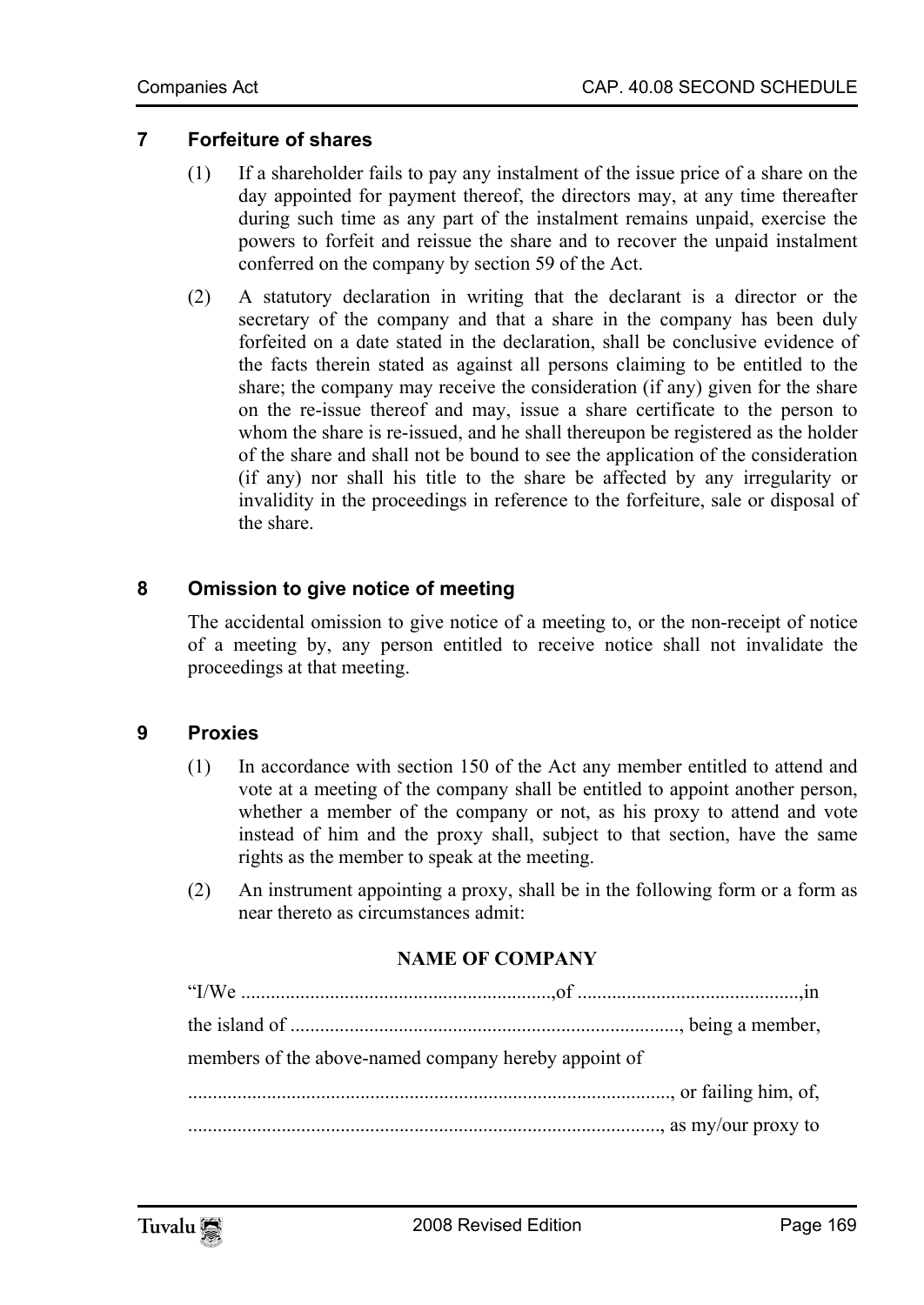## **7 Forfeiture of shares**

- (1) If a shareholder fails to pay any instalment of the issue price of a share on the day appointed for payment thereof, the directors may, at any time thereafter during such time as any part of the instalment remains unpaid, exercise the powers to forfeit and reissue the share and to recover the unpaid instalment conferred on the company by section 59 of the Act.
- (2) A statutory declaration in writing that the declarant is a director or the secretary of the company and that a share in the company has been duly forfeited on a date stated in the declaration, shall be conclusive evidence of the facts therein stated as against all persons claiming to be entitled to the share; the company may receive the consideration (if any) given for the share on the re-issue thereof and may, issue a share certificate to the person to whom the share is re-issued, and he shall thereupon be registered as the holder of the share and shall not be bound to see the application of the consideration (if any) nor shall his title to the share be affected by any irregularity or invalidity in the proceedings in reference to the forfeiture, sale or disposal of the share.

### **8 Omission to give notice of meeting**

The accidental omission to give notice of a meeting to, or the non-receipt of notice of a meeting by, any person entitled to receive notice shall not invalidate the proceedings at that meeting.

#### **9 Proxies**

- (1) In accordance with section 150 of the Act any member entitled to attend and vote at a meeting of the company shall be entitled to appoint another person, whether a member of the company or not, as his proxy to attend and vote instead of him and the proxy shall, subject to that section, have the same rights as the member to speak at the meeting.
- (2) An instrument appointing a proxy, shall be in the following form or a form as near thereto as circumstances admit:

#### **NAME OF COMPANY**

| members of the above-named company hereby appoint of |  |  |
|------------------------------------------------------|--|--|
|                                                      |  |  |
|                                                      |  |  |

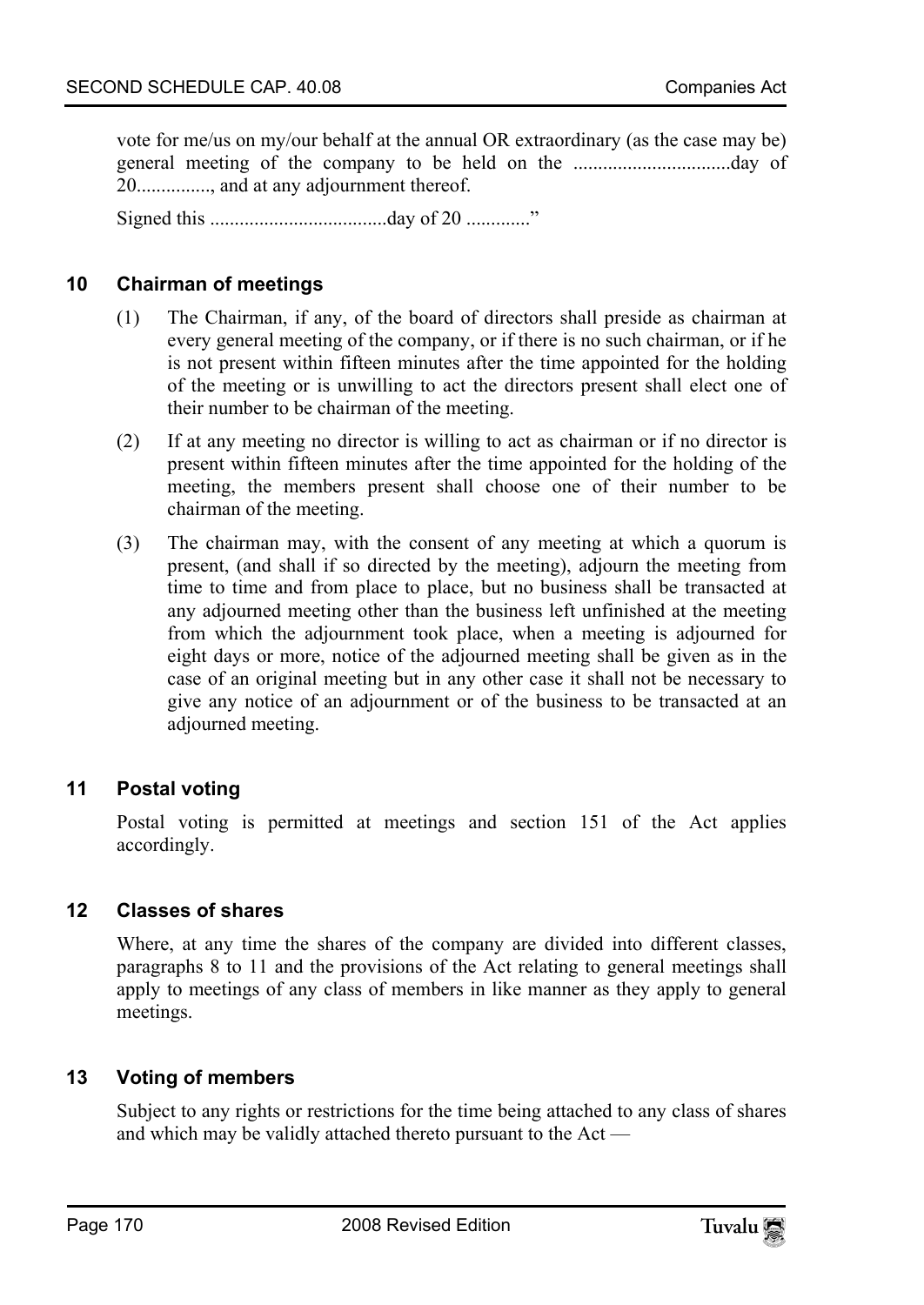vote for me/us on my/our behalf at the annual OR extraordinary (as the case may be) general meeting of the company to be held on the ................................day of 20..............., and at any adjournment thereof.

Signed this ....................................day of 20 ............."

#### **10 Chairman of meetings**

- (1) The Chairman, if any, of the board of directors shall preside as chairman at every general meeting of the company, or if there is no such chairman, or if he is not present within fifteen minutes after the time appointed for the holding of the meeting or is unwilling to act the directors present shall elect one of their number to be chairman of the meeting.
- (2) If at any meeting no director is willing to act as chairman or if no director is present within fifteen minutes after the time appointed for the holding of the meeting, the members present shall choose one of their number to be chairman of the meeting.
- (3) The chairman may, with the consent of any meeting at which a quorum is present, (and shall if so directed by the meeting), adjourn the meeting from time to time and from place to place, but no business shall be transacted at any adjourned meeting other than the business left unfinished at the meeting from which the adjournment took place, when a meeting is adjourned for eight days or more, notice of the adjourned meeting shall be given as in the case of an original meeting but in any other case it shall not be necessary to give any notice of an adjournment or of the business to be transacted at an adjourned meeting.

#### **11 Postal voting**

Postal voting is permitted at meetings and section 151 of the Act applies accordingly.

#### **12 Classes of shares**

Where, at any time the shares of the company are divided into different classes, paragraphs 8 to 11 and the provisions of the Act relating to general meetings shall apply to meetings of any class of members in like manner as they apply to general meetings.

#### **13 Voting of members**

Subject to any rights or restrictions for the time being attached to any class of shares and which may be validly attached thereto pursuant to the Act —

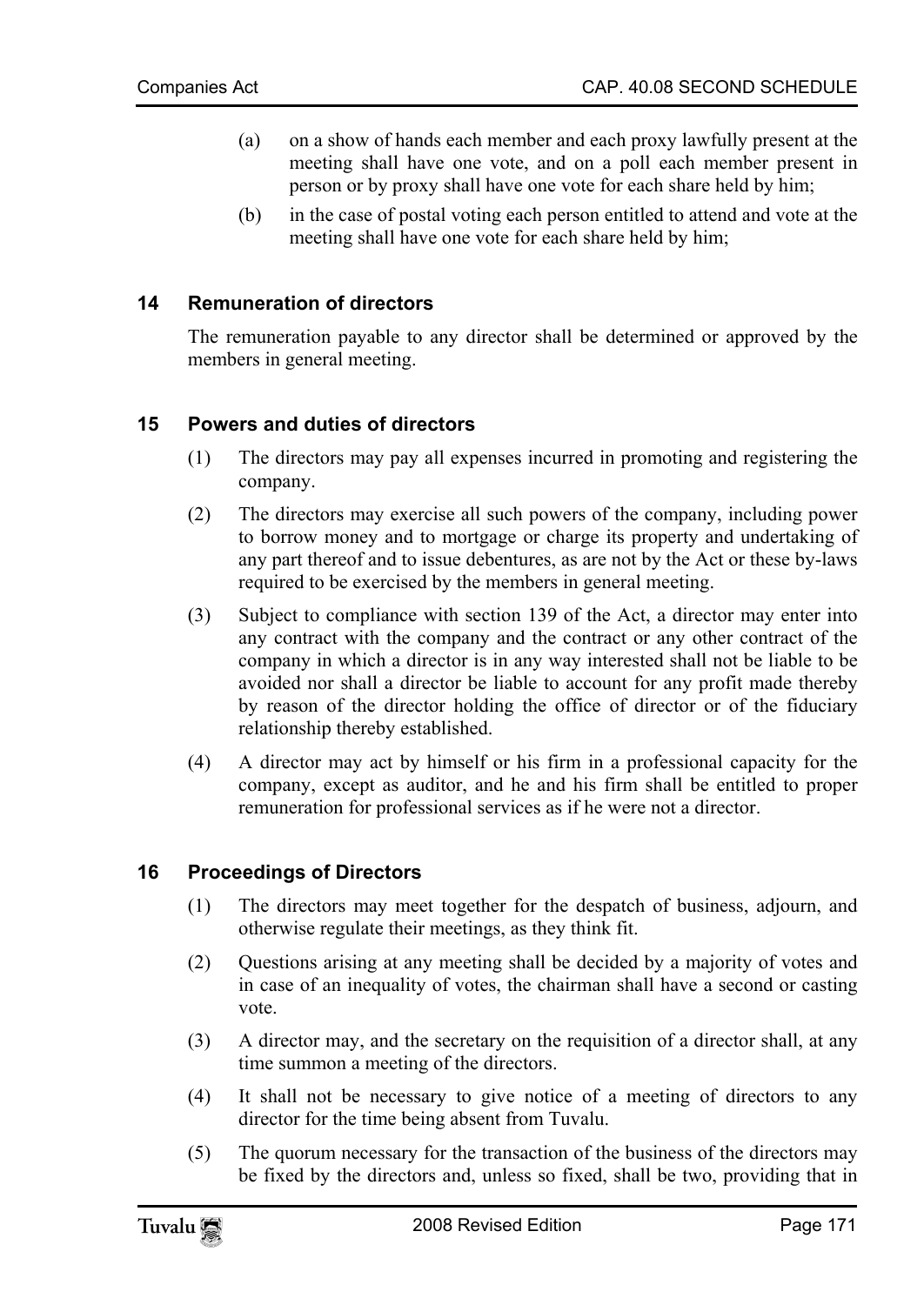- (a) on a show of hands each member and each proxy lawfully present at the meeting shall have one vote, and on a poll each member present in person or by proxy shall have one vote for each share held by him;
- (b) in the case of postal voting each person entitled to attend and vote at the meeting shall have one vote for each share held by him;

#### **14 Remuneration of directors**

The remuneration payable to any director shall be determined or approved by the members in general meeting.

### **15 Powers and duties of directors**

- (1) The directors may pay all expenses incurred in promoting and registering the company.
- (2) The directors may exercise all such powers of the company, including power to borrow money and to mortgage or charge its property and undertaking of any part thereof and to issue debentures, as are not by the Act or these by-laws required to be exercised by the members in general meeting.
- (3) Subject to compliance with section 139 of the Act, a director may enter into any contract with the company and the contract or any other contract of the company in which a director is in any way interested shall not be liable to be avoided nor shall a director be liable to account for any profit made thereby by reason of the director holding the office of director or of the fiduciary relationship thereby established.
- (4) A director may act by himself or his firm in a professional capacity for the company, except as auditor, and he and his firm shall be entitled to proper remuneration for professional services as if he were not a director.

#### **16 Proceedings of Directors**

- (1) The directors may meet together for the despatch of business, adjourn, and otherwise regulate their meetings, as they think fit.
- (2) Questions arising at any meeting shall be decided by a majority of votes and in case of an inequality of votes, the chairman shall have a second or casting vote.
- (3) A director may, and the secretary on the requisition of a director shall, at any time summon a meeting of the directors.
- (4) It shall not be necessary to give notice of a meeting of directors to any director for the time being absent from Tuvalu.
- (5) The quorum necessary for the transaction of the business of the directors may be fixed by the directors and, unless so fixed, shall be two, providing that in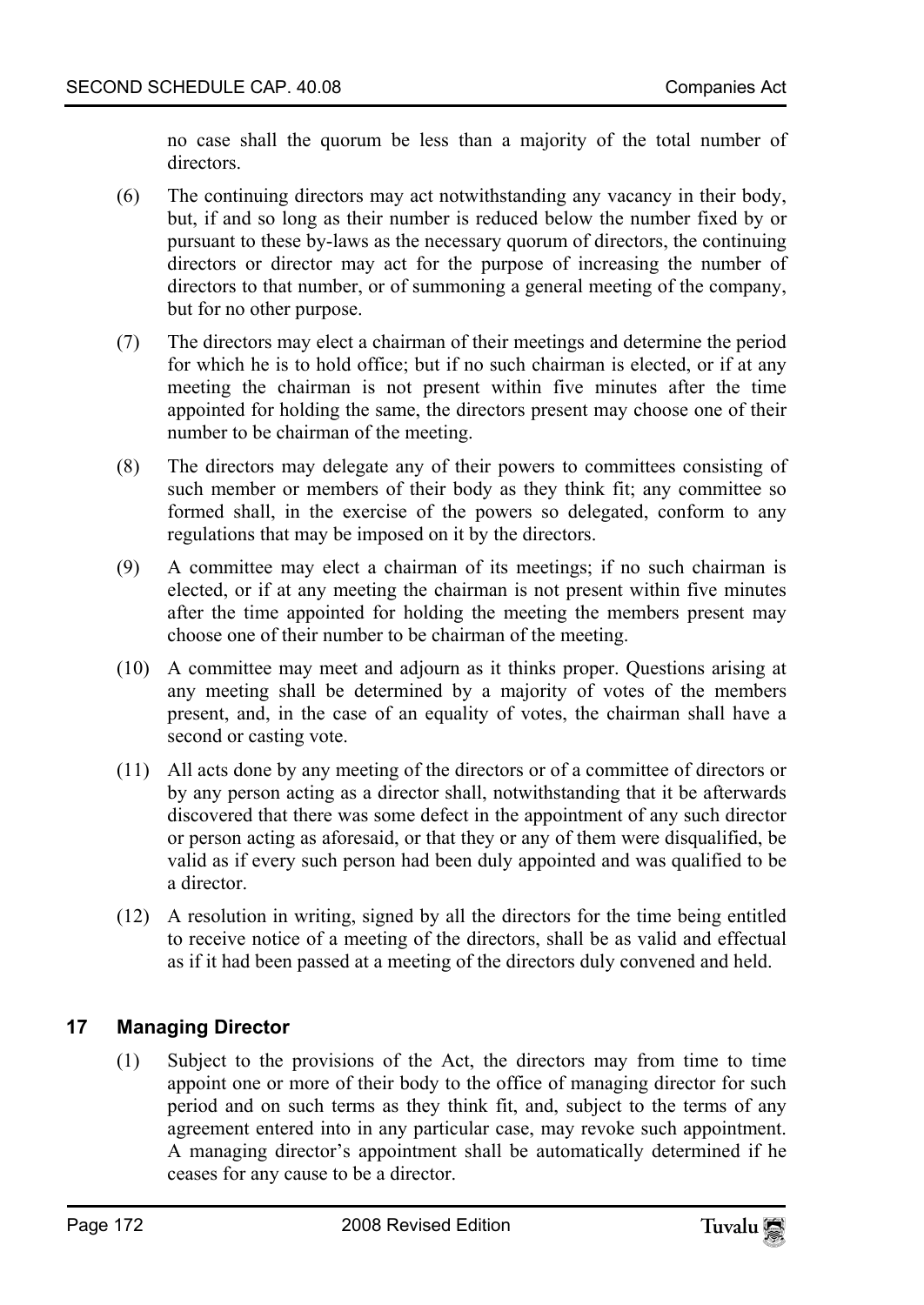no case shall the quorum be less than a majority of the total number of directors.

- (6) The continuing directors may act notwithstanding any vacancy in their body, but, if and so long as their number is reduced below the number fixed by or pursuant to these by-laws as the necessary quorum of directors, the continuing directors or director may act for the purpose of increasing the number of directors to that number, or of summoning a general meeting of the company, but for no other purpose.
- (7) The directors may elect a chairman of their meetings and determine the period for which he is to hold office; but if no such chairman is elected, or if at any meeting the chairman is not present within five minutes after the time appointed for holding the same, the directors present may choose one of their number to be chairman of the meeting.
- (8) The directors may delegate any of their powers to committees consisting of such member or members of their body as they think fit; any committee so formed shall, in the exercise of the powers so delegated, conform to any regulations that may be imposed on it by the directors.
- (9) A committee may elect a chairman of its meetings; if no such chairman is elected, or if at any meeting the chairman is not present within five minutes after the time appointed for holding the meeting the members present may choose one of their number to be chairman of the meeting.
- (10) A committee may meet and adjourn as it thinks proper. Questions arising at any meeting shall be determined by a majority of votes of the members present, and, in the case of an equality of votes, the chairman shall have a second or casting vote.
- (11) All acts done by any meeting of the directors or of a committee of directors or by any person acting as a director shall, notwithstanding that it be afterwards discovered that there was some defect in the appointment of any such director or person acting as aforesaid, or that they or any of them were disqualified, be valid as if every such person had been duly appointed and was qualified to be a director.
- (12) A resolution in writing, signed by all the directors for the time being entitled to receive notice of a meeting of the directors, shall be as valid and effectual as if it had been passed at a meeting of the directors duly convened and held.

# **17 Managing Director**

(1) Subject to the provisions of the Act, the directors may from time to time appoint one or more of their body to the office of managing director for such period and on such terms as they think fit, and, subject to the terms of any agreement entered into in any particular case, may revoke such appointment. A managing director's appointment shall be automatically determined if he ceases for any cause to be a director.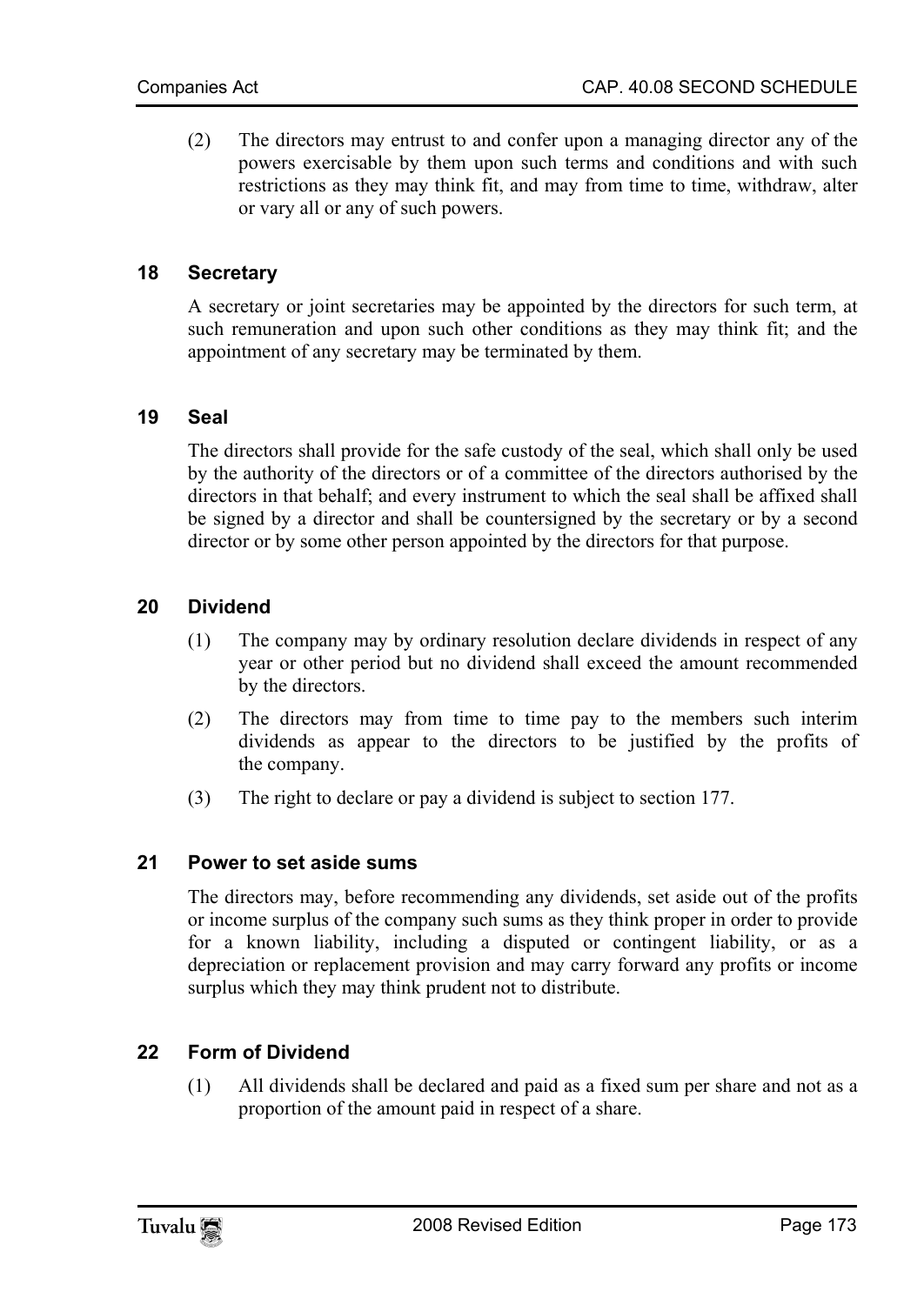(2) The directors may entrust to and confer upon a managing director any of the powers exercisable by them upon such terms and conditions and with such restrictions as they may think fit, and may from time to time, withdraw, alter or vary all or any of such powers.

#### **18 Secretary**

A secretary or joint secretaries may be appointed by the directors for such term, at such remuneration and upon such other conditions as they may think fit; and the appointment of any secretary may be terminated by them.

#### **19 Seal**

The directors shall provide for the safe custody of the seal, which shall only be used by the authority of the directors or of a committee of the directors authorised by the directors in that behalf; and every instrument to which the seal shall be affixed shall be signed by a director and shall be countersigned by the secretary or by a second director or by some other person appointed by the directors for that purpose.

#### **20 Dividend**

- (1) The company may by ordinary resolution declare dividends in respect of any year or other period but no dividend shall exceed the amount recommended by the directors.
- (2) The directors may from time to time pay to the members such interim dividends as appear to the directors to be justified by the profits of the company.
- (3) The right to declare or pay a dividend is subject to section 177.

#### **21 Power to set aside sums**

The directors may, before recommending any dividends, set aside out of the profits or income surplus of the company such sums as they think proper in order to provide for a known liability, including a disputed or contingent liability, or as a depreciation or replacement provision and may carry forward any profits or income surplus which they may think prudent not to distribute.

#### **22 Form of Dividend**

(1) All dividends shall be declared and paid as a fixed sum per share and not as a proportion of the amount paid in respect of a share.

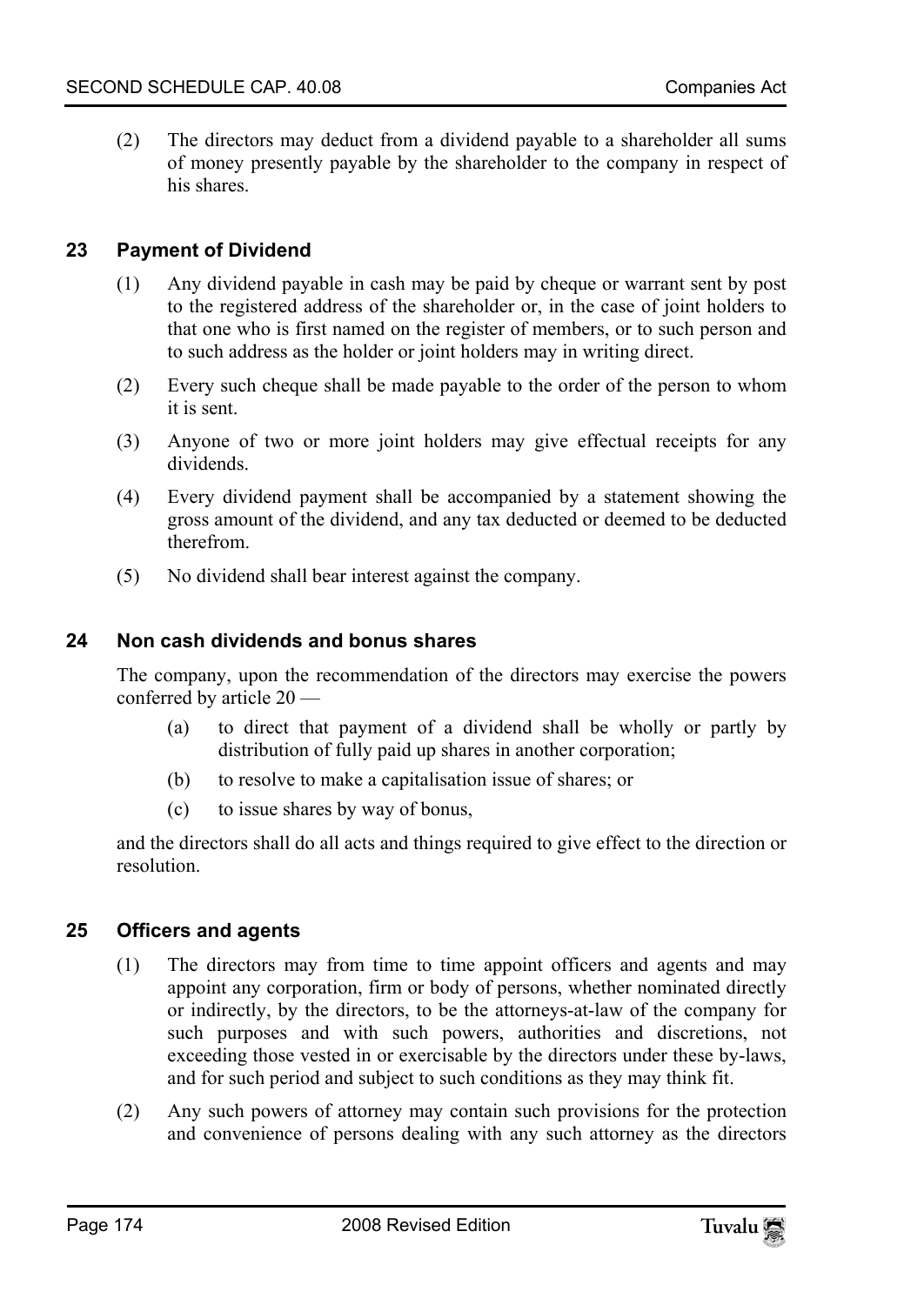(2) The directors may deduct from a dividend payable to a shareholder all sums of money presently payable by the shareholder to the company in respect of his shares.

# **23 Payment of Dividend**

- (1) Any dividend payable in cash may be paid by cheque or warrant sent by post to the registered address of the shareholder or, in the case of joint holders to that one who is first named on the register of members, or to such person and to such address as the holder or joint holders may in writing direct.
- (2) Every such cheque shall be made payable to the order of the person to whom it is sent.
- (3) Anyone of two or more joint holders may give effectual receipts for any dividends.
- (4) Every dividend payment shall be accompanied by a statement showing the gross amount of the dividend, and any tax deducted or deemed to be deducted therefrom.
- (5) No dividend shall bear interest against the company.

### **24 Non cash dividends and bonus shares**

The company, upon the recommendation of the directors may exercise the powers conferred by article 20 —

- (a) to direct that payment of a dividend shall be wholly or partly by distribution of fully paid up shares in another corporation;
- (b) to resolve to make a capitalisation issue of shares; or
- (c) to issue shares by way of bonus,

and the directors shall do all acts and things required to give effect to the direction or resolution.

# **25 Officers and agents**

- (1) The directors may from time to time appoint officers and agents and may appoint any corporation, firm or body of persons, whether nominated directly or indirectly, by the directors, to be the attorneys-at-law of the company for such purposes and with such powers, authorities and discretions, not exceeding those vested in or exercisable by the directors under these by-laws, and for such period and subject to such conditions as they may think fit.
- (2) Any such powers of attorney may contain such provisions for the protection and convenience of persons dealing with any such attorney as the directors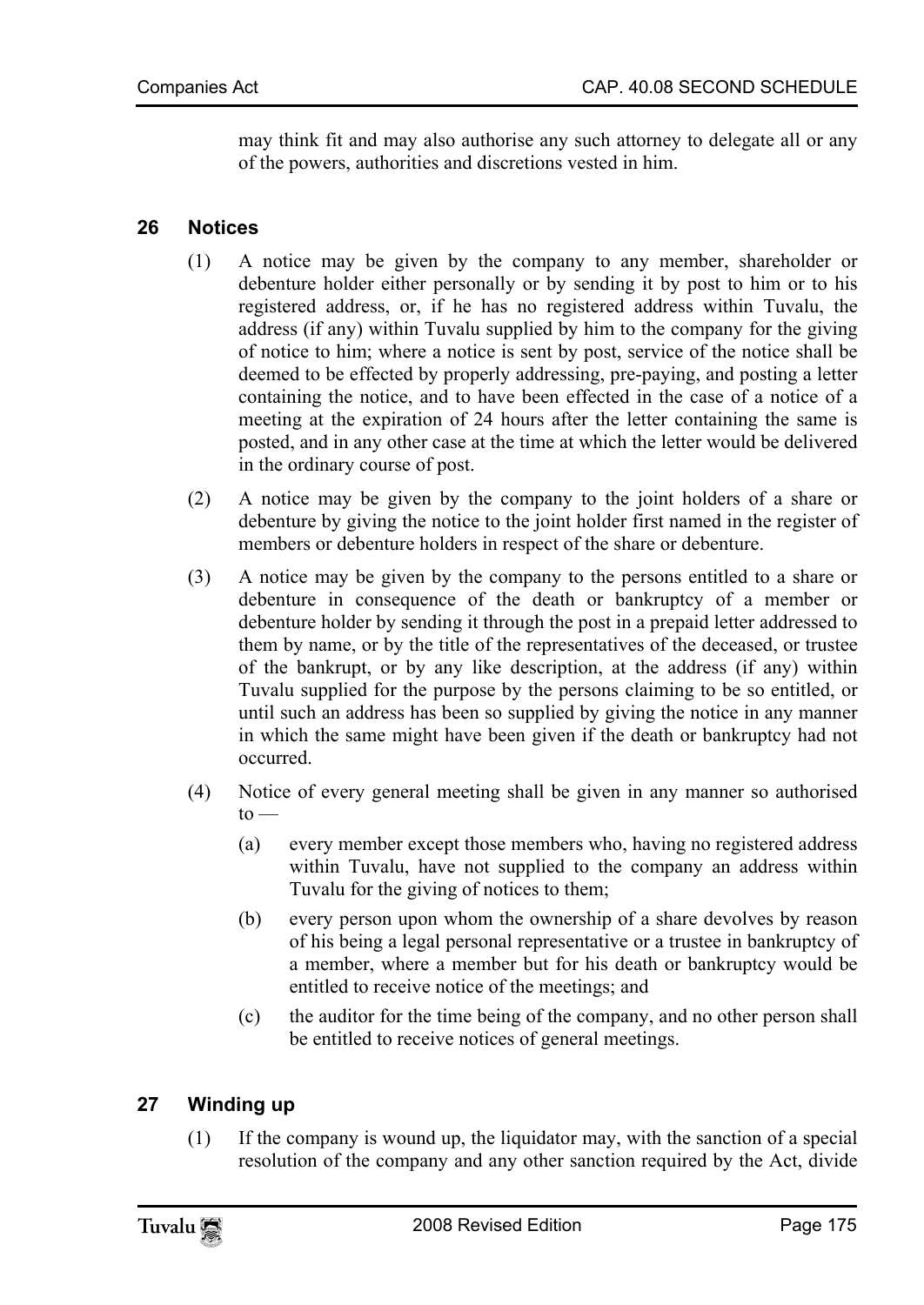may think fit and may also authorise any such attorney to delegate all or any of the powers, authorities and discretions vested in him.

#### **26 Notices**

- (1) A notice may be given by the company to any member, shareholder or debenture holder either personally or by sending it by post to him or to his registered address, or, if he has no registered address within Tuvalu, the address (if any) within Tuvalu supplied by him to the company for the giving of notice to him; where a notice is sent by post, service of the notice shall be deemed to be effected by properly addressing, pre-paying, and posting a letter containing the notice, and to have been effected in the case of a notice of a meeting at the expiration of 24 hours after the letter containing the same is posted, and in any other case at the time at which the letter would be delivered in the ordinary course of post.
- (2) A notice may be given by the company to the joint holders of a share or debenture by giving the notice to the joint holder first named in the register of members or debenture holders in respect of the share or debenture.
- (3) A notice may be given by the company to the persons entitled to a share or debenture in consequence of the death or bankruptcy of a member or debenture holder by sending it through the post in a prepaid letter addressed to them by name, or by the title of the representatives of the deceased, or trustee of the bankrupt, or by any like description, at the address (if any) within Tuvalu supplied for the purpose by the persons claiming to be so entitled, or until such an address has been so supplied by giving the notice in any manner in which the same might have been given if the death or bankruptcy had not occurred.
- (4) Notice of every general meeting shall be given in any manner so authorised  $to -$ 
	- (a) every member except those members who, having no registered address within Tuvalu, have not supplied to the company an address within Tuvalu for the giving of notices to them;
	- (b) every person upon whom the ownership of a share devolves by reason of his being a legal personal representative or a trustee in bankruptcy of a member, where a member but for his death or bankruptcy would be entitled to receive notice of the meetings; and
	- (c) the auditor for the time being of the company, and no other person shall be entitled to receive notices of general meetings.

# **27 Winding up**

(1) If the company is wound up, the liquidator may, with the sanction of a special resolution of the company and any other sanction required by the Act, divide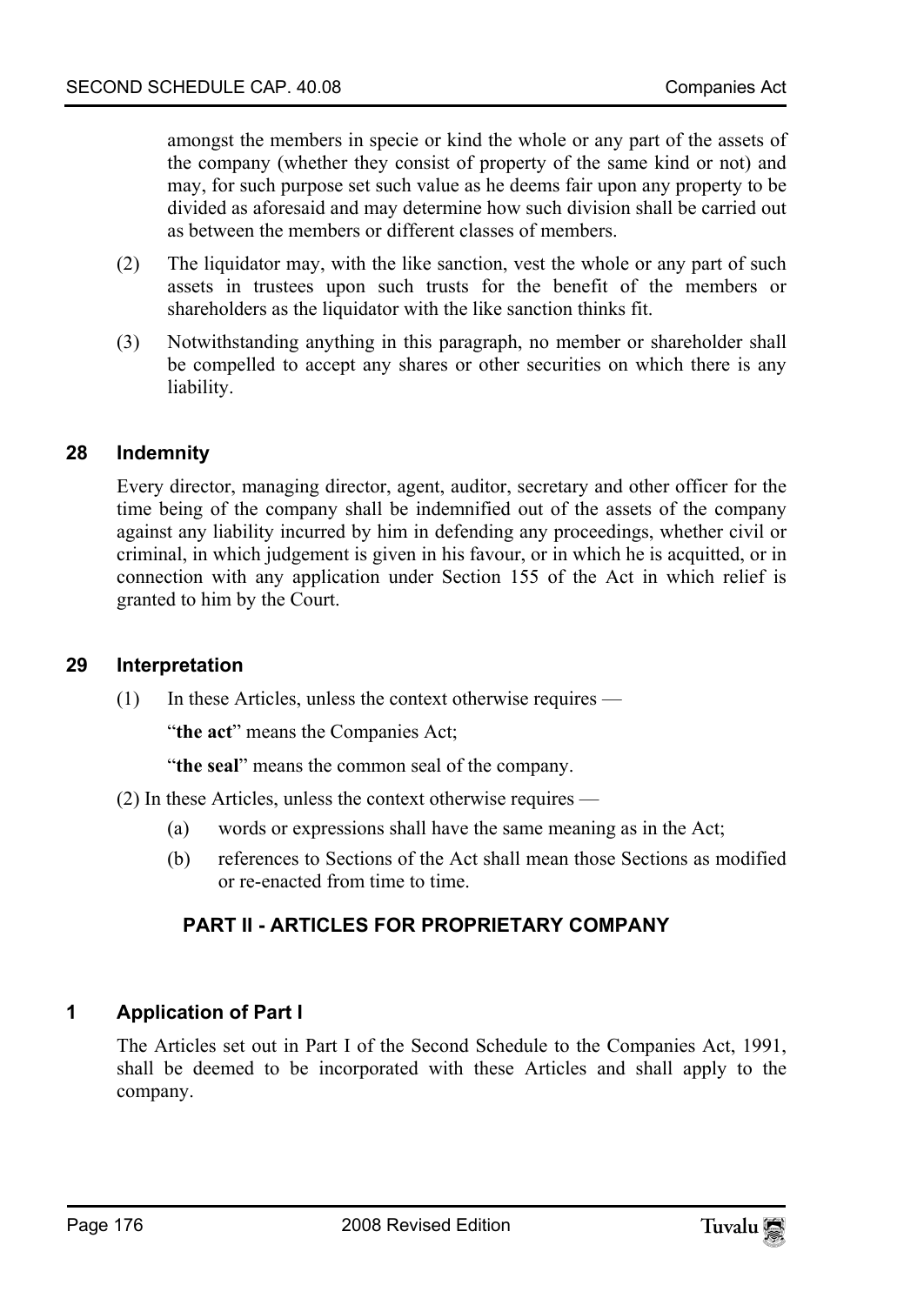amongst the members in specie or kind the whole or any part of the assets of the company (whether they consist of property of the same kind or not) and may, for such purpose set such value as he deems fair upon any property to be divided as aforesaid and may determine how such division shall be carried out as between the members or different classes of members.

- (2) The liquidator may, with the like sanction, vest the whole or any part of such assets in trustees upon such trusts for the benefit of the members or shareholders as the liquidator with the like sanction thinks fit.
- (3) Notwithstanding anything in this paragraph, no member or shareholder shall be compelled to accept any shares or other securities on which there is any liability.

# **28 Indemnity**

Every director, managing director, agent, auditor, secretary and other officer for the time being of the company shall be indemnified out of the assets of the company against any liability incurred by him in defending any proceedings, whether civil or criminal, in which judgement is given in his favour, or in which he is acquitted, or in connection with any application under Section 155 of the Act in which relief is granted to him by the Court.

#### **29 Interpretation**

(1) In these Articles, unless the context otherwise requires —

"the act" means the Companies Act;

"**the seal**" means the common seal of the company.

(2) In these Articles, unless the context otherwise requires —

- (a) words or expressions shall have the same meaning as in the Act;
- (b) references to Sections of the Act shall mean those Sections as modified or re-enacted from time to time.

# **PART II - ARTICLES FOR PROPRIETARY COMPANY**

# **1 Application of Part I**

The Articles set out in Part I of the Second Schedule to the Companies Act, 1991, shall be deemed to be incorporated with these Articles and shall apply to the company.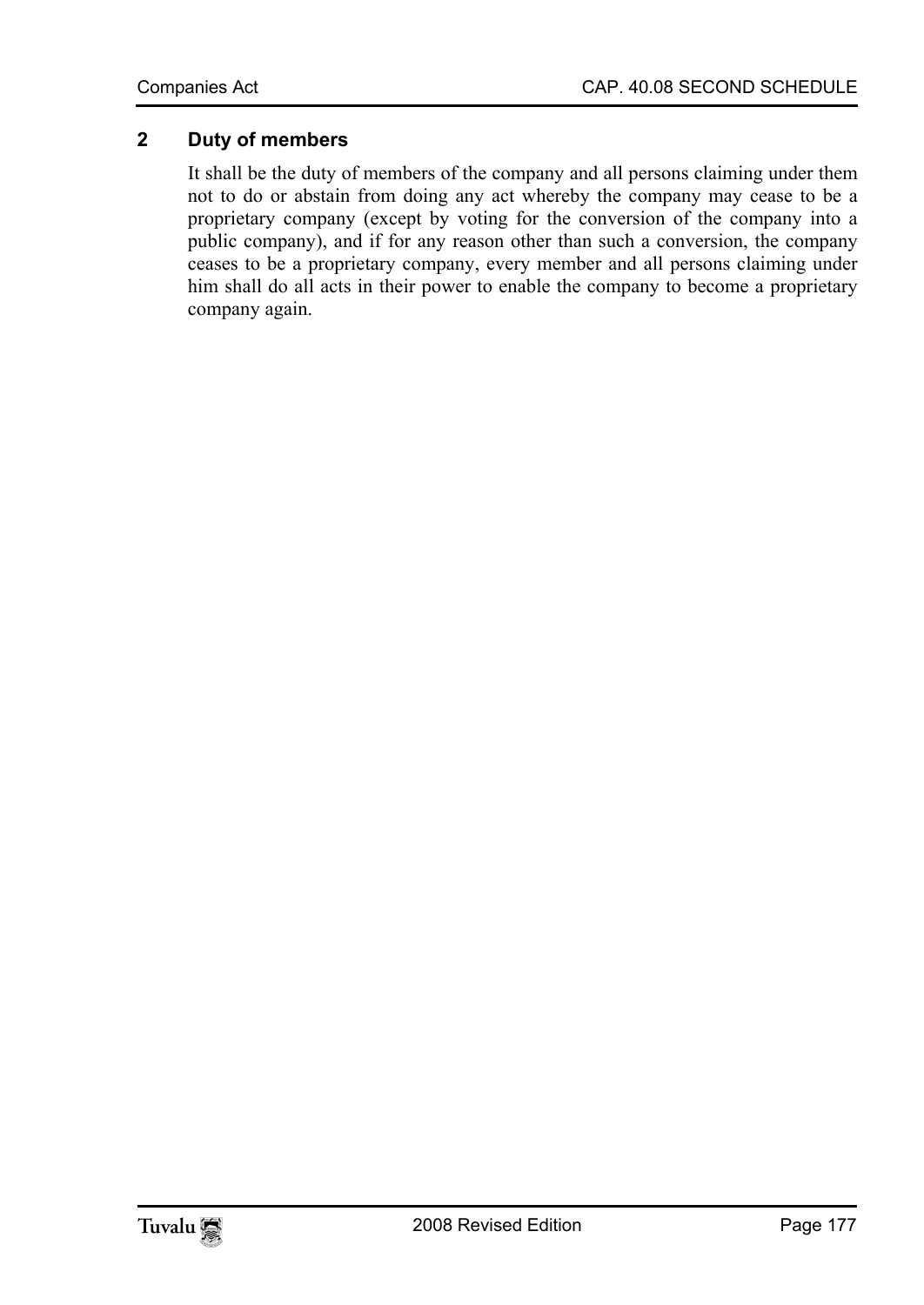# **2 Duty of members**

It shall be the duty of members of the company and all persons claiming under them not to do or abstain from doing any act whereby the company may cease to be a proprietary company (except by voting for the conversion of the company into a public company), and if for any reason other than such a conversion, the company ceases to be a proprietary company, every member and all persons claiming under him shall do all acts in their power to enable the company to become a proprietary company again.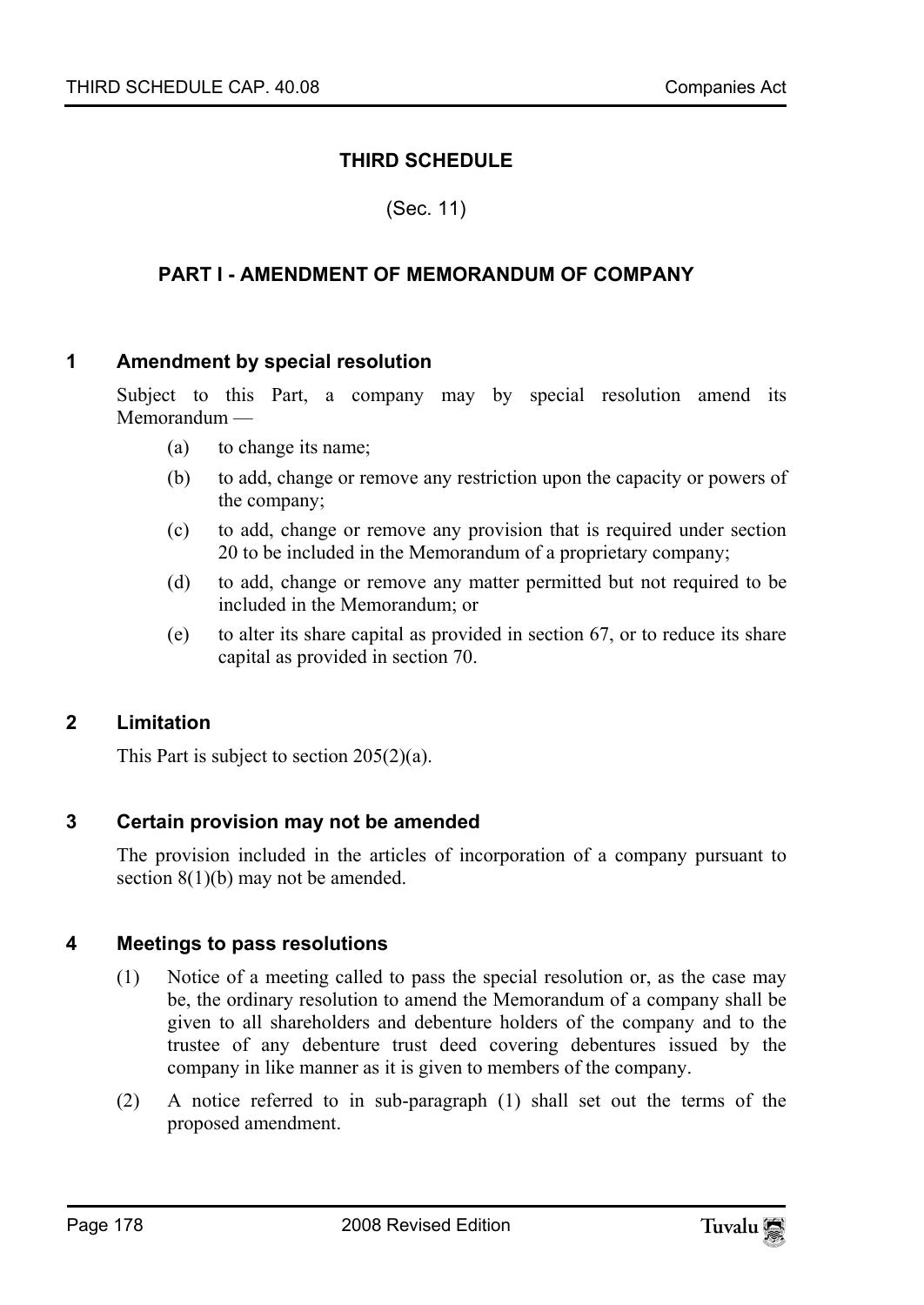# **THIRD SCHEDULE**

# (Sec. 11)

## **PART I - AMENDMENT OF MEMORANDUM OF COMPANY**

#### **1 Amendment by special resolution**

Subject to this Part, a company may by special resolution amend its Memorandum —

- (a) to change its name;
- (b) to add, change or remove any restriction upon the capacity or powers of the company;
- (c) to add, change or remove any provision that is required under section 20 to be included in the Memorandum of a proprietary company;
- (d) to add, change or remove any matter permitted but not required to be included in the Memorandum; or
- (e) to alter its share capital as provided in section 67, or to reduce its share capital as provided in section 70.

#### **2 Limitation**

This Part is subject to section 205(2)(a).

#### **3 Certain provision may not be amended**

The provision included in the articles of incorporation of a company pursuant to section  $8(1)(b)$  may not be amended.

#### **4 Meetings to pass resolutions**

- (1) Notice of a meeting called to pass the special resolution or, as the case may be, the ordinary resolution to amend the Memorandum of a company shall be given to all shareholders and debenture holders of the company and to the trustee of any debenture trust deed covering debentures issued by the company in like manner as it is given to members of the company.
- (2) A notice referred to in sub-paragraph (1) shall set out the terms of the proposed amendment.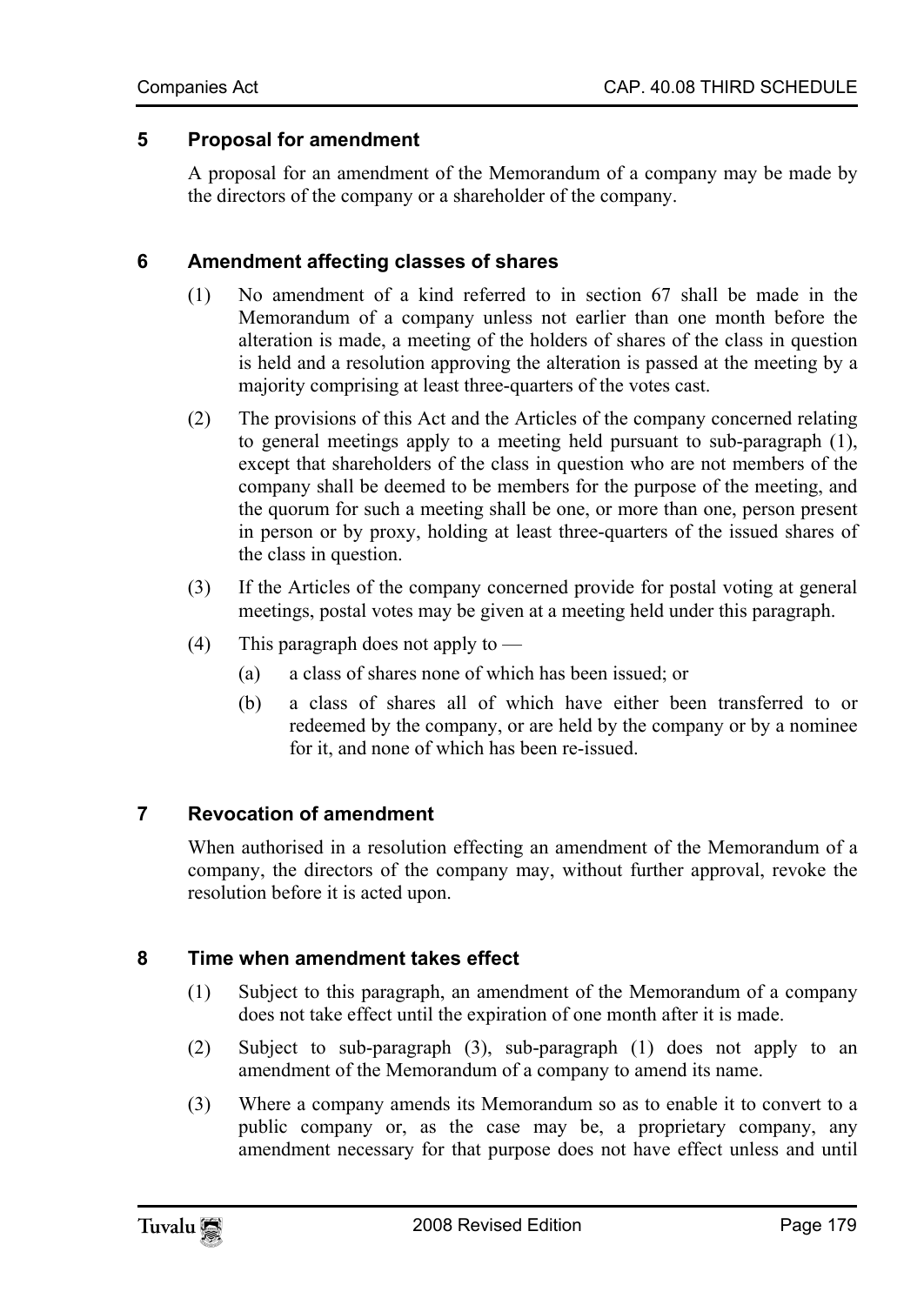#### **5 Proposal for amendment**

A proposal for an amendment of the Memorandum of a company may be made by the directors of the company or a shareholder of the company.

### **6 Amendment affecting classes of shares**

- (1) No amendment of a kind referred to in section 67 shall be made in the Memorandum of a company unless not earlier than one month before the alteration is made, a meeting of the holders of shares of the class in question is held and a resolution approving the alteration is passed at the meeting by a majority comprising at least three-quarters of the votes cast.
- (2) The provisions of this Act and the Articles of the company concerned relating to general meetings apply to a meeting held pursuant to sub-paragraph (1), except that shareholders of the class in question who are not members of the company shall be deemed to be members for the purpose of the meeting, and the quorum for such a meeting shall be one, or more than one, person present in person or by proxy, holding at least three-quarters of the issued shares of the class in question.
- (3) If the Articles of the company concerned provide for postal voting at general meetings, postal votes may be given at a meeting held under this paragraph.
- (4) This paragraph does not apply to
	- (a) a class of shares none of which has been issued; or
	- (b) a class of shares all of which have either been transferred to or redeemed by the company, or are held by the company or by a nominee for it, and none of which has been re-issued.

#### **7 Revocation of amendment**

When authorised in a resolution effecting an amendment of the Memorandum of a company, the directors of the company may, without further approval, revoke the resolution before it is acted upon.

#### **8 Time when amendment takes effect**

- (1) Subject to this paragraph, an amendment of the Memorandum of a company does not take effect until the expiration of one month after it is made.
- (2) Subject to sub-paragraph (3), sub-paragraph (1) does not apply to an amendment of the Memorandum of a company to amend its name.
- (3) Where a company amends its Memorandum so as to enable it to convert to a public company or, as the case may be, a proprietary company, any amendment necessary for that purpose does not have effect unless and until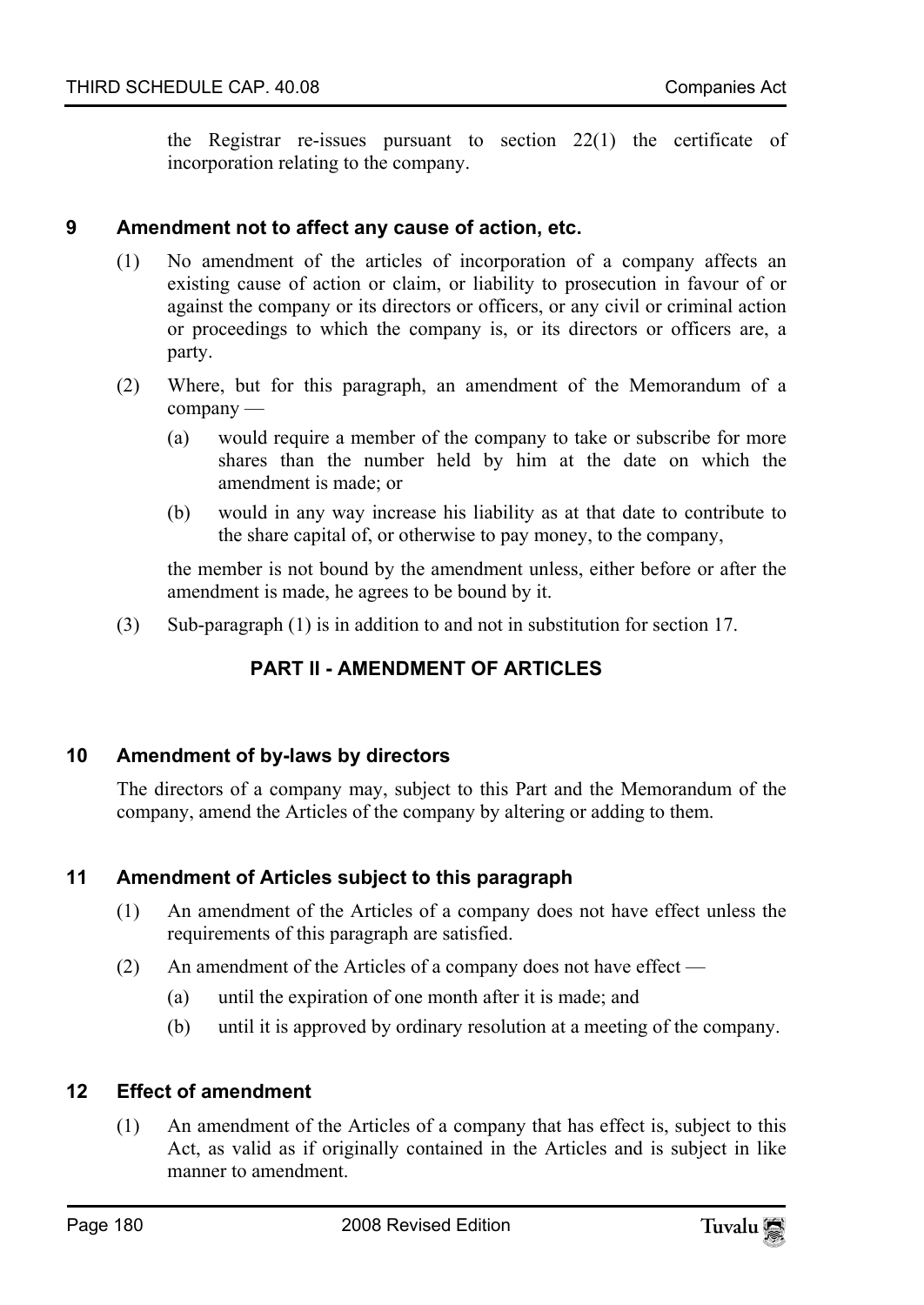the Registrar re-issues pursuant to section 22(1) the certificate of incorporation relating to the company.

#### **9 Amendment not to affect any cause of action, etc.**

- (1) No amendment of the articles of incorporation of a company affects an existing cause of action or claim, or liability to prosecution in favour of or against the company or its directors or officers, or any civil or criminal action or proceedings to which the company is, or its directors or officers are, a party.
- (2) Where, but for this paragraph, an amendment of the Memorandum of a company —
	- (a) would require a member of the company to take or subscribe for more shares than the number held by him at the date on which the amendment is made; or
	- (b) would in any way increase his liability as at that date to contribute to the share capital of, or otherwise to pay money, to the company,

the member is not bound by the amendment unless, either before or after the amendment is made, he agrees to be bound by it.

(3) Sub-paragraph (1) is in addition to and not in substitution for section 17.

# **PART II - AMENDMENT OF ARTICLES**

#### **10 Amendment of by-laws by directors**

The directors of a company may, subject to this Part and the Memorandum of the company, amend the Articles of the company by altering or adding to them.

#### **11 Amendment of Articles subject to this paragraph**

- (1) An amendment of the Articles of a company does not have effect unless the requirements of this paragraph are satisfied.
- (2) An amendment of the Articles of a company does not have effect
	- (a) until the expiration of one month after it is made; and
	- (b) until it is approved by ordinary resolution at a meeting of the company.

#### **12 Effect of amendment**

(1) An amendment of the Articles of a company that has effect is, subject to this Act, as valid as if originally contained in the Articles and is subject in like manner to amendment.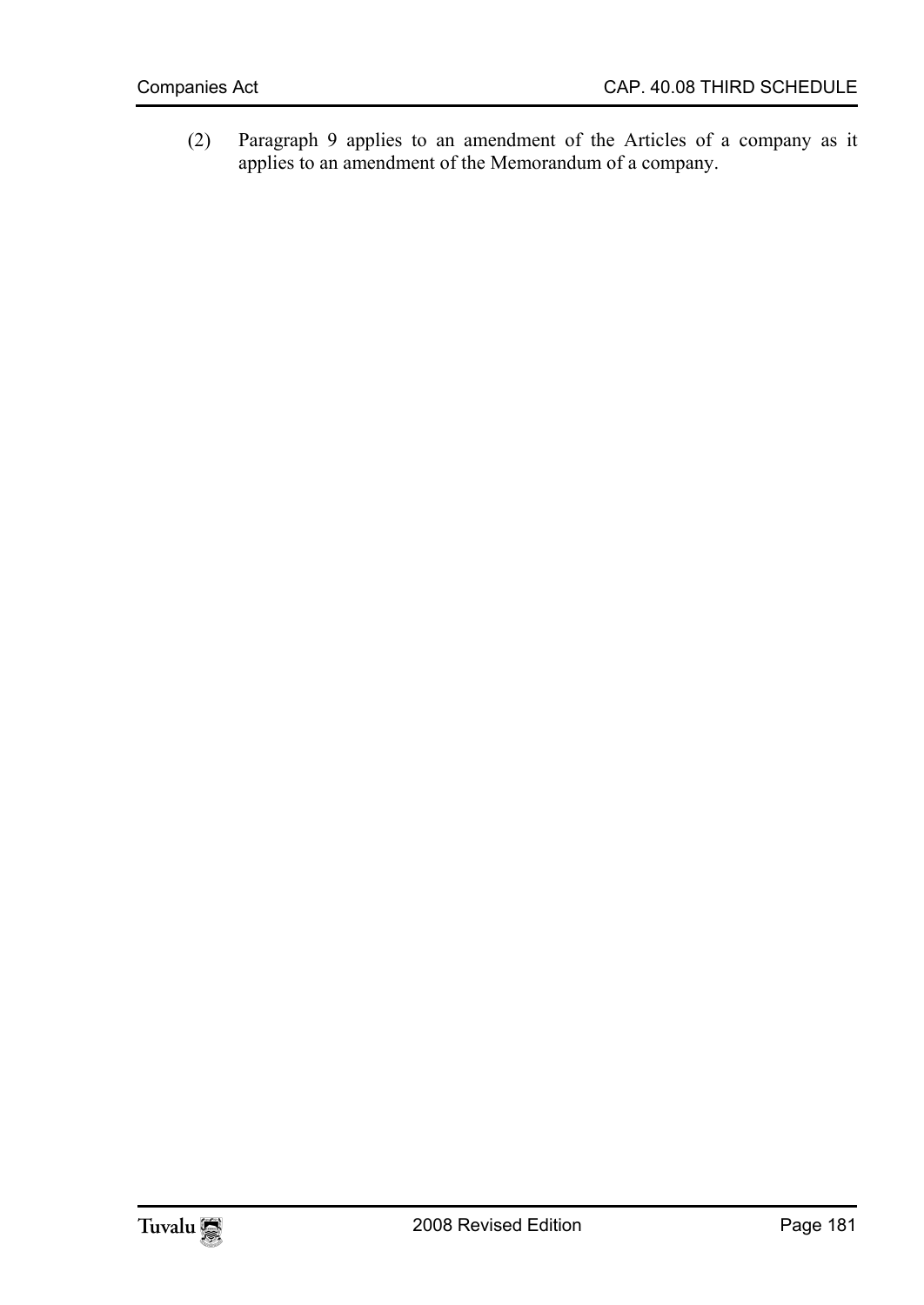(2) Paragraph 9 applies to an amendment of the Articles of a company as it applies to an amendment of the Memorandum of a company.

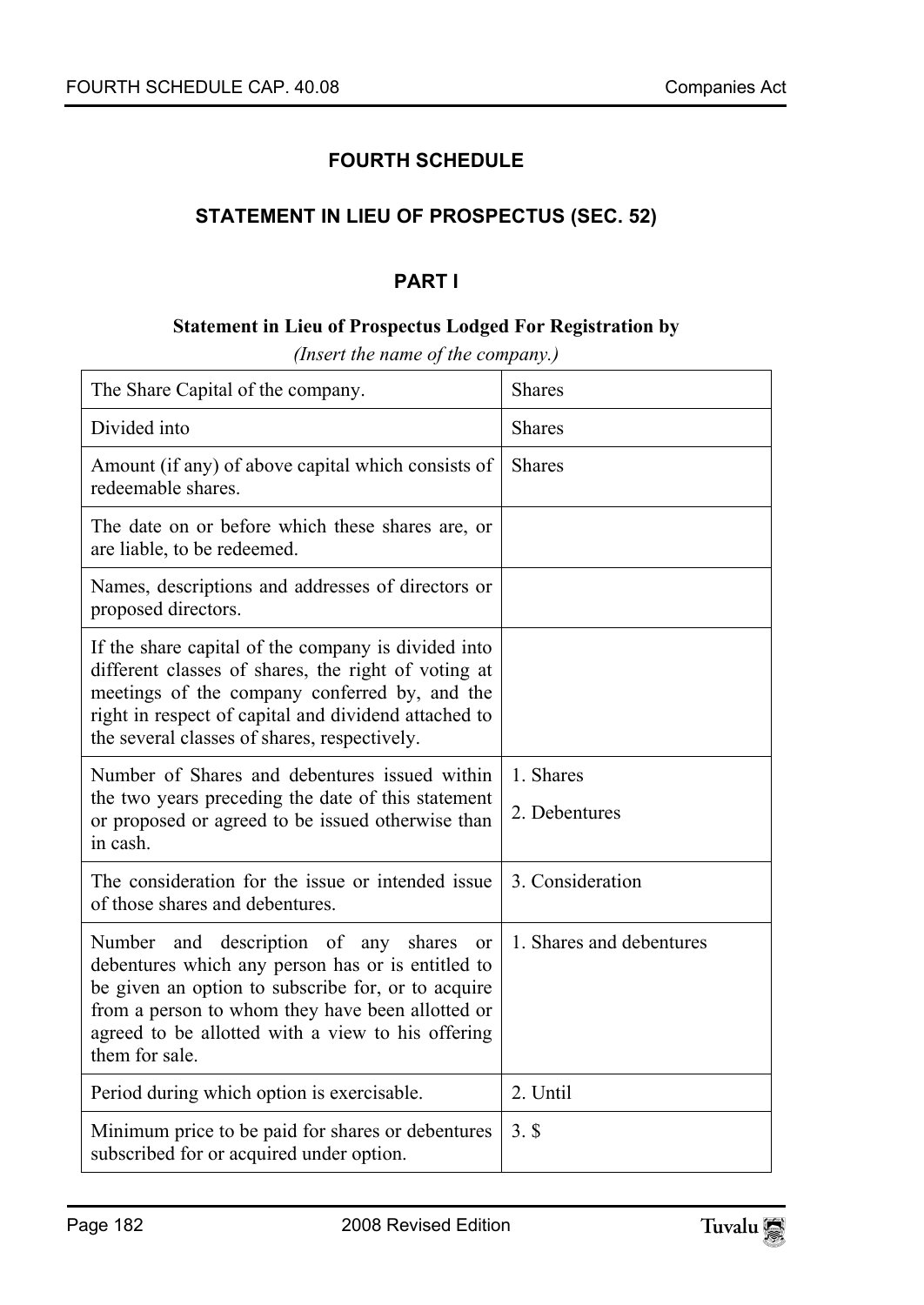# **FOURTH SCHEDULE**

### **STATEMENT IN LIEU OF PROSPECTUS (SEC. 52)**

#### **PART I**

## **Statement in Lieu of Prospectus Lodged For Registration by**

*(Insert the name of the company.)* 

| The Share Capital of the company.                                                                                                                                                                                                                                                                 | <b>Shares</b>              |
|---------------------------------------------------------------------------------------------------------------------------------------------------------------------------------------------------------------------------------------------------------------------------------------------------|----------------------------|
| Divided into                                                                                                                                                                                                                                                                                      | <b>Shares</b>              |
| Amount (if any) of above capital which consists of<br>redeemable shares.                                                                                                                                                                                                                          | <b>Shares</b>              |
| The date on or before which these shares are, or<br>are liable, to be redeemed.                                                                                                                                                                                                                   |                            |
| Names, descriptions and addresses of directors or<br>proposed directors.                                                                                                                                                                                                                          |                            |
| If the share capital of the company is divided into<br>different classes of shares, the right of voting at<br>meetings of the company conferred by, and the<br>right in respect of capital and dividend attached to<br>the several classes of shares, respectively.                               |                            |
| Number of Shares and debentures issued within<br>the two years preceding the date of this statement<br>or proposed or agreed to be issued otherwise than<br>in cash.                                                                                                                              | 1. Shares<br>2. Debentures |
| The consideration for the issue or intended issue<br>of those shares and debentures.                                                                                                                                                                                                              | 3. Consideration           |
| and description of any<br>shares<br>Number<br><sub>or</sub><br>debentures which any person has or is entitled to<br>be given an option to subscribe for, or to acquire<br>from a person to whom they have been allotted or<br>agreed to be allotted with a view to his offering<br>them for sale. | 1. Shares and debentures   |
| Period during which option is exercisable.                                                                                                                                                                                                                                                        | 2. Until                   |
| Minimum price to be paid for shares or debentures<br>subscribed for or acquired under option.                                                                                                                                                                                                     | $3.$ \$                    |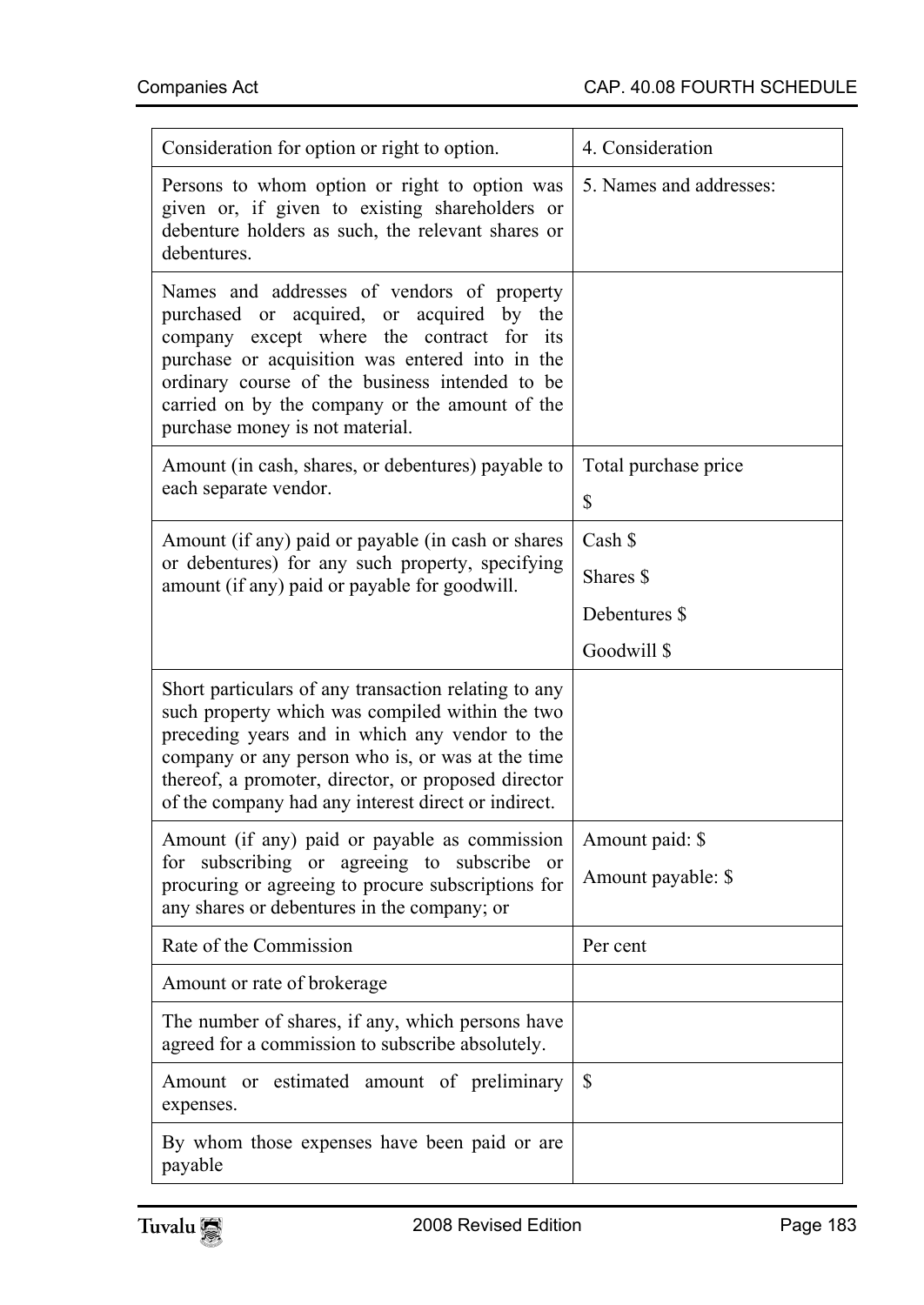| Consideration for option or right to option.                                                                                                                                                                                                                                                                                   | 4. Consideration           |
|--------------------------------------------------------------------------------------------------------------------------------------------------------------------------------------------------------------------------------------------------------------------------------------------------------------------------------|----------------------------|
| Persons to whom option or right to option was<br>given or, if given to existing shareholders or<br>debenture holders as such, the relevant shares or<br>debentures.                                                                                                                                                            | 5. Names and addresses:    |
| Names and addresses of vendors of property<br>purchased or acquired, or acquired by the<br>company except where the contract for its<br>purchase or acquisition was entered into in the<br>ordinary course of the business intended to be<br>carried on by the company or the amount of the<br>purchase money is not material. |                            |
| Amount (in cash, shares, or debentures) payable to<br>each separate vendor.                                                                                                                                                                                                                                                    | Total purchase price<br>\$ |
| Amount (if any) paid or payable (in cash or shares                                                                                                                                                                                                                                                                             | Cash \$                    |
| or debentures) for any such property, specifying<br>amount (if any) paid or payable for goodwill.                                                                                                                                                                                                                              | Shares \$                  |
|                                                                                                                                                                                                                                                                                                                                | Debentures \$              |
|                                                                                                                                                                                                                                                                                                                                | Goodwill \$                |
| Short particulars of any transaction relating to any<br>such property which was compiled within the two<br>preceding years and in which any vendor to the<br>company or any person who is, or was at the time<br>thereof, a promoter, director, or proposed director<br>of the company had any interest direct or indirect.    |                            |
| Amount (if any) paid or payable as commission                                                                                                                                                                                                                                                                                  | Amount paid: \$            |
| for subscribing or agreeing to subscribe<br><sub>or</sub><br>procuring or agreeing to procure subscriptions for<br>any shares or debentures in the company; or                                                                                                                                                                 | Amount payable: \$         |
| Rate of the Commission                                                                                                                                                                                                                                                                                                         | Per cent                   |
| Amount or rate of brokerage                                                                                                                                                                                                                                                                                                    |                            |
| The number of shares, if any, which persons have<br>agreed for a commission to subscribe absolutely.                                                                                                                                                                                                                           |                            |
| Amount or estimated amount of preliminary<br>expenses.                                                                                                                                                                                                                                                                         | \$                         |
| By whom those expenses have been paid or are<br>payable                                                                                                                                                                                                                                                                        |                            |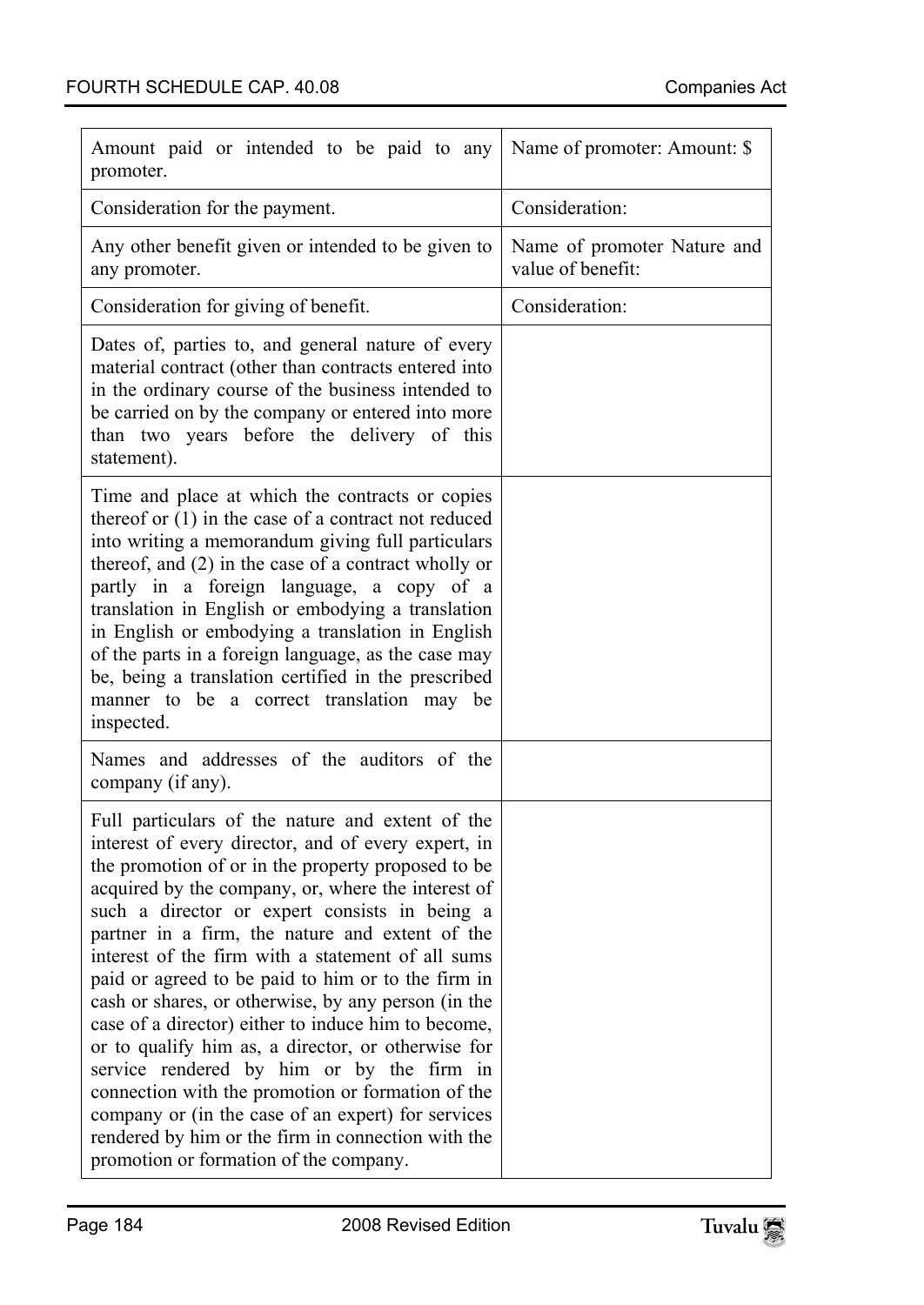| Amount paid or intended to be paid to any<br>promoter.                                                                                                                                                                                                                                                                                                                                                                                                                                                                                                                                                                                                                                                                                                                                                                                                         | Name of promoter: Amount: \$                     |
|----------------------------------------------------------------------------------------------------------------------------------------------------------------------------------------------------------------------------------------------------------------------------------------------------------------------------------------------------------------------------------------------------------------------------------------------------------------------------------------------------------------------------------------------------------------------------------------------------------------------------------------------------------------------------------------------------------------------------------------------------------------------------------------------------------------------------------------------------------------|--------------------------------------------------|
| Consideration for the payment.                                                                                                                                                                                                                                                                                                                                                                                                                                                                                                                                                                                                                                                                                                                                                                                                                                 | Consideration:                                   |
| Any other benefit given or intended to be given to<br>any promoter.                                                                                                                                                                                                                                                                                                                                                                                                                                                                                                                                                                                                                                                                                                                                                                                            | Name of promoter Nature and<br>value of benefit: |
| Consideration for giving of benefit.                                                                                                                                                                                                                                                                                                                                                                                                                                                                                                                                                                                                                                                                                                                                                                                                                           | Consideration:                                   |
| Dates of, parties to, and general nature of every<br>material contract (other than contracts entered into<br>in the ordinary course of the business intended to<br>be carried on by the company or entered into more<br>than two years before the delivery of this<br>statement).                                                                                                                                                                                                                                                                                                                                                                                                                                                                                                                                                                              |                                                  |
| Time and place at which the contracts or copies<br>thereof or $(1)$ in the case of a contract not reduced<br>into writing a memorandum giving full particulars<br>thereof, and (2) in the case of a contract wholly or<br>partly in a foreign language, a copy of a<br>translation in English or embodying a translation<br>in English or embodying a translation in English<br>of the parts in a foreign language, as the case may<br>be, being a translation certified in the prescribed<br>manner to be a correct translation may be<br>inspected.                                                                                                                                                                                                                                                                                                          |                                                  |
| Names and addresses of the auditors of the<br>company (if any).                                                                                                                                                                                                                                                                                                                                                                                                                                                                                                                                                                                                                                                                                                                                                                                                |                                                  |
| Full particulars of the nature and extent of the<br>interest of every director, and of every expert, in<br>the promotion of or in the property proposed to be<br>acquired by the company, or, where the interest of<br>such a director or expert consists in being a<br>partner in a firm, the nature and extent of the<br>interest of the firm with a statement of all sums<br>paid or agreed to be paid to him or to the firm in<br>cash or shares, or otherwise, by any person (in the<br>case of a director) either to induce him to become,<br>or to qualify him as, a director, or otherwise for<br>service rendered by him or by the firm in<br>connection with the promotion or formation of the<br>company or (in the case of an expert) for services<br>rendered by him or the firm in connection with the<br>promotion or formation of the company. |                                                  |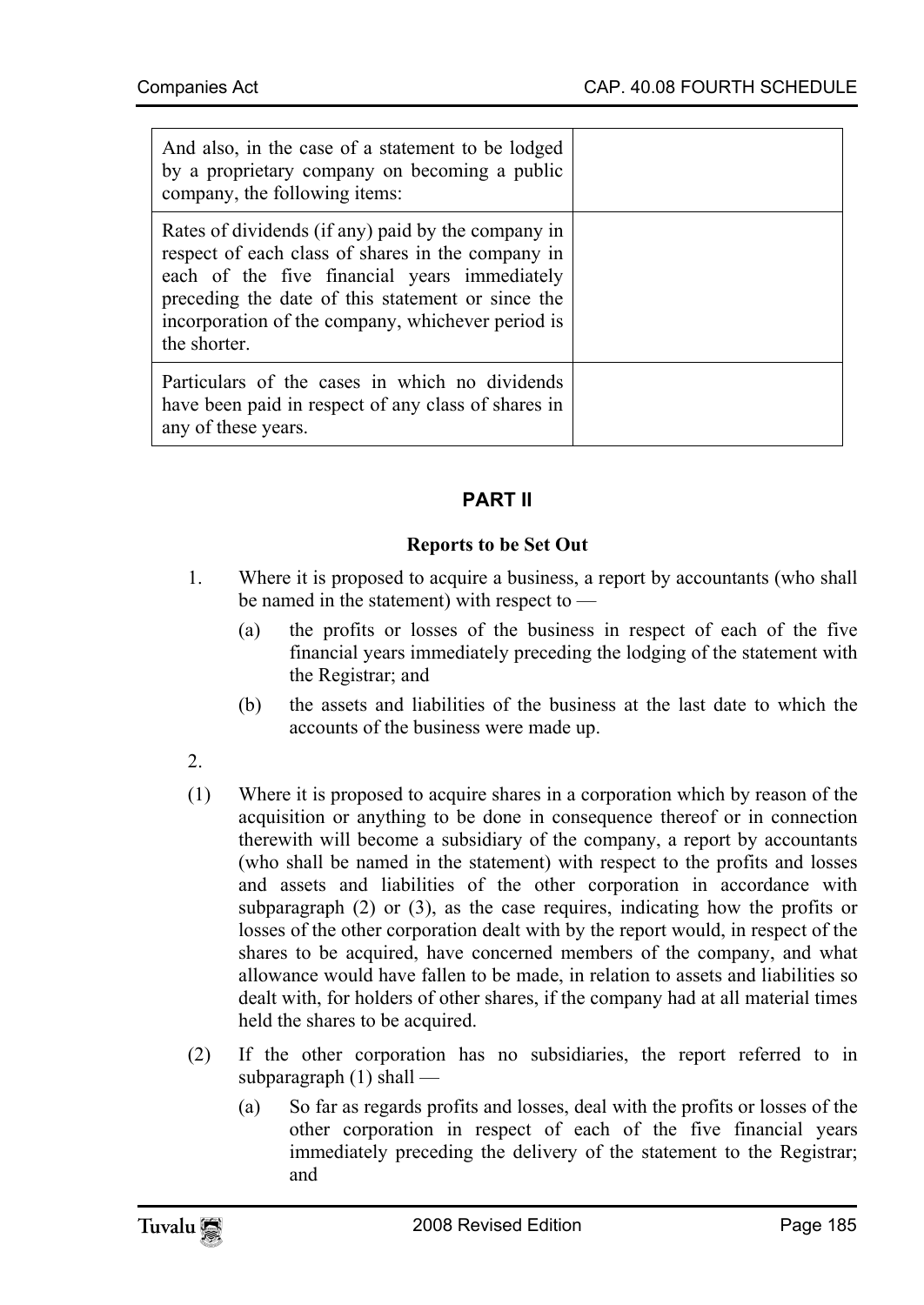| And also, in the case of a statement to be lodged<br>by a proprietary company on becoming a public<br>company, the following items:                                                                                                                                               |  |
|-----------------------------------------------------------------------------------------------------------------------------------------------------------------------------------------------------------------------------------------------------------------------------------|--|
| Rates of dividends (if any) paid by the company in<br>respect of each class of shares in the company in<br>each of the five financial years immediately<br>preceding the date of this statement or since the<br>incorporation of the company, whichever period is<br>the shorter. |  |
| Particulars of the cases in which no dividends<br>have been paid in respect of any class of shares in<br>any of these years.                                                                                                                                                      |  |

## **PART II**

#### **Reports to be Set Out**

- 1. Where it is proposed to acquire a business, a report by accountants (who shall be named in the statement) with respect to —
	- (a) the profits or losses of the business in respect of each of the five financial years immediately preceding the lodging of the statement with the Registrar; and
	- (b) the assets and liabilities of the business at the last date to which the accounts of the business were made up.
- 2.
- (1) Where it is proposed to acquire shares in a corporation which by reason of the acquisition or anything to be done in consequence thereof or in connection therewith will become a subsidiary of the company, a report by accountants (who shall be named in the statement) with respect to the profits and losses and assets and liabilities of the other corporation in accordance with subparagraph (2) or (3), as the case requires, indicating how the profits or losses of the other corporation dealt with by the report would, in respect of the shares to be acquired, have concerned members of the company, and what allowance would have fallen to be made, in relation to assets and liabilities so dealt with, for holders of other shares, if the company had at all material times held the shares to be acquired.
- (2) If the other corporation has no subsidiaries, the report referred to in subparagraph (1) shall —
	- (a) So far as regards profits and losses, deal with the profits or losses of the other corporation in respect of each of the five financial years immediately preceding the delivery of the statement to the Registrar; and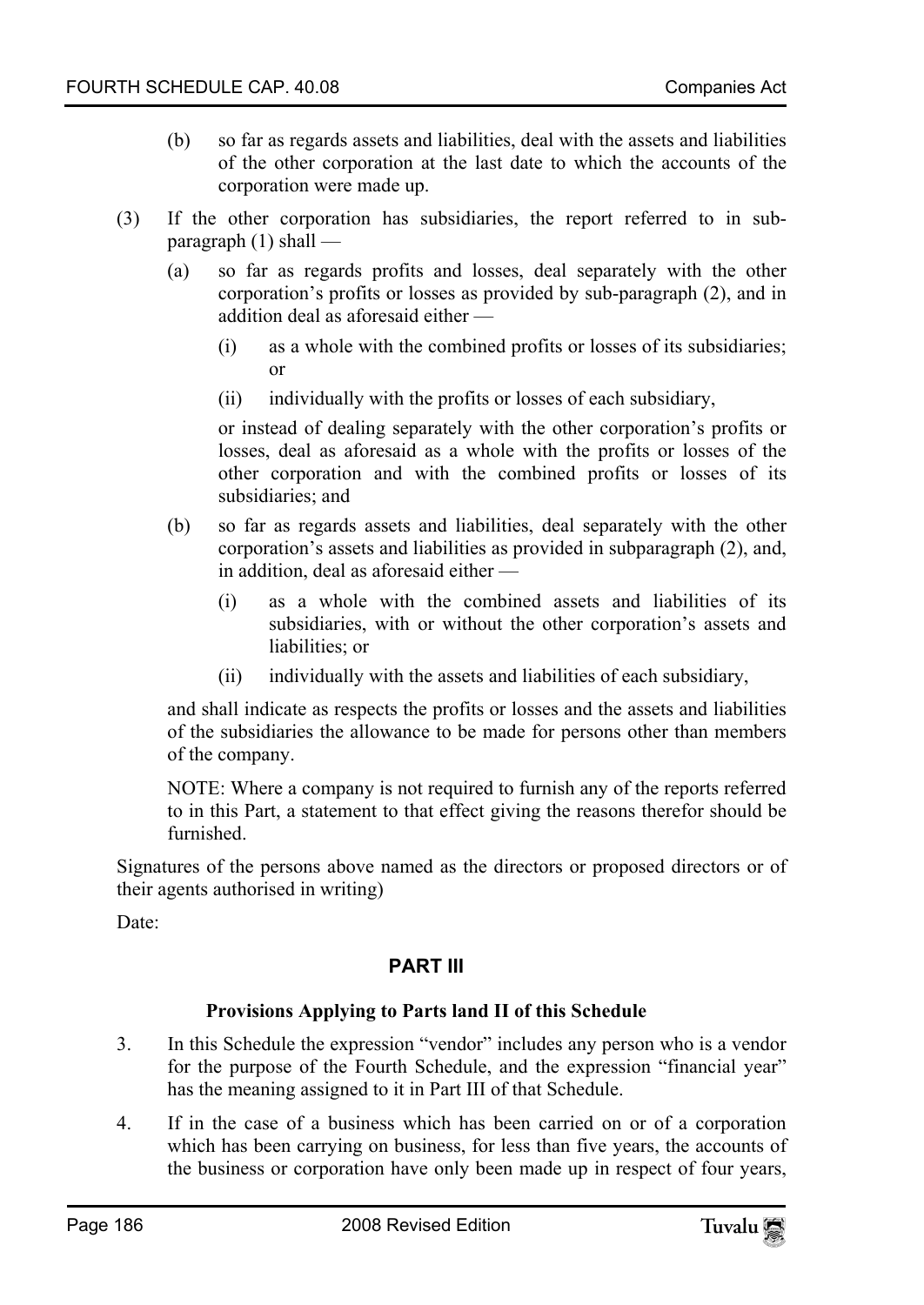- (b) so far as regards assets and liabilities, deal with the assets and liabilities of the other corporation at the last date to which the accounts of the corporation were made up.
- (3) If the other corporation has subsidiaries, the report referred to in subparagraph  $(1)$  shall —
	- (a) so far as regards profits and losses, deal separately with the other corporation's profits or losses as provided by sub-paragraph (2), and in addition deal as aforesaid either —
		- (i) as a whole with the combined profits or losses of its subsidiaries; or
		- (ii) individually with the profits or losses of each subsidiary,

or instead of dealing separately with the other corporation's profits or losses, deal as aforesaid as a whole with the profits or losses of the other corporation and with the combined profits or losses of its subsidiaries; and

- (b) so far as regards assets and liabilities, deal separately with the other corporation's assets and liabilities as provided in subparagraph (2), and, in addition, deal as aforesaid either —
	- (i) as a whole with the combined assets and liabilities of its subsidiaries, with or without the other corporation's assets and liabilities; or
	- (ii) individually with the assets and liabilities of each subsidiary,

and shall indicate as respects the profits or losses and the assets and liabilities of the subsidiaries the allowance to be made for persons other than members of the company.

NOTE: Where a company is not required to furnish any of the reports referred to in this Part, a statement to that effect giving the reasons therefor should be furnished.

Signatures of the persons above named as the directors or proposed directors or of their agents authorised in writing)

Date:

#### **PART III**

#### **Provisions Applying to Parts land II of this Schedule**

- 3. In this Schedule the expression "vendor" includes any person who is a vendor for the purpose of the Fourth Schedule, and the expression "financial year" has the meaning assigned to it in Part III of that Schedule.
- 4. If in the case of a business which has been carried on or of a corporation which has been carrying on business, for less than five years, the accounts of the business or corporation have only been made up in respect of four years,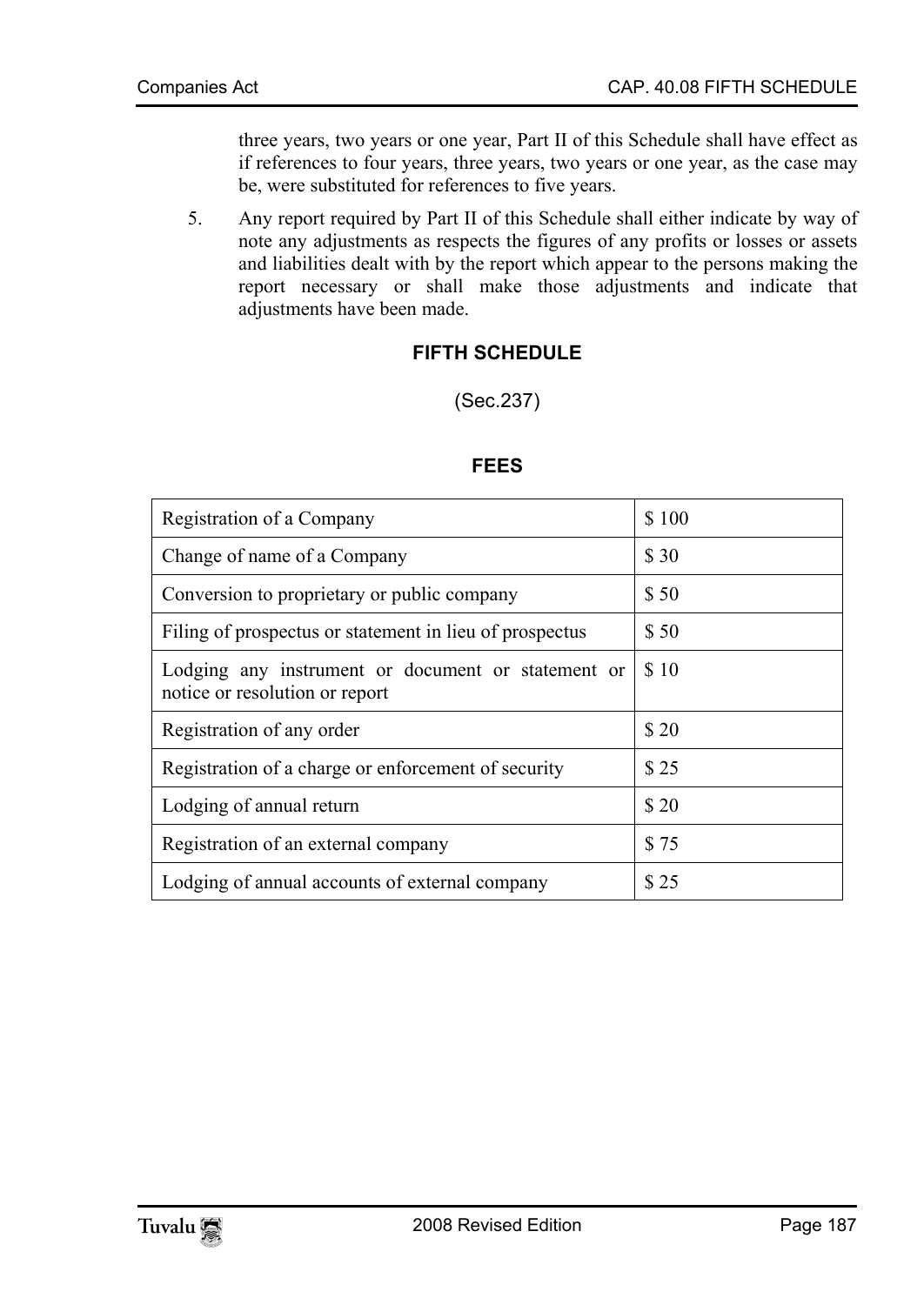three years, two years or one year, Part II of this Schedule shall have effect as if references to four years, three years, two years or one year, as the case may be, were substituted for references to five years.

5. Any report required by Part II of this Schedule shall either indicate by way of note any adjustments as respects the figures of any profits or losses or assets and liabilities dealt with by the report which appear to the persons making the report necessary or shall make those adjustments and indicate that adjustments have been made.

## **FIFTH SCHEDULE**

#### (Sec.237)

| Registration of a Company                                                            | \$100 |
|--------------------------------------------------------------------------------------|-------|
| Change of name of a Company                                                          | \$30  |
| Conversion to proprietary or public company                                          | \$ 50 |
| Filing of prospectus or statement in lieu of prospectus                              | \$ 50 |
| Lodging any instrument or document or statement or<br>notice or resolution or report | \$10  |
| Registration of any order                                                            | \$20  |
| Registration of a charge or enforcement of security                                  | \$25  |
| Lodging of annual return                                                             | \$20  |
| Registration of an external company                                                  | \$75  |
| Lodging of annual accounts of external company                                       | \$25  |

#### **FEES**